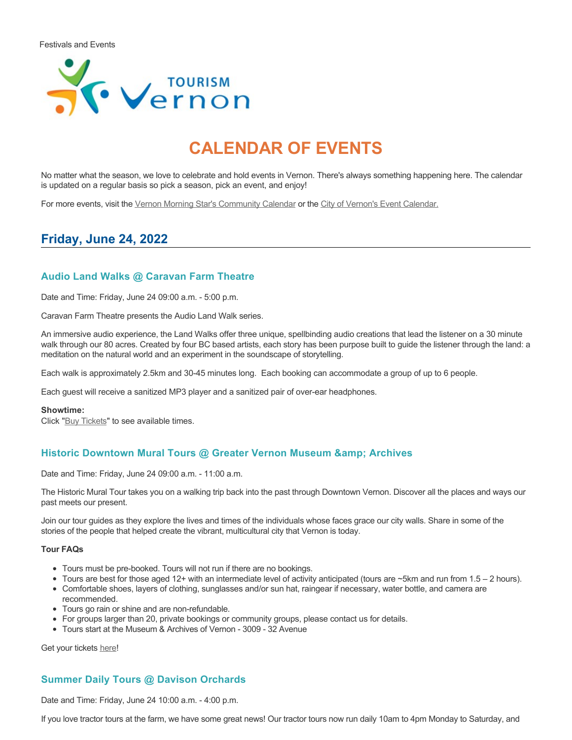

# **CALENDAR OF EVENTS**

No matter what the season, we love to celebrate and hold events in Vernon. There's always something happening here. The calendar is updated on a regular basis so pick a season, pick an event, and enjoy!

For more events, visit the [Vernon Morning Star's Community Calendar](http://www.vernonmorningstar.com/calendar/) or the [City of Vernon's Event Calendar.](https://www.vernon.ca/activities-events/news-events/events-calendar)

# **Friday, June 24, 2022**

## **Audio Land Walks @ Caravan Farm Theatre**

Date and Time: Friday, June 24 09:00 a.m. - 5:00 p.m.

Caravan Farm Theatre presents the Audio Land Walk series.

An immersive audio experience, the Land Walks offer three unique, spellbinding audio creations that lead the listener on a 30 minute walk through our 80 acres. Created by four BC based artists, each story has been purpose built to guide the listener through the land: a meditation on the natural world and an experiment in the soundscape of storytelling.

Each walk is approximately 2.5km and 30-45 minutes long. Each booking can accommodate a group of up to 6 people.

Each guest will receive a sanitized MP3 player and a sanitized pair of over-ear headphones.

#### **Showtime:**

Click "[Buy Tickets](https://caravanfarmtheatre.com/show/the-land-walks/?ct=t%28EMAIL_CAMPAIGN_4_19_2022_13_43SEASON+2022%29&mc_cid=c02afad356&mc_eid=4778eb8892)" to see available times.

## **Historic Downtown Mural Tours @ Greater Vernon Museum & Archives**

Date and Time: Friday, June 24 09:00 a.m. - 11:00 a.m.

The Historic Mural Tour takes you on a walking trip back into the past through Downtown Vernon. Discover all the places and ways our past meets our present.

Join our tour guides as they explore the lives and times of the individuals whose faces grace our city walls. Share in some of the stories of the people that helped create the vibrant, multicultural city that Vernon is today.

#### **Tour FAQs**

- Tours must be pre-booked. Tours will not run if there are no bookings.
- Tours are best for those aged 12+ with an intermediate level of activity anticipated (tours are ~5km and run from 1.5 2 hours).
- Comfortable shoes, layers of clothing, sunglasses and/or sun hat, raingear if necessary, water bottle, and camera are recommended.
- Tours go rain or shine and are non-refundable.
- For groups larger than 20, private bookings or community groups, please contact us for details.
- Tours start at the Museum & Archives of Vernon 3009 32 Avenue

Get your tickets [here!](https://www.eventbrite.com/e/historic-downtown-mural-tours-tickets-304983342387)

## **Summer Daily Tours @ Davison Orchards**

Date and Time: Friday, June 24 10:00 a.m. - 4:00 p.m.

If you love tractor tours at the farm, we have some great news! Our tractor tours now run daily 10am to 4pm Monday to Saturday, and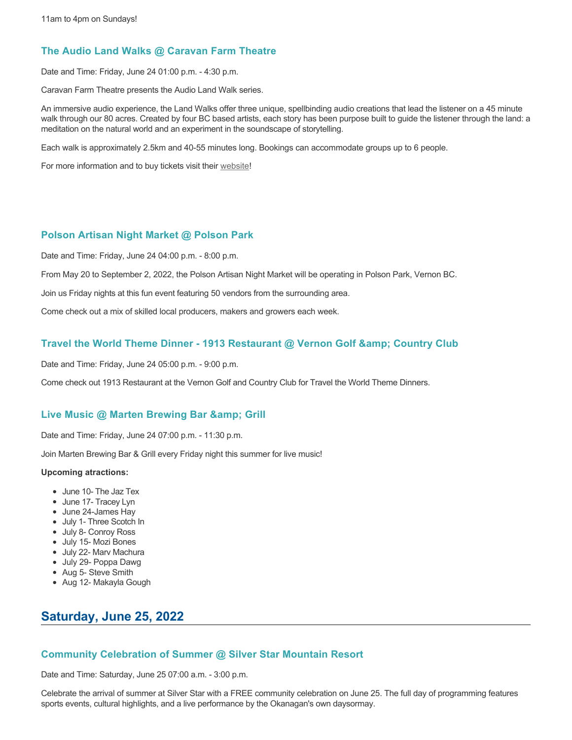## **The Audio Land Walks @ Caravan Farm Theatre**

Date and Time: Friday, June 24 01:00 p.m. - 4:30 p.m.

Caravan Farm Theatre presents the Audio Land Walk series.

An immersive audio experience, the Land Walks offer three unique, spellbinding audio creations that lead the listener on a 45 minute walk through our 80 acres. Created by four BC based artists, each story has been purpose built to guide the listener through the land: a meditation on the natural world and an experiment in the soundscape of storytelling.

Each walk is approximately 2.5km and 40-55 minutes long. Bookings can accommodate groups up to 6 people.

For more information and to buy tickets visit their [website!](https://caravanfarmtheatre.com/show/the-land-walks/)

## **Polson Artisan Night Market @ Polson Park**

Date and Time: Friday, June 24 04:00 p.m. - 8:00 p.m.

From May 20 to September 2, 2022, the Polson Artisan Night Market will be operating in Polson Park, Vernon BC.

Join us Friday nights at this fun event featuring 50 vendors from the surrounding area.

Come check out a mix of skilled local producers, makers and growers each week.

## Travel the World Theme Dinner - 1913 Restaurant @ Vernon Golf & Country Club

Date and Time: Friday, June 24 05:00 p.m. - 9:00 p.m.

Come check out 1913 Restaurant at the Vernon Golf and Country Club for Travel the World Theme Dinners.

## **Live Music @ Marten Brewing Bar & amp; Grill**

Date and Time: Friday, June 24 07:00 p.m. - 11:30 p.m.

Join Marten Brewing Bar & Grill every Friday night this summer for live music!

### **Upcoming atractions:**

- June 10- The Jaz Tex
- June 17- Tracey Lyn
- June 24-James Hay
- July 1- Three Scotch In
- July 8- Conroy Ross
- July 15- Mozi Bones
- July 22- Marv Machura
- July 29- Poppa Dawg
- Aug 5- Steve Smith
- Aug 12- Makayla Gough

# **Saturday, June 25, 2022**

## **Community Celebration of Summer @ Silver Star Mountain Resort**

Date and Time: Saturday, June 25 07:00 a.m. - 3:00 p.m.

Celebrate the arrival of summer at Silver Star with a FREE community celebration on June 25. The full day of programming features sports events, cultural highlights, and a live performance by the Okanagan's own daysormay.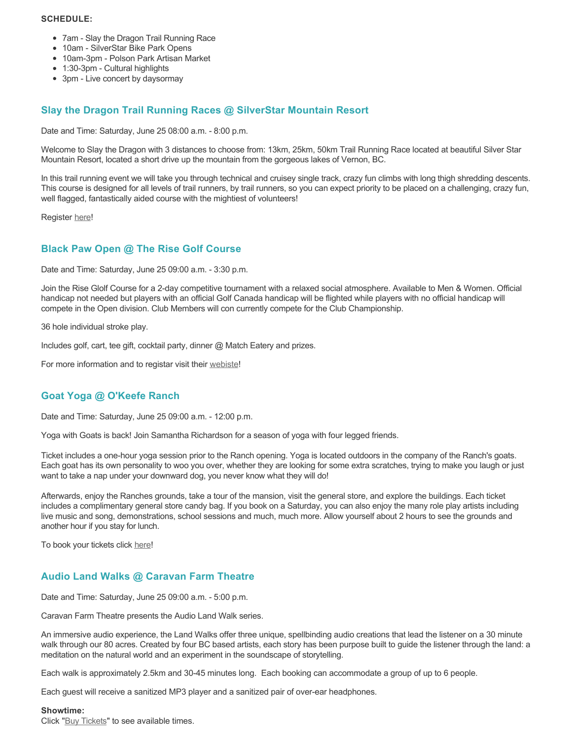### **SCHEDULE:**

- 7am Slay the Dragon Trail Running Race
- 10am SilverStar Bike Park Opens
- 10am-3pm Polson Park Artisan Market
- 1:30-3pm Cultural highlights
- 3pm Live concert by daysormay

# **Slay the Dragon Trail Running Races @ SilverStar Mountain Resort**

Date and Time: Saturday, June 25 08:00 a.m. - 8:00 p.m.

Welcome to Slay the Dragon with 3 distances to choose from: 13km, 25km, 50km Trail Running Race located at beautiful Silver Star Mountain Resort, located a short drive up the mountain from the gorgeous lakes of Vernon, BC.

In this trail running event we will take you through technical and cruisey single track, crazy fun climbs with long thigh shredding descents. This course is designed for all levels of trail runners, by trail runners, so you can expect priority to be placed on a challenging, crazy fun, well flagged, fantastically aided course with the mightiest of volunteers!

Register [here](https://ultrasignup.com/register.aspx?did=88718)!

# **Black Paw Open @ The Rise Golf Course**

Date and Time: Saturday, June 25 09:00 a.m. - 3:30 p.m.

Join the Rise Glolf Course for a 2-day competitive tournament with a relaxed social atmosphere. Available to Men & Women. Official handicap not needed but players with an official Golf Canada handicap will be flighted while players with no official handicap will compete in the Open division. Club Members will con currently compete for the Club Championship.

36 hole individual stroke play.

Includes golf, cart, tee gift, cocktail party, dinner @ Match Eatery and prizes.

For more information and to registar visit their [webiste](https://www.therisegolf.ca/black-paw-open/)!

# **Goat Yoga @ O'Keefe Ranch**

Date and Time: Saturday, June 25 09:00 a.m. - 12:00 p.m.

Yoga with Goats is back! Join Samantha Richardson for a season of yoga with four legged friends.

Ticket includes a one-hour yoga session prior to the Ranch opening. Yoga is located outdoors in the company of the Ranch's goats. Each goat has its own personality to woo you over, whether they are looking for some extra scratches, trying to make you laugh or just want to take a nap under your downward dog, you never know what they will do!

Afterwards, enjoy the Ranches grounds, take a tour of the mansion, visit the general store, and explore the buildings. Each ticket includes a complimentary general store candy bag. If you book on a Saturday, you can also enjoy the many role play artists including live music and song, demonstrations, school sessions and much, much more. Allow yourself about 2 hours to see the grounds and another hour if you stay for lunch.

To book your tickets click [here!](https://tickets.ticketseller.ca/TheatreManager/1/login&event=3417)

# **Audio Land Walks @ Caravan Farm Theatre**

Date and Time: Saturday, June 25 09:00 a.m. - 5:00 p.m.

Caravan Farm Theatre presents the Audio Land Walk series.

An immersive audio experience, the Land Walks offer three unique, spellbinding audio creations that lead the listener on a 30 minute walk through our 80 acres. Created by four BC based artists, each story has been purpose built to guide the listener through the land: a meditation on the natural world and an experiment in the soundscape of storytelling.

Each walk is approximately 2.5km and 30-45 minutes long. Each booking can accommodate a group of up to 6 people.

Each guest will receive a sanitized MP3 player and a sanitized pair of over-ear headphones.

### **Showtime:**

Click "[Buy Tickets](https://caravanfarmtheatre.com/show/the-land-walks/?ct=t%28EMAIL_CAMPAIGN_4_19_2022_13_43SEASON+2022%29&mc_cid=c02afad356&mc_eid=4778eb8892)" to see available times.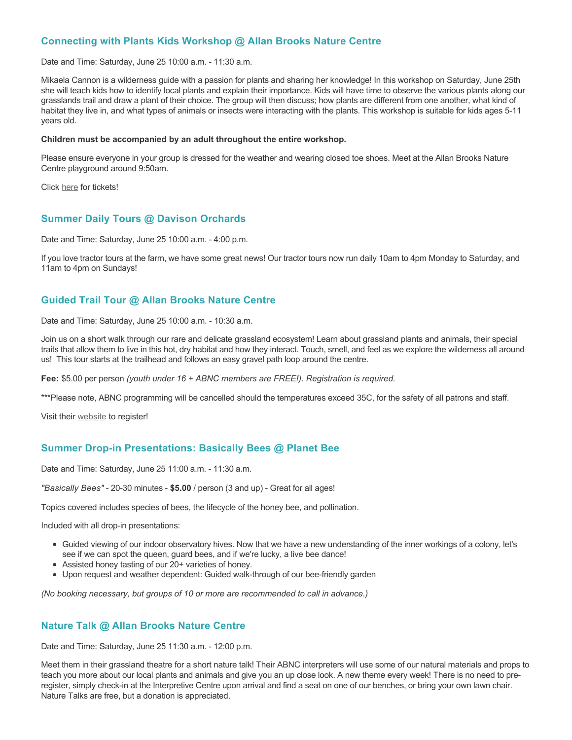## **Connecting with Plants Kids Workshop @ Allan Brooks Nature Centre**

Date and Time: Saturday, June 25 10:00 a.m. - 11:30 a.m.

Mikaela Cannon is a wilderness guide with a passion for plants and sharing her knowledge! In this workshop on Saturday, June 25th she will teach kids how to identify local plants and explain their importance. Kids will have time to observe the various plants along our grasslands trail and draw a plant of their choice. The group will then discuss; how plants are different from one another, what kind of habitat they live in, and what types of animals or insects were interacting with the plants. This workshop is suitable for kids ages 5-11 years old.

#### **Children must be accompanied by an adult throughout the entire workshop.**

Please ensure everyone in your group is dressed for the weather and wearing closed toe shoes. Meet at the Allan Brooks Nature Centre playground around 9:50am.

Click [here](https://abnc.ca/abnc-event/connecting-with-plants-kids-workshop/) for tickets!

## **Summer Daily Tours @ Davison Orchards**

Date and Time: Saturday, June 25 10:00 a.m. - 4:00 p.m.

If you love tractor tours at the farm, we have some great news! Our tractor tours now run daily 10am to 4pm Monday to Saturday, and 11am to 4pm on Sundays!

## **Guided Trail Tour @ Allan Brooks Nature Centre**

Date and Time: Saturday, June 25 10:00 a.m. - 10:30 a.m.

Join us on a short walk through our rare and delicate grassland ecosystem! Learn about grassland plants and animals, their special traits that allow them to live in this hot, dry habitat and how they interact. Touch, smell, and feel as we explore the wilderness all around us! This tour starts at the trailhead and follows an easy gravel path loop around the centre.

**Fee:** \$5.00 per person *(youth under 16 + ABNC members are FREE!). Registration is required.* 

\*\*\*Please note, ABNC programming will be cancelled should the temperatures exceed 35C, for the safety of all patrons and staff.

Visit their [website](https://abnc.ca/events/events-calendar/) to register!

## **Summer Drop-in Presentations: Basically Bees @ Planet Bee**

Date and Time: Saturday, June 25 11:00 a.m. - 11:30 a.m.

*"Basically Bees"* - 20-30 minutes - **\$5.00** / person (3 and up) - Great for all ages!

Topics covered includes species of bees, the lifecycle of the honey bee, and pollination.

Included with all drop-in presentations:

- Guided viewing of our indoor observatory hives. Now that we have a new understanding of the inner workings of a colony, let's see if we can spot the queen, guard bees, and if we're lucky, a live bee dance!
- Assisted honey tasting of our 20+ varieties of honey.
- Upon request and weather dependent: Guided walk-through of our bee-friendly garden

*(No booking necessary, but groups of 10 or more are recommended to call in advance.)*

## **Nature Talk @ Allan Brooks Nature Centre**

Date and Time: Saturday, June 25 11:30 a.m. - 12:00 p.m.

Meet them in their grassland theatre for a short nature talk! Their ABNC interpreters will use some of our natural materials and props to teach you more about our local plants and animals and give you an up close look. A new theme every week! There is no need to preregister, simply check-in at the Interpretive Centre upon arrival and find a seat on one of our benches, or bring your own lawn chair. Nature Talks are free, but a donation is appreciated.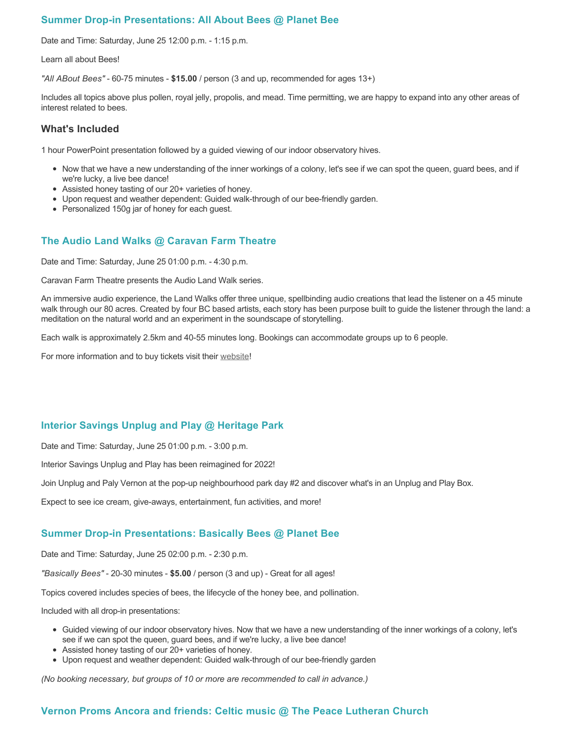## **Summer Drop-in Presentations: All About Bees @ Planet Bee**

Date and Time: Saturday, June 25 12:00 p.m. - 1:15 p.m.

Learn all about Bees!

*"All ABout Bees"* - 60-75 minutes - **\$15.00** / person (3 and up, recommended for ages 13+)

Includes all topics above plus pollen, royal jelly, propolis, and mead. Time permitting, we are happy to expand into any other areas of interest related to bees.

## **What's Included**

1 hour PowerPoint presentation followed by a guided viewing of our indoor observatory hives.

- Now that we have a new understanding of the inner workings of a colony, let's see if we can spot the queen, guard bees, and if we're lucky, a live bee dance!
- Assisted honey tasting of our 20+ varieties of honey.
- Upon request and weather dependent: Guided walk-through of our bee-friendly garden.
- Personalized 150g jar of honey for each guest.

## **The Audio Land Walks @ Caravan Farm Theatre**

Date and Time: Saturday, June 25 01:00 p.m. - 4:30 p.m.

Caravan Farm Theatre presents the Audio Land Walk series.

An immersive audio experience, the Land Walks offer three unique, spellbinding audio creations that lead the listener on a 45 minute walk through our 80 acres. Created by four BC based artists, each story has been purpose built to guide the listener through the land: a meditation on the natural world and an experiment in the soundscape of storytelling.

Each walk is approximately 2.5km and 40-55 minutes long. Bookings can accommodate groups up to 6 people.

For more information and to buy tickets visit their [website!](https://caravanfarmtheatre.com/show/the-land-walks/)

## **Interior Savings Unplug and Play @ Heritage Park**

Date and Time: Saturday, June 25 01:00 p.m. - 3:00 p.m.

Interior Savings Unplug and Play has been reimagined for 2022!

Join Unplug and Paly Vernon at the pop-up neighbourhood park day #2 and discover what's in an Unplug and Play Box.

Expect to see ice cream, give-aways, entertainment, fun activities, and more!

## **Summer Drop-in Presentations: Basically Bees @ Planet Bee**

Date and Time: Saturday, June 25 02:00 p.m. - 2:30 p.m.

*"Basically Bees"* - 20-30 minutes - **\$5.00** / person (3 and up) - Great for all ages!

Topics covered includes species of bees, the lifecycle of the honey bee, and pollination.

Included with all drop-in presentations:

- Guided viewing of our indoor observatory hives. Now that we have a new understanding of the inner workings of a colony, let's see if we can spot the queen, guard bees, and if we're lucky, a live bee dance!
- Assisted honey tasting of our 20+ varieties of honey.
- Upon request and weather dependent: Guided walk-through of our bee-friendly garden

*(No booking necessary, but groups of 10 or more are recommended to call in advance.)*

## **Vernon Proms Ancora and friends: Celtic music @ The Peace Lutheran Church**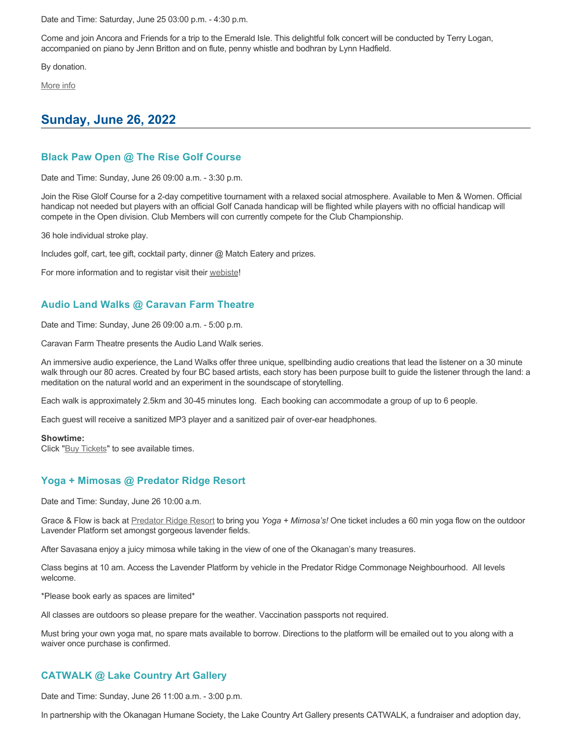Date and Time: Saturday, June 25 03:00 p.m. - 4:30 p.m.

Come and join Ancora and Friends for a trip to the Emerald Isle. This delightful folk concert will be conducted by Terry Logan, accompanied on piano by Jenn Britton and on flute, penny whistle and bodhran by Lynn Hadfield.

By donation.

[More info](https://proms.eventcalendarapp.com/u/36415/evt_external_62845d7084cce5260a3f538b?repeatId=evt_external_62845d7084cce5260a3f538b)

# **Sunday, June 26, 2022**

## **Black Paw Open @ The Rise Golf Course**

Date and Time: Sunday, June 26 09:00 a.m. - 3:30 p.m.

Join the Rise Glolf Course for a 2-day competitive tournament with a relaxed social atmosphere. Available to Men & Women. Official handicap not needed but players with an official Golf Canada handicap will be flighted while players with no official handicap will compete in the Open division. Club Members will con currently compete for the Club Championship.

36 hole individual stroke play.

Includes golf, cart, tee gift, cocktail party, dinner @ Match Eatery and prizes.

For more information and to registar visit their [webiste](https://www.therisegolf.ca/black-paw-open/)!

## **Audio Land Walks @ Caravan Farm Theatre**

Date and Time: Sunday, June 26 09:00 a.m. - 5:00 p.m.

Caravan Farm Theatre presents the Audio Land Walk series.

An immersive audio experience, the Land Walks offer three unique, spellbinding audio creations that lead the listener on a 30 minute walk through our 80 acres. Created by four BC based artists, each story has been purpose built to guide the listener through the land: a meditation on the natural world and an experiment in the soundscape of storytelling.

Each walk is approximately 2.5km and 30-45 minutes long. Each booking can accommodate a group of up to 6 people.

Each guest will receive a sanitized MP3 player and a sanitized pair of over-ear headphones.

#### **Showtime:**

Click "[Buy Tickets](https://caravanfarmtheatre.com/show/the-land-walks/?ct=t%28EMAIL_CAMPAIGN_4_19_2022_13_43SEASON+2022%29&mc_cid=c02afad356&mc_eid=4778eb8892)" to see available times.

## **Yoga + Mimosas @ Predator Ridge Resort**

Date and Time: Sunday, June 26 10:00 a.m.

Grace & Flow is back at [Predator Ridge Resort](https://www.predatorridge.com/events) to bring you *Yoga + Mimosa's!* One ticket includes a 60 min yoga flow on the outdoor Lavender Platform set amongst gorgeous lavender fields.

After Savasana enjoy a juicy mimosa while taking in the view of one of the Okanagan's many treasures.

Class begins at 10 am. Access the Lavender Platform by vehicle in the Predator Ridge Commonage Neighbourhood. All levels welcome.

\*Please book early as spaces are limited\*

All classes are outdoors so please prepare for the weather. Vaccination passports not required.

Must bring your own yoga mat, no spare mats available to borrow. Directions to the platform will be emailed out to you along with a waiver once purchase is confirmed.

# **CATWALK @ Lake Country Art Gallery**

Date and Time: Sunday, June 26 11:00 a.m. - 3:00 p.m.

In partnership with the Okanagan Humane Society, the Lake Country Art Gallery presents CATWALK, a fundraiser and adoption day,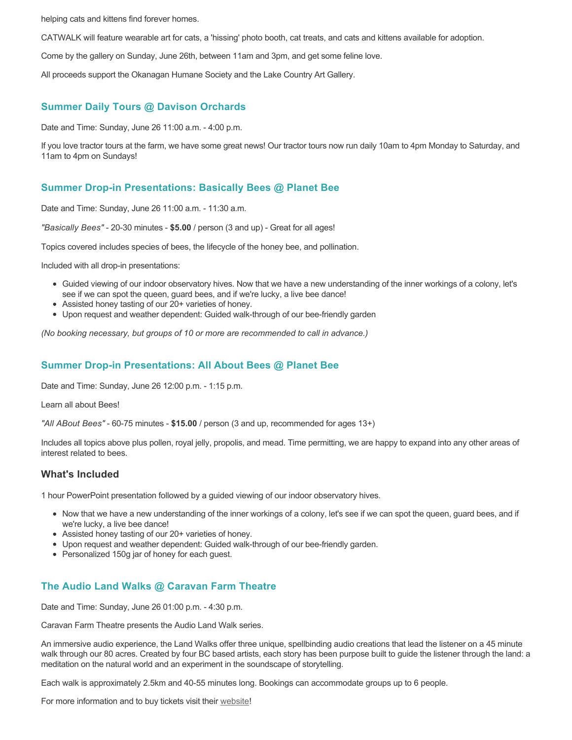helping cats and kittens find forever homes.

CATWALK will feature wearable art for cats, a 'hissing' photo booth, cat treats, and cats and kittens available for adoption.

Come by the gallery on Sunday, June 26th, between 11am and 3pm, and get some feline love.

All proceeds support the Okanagan Humane Society and the Lake Country Art Gallery.

## **Summer Daily Tours @ Davison Orchards**

Date and Time: Sunday, June 26 11:00 a.m. - 4:00 p.m.

If you love tractor tours at the farm, we have some great news! Our tractor tours now run daily 10am to 4pm Monday to Saturday, and 11am to 4pm on Sundays!

## **Summer Drop-in Presentations: Basically Bees @ Planet Bee**

Date and Time: Sunday, June 26 11:00 a.m. - 11:30 a.m.

*"Basically Bees"* - 20-30 minutes - **\$5.00** / person (3 and up) - Great for all ages!

Topics covered includes species of bees, the lifecycle of the honey bee, and pollination.

Included with all drop-in presentations:

- Guided viewing of our indoor observatory hives. Now that we have a new understanding of the inner workings of a colony, let's see if we can spot the queen, guard bees, and if we're lucky, a live bee dance!
- Assisted honey tasting of our 20+ varieties of honey.
- Upon request and weather dependent: Guided walk-through of our bee-friendly garden

*(No booking necessary, but groups of 10 or more are recommended to call in advance.)*

## **Summer Drop-in Presentations: All About Bees @ Planet Bee**

Date and Time: Sunday, June 26 12:00 p.m. - 1:15 p.m.

Learn all about Bees!

*"All ABout Bees"* - 60-75 minutes - **\$15.00** / person (3 and up, recommended for ages 13+)

Includes all topics above plus pollen, royal jelly, propolis, and mead. Time permitting, we are happy to expand into any other areas of interest related to bees.

## **What's Included**

1 hour PowerPoint presentation followed by a guided viewing of our indoor observatory hives.

- Now that we have a new understanding of the inner workings of a colony, let's see if we can spot the queen, guard bees, and if we're lucky, a live bee dance!
- Assisted honey tasting of our 20+ varieties of honey.
- Upon request and weather dependent: Guided walk-through of our bee-friendly garden.
- Personalized 150g jar of honey for each guest.

# **The Audio Land Walks @ Caravan Farm Theatre**

Date and Time: Sunday, June 26 01:00 p.m. - 4:30 p.m.

Caravan Farm Theatre presents the Audio Land Walk series.

An immersive audio experience, the Land Walks offer three unique, spellbinding audio creations that lead the listener on a 45 minute walk through our 80 acres. Created by four BC based artists, each story has been purpose built to guide the listener through the land: a meditation on the natural world and an experiment in the soundscape of storytelling.

Each walk is approximately 2.5km and 40-55 minutes long. Bookings can accommodate groups up to 6 people.

For more information and to buy tickets visit their [website!](https://caravanfarmtheatre.com/show/the-land-walks/)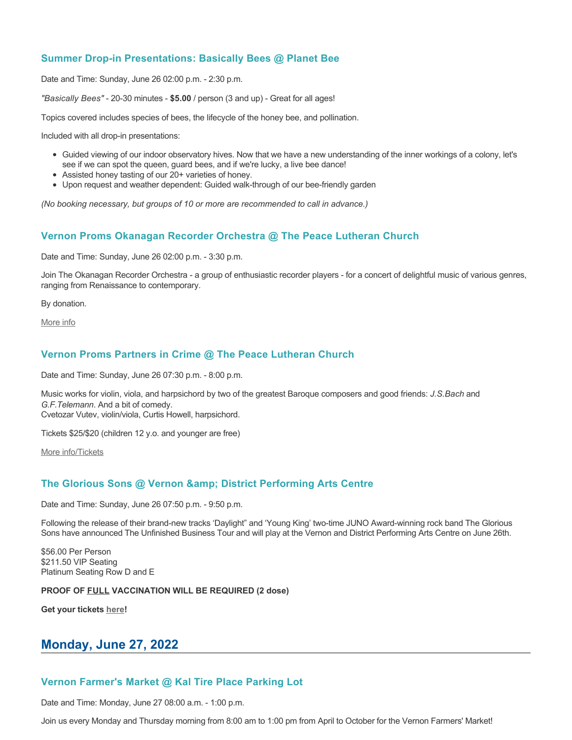## **Summer Drop-in Presentations: Basically Bees @ Planet Bee**

Date and Time: Sunday, June 26 02:00 p.m. - 2:30 p.m.

*"Basically Bees"* - 20-30 minutes - **\$5.00** / person (3 and up) - Great for all ages!

Topics covered includes species of bees, the lifecycle of the honey bee, and pollination.

Included with all drop-in presentations:

- Guided viewing of our indoor observatory hives. Now that we have a new understanding of the inner workings of a colony, let's see if we can spot the queen, guard bees, and if we're lucky, a live bee dance!
- Assisted honey tasting of our 20+ varieties of honey.
- Upon request and weather dependent: Guided walk-through of our bee-friendly garden

*(No booking necessary, but groups of 10 or more are recommended to call in advance.)*

## **Vernon Proms Okanagan Recorder Orchestra @ The Peace Lutheran Church**

Date and Time: Sunday, June 26 02:00 p.m. - 3:30 p.m.

Join The Okanagan Recorder Orchestra - a group of enthusiastic recorder players - for a concert of delightful music of various genres, ranging from Renaissance to contemporary.

By donation.

[More info](https://proms.eventcalendarapp.com/u/36415/evt_external_62845d7184cce5260a3f539d?repeatId=evt_external_62845d7184cce5260a3f539d)

## **Vernon Proms Partners in Crime @ The Peace Lutheran Church**

Date and Time: Sunday, June 26 07:30 p.m. - 8:00 p.m.

Music works for violin, viola, and harpsichord by two of the greatest Baroque composers and good friends: *J.S.Bach* and *G.F.Telemann*. And a bit of comedy. Cvetozar Vutev, violin/viola, Curtis Howell, harpsichord.

Tickets \$25/\$20 (children 12 y.o. and younger are free)

[More info/Tickets](https://proms.eventcalendarapp.com/u/36415/evt_external_62845d7084cce5260a3f5389?repeatId=evt_external_62845d7084cce5260a3f5389)

## **The Glorious Sons @ Vernon & District Performing Arts Centre**

Date and Time: Sunday, June 26 07:50 p.m. - 9:50 p.m.

Following the release of their brand-new tracks 'Daylight" and 'Young King' two-time JUNO Award-winning rock band The Glorious Sons have announced The Unfinished Business Tour and will play at the Vernon and District Performing Arts Centre on June 26th.

\$56.00 Per Person \$211.50 VIP Seating Platinum Seating Row D and E

### **PROOF OF FULL VACCINATION WILL BE REQUIRED (2 dose)**

**Get your tickets [here](https://tickets.ticketseller.ca/TheatreManager/1/login&event=3139)!**

# **Monday, June 27, 2022**

## **Vernon Farmer's Market @ Kal Tire Place Parking Lot**

Date and Time: Monday, June 27 08:00 a.m. - 1:00 p.m.

Join us every Monday and Thursday morning from 8:00 am to 1:00 pm from April to October for the Vernon Farmers' Market!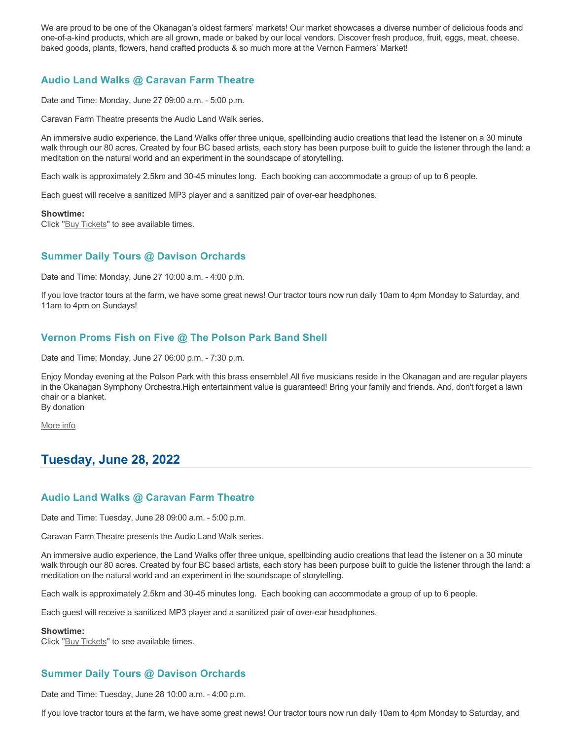We are proud to be one of the Okanagan's oldest farmers' markets! Our market showcases a diverse number of delicious foods and one-of-a-kind products, which are all grown, made or baked by our local vendors. Discover fresh produce, fruit, eggs, meat, cheese, baked goods, plants, flowers, hand crafted products & so much more at the Vernon Farmers' Market!

# **Audio Land Walks @ Caravan Farm Theatre**

Date and Time: Monday, June 27 09:00 a.m. - 5:00 p.m.

Caravan Farm Theatre presents the Audio Land Walk series.

An immersive audio experience, the Land Walks offer three unique, spellbinding audio creations that lead the listener on a 30 minute walk through our 80 acres. Created by four BC based artists, each story has been purpose built to guide the listener through the land: a meditation on the natural world and an experiment in the soundscape of storytelling.

Each walk is approximately 2.5km and 30-45 minutes long. Each booking can accommodate a group of up to 6 people.

Each guest will receive a sanitized MP3 player and a sanitized pair of over-ear headphones.

#### **Showtime:**

Click "[Buy Tickets](https://caravanfarmtheatre.com/show/the-land-walks/?ct=t%28EMAIL_CAMPAIGN_4_19_2022_13_43SEASON+2022%29&mc_cid=c02afad356&mc_eid=4778eb8892)" to see available times.

## **Summer Daily Tours @ Davison Orchards**

Date and Time: Monday, June 27 10:00 a.m. - 4:00 p.m.

If you love tractor tours at the farm, we have some great news! Our tractor tours now run daily 10am to 4pm Monday to Saturday, and 11am to 4pm on Sundays!

## **Vernon Proms Fish on Five @ The Polson Park Band Shell**

Date and Time: Monday, June 27 06:00 p.m. - 7:30 p.m.

Enjoy Monday evening at the Polson Park with this brass ensemble! All five musicians reside in the Okanagan and are regular players in the Okanagan Symphony Orchestra.High entertainment value is guaranteed! Bring your family and friends. And, don't forget a lawn chair or a blanket. By donation

[More info](https://proms.eventcalendarapp.com/u/36415/evt_external_62845d7084cce5260a3f5388?repeatId=evt_external_62845d7084cce5260a3f5388)

# **Tuesday, June 28, 2022**

## **Audio Land Walks @ Caravan Farm Theatre**

Date and Time: Tuesday, June 28 09:00 a.m. - 5:00 p.m.

Caravan Farm Theatre presents the Audio Land Walk series.

An immersive audio experience, the Land Walks offer three unique, spellbinding audio creations that lead the listener on a 30 minute walk through our 80 acres. Created by four BC based artists, each story has been purpose built to guide the listener through the land: a meditation on the natural world and an experiment in the soundscape of storytelling.

Each walk is approximately 2.5km and 30-45 minutes long. Each booking can accommodate a group of up to 6 people.

Each guest will receive a sanitized MP3 player and a sanitized pair of over-ear headphones.

#### **Showtime:**

Click "[Buy Tickets](https://caravanfarmtheatre.com/show/the-land-walks/?ct=t%28EMAIL_CAMPAIGN_4_19_2022_13_43SEASON+2022%29&mc_cid=c02afad356&mc_eid=4778eb8892)" to see available times.

# **Summer Daily Tours @ Davison Orchards**

Date and Time: Tuesday, June 28 10:00 a.m. - 4:00 p.m.

If you love tractor tours at the farm, we have some great news! Our tractor tours now run daily 10am to 4pm Monday to Saturday, and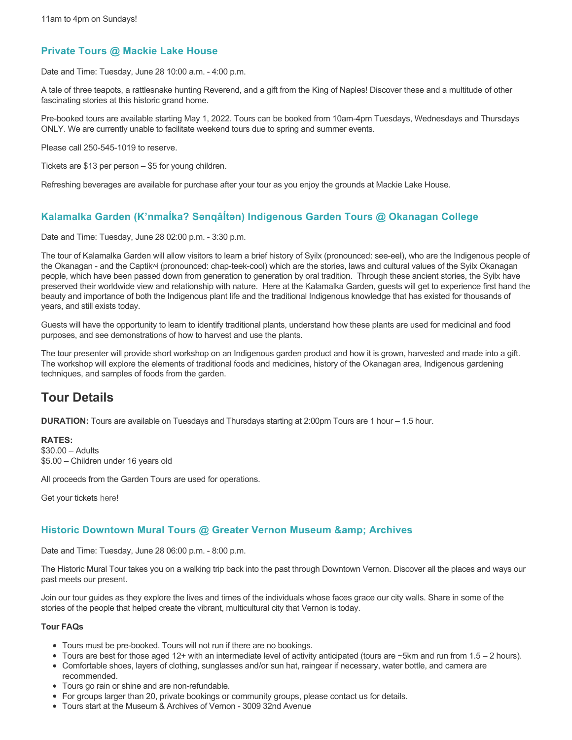## **Private Tours @ Mackie Lake House**

Date and Time: Tuesday, June 28 10:00 a.m. - 4:00 p.m.

A tale of three teapots, a rattlesnake hunting Reverend, and a gift from the King of Naples! Discover these and a multitude of other fascinating stories at this historic grand home.

Pre-booked tours are available starting May 1, 2022. Tours can be booked from 10am-4pm Tuesdays, Wednesdays and Thursdays ONLY. We are currently unable to facilitate weekend tours due to spring and summer events.

Please call 250-545-1019 to reserve.

Tickets are \$13 per person – \$5 for young children.

Refreshing beverages are available for purchase after your tour as you enjoy the grounds at Mackie Lake House.

## **Kalamalka Garden (K'nmaĺka? Sәnqâĺtәn) Indigenous Garden Tours @ Okanagan College**

Date and Time: Tuesday, June 28 02:00 p.m. - 3:30 p.m.

The tour of Kalamalka Garden will allow visitors to learn a brief history of Syilx (pronounced: see-eel), who are the Indigenous people of the Okanagan - and the Captikʷł (pronounced: chap-teek-cool) which are the stories, laws and cultural values of the Syilx Okanagan people, which have been passed down from generation to generation by oral tradition. Through these ancient stories, the Syilx have preserved their worldwide view and relationship with nature. Here at the Kalamalka Garden, guests will get to experience first hand the beauty and importance of both the Indigenous plant life and the traditional Indigenous knowledge that has existed for thousands of years, and still exists today.

Guests will have the opportunity to learn to identify traditional plants, understand how these plants are used for medicinal and food purposes, and see demonstrations of how to harvest and use the plants.

The tour presenter will provide short workshop on an Indigenous garden product and how it is grown, harvested and made into a gift. The workshop will explore the elements of traditional foods and medicines, history of the Okanagan area, Indigenous gardening techniques, and samples of foods from the garden.

# **Tour Details**

**DURATION:** Tours are available on Tuesdays and Thursdays starting at 2:00pm Tours are 1 hour – 1.5 hour.

### **RATES:**

\$30.00 – Adults \$5.00 – Children under 16 years old

All proceeds from the Garden Tours are used for operations.

Get your tickets [here!](https://www.eventbrite.ca/e/kalamalka-garden-tour-tickets-158617843239)

## **Historic Downtown Mural Tours @ Greater Vernon Museum & Archives**

Date and Time: Tuesday, June 28 06:00 p.m. - 8:00 p.m.

The Historic Mural Tour takes you on a walking trip back into the past through Downtown Vernon. Discover all the places and ways our past meets our present.

Join our tour guides as they explore the lives and times of the individuals whose faces grace our city walls. Share in some of the stories of the people that helped create the vibrant, multicultural city that Vernon is today.

### **Tour FAQs**

- Tours must be pre-booked. Tours will not run if there are no bookings.
- Tours are best for those aged 12+ with an intermediate level of activity anticipated (tours are  $\sim$ 5km and run from 1.5 2 hours).
- Comfortable shoes, layers of clothing, sunglasses and/or sun hat, raingear if necessary, water bottle, and camera are recommended.
- Tours go rain or shine and are non-refundable.
- For groups larger than 20, private bookings or community groups, please contact us for details.
- Tours start at the Museum & Archives of Vernon 3009 32nd Avenue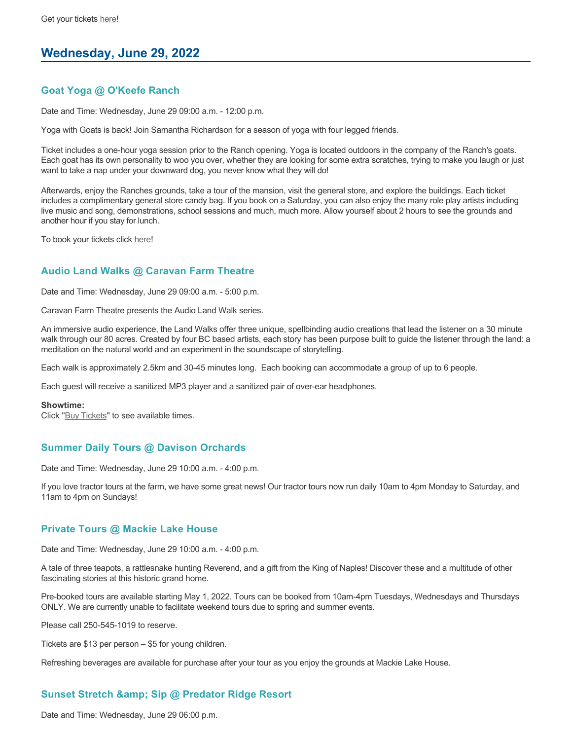# **Wednesday, June 29, 2022**

## **Goat Yoga @ O'Keefe Ranch**

Date and Time: Wednesday, June 29 09:00 a.m. - 12:00 p.m.

Yoga with Goats is back! Join Samantha Richardson for a season of yoga with four legged friends.

Ticket includes a one-hour yoga session prior to the Ranch opening. Yoga is located outdoors in the company of the Ranch's goats. Each goat has its own personality to woo you over, whether they are looking for some extra scratches, trying to make you laugh or just want to take a nap under your downward dog, you never know what they will do!

Afterwards, enjoy the Ranches grounds, take a tour of the mansion, visit the general store, and explore the buildings. Each ticket includes a complimentary general store candy bag. If you book on a Saturday, you can also enjoy the many role play artists including live music and song, demonstrations, school sessions and much, much more. Allow yourself about 2 hours to see the grounds and another hour if you stay for lunch.

To book your tickets click [here!](https://tickets.ticketseller.ca/TheatreManager/1/login&event=3417)

## **Audio Land Walks @ Caravan Farm Theatre**

Date and Time: Wednesday, June 29 09:00 a.m. - 5:00 p.m.

Caravan Farm Theatre presents the Audio Land Walk series.

An immersive audio experience, the Land Walks offer three unique, spellbinding audio creations that lead the listener on a 30 minute walk through our 80 acres. Created by four BC based artists, each story has been purpose built to guide the listener through the land: a meditation on the natural world and an experiment in the soundscape of storytelling.

Each walk is approximately 2.5km and 30-45 minutes long. Each booking can accommodate a group of up to 6 people.

Each guest will receive a sanitized MP3 player and a sanitized pair of over-ear headphones.

#### **Showtime:**

Click "[Buy Tickets](https://caravanfarmtheatre.com/show/the-land-walks/?ct=t%28EMAIL_CAMPAIGN_4_19_2022_13_43SEASON+2022%29&mc_cid=c02afad356&mc_eid=4778eb8892)" to see available times.

## **Summer Daily Tours @ Davison Orchards**

Date and Time: Wednesday, June 29 10:00 a.m. - 4:00 p.m.

If you love tractor tours at the farm, we have some great news! Our tractor tours now run daily 10am to 4pm Monday to Saturday, and 11am to 4pm on Sundays!

### **Private Tours @ Mackie Lake House**

Date and Time: Wednesday, June 29 10:00 a.m. - 4:00 p.m.

A tale of three teapots, a rattlesnake hunting Reverend, and a gift from the King of Naples! Discover these and a multitude of other fascinating stories at this historic grand home.

Pre-booked tours are available starting May 1, 2022. Tours can be booked from 10am-4pm Tuesdays, Wednesdays and Thursdays ONLY. We are currently unable to facilitate weekend tours due to spring and summer events.

Please call 250-545-1019 to reserve.

Tickets are \$13 per person – \$5 for young children.

Refreshing beverages are available for purchase after your tour as you enjoy the grounds at Mackie Lake House.

# **Sunset Stretch & Sip @ Predator Ridge Resort**

Date and Time: Wednesday, June 29 06:00 p.m.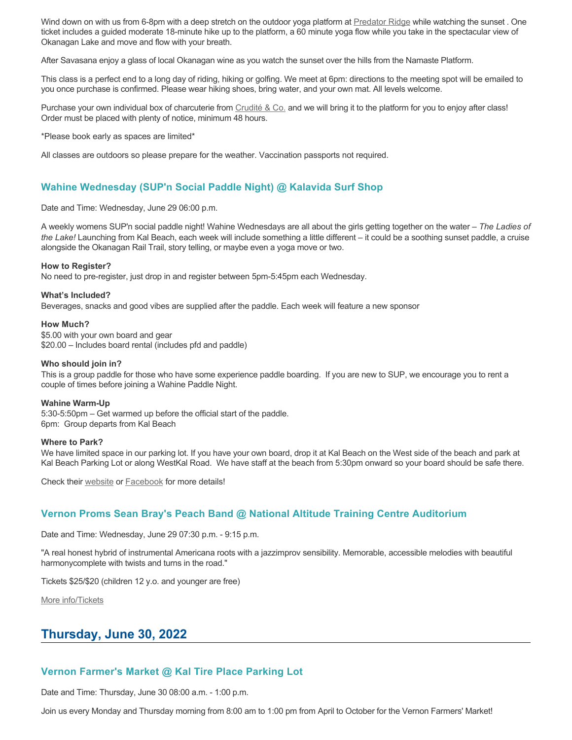Wind down on with us from 6-8pm with a deep stretch on the outdoor yoga platform at [Predator Ridge](https://www.predatorridge.com/events) while watching the sunset . One ticket includes a guided moderate 18-minute hike up to the platform, a 60 minute yoga flow while you take in the spectacular view of Okanagan Lake and move and flow with your breath.

After Savasana enjoy a glass of local Okanagan wine as you watch the sunset over the hills from the Namaste Platform.

This class is a perfect end to a long day of riding, hiking or golfing. We meet at 6pm: directions to the meeting spot will be emailed to you once purchase is confirmed. Please wear hiking shoes, bring water, and your own mat. All levels welcome.

Purchase your own individual box of charcuterie from [Crudité & Co.](https://cruditeandco.com/product/picnic-platter/) and we will bring it to the platform for you to enjoy after class! Order must be placed with plenty of notice, minimum 48 hours.

\*Please book early as spaces are limited\*

All classes are outdoors so please prepare for the weather. Vaccination passports not required.

## **Wahine Wednesday (SUP'n Social Paddle Night) @ Kalavida Surf Shop**

Date and Time: Wednesday, June 29 06:00 p.m.

A weekly womens SUP'n social paddle night! Wahine Wednesdays are all about the girls getting together on the water – *The Ladies of the Lake!* Launching from Kal Beach, each week will include something a little different – it could be a soothing sunset paddle, a cruise alongside the Okanagan Rail Trail, story telling, or maybe even a yoga move or two.

#### **How to Register?**

No need to pre-register, just drop in and register between 5pm-5:45pm each Wednesday.

#### **What's Included?**

Beverages, snacks and good vibes are supplied after the paddle. Each week will feature a new sponsor

#### **How Much?**

\$5.00 with your own board and gear \$20.00 – Includes board rental (includes pfd and paddle)

#### **Who should join in?**

This is a group paddle for those who have some experience paddle boarding. If you are new to SUP, we encourage you to rent a couple of times before joining a Wahine Paddle Night.

#### **Wahine Warm-Up**

5:30-5:50pm – Get warmed up before the official start of the paddle. 6pm: Group departs from Kal Beach

### **Where to Park?**

We have limited space in our parking lot. If you have your own board, drop it at Kal Beach on the West side of the beach and park at Kal Beach Parking Lot or along WestKal Road. We have staff at the beach from 5:30pm onward so your board should be safe there.

Check their [website](https://kalavidasurfshop.com/wahine-wednesday-kalavida/) or [Facebook](https://www.facebook.com/kalavidasurfshop/) for more details!

## **Vernon Proms Sean Bray's Peach Band @ National Altitude Training Centre Auditorium**

Date and Time: Wednesday, June 29 07:30 p.m. - 9:15 p.m.

"A real honest hybrid of instrumental Americana roots with a jazzimprov sensibility. Memorable, accessible melodies with beautiful harmonycomplete with twists and turns in the road."

Tickets \$25/\$20 (children 12 y.o. and younger are free)

[More info/Tickets](https://proms.eventcalendarapp.com/u/36415/evt_external_62845d7084cce5260a3f5394?repeatId=evt_external_62845d7084cce5260a3f5394)

# **Thursday, June 30, 2022**

## **Vernon Farmer's Market @ Kal Tire Place Parking Lot**

Date and Time: Thursday, June 30 08:00 a.m. - 1:00 p.m.

Join us every Monday and Thursday morning from 8:00 am to 1:00 pm from April to October for the Vernon Farmers' Market!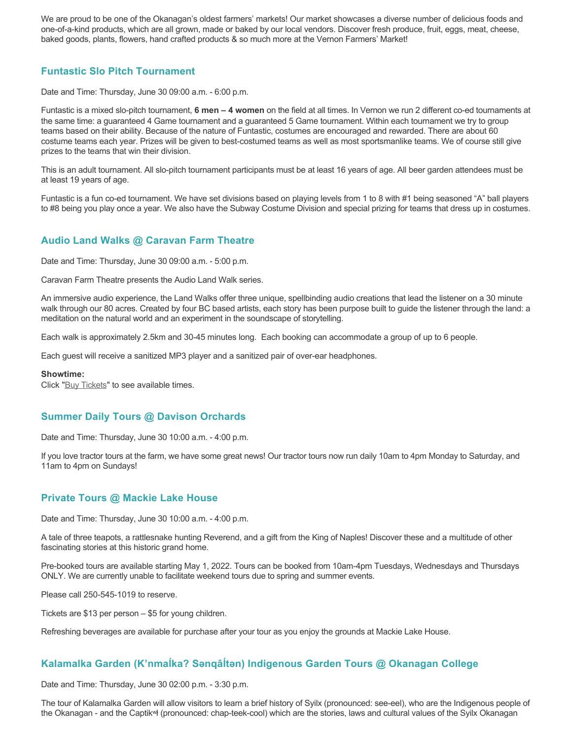We are proud to be one of the Okanagan's oldest farmers' markets! Our market showcases a diverse number of delicious foods and one-of-a-kind products, which are all grown, made or baked by our local vendors. Discover fresh produce, fruit, eggs, meat, cheese, baked goods, plants, flowers, hand crafted products & so much more at the Vernon Farmers' Market!

## **Funtastic Slo Pitch Tournament**

Date and Time: Thursday, June 30 09:00 a.m. - 6:00 p.m.

Funtastic is a mixed slo-pitch tournament, **6 men – 4 women** on the field at all times. In Vernon we run 2 different co-ed tournaments at the same time: a guaranteed 4 Game tournament and a guaranteed 5 Game tournament. Within each tournament we try to group teams based on their ability. Because of the nature of Funtastic, costumes are encouraged and rewarded. There are about 60 costume teams each year. Prizes will be given to best-costumed teams as well as most sportsmanlike teams. We of course still give prizes to the teams that win their division.

This is an adult tournament. All slo-pitch tournament participants must be at least 16 years of age. All beer garden attendees must be at least 19 years of age.

Funtastic is a fun co-ed tournament. We have set divisions based on playing levels from 1 to 8 with #1 being seasoned "A" ball players to #8 being you play once a year. We also have the Subway Costume Division and special prizing for teams that dress up in costumes.

## **Audio Land Walks @ Caravan Farm Theatre**

Date and Time: Thursday, June 30 09:00 a.m. - 5:00 p.m.

Caravan Farm Theatre presents the Audio Land Walk series.

An immersive audio experience, the Land Walks offer three unique, spellbinding audio creations that lead the listener on a 30 minute walk through our 80 acres. Created by four BC based artists, each story has been purpose built to guide the listener through the land: a meditation on the natural world and an experiment in the soundscape of storytelling.

Each walk is approximately 2.5km and 30-45 minutes long. Each booking can accommodate a group of up to 6 people.

Each guest will receive a sanitized MP3 player and a sanitized pair of over-ear headphones.

#### **Showtime:**

Click "[Buy Tickets](https://caravanfarmtheatre.com/show/the-land-walks/?ct=t%28EMAIL_CAMPAIGN_4_19_2022_13_43SEASON+2022%29&mc_cid=c02afad356&mc_eid=4778eb8892)" to see available times.

## **Summer Daily Tours @ Davison Orchards**

Date and Time: Thursday, June 30 10:00 a.m. - 4:00 p.m.

If you love tractor tours at the farm, we have some great news! Our tractor tours now run daily 10am to 4pm Monday to Saturday, and 11am to 4pm on Sundays!

### **Private Tours @ Mackie Lake House**

Date and Time: Thursday, June 30 10:00 a.m. - 4:00 p.m.

A tale of three teapots, a rattlesnake hunting Reverend, and a gift from the King of Naples! Discover these and a multitude of other fascinating stories at this historic grand home.

Pre-booked tours are available starting May 1, 2022. Tours can be booked from 10am-4pm Tuesdays, Wednesdays and Thursdays ONLY. We are currently unable to facilitate weekend tours due to spring and summer events.

Please call 250-545-1019 to reserve.

Tickets are \$13 per person – \$5 for young children.

Refreshing beverages are available for purchase after your tour as you enjoy the grounds at Mackie Lake House.

# **Kalamalka Garden (K'nmaĺka? Sәnqâĺtәn) Indigenous Garden Tours @ Okanagan College**

Date and Time: Thursday, June 30 02:00 p.m. - 3:30 p.m.

The tour of Kalamalka Garden will allow visitors to learn a brief history of Syilx (pronounced: see-eel), who are the Indigenous people of the Okanagan - and the Captikʷł (pronounced: chap-teek-cool) which are the stories, laws and cultural values of the Syilx Okanagan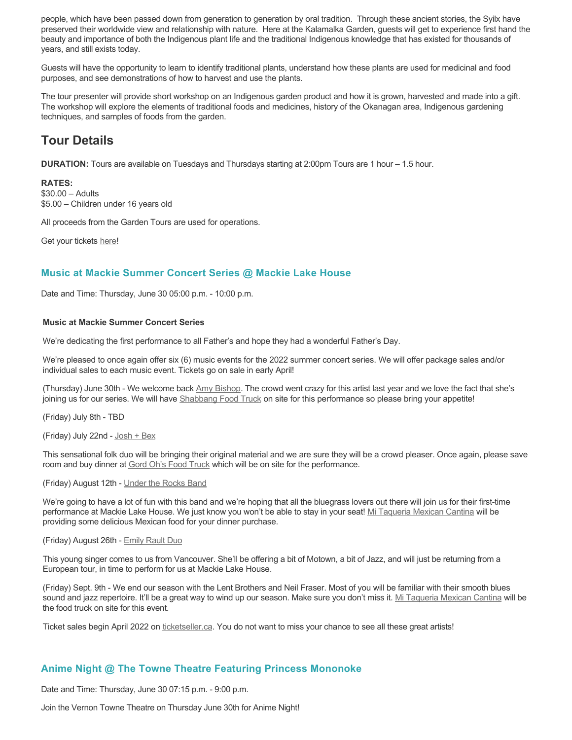people, which have been passed down from generation to generation by oral tradition. Through these ancient stories, the Syilx have preserved their worldwide view and relationship with nature. Here at the Kalamalka Garden, guests will get to experience first hand the beauty and importance of both the Indigenous plant life and the traditional Indigenous knowledge that has existed for thousands of years, and still exists today.

Guests will have the opportunity to learn to identify traditional plants, understand how these plants are used for medicinal and food purposes, and see demonstrations of how to harvest and use the plants.

The tour presenter will provide short workshop on an Indigenous garden product and how it is grown, harvested and made into a gift. The workshop will explore the elements of traditional foods and medicines, history of the Okanagan area, Indigenous gardening techniques, and samples of foods from the garden.

# **Tour Details**

**DURATION:** Tours are available on Tuesdays and Thursdays starting at 2:00pm Tours are 1 hour – 1.5 hour.

### **RATES:**

\$30.00 – Adults \$5.00 – Children under 16 years old

All proceeds from the Garden Tours are used for operations.

Get your tickets [here!](https://www.eventbrite.ca/e/kalamalka-garden-tour-tickets-158617843239)

# **Music at Mackie Summer Concert Series @ Mackie Lake House**

Date and Time: Thursday, June 30 05:00 p.m. - 10:00 p.m.

### **Music at Mackie Summer Concert Series**

We're dedicating the first performance to all Father's and hope they had a wonderful Father's Day.

We're pleased to once again offer six (6) music events for the 2022 summer concert series. We will offer package sales and/or individual sales to each music event. Tickets go on sale in early April!

(Thursday) June 30th - We welcome back [Amy Bishop.](https://protect-ca.mimecast.com/s/97KDCk8v46IYY8Pc4eTtT?domain=mackiehouse.us3.list-manage.com) The crowd went crazy for this artist last year and we love the fact that she's joining us for our series. We will have [Shabbang Food Truck](https://protect-ca.mimecast.com/s/hGWiClxw48FOO0jTKiFD6?domain=mackiehouse.us3.list-manage.com) on site for this performance so please bring your appetite!

(Friday) July 8th - TBD

(Friday) July 22nd - [Josh + Bex](https://protect-ca.mimecast.com/s/LfcBCmOx47s11B9u0QwFr?domain=mackiehouse.us3.list-manage.com)

This sensational folk duo will be bringing their original material and we are sure they will be a crowd pleaser. Once again, please save room and buy dinner at **Gord Oh's Food Truck** which will be on site for the performance.

### (Friday) August 12th - [Under the Rocks Band](https://protect-ca.mimecast.com/s/wmzjCoVz4AhlljQujeM8P?domain=mackiehouse.us3.list-manage.com)

We're going to have a lot of fun with this band and we're hoping that all the bluegrass lovers out there will join us for their first-time performance at Mackie Lake House. We just know you won't be able to stay in your seat! [Mi Taqueria Mexican Cantina](https://protect-ca.mimecast.com/s/IidvCp8A59IQQ17s1mbiS?domain=mackiehouse.us3.list-manage.com) will be providing some delicious Mexican food for your dinner purchase.

#### (Friday) August 26th - [Emily Rault Duo](https://protect-ca.mimecast.com/s/1ZJZCq7B4AsLLKVczxAAc?domain=mackiehouse.us3.list-manage.com)

This young singer comes to us from Vancouver. She'll be offering a bit of Motown, a bit of Jazz, and will just be returning from a European tour, in time to perform for us at Mackie Lake House.

(Friday) Sept. 9th - We end our season with the Lent Brothers and Neil Fraser. Most of you will be familiar with their smooth blues sound and jazz repertoire. It'll be a great way to wind up our season. Make sure you don't miss it. [Mi Taqueria Mexican Cantina](https://protect-ca.mimecast.com/s/mUjmCr8D4gIwwPWTPinKw?domain=mackiehouse.us3.list-manage.com) will be the food truck on site for this event.

Ticket sales begin April 2022 on [ticketseller.ca.](https://ticketseller.ca/) You do not want to miss your chance to see all these great artists!

## **Anime Night @ The Towne Theatre Featuring Princess Mononoke**

Date and Time: Thursday, June 30 07:15 p.m. - 9:00 p.m.

Join the Vernon Towne Theatre on Thursday June 30th for Anime Night!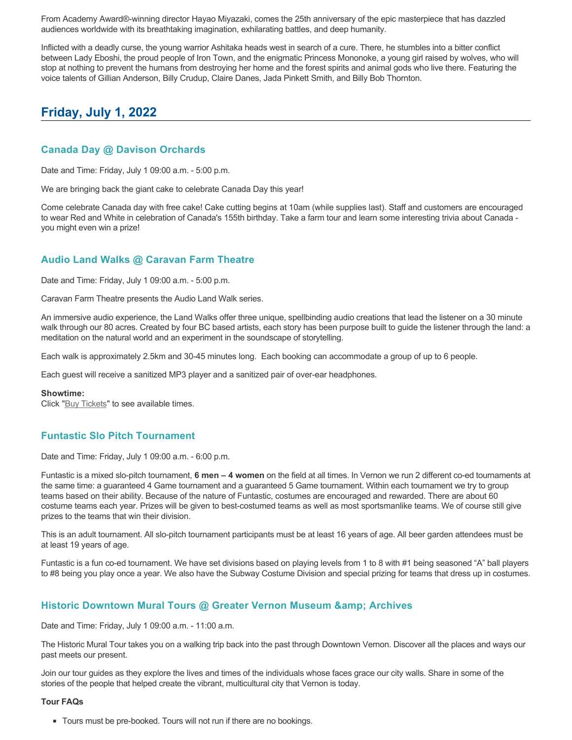From Academy Award®-winning director Hayao Miyazaki, comes the 25th anniversary of the epic masterpiece that has dazzled audiences worldwide with its breathtaking imagination, exhilarating battles, and deep humanity.

Inflicted with a deadly curse, the young warrior Ashitaka heads west in search of a cure. There, he stumbles into a bitter conflict between Lady Eboshi, the proud people of Iron Town, and the enigmatic Princess Mononoke, a young girl raised by wolves, who will stop at nothing to prevent the humans from destroying her home and the forest spirits and animal gods who live there. Featuring the voice talents of Gillian Anderson, Billy Crudup, Claire Danes, Jada Pinkett Smith, and Billy Bob Thornton.

# **Friday, July 1, 2022**

## **Canada Day @ Davison Orchards**

Date and Time: Friday, July 1 09:00 a.m. - 5:00 p.m.

We are bringing back the giant cake to celebrate Canada Day this year!

Come celebrate Canada day with free cake! Cake cutting begins at 10am (while supplies last). Staff and customers are encouraged to wear Red and White in celebration of Canada's 155th birthday. Take a farm tour and learn some interesting trivia about Canada you might even win a prize!

# **Audio Land Walks @ Caravan Farm Theatre**

Date and Time: Friday, July 1 09:00 a.m. - 5:00 p.m.

Caravan Farm Theatre presents the Audio Land Walk series.

An immersive audio experience, the Land Walks offer three unique, spellbinding audio creations that lead the listener on a 30 minute walk through our 80 acres. Created by four BC based artists, each story has been purpose built to guide the listener through the land: a meditation on the natural world and an experiment in the soundscape of storytelling.

Each walk is approximately 2.5km and 30-45 minutes long. Each booking can accommodate a group of up to 6 people.

Each guest will receive a sanitized MP3 player and a sanitized pair of over-ear headphones.

### **Showtime:**

Click "[Buy Tickets](https://caravanfarmtheatre.com/show/the-land-walks/?ct=t%28EMAIL_CAMPAIGN_4_19_2022_13_43SEASON+2022%29&mc_cid=c02afad356&mc_eid=4778eb8892)" to see available times.

## **Funtastic Slo Pitch Tournament**

Date and Time: Friday, July 1 09:00 a.m. - 6:00 p.m.

Funtastic is a mixed slo-pitch tournament, **6 men – 4 women** on the field at all times. In Vernon we run 2 different co-ed tournaments at the same time: a guaranteed 4 Game tournament and a guaranteed 5 Game tournament. Within each tournament we try to group teams based on their ability. Because of the nature of Funtastic, costumes are encouraged and rewarded. There are about 60 costume teams each year. Prizes will be given to best-costumed teams as well as most sportsmanlike teams. We of course still give prizes to the teams that win their division.

This is an adult tournament. All slo-pitch tournament participants must be at least 16 years of age. All beer garden attendees must be at least 19 years of age.

Funtastic is a fun co-ed tournament. We have set divisions based on playing levels from 1 to 8 with #1 being seasoned "A" ball players to #8 being you play once a year. We also have the Subway Costume Division and special prizing for teams that dress up in costumes.

## **Historic Downtown Mural Tours @ Greater Vernon Museum & Archives**

Date and Time: Friday, July 1 09:00 a.m. - 11:00 a.m.

The Historic Mural Tour takes you on a walking trip back into the past through Downtown Vernon. Discover all the places and ways our past meets our present.

Join our tour guides as they explore the lives and times of the individuals whose faces grace our city walls. Share in some of the stories of the people that helped create the vibrant, multicultural city that Vernon is today.

### **Tour FAQs**

Tours must be pre-booked. Tours will not run if there are no bookings.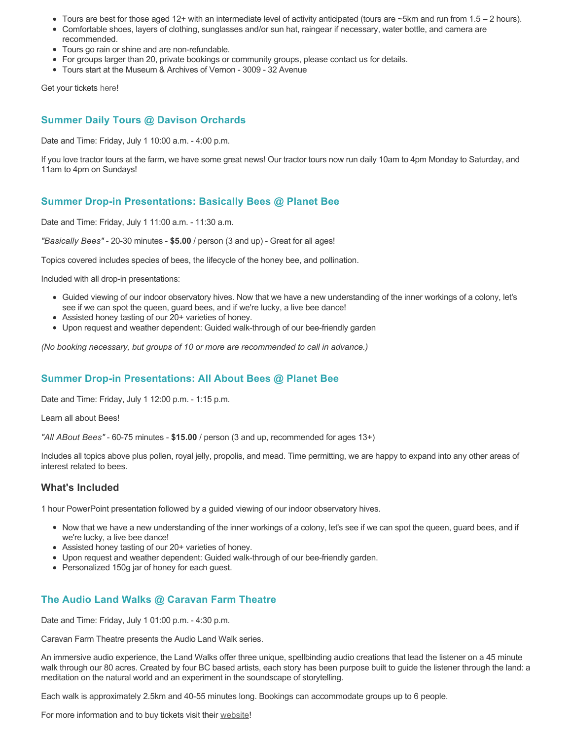- Tours are best for those aged 12+ with an intermediate level of activity anticipated (tours are ~5km and run from 1.5 2 hours).
- Comfortable shoes, layers of clothing, sunglasses and/or sun hat, raingear if necessary, water bottle, and camera are recommended.
- Tours go rain or shine and are non-refundable.
- For groups larger than 20, private bookings or community groups, please contact us for details.
- Tours start at the Museum & Archives of Vernon 3009 32 Avenue

Get your tickets [here!](https://www.eventbrite.com/e/historic-downtown-mural-tours-tickets-304983342387)

## **Summer Daily Tours @ Davison Orchards**

Date and Time: Friday, July 1 10:00 a.m. - 4:00 p.m.

If you love tractor tours at the farm, we have some great news! Our tractor tours now run daily 10am to 4pm Monday to Saturday, and 11am to 4pm on Sundays!

## **Summer Drop-in Presentations: Basically Bees @ Planet Bee**

Date and Time: Friday, July 1 11:00 a.m. - 11:30 a.m.

*"Basically Bees"* - 20-30 minutes - **\$5.00** / person (3 and up) - Great for all ages!

Topics covered includes species of bees, the lifecycle of the honey bee, and pollination.

Included with all drop-in presentations:

- Guided viewing of our indoor observatory hives. Now that we have a new understanding of the inner workings of a colony, let's see if we can spot the queen, guard bees, and if we're lucky, a live bee dance!
- Assisted honey tasting of our 20+ varieties of honey.
- Upon request and weather dependent: Guided walk-through of our bee-friendly garden

*(No booking necessary, but groups of 10 or more are recommended to call in advance.)*

# **Summer Drop-in Presentations: All About Bees @ Planet Bee**

Date and Time: Friday, July 1 12:00 p.m. - 1:15 p.m.

Learn all about Bees!

*"All ABout Bees"* - 60-75 minutes - **\$15.00** / person (3 and up, recommended for ages 13+)

Includes all topics above plus pollen, royal jelly, propolis, and mead. Time permitting, we are happy to expand into any other areas of interest related to bees.

## **What's Included**

1 hour PowerPoint presentation followed by a guided viewing of our indoor observatory hives.

- Now that we have a new understanding of the inner workings of a colony, let's see if we can spot the queen, guard bees, and if we're lucky, a live bee dance!
- Assisted honey tasting of our 20+ varieties of honey.
- Upon request and weather dependent: Guided walk-through of our bee-friendly garden.
- Personalized 150g jar of honey for each quest.

# **The Audio Land Walks @ Caravan Farm Theatre**

Date and Time: Friday, July 1 01:00 p.m. - 4:30 p.m.

Caravan Farm Theatre presents the Audio Land Walk series.

An immersive audio experience, the Land Walks offer three unique, spellbinding audio creations that lead the listener on a 45 minute walk through our 80 acres. Created by four BC based artists, each story has been purpose built to guide the listener through the land: a meditation on the natural world and an experiment in the soundscape of storytelling.

Each walk is approximately 2.5km and 40-55 minutes long. Bookings can accommodate groups up to 6 people.

For more information and to buy tickets visit their [website!](https://caravanfarmtheatre.com/show/the-land-walks/)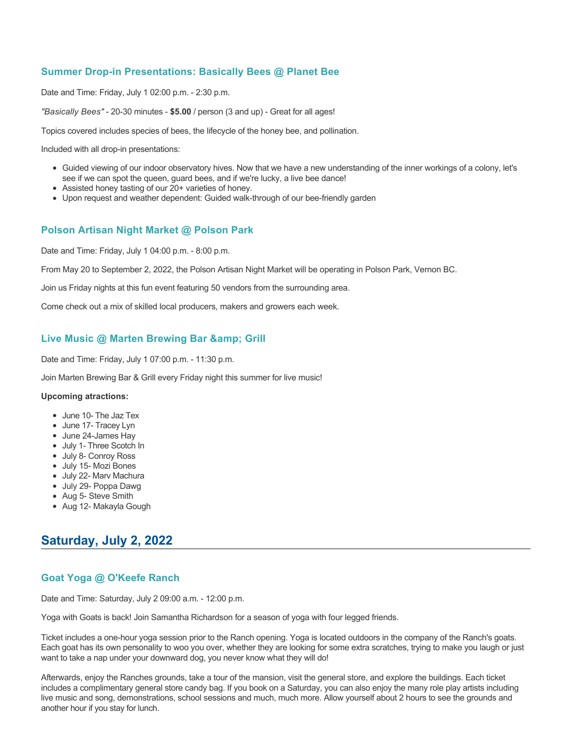# **Summer Drop-in Presentations: Basically Bees @ Planet Bee**

Date and Time: Friday, July 1 02:00 p.m. - 2:30 p.m.

*"Basically Bees"* - 20-30 minutes - **\$5.00** / person (3 and up) - Great for all ages!

Topics covered includes species of bees, the lifecycle of the honey bee, and pollination.

Included with all drop-in presentations:

- Guided viewing of our indoor observatory hives. Now that we have a new understanding of the inner workings of a colony, let's see if we can spot the queen, guard bees, and if we're lucky, a live bee dance!
- Assisted honey tasting of our 20+ varieties of honey.
- Upon request and weather dependent: Guided walk-through of our bee-friendly garden

## **Polson Artisan Night Market @ Polson Park**

Date and Time: Friday, July 1 04:00 p.m. - 8:00 p.m.

From May 20 to September 2, 2022, the Polson Artisan Night Market will be operating in Polson Park, Vernon BC.

Join us Friday nights at this fun event featuring 50 vendors from the surrounding area.

Come check out a mix of skilled local producers, makers and growers each week.

## **Live Music @ Marten Brewing Bar & amp; Grill**

Date and Time: Friday, July 1 07:00 p.m. - 11:30 p.m.

Join Marten Brewing Bar & Grill every Friday night this summer for live music!

### **Upcoming atractions:**

- June 10- The Jaz Tex
- June 17- Tracey Lyn
- June 24-James Hay
- July 1- Three Scotch In
- July 8- Conroy Ross
- July 15- Mozi Bones
- July 22- Marv Machura
- July 29- Poppa Dawg
- Aug 5- Steve Smith
- Aug 12- Makayla Gough

# **Saturday, July 2, 2022**

# **Goat Yoga @ O'Keefe Ranch**

Date and Time: Saturday, July 2 09:00 a.m. - 12:00 p.m.

Yoga with Goats is back! Join Samantha Richardson for a season of yoga with four legged friends.

Ticket includes a one-hour yoga session prior to the Ranch opening. Yoga is located outdoors in the company of the Ranch's goats. Each goat has its own personality to woo you over, whether they are looking for some extra scratches, trying to make you laugh or just want to take a nap under your downward dog, you never know what they will do!

Afterwards, enjoy the Ranches grounds, take a tour of the mansion, visit the general store, and explore the buildings. Each ticket includes a complimentary general store candy bag. If you book on a Saturday, you can also enjoy the many role play artists including live music and song, demonstrations, school sessions and much, much more. Allow yourself about 2 hours to see the grounds and another hour if you stay for lunch.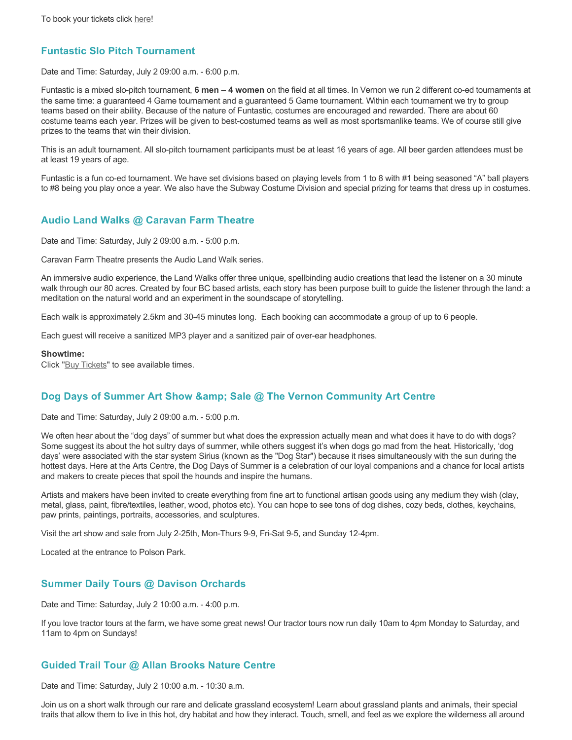## **Funtastic Slo Pitch Tournament**

Date and Time: Saturday, July 2 09:00 a.m. - 6:00 p.m.

Funtastic is a mixed slo-pitch tournament, **6 men – 4 women** on the field at all times. In Vernon we run 2 different co-ed tournaments at the same time: a guaranteed 4 Game tournament and a guaranteed 5 Game tournament. Within each tournament we try to group teams based on their ability. Because of the nature of Funtastic, costumes are encouraged and rewarded. There are about 60 costume teams each year. Prizes will be given to best-costumed teams as well as most sportsmanlike teams. We of course still give prizes to the teams that win their division.

This is an adult tournament. All slo-pitch tournament participants must be at least 16 years of age. All beer garden attendees must be at least 19 years of age.

Funtastic is a fun co-ed tournament. We have set divisions based on playing levels from 1 to 8 with #1 being seasoned "A" ball players to #8 being you play once a year. We also have the Subway Costume Division and special prizing for teams that dress up in costumes.

## **Audio Land Walks @ Caravan Farm Theatre**

Date and Time: Saturday, July 2 09:00 a.m. - 5:00 p.m.

Caravan Farm Theatre presents the Audio Land Walk series.

An immersive audio experience, the Land Walks offer three unique, spellbinding audio creations that lead the listener on a 30 minute walk through our 80 acres. Created by four BC based artists, each story has been purpose built to guide the listener through the land: a meditation on the natural world and an experiment in the soundscape of storytelling.

Each walk is approximately 2.5km and 30-45 minutes long. Each booking can accommodate a group of up to 6 people.

Each guest will receive a sanitized MP3 player and a sanitized pair of over-ear headphones.

#### **Showtime:**

Click "[Buy Tickets](https://caravanfarmtheatre.com/show/the-land-walks/?ct=t%28EMAIL_CAMPAIGN_4_19_2022_13_43SEASON+2022%29&mc_cid=c02afad356&mc_eid=4778eb8892)" to see available times.

## **Dog Days of Summer Art Show & amp; Sale @ The Vernon Community Art Centre**

Date and Time: Saturday, July 2 09:00 a.m. - 5:00 p.m.

We often hear about the "dog days" of summer but what does the expression actually mean and what does it have to do with dogs? Some suggest its about the hot sultry days of summer, while others suggest it's when dogs go mad from the heat. Historically, 'dog days' were associated with the star system Sirius (known as the "Dog Star") because it rises simultaneously with the sun during the hottest days. Here at the Arts Centre, the Dog Days of Summer is a celebration of our loyal companions and a chance for local artists and makers to create pieces that spoil the hounds and inspire the humans.

Artists and makers have been invited to create everything from fine art to functional artisan goods using any medium they wish (clay, metal, glass, paint, fibre/textiles, leather, wood, photos etc). You can hope to see tons of dog dishes, cozy beds, clothes, keychains, paw prints, paintings, portraits, accessories, and sculptures.

Visit the art show and sale from July 2-25th, Mon-Thurs 9-9, Fri-Sat 9-5, and Sunday 12-4pm.

Located at the entrance to Polson Park.

## **Summer Daily Tours @ Davison Orchards**

Date and Time: Saturday, July 2 10:00 a.m. - 4:00 p.m.

If you love tractor tours at the farm, we have some great news! Our tractor tours now run daily 10am to 4pm Monday to Saturday, and 11am to 4pm on Sundays!

### **Guided Trail Tour @ Allan Brooks Nature Centre**

Date and Time: Saturday, July 2 10:00 a.m. - 10:30 a.m.

Join us on a short walk through our rare and delicate grassland ecosystem! Learn about grassland plants and animals, their special traits that allow them to live in this hot, dry habitat and how they interact. Touch, smell, and feel as we explore the wilderness all around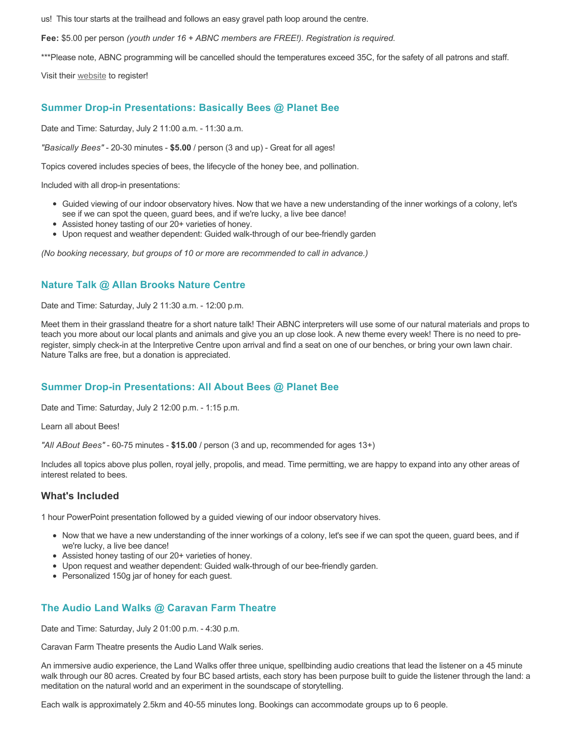us! This tour starts at the trailhead and follows an easy gravel path loop around the centre.

**Fee:** \$5.00 per person *(youth under 16 + ABNC members are FREE!). Registration is required.* 

\*\*\*Please note, ABNC programming will be cancelled should the temperatures exceed 35C, for the safety of all patrons and staff.

Visit their [website](https://abnc.ca/events/events-calendar/) to register!

## **Summer Drop-in Presentations: Basically Bees @ Planet Bee**

Date and Time: Saturday, July 2 11:00 a.m. - 11:30 a.m.

*"Basically Bees"* - 20-30 minutes - **\$5.00** / person (3 and up) - Great for all ages!

Topics covered includes species of bees, the lifecycle of the honey bee, and pollination.

Included with all drop-in presentations:

- Guided viewing of our indoor observatory hives. Now that we have a new understanding of the inner workings of a colony, let's see if we can spot the queen, guard bees, and if we're lucky, a live bee dance!
- Assisted honey tasting of our 20+ varieties of honey.
- Upon request and weather dependent: Guided walk-through of our bee-friendly garden

*(No booking necessary, but groups of 10 or more are recommended to call in advance.)*

## **Nature Talk @ Allan Brooks Nature Centre**

Date and Time: Saturday, July 2 11:30 a.m. - 12:00 p.m.

Meet them in their grassland theatre for a short nature talk! Their ABNC interpreters will use some of our natural materials and props to teach you more about our local plants and animals and give you an up close look. A new theme every week! There is no need to preregister, simply check-in at the Interpretive Centre upon arrival and find a seat on one of our benches, or bring your own lawn chair. Nature Talks are free, but a donation is appreciated.

## **Summer Drop-in Presentations: All About Bees @ Planet Bee**

Date and Time: Saturday, July 2 12:00 p.m. - 1:15 p.m.

Learn all about Bees!

*"All ABout Bees"* - 60-75 minutes - **\$15.00** / person (3 and up, recommended for ages 13+)

Includes all topics above plus pollen, royal jelly, propolis, and mead. Time permitting, we are happy to expand into any other areas of interest related to bees.

### **What's Included**

1 hour PowerPoint presentation followed by a guided viewing of our indoor observatory hives.

- Now that we have a new understanding of the inner workings of a colony, let's see if we can spot the queen, guard bees, and if we're lucky, a live bee dance!
- Assisted honey tasting of our 20+ varieties of honey.
- Upon request and weather dependent: Guided walk-through of our bee-friendly garden.
- Personalized 150g jar of honey for each guest.

# **The Audio Land Walks @ Caravan Farm Theatre**

Date and Time: Saturday, July 2 01:00 p.m. - 4:30 p.m.

Caravan Farm Theatre presents the Audio Land Walk series.

An immersive audio experience, the Land Walks offer three unique, spellbinding audio creations that lead the listener on a 45 minute walk through our 80 acres. Created by four BC based artists, each story has been purpose built to guide the listener through the land: a meditation on the natural world and an experiment in the soundscape of storytelling.

Each walk is approximately 2.5km and 40-55 minutes long. Bookings can accommodate groups up to 6 people.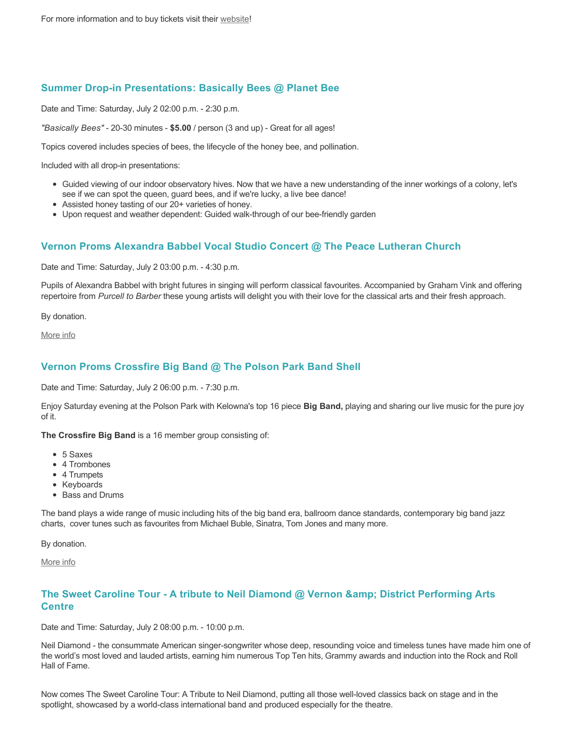# **Summer Drop-in Presentations: Basically Bees @ Planet Bee**

Date and Time: Saturday, July 2 02:00 p.m. - 2:30 p.m.

*"Basically Bees"* - 20-30 minutes - **\$5.00** / person (3 and up) - Great for all ages!

Topics covered includes species of bees, the lifecycle of the honey bee, and pollination.

Included with all drop-in presentations:

- Guided viewing of our indoor observatory hives. Now that we have a new understanding of the inner workings of a colony, let's see if we can spot the queen, guard bees, and if we're lucky, a live bee dance!
- Assisted honey tasting of our 20+ varieties of honey.
- Upon request and weather dependent: Guided walk-through of our bee-friendly garden

## **Vernon Proms Alexandra Babbel Vocal Studio Concert @ The Peace Lutheran Church**

Date and Time: Saturday, July 2 03:00 p.m. - 4:30 p.m.

Pupils of Alexandra Babbel with bright futures in singing will perform classical favourites. Accompanied by Graham Vink and offering repertoire from *Purcell to Barber* these young artists will delight you with their love for the classical arts and their fresh approach.

By donation.

[More info](https://proms.eventcalendarapp.com/u/36415/evt_external_62845d7084cce5260a3f5387?repeatId=evt_external_62845d7084cce5260a3f5387)

## **Vernon Proms Crossfire Big Band @ The Polson Park Band Shell**

Date and Time: Saturday, July 2 06:00 p.m. - 7:30 p.m.

Enjoy Saturday evening at the Polson Park with Kelowna's top 16 piece **Big Band,** playing and sharing our live music for the pure joy of it.

**The Crossfire Big Band** is a 16 member group consisting of:

- 5 Saxes
- 4 Trombones
- 4 Trumpets
- Keyboards
- Bass and Drums

The band plays a wide range of music including hits of the big band era, ballroom dance standards, contemporary big band jazz charts, cover tunes such as favourites from Michael Buble, Sinatra, Tom Jones and many more.

By donation.

[More info](https://proms.eventcalendarapp.com/u/36415/evt_external_62845d7084cce5260a3f5387?repeatId=evt_external_62845d7084cce5260a3f5387)

## **The Sweet Caroline Tour - A tribute to Neil Diamond @ Vernon & District Performing Arts Centre**

Date and Time: Saturday, July 2 08:00 p.m. - 10:00 p.m.

Neil Diamond - the consummate American singer-songwriter whose deep, resounding voice and timeless tunes have made him one of the world's most loved and lauded artists, earning him numerous Top Ten hits, Grammy awards and induction into the Rock and Roll Hall of Fame.

Now comes The Sweet Caroline Tour: A Tribute to Neil Diamond, putting all those well-loved classics back on stage and in the spotlight, showcased by a world-class international band and produced especially for the theatre.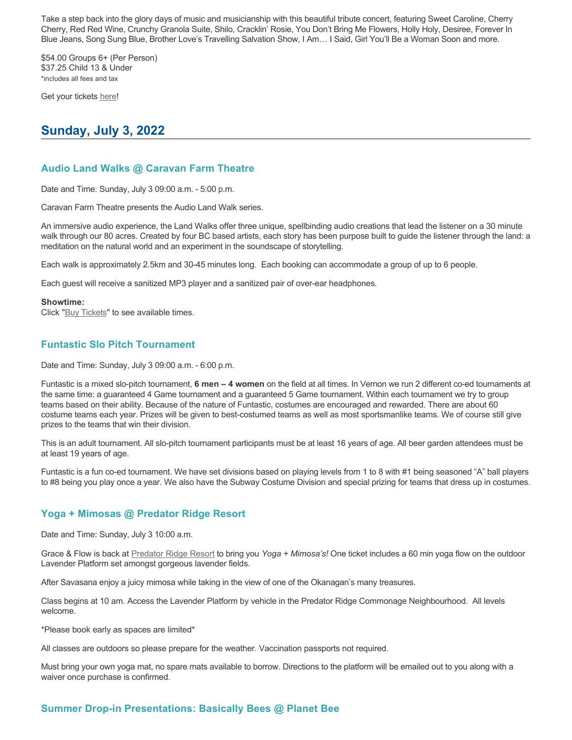Take a step back into the glory days of music and musicianship with this beautiful tribute concert, featuring Sweet Caroline, Cherry Cherry, Red Red Wine, Crunchy Granola Suite, Shilo, Cracklin' Rosie, You Don't Bring Me Flowers, Holly Holy, Desiree, Forever In Blue Jeans, Song Sung Blue, Brother Love's Travelling Salvation Show, I Am… I Said, Girl You'll Be a Woman Soon and more.

\$54.00 Groups 6+ (Per Person) \$37.25 Child 13 & Under \*includes all fees and tax

Get your tickets [here!](https://tickets.ticketseller.ca/TheatreManager/1/login&event=3352)

# **Sunday, July 3, 2022**

## **Audio Land Walks @ Caravan Farm Theatre**

Date and Time: Sunday, July 3 09:00 a.m. - 5:00 p.m.

Caravan Farm Theatre presents the Audio Land Walk series.

An immersive audio experience, the Land Walks offer three unique, spellbinding audio creations that lead the listener on a 30 minute walk through our 80 acres. Created by four BC based artists, each story has been purpose built to guide the listener through the land: a meditation on the natural world and an experiment in the soundscape of storytelling.

Each walk is approximately 2.5km and 30-45 minutes long. Each booking can accommodate a group of up to 6 people.

Each guest will receive a sanitized MP3 player and a sanitized pair of over-ear headphones.

#### **Showtime:**

Click "[Buy Tickets](https://caravanfarmtheatre.com/show/the-land-walks/?ct=t%28EMAIL_CAMPAIGN_4_19_2022_13_43SEASON+2022%29&mc_cid=c02afad356&mc_eid=4778eb8892)" to see available times.

## **Funtastic Slo Pitch Tournament**

Date and Time: Sunday, July 3 09:00 a.m. - 6:00 p.m.

Funtastic is a mixed slo-pitch tournament, **6 men – 4 women** on the field at all times. In Vernon we run 2 different co-ed tournaments at the same time: a guaranteed 4 Game tournament and a guaranteed 5 Game tournament. Within each tournament we try to group teams based on their ability. Because of the nature of Funtastic, costumes are encouraged and rewarded. There are about 60 costume teams each year. Prizes will be given to best-costumed teams as well as most sportsmanlike teams. We of course still give prizes to the teams that win their division.

This is an adult tournament. All slo-pitch tournament participants must be at least 16 years of age. All beer garden attendees must be at least 19 years of age.

Funtastic is a fun co-ed tournament. We have set divisions based on playing levels from 1 to 8 with #1 being seasoned "A" ball players to #8 being you play once a year. We also have the Subway Costume Division and special prizing for teams that dress up in costumes.

### **Yoga + Mimosas @ Predator Ridge Resort**

Date and Time: Sunday, July 3 10:00 a.m.

Grace & Flow is back at [Predator Ridge Resort](https://www.predatorridge.com/events) to bring you *Yoga + Mimosa's!* One ticket includes a 60 min yoga flow on the outdoor Lavender Platform set amongst gorgeous lavender fields.

After Savasana enjoy a juicy mimosa while taking in the view of one of the Okanagan's many treasures.

Class begins at 10 am. Access the Lavender Platform by vehicle in the Predator Ridge Commonage Neighbourhood. All levels welcome.

\*Please book early as spaces are limited\*

All classes are outdoors so please prepare for the weather. Vaccination passports not required.

Must bring your own yoga mat, no spare mats available to borrow. Directions to the platform will be emailed out to you along with a waiver once purchase is confirmed.

# **Summer Drop-in Presentations: Basically Bees @ Planet Bee**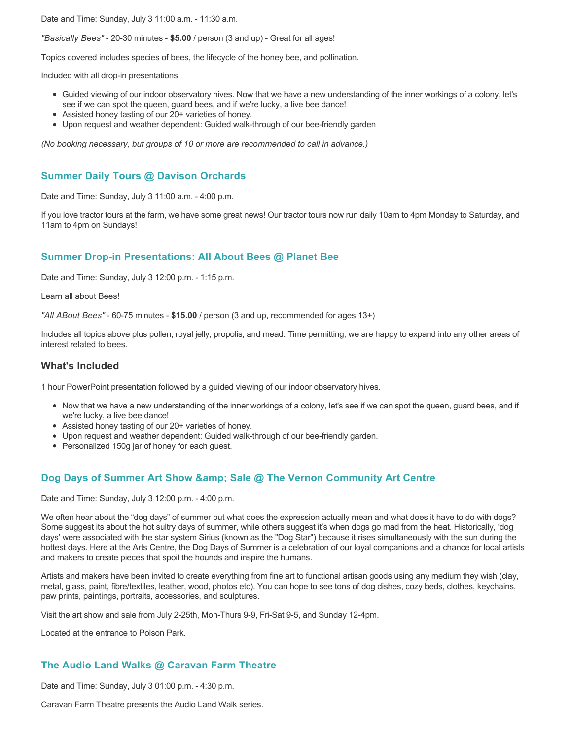Date and Time: Sunday, July 3 11:00 a.m. - 11:30 a.m.

*"Basically Bees"* - 20-30 minutes - **\$5.00** / person (3 and up) - Great for all ages!

Topics covered includes species of bees, the lifecycle of the honey bee, and pollination.

Included with all drop-in presentations:

- Guided viewing of our indoor observatory hives. Now that we have a new understanding of the inner workings of a colony, let's see if we can spot the queen, guard bees, and if we're lucky, a live bee dance!
- Assisted honey tasting of our 20+ varieties of honey.
- Upon request and weather dependent: Guided walk-through of our bee-friendly garden

*(No booking necessary, but groups of 10 or more are recommended to call in advance.)*

## **Summer Daily Tours @ Davison Orchards**

Date and Time: Sunday, July 3 11:00 a.m. - 4:00 p.m.

If you love tractor tours at the farm, we have some great news! Our tractor tours now run daily 10am to 4pm Monday to Saturday, and 11am to 4pm on Sundays!

## **Summer Drop-in Presentations: All About Bees @ Planet Bee**

Date and Time: Sunday, July 3 12:00 p.m. - 1:15 p.m.

Learn all about Bees!

*"All ABout Bees"* - 60-75 minutes - **\$15.00** / person (3 and up, recommended for ages 13+)

Includes all topics above plus pollen, royal jelly, propolis, and mead. Time permitting, we are happy to expand into any other areas of interest related to bees.

### **What's Included**

1 hour PowerPoint presentation followed by a guided viewing of our indoor observatory hives.

- Now that we have a new understanding of the inner workings of a colony, let's see if we can spot the queen, guard bees, and if we're lucky, a live bee dance!
- Assisted honey tasting of our 20+ varieties of honey.
- Upon request and weather dependent: Guided walk-through of our bee-friendly garden.
- Personalized 150g jar of honey for each guest.

## **Dog Days of Summer Art Show & amp; Sale @ The Vernon Community Art Centre**

Date and Time: Sunday, July 3 12:00 p.m. - 4:00 p.m.

We often hear about the "dog days" of summer but what does the expression actually mean and what does it have to do with dogs? Some suggest its about the hot sultry days of summer, while others suggest it's when dogs go mad from the heat. Historically, 'dog days' were associated with the star system Sirius (known as the "Dog Star") because it rises simultaneously with the sun during the hottest days. Here at the Arts Centre, the Dog Days of Summer is a celebration of our loyal companions and a chance for local artists and makers to create pieces that spoil the hounds and inspire the humans.

Artists and makers have been invited to create everything from fine art to functional artisan goods using any medium they wish (clay, metal, glass, paint, fibre/textiles, leather, wood, photos etc). You can hope to see tons of dog dishes, cozy beds, clothes, keychains, paw prints, paintings, portraits, accessories, and sculptures.

Visit the art show and sale from July 2-25th, Mon-Thurs 9-9, Fri-Sat 9-5, and Sunday 12-4pm.

Located at the entrance to Polson Park.

## **The Audio Land Walks @ Caravan Farm Theatre**

Date and Time: Sunday, July 3 01:00 p.m. - 4:30 p.m.

Caravan Farm Theatre presents the Audio Land Walk series.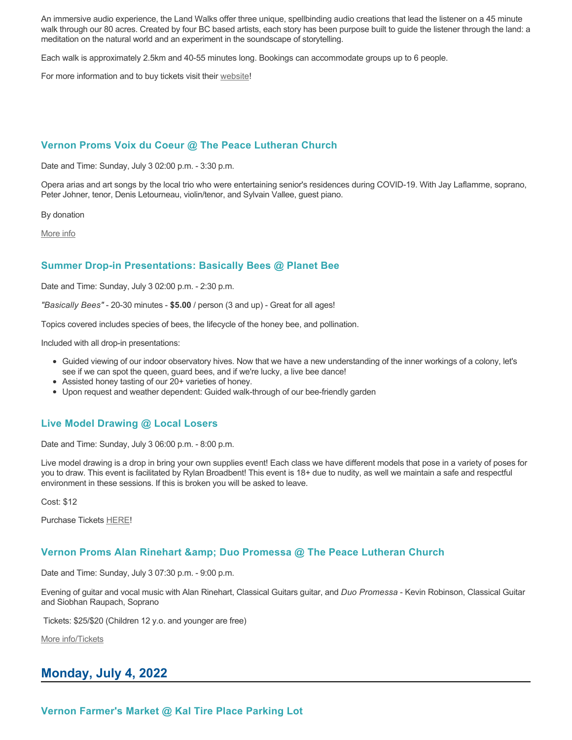An immersive audio experience, the Land Walks offer three unique, spellbinding audio creations that lead the listener on a 45 minute walk through our 80 acres. Created by four BC based artists, each story has been purpose built to guide the listener through the land: a meditation on the natural world and an experiment in the soundscape of storytelling.

Each walk is approximately 2.5km and 40-55 minutes long. Bookings can accommodate groups up to 6 people.

For more information and to buy tickets visit their [website!](https://caravanfarmtheatre.com/show/the-land-walks/)

## **Vernon Proms Voix du Coeur @ The Peace Lutheran Church**

Date and Time: Sunday, July 3 02:00 p.m. - 3:30 p.m.

Opera arias and art songs by the local trio who were entertaining senior's residences during COVID-19. With Jay Laflamme, soprano, Peter Johner, tenor, Denis Letourneau, violin/tenor, and Sylvain Vallee, guest piano.

By donation

[More info](https://proms.eventcalendarapp.com/u/36415/evt_external_62845d7084cce5260a3f5396?repeatId=evt_external_62845d7084cce5260a3f5396)

## **Summer Drop-in Presentations: Basically Bees @ Planet Bee**

Date and Time: Sunday, July 3 02:00 p.m. - 2:30 p.m.

*"Basically Bees"* - 20-30 minutes - **\$5.00** / person (3 and up) - Great for all ages!

Topics covered includes species of bees, the lifecycle of the honey bee, and pollination.

Included with all drop-in presentations:

- Guided viewing of our indoor observatory hives. Now that we have a new understanding of the inner workings of a colony, let's see if we can spot the queen, guard bees, and if we're lucky, a live bee dance!
- Assisted honey tasting of our 20+ varieties of honey.
- Upon request and weather dependent: Guided walk-through of our bee-friendly garden

### **Live Model Drawing @ Local Losers**

Date and Time: Sunday, July 3 06:00 p.m. - 8:00 p.m.

Live model drawing is a drop in bring your own supplies event! Each class we have different models that pose in a variety of poses for you to draw. This event is facilitated by Rylan Broadbent! This event is 18+ due to nudity, as well we maintain a safe and respectful environment in these sessions. If this is broken you will be asked to leave.

Cost: \$12

Purchase Tickets [HERE!](https://www.locallosers.ca/events)

### **Vernon Proms Alan Rinehart & Duo Promessa @ The Peace Lutheran Church**

Date and Time: Sunday, July 3 07:30 p.m. - 9:00 p.m.

Evening of guitar and vocal music with Alan Rinehart, Classical Guitars guitar, and *Duo Promessa* - Kevin Robinson, Classical Guitar and Siobhan Raupach, Soprano

Tickets: \$25/\$20 (Children 12 y.o. and younger are free)

[More info/Tickets](https://proms.eventcalendarapp.com/u/36415/evt_external_62845d7184cce5260a3f539a?repeatId=evt_external_62845d7184cce5260a3f539a)

# **Monday, July 4, 2022**

**Vernon Farmer's Market @ Kal Tire Place Parking Lot**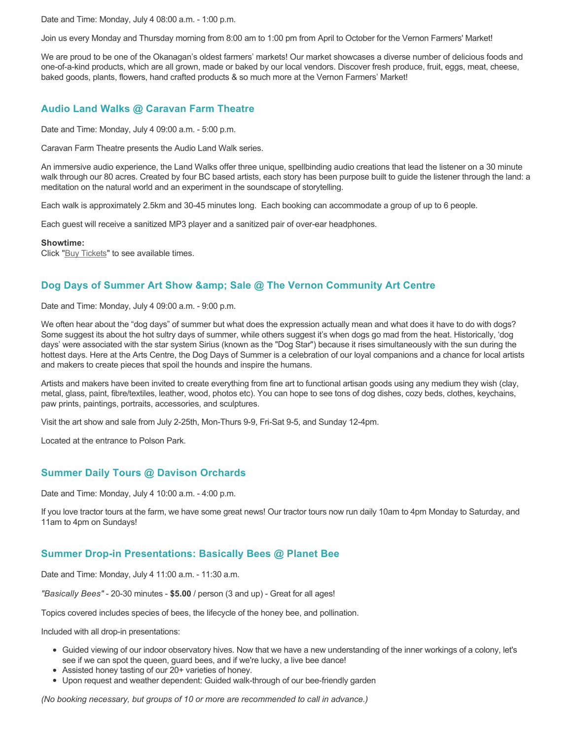Date and Time: Monday, July 4 08:00 a.m. - 1:00 p.m.

Join us every Monday and Thursday morning from 8:00 am to 1:00 pm from April to October for the Vernon Farmers' Market!

We are proud to be one of the Okanagan's oldest farmers' markets! Our market showcases a diverse number of delicious foods and one-of-a-kind products, which are all grown, made or baked by our local vendors. Discover fresh produce, fruit, eggs, meat, cheese, baked goods, plants, flowers, hand crafted products & so much more at the Vernon Farmers' Market!

## **Audio Land Walks @ Caravan Farm Theatre**

Date and Time: Monday, July 4 09:00 a.m. - 5:00 p.m.

Caravan Farm Theatre presents the Audio Land Walk series.

An immersive audio experience, the Land Walks offer three unique, spellbinding audio creations that lead the listener on a 30 minute walk through our 80 acres. Created by four BC based artists, each story has been purpose built to guide the listener through the land: a meditation on the natural world and an experiment in the soundscape of storytelling.

Each walk is approximately 2.5km and 30-45 minutes long. Each booking can accommodate a group of up to 6 people.

Each guest will receive a sanitized MP3 player and a sanitized pair of over-ear headphones.

**Showtime:**

Click "[Buy Tickets](https://caravanfarmtheatre.com/show/the-land-walks/?ct=t%28EMAIL_CAMPAIGN_4_19_2022_13_43SEASON+2022%29&mc_cid=c02afad356&mc_eid=4778eb8892)" to see available times.

# **Dog Days of Summer Art Show & amp: Sale @ The Vernon Community Art Centre**

Date and Time: Monday, July 4 09:00 a.m. - 9:00 p.m.

We often hear about the "dog days" of summer but what does the expression actually mean and what does it have to do with dogs? Some suggest its about the hot sultry days of summer, while others suggest it's when dogs go mad from the heat. Historically, 'dog days' were associated with the star system Sirius (known as the "Dog Star") because it rises simultaneously with the sun during the hottest days. Here at the Arts Centre, the Dog Days of Summer is a celebration of our loyal companions and a chance for local artists and makers to create pieces that spoil the hounds and inspire the humans.

Artists and makers have been invited to create everything from fine art to functional artisan goods using any medium they wish (clay, metal, glass, paint, fibre/textiles, leather, wood, photos etc). You can hope to see tons of dog dishes, cozy beds, clothes, keychains, paw prints, paintings, portraits, accessories, and sculptures.

Visit the art show and sale from July 2-25th, Mon-Thurs 9-9, Fri-Sat 9-5, and Sunday 12-4pm.

Located at the entrance to Polson Park.

# **Summer Daily Tours @ Davison Orchards**

Date and Time: Monday, July 4 10:00 a.m. - 4:00 p.m.

If you love tractor tours at the farm, we have some great news! Our tractor tours now run daily 10am to 4pm Monday to Saturday, and 11am to 4pm on Sundays!

## **Summer Drop-in Presentations: Basically Bees @ Planet Bee**

Date and Time: Monday, July 4 11:00 a.m. - 11:30 a.m.

*"Basically Bees"* - 20-30 minutes - **\$5.00** / person (3 and up) - Great for all ages!

Topics covered includes species of bees, the lifecycle of the honey bee, and pollination.

Included with all drop-in presentations:

- Guided viewing of our indoor observatory hives. Now that we have a new understanding of the inner workings of a colony, let's see if we can spot the queen, guard bees, and if we're lucky, a live bee dance!
- Assisted honey tasting of our 20+ varieties of honey.
- Upon request and weather dependent: Guided walk-through of our bee-friendly garden

*(No booking necessary, but groups of 10 or more are recommended to call in advance.)*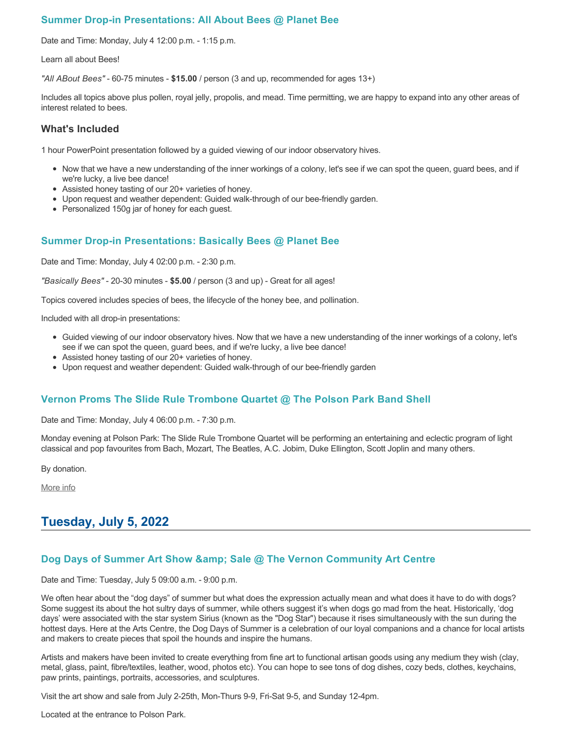## **Summer Drop-in Presentations: All About Bees @ Planet Bee**

Date and Time: Monday, July 4 12:00 p.m. - 1:15 p.m.

Learn all about Bees!

*"All ABout Bees"* - 60-75 minutes - **\$15.00** / person (3 and up, recommended for ages 13+)

Includes all topics above plus pollen, royal jelly, propolis, and mead. Time permitting, we are happy to expand into any other areas of interest related to bees.

## **What's Included**

1 hour PowerPoint presentation followed by a guided viewing of our indoor observatory hives.

- Now that we have a new understanding of the inner workings of a colony, let's see if we can spot the queen, guard bees, and if we're lucky, a live bee dance!
- Assisted honey tasting of our 20+ varieties of honey.
- Upon request and weather dependent: Guided walk-through of our bee-friendly garden.
- Personalized 150g jar of honey for each guest.

# **Summer Drop-in Presentations: Basically Bees @ Planet Bee**

Date and Time: Monday, July 4 02:00 p.m. - 2:30 p.m.

*"Basically Bees"* - 20-30 minutes - **\$5.00** / person (3 and up) - Great for all ages!

Topics covered includes species of bees, the lifecycle of the honey bee, and pollination.

Included with all drop-in presentations:

- Guided viewing of our indoor observatory hives. Now that we have a new understanding of the inner workings of a colony, let's see if we can spot the queen, guard bees, and if we're lucky, a live bee dance!
- Assisted honey tasting of our 20+ varieties of honey.
- Upon request and weather dependent: Guided walk-through of our bee-friendly garden

## **Vernon Proms The Slide Rule Trombone Quartet @ The Polson Park Band Shell**

Date and Time: Monday, July 4 06:00 p.m. - 7:30 p.m.

Monday evening at Polson Park: The Slide Rule Trombone Quartet will be performing an entertaining and eclectic program of light classical and pop favourites from Bach, Mozart, The Beatles, A.C. Jobim, Duke Ellington, Scott Joplin and many others.

By donation.

[More info](https://proms.eventcalendarapp.com/u/36415/evt_external_62845d7084cce5260a3f5398?repeatId=evt_external_62845d7084cce5260a3f5398)

# **Tuesday, July 5, 2022**

## **Dog Days of Summer Art Show & amp; Sale @ The Vernon Community Art Centre**

Date and Time: Tuesday, July 5 09:00 a.m. - 9:00 p.m.

We often hear about the "dog days" of summer but what does the expression actually mean and what does it have to do with dogs? Some suggest its about the hot sultry days of summer, while others suggest it's when dogs go mad from the heat. Historically, 'dog days' were associated with the star system Sirius (known as the "Dog Star") because it rises simultaneously with the sun during the hottest days. Here at the Arts Centre, the Dog Days of Summer is a celebration of our loyal companions and a chance for local artists and makers to create pieces that spoil the hounds and inspire the humans.

Artists and makers have been invited to create everything from fine art to functional artisan goods using any medium they wish (clay, metal, glass, paint, fibre/textiles, leather, wood, photos etc). You can hope to see tons of dog dishes, cozy beds, clothes, keychains, paw prints, paintings, portraits, accessories, and sculptures.

Visit the art show and sale from July 2-25th, Mon-Thurs 9-9, Fri-Sat 9-5, and Sunday 12-4pm.

Located at the entrance to Polson Park.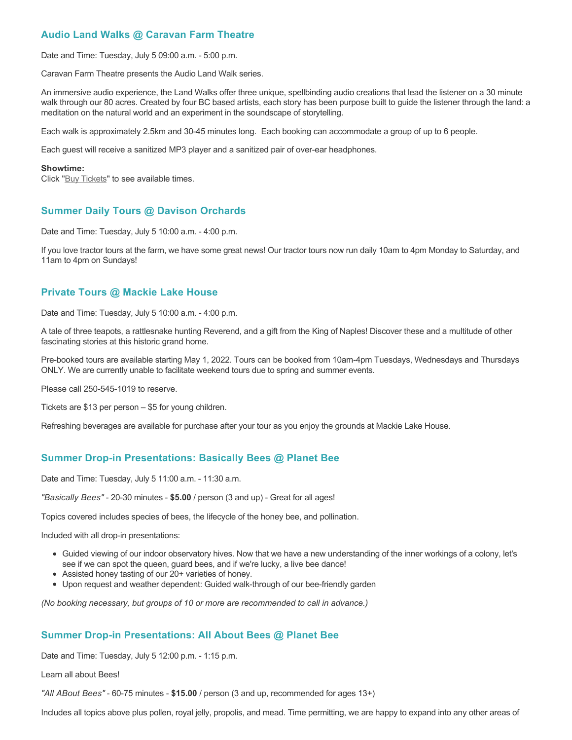# **Audio Land Walks @ Caravan Farm Theatre**

Date and Time: Tuesday, July 5 09:00 a.m. - 5:00 p.m.

Caravan Farm Theatre presents the Audio Land Walk series.

An immersive audio experience, the Land Walks offer three unique, spellbinding audio creations that lead the listener on a 30 minute walk through our 80 acres. Created by four BC based artists, each story has been purpose built to guide the listener through the land: a meditation on the natural world and an experiment in the soundscape of storytelling.

Each walk is approximately 2.5km and 30-45 minutes long. Each booking can accommodate a group of up to 6 people.

Each guest will receive a sanitized MP3 player and a sanitized pair of over-ear headphones.

#### **Showtime:**

Click "[Buy Tickets](https://caravanfarmtheatre.com/show/the-land-walks/?ct=t%28EMAIL_CAMPAIGN_4_19_2022_13_43SEASON+2022%29&mc_cid=c02afad356&mc_eid=4778eb8892)" to see available times.

# **Summer Daily Tours @ Davison Orchards**

Date and Time: Tuesday, July 5 10:00 a.m. - 4:00 p.m.

If you love tractor tours at the farm, we have some great news! Our tractor tours now run daily 10am to 4pm Monday to Saturday, and 11am to 4pm on Sundays!

## **Private Tours @ Mackie Lake House**

Date and Time: Tuesday, July 5 10:00 a.m. - 4:00 p.m.

A tale of three teapots, a rattlesnake hunting Reverend, and a gift from the King of Naples! Discover these and a multitude of other fascinating stories at this historic grand home.

Pre-booked tours are available starting May 1, 2022. Tours can be booked from 10am-4pm Tuesdays, Wednesdays and Thursdays ONLY. We are currently unable to facilitate weekend tours due to spring and summer events.

Please call 250-545-1019 to reserve.

Tickets are \$13 per person – \$5 for young children.

Refreshing beverages are available for purchase after your tour as you enjoy the grounds at Mackie Lake House.

# **Summer Drop-in Presentations: Basically Bees @ Planet Bee**

Date and Time: Tuesday, July 5 11:00 a.m. - 11:30 a.m.

*"Basically Bees"* - 20-30 minutes - **\$5.00** / person (3 and up) - Great for all ages!

Topics covered includes species of bees, the lifecycle of the honey bee, and pollination.

Included with all drop-in presentations:

- Guided viewing of our indoor observatory hives. Now that we have a new understanding of the inner workings of a colony, let's see if we can spot the queen, guard bees, and if we're lucky, a live bee dance!
- Assisted honey tasting of our 20+ varieties of honey.
- Upon request and weather dependent: Guided walk-through of our bee-friendly garden

*(No booking necessary, but groups of 10 or more are recommended to call in advance.)*

# **Summer Drop-in Presentations: All About Bees @ Planet Bee**

Date and Time: Tuesday, July 5 12:00 p.m. - 1:15 p.m.

Learn all about Bees!

*"All ABout Bees"* - 60-75 minutes - **\$15.00** / person (3 and up, recommended for ages 13+)

Includes all topics above plus pollen, royal jelly, propolis, and mead. Time permitting, we are happy to expand into any other areas of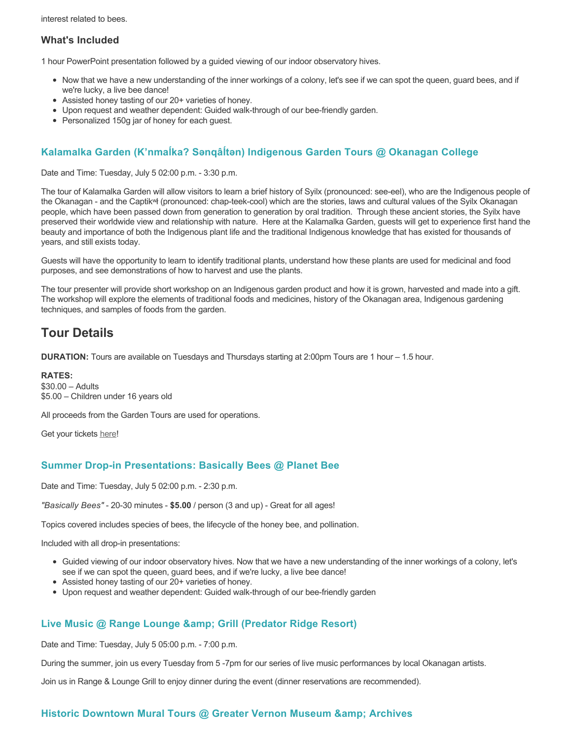interest related to bees.

## **What's Included**

1 hour PowerPoint presentation followed by a guided viewing of our indoor observatory hives.

- Now that we have a new understanding of the inner workings of a colony, let's see if we can spot the queen, guard bees, and if we're lucky, a live bee dance!
- Assisted honey tasting of our 20+ varieties of honey.
- Upon request and weather dependent: Guided walk-through of our bee-friendly garden.
- Personalized 150g jar of honey for each guest.

# **Kalamalka Garden (K'nmaĺka? Sәnqâĺtәn) Indigenous Garden Tours @ Okanagan College**

Date and Time: Tuesday, July 5 02:00 p.m. - 3:30 p.m.

The tour of Kalamalka Garden will allow visitors to learn a brief history of Syilx (pronounced: see-eel), who are the Indigenous people of the Okanagan - and the Captikʷł (pronounced: chap-teek-cool) which are the stories, laws and cultural values of the Syilx Okanagan people, which have been passed down from generation to generation by oral tradition. Through these ancient stories, the Syilx have preserved their worldwide view and relationship with nature. Here at the Kalamalka Garden, guests will get to experience first hand the beauty and importance of both the Indigenous plant life and the traditional Indigenous knowledge that has existed for thousands of years, and still exists today.

Guests will have the opportunity to learn to identify traditional plants, understand how these plants are used for medicinal and food purposes, and see demonstrations of how to harvest and use the plants.

The tour presenter will provide short workshop on an Indigenous garden product and how it is grown, harvested and made into a gift. The workshop will explore the elements of traditional foods and medicines, history of the Okanagan area, Indigenous gardening techniques, and samples of foods from the garden.

# **Tour Details**

**DURATION:** Tours are available on Tuesdays and Thursdays starting at 2:00pm Tours are 1 hour – 1.5 hour.

**RATES:** \$30.00 – Adults \$5.00 – Children under 16 years old

All proceeds from the Garden Tours are used for operations.

Get your tickets [here!](https://www.eventbrite.ca/e/kalamalka-garden-tour-tickets-158617843239)

## **Summer Drop-in Presentations: Basically Bees @ Planet Bee**

Date and Time: Tuesday, July 5 02:00 p.m. - 2:30 p.m.

*"Basically Bees"* - 20-30 minutes - **\$5.00** / person (3 and up) - Great for all ages!

Topics covered includes species of bees, the lifecycle of the honey bee, and pollination.

Included with all drop-in presentations:

- Guided viewing of our indoor observatory hives. Now that we have a new understanding of the inner workings of a colony, let's see if we can spot the queen, guard bees, and if we're lucky, a live bee dance!
- Assisted honey tasting of our 20+ varieties of honey.
- Upon request and weather dependent: Guided walk-through of our bee-friendly garden

## **Live Music @ Range Lounge & Grill (Predator Ridge Resort)**

Date and Time: Tuesday, July 5 05:00 p.m. - 7:00 p.m.

During the summer, join us every Tuesday from 5 -7pm for our series of live music performances by local Okanagan artists.

Join us in Range & Lounge Grill to enjoy dinner during the event (dinner reservations are recommended).

### **Historic Downtown Mural Tours @ Greater Vernon Museum & Archives**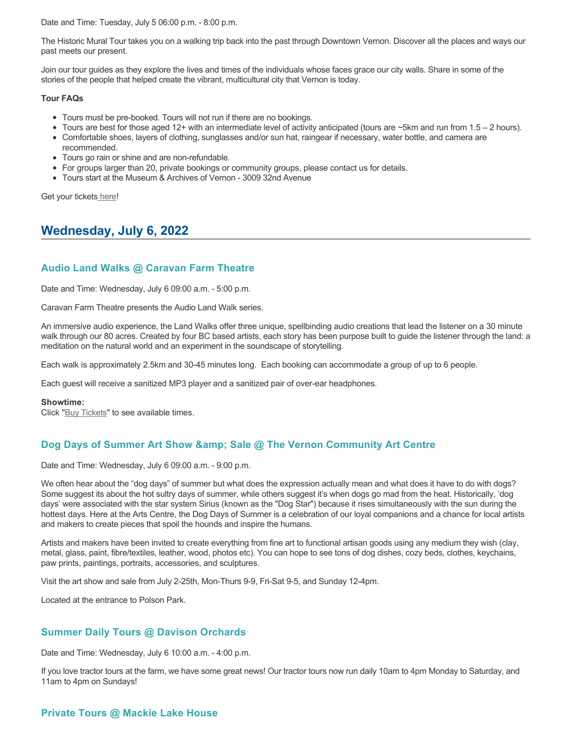Date and Time: Tuesday, July 5 06:00 p.m. - 8:00 p.m.

The Historic Mural Tour takes you on a walking trip back into the past through Downtown Vernon. Discover all the places and ways our past meets our present.

Join our tour guides as they explore the lives and times of the individuals whose faces grace our city walls. Share in some of the stories of the people that helped create the vibrant, multicultural city that Vernon is today.

### **Tour FAQs**

- Tours must be pre-booked. Tours will not run if there are no bookings.
- Tours are best for those aged 12+ with an intermediate level of activity anticipated (tours are ~5km and run from 1.5 2 hours).
- Comfortable shoes, layers of clothing, sunglasses and/or sun hat, raingear if necessary, water bottle, and camera are recommended.
- Tours go rain or shine and are non-refundable.
- For groups larger than 20, private bookings or community groups, please contact us for details.
- Tours start at the Museum & Archives of Vernon 3009 32nd Avenue

Get your tickets [here!](https://www.eventbrite.com/e/historic-downtown-mural-tours-tickets-304983342387)

# **Wednesday, July 6, 2022**

# **Audio Land Walks @ Caravan Farm Theatre**

Date and Time: Wednesday, July 6 09:00 a.m. - 5:00 p.m.

Caravan Farm Theatre presents the Audio Land Walk series.

An immersive audio experience, the Land Walks offer three unique, spellbinding audio creations that lead the listener on a 30 minute walk through our 80 acres. Created by four BC based artists, each story has been purpose built to guide the listener through the land: a meditation on the natural world and an experiment in the soundscape of storytelling.

Each walk is approximately 2.5km and 30-45 minutes long. Each booking can accommodate a group of up to 6 people.

Each guest will receive a sanitized MP3 player and a sanitized pair of over-ear headphones.

### **Showtime:**

Click "[Buy Tickets](https://caravanfarmtheatre.com/show/the-land-walks/?ct=t%28EMAIL_CAMPAIGN_4_19_2022_13_43SEASON+2022%29&mc_cid=c02afad356&mc_eid=4778eb8892)" to see available times.

# **Dog Days of Summer Art Show & amp: Sale @ The Vernon Community Art Centre**

Date and Time: Wednesday, July 6 09:00 a.m. - 9:00 p.m.

We often hear about the "dog days" of summer but what does the expression actually mean and what does it have to do with dogs? Some suggest its about the hot sultry days of summer, while others suggest it's when dogs go mad from the heat. Historically, 'dog days' were associated with the star system Sirius (known as the "Dog Star") because it rises simultaneously with the sun during the hottest days. Here at the Arts Centre, the Dog Days of Summer is a celebration of our loyal companions and a chance for local artists and makers to create pieces that spoil the hounds and inspire the humans.

Artists and makers have been invited to create everything from fine art to functional artisan goods using any medium they wish (clay, metal, glass, paint, fibre/textiles, leather, wood, photos etc). You can hope to see tons of dog dishes, cozy beds, clothes, keychains, paw prints, paintings, portraits, accessories, and sculptures.

Visit the art show and sale from July 2-25th, Mon-Thurs 9-9, Fri-Sat 9-5, and Sunday 12-4pm.

Located at the entrance to Polson Park.

# **Summer Daily Tours @ Davison Orchards**

Date and Time: Wednesday, July 6 10:00 a.m. - 4:00 p.m.

If you love tractor tours at the farm, we have some great news! Our tractor tours now run daily 10am to 4pm Monday to Saturday, and 11am to 4pm on Sundays!

## **Private Tours @ Mackie Lake House**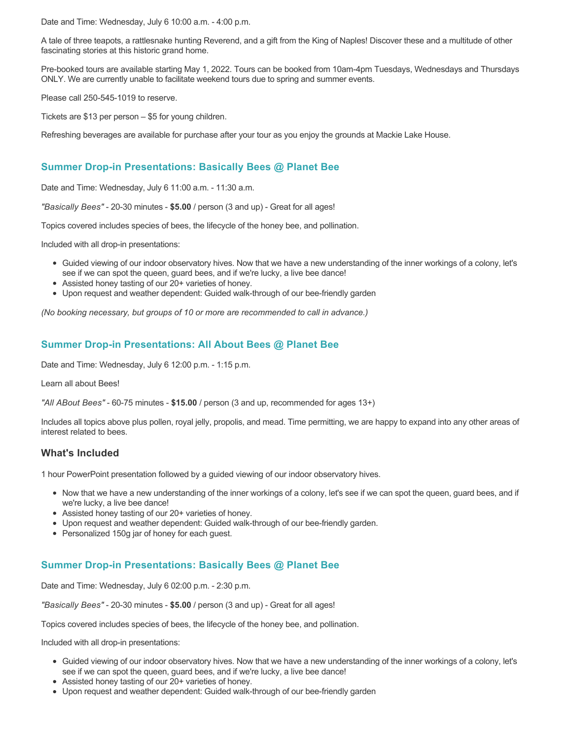Date and Time: Wednesday, July 6 10:00 a.m. - 4:00 p.m.

A tale of three teapots, a rattlesnake hunting Reverend, and a gift from the King of Naples! Discover these and a multitude of other fascinating stories at this historic grand home.

Pre-booked tours are available starting May 1, 2022. Tours can be booked from 10am-4pm Tuesdays, Wednesdays and Thursdays ONLY. We are currently unable to facilitate weekend tours due to spring and summer events.

Please call 250-545-1019 to reserve.

Tickets are \$13 per person – \$5 for young children.

Refreshing beverages are available for purchase after your tour as you enjoy the grounds at Mackie Lake House.

## **Summer Drop-in Presentations: Basically Bees @ Planet Bee**

Date and Time: Wednesday, July 6 11:00 a.m. - 11:30 a.m.

*"Basically Bees"* - 20-30 minutes - **\$5.00** / person (3 and up) - Great for all ages!

Topics covered includes species of bees, the lifecycle of the honey bee, and pollination.

Included with all drop-in presentations:

- Guided viewing of our indoor observatory hives. Now that we have a new understanding of the inner workings of a colony, let's see if we can spot the queen, guard bees, and if we're lucky, a live bee dance!
- Assisted honey tasting of our 20+ varieties of honey.
- Upon request and weather dependent: Guided walk-through of our bee-friendly garden

*(No booking necessary, but groups of 10 or more are recommended to call in advance.)*

## **Summer Drop-in Presentations: All About Bees @ Planet Bee**

Date and Time: Wednesday, July 6 12:00 p.m. - 1:15 p.m.

Learn all about Bees!

*"All ABout Bees"* - 60-75 minutes - **\$15.00** / person (3 and up, recommended for ages 13+)

Includes all topics above plus pollen, royal jelly, propolis, and mead. Time permitting, we are happy to expand into any other areas of interest related to bees.

## **What's Included**

1 hour PowerPoint presentation followed by a guided viewing of our indoor observatory hives.

- Now that we have a new understanding of the inner workings of a colony, let's see if we can spot the queen, guard bees, and if we're lucky, a live bee dance!
- Assisted honey tasting of our 20+ varieties of honey.
- Upon request and weather dependent: Guided walk-through of our bee-friendly garden.
- Personalized 150g jar of honey for each quest.

# **Summer Drop-in Presentations: Basically Bees @ Planet Bee**

Date and Time: Wednesday, July 6 02:00 p.m. - 2:30 p.m.

*"Basically Bees"* - 20-30 minutes - **\$5.00** / person (3 and up) - Great for all ages!

Topics covered includes species of bees, the lifecycle of the honey bee, and pollination.

Included with all drop-in presentations:

- Guided viewing of our indoor observatory hives. Now that we have a new understanding of the inner workings of a colony, let's see if we can spot the queen, guard bees, and if we're lucky, a live bee dance!
- Assisted honey tasting of our 20+ varieties of honey.
- Upon request and weather dependent: Guided walk-through of our bee-friendly garden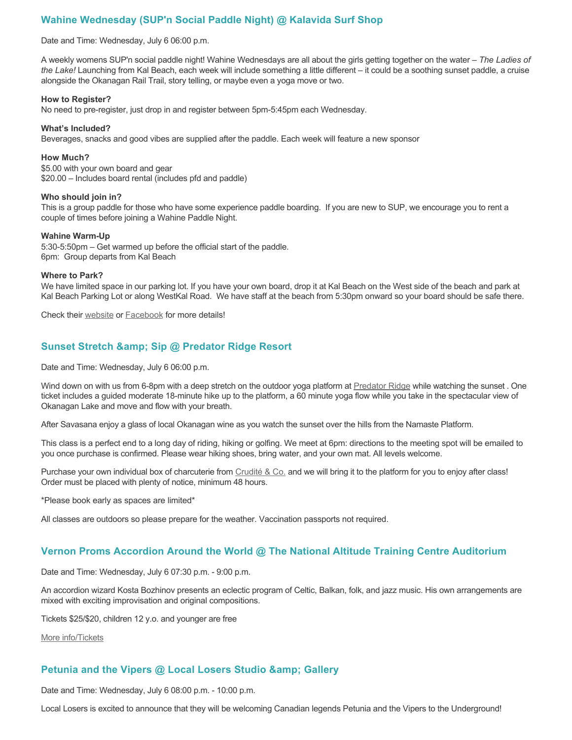# **Wahine Wednesday (SUP'n Social Paddle Night) @ Kalavida Surf Shop**

#### Date and Time: Wednesday, July 6 06:00 p.m.

A weekly womens SUP'n social paddle night! Wahine Wednesdays are all about the girls getting together on the water – *The Ladies of the Lake!* Launching from Kal Beach, each week will include something a little different – it could be a soothing sunset paddle, a cruise alongside the Okanagan Rail Trail, story telling, or maybe even a yoga move or two.

#### **How to Register?**

No need to pre-register, just drop in and register between 5pm-5:45pm each Wednesday.

#### **What's Included?**

Beverages, snacks and good vibes are supplied after the paddle. Each week will feature a new sponsor

#### **How Much?**

\$5.00 with your own board and gear \$20.00 – Includes board rental (includes pfd and paddle)

#### **Who should join in?**

This is a group paddle for those who have some experience paddle boarding. If you are new to SUP, we encourage you to rent a couple of times before joining a Wahine Paddle Night.

#### **Wahine Warm-Up**

5:30-5:50pm – Get warmed up before the official start of the paddle. 6pm: Group departs from Kal Beach

#### **Where to Park?**

We have limited space in our parking lot. If you have your own board, drop it at Kal Beach on the West side of the beach and park at Kal Beach Parking Lot or along WestKal Road. We have staff at the beach from 5:30pm onward so your board should be safe there.

Check their [website](https://kalavidasurfshop.com/wahine-wednesday-kalavida/) or [Facebook](https://www.facebook.com/kalavidasurfshop/) for more details!

## **Sunset Stretch & amp; Sip @ Predator Ridge Resort**

Date and Time: Wednesday, July 6 06:00 p.m.

Wind down on with us from 6-8pm with a deep stretch on the outdoor yoga platform at [Predator Ridge](https://www.predatorridge.com/events) while watching the sunset. One ticket includes a guided moderate 18-minute hike up to the platform, a 60 minute yoga flow while you take in the spectacular view of Okanagan Lake and move and flow with your breath.

After Savasana enjoy a glass of local Okanagan wine as you watch the sunset over the hills from the Namaste Platform.

This class is a perfect end to a long day of riding, hiking or golfing. We meet at 6pm: directions to the meeting spot will be emailed to you once purchase is confirmed. Please wear hiking shoes, bring water, and your own mat. All levels welcome.

Purchase your own individual box of charcuterie from [Crudité & Co.](https://cruditeandco.com/product/picnic-platter/) and we will bring it to the platform for you to enjoy after class! Order must be placed with plenty of notice, minimum 48 hours.

\*Please book early as spaces are limited\*

All classes are outdoors so please prepare for the weather. Vaccination passports not required.

### **Vernon Proms Accordion Around the World @ The National Altitude Training Centre Auditorium**

Date and Time: Wednesday, July 6 07:30 p.m. - 9:00 p.m.

An accordion wizard Kosta Bozhinov presents an eclectic program of Celtic, Balkan, folk, and jazz music. His own arrangements are mixed with exciting improvisation and original compositions.

Tickets \$25/\$20, children 12 y.o. and younger are free

[More info/Tickets](https://proms.eventcalendarapp.com/u/36415/evt_external_62845d7084cce5260a3f5391?repeatId=evt_external_62845d7084cce5260a3f5391)

### **Petunia and the Vipers @ Local Losers Studio & amp: Gallery**

Date and Time: Wednesday, July 6 08:00 p.m. - 10:00 p.m.

Local Losers is excited to announce that they will be welcoming Canadian legends Petunia and the Vipers to the Underground!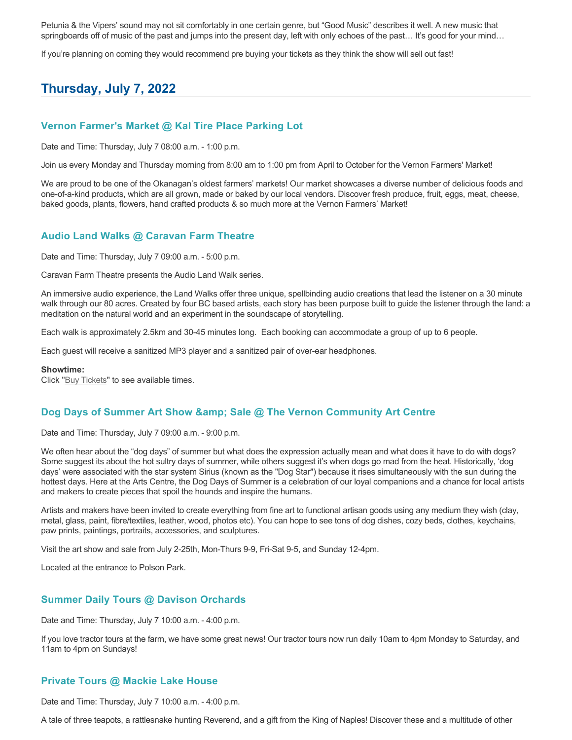Petunia & the Vipers' sound may not sit comfortably in one certain genre, but "Good Music" describes it well. A new music that springboards off of music of the past and jumps into the present day, left with only echoes of the past... It's good for your mind...

If you're planning on coming they would recommend pre buying your tickets as they think the show will sell out fast!

# **Thursday, July 7, 2022**

## **Vernon Farmer's Market @ Kal Tire Place Parking Lot**

Date and Time: Thursday, July 7 08:00 a.m. - 1:00 p.m.

Join us every Monday and Thursday morning from 8:00 am to 1:00 pm from April to October for the Vernon Farmers' Market!

We are proud to be one of the Okanagan's oldest farmers' markets! Our market showcases a diverse number of delicious foods and one-of-a-kind products, which are all grown, made or baked by our local vendors. Discover fresh produce, fruit, eggs, meat, cheese, baked goods, plants, flowers, hand crafted products & so much more at the Vernon Farmers' Market!

### **Audio Land Walks @ Caravan Farm Theatre**

Date and Time: Thursday, July 7 09:00 a.m. - 5:00 p.m.

Caravan Farm Theatre presents the Audio Land Walk series.

An immersive audio experience, the Land Walks offer three unique, spellbinding audio creations that lead the listener on a 30 minute walk through our 80 acres. Created by four BC based artists, each story has been purpose built to guide the listener through the land: a meditation on the natural world and an experiment in the soundscape of storytelling.

Each walk is approximately 2.5km and 30-45 minutes long. Each booking can accommodate a group of up to 6 people.

Each guest will receive a sanitized MP3 player and a sanitized pair of over-ear headphones.

#### **Showtime:**

Click "[Buy Tickets](https://caravanfarmtheatre.com/show/the-land-walks/?ct=t%28EMAIL_CAMPAIGN_4_19_2022_13_43SEASON+2022%29&mc_cid=c02afad356&mc_eid=4778eb8892)" to see available times.

### **Dog Days of Summer Art Show & amp: Sale @ The Vernon Community Art Centre**

Date and Time: Thursday, July 7 09:00 a.m. - 9:00 p.m.

We often hear about the "dog days" of summer but what does the expression actually mean and what does it have to do with dogs? Some suggest its about the hot sultry days of summer, while others suggest it's when dogs go mad from the heat. Historically, 'dog days' were associated with the star system Sirius (known as the "Dog Star") because it rises simultaneously with the sun during the hottest days. Here at the Arts Centre, the Dog Days of Summer is a celebration of our loyal companions and a chance for local artists and makers to create pieces that spoil the hounds and inspire the humans.

Artists and makers have been invited to create everything from fine art to functional artisan goods using any medium they wish (clay, metal, glass, paint, fibre/textiles, leather, wood, photos etc). You can hope to see tons of dog dishes, cozy beds, clothes, keychains, paw prints, paintings, portraits, accessories, and sculptures.

Visit the art show and sale from July 2-25th, Mon-Thurs 9-9, Fri-Sat 9-5, and Sunday 12-4pm.

Located at the entrance to Polson Park.

### **Summer Daily Tours @ Davison Orchards**

Date and Time: Thursday, July 7 10:00 a.m. - 4:00 p.m.

If you love tractor tours at the farm, we have some great news! Our tractor tours now run daily 10am to 4pm Monday to Saturday, and 11am to 4pm on Sundays!

## **Private Tours @ Mackie Lake House**

Date and Time: Thursday, July 7 10:00 a.m. - 4:00 p.m.

A tale of three teapots, a rattlesnake hunting Reverend, and a gift from the King of Naples! Discover these and a multitude of other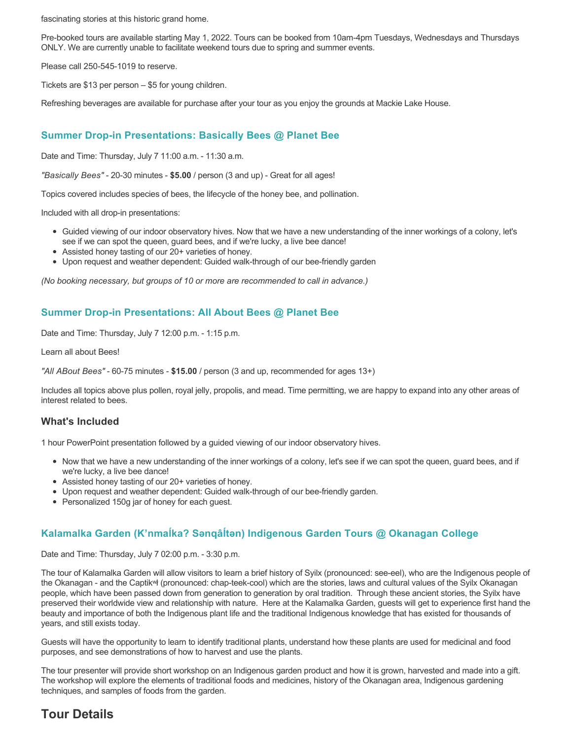fascinating stories at this historic grand home.

Pre-booked tours are available starting May 1, 2022. Tours can be booked from 10am-4pm Tuesdays, Wednesdays and Thursdays ONLY. We are currently unable to facilitate weekend tours due to spring and summer events.

Please call 250-545-1019 to reserve.

Tickets are \$13 per person – \$5 for young children.

Refreshing beverages are available for purchase after your tour as you enjoy the grounds at Mackie Lake House.

## **Summer Drop-in Presentations: Basically Bees @ Planet Bee**

Date and Time: Thursday, July 7 11:00 a.m. - 11:30 a.m.

*"Basically Bees"* - 20-30 minutes - **\$5.00** / person (3 and up) - Great for all ages!

Topics covered includes species of bees, the lifecycle of the honey bee, and pollination.

Included with all drop-in presentations:

- Guided viewing of our indoor observatory hives. Now that we have a new understanding of the inner workings of a colony, let's see if we can spot the queen, guard bees, and if we're lucky, a live bee dance!
- Assisted honey tasting of our 20+ varieties of honey.
- Upon request and weather dependent: Guided walk-through of our bee-friendly garden

*(No booking necessary, but groups of 10 or more are recommended to call in advance.)*

## **Summer Drop-in Presentations: All About Bees @ Planet Bee**

Date and Time: Thursday, July 7 12:00 p.m. - 1:15 p.m.

Learn all about Bees!

*"All ABout Bees"* - 60-75 minutes - **\$15.00** / person (3 and up, recommended for ages 13+)

Includes all topics above plus pollen, royal jelly, propolis, and mead. Time permitting, we are happy to expand into any other areas of interest related to bees.

### **What's Included**

1 hour PowerPoint presentation followed by a guided viewing of our indoor observatory hives.

- Now that we have a new understanding of the inner workings of a colony, let's see if we can spot the queen, guard bees, and if we're lucky, a live bee dance!
- Assisted honey tasting of our 20+ varieties of honey.
- Upon request and weather dependent: Guided walk-through of our bee-friendly garden.
- Personalized 150g jar of honey for each guest.

## **Kalamalka Garden (K'nmaĺka? Sәnqâĺtәn) Indigenous Garden Tours @ Okanagan College**

Date and Time: Thursday, July 7 02:00 p.m. - 3:30 p.m.

The tour of Kalamalka Garden will allow visitors to learn a brief history of Syilx (pronounced: see-eel), who are the Indigenous people of the Okanagan - and the Captikʷł (pronounced: chap-teek-cool) which are the stories, laws and cultural values of the Syilx Okanagan people, which have been passed down from generation to generation by oral tradition. Through these ancient stories, the Syilx have preserved their worldwide view and relationship with nature. Here at the Kalamalka Garden, guests will get to experience first hand the beauty and importance of both the Indigenous plant life and the traditional Indigenous knowledge that has existed for thousands of years, and still exists today.

Guests will have the opportunity to learn to identify traditional plants, understand how these plants are used for medicinal and food purposes, and see demonstrations of how to harvest and use the plants.

The tour presenter will provide short workshop on an Indigenous garden product and how it is grown, harvested and made into a gift. The workshop will explore the elements of traditional foods and medicines, history of the Okanagan area, Indigenous gardening techniques, and samples of foods from the garden.

# **Tour Details**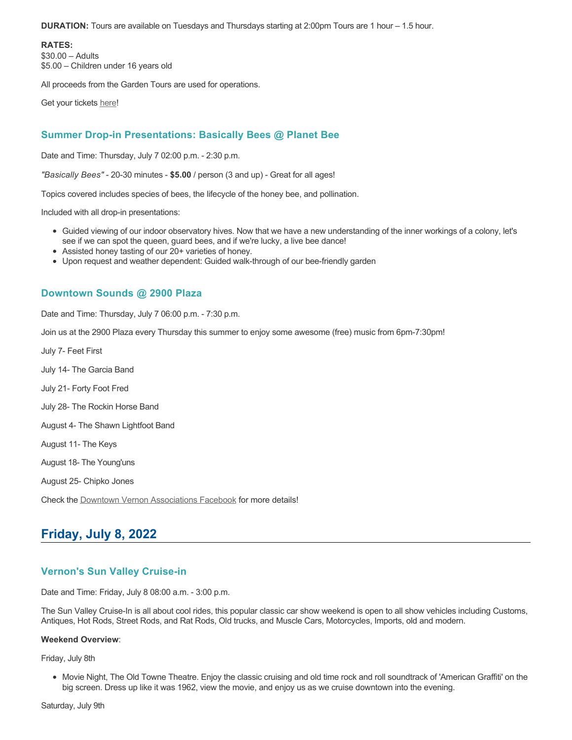**DURATION:** Tours are available on Tuesdays and Thursdays starting at 2:00pm Tours are 1 hour – 1.5 hour.

**RATES:** \$30.00 – Adults \$5.00 – Children under 16 years old

All proceeds from the Garden Tours are used for operations.

Get your tickets [here!](https://www.eventbrite.ca/e/kalamalka-garden-tour-tickets-158617843239)

## **Summer Drop-in Presentations: Basically Bees @ Planet Bee**

Date and Time: Thursday, July 7 02:00 p.m. - 2:30 p.m.

*"Basically Bees"* - 20-30 minutes - **\$5.00** / person (3 and up) - Great for all ages!

Topics covered includes species of bees, the lifecycle of the honey bee, and pollination.

Included with all drop-in presentations:

- Guided viewing of our indoor observatory hives. Now that we have a new understanding of the inner workings of a colony, let's see if we can spot the queen, guard bees, and if we're lucky, a live bee dance!
- Assisted honey tasting of our 20+ varieties of honey.
- Upon request and weather dependent: Guided walk-through of our bee-friendly garden

## **Downtown Sounds @ 2900 Plaza**

Date and Time: Thursday, July 7 06:00 p.m. - 7:30 p.m.

Join us at the 2900 Plaza every Thursday this summer to enjoy some awesome (free) music from 6pm-7:30pm!

July 7- Feet First

July 14- The Garcia Band

July 21- Forty Foot Fred

July 28- The Rockin Horse Band

August 4- The Shawn Lightfoot Band

August 11- The Keys

August 18- The Young'uns

August 25- Chipko Jones

Check the [Downtown Vernon Associations Facebook](https://www.facebook.com/downtownvernon/) for more details!

# **Friday, July 8, 2022**

## **Vernon's Sun Valley Cruise-in**

Date and Time: Friday, July 8 08:00 a.m. - 3:00 p.m.

The Sun Valley Cruise-In is all about cool rides, this popular classic car show weekend is open to all show vehicles including Customs, Antiques, Hot Rods, Street Rods, and Rat Rods, Old trucks, and Muscle Cars, Motorcycles, Imports, old and modern.

### **Weekend Overview**:

Friday, July 8th

Movie Night, The Old Towne Theatre. Enjoy the classic cruising and old time rock and roll soundtrack of 'American Graffiti' on the big screen. Dress up like it was 1962, view the movie, and enjoy us as we cruise downtown into the evening.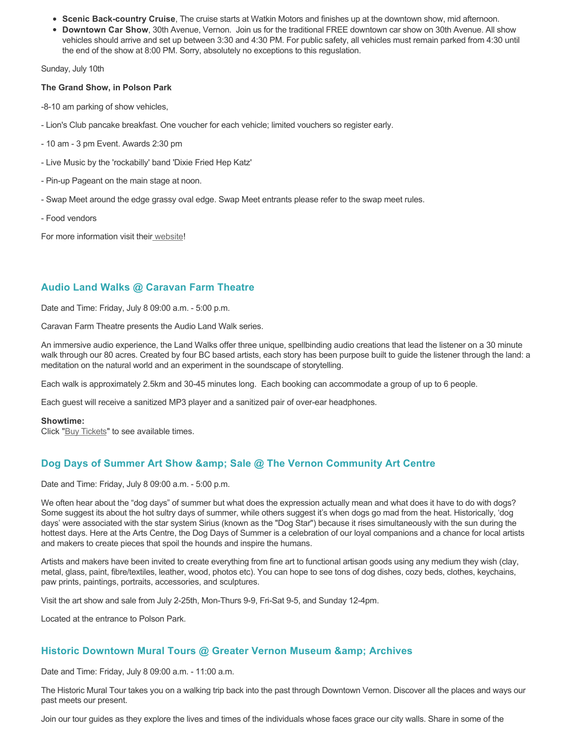- **Scenic Back-country Cruise**, The cruise starts at Watkin Motors and finishes up at the downtown show, mid afternoon.
- **Downtown Car Show**, 30th Avenue, Vernon. Join us for the traditional FREE downtown car show on 30th Avenue. All show vehicles should arrive and set up between 3:30 and 4:30 PM. For public safety, all vehicles must remain parked from 4:30 until the end of the show at 8:00 PM. Sorry, absolutely no exceptions to this reguslation.

Sunday, July 10th

### **The Grand Show, in Polson Park**

-8-10 am parking of show vehicles,

- Lion's Club pancake breakfast. One voucher for each vehicle; limited vouchers so register early.
- 10 am 3 pm Event. Awards 2:30 pm
- Live Music by the 'rockabilly' band 'Dixie Fried Hep Katz'
- Pin-up Pageant on the main stage at noon.
- Swap Meet around the edge grassy oval edge. Swap Meet entrants please refer to the swap meet rules.
- Food vendors

For more information visit thei[r website](https://www.vernoncruisein.com/)!

## **Audio Land Walks @ Caravan Farm Theatre**

Date and Time: Friday, July 8 09:00 a.m. - 5:00 p.m.

Caravan Farm Theatre presents the Audio Land Walk series.

An immersive audio experience, the Land Walks offer three unique, spellbinding audio creations that lead the listener on a 30 minute walk through our 80 acres. Created by four BC based artists, each story has been purpose built to guide the listener through the land: a meditation on the natural world and an experiment in the soundscape of storytelling.

Each walk is approximately 2.5km and 30-45 minutes long. Each booking can accommodate a group of up to 6 people.

Each guest will receive a sanitized MP3 player and a sanitized pair of over-ear headphones.

#### **Showtime:**

Click "[Buy Tickets](https://caravanfarmtheatre.com/show/the-land-walks/?ct=t%28EMAIL_CAMPAIGN_4_19_2022_13_43SEASON+2022%29&mc_cid=c02afad356&mc_eid=4778eb8892)" to see available times.

## **Dog Days of Summer Art Show & amp: Sale @ The Vernon Community Art Centre**

Date and Time: Friday, July 8 09:00 a.m. - 5:00 p.m.

We often hear about the "dog days" of summer but what does the expression actually mean and what does it have to do with dogs? Some suggest its about the hot sultry days of summer, while others suggest it's when dogs go mad from the heat. Historically, 'dog days' were associated with the star system Sirius (known as the "Dog Star") because it rises simultaneously with the sun during the hottest days. Here at the Arts Centre, the Dog Days of Summer is a celebration of our loyal companions and a chance for local artists and makers to create pieces that spoil the hounds and inspire the humans.

Artists and makers have been invited to create everything from fine art to functional artisan goods using any medium they wish (clay, metal, glass, paint, fibre/textiles, leather, wood, photos etc). You can hope to see tons of dog dishes, cozy beds, clothes, keychains, paw prints, paintings, portraits, accessories, and sculptures.

Visit the art show and sale from July 2-25th, Mon-Thurs 9-9, Fri-Sat 9-5, and Sunday 12-4pm.

Located at the entrance to Polson Park.

## **Historic Downtown Mural Tours @ Greater Vernon Museum & Archives**

Date and Time: Friday, July 8 09:00 a.m. - 11:00 a.m.

The Historic Mural Tour takes you on a walking trip back into the past through Downtown Vernon. Discover all the places and ways our past meets our present.

Join our tour guides as they explore the lives and times of the individuals whose faces grace our city walls. Share in some of the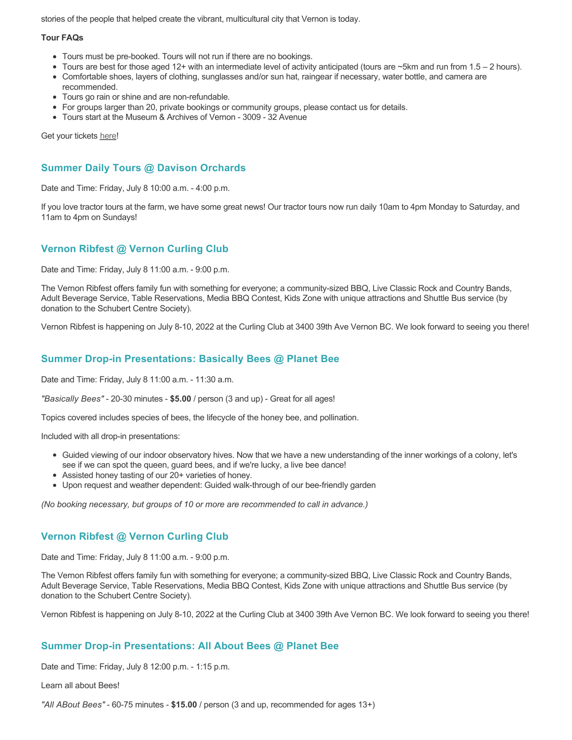stories of the people that helped create the vibrant, multicultural city that Vernon is today.

### **Tour FAQs**

- Tours must be pre-booked. Tours will not run if there are no bookings.
- Tours are best for those aged 12+ with an intermediate level of activity anticipated (tours are ~5km and run from 1.5 2 hours).
- Comfortable shoes, layers of clothing, sunglasses and/or sun hat, raingear if necessary, water bottle, and camera are recommended.
- Tours go rain or shine and are non-refundable.
- For groups larger than 20, private bookings or community groups, please contact us for details.
- Tours start at the Museum & Archives of Vernon 3009 32 Avenue

Get your tickets [here!](https://www.eventbrite.com/e/historic-downtown-mural-tours-tickets-304983342387)

## **Summer Daily Tours @ Davison Orchards**

Date and Time: Friday, July 8 10:00 a.m. - 4:00 p.m.

If you love tractor tours at the farm, we have some great news! Our tractor tours now run daily 10am to 4pm Monday to Saturday, and 11am to 4pm on Sundays!

## **Vernon Ribfest @ Vernon Curling Club**

Date and Time: Friday, July 8 11:00 a.m. - 9:00 p.m.

The Vernon Ribfest offers family fun with something for everyone; a community-sized BBQ, Live Classic Rock and Country Bands, Adult Beverage Service, Table Reservations, Media BBQ Contest, Kids Zone with unique attractions and Shuttle Bus service (by donation to the Schubert Centre Society).

Vernon Ribfest is happening on July 8-10, 2022 at the Curling Club at 3400 39th Ave Vernon BC. We look forward to seeing you there!

## **Summer Drop-in Presentations: Basically Bees @ Planet Bee**

Date and Time: Friday, July 8 11:00 a.m. - 11:30 a.m.

*"Basically Bees"* - 20-30 minutes - **\$5.00** / person (3 and up) - Great for all ages!

Topics covered includes species of bees, the lifecycle of the honey bee, and pollination.

Included with all drop-in presentations:

- Guided viewing of our indoor observatory hives. Now that we have a new understanding of the inner workings of a colony, let's see if we can spot the queen, guard bees, and if we're lucky, a live bee dance!
- Assisted honey tasting of our 20+ varieties of honey.
- Upon request and weather dependent: Guided walk-through of our bee-friendly garden

*(No booking necessary, but groups of 10 or more are recommended to call in advance.)*

# **Vernon Ribfest @ Vernon Curling Club**

Date and Time: Friday, July 8 11:00 a.m. - 9:00 p.m.

The Vernon Ribfest offers family fun with something for everyone; a community-sized BBQ, Live Classic Rock and Country Bands, Adult Beverage Service, Table Reservations, Media BBQ Contest, Kids Zone with unique attractions and Shuttle Bus service (by donation to the Schubert Centre Society).

Vernon Ribfest is happening on July 8-10, 2022 at the Curling Club at 3400 39th Ave Vernon BC. We look forward to seeing you there!

## **Summer Drop-in Presentations: All About Bees @ Planet Bee**

Date and Time: Friday, July 8 12:00 p.m. - 1:15 p.m.

Learn all about Bees!

*"All ABout Bees"* - 60-75 minutes - **\$15.00** / person (3 and up, recommended for ages 13+)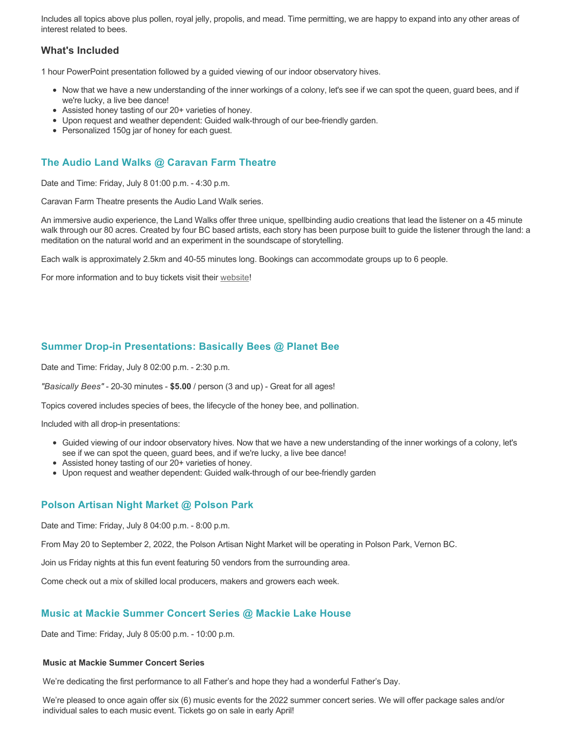Includes all topics above plus pollen, royal jelly, propolis, and mead. Time permitting, we are happy to expand into any other areas of interest related to bees.

## **What's Included**

1 hour PowerPoint presentation followed by a guided viewing of our indoor observatory hives.

- Now that we have a new understanding of the inner workings of a colony, let's see if we can spot the queen, guard bees, and if we're lucky, a live bee dance!
- Assisted honey tasting of our 20+ varieties of honey.
- Upon request and weather dependent: Guided walk-through of our bee-friendly garden.
- Personalized 150g jar of honey for each guest.

# **The Audio Land Walks @ Caravan Farm Theatre**

Date and Time: Friday, July 8 01:00 p.m. - 4:30 p.m.

Caravan Farm Theatre presents the Audio Land Walk series.

An immersive audio experience, the Land Walks offer three unique, spellbinding audio creations that lead the listener on a 45 minute walk through our 80 acres. Created by four BC based artists, each story has been purpose built to guide the listener through the land: a meditation on the natural world and an experiment in the soundscape of storytelling.

Each walk is approximately 2.5km and 40-55 minutes long. Bookings can accommodate groups up to 6 people.

For more information and to buy tickets visit their [website!](https://caravanfarmtheatre.com/show/the-land-walks/)

## **Summer Drop-in Presentations: Basically Bees @ Planet Bee**

Date and Time: Friday, July 8 02:00 p.m. - 2:30 p.m.

*"Basically Bees"* - 20-30 minutes - **\$5.00** / person (3 and up) - Great for all ages!

Topics covered includes species of bees, the lifecycle of the honey bee, and pollination.

Included with all drop-in presentations:

- Guided viewing of our indoor observatory hives. Now that we have a new understanding of the inner workings of a colony, let's see if we can spot the queen, guard bees, and if we're lucky, a live bee dance!
- Assisted honey tasting of our 20+ varieties of honey.
- Upon request and weather dependent: Guided walk-through of our bee-friendly garden

## **Polson Artisan Night Market @ Polson Park**

Date and Time: Friday, July 8 04:00 p.m. - 8:00 p.m.

From May 20 to September 2, 2022, the Polson Artisan Night Market will be operating in Polson Park, Vernon BC.

Join us Friday nights at this fun event featuring 50 vendors from the surrounding area.

Come check out a mix of skilled local producers, makers and growers each week.

## **Music at Mackie Summer Concert Series @ Mackie Lake House**

Date and Time: Friday, July 8 05:00 p.m. - 10:00 p.m.

### **Music at Mackie Summer Concert Series**

We're dedicating the first performance to all Father's and hope they had a wonderful Father's Day.

We're pleased to once again offer six (6) music events for the 2022 summer concert series. We will offer package sales and/or individual sales to each music event. Tickets go on sale in early April!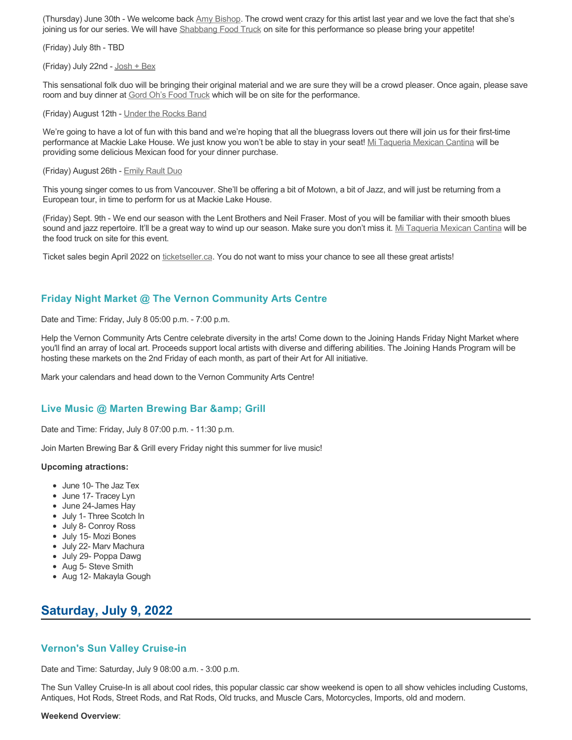(Thursday) June 30th - We welcome back [Amy Bishop.](https://protect-ca.mimecast.com/s/97KDCk8v46IYY8Pc4eTtT?domain=mackiehouse.us3.list-manage.com) The crowd went crazy for this artist last year and we love the fact that she's joining us for our series. We will have [Shabbang Food Truck](https://protect-ca.mimecast.com/s/hGWiClxw48FOO0jTKiFD6?domain=mackiehouse.us3.list-manage.com) on site for this performance so please bring your appetite!

(Friday) July 8th - TBD

(Friday) July 22nd - [Josh + Bex](https://protect-ca.mimecast.com/s/LfcBCmOx47s11B9u0QwFr?domain=mackiehouse.us3.list-manage.com)

This sensational folk duo will be bringing their original material and we are sure they will be a crowd pleaser. Once again, please save room and buy dinner at **Gord Oh's Food Truck** which will be on site for the performance.

(Friday) August 12th - [Under the Rocks Band](https://protect-ca.mimecast.com/s/wmzjCoVz4AhlljQujeM8P?domain=mackiehouse.us3.list-manage.com)

We're going to have a lot of fun with this band and we're hoping that all the bluegrass lovers out there will join us for their first-time performance at Mackie Lake House. We just know you won't be able to stay in your seat! [Mi Taqueria Mexican Cantina](https://protect-ca.mimecast.com/s/IidvCp8A59IQQ17s1mbiS?domain=mackiehouse.us3.list-manage.com) will be providing some delicious Mexican food for your dinner purchase.

#### (Friday) August 26th - [Emily Rault Duo](https://protect-ca.mimecast.com/s/1ZJZCq7B4AsLLKVczxAAc?domain=mackiehouse.us3.list-manage.com)

This young singer comes to us from Vancouver. She'll be offering a bit of Motown, a bit of Jazz, and will just be returning from a European tour, in time to perform for us at Mackie Lake House.

(Friday) Sept. 9th - We end our season with the Lent Brothers and Neil Fraser. Most of you will be familiar with their smooth blues sound and jazz repertoire. It'll be a great way to wind up our season. Make sure you don't miss it. [Mi Taqueria Mexican Cantina](https://protect-ca.mimecast.com/s/mUjmCr8D4gIwwPWTPinKw?domain=mackiehouse.us3.list-manage.com) will be the food truck on site for this event.

Ticket sales begin April 2022 on [ticketseller.ca.](https://ticketseller.ca/) You do not want to miss your chance to see all these great artists!

### **Friday Night Market @ The Vernon Community Arts Centre**

Date and Time: Friday, July 8 05:00 p.m. - 7:00 p.m.

Help the Vernon Community Arts Centre celebrate diversity in the arts! Come down to the Joining Hands Friday Night Market where you'll find an array of local art. Proceeds support local artists with diverse and differing abilities. The Joining Hands Program will be hosting these markets on the 2nd Friday of each month, as part of their Art for All initiative.

Mark your calendars and head down to the Vernon Community Arts Centre!

### Live Music @ Marten Brewing Bar & amp; Grill

Date and Time: Friday, July 8 07:00 p.m. - 11:30 p.m.

Join Marten Brewing Bar & Grill every Friday night this summer for live music!

#### **Upcoming atractions:**

- June 10- The Jaz Tex
- June 17- Tracev Lyn
- June 24-James Hay
- July 1- Three Scotch In
- July 8- Conroy Ross
- July 15- Mozi Bones
- July 22- Marv Machura
- July 29- Poppa Dawg
- Aug 5- Steve Smith
- Aug 12- Makayla Gough

# **Saturday, July 9, 2022**

### **Vernon's Sun Valley Cruise-in**

Date and Time: Saturday, July 9 08:00 a.m. - 3:00 p.m.

The Sun Valley Cruise-In is all about cool rides, this popular classic car show weekend is open to all show vehicles including Customs, Antiques, Hot Rods, Street Rods, and Rat Rods, Old trucks, and Muscle Cars, Motorcycles, Imports, old and modern.

#### **Weekend Overview**: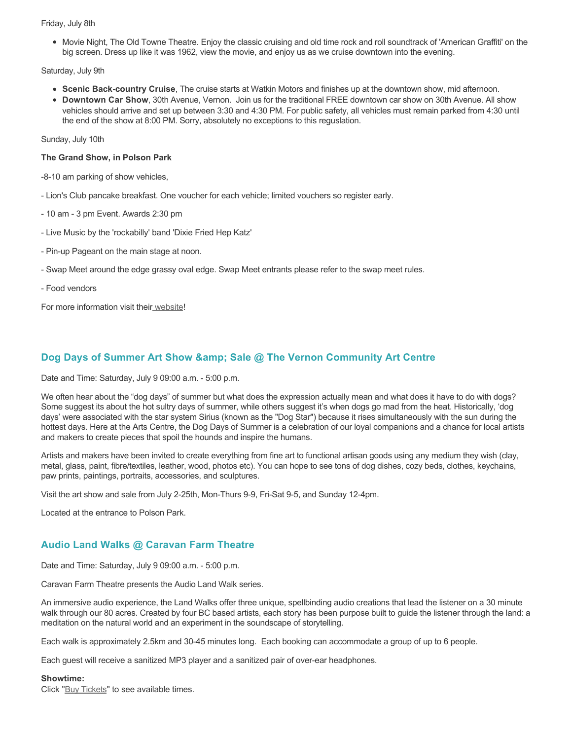#### Friday, July 8th

• Movie Night, The Old Towne Theatre. Enjoy the classic cruising and old time rock and roll soundtrack of 'American Graffiti' on the big screen. Dress up like it was 1962, view the movie, and enjoy us as we cruise downtown into the evening.

Saturday, July 9th

- **Scenic Back-country Cruise**, The cruise starts at Watkin Motors and finishes up at the downtown show, mid afternoon.
- **Downtown Car Show**, 30th Avenue, Vernon. Join us for the traditional FREE downtown car show on 30th Avenue. All show vehicles should arrive and set up between 3:30 and 4:30 PM. For public safety, all vehicles must remain parked from 4:30 until the end of the show at 8:00 PM. Sorry, absolutely no exceptions to this reguslation.

Sunday, July 10th

#### **The Grand Show, in Polson Park**

-8-10 am parking of show vehicles,

- Lion's Club pancake breakfast. One voucher for each vehicle; limited vouchers so register early.
- 10 am 3 pm Event. Awards 2:30 pm
- Live Music by the 'rockabilly' band 'Dixie Fried Hep Katz'
- Pin-up Pageant on the main stage at noon.
- Swap Meet around the edge grassy oval edge. Swap Meet entrants please refer to the swap meet rules.
- Food vendors

For more information visit thei[r website](https://www.vernoncruisein.com/)!

## **Dog Days of Summer Art Show & amp: Sale @ The Vernon Community Art Centre**

Date and Time: Saturday, July 9 09:00 a.m. - 5:00 p.m.

We often hear about the "dog days" of summer but what does the expression actually mean and what does it have to do with dogs? Some suggest its about the hot sultry days of summer, while others suggest it's when dogs go mad from the heat. Historically, 'dog days' were associated with the star system Sirius (known as the "Dog Star") because it rises simultaneously with the sun during the hottest days. Here at the Arts Centre, the Dog Days of Summer is a celebration of our loyal companions and a chance for local artists and makers to create pieces that spoil the hounds and inspire the humans.

Artists and makers have been invited to create everything from fine art to functional artisan goods using any medium they wish (clay, metal, glass, paint, fibre/textiles, leather, wood, photos etc). You can hope to see tons of dog dishes, cozy beds, clothes, keychains, paw prints, paintings, portraits, accessories, and sculptures.

Visit the art show and sale from July 2-25th, Mon-Thurs 9-9, Fri-Sat 9-5, and Sunday 12-4pm.

Located at the entrance to Polson Park.

## **Audio Land Walks @ Caravan Farm Theatre**

Date and Time: Saturday, July 9 09:00 a.m. - 5:00 p.m.

Caravan Farm Theatre presents the Audio Land Walk series.

An immersive audio experience, the Land Walks offer three unique, spellbinding audio creations that lead the listener on a 30 minute walk through our 80 acres. Created by four BC based artists, each story has been purpose built to guide the listener through the land: a meditation on the natural world and an experiment in the soundscape of storytelling.

Each walk is approximately 2.5km and 30-45 minutes long. Each booking can accommodate a group of up to 6 people.

Each guest will receive a sanitized MP3 player and a sanitized pair of over-ear headphones.

#### **Showtime:**

Click "[Buy Tickets](https://caravanfarmtheatre.com/show/the-land-walks/?ct=t%28EMAIL_CAMPAIGN_4_19_2022_13_43SEASON+2022%29&mc_cid=c02afad356&mc_eid=4778eb8892)" to see available times.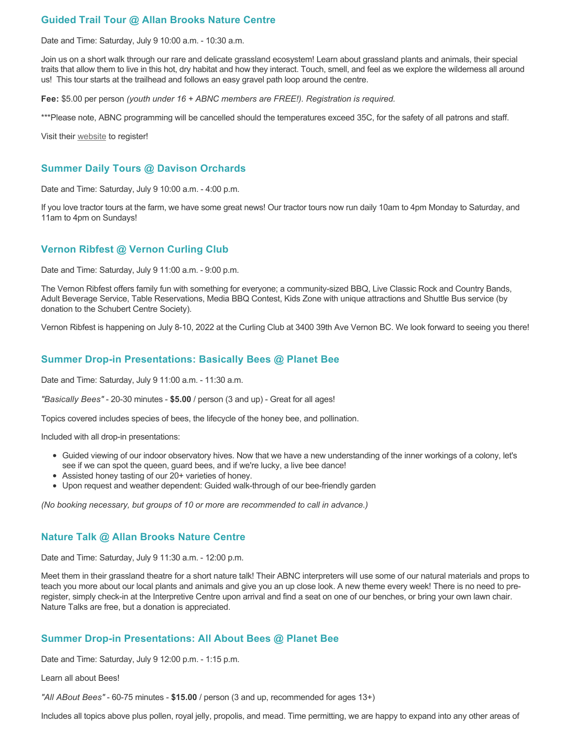## **Guided Trail Tour @ Allan Brooks Nature Centre**

Date and Time: Saturday, July 9 10:00 a.m. - 10:30 a.m.

Join us on a short walk through our rare and delicate grassland ecosystem! Learn about grassland plants and animals, their special traits that allow them to live in this hot, dry habitat and how they interact. Touch, smell, and feel as we explore the wilderness all around us! This tour starts at the trailhead and follows an easy gravel path loop around the centre.

**Fee:** \$5.00 per person *(youth under 16 + ABNC members are FREE!). Registration is required.* 

\*\*\*Please note, ABNC programming will be cancelled should the temperatures exceed 35C, for the safety of all patrons and staff.

Visit their [website](https://abnc.ca/events/events-calendar/) to register!

### **Summer Daily Tours @ Davison Orchards**

Date and Time: Saturday, July 9 10:00 a.m. - 4:00 p.m.

If you love tractor tours at the farm, we have some great news! Our tractor tours now run daily 10am to 4pm Monday to Saturday, and 11am to 4pm on Sundays!

## **Vernon Ribfest @ Vernon Curling Club**

Date and Time: Saturday, July 9 11:00 a.m. - 9:00 p.m.

The Vernon Ribfest offers family fun with something for everyone; a community-sized BBQ, Live Classic Rock and Country Bands, Adult Beverage Service, Table Reservations, Media BBQ Contest, Kids Zone with unique attractions and Shuttle Bus service (by donation to the Schubert Centre Society).

Vernon Ribfest is happening on July 8-10, 2022 at the Curling Club at 3400 39th Ave Vernon BC. We look forward to seeing you there!

### **Summer Drop-in Presentations: Basically Bees @ Planet Bee**

Date and Time: Saturday, July 9 11:00 a.m. - 11:30 a.m.

*"Basically Bees"* - 20-30 minutes - **\$5.00** / person (3 and up) - Great for all ages!

Topics covered includes species of bees, the lifecycle of the honey bee, and pollination.

Included with all drop-in presentations:

- Guided viewing of our indoor observatory hives. Now that we have a new understanding of the inner workings of a colony, let's see if we can spot the queen, guard bees, and if we're lucky, a live bee dance!
- Assisted honey tasting of our 20+ varieties of honey.
- Upon request and weather dependent: Guided walk-through of our bee-friendly garden

*(No booking necessary, but groups of 10 or more are recommended to call in advance.)*

### **Nature Talk @ Allan Brooks Nature Centre**

Date and Time: Saturday, July 9 11:30 a.m. - 12:00 p.m.

Meet them in their grassland theatre for a short nature talk! Their ABNC interpreters will use some of our natural materials and props to teach you more about our local plants and animals and give you an up close look. A new theme every week! There is no need to preregister, simply check-in at the Interpretive Centre upon arrival and find a seat on one of our benches, or bring your own lawn chair. Nature Talks are free, but a donation is appreciated.

### **Summer Drop-in Presentations: All About Bees @ Planet Bee**

Date and Time: Saturday, July 9 12:00 p.m. - 1:15 p.m.

Learn all about Bees!

*"All ABout Bees"* - 60-75 minutes - **\$15.00** / person (3 and up, recommended for ages 13+)

Includes all topics above plus pollen, royal jelly, propolis, and mead. Time permitting, we are happy to expand into any other areas of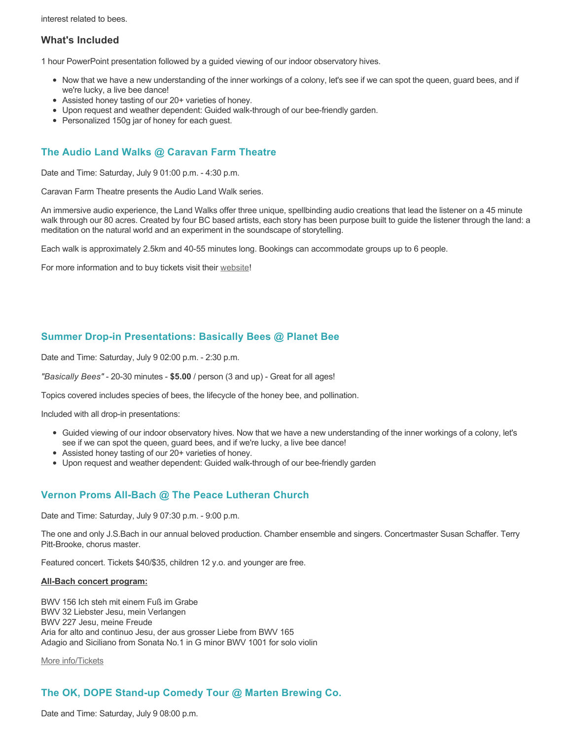interest related to bees.

## **What's Included**

1 hour PowerPoint presentation followed by a guided viewing of our indoor observatory hives.

- Now that we have a new understanding of the inner workings of a colony, let's see if we can spot the queen, guard bees, and if we're lucky, a live bee dance!
- Assisted honey tasting of our 20+ varieties of honey.
- Upon request and weather dependent: Guided walk-through of our bee-friendly garden.
- Personalized 150g jar of honey for each guest.

## **The Audio Land Walks @ Caravan Farm Theatre**

Date and Time: Saturday, July 9 01:00 p.m. - 4:30 p.m.

Caravan Farm Theatre presents the Audio Land Walk series.

An immersive audio experience, the Land Walks offer three unique, spellbinding audio creations that lead the listener on a 45 minute walk through our 80 acres. Created by four BC based artists, each story has been purpose built to guide the listener through the land: a meditation on the natural world and an experiment in the soundscape of storytelling.

Each walk is approximately 2.5km and 40-55 minutes long. Bookings can accommodate groups up to 6 people.

For more information and to buy tickets visit their [website!](https://caravanfarmtheatre.com/show/the-land-walks/)

## **Summer Drop-in Presentations: Basically Bees @ Planet Bee**

Date and Time: Saturday, July 9 02:00 p.m. - 2:30 p.m.

*"Basically Bees"* - 20-30 minutes - **\$5.00** / person (3 and up) - Great for all ages!

Topics covered includes species of bees, the lifecycle of the honey bee, and pollination.

Included with all drop-in presentations:

- Guided viewing of our indoor observatory hives. Now that we have a new understanding of the inner workings of a colony, let's see if we can spot the queen, guard bees, and if we're lucky, a live bee dance!
- Assisted honey tasting of our 20+ varieties of honey.
- Upon request and weather dependent: Guided walk-through of our bee-friendly garden

## **Vernon Proms All-Bach @ The Peace Lutheran Church**

Date and Time: Saturday, July 9 07:30 p.m. - 9:00 p.m.

The one and only J.S.Bach in our annual beloved production. Chamber ensemble and singers. Concertmaster Susan Schaffer. Terry Pitt-Brooke, chorus master.

Featured concert. Tickets \$40/\$35, children 12 y.o. and younger are free.

#### **All-Bach concert program:**

BWV 156 Ich steh mit einem Fuß im Grabe BWV 32 Liebster Jesu, mein Verlangen BWV 227 Jesu, meine Freude Aria for alto and continuo Jesu, der aus grosser Liebe from BWV 165 Adagio and Siciliano from Sonata No.1 in G minor BWV 1001 for solo violin

[More info/Tickets](https://proms.eventcalendarapp.com/u/36415/evt_external_62845d7084cce5260a3f538d?repeatId=evt_external_62845d7084cce5260a3f538d)

## **The OK, DOPE Stand-up Comedy Tour @ Marten Brewing Co.**

Date and Time: Saturday, July 9 08:00 p.m.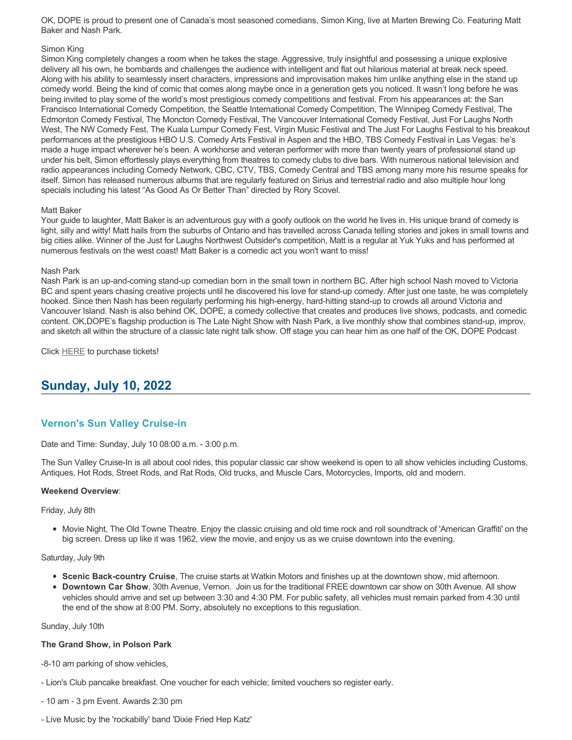OK, DOPE is proud to present one of Canada's most seasoned comedians, Simon King, live at Marten Brewing Co. Featuring Matt Baker and Nash Park.

#### Simon King

Simon King completely changes a room when he takes the stage. Aggressive, truly insightful and possessing a unique explosive delivery all his own, he bombards and challenges the audience with intelligent and flat out hilarious material at break neck speed. Along with his ability to seamlessly insert characters, impressions and improvisation makes him unlike anything else in the stand up comedy world. Being the kind of comic that comes along maybe once in a generation gets you noticed. It wasn't long before he was being invited to play some of the world's most prestigious comedy competitions and festival. From his appearances at: the San Francisco International Comedy Competition, the Seattle International Comedy Competition, The Winnipeg Comedy Festival, The Edmonton Comedy Festival, The Moncton Comedy Festival, The Vancouver International Comedy Festival, Just For Laughs North West, The NW Comedy Fest, The Kuala Lumpur Comedy Fest, Virgin Music Festival and The Just For Laughs Festival to his breakout performances at the prestigious HBO U.S. Comedy Arts Festival in Aspen and the HBO, TBS Comedy Festival in Las Vegas: he's made a huge impact wherever he's been. A workhorse and veteran performer with more than twenty years of professional stand up under his belt, Simon effortlessly plays everything from theatres to comedy clubs to dive bars. With numerous national television and radio appearances including Comedy Network, CBC, CTV, TBS, Comedy Central and TBS among many more his resume speaks for itself. Simon has released numerous albums that are regularly featured on Sirius and terrestrial radio and also multiple hour long specials including his latest "As Good As Or Better Than" directed by Rory Scovel.

#### Matt Baker

Your guide to laughter, Matt Baker is an adventurous guy with a goofy outlook on the world he lives in. His unique brand of comedy is light, silly and witty! Matt hails from the suburbs of Ontario and has travelled across Canada telling stories and jokes in small towns and big cities alike. Winner of the Just for Laughs Northwest Outsider's competition, Matt is a regular at Yuk Yuks and has performed at numerous festivals on the west coast! Matt Baker is a comedic act you won't want to miss!

#### Nash Park

Nash Park is an up-and-coming stand-up comedian born in the small town in northern BC. After high school Nash moved to Victoria BC and spent years chasing creative projects until he discovered his love for stand-up comedy. After just one taste, he was completely hooked. Since then Nash has been regularly performing his high-energy, hard-hitting stand-up to crowds all around Victoria and Vancouver Island. Nash is also behind OK, DOPE, a comedy collective that creates and produces live shows, podcasts, and comedic content. OK,DOPE's flagship production is The Late Night Show with Nash Park, a live monthly show that combines stand-up, improv, and sketch all within the structure of a classic late night talk show. Off stage you can hear him as one half of the OK, DOPE Podcast

Click [HERE](https://www.ok-dope.com/shows) to purchase tickets!

# **Sunday, July 10, 2022**

## **Vernon's Sun Valley Cruise-in**

Date and Time: Sunday, July 10 08:00 a.m. - 3:00 p.m.

The Sun Valley Cruise-In is all about cool rides, this popular classic car show weekend is open to all show vehicles including Customs, Antiques, Hot Rods, Street Rods, and Rat Rods, Old trucks, and Muscle Cars, Motorcycles, Imports, old and modern.

#### **Weekend Overview**:

#### Friday, July 8th

• Movie Night, The Old Towne Theatre. Enjoy the classic cruising and old time rock and roll soundtrack of 'American Graffiti' on the big screen. Dress up like it was 1962, view the movie, and enjoy us as we cruise downtown into the evening.

#### Saturday, July 9th

- **Scenic Back-country Cruise**, The cruise starts at Watkin Motors and finishes up at the downtown show, mid afternoon.
- **Downtown Car Show**, 30th Avenue, Vernon. Join us for the traditional FREE downtown car show on 30th Avenue. All show vehicles should arrive and set up between 3:30 and 4:30 PM. For public safety, all vehicles must remain parked from 4:30 until the end of the show at 8:00 PM. Sorry, absolutely no exceptions to this reguslation.

#### Sunday, July 10th

#### **The Grand Show, in Polson Park**

-8-10 am parking of show vehicles,

- Lion's Club pancake breakfast. One voucher for each vehicle; limited vouchers so register early.
- 10 am 3 pm Event. Awards 2:30 pm
- Live Music by the 'rockabilly' band 'Dixie Fried Hep Katz'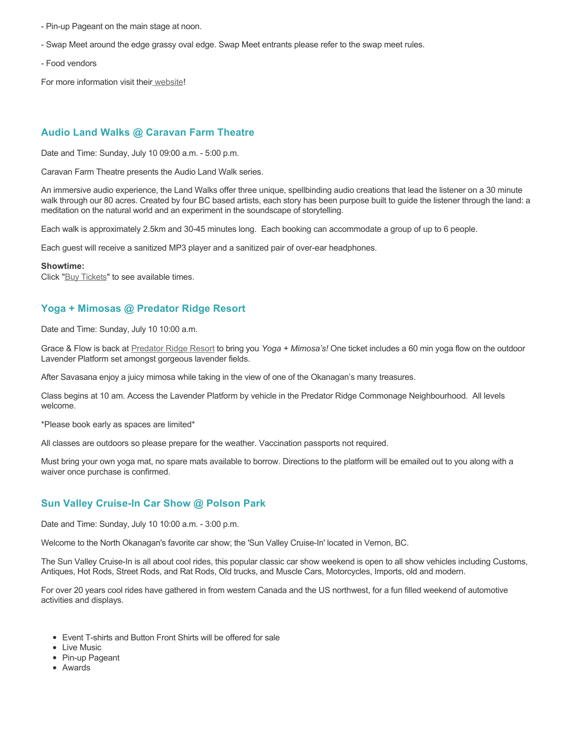- Pin-up Pageant on the main stage at noon.
- Swap Meet around the edge grassy oval edge. Swap Meet entrants please refer to the swap meet rules.
- Food vendors

For more information visit thei[r website](https://www.vernoncruisein.com/)!

## **Audio Land Walks @ Caravan Farm Theatre**

Date and Time: Sunday, July 10 09:00 a.m. - 5:00 p.m.

Caravan Farm Theatre presents the Audio Land Walk series.

An immersive audio experience, the Land Walks offer three unique, spellbinding audio creations that lead the listener on a 30 minute walk through our 80 acres. Created by four BC based artists, each story has been purpose built to guide the listener through the land: a meditation on the natural world and an experiment in the soundscape of storytelling.

Each walk is approximately 2.5km and 30-45 minutes long. Each booking can accommodate a group of up to 6 people.

Each guest will receive a sanitized MP3 player and a sanitized pair of over-ear headphones.

#### **Showtime:**

Click "[Buy Tickets](https://caravanfarmtheatre.com/show/the-land-walks/?ct=t%28EMAIL_CAMPAIGN_4_19_2022_13_43SEASON+2022%29&mc_cid=c02afad356&mc_eid=4778eb8892)" to see available times.

## **Yoga + Mimosas @ Predator Ridge Resort**

Date and Time: Sunday, July 10 10:00 a.m.

Grace & Flow is back at [Predator Ridge Resort](https://www.predatorridge.com/events) to bring you *Yoga + Mimosa's!* One ticket includes a 60 min yoga flow on the outdoor Lavender Platform set amongst gorgeous lavender fields.

After Savasana enjoy a juicy mimosa while taking in the view of one of the Okanagan's many treasures.

Class begins at 10 am. Access the Lavender Platform by vehicle in the Predator Ridge Commonage Neighbourhood. All levels welcome.

\*Please book early as spaces are limited\*

All classes are outdoors so please prepare for the weather. Vaccination passports not required.

Must bring your own yoga mat, no spare mats available to borrow. Directions to the platform will be emailed out to you along with a waiver once purchase is confirmed.

## **Sun Valley Cruise-In Car Show @ Polson Park**

Date and Time: Sunday, July 10 10:00 a.m. - 3:00 p.m.

Welcome to the North Okanagan's favorite car show; the 'Sun Valley Cruise-In' located in Vernon, BC.

The Sun Valley Cruise-In is all about cool rides, this popular classic car show weekend is open to all show vehicles including Customs, Antiques, Hot Rods, Street Rods, and Rat Rods, Old trucks, and Muscle Cars, Motorcycles, Imports, old and modern.

For over 20 years cool rides have gathered in from western Canada and the US northwest, for a fun filled weekend of automotive activities and displays.

- Event T-shirts and Button Front Shirts will be offered for sale
- Live Music
- Pin-up Pageant
- Awards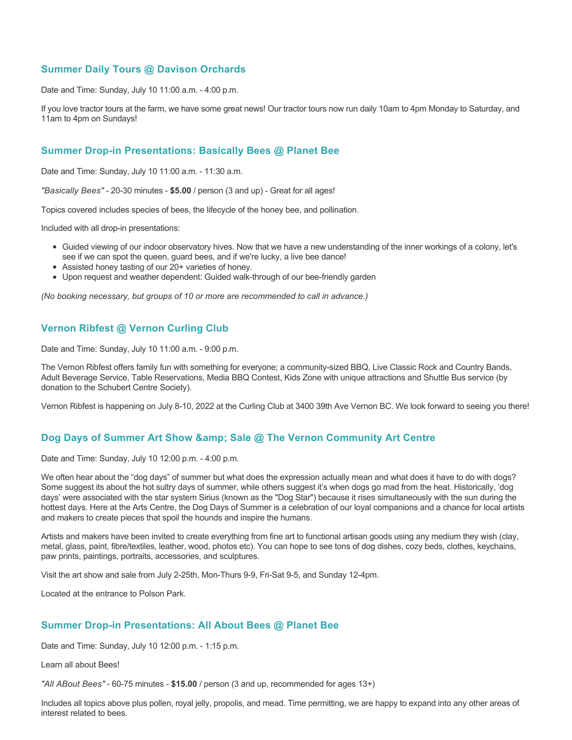## **Summer Daily Tours @ Davison Orchards**

Date and Time: Sunday, July 10 11:00 a.m. - 4:00 p.m.

If you love tractor tours at the farm, we have some great news! Our tractor tours now run daily 10am to 4pm Monday to Saturday, and 11am to 4pm on Sundays!

## **Summer Drop-in Presentations: Basically Bees @ Planet Bee**

Date and Time: Sunday, July 10 11:00 a.m. - 11:30 a.m.

*"Basically Bees"* - 20-30 minutes - **\$5.00** / person (3 and up) - Great for all ages!

Topics covered includes species of bees, the lifecycle of the honey bee, and pollination.

Included with all drop-in presentations:

- Guided viewing of our indoor observatory hives. Now that we have a new understanding of the inner workings of a colony, let's see if we can spot the queen, guard bees, and if we're lucky, a live bee dance!
- Assisted honey tasting of our 20+ varieties of honey.
- Upon request and weather dependent: Guided walk-through of our bee-friendly garden

*(No booking necessary, but groups of 10 or more are recommended to call in advance.)*

## **Vernon Ribfest @ Vernon Curling Club**

Date and Time: Sunday, July 10 11:00 a.m. - 9:00 p.m.

The Vernon Ribfest offers family fun with something for everyone; a community-sized BBQ, Live Classic Rock and Country Bands, Adult Beverage Service, Table Reservations, Media BBQ Contest, Kids Zone with unique attractions and Shuttle Bus service (by donation to the Schubert Centre Society).

Vernon Ribfest is happening on July 8-10, 2022 at the Curling Club at 3400 39th Ave Vernon BC. We look forward to seeing you there!

## **Dog Days of Summer Art Show & amp; Sale @ The Vernon Community Art Centre**

Date and Time: Sunday, July 10 12:00 p.m. - 4:00 p.m.

We often hear about the "dog days" of summer but what does the expression actually mean and what does it have to do with dogs? Some suggest its about the hot sultry days of summer, while others suggest it's when dogs go mad from the heat. Historically, 'dog days' were associated with the star system Sirius (known as the "Dog Star") because it rises simultaneously with the sun during the hottest days. Here at the Arts Centre, the Dog Days of Summer is a celebration of our loyal companions and a chance for local artists and makers to create pieces that spoil the hounds and inspire the humans.

Artists and makers have been invited to create everything from fine art to functional artisan goods using any medium they wish (clay, metal, glass, paint, fibre/textiles, leather, wood, photos etc). You can hope to see tons of dog dishes, cozy beds, clothes, keychains, paw prints, paintings, portraits, accessories, and sculptures.

Visit the art show and sale from July 2-25th, Mon-Thurs 9-9, Fri-Sat 9-5, and Sunday 12-4pm.

Located at the entrance to Polson Park.

## **Summer Drop-in Presentations: All About Bees @ Planet Bee**

Date and Time: Sunday, July 10 12:00 p.m. - 1:15 p.m.

Learn all about Bees!

*"All ABout Bees"* - 60-75 minutes - **\$15.00** / person (3 and up, recommended for ages 13+)

Includes all topics above plus pollen, royal jelly, propolis, and mead. Time permitting, we are happy to expand into any other areas of interest related to bees.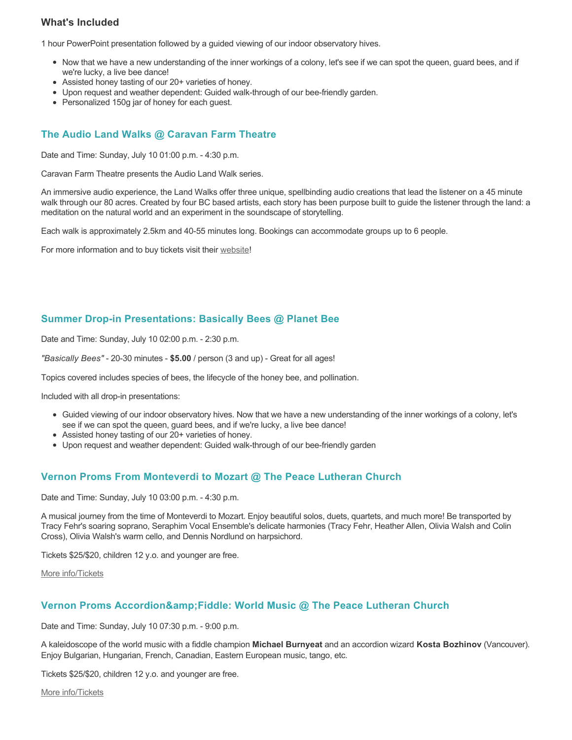## **What's Included**

1 hour PowerPoint presentation followed by a guided viewing of our indoor observatory hives.

- Now that we have a new understanding of the inner workings of a colony, let's see if we can spot the queen, guard bees, and if we're lucky, a live bee dance!
- Assisted honey tasting of our 20+ varieties of honey.
- Upon request and weather dependent: Guided walk-through of our bee-friendly garden.
- Personalized 150g jar of honey for each guest.

## **The Audio Land Walks @ Caravan Farm Theatre**

Date and Time: Sunday, July 10 01:00 p.m. - 4:30 p.m.

Caravan Farm Theatre presents the Audio Land Walk series.

An immersive audio experience, the Land Walks offer three unique, spellbinding audio creations that lead the listener on a 45 minute walk through our 80 acres. Created by four BC based artists, each story has been purpose built to guide the listener through the land: a meditation on the natural world and an experiment in the soundscape of storytelling.

Each walk is approximately 2.5km and 40-55 minutes long. Bookings can accommodate groups up to 6 people.

For more information and to buy tickets visit their [website!](https://caravanfarmtheatre.com/show/the-land-walks/)

## **Summer Drop-in Presentations: Basically Bees @ Planet Bee**

Date and Time: Sunday, July 10 02:00 p.m. - 2:30 p.m.

*"Basically Bees"* - 20-30 minutes - **\$5.00** / person (3 and up) - Great for all ages!

Topics covered includes species of bees, the lifecycle of the honey bee, and pollination.

Included with all drop-in presentations:

- Guided viewing of our indoor observatory hives. Now that we have a new understanding of the inner workings of a colony, let's see if we can spot the queen, guard bees, and if we're lucky, a live bee dance!
- Assisted honey tasting of our 20+ varieties of honey.
- Upon request and weather dependent: Guided walk-through of our bee-friendly garden

## **Vernon Proms From Monteverdi to Mozart @ The Peace Lutheran Church**

Date and Time: Sunday, July 10 03:00 p.m. - 4:30 p.m.

A musical journey from the time of Monteverdi to Mozart. Enjoy beautiful solos, duets, quartets, and much more! Be transported by Tracy Fehr's soaring soprano, Seraphim Vocal Ensemble's delicate harmonies (Tracy Fehr, Heather Allen, Olivia Walsh and Colin Cross), Olivia Walsh's warm cello, and Dennis Nordlund on harpsichord.

Tickets \$25/\$20, children 12 y.o. and younger are free.

[More info/Tickets](https://proms.eventcalendarapp.com/u/36415/evt_external_62845d7084cce5260a3f5395?repeatId=evt_external_62845d7084cce5260a3f5395)

## **Vernon Proms Accordion&Fiddle: World Music @ The Peace Lutheran Church**

Date and Time: Sunday, July 10 07:30 p.m. - 9:00 p.m.

A kaleidoscope of the world music with a fiddle champion **Michael Burnyeat** and an accordion wizard **Kosta Bozhinov** (Vancouver). Enjoy Bulgarian, Hungarian, French, Canadian, Eastern European music, tango, etc.

Tickets \$25/\$20, children 12 y.o. and younger are free.

[More info/Tickets](https://proms.eventcalendarapp.com/u/36415/evt_external_62845d7084cce5260a3f538f?repeatId=evt_external_62845d7084cce5260a3f538f)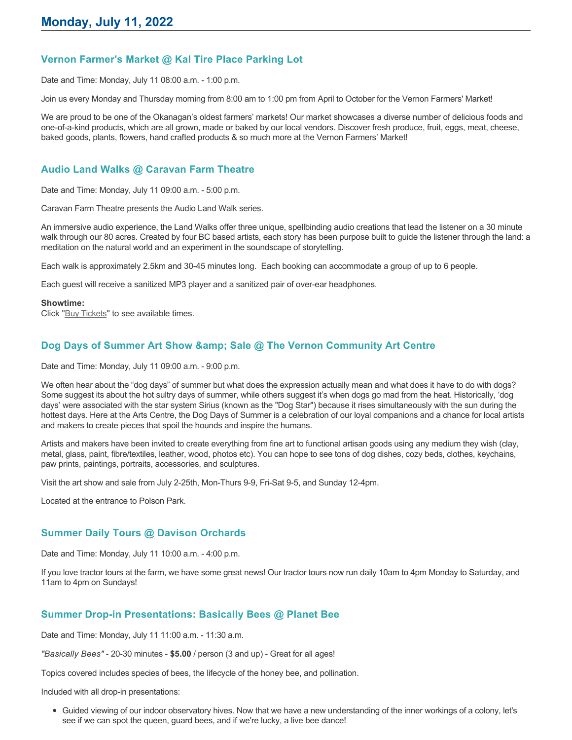## **Vernon Farmer's Market @ Kal Tire Place Parking Lot**

Date and Time: Monday, July 11 08:00 a.m. - 1:00 p.m.

Join us every Monday and Thursday morning from 8:00 am to 1:00 pm from April to October for the Vernon Farmers' Market!

We are proud to be one of the Okanagan's oldest farmers' markets! Our market showcases a diverse number of delicious foods and one-of-a-kind products, which are all grown, made or baked by our local vendors. Discover fresh produce, fruit, eggs, meat, cheese, baked goods, plants, flowers, hand crafted products & so much more at the Vernon Farmers' Market!

## **Audio Land Walks @ Caravan Farm Theatre**

Date and Time: Monday, July 11 09:00 a.m. - 5:00 p.m.

Caravan Farm Theatre presents the Audio Land Walk series.

An immersive audio experience, the Land Walks offer three unique, spellbinding audio creations that lead the listener on a 30 minute walk through our 80 acres. Created by four BC based artists, each story has been purpose built to guide the listener through the land: a meditation on the natural world and an experiment in the soundscape of storytelling.

Each walk is approximately 2.5km and 30-45 minutes long. Each booking can accommodate a group of up to 6 people.

Each guest will receive a sanitized MP3 player and a sanitized pair of over-ear headphones.

#### **Showtime:**

Click "[Buy Tickets](https://caravanfarmtheatre.com/show/the-land-walks/?ct=t%28EMAIL_CAMPAIGN_4_19_2022_13_43SEASON+2022%29&mc_cid=c02afad356&mc_eid=4778eb8892)" to see available times.

## **Dog Days of Summer Art Show & amp: Sale @ The Vernon Community Art Centre**

Date and Time: Monday, July 11 09:00 a.m. - 9:00 p.m.

We often hear about the "dog days" of summer but what does the expression actually mean and what does it have to do with dogs? Some suggest its about the hot sultry days of summer, while others suggest it's when dogs go mad from the heat. Historically, 'dog days' were associated with the star system Sirius (known as the "Dog Star") because it rises simultaneously with the sun during the hottest days. Here at the Arts Centre, the Dog Days of Summer is a celebration of our loyal companions and a chance for local artists and makers to create pieces that spoil the hounds and inspire the humans.

Artists and makers have been invited to create everything from fine art to functional artisan goods using any medium they wish (clay, metal, glass, paint, fibre/textiles, leather, wood, photos etc). You can hope to see tons of dog dishes, cozy beds, clothes, keychains, paw prints, paintings, portraits, accessories, and sculptures.

Visit the art show and sale from July 2-25th, Mon-Thurs 9-9, Fri-Sat 9-5, and Sunday 12-4pm.

Located at the entrance to Polson Park.

## **Summer Daily Tours @ Davison Orchards**

Date and Time: Monday, July 11 10:00 a.m. - 4:00 p.m.

If you love tractor tours at the farm, we have some great news! Our tractor tours now run daily 10am to 4pm Monday to Saturday, and 11am to 4pm on Sundays!

## **Summer Drop-in Presentations: Basically Bees @ Planet Bee**

Date and Time: Monday, July 11 11:00 a.m. - 11:30 a.m.

*"Basically Bees"* - 20-30 minutes - **\$5.00** / person (3 and up) - Great for all ages!

Topics covered includes species of bees, the lifecycle of the honey bee, and pollination.

Included with all drop-in presentations:

Guided viewing of our indoor observatory hives. Now that we have a new understanding of the inner workings of a colony, let's see if we can spot the queen, guard bees, and if we're lucky, a live bee dance!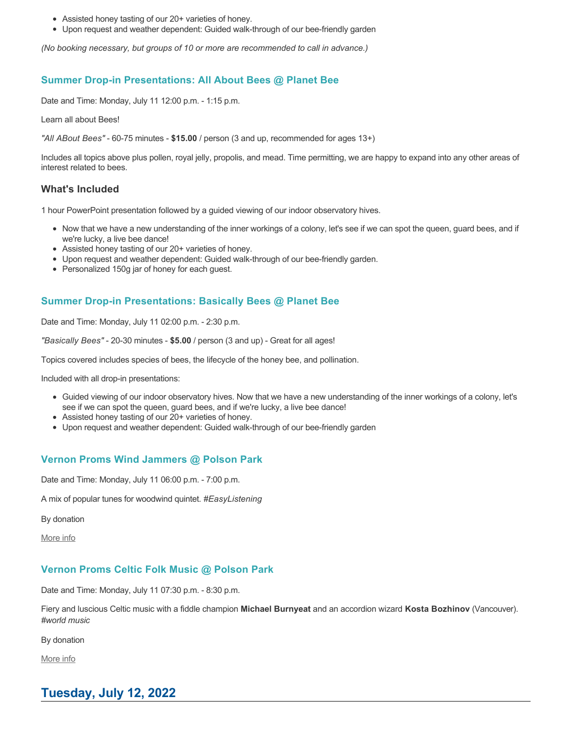- Assisted honey tasting of our 20+ varieties of honey.
- Upon request and weather dependent: Guided walk-through of our bee-friendly garden

*(No booking necessary, but groups of 10 or more are recommended to call in advance.)*

## **Summer Drop-in Presentations: All About Bees @ Planet Bee**

Date and Time: Monday, July 11 12:00 p.m. - 1:15 p.m.

Learn all about Bees!

*"All ABout Bees"* - 60-75 minutes - **\$15.00** / person (3 and up, recommended for ages 13+)

Includes all topics above plus pollen, royal jelly, propolis, and mead. Time permitting, we are happy to expand into any other areas of interest related to bees.

### **What's Included**

1 hour PowerPoint presentation followed by a guided viewing of our indoor observatory hives.

- Now that we have a new understanding of the inner workings of a colony, let's see if we can spot the queen, guard bees, and if we're lucky, a live bee dance!
- Assisted honey tasting of our 20+ varieties of honey.
- Upon request and weather dependent: Guided walk-through of our bee-friendly garden.
- Personalized 150g jar of honey for each quest.

## **Summer Drop-in Presentations: Basically Bees @ Planet Bee**

Date and Time: Monday, July 11 02:00 p.m. - 2:30 p.m.

*"Basically Bees"* - 20-30 minutes - **\$5.00** / person (3 and up) - Great for all ages!

Topics covered includes species of bees, the lifecycle of the honey bee, and pollination.

Included with all drop-in presentations:

- Guided viewing of our indoor observatory hives. Now that we have a new understanding of the inner workings of a colony, let's see if we can spot the queen, guard bees, and if we're lucky, a live bee dance!
- Assisted honey tasting of our 20+ varieties of honey.
- Upon request and weather dependent: Guided walk-through of our bee-friendly garden

## **Vernon Proms Wind Jammers @ Polson Park**

Date and Time: Monday, July 11 06:00 p.m. - 7:00 p.m.

A mix of popular tunes for woodwind quintet. *#EasyListening*

By donation

[More info](https://proms.eventcalendarapp.com/u/36415/evt_external_62845d7184cce5260a3f539e?repeatId=evt_external_62845d7184cce5260a3f539e)

## **Vernon Proms Celtic Folk Music @ Polson Park**

Date and Time: Monday, July 11 07:30 p.m. - 8:30 p.m.

Fiery and luscious Celtic music with a fiddle champion **Michael Burnyeat** and an accordion wizard **Kosta Bozhinov** (Vancouver). *#world music*

By donation

[More info](https://proms.eventcalendarapp.com/u/36415/evt_external_62845d7084cce5260a3f5393?repeatId=evt_external_62845d7084cce5260a3f5393)

# **Tuesday, July 12, 2022**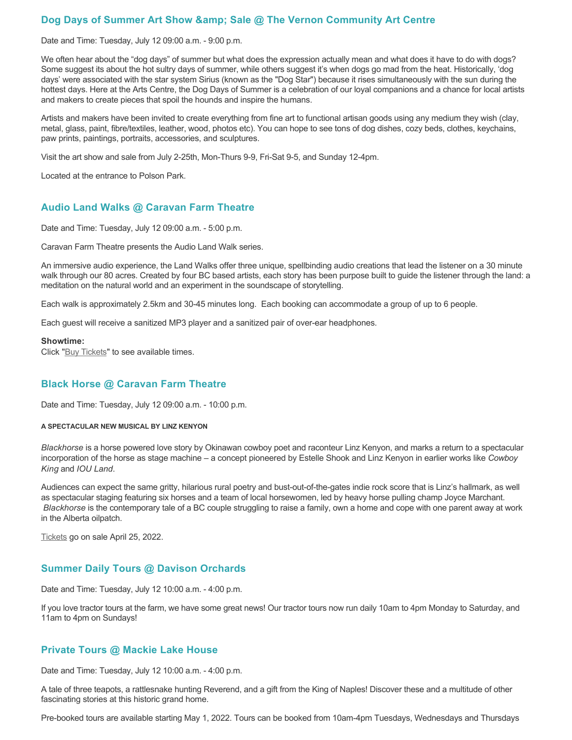## Dog Days of Summer Art Show & amp; Sale @ The Vernon Community Art Centre

Date and Time: Tuesday, July 12 09:00 a.m. - 9:00 p.m.

We often hear about the "dog days" of summer but what does the expression actually mean and what does it have to do with dogs? Some suggest its about the hot sultry days of summer, while others suggest it's when dogs go mad from the heat. Historically, 'dog days' were associated with the star system Sirius (known as the "Dog Star") because it rises simultaneously with the sun during the hottest days. Here at the Arts Centre, the Dog Days of Summer is a celebration of our loyal companions and a chance for local artists and makers to create pieces that spoil the hounds and inspire the humans.

Artists and makers have been invited to create everything from fine art to functional artisan goods using any medium they wish (clay, metal, glass, paint, fibre/textiles, leather, wood, photos etc). You can hope to see tons of dog dishes, cozy beds, clothes, keychains, paw prints, paintings, portraits, accessories, and sculptures.

Visit the art show and sale from July 2-25th, Mon-Thurs 9-9, Fri-Sat 9-5, and Sunday 12-4pm.

Located at the entrance to Polson Park.

## **Audio Land Walks @ Caravan Farm Theatre**

Date and Time: Tuesday, July 12 09:00 a.m. - 5:00 p.m.

Caravan Farm Theatre presents the Audio Land Walk series.

An immersive audio experience, the Land Walks offer three unique, spellbinding audio creations that lead the listener on a 30 minute walk through our 80 acres. Created by four BC based artists, each story has been purpose built to guide the listener through the land: a meditation on the natural world and an experiment in the soundscape of storytelling.

Each walk is approximately 2.5km and 30-45 minutes long. Each booking can accommodate a group of up to 6 people.

Each guest will receive a sanitized MP3 player and a sanitized pair of over-ear headphones.

#### **Showtime:**

Click "**[Buy Tickets](https://caravanfarmtheatre.com/show/the-land-walks/?ct=t%28EMAIL_CAMPAIGN_4_19_2022_13_43SEASON+2022%29&mc_cid=c02afad356&mc_eid=4778eb8892)**" to see available times.

## **Black Horse @ Caravan Farm Theatre**

Date and Time: Tuesday, July 12 09:00 a.m. - 10:00 p.m.

#### **A SPECTACULAR NEW MUSICAL BY LINZ KENYON**

*Blackhorse* is a horse powered love story by Okinawan cowboy poet and raconteur Linz Kenyon, and marks a return to a spectacular incorporation of the horse as stage machine – a concept pioneered by Estelle Shook and Linz Kenyon in earlier works like *Cowboy King* and *IOU Land*.

Audiences can expect the same gritty, hilarious rural poetry and bust-out-of-the-gates indie rock score that is Linz's hallmark, as well as spectacular staging featuring six horses and a team of local horsewomen, led by heavy horse pulling champ Joyce Marchant. *Blackhorse* is the contemporary tale of a BC couple struggling to raise a family, own a home and cope with one parent away at work in the Alberta oilpatch.

[Tickets](https://caravanfarmtheatre.com/show/blackhorse-2/?ct=t%28EMAIL_CAMPAIGN_4_19_2022_13_43SEASON+2022%29&mc_cid=c02afad356&mc_eid=4778eb8892) go on sale April 25, 2022.

## **Summer Daily Tours @ Davison Orchards**

Date and Time: Tuesday, July 12 10:00 a.m. - 4:00 p.m.

If you love tractor tours at the farm, we have some great news! Our tractor tours now run daily 10am to 4pm Monday to Saturday, and 11am to 4pm on Sundays!

### **Private Tours @ Mackie Lake House**

Date and Time: Tuesday, July 12 10:00 a.m. - 4:00 p.m.

A tale of three teapots, a rattlesnake hunting Reverend, and a gift from the King of Naples! Discover these and a multitude of other fascinating stories at this historic grand home.

Pre-booked tours are available starting May 1, 2022. Tours can be booked from 10am-4pm Tuesdays, Wednesdays and Thursdays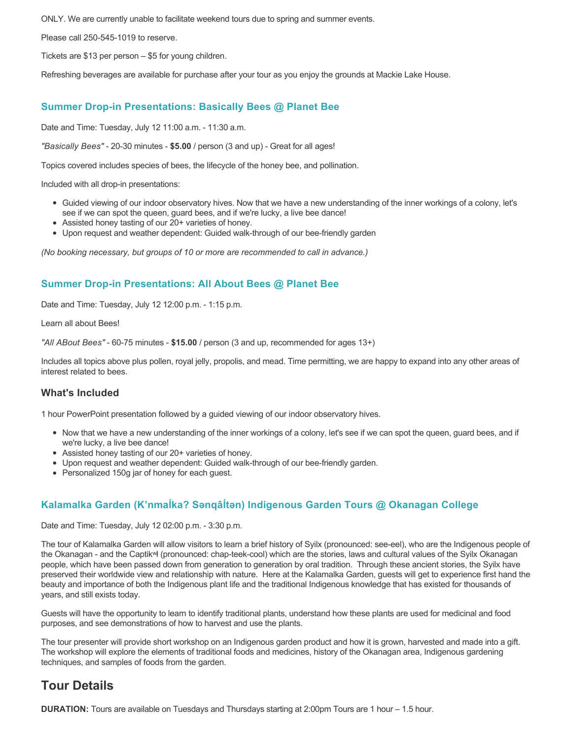ONLY. We are currently unable to facilitate weekend tours due to spring and summer events.

Please call 250-545-1019 to reserve.

Tickets are \$13 per person – \$5 for young children.

Refreshing beverages are available for purchase after your tour as you enjoy the grounds at Mackie Lake House.

### **Summer Drop-in Presentations: Basically Bees @ Planet Bee**

Date and Time: Tuesday, July 12 11:00 a.m. - 11:30 a.m.

*"Basically Bees"* - 20-30 minutes - **\$5.00** / person (3 and up) - Great for all ages!

Topics covered includes species of bees, the lifecycle of the honey bee, and pollination.

Included with all drop-in presentations:

- Guided viewing of our indoor observatory hives. Now that we have a new understanding of the inner workings of a colony, let's see if we can spot the queen, guard bees, and if we're lucky, a live bee dance!
- Assisted honey tasting of our 20+ varieties of honey.
- Upon request and weather dependent: Guided walk-through of our bee-friendly garden

*(No booking necessary, but groups of 10 or more are recommended to call in advance.)*

## **Summer Drop-in Presentations: All About Bees @ Planet Bee**

Date and Time: Tuesday, July 12 12:00 p.m. - 1:15 p.m.

Learn all about Bees!

*"All ABout Bees"* - 60-75 minutes - **\$15.00** / person (3 and up, recommended for ages 13+)

Includes all topics above plus pollen, royal jelly, propolis, and mead. Time permitting, we are happy to expand into any other areas of interest related to bees.

### **What's Included**

1 hour PowerPoint presentation followed by a guided viewing of our indoor observatory hives.

- Now that we have a new understanding of the inner workings of a colony, let's see if we can spot the queen, guard bees, and if we're lucky, a live bee dance!
- Assisted honey tasting of our 20+ varieties of honey.
- Upon request and weather dependent: Guided walk-through of our bee-friendly garden.
- Personalized 150g jar of honey for each guest.

## **Kalamalka Garden (K'nmaĺka? Sәnqâĺtәn) Indigenous Garden Tours @ Okanagan College**

Date and Time: Tuesday, July 12 02:00 p.m. - 3:30 p.m.

The tour of Kalamalka Garden will allow visitors to learn a brief history of Syilx (pronounced: see-eel), who are the Indigenous people of the Okanagan - and the Captikʷł (pronounced: chap-teek-cool) which are the stories, laws and cultural values of the Syilx Okanagan people, which have been passed down from generation to generation by oral tradition. Through these ancient stories, the Syilx have preserved their worldwide view and relationship with nature. Here at the Kalamalka Garden, guests will get to experience first hand the beauty and importance of both the Indigenous plant life and the traditional Indigenous knowledge that has existed for thousands of years, and still exists today.

Guests will have the opportunity to learn to identify traditional plants, understand how these plants are used for medicinal and food purposes, and see demonstrations of how to harvest and use the plants.

The tour presenter will provide short workshop on an Indigenous garden product and how it is grown, harvested and made into a gift. The workshop will explore the elements of traditional foods and medicines, history of the Okanagan area, Indigenous gardening techniques, and samples of foods from the garden.

# **Tour Details**

**DURATION:** Tours are available on Tuesdays and Thursdays starting at 2:00pm Tours are 1 hour – 1.5 hour.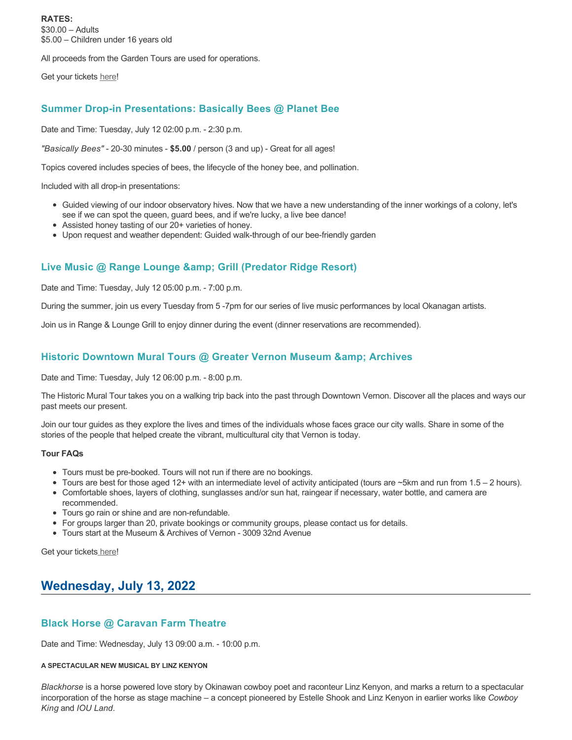**RATES:** \$30.00 – Adults \$5.00 – Children under 16 years old

All proceeds from the Garden Tours are used for operations.

Get your tickets [here!](https://www.eventbrite.ca/e/kalamalka-garden-tour-tickets-158617843239)

## **Summer Drop-in Presentations: Basically Bees @ Planet Bee**

Date and Time: Tuesday, July 12 02:00 p.m. - 2:30 p.m.

*"Basically Bees"* - 20-30 minutes - **\$5.00** / person (3 and up) - Great for all ages!

Topics covered includes species of bees, the lifecycle of the honey bee, and pollination.

Included with all drop-in presentations:

- Guided viewing of our indoor observatory hives. Now that we have a new understanding of the inner workings of a colony, let's see if we can spot the queen, guard bees, and if we're lucky, a live bee dance!
- Assisted honey tasting of our 20+ varieties of honey.
- Upon request and weather dependent: Guided walk-through of our bee-friendly garden

## **Live Music @ Range Lounge & Grill (Predator Ridge Resort)**

Date and Time: Tuesday, July 12 05:00 p.m. - 7:00 p.m.

During the summer, join us every Tuesday from 5 -7pm for our series of live music performances by local Okanagan artists.

Join us in Range & Lounge Grill to enjoy dinner during the event (dinner reservations are recommended).

## **Historic Downtown Mural Tours @ Greater Vernon Museum & Archives**

Date and Time: Tuesday, July 12 06:00 p.m. - 8:00 p.m.

The Historic Mural Tour takes you on a walking trip back into the past through Downtown Vernon. Discover all the places and ways our past meets our present.

Join our tour guides as they explore the lives and times of the individuals whose faces grace our city walls. Share in some of the stories of the people that helped create the vibrant, multicultural city that Vernon is today.

#### **Tour FAQs**

- Tours must be pre-booked. Tours will not run if there are no bookings.
- Tours are best for those aged 12+ with an intermediate level of activity anticipated (tours are ~5km and run from 1.5 2 hours).
- Comfortable shoes, layers of clothing, sunglasses and/or sun hat, raingear if necessary, water bottle, and camera are recommended.
- Tours go rain or shine and are non-refundable.
- For groups larger than 20, private bookings or community groups, please contact us for details.
- Tours start at the Museum & Archives of Vernon 3009 32nd Avenue

Get your tickets [here!](https://www.eventbrite.com/e/historic-downtown-mural-tours-tickets-304983342387)

# **Wednesday, July 13, 2022**

## **Black Horse @ Caravan Farm Theatre**

Date and Time: Wednesday, July 13 09:00 a.m. - 10:00 p.m.

#### **A SPECTACULAR NEW MUSICAL BY LINZ KENYON**

*Blackhorse* is a horse powered love story by Okinawan cowboy poet and raconteur Linz Kenyon, and marks a return to a spectacular incorporation of the horse as stage machine – a concept pioneered by Estelle Shook and Linz Kenyon in earlier works like *Cowboy King* and *IOU Land*.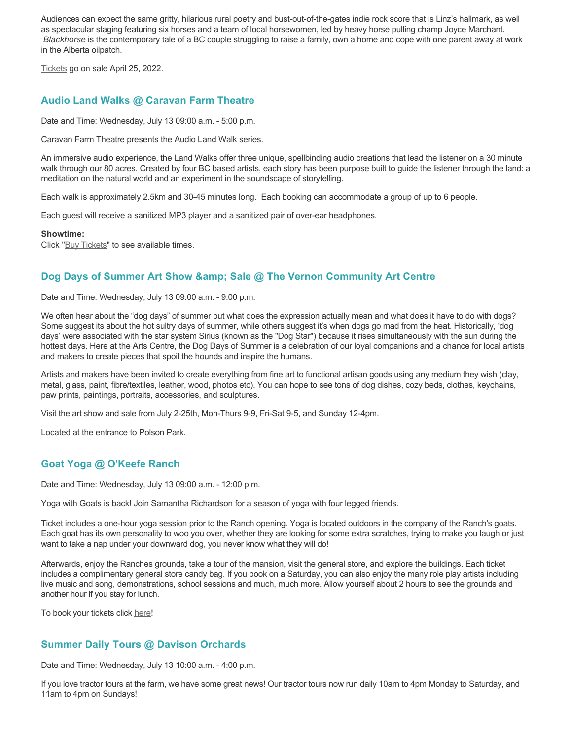Audiences can expect the same gritty, hilarious rural poetry and bust-out-of-the-gates indie rock score that is Linz's hallmark, as well as spectacular staging featuring six horses and a team of local horsewomen, led by heavy horse pulling champ Joyce Marchant. *Blackhorse* is the contemporary tale of a BC couple struggling to raise a family, own a home and cope with one parent away at work in the Alberta oilpatch.

[Tickets](https://caravanfarmtheatre.com/show/blackhorse-2/?ct=t%28EMAIL_CAMPAIGN_4_19_2022_13_43SEASON+2022%29&mc_cid=c02afad356&mc_eid=4778eb8892) go on sale April 25, 2022.

## **Audio Land Walks @ Caravan Farm Theatre**

Date and Time: Wednesday, July 13 09:00 a.m. - 5:00 p.m.

Caravan Farm Theatre presents the Audio Land Walk series.

An immersive audio experience, the Land Walks offer three unique, spellbinding audio creations that lead the listener on a 30 minute walk through our 80 acres. Created by four BC based artists, each story has been purpose built to guide the listener through the land: a meditation on the natural world and an experiment in the soundscape of storytelling.

Each walk is approximately 2.5km and 30-45 minutes long. Each booking can accommodate a group of up to 6 people.

Each guest will receive a sanitized MP3 player and a sanitized pair of over-ear headphones.

**Showtime:**

Click "[Buy Tickets](https://caravanfarmtheatre.com/show/the-land-walks/?ct=t%28EMAIL_CAMPAIGN_4_19_2022_13_43SEASON+2022%29&mc_cid=c02afad356&mc_eid=4778eb8892)" to see available times.

## Dog Days of Summer Art Show & amp; Sale @ The Vernon Community Art Centre

Date and Time: Wednesday, July 13 09:00 a.m. - 9:00 p.m.

We often hear about the "dog days" of summer but what does the expression actually mean and what does it have to do with dogs? Some suggest its about the hot sultry days of summer, while others suggest it's when dogs go mad from the heat. Historically, 'dog days' were associated with the star system Sirius (known as the "Dog Star") because it rises simultaneously with the sun during the hottest days. Here at the Arts Centre, the Dog Days of Summer is a celebration of our loyal companions and a chance for local artists and makers to create pieces that spoil the hounds and inspire the humans.

Artists and makers have been invited to create everything from fine art to functional artisan goods using any medium they wish (clay, metal, glass, paint, fibre/textiles, leather, wood, photos etc). You can hope to see tons of dog dishes, cozy beds, clothes, keychains, paw prints, paintings, portraits, accessories, and sculptures.

Visit the art show and sale from July 2-25th, Mon-Thurs 9-9, Fri-Sat 9-5, and Sunday 12-4pm.

Located at the entrance to Polson Park.

### **Goat Yoga @ O'Keefe Ranch**

Date and Time: Wednesday, July 13 09:00 a.m. - 12:00 p.m.

Yoga with Goats is back! Join Samantha Richardson for a season of yoga with four legged friends.

Ticket includes a one-hour yoga session prior to the Ranch opening. Yoga is located outdoors in the company of the Ranch's goats. Each goat has its own personality to woo you over, whether they are looking for some extra scratches, trying to make you laugh or just want to take a nap under your downward dog, you never know what they will do!

Afterwards, enjoy the Ranches grounds, take a tour of the mansion, visit the general store, and explore the buildings. Each ticket includes a complimentary general store candy bag. If you book on a Saturday, you can also enjoy the many role play artists including live music and song, demonstrations, school sessions and much, much more. Allow yourself about 2 hours to see the grounds and another hour if you stay for lunch.

To book your tickets click [here!](https://tickets.ticketseller.ca/TheatreManager/1/login&event=3417)

## **Summer Daily Tours @ Davison Orchards**

Date and Time: Wednesday, July 13 10:00 a.m. - 4:00 p.m.

If you love tractor tours at the farm, we have some great news! Our tractor tours now run daily 10am to 4pm Monday to Saturday, and 11am to 4pm on Sundays!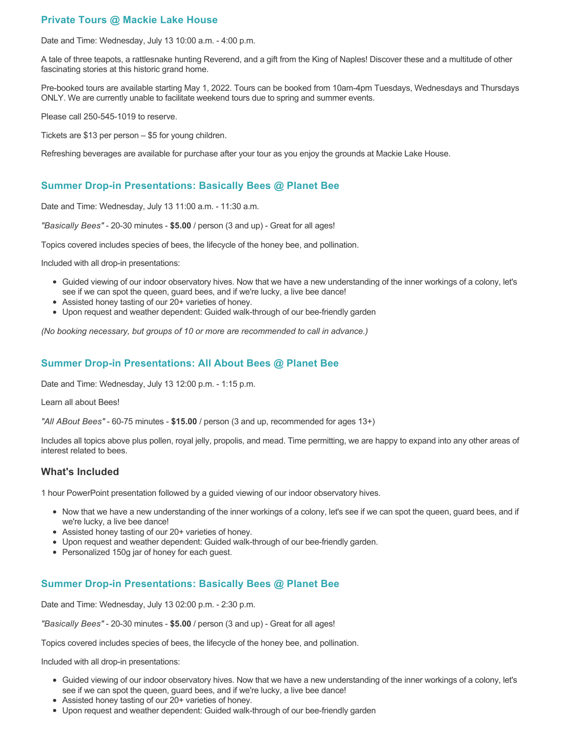## **Private Tours @ Mackie Lake House**

Date and Time: Wednesday, July 13 10:00 a.m. - 4:00 p.m.

A tale of three teapots, a rattlesnake hunting Reverend, and a gift from the King of Naples! Discover these and a multitude of other fascinating stories at this historic grand home.

Pre-booked tours are available starting May 1, 2022. Tours can be booked from 10am-4pm Tuesdays, Wednesdays and Thursdays ONLY. We are currently unable to facilitate weekend tours due to spring and summer events.

Please call 250-545-1019 to reserve.

Tickets are \$13 per person – \$5 for young children.

Refreshing beverages are available for purchase after your tour as you enjoy the grounds at Mackie Lake House.

## **Summer Drop-in Presentations: Basically Bees @ Planet Bee**

Date and Time: Wednesday, July 13 11:00 a.m. - 11:30 a.m.

*"Basically Bees"* - 20-30 minutes - **\$5.00** / person (3 and up) - Great for all ages!

Topics covered includes species of bees, the lifecycle of the honey bee, and pollination.

Included with all drop-in presentations:

- Guided viewing of our indoor observatory hives. Now that we have a new understanding of the inner workings of a colony, let's see if we can spot the queen, guard bees, and if we're lucky, a live bee dance!
- Assisted honey tasting of our 20+ varieties of honey.
- Upon request and weather dependent: Guided walk-through of our bee-friendly garden

*(No booking necessary, but groups of 10 or more are recommended to call in advance.)*

## **Summer Drop-in Presentations: All About Bees @ Planet Bee**

Date and Time: Wednesday, July 13 12:00 p.m. - 1:15 p.m.

Learn all about Bees!

*"All ABout Bees"* - 60-75 minutes - **\$15.00** / person (3 and up, recommended for ages 13+)

Includes all topics above plus pollen, royal jelly, propolis, and mead. Time permitting, we are happy to expand into any other areas of interest related to bees.

## **What's Included**

1 hour PowerPoint presentation followed by a guided viewing of our indoor observatory hives.

- Now that we have a new understanding of the inner workings of a colony, let's see if we can spot the queen, guard bees, and if we're lucky, a live bee dance!
- Assisted honey tasting of our 20+ varieties of honey.
- Upon request and weather dependent: Guided walk-through of our bee-friendly garden.
- Personalized 150g jar of honey for each guest.

## **Summer Drop-in Presentations: Basically Bees @ Planet Bee**

Date and Time: Wednesday, July 13 02:00 p.m. - 2:30 p.m.

*"Basically Bees"* - 20-30 minutes - **\$5.00** / person (3 and up) - Great for all ages!

Topics covered includes species of bees, the lifecycle of the honey bee, and pollination.

Included with all drop-in presentations:

- Guided viewing of our indoor observatory hives. Now that we have a new understanding of the inner workings of a colony, let's see if we can spot the queen, guard bees, and if we're lucky, a live bee dance!
- Assisted honey tasting of our 20+ varieties of honey.
- Upon request and weather dependent: Guided walk-through of our bee-friendly garden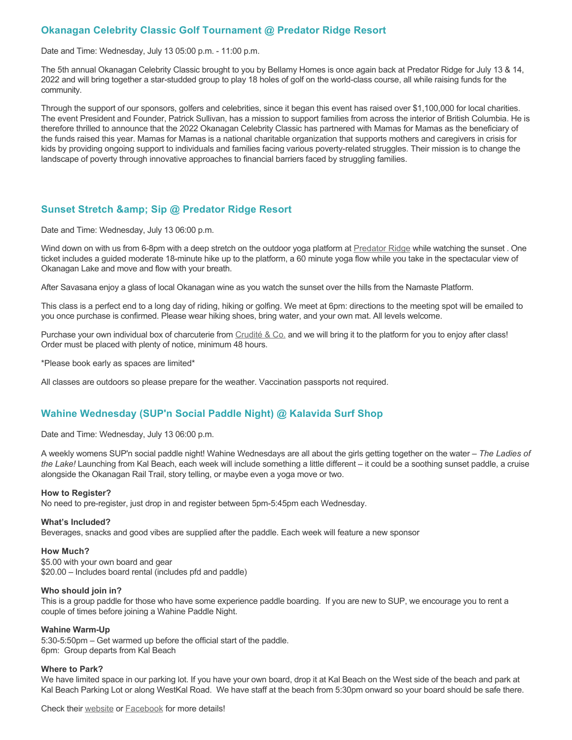## **Okanagan Celebrity Classic Golf Tournament @ Predator Ridge Resort**

Date and Time: Wednesday, July 13 05:00 p.m. - 11:00 p.m.

The 5th annual Okanagan Celebrity Classic brought to you by Bellamy Homes is once again back at Predator Ridge for July 13 & 14, 2022 and will bring together a star-studded group to play 18 holes of golf on the world-class course, all while raising funds for the community.

Through the support of our sponsors, golfers and celebrities, since it began this event has raised over \$1,100,000 for local charities. The event President and Founder, Patrick Sullivan, has a mission to support families from across the interior of British Columbia. He is therefore thrilled to announce that the 2022 Okanagan Celebrity Classic has partnered with Mamas for Mamas as the beneficiary of the funds raised this year. Mamas for Mamas is a national charitable organization that supports mothers and caregivers in crisis for kids by providing ongoing support to individuals and families facing various poverty-related struggles. Their mission is to change the landscape of poverty through innovative approaches to financial barriers faced by struggling families.

## **Sunset Stretch & amp; Sip @ Predator Ridge Resort**

Date and Time: Wednesday, July 13 06:00 p.m.

Wind down on with us from 6-8pm with a deep stretch on the outdoor yoga platform at [Predator Ridge](https://www.predatorridge.com/events) while watching the sunset. One ticket includes a guided moderate 18-minute hike up to the platform, a 60 minute yoga flow while you take in the spectacular view of Okanagan Lake and move and flow with your breath.

After Savasana enjoy a glass of local Okanagan wine as you watch the sunset over the hills from the Namaste Platform.

This class is a perfect end to a long day of riding, hiking or golfing. We meet at 6pm: directions to the meeting spot will be emailed to you once purchase is confirmed. Please wear hiking shoes, bring water, and your own mat. All levels welcome.

Purchase your own individual box of charcuterie from [Crudité & Co.](https://cruditeandco.com/product/picnic-platter/) and we will bring it to the platform for you to enjoy after class! Order must be placed with plenty of notice, minimum 48 hours.

\*Please book early as spaces are limited\*

All classes are outdoors so please prepare for the weather. Vaccination passports not required.

## **Wahine Wednesday (SUP'n Social Paddle Night) @ Kalavida Surf Shop**

Date and Time: Wednesday, July 13 06:00 p.m.

A weekly womens SUP'n social paddle night! Wahine Wednesdays are all about the girls getting together on the water – *The Ladies of the Lake!* Launching from Kal Beach, each week will include something a little different – it could be a soothing sunset paddle, a cruise alongside the Okanagan Rail Trail, story telling, or maybe even a yoga move or two.

#### **How to Register?**

No need to pre-register, just drop in and register between 5pm-5:45pm each Wednesday.

#### **What's Included?**

Beverages, snacks and good vibes are supplied after the paddle. Each week will feature a new sponsor

#### **How Much?**

\$5.00 with your own board and gear \$20.00 – Includes board rental (includes pfd and paddle)

#### **Who should join in?**

This is a group paddle for those who have some experience paddle boarding. If you are new to SUP, we encourage you to rent a couple of times before joining a Wahine Paddle Night.

#### **Wahine Warm-Up**

5:30-5:50pm – Get warmed up before the official start of the paddle. 6pm: Group departs from Kal Beach

#### **Where to Park?**

We have limited space in our parking lot. If you have your own board, drop it at Kal Beach on the West side of the beach and park at Kal Beach Parking Lot or along WestKal Road. We have staff at the beach from 5:30pm onward so your board should be safe there.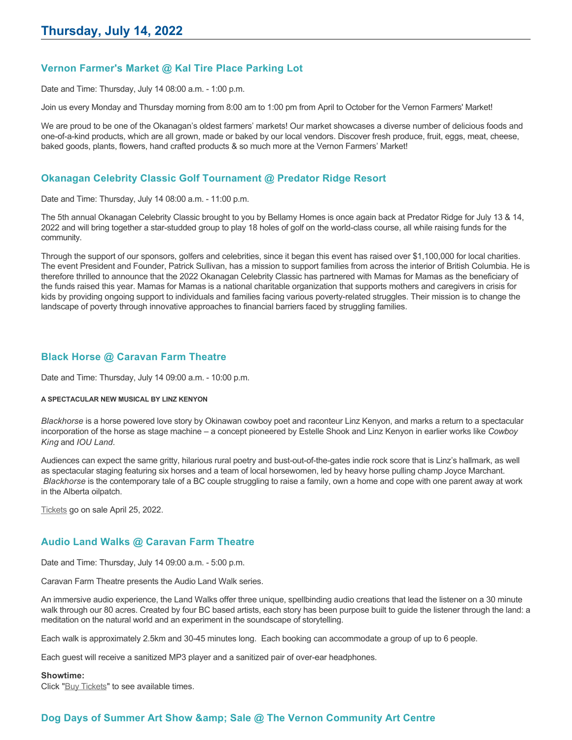## **Vernon Farmer's Market @ Kal Tire Place Parking Lot**

Date and Time: Thursday, July 14 08:00 a.m. - 1:00 p.m.

Join us every Monday and Thursday morning from 8:00 am to 1:00 pm from April to October for the Vernon Farmers' Market!

We are proud to be one of the Okanagan's oldest farmers' markets! Our market showcases a diverse number of delicious foods and one-of-a-kind products, which are all grown, made or baked by our local vendors. Discover fresh produce, fruit, eggs, meat, cheese, baked goods, plants, flowers, hand crafted products & so much more at the Vernon Farmers' Market!

## **Okanagan Celebrity Classic Golf Tournament @ Predator Ridge Resort**

Date and Time: Thursday, July 14 08:00 a.m. - 11:00 p.m.

The 5th annual Okanagan Celebrity Classic brought to you by Bellamy Homes is once again back at Predator Ridge for July 13 & 14, 2022 and will bring together a star-studded group to play 18 holes of golf on the world-class course, all while raising funds for the community.

Through the support of our sponsors, golfers and celebrities, since it began this event has raised over \$1,100,000 for local charities. The event President and Founder, Patrick Sullivan, has a mission to support families from across the interior of British Columbia. He is therefore thrilled to announce that the 2022 Okanagan Celebrity Classic has partnered with Mamas for Mamas as the beneficiary of the funds raised this year. Mamas for Mamas is a national charitable organization that supports mothers and caregivers in crisis for kids by providing ongoing support to individuals and families facing various poverty-related struggles. Their mission is to change the landscape of poverty through innovative approaches to financial barriers faced by struggling families.

## **Black Horse @ Caravan Farm Theatre**

Date and Time: Thursday, July 14 09:00 a.m. - 10:00 p.m.

#### **A SPECTACULAR NEW MUSICAL BY LINZ KENYON**

*Blackhorse* is a horse powered love story by Okinawan cowboy poet and raconteur Linz Kenyon, and marks a return to a spectacular incorporation of the horse as stage machine – a concept pioneered by Estelle Shook and Linz Kenyon in earlier works like *Cowboy King* and *IOU Land*.

Audiences can expect the same gritty, hilarious rural poetry and bust-out-of-the-gates indie rock score that is Linz's hallmark, as well as spectacular staging featuring six horses and a team of local horsewomen, led by heavy horse pulling champ Joyce Marchant. *Blackhorse* is the contemporary tale of a BC couple struggling to raise a family, own a home and cope with one parent away at work in the Alberta oilpatch.

[Tickets](https://caravanfarmtheatre.com/show/blackhorse-2/?ct=t%28EMAIL_CAMPAIGN_4_19_2022_13_43SEASON+2022%29&mc_cid=c02afad356&mc_eid=4778eb8892) go on sale April 25, 2022.

## **Audio Land Walks @ Caravan Farm Theatre**

Date and Time: Thursday, July 14 09:00 a.m. - 5:00 p.m.

Caravan Farm Theatre presents the Audio Land Walk series.

An immersive audio experience, the Land Walks offer three unique, spellbinding audio creations that lead the listener on a 30 minute walk through our 80 acres. Created by four BC based artists, each story has been purpose built to guide the listener through the land: a meditation on the natural world and an experiment in the soundscape of storytelling.

Each walk is approximately 2.5km and 30-45 minutes long. Each booking can accommodate a group of up to 6 people.

Each guest will receive a sanitized MP3 player and a sanitized pair of over-ear headphones.

#### **Showtime:**

Click "[Buy Tickets](https://caravanfarmtheatre.com/show/the-land-walks/?ct=t%28EMAIL_CAMPAIGN_4_19_2022_13_43SEASON+2022%29&mc_cid=c02afad356&mc_eid=4778eb8892)" to see available times.

## **Dog Days of Summer Art Show & amp; Sale @ The Vernon Community Art Centre**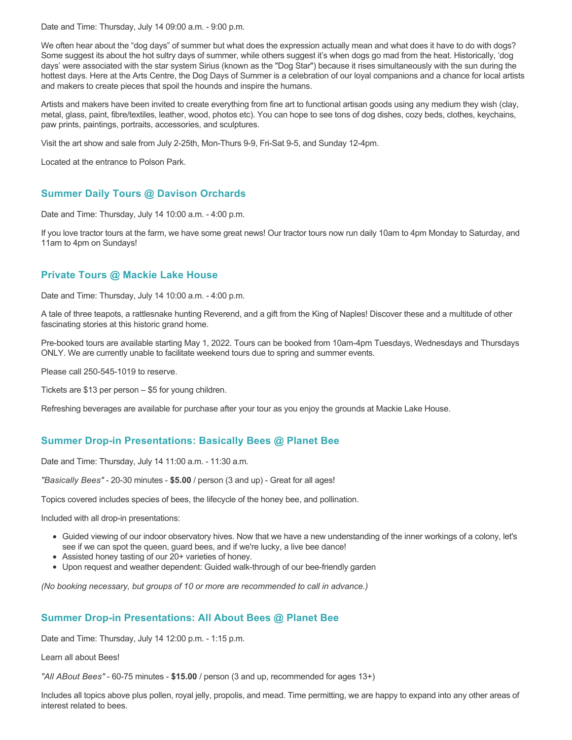Date and Time: Thursday, July 14 09:00 a.m. - 9:00 p.m.

We often hear about the "dog days" of summer but what does the expression actually mean and what does it have to do with dogs? Some suggest its about the hot sultry days of summer, while others suggest it's when dogs go mad from the heat. Historically, 'dog days' were associated with the star system Sirius (known as the "Dog Star") because it rises simultaneously with the sun during the hottest days. Here at the Arts Centre, the Dog Days of Summer is a celebration of our loyal companions and a chance for local artists and makers to create pieces that spoil the hounds and inspire the humans.

Artists and makers have been invited to create everything from fine art to functional artisan goods using any medium they wish (clay, metal, glass, paint, fibre/textiles, leather, wood, photos etc). You can hope to see tons of dog dishes, cozy beds, clothes, keychains, paw prints, paintings, portraits, accessories, and sculptures.

Visit the art show and sale from July 2-25th, Mon-Thurs 9-9, Fri-Sat 9-5, and Sunday 12-4pm.

Located at the entrance to Polson Park.

## **Summer Daily Tours @ Davison Orchards**

Date and Time: Thursday, July 14 10:00 a.m. - 4:00 p.m.

If you love tractor tours at the farm, we have some great news! Our tractor tours now run daily 10am to 4pm Monday to Saturday, and 11am to 4pm on Sundays!

## **Private Tours @ Mackie Lake House**

Date and Time: Thursday, July 14 10:00 a.m. - 4:00 p.m.

A tale of three teapots, a rattlesnake hunting Reverend, and a gift from the King of Naples! Discover these and a multitude of other fascinating stories at this historic grand home.

Pre-booked tours are available starting May 1, 2022. Tours can be booked from 10am-4pm Tuesdays, Wednesdays and Thursdays ONLY. We are currently unable to facilitate weekend tours due to spring and summer events.

Please call 250-545-1019 to reserve.

Tickets are \$13 per person – \$5 for young children.

Refreshing beverages are available for purchase after your tour as you enjoy the grounds at Mackie Lake House.

## **Summer Drop-in Presentations: Basically Bees @ Planet Bee**

Date and Time: Thursday, July 14 11:00 a.m. - 11:30 a.m.

*"Basically Bees"* - 20-30 minutes - **\$5.00** / person (3 and up) - Great for all ages!

Topics covered includes species of bees, the lifecycle of the honey bee, and pollination.

Included with all drop-in presentations:

- Guided viewing of our indoor observatory hives. Now that we have a new understanding of the inner workings of a colony, let's see if we can spot the queen, guard bees, and if we're lucky, a live bee dance!
- Assisted honey tasting of our 20+ varieties of honey.
- Upon request and weather dependent: Guided walk-through of our bee-friendly garden

*(No booking necessary, but groups of 10 or more are recommended to call in advance.)*

## **Summer Drop-in Presentations: All About Bees @ Planet Bee**

Date and Time: Thursday, July 14 12:00 p.m. - 1:15 p.m.

Learn all about Bees!

*"All ABout Bees"* - 60-75 minutes - **\$15.00** / person (3 and up, recommended for ages 13+)

Includes all topics above plus pollen, royal jelly, propolis, and mead. Time permitting, we are happy to expand into any other areas of interest related to bees.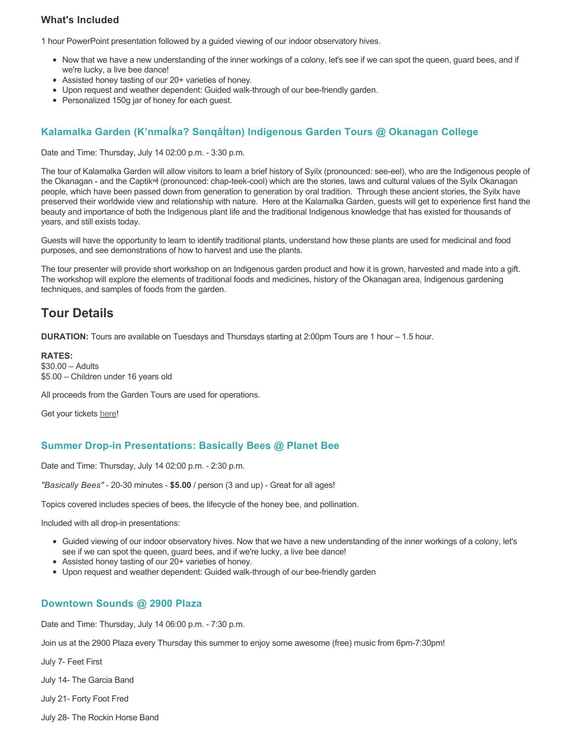## **What's Included**

1 hour PowerPoint presentation followed by a guided viewing of our indoor observatory hives.

- Now that we have a new understanding of the inner workings of a colony, let's see if we can spot the queen, guard bees, and if we're lucky, a live bee dance!
- Assisted honey tasting of our 20+ varieties of honey.
- Upon request and weather dependent: Guided walk-through of our bee-friendly garden.
- Personalized 150g jar of honey for each quest.

## **Kalamalka Garden (K'nmaĺka? Sәnqâĺtәn) Indigenous Garden Tours @ Okanagan College**

Date and Time: Thursday, July 14 02:00 p.m. - 3:30 p.m.

The tour of Kalamalka Garden will allow visitors to learn a brief history of Syilx (pronounced: see-eel), who are the Indigenous people of the Okanagan - and the Captikʷł (pronounced: chap-teek-cool) which are the stories, laws and cultural values of the Syilx Okanagan people, which have been passed down from generation to generation by oral tradition. Through these ancient stories, the Syilx have preserved their worldwide view and relationship with nature. Here at the Kalamalka Garden, guests will get to experience first hand the beauty and importance of both the Indigenous plant life and the traditional Indigenous knowledge that has existed for thousands of years, and still exists today.

Guests will have the opportunity to learn to identify traditional plants, understand how these plants are used for medicinal and food purposes, and see demonstrations of how to harvest and use the plants.

The tour presenter will provide short workshop on an Indigenous garden product and how it is grown, harvested and made into a gift. The workshop will explore the elements of traditional foods and medicines, history of the Okanagan area, Indigenous gardening techniques, and samples of foods from the garden.

# **Tour Details**

**DURATION:** Tours are available on Tuesdays and Thursdays starting at 2:00pm Tours are 1 hour – 1.5 hour.

**RATES:** \$30.00 – Adults \$5.00 – Children under 16 years old

All proceeds from the Garden Tours are used for operations.

Get your tickets [here!](https://www.eventbrite.ca/e/kalamalka-garden-tour-tickets-158617843239)

## **Summer Drop-in Presentations: Basically Bees @ Planet Bee**

Date and Time: Thursday, July 14 02:00 p.m. - 2:30 p.m.

*"Basically Bees"* - 20-30 minutes - **\$5.00** / person (3 and up) - Great for all ages!

Topics covered includes species of bees, the lifecycle of the honey bee, and pollination.

Included with all drop-in presentations:

- Guided viewing of our indoor observatory hives. Now that we have a new understanding of the inner workings of a colony, let's see if we can spot the queen, guard bees, and if we're lucky, a live bee dance!
- Assisted honey tasting of our 20+ varieties of honey.
- Upon request and weather dependent: Guided walk-through of our bee-friendly garden

## **Downtown Sounds @ 2900 Plaza**

Date and Time: Thursday, July 14 06:00 p.m. - 7:30 p.m.

Join us at the 2900 Plaza every Thursday this summer to enjoy some awesome (free) music from 6pm-7:30pm!

July 7- Feet First

July 14- The Garcia Band

July 21- Forty Foot Fred

July 28- The Rockin Horse Band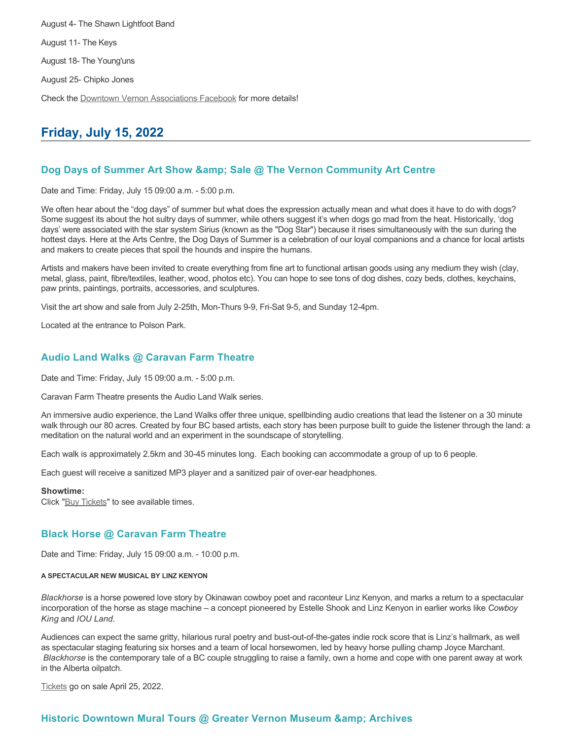August 4- The Shawn Lightfoot Band August 11- The Keys August 18- The Young'uns August 25- Chipko Jones Check the [Downtown Vernon Associations Facebook](https://www.facebook.com/downtownvernon/) for more details!

# **Friday, July 15, 2022**

## **Dog Days of Summer Art Show & amp; Sale @ The Vernon Community Art Centre**

Date and Time: Friday, July 15 09:00 a.m. - 5:00 p.m.

We often hear about the "dog days" of summer but what does the expression actually mean and what does it have to do with dogs? Some suggest its about the hot sultry days of summer, while others suggest it's when dogs go mad from the heat. Historically, 'dog days' were associated with the star system Sirius (known as the "Dog Star") because it rises simultaneously with the sun during the hottest days. Here at the Arts Centre, the Dog Days of Summer is a celebration of our loyal companions and a chance for local artists and makers to create pieces that spoil the hounds and inspire the humans.

Artists and makers have been invited to create everything from fine art to functional artisan goods using any medium they wish (clay, metal, glass, paint, fibre/textiles, leather, wood, photos etc). You can hope to see tons of dog dishes, cozy beds, clothes, keychains, paw prints, paintings, portraits, accessories, and sculptures.

Visit the art show and sale from July 2-25th, Mon-Thurs 9-9, Fri-Sat 9-5, and Sunday 12-4pm.

Located at the entrance to Polson Park.

## **Audio Land Walks @ Caravan Farm Theatre**

Date and Time: Friday, July 15 09:00 a.m. - 5:00 p.m.

Caravan Farm Theatre presents the Audio Land Walk series.

An immersive audio experience, the Land Walks offer three unique, spellbinding audio creations that lead the listener on a 30 minute walk through our 80 acres. Created by four BC based artists, each story has been purpose built to guide the listener through the land: a meditation on the natural world and an experiment in the soundscape of storytelling.

Each walk is approximately 2.5km and 30-45 minutes long. Each booking can accommodate a group of up to 6 people.

Each guest will receive a sanitized MP3 player and a sanitized pair of over-ear headphones.

#### **Showtime:**

Click "[Buy Tickets](https://caravanfarmtheatre.com/show/the-land-walks/?ct=t%28EMAIL_CAMPAIGN_4_19_2022_13_43SEASON+2022%29&mc_cid=c02afad356&mc_eid=4778eb8892)" to see available times.

## **Black Horse @ Caravan Farm Theatre**

Date and Time: Friday, July 15 09:00 a.m. - 10:00 p.m.

#### **A SPECTACULAR NEW MUSICAL BY LINZ KENYON**

*Blackhorse* is a horse powered love story by Okinawan cowboy poet and raconteur Linz Kenyon, and marks a return to a spectacular incorporation of the horse as stage machine – a concept pioneered by Estelle Shook and Linz Kenyon in earlier works like *Cowboy King* and *IOU Land*.

Audiences can expect the same gritty, hilarious rural poetry and bust-out-of-the-gates indie rock score that is Linz's hallmark, as well as spectacular staging featuring six horses and a team of local horsewomen, led by heavy horse pulling champ Joyce Marchant. *Blackhorse* is the contemporary tale of a BC couple struggling to raise a family, own a home and cope with one parent away at work in the Alberta oilpatch.

[Tickets](https://caravanfarmtheatre.com/show/blackhorse-2/?ct=t%28EMAIL_CAMPAIGN_4_19_2022_13_43SEASON+2022%29&mc_cid=c02afad356&mc_eid=4778eb8892) go on sale April 25, 2022.

## **Historic Downtown Mural Tours @ Greater Vernon Museum & Archives**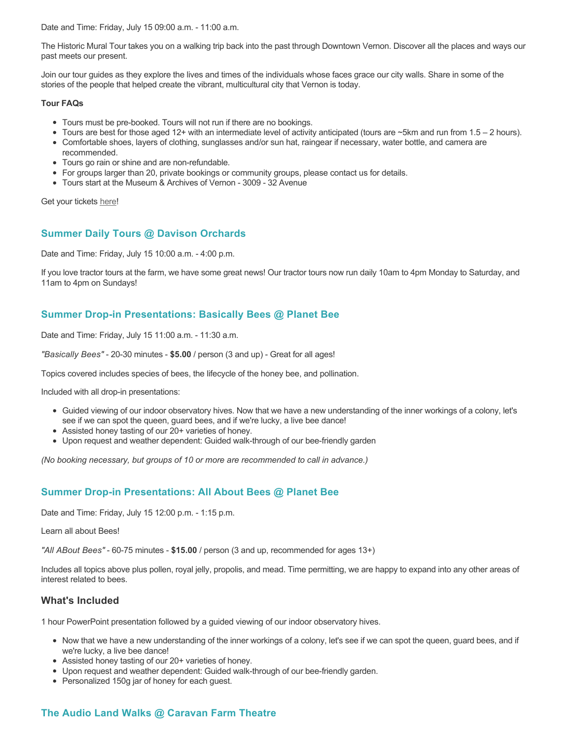Date and Time: Friday, July 15 09:00 a.m. - 11:00 a.m.

The Historic Mural Tour takes you on a walking trip back into the past through Downtown Vernon. Discover all the places and ways our past meets our present.

Join our tour guides as they explore the lives and times of the individuals whose faces grace our city walls. Share in some of the stories of the people that helped create the vibrant, multicultural city that Vernon is today.

#### **Tour FAQs**

- Tours must be pre-booked. Tours will not run if there are no bookings.
- Tours are best for those aged 12+ with an intermediate level of activity anticipated (tours are ~5km and run from 1.5 2 hours).
- Comfortable shoes, layers of clothing, sunglasses and/or sun hat, raingear if necessary, water bottle, and camera are recommended.
- Tours go rain or shine and are non-refundable.
- For groups larger than 20, private bookings or community groups, please contact us for details.
- Tours start at the Museum & Archives of Vernon 3009 32 Avenue

Get your tickets [here!](https://www.eventbrite.com/e/historic-downtown-mural-tours-tickets-304983342387)

## **Summer Daily Tours @ Davison Orchards**

Date and Time: Friday, July 15 10:00 a.m. - 4:00 p.m.

If you love tractor tours at the farm, we have some great news! Our tractor tours now run daily 10am to 4pm Monday to Saturday, and 11am to 4pm on Sundays!

## **Summer Drop-in Presentations: Basically Bees @ Planet Bee**

Date and Time: Friday, July 15 11:00 a.m. - 11:30 a.m.

*"Basically Bees"* - 20-30 minutes - **\$5.00** / person (3 and up) - Great for all ages!

Topics covered includes species of bees, the lifecycle of the honey bee, and pollination.

Included with all drop-in presentations:

- Guided viewing of our indoor observatory hives. Now that we have a new understanding of the inner workings of a colony, let's see if we can spot the queen, guard bees, and if we're lucky, a live bee dance!
- Assisted honey tasting of our 20+ varieties of honey.
- Upon request and weather dependent: Guided walk-through of our bee-friendly garden

*(No booking necessary, but groups of 10 or more are recommended to call in advance.)*

## **Summer Drop-in Presentations: All About Bees @ Planet Bee**

Date and Time: Friday, July 15 12:00 p.m. - 1:15 p.m.

Learn all about Bees!

*"All ABout Bees"* - 60-75 minutes - **\$15.00** / person (3 and up, recommended for ages 13+)

Includes all topics above plus pollen, royal jelly, propolis, and mead. Time permitting, we are happy to expand into any other areas of interest related to bees.

## **What's Included**

1 hour PowerPoint presentation followed by a guided viewing of our indoor observatory hives.

- Now that we have a new understanding of the inner workings of a colony, let's see if we can spot the queen, guard bees, and if we're lucky, a live bee dance!
- Assisted honey tasting of our 20+ varieties of honey.
- Upon request and weather dependent: Guided walk-through of our bee-friendly garden.
- Personalized 150g jar of honey for each guest.

## **The Audio Land Walks @ Caravan Farm Theatre**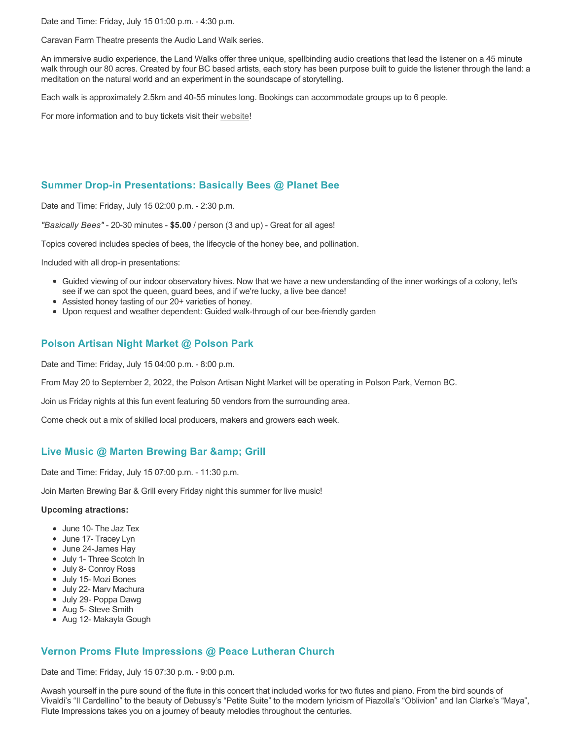Date and Time: Friday, July 15 01:00 p.m. - 4:30 p.m.

Caravan Farm Theatre presents the Audio Land Walk series.

An immersive audio experience, the Land Walks offer three unique, spellbinding audio creations that lead the listener on a 45 minute walk through our 80 acres. Created by four BC based artists, each story has been purpose built to guide the listener through the land: a meditation on the natural world and an experiment in the soundscape of storytelling.

Each walk is approximately 2.5km and 40-55 minutes long. Bookings can accommodate groups up to 6 people.

For more information and to buy tickets visit their [website!](https://caravanfarmtheatre.com/show/the-land-walks/)

## **Summer Drop-in Presentations: Basically Bees @ Planet Bee**

Date and Time: Friday, July 15 02:00 p.m. - 2:30 p.m.

*"Basically Bees"* - 20-30 minutes - **\$5.00** / person (3 and up) - Great for all ages!

Topics covered includes species of bees, the lifecycle of the honey bee, and pollination.

Included with all drop-in presentations:

- Guided viewing of our indoor observatory hives. Now that we have a new understanding of the inner workings of a colony, let's see if we can spot the queen, guard bees, and if we're lucky, a live bee dance!
- Assisted honey tasting of our 20+ varieties of honey.
- Upon request and weather dependent: Guided walk-through of our bee-friendly garden

## **Polson Artisan Night Market @ Polson Park**

Date and Time: Friday, July 15 04:00 p.m. - 8:00 p.m.

From May 20 to September 2, 2022, the Polson Artisan Night Market will be operating in Polson Park, Vernon BC.

Join us Friday nights at this fun event featuring 50 vendors from the surrounding area.

Come check out a mix of skilled local producers, makers and growers each week.

## **Live Music @ Marten Brewing Bar & amp; Grill**

Date and Time: Friday, July 15 07:00 p.m. - 11:30 p.m.

Join Marten Brewing Bar & Grill every Friday night this summer for live music!

#### **Upcoming atractions:**

- June 10- The Jaz Tex
- June 17- Tracey Lyn
- June 24-James Hay
- July 1- Three Scotch In
- July 8- Conroy Ross
- July 15- Mozi Bones
- July 22- Marv Machura
- July 29- Poppa Dawg
- Aug 5- Steve Smith
- Aug 12- Makayla Gough

## **Vernon Proms Flute Impressions @ Peace Lutheran Church**

Date and Time: Friday, July 15 07:30 p.m. - 9:00 p.m.

Awash yourself in the pure sound of the flute in this concert that included works for two flutes and piano. From the bird sounds of Vivaldi's "Il Cardellino" to the beauty of Debussy's "Petite Suite" to the modern lyricism of Piazolla's "Oblivion" and Ian Clarke's "Maya", Flute Impressions takes you on a journey of beauty melodies throughout the centuries.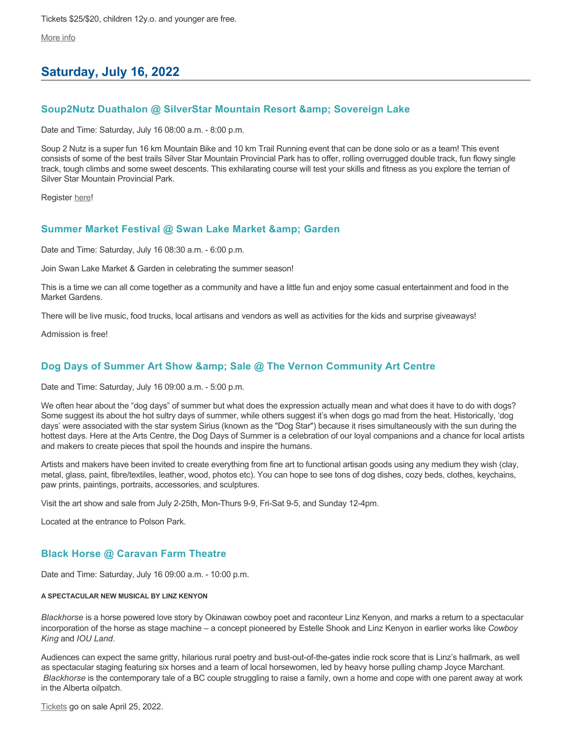Tickets \$25/\$20, children 12y.o. and younger are free.

[More info](https://proms.eventcalendarapp.com/u/36415/evt_external_62845d7184cce5260a3f539c?repeatId=evt_external_62845d7184cce5260a3f539c)

# **Saturday, July 16, 2022**

## **Soup2Nutz Duathalon @ SilverStar Mountain Resort & amp; Sovereign Lake**

Date and Time: Saturday, July 16 08:00 a.m. - 8:00 p.m.

Soup 2 Nutz is a super fun 16 km Mountain Bike and 10 km Trail Running event that can be done solo or as a team! This event consists of some of the best trails Silver Star Mountain Provincial Park has to offer, rolling overrugged double track, fun flowy single track, tough climbs and some sweet descents. This exhilarating course will test your skills and fitness as you explore the terrian of Silver Star Mountain Provincial Park.

Register [here](https://ultrasignup.com/register.aspx?did=87196)!

## **Summer Market Festival @ Swan Lake Market & Garden**

Date and Time: Saturday, July 16 08:30 a.m. - 6:00 p.m.

Join Swan Lake Market & Garden in celebrating the summer season!

This is a time we can all come together as a community and have a little fun and enjoy some casual entertainment and food in the Market Gardens.

There will be live music, food trucks, local artisans and vendors as well as activities for the kids and surprise giveaways!

Admission is free!

## **Dog Days of Summer Art Show & amp; Sale @ The Vernon Community Art Centre**

Date and Time: Saturday, July 16 09:00 a.m. - 5:00 p.m.

We often hear about the "dog days" of summer but what does the expression actually mean and what does it have to do with dogs? Some suggest its about the hot sultry days of summer, while others suggest it's when dogs go mad from the heat. Historically, 'dog days' were associated with the star system Sirius (known as the "Dog Star") because it rises simultaneously with the sun during the hottest days. Here at the Arts Centre, the Dog Days of Summer is a celebration of our loyal companions and a chance for local artists and makers to create pieces that spoil the hounds and inspire the humans.

Artists and makers have been invited to create everything from fine art to functional artisan goods using any medium they wish (clay, metal, glass, paint, fibre/textiles, leather, wood, photos etc). You can hope to see tons of dog dishes, cozy beds, clothes, keychains, paw prints, paintings, portraits, accessories, and sculptures.

Visit the art show and sale from July 2-25th, Mon-Thurs 9-9, Fri-Sat 9-5, and Sunday 12-4pm.

Located at the entrance to Polson Park.

## **Black Horse @ Caravan Farm Theatre**

Date and Time: Saturday, July 16 09:00 a.m. - 10:00 p.m.

#### **A SPECTACULAR NEW MUSICAL BY LINZ KENYON**

*Blackhorse* is a horse powered love story by Okinawan cowboy poet and raconteur Linz Kenyon, and marks a return to a spectacular incorporation of the horse as stage machine – a concept pioneered by Estelle Shook and Linz Kenyon in earlier works like *Cowboy King* and *IOU Land*.

Audiences can expect the same gritty, hilarious rural poetry and bust-out-of-the-gates indie rock score that is Linz's hallmark, as well as spectacular staging featuring six horses and a team of local horsewomen, led by heavy horse pulling champ Joyce Marchant. *Blackhorse* is the contemporary tale of a BC couple struggling to raise a family, own a home and cope with one parent away at work in the Alberta oilpatch.

[Tickets](https://caravanfarmtheatre.com/show/blackhorse-2/?ct=t%28EMAIL_CAMPAIGN_4_19_2022_13_43SEASON+2022%29&mc_cid=c02afad356&mc_eid=4778eb8892) go on sale April 25, 2022.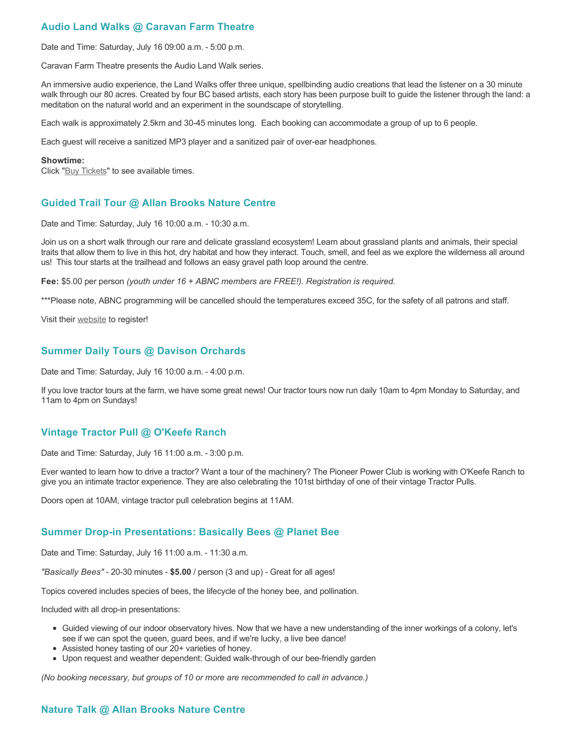## **Audio Land Walks @ Caravan Farm Theatre**

Date and Time: Saturday, July 16 09:00 a.m. - 5:00 p.m.

Caravan Farm Theatre presents the Audio Land Walk series.

An immersive audio experience, the Land Walks offer three unique, spellbinding audio creations that lead the listener on a 30 minute walk through our 80 acres. Created by four BC based artists, each story has been purpose built to guide the listener through the land: a meditation on the natural world and an experiment in the soundscape of storytelling.

Each walk is approximately 2.5km and 30-45 minutes long. Each booking can accommodate a group of up to 6 people.

Each guest will receive a sanitized MP3 player and a sanitized pair of over-ear headphones.

#### **Showtime:**

Click "[Buy Tickets](https://caravanfarmtheatre.com/show/the-land-walks/?ct=t%28EMAIL_CAMPAIGN_4_19_2022_13_43SEASON+2022%29&mc_cid=c02afad356&mc_eid=4778eb8892)" to see available times.

## **Guided Trail Tour @ Allan Brooks Nature Centre**

Date and Time: Saturday, July 16 10:00 a.m. - 10:30 a.m.

Join us on a short walk through our rare and delicate grassland ecosystem! Learn about grassland plants and animals, their special traits that allow them to live in this hot, dry habitat and how they interact. Touch, smell, and feel as we explore the wilderness all around us! This tour starts at the trailhead and follows an easy gravel path loop around the centre.

**Fee:** \$5.00 per person *(youth under 16 + ABNC members are FREE!). Registration is required.* 

\*\*\*Please note, ABNC programming will be cancelled should the temperatures exceed 35C, for the safety of all patrons and staff.

Visit their [website](https://abnc.ca/events/events-calendar/) to register!

## **Summer Daily Tours @ Davison Orchards**

Date and Time: Saturday, July 16 10:00 a.m. - 4:00 p.m.

If you love tractor tours at the farm, we have some great news! Our tractor tours now run daily 10am to 4pm Monday to Saturday, and 11am to 4pm on Sundays!

## **Vintage Tractor Pull @ O'Keefe Ranch**

Date and Time: Saturday, July 16 11:00 a.m. - 3:00 p.m.

Ever wanted to learn how to drive a tractor? Want a tour of the machinery? The Pioneer Power Club is working with O'Keefe Ranch to give you an intimate tractor experience. They are also celebrating the 101st birthday of one of their vintage Tractor Pulls.

Doors open at 10AM, vintage tractor pull celebration begins at 11AM.

## **Summer Drop-in Presentations: Basically Bees @ Planet Bee**

Date and Time: Saturday, July 16 11:00 a.m. - 11:30 a.m.

*"Basically Bees"* - 20-30 minutes - **\$5.00** / person (3 and up) - Great for all ages!

Topics covered includes species of bees, the lifecycle of the honey bee, and pollination.

Included with all drop-in presentations:

- Guided viewing of our indoor observatory hives. Now that we have a new understanding of the inner workings of a colony, let's see if we can spot the queen, guard bees, and if we're lucky, a live bee dance!
- Assisted honey tasting of our 20+ varieties of honey.
- Upon request and weather dependent: Guided walk-through of our bee-friendly garden

*(No booking necessary, but groups of 10 or more are recommended to call in advance.)*

## **Nature Talk @ Allan Brooks Nature Centre**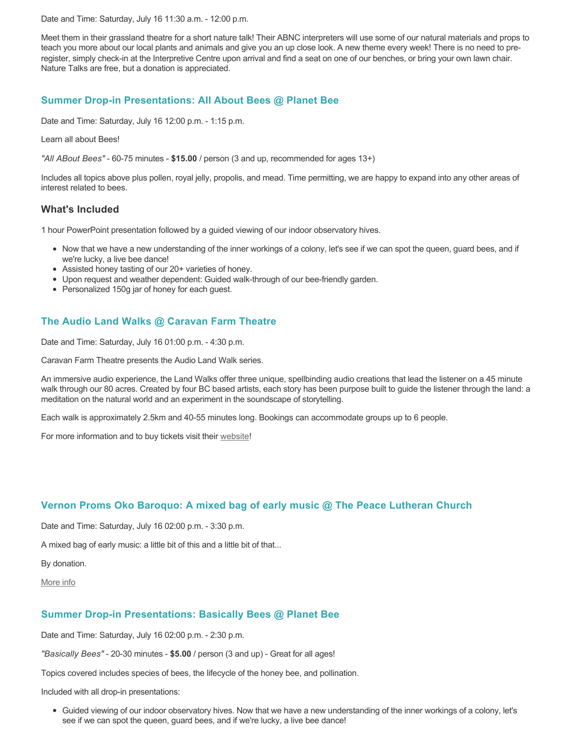Date and Time: Saturday, July 16 11:30 a.m. - 12:00 p.m.

Meet them in their grassland theatre for a short nature talk! Their ABNC interpreters will use some of our natural materials and props to teach you more about our local plants and animals and give you an up close look. A new theme every week! There is no need to preregister, simply check-in at the Interpretive Centre upon arrival and find a seat on one of our benches, or bring your own lawn chair. Nature Talks are free, but a donation is appreciated.

## **Summer Drop-in Presentations: All About Bees @ Planet Bee**

Date and Time: Saturday, July 16 12:00 p.m. - 1:15 p.m.

Learn all about Bees!

*"All ABout Bees"* - 60-75 minutes - **\$15.00** / person (3 and up, recommended for ages 13+)

Includes all topics above plus pollen, royal jelly, propolis, and mead. Time permitting, we are happy to expand into any other areas of interest related to bees.

## **What's Included**

1 hour PowerPoint presentation followed by a guided viewing of our indoor observatory hives.

- Now that we have a new understanding of the inner workings of a colony, let's see if we can spot the queen, guard bees, and if we're lucky, a live bee dance!
- Assisted honey tasting of our 20+ varieties of honey.
- Upon request and weather dependent: Guided walk-through of our bee-friendly garden.
- Personalized 150g jar of honey for each guest.

## **The Audio Land Walks @ Caravan Farm Theatre**

Date and Time: Saturday, July 16 01:00 p.m. - 4:30 p.m.

Caravan Farm Theatre presents the Audio Land Walk series.

An immersive audio experience, the Land Walks offer three unique, spellbinding audio creations that lead the listener on a 45 minute walk through our 80 acres. Created by four BC based artists, each story has been purpose built to guide the listener through the land: a meditation on the natural world and an experiment in the soundscape of storytelling.

Each walk is approximately 2.5km and 40-55 minutes long. Bookings can accommodate groups up to 6 people.

For more information and to buy tickets visit their [website!](https://caravanfarmtheatre.com/show/the-land-walks/)

## **Vernon Proms Oko Baroquo: A mixed bag of early music @ The Peace Lutheran Church**

Date and Time: Saturday, July 16 02:00 p.m. - 3:30 p.m.

A mixed bag of early music: a little bit of this and a little bit of that...

By donation.

[More info](https://proms.eventcalendarapp.com/u/36415/evt_external_62845d7084cce5260a3f5390?repeatId=evt_external_62845d7084cce5260a3f5390)

### **Summer Drop-in Presentations: Basically Bees @ Planet Bee**

Date and Time: Saturday, July 16 02:00 p.m. - 2:30 p.m.

*"Basically Bees"* - 20-30 minutes - **\$5.00** / person (3 and up) - Great for all ages!

Topics covered includes species of bees, the lifecycle of the honey bee, and pollination.

Included with all drop-in presentations:

Guided viewing of our indoor observatory hives. Now that we have a new understanding of the inner workings of a colony, let's see if we can spot the queen, guard bees, and if we're lucky, a live bee dance!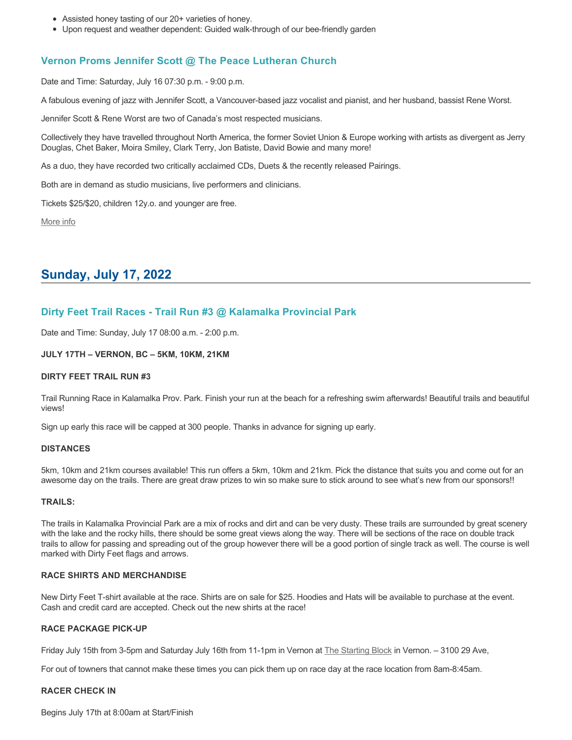- Assisted honey tasting of our 20+ varieties of honey.
- Upon request and weather dependent: Guided walk-through of our bee-friendly garden

### **Vernon Proms Jennifer Scott @ The Peace Lutheran Church**

Date and Time: Saturday, July 16 07:30 p.m. - 9:00 p.m.

A fabulous evening of jazz with Jennifer Scott, a Vancouver-based jazz vocalist and pianist, and her husband, bassist Rene Worst.

Jennifer Scott & Rene Worst are two of Canada's most respected musicians.

Collectively they have travelled throughout North America, the former Soviet Union & Europe working with artists as divergent as Jerry Douglas, Chet Baker, Moira Smiley, Clark Terry, Jon Batiste, David Bowie and many more!

As a duo, they have recorded two critically acclaimed CDs, Duets & the recently released Pairings.

Both are in demand as studio musicians, live performers and clinicians.

Tickets \$25/\$20, children 12y.o. and younger are free.

[More info](https://proms.eventcalendarapp.com/u/36415/evt_external_62845d7084cce5260a3f5392?repeatId=evt_external_62845d7084cce5260a3f5392)

# **Sunday, July 17, 2022**

## **Dirty Feet Trail Races - Trail Run #3 @ Kalamalka Provincial Park**

Date and Time: Sunday, July 17 08:00 a.m. - 2:00 p.m.

#### **JULY 17TH – VERNON, BC – 5KM, 10KM, 21KM**

#### **DIRTY FEET TRAIL RUN #3**

Trail Running Race in Kalamalka Prov. Park. Finish your run at the beach for a refreshing swim afterwards! Beautiful trails and beautiful views!

Sign up early this race will be capped at 300 people. Thanks in advance for signing up early.

#### **DISTANCES**

5km, 10km and 21km courses available! This run offers a 5km, 10km and 21km. Pick the distance that suits you and come out for an awesome day on the trails. There are great draw prizes to win so make sure to stick around to see what's new from our sponsors!!

#### **TRAILS:**

The trails in Kalamalka Provincial Park are a mix of rocks and dirt and can be very dusty. These trails are surrounded by great scenery with the lake and the rocky hills, there should be some great views along the way. There will be sections of the race on double track trails to allow for passing and spreading out of the group however there will be a good portion of single track as well. The course is well marked with Dirty Feet flags and arrows.

#### **RACE SHIRTS AND MERCHANDISE**

New Dirty Feet T-shirt available at the race. Shirts are on sale for \$25. Hoodies and Hats will be available to purchase at the event. Cash and credit card are accepted. Check out the new shirts at the race!

#### **RACE PACKAGE PICK-UP**

Friday July 15th from 3-5pm and Saturday July 16th from 11-1pm in Vernon at [The Starting Block](https://startingblock.ca/) in Vernon. – 3100 29 Ave,

For out of towners that cannot make these times you can pick them up on race day at the race location from 8am-8:45am.

#### **RACER CHECK IN**

Begins July 17th at 8:00am at Start/Finish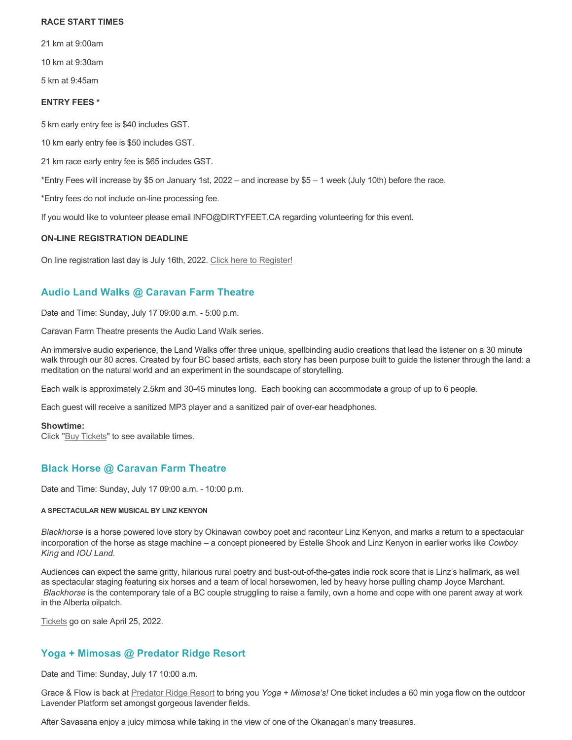#### **RACE START TIMES**

21 km at 9:00am

10 km at 9:30am

5 km at 9:45am

### **ENTRY FEES \***

5 km early entry fee is \$40 includes GST.

10 km early entry fee is \$50 includes GST.

21 km race early entry fee is \$65 includes GST.

\*Entry Fees will increase by \$5 on January 1st, 2022 – and increase by \$5 – 1 week (July 10th) before the race.

\*Entry fees do not include on-line processing fee.

If you would like to volunteer please email INFO@DIRTYFEET.CA regarding volunteering for this event.

### **ON-LINE REGISTRATION DEADLINE**

On line registration last day is July 16th, 2022. [Click here to Register!](https://raceroster.com/events/2022/56251/dirty-feet-trail-run-race-3?fbclid=IwAR1Z8VZD1XeFPyZXyeXkPbnLk8PVpsKxZfjrRq3R4B_98OQTA__Yci53QLg)

## **Audio Land Walks @ Caravan Farm Theatre**

Date and Time: Sunday, July 17 09:00 a.m. - 5:00 p.m.

Caravan Farm Theatre presents the Audio Land Walk series.

An immersive audio experience, the Land Walks offer three unique, spellbinding audio creations that lead the listener on a 30 minute walk through our 80 acres. Created by four BC based artists, each story has been purpose built to guide the listener through the land: a meditation on the natural world and an experiment in the soundscape of storytelling.

Each walk is approximately 2.5km and 30-45 minutes long. Each booking can accommodate a group of up to 6 people.

Each guest will receive a sanitized MP3 player and a sanitized pair of over-ear headphones.

#### **Showtime:**

Click "[Buy Tickets](https://caravanfarmtheatre.com/show/the-land-walks/?ct=t%28EMAIL_CAMPAIGN_4_19_2022_13_43SEASON+2022%29&mc_cid=c02afad356&mc_eid=4778eb8892)" to see available times.

## **Black Horse @ Caravan Farm Theatre**

Date and Time: Sunday, July 17 09:00 a.m. - 10:00 p.m.

#### **A SPECTACULAR NEW MUSICAL BY LINZ KENYON**

*Blackhorse* is a horse powered love story by Okinawan cowboy poet and raconteur Linz Kenyon, and marks a return to a spectacular incorporation of the horse as stage machine – a concept pioneered by Estelle Shook and Linz Kenyon in earlier works like *Cowboy King* and *IOU Land*.

Audiences can expect the same gritty, hilarious rural poetry and bust-out-of-the-gates indie rock score that is Linz's hallmark, as well as spectacular staging featuring six horses and a team of local horsewomen, led by heavy horse pulling champ Joyce Marchant. *Blackhorse* is the contemporary tale of a BC couple struggling to raise a family, own a home and cope with one parent away at work in the Alberta oilpatch.

[Tickets](https://caravanfarmtheatre.com/show/blackhorse-2/?ct=t%28EMAIL_CAMPAIGN_4_19_2022_13_43SEASON+2022%29&mc_cid=c02afad356&mc_eid=4778eb8892) go on sale April 25, 2022.

## **Yoga + Mimosas @ Predator Ridge Resort**

Date and Time: Sunday, July 17 10:00 a.m.

Grace & Flow is back at [Predator Ridge Resort](https://www.predatorridge.com/events) to bring you *Yoga + Mimosa's!* One ticket includes a 60 min yoga flow on the outdoor Lavender Platform set amongst gorgeous lavender fields.

After Savasana enjoy a juicy mimosa while taking in the view of one of the Okanagan's many treasures.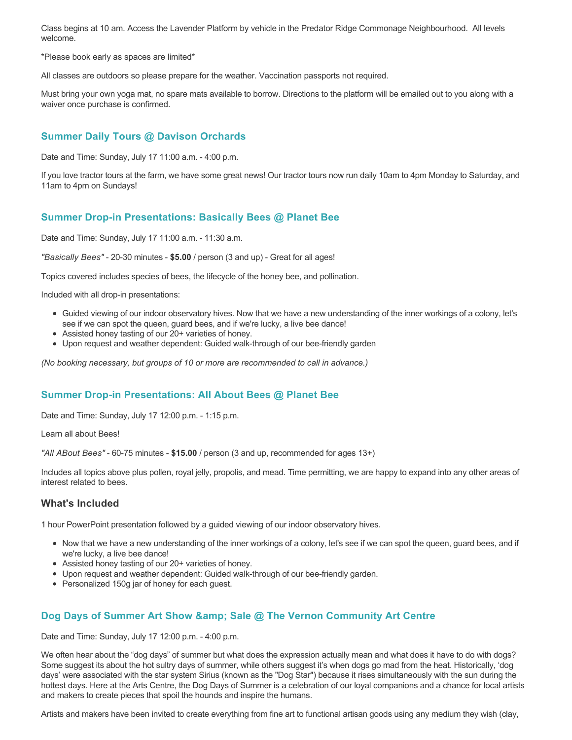Class begins at 10 am. Access the Lavender Platform by vehicle in the Predator Ridge Commonage Neighbourhood. All levels welcome.

\*Please book early as spaces are limited\*

All classes are outdoors so please prepare for the weather. Vaccination passports not required.

Must bring your own yoga mat, no spare mats available to borrow. Directions to the platform will be emailed out to you along with a waiver once purchase is confirmed.

## **Summer Daily Tours @ Davison Orchards**

Date and Time: Sunday, July 17 11:00 a.m. - 4:00 p.m.

If you love tractor tours at the farm, we have some great news! Our tractor tours now run daily 10am to 4pm Monday to Saturday, and 11am to 4pm on Sundays!

### **Summer Drop-in Presentations: Basically Bees @ Planet Bee**

Date and Time: Sunday, July 17 11:00 a.m. - 11:30 a.m.

*"Basically Bees"* - 20-30 minutes - **\$5.00** / person (3 and up) - Great for all ages!

Topics covered includes species of bees, the lifecycle of the honey bee, and pollination.

Included with all drop-in presentations:

- Guided viewing of our indoor observatory hives. Now that we have a new understanding of the inner workings of a colony, let's see if we can spot the queen, guard bees, and if we're lucky, a live bee dance!
- Assisted honey tasting of our 20+ varieties of honey.
- Upon request and weather dependent: Guided walk-through of our bee-friendly garden

*(No booking necessary, but groups of 10 or more are recommended to call in advance.)*

## **Summer Drop-in Presentations: All About Bees @ Planet Bee**

Date and Time: Sunday, July 17 12:00 p.m. - 1:15 p.m.

Learn all about Bees!

*"All ABout Bees"* - 60-75 minutes - **\$15.00** / person (3 and up, recommended for ages 13+)

Includes all topics above plus pollen, royal jelly, propolis, and mead. Time permitting, we are happy to expand into any other areas of interest related to bees.

### **What's Included**

1 hour PowerPoint presentation followed by a guided viewing of our indoor observatory hives.

- Now that we have a new understanding of the inner workings of a colony, let's see if we can spot the queen, guard bees, and if we're lucky, a live bee dance!
- Assisted honey tasting of our 20+ varieties of honey.
- Upon request and weather dependent: Guided walk-through of our bee-friendly garden.
- Personalized 150g jar of honey for each quest.

## **Dog Days of Summer Art Show & amp; Sale @ The Vernon Community Art Centre**

Date and Time: Sunday, July 17 12:00 p.m. - 4:00 p.m.

We often hear about the "dog days" of summer but what does the expression actually mean and what does it have to do with dogs? Some suggest its about the hot sultry days of summer, while others suggest it's when dogs go mad from the heat. Historically, 'dog days' were associated with the star system Sirius (known as the "Dog Star") because it rises simultaneously with the sun during the hottest days. Here at the Arts Centre, the Dog Days of Summer is a celebration of our loyal companions and a chance for local artists and makers to create pieces that spoil the hounds and inspire the humans.

Artists and makers have been invited to create everything from fine art to functional artisan goods using any medium they wish (clay,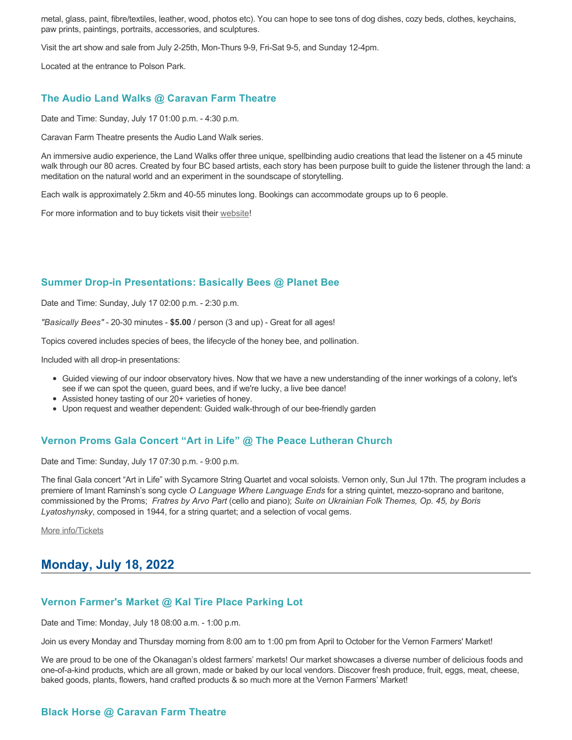metal, glass, paint, fibre/textiles, leather, wood, photos etc). You can hope to see tons of dog dishes, cozy beds, clothes, keychains, paw prints, paintings, portraits, accessories, and sculptures.

Visit the art show and sale from July 2-25th, Mon-Thurs 9-9, Fri-Sat 9-5, and Sunday 12-4pm.

Located at the entrance to Polson Park.

### **The Audio Land Walks @ Caravan Farm Theatre**

Date and Time: Sunday, July 17 01:00 p.m. - 4:30 p.m.

Caravan Farm Theatre presents the Audio Land Walk series.

An immersive audio experience, the Land Walks offer three unique, spellbinding audio creations that lead the listener on a 45 minute walk through our 80 acres. Created by four BC based artists, each story has been purpose built to guide the listener through the land: a meditation on the natural world and an experiment in the soundscape of storytelling.

Each walk is approximately 2.5km and 40-55 minutes long. Bookings can accommodate groups up to 6 people.

For more information and to buy tickets visit their [website!](https://caravanfarmtheatre.com/show/the-land-walks/)

### **Summer Drop-in Presentations: Basically Bees @ Planet Bee**

Date and Time: Sunday, July 17 02:00 p.m. - 2:30 p.m.

*"Basically Bees"* - 20-30 minutes - **\$5.00** / person (3 and up) - Great for all ages!

Topics covered includes species of bees, the lifecycle of the honey bee, and pollination.

Included with all drop-in presentations:

- Guided viewing of our indoor observatory hives. Now that we have a new understanding of the inner workings of a colony, let's see if we can spot the queen, guard bees, and if we're lucky, a live bee dance!
- Assisted honey tasting of our 20+ varieties of honey.
- Upon request and weather dependent: Guided walk-through of our bee-friendly garden

### **Vernon Proms Gala Concert "Art in Life" @ The Peace Lutheran Church**

Date and Time: Sunday, July 17 07:30 p.m. - 9:00 p.m.

The final Gala concert "Art in Life" with Sycamore String Quartet and vocal soloists. Vernon only, Sun Jul 17th. The program includes a premiere of Imant Raminsh's song cycle *O Language Where Language Ends* for a string quintet, mezzo-soprano and baritone, commissioned by the Proms; *Fratres by Arvo Part* (cello and piano); *Suite on Ukrainian Folk Themes, Op. 45, by Boris Lyatoshynsky*, composed in 1944, for a string quartet; and a selection of vocal gems.

[More info/Tickets](https://proms.eventcalendarapp.com/u/36415/evt_external_62845d7084cce5260a3f538c?repeatId=evt_external_62845d7084cce5260a3f538c)

## **Monday, July 18, 2022**

### **Vernon Farmer's Market @ Kal Tire Place Parking Lot**

Date and Time: Monday, July 18 08:00 a.m. - 1:00 p.m.

Join us every Monday and Thursday morning from 8:00 am to 1:00 pm from April to October for the Vernon Farmers' Market!

We are proud to be one of the Okanagan's oldest farmers' markets! Our market showcases a diverse number of delicious foods and one-of-a-kind products, which are all grown, made or baked by our local vendors. Discover fresh produce, fruit, eggs, meat, cheese, baked goods, plants, flowers, hand crafted products & so much more at the Vernon Farmers' Market!

## **Black Horse @ Caravan Farm Theatre**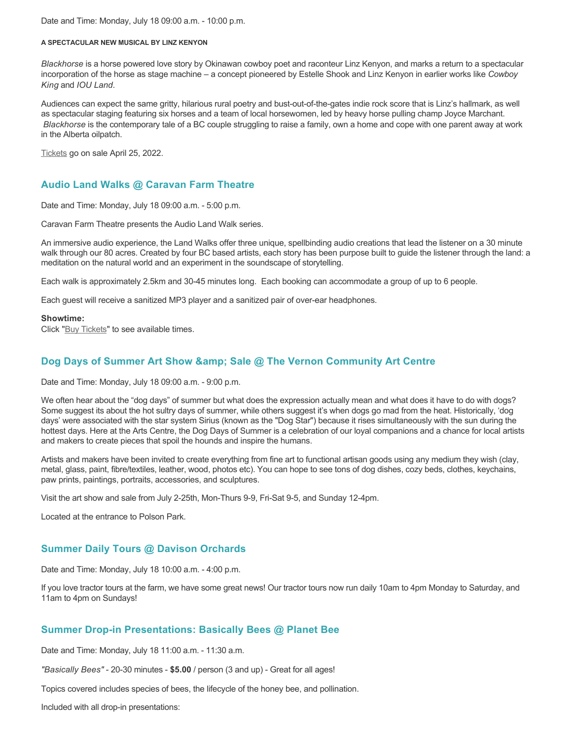Date and Time: Monday, July 18 09:00 a.m. - 10:00 p.m.

#### **A SPECTACULAR NEW MUSICAL BY LINZ KENYON**

*Blackhorse* is a horse powered love story by Okinawan cowboy poet and raconteur Linz Kenyon, and marks a return to a spectacular incorporation of the horse as stage machine – a concept pioneered by Estelle Shook and Linz Kenyon in earlier works like *Cowboy King* and *IOU Land*.

Audiences can expect the same gritty, hilarious rural poetry and bust-out-of-the-gates indie rock score that is Linz's hallmark, as well as spectacular staging featuring six horses and a team of local horsewomen, led by heavy horse pulling champ Joyce Marchant. *Blackhorse* is the contemporary tale of a BC couple struggling to raise a family, own a home and cope with one parent away at work in the Alberta oilpatch.

[Tickets](https://caravanfarmtheatre.com/show/blackhorse-2/?ct=t%28EMAIL_CAMPAIGN_4_19_2022_13_43SEASON+2022%29&mc_cid=c02afad356&mc_eid=4778eb8892) go on sale April 25, 2022.

## **Audio Land Walks @ Caravan Farm Theatre**

Date and Time: Monday, July 18 09:00 a.m. - 5:00 p.m.

Caravan Farm Theatre presents the Audio Land Walk series.

An immersive audio experience, the Land Walks offer three unique, spellbinding audio creations that lead the listener on a 30 minute walk through our 80 acres. Created by four BC based artists, each story has been purpose built to guide the listener through the land: a meditation on the natural world and an experiment in the soundscape of storytelling.

Each walk is approximately 2.5km and 30-45 minutes long. Each booking can accommodate a group of up to 6 people.

Each guest will receive a sanitized MP3 player and a sanitized pair of over-ear headphones.

#### **Showtime:**

Click "[Buy Tickets](https://caravanfarmtheatre.com/show/the-land-walks/?ct=t%28EMAIL_CAMPAIGN_4_19_2022_13_43SEASON+2022%29&mc_cid=c02afad356&mc_eid=4778eb8892)" to see available times.

## **Dog Days of Summer Art Show & amp: Sale @ The Vernon Community Art Centre**

Date and Time: Monday, July 18 09:00 a.m. - 9:00 p.m.

We often hear about the "dog days" of summer but what does the expression actually mean and what does it have to do with dogs? Some suggest its about the hot sultry days of summer, while others suggest it's when dogs go mad from the heat. Historically, 'dog days' were associated with the star system Sirius (known as the "Dog Star") because it rises simultaneously with the sun during the hottest days. Here at the Arts Centre, the Dog Days of Summer is a celebration of our loyal companions and a chance for local artists and makers to create pieces that spoil the hounds and inspire the humans.

Artists and makers have been invited to create everything from fine art to functional artisan goods using any medium they wish (clay, metal, glass, paint, fibre/textiles, leather, wood, photos etc). You can hope to see tons of dog dishes, cozy beds, clothes, keychains, paw prints, paintings, portraits, accessories, and sculptures.

Visit the art show and sale from July 2-25th, Mon-Thurs 9-9, Fri-Sat 9-5, and Sunday 12-4pm.

Located at the entrance to Polson Park.

## **Summer Daily Tours @ Davison Orchards**

Date and Time: Monday, July 18 10:00 a.m. - 4:00 p.m.

If you love tractor tours at the farm, we have some great news! Our tractor tours now run daily 10am to 4pm Monday to Saturday, and 11am to 4pm on Sundays!

## **Summer Drop-in Presentations: Basically Bees @ Planet Bee**

Date and Time: Monday, July 18 11:00 a.m. - 11:30 a.m.

*"Basically Bees"* - 20-30 minutes - **\$5.00** / person (3 and up) - Great for all ages!

Topics covered includes species of bees, the lifecycle of the honey bee, and pollination.

Included with all drop-in presentations: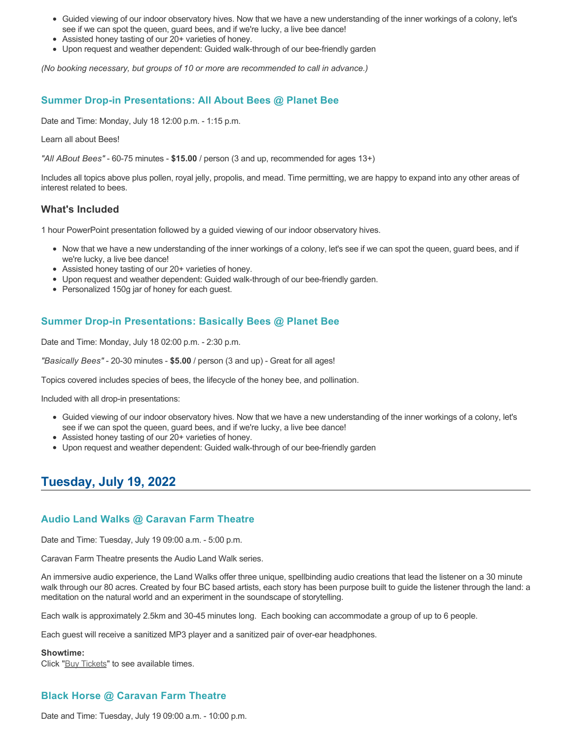- Guided viewing of our indoor observatory hives. Now that we have a new understanding of the inner workings of a colony, let's see if we can spot the queen, guard bees, and if we're lucky, a live bee dance!
- Assisted honey tasting of our 20+ varieties of honey.
- Upon request and weather dependent: Guided walk-through of our bee-friendly garden

*(No booking necessary, but groups of 10 or more are recommended to call in advance.)*

## **Summer Drop-in Presentations: All About Bees @ Planet Bee**

Date and Time: Monday, July 18 12:00 p.m. - 1:15 p.m.

Learn all about Bees!

*"All ABout Bees"* - 60-75 minutes - **\$15.00** / person (3 and up, recommended for ages 13+)

Includes all topics above plus pollen, royal jelly, propolis, and mead. Time permitting, we are happy to expand into any other areas of interest related to bees.

### **What's Included**

1 hour PowerPoint presentation followed by a guided viewing of our indoor observatory hives.

- Now that we have a new understanding of the inner workings of a colony, let's see if we can spot the queen, guard bees, and if we're lucky, a live bee dance!
- Assisted honey tasting of our 20+ varieties of honey.
- Upon request and weather dependent: Guided walk-through of our bee-friendly garden.
- Personalized 150g jar of honey for each guest.

## **Summer Drop-in Presentations: Basically Bees @ Planet Bee**

Date and Time: Monday, July 18 02:00 p.m. - 2:30 p.m.

*"Basically Bees"* - 20-30 minutes - **\$5.00** / person (3 and up) - Great for all ages!

Topics covered includes species of bees, the lifecycle of the honey bee, and pollination.

Included with all drop-in presentations:

- Guided viewing of our indoor observatory hives. Now that we have a new understanding of the inner workings of a colony, let's see if we can spot the queen, guard bees, and if we're lucky, a live bee dance!
- Assisted honey tasting of our 20+ varieties of honey.
- Upon request and weather dependent: Guided walk-through of our bee-friendly garden

# **Tuesday, July 19, 2022**

## **Audio Land Walks @ Caravan Farm Theatre**

Date and Time: Tuesday, July 19 09:00 a.m. - 5:00 p.m.

Caravan Farm Theatre presents the Audio Land Walk series.

An immersive audio experience, the Land Walks offer three unique, spellbinding audio creations that lead the listener on a 30 minute walk through our 80 acres. Created by four BC based artists, each story has been purpose built to guide the listener through the land: a meditation on the natural world and an experiment in the soundscape of storytelling.

Each walk is approximately 2.5km and 30-45 minutes long. Each booking can accommodate a group of up to 6 people.

Each guest will receive a sanitized MP3 player and a sanitized pair of over-ear headphones.

#### **Showtime:**

Click "[Buy Tickets](https://caravanfarmtheatre.com/show/the-land-walks/?ct=t%28EMAIL_CAMPAIGN_4_19_2022_13_43SEASON+2022%29&mc_cid=c02afad356&mc_eid=4778eb8892)" to see available times.

## **Black Horse @ Caravan Farm Theatre**

Date and Time: Tuesday, July 19 09:00 a.m. - 10:00 p.m.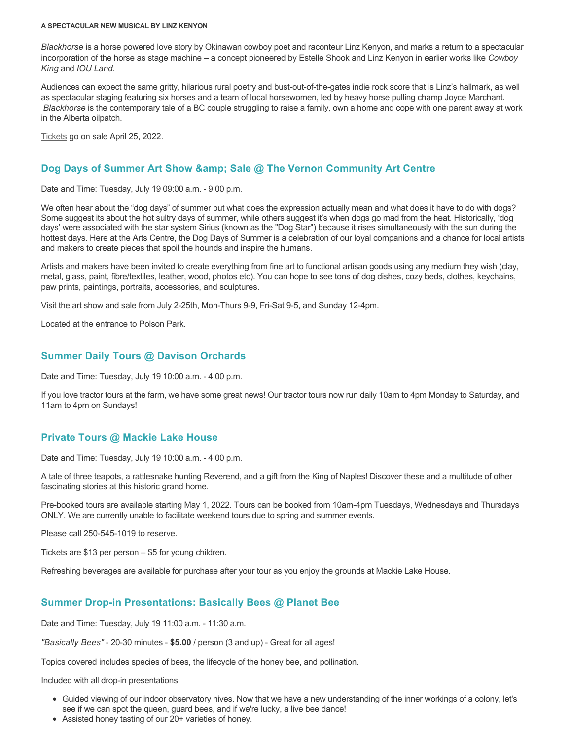#### **A SPECTACULAR NEW MUSICAL BY LINZ KENYON**

*Blackhorse* is a horse powered love story by Okinawan cowboy poet and raconteur Linz Kenyon, and marks a return to a spectacular incorporation of the horse as stage machine – a concept pioneered by Estelle Shook and Linz Kenyon in earlier works like *Cowboy King* and *IOU Land*.

Audiences can expect the same gritty, hilarious rural poetry and bust-out-of-the-gates indie rock score that is Linz's hallmark, as well as spectacular staging featuring six horses and a team of local horsewomen, led by heavy horse pulling champ Joyce Marchant. *Blackhorse* is the contemporary tale of a BC couple struggling to raise a family, own a home and cope with one parent away at work in the Alberta oilpatch.

[Tickets](https://caravanfarmtheatre.com/show/blackhorse-2/?ct=t%28EMAIL_CAMPAIGN_4_19_2022_13_43SEASON+2022%29&mc_cid=c02afad356&mc_eid=4778eb8892) go on sale April 25, 2022.

## **Dog Days of Summer Art Show & amp; Sale @ The Vernon Community Art Centre**

Date and Time: Tuesday, July 19 09:00 a.m. - 9:00 p.m.

We often hear about the "dog days" of summer but what does the expression actually mean and what does it have to do with dogs? Some suggest its about the hot sultry days of summer, while others suggest it's when dogs go mad from the heat. Historically, 'dog days' were associated with the star system Sirius (known as the "Dog Star") because it rises simultaneously with the sun during the hottest days. Here at the Arts Centre, the Dog Days of Summer is a celebration of our loyal companions and a chance for local artists and makers to create pieces that spoil the hounds and inspire the humans.

Artists and makers have been invited to create everything from fine art to functional artisan goods using any medium they wish (clay, metal, glass, paint, fibre/textiles, leather, wood, photos etc). You can hope to see tons of dog dishes, cozy beds, clothes, keychains, paw prints, paintings, portraits, accessories, and sculptures.

Visit the art show and sale from July 2-25th, Mon-Thurs 9-9, Fri-Sat 9-5, and Sunday 12-4pm.

Located at the entrance to Polson Park.

### **Summer Daily Tours @ Davison Orchards**

Date and Time: Tuesday, July 19 10:00 a.m. - 4:00 p.m.

If you love tractor tours at the farm, we have some great news! Our tractor tours now run daily 10am to 4pm Monday to Saturday, and 11am to 4pm on Sundays!

## **Private Tours @ Mackie Lake House**

Date and Time: Tuesday, July 19 10:00 a.m. - 4:00 p.m.

A tale of three teapots, a rattlesnake hunting Reverend, and a gift from the King of Naples! Discover these and a multitude of other fascinating stories at this historic grand home.

Pre-booked tours are available starting May 1, 2022. Tours can be booked from 10am-4pm Tuesdays, Wednesdays and Thursdays ONLY. We are currently unable to facilitate weekend tours due to spring and summer events.

Please call 250-545-1019 to reserve.

Tickets are \$13 per person – \$5 for young children.

Refreshing beverages are available for purchase after your tour as you enjoy the grounds at Mackie Lake House.

## **Summer Drop-in Presentations: Basically Bees @ Planet Bee**

Date and Time: Tuesday, July 19 11:00 a.m. - 11:30 a.m.

*"Basically Bees"* - 20-30 minutes - **\$5.00** / person (3 and up) - Great for all ages!

Topics covered includes species of bees, the lifecycle of the honey bee, and pollination.

Included with all drop-in presentations:

- Guided viewing of our indoor observatory hives. Now that we have a new understanding of the inner workings of a colony, let's see if we can spot the queen, guard bees, and if we're lucky, a live bee dance!
- Assisted honey tasting of our 20+ varieties of honey.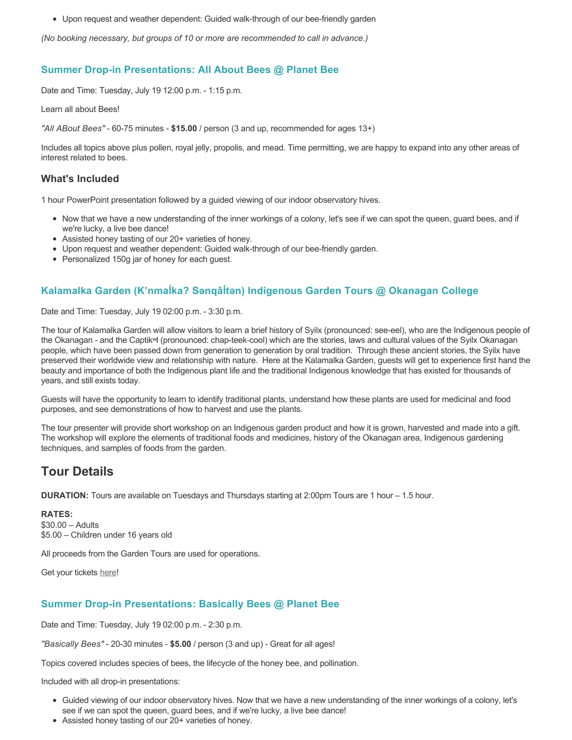Upon request and weather dependent: Guided walk-through of our bee-friendly garden

*(No booking necessary, but groups of 10 or more are recommended to call in advance.)*

## **Summer Drop-in Presentations: All About Bees @ Planet Bee**

Date and Time: Tuesday, July 19 12:00 p.m. - 1:15 p.m.

Learn all about Bees!

*"All ABout Bees"* - 60-75 minutes - **\$15.00** / person (3 and up, recommended for ages 13+)

Includes all topics above plus pollen, royal jelly, propolis, and mead. Time permitting, we are happy to expand into any other areas of interest related to bees.

### **What's Included**

1 hour PowerPoint presentation followed by a guided viewing of our indoor observatory hives.

- Now that we have a new understanding of the inner workings of a colony, let's see if we can spot the queen, guard bees, and if we're lucky, a live bee dance!
- Assisted honey tasting of our 20+ varieties of honey.
- Upon request and weather dependent: Guided walk-through of our bee-friendly garden.
- Personalized 150g jar of honey for each guest.

## **Kalamalka Garden (K'nmaĺka? Sәnqâĺtәn) Indigenous Garden Tours @ Okanagan College**

Date and Time: Tuesday, July 19 02:00 p.m. - 3:30 p.m.

The tour of Kalamalka Garden will allow visitors to learn a brief history of Syilx (pronounced: see-eel), who are the Indigenous people of the Okanagan - and the Captikʷł (pronounced: chap-teek-cool) which are the stories, laws and cultural values of the Syilx Okanagan people, which have been passed down from generation to generation by oral tradition. Through these ancient stories, the Syilx have preserved their worldwide view and relationship with nature. Here at the Kalamalka Garden, guests will get to experience first hand the beauty and importance of both the Indigenous plant life and the traditional Indigenous knowledge that has existed for thousands of years, and still exists today.

Guests will have the opportunity to learn to identify traditional plants, understand how these plants are used for medicinal and food purposes, and see demonstrations of how to harvest and use the plants.

The tour presenter will provide short workshop on an Indigenous garden product and how it is grown, harvested and made into a gift. The workshop will explore the elements of traditional foods and medicines, history of the Okanagan area, Indigenous gardening techniques, and samples of foods from the garden.

# **Tour Details**

**DURATION:** Tours are available on Tuesdays and Thursdays starting at 2:00pm Tours are 1 hour – 1.5 hour.

#### **RATES:**

\$30.00 – Adults \$5.00 – Children under 16 years old

All proceeds from the Garden Tours are used for operations.

Get your tickets [here!](https://www.eventbrite.ca/e/kalamalka-garden-tour-tickets-158617843239)

## **Summer Drop-in Presentations: Basically Bees @ Planet Bee**

Date and Time: Tuesday, July 19 02:00 p.m. - 2:30 p.m.

*"Basically Bees"* - 20-30 minutes - **\$5.00** / person (3 and up) - Great for all ages!

Topics covered includes species of bees, the lifecycle of the honey bee, and pollination.

Included with all drop-in presentations:

- Guided viewing of our indoor observatory hives. Now that we have a new understanding of the inner workings of a colony, let's see if we can spot the queen, guard bees, and if we're lucky, a live bee dance!
- Assisted honey tasting of our 20+ varieties of honey.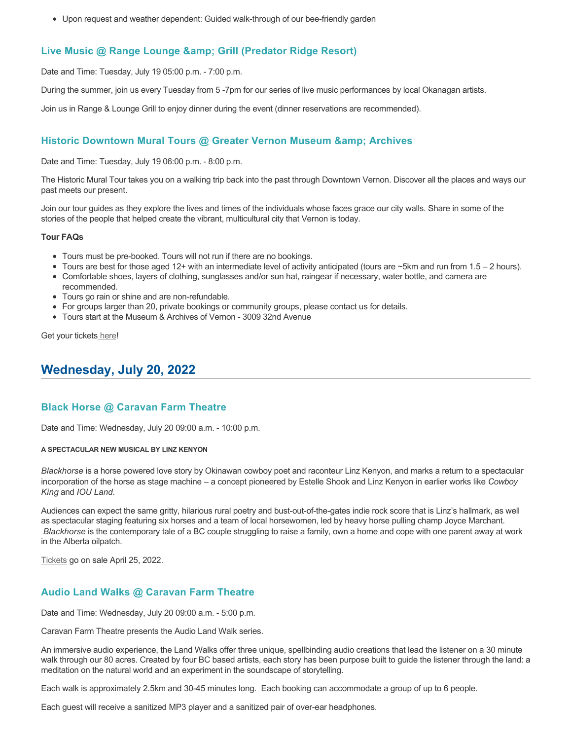Upon request and weather dependent: Guided walk-through of our bee-friendly garden

## **Live Music @ Range Lounge & Grill (Predator Ridge Resort)**

Date and Time: Tuesday, July 19 05:00 p.m. - 7:00 p.m.

During the summer, join us every Tuesday from 5 -7pm for our series of live music performances by local Okanagan artists.

Join us in Range & Lounge Grill to enjoy dinner during the event (dinner reservations are recommended).

## **Historic Downtown Mural Tours @ Greater Vernon Museum & Archives**

Date and Time: Tuesday, July 19 06:00 p.m. - 8:00 p.m.

The Historic Mural Tour takes you on a walking trip back into the past through Downtown Vernon. Discover all the places and ways our past meets our present.

Join our tour guides as they explore the lives and times of the individuals whose faces grace our city walls. Share in some of the stories of the people that helped create the vibrant, multicultural city that Vernon is today.

#### **Tour FAQs**

- Tours must be pre-booked. Tours will not run if there are no bookings.
- Tours are best for those aged 12+ with an intermediate level of activity anticipated (tours are  $\sim$ 5km and run from 1.5 2 hours).
- Comfortable shoes, layers of clothing, sunglasses and/or sun hat, raingear if necessary, water bottle, and camera are recommended.
- Tours go rain or shine and are non-refundable.
- For groups larger than 20, private bookings or community groups, please contact us for details.
- Tours start at the Museum & Archives of Vernon 3009 32nd Avenue

Get your tickets [here!](https://www.eventbrite.com/e/historic-downtown-mural-tours-tickets-304983342387)

# **Wednesday, July 20, 2022**

## **Black Horse @ Caravan Farm Theatre**

Date and Time: Wednesday, July 20 09:00 a.m. - 10:00 p.m.

#### **A SPECTACULAR NEW MUSICAL BY LINZ KENYON**

*Blackhorse* is a horse powered love story by Okinawan cowboy poet and raconteur Linz Kenyon, and marks a return to a spectacular incorporation of the horse as stage machine – a concept pioneered by Estelle Shook and Linz Kenyon in earlier works like *Cowboy King* and *IOU Land*.

Audiences can expect the same gritty, hilarious rural poetry and bust-out-of-the-gates indie rock score that is Linz's hallmark, as well as spectacular staging featuring six horses and a team of local horsewomen, led by heavy horse pulling champ Joyce Marchant. *Blackhorse* is the contemporary tale of a BC couple struggling to raise a family, own a home and cope with one parent away at work in the Alberta oilpatch.

[Tickets](https://caravanfarmtheatre.com/show/blackhorse-2/?ct=t%28EMAIL_CAMPAIGN_4_19_2022_13_43SEASON+2022%29&mc_cid=c02afad356&mc_eid=4778eb8892) go on sale April 25, 2022.

## **Audio Land Walks @ Caravan Farm Theatre**

Date and Time: Wednesday, July 20 09:00 a.m. - 5:00 p.m.

Caravan Farm Theatre presents the Audio Land Walk series.

An immersive audio experience, the Land Walks offer three unique, spellbinding audio creations that lead the listener on a 30 minute walk through our 80 acres. Created by four BC based artists, each story has been purpose built to guide the listener through the land: a meditation on the natural world and an experiment in the soundscape of storytelling.

Each walk is approximately 2.5km and 30-45 minutes long. Each booking can accommodate a group of up to 6 people.

Each guest will receive a sanitized MP3 player and a sanitized pair of over-ear headphones.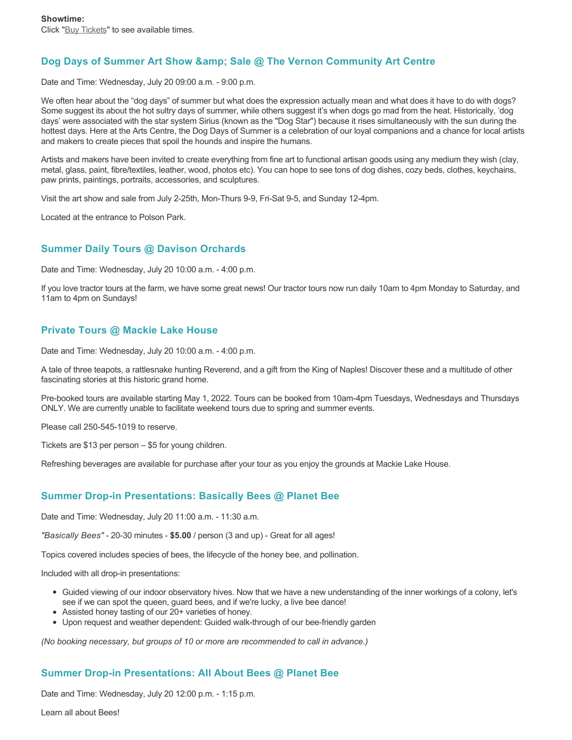## Dog Days of Summer Art Show & Sale @ The Vernon Community Art Centre

Date and Time: Wednesday, July 20 09:00 a.m. - 9:00 p.m.

We often hear about the "dog days" of summer but what does the expression actually mean and what does it have to do with dogs? Some suggest its about the hot sultry days of summer, while others suggest it's when dogs go mad from the heat. Historically, 'dog days' were associated with the star system Sirius (known as the "Dog Star") because it rises simultaneously with the sun during the hottest days. Here at the Arts Centre, the Dog Days of Summer is a celebration of our loyal companions and a chance for local artists and makers to create pieces that spoil the hounds and inspire the humans.

Artists and makers have been invited to create everything from fine art to functional artisan goods using any medium they wish (clay, metal, glass, paint, fibre/textiles, leather, wood, photos etc). You can hope to see tons of dog dishes, cozy beds, clothes, keychains, paw prints, paintings, portraits, accessories, and sculptures.

Visit the art show and sale from July 2-25th, Mon-Thurs 9-9, Fri-Sat 9-5, and Sunday 12-4pm.

Located at the entrance to Polson Park.

## **Summer Daily Tours @ Davison Orchards**

Date and Time: Wednesday, July 20 10:00 a.m. - 4:00 p.m.

If you love tractor tours at the farm, we have some great news! Our tractor tours now run daily 10am to 4pm Monday to Saturday, and 11am to 4pm on Sundays!

## **Private Tours @ Mackie Lake House**

Date and Time: Wednesday, July 20 10:00 a.m. - 4:00 p.m.

A tale of three teapots, a rattlesnake hunting Reverend, and a gift from the King of Naples! Discover these and a multitude of other fascinating stories at this historic grand home.

Pre-booked tours are available starting May 1, 2022. Tours can be booked from 10am-4pm Tuesdays, Wednesdays and Thursdays ONLY. We are currently unable to facilitate weekend tours due to spring and summer events.

Please call 250-545-1019 to reserve.

Tickets are \$13 per person – \$5 for young children.

Refreshing beverages are available for purchase after your tour as you enjoy the grounds at Mackie Lake House.

## **Summer Drop-in Presentations: Basically Bees @ Planet Bee**

Date and Time: Wednesday, July 20 11:00 a.m. - 11:30 a.m.

*"Basically Bees"* - 20-30 minutes - **\$5.00** / person (3 and up) - Great for all ages!

Topics covered includes species of bees, the lifecycle of the honey bee, and pollination.

Included with all drop-in presentations:

- Guided viewing of our indoor observatory hives. Now that we have a new understanding of the inner workings of a colony, let's see if we can spot the queen, guard bees, and if we're lucky, a live bee dance!
- Assisted honey tasting of our 20+ varieties of honey.
- Upon request and weather dependent: Guided walk-through of our bee-friendly garden

*(No booking necessary, but groups of 10 or more are recommended to call in advance.)*

## **Summer Drop-in Presentations: All About Bees @ Planet Bee**

Date and Time: Wednesday, July 20 12:00 p.m. - 1:15 p.m.

Learn all about Bees!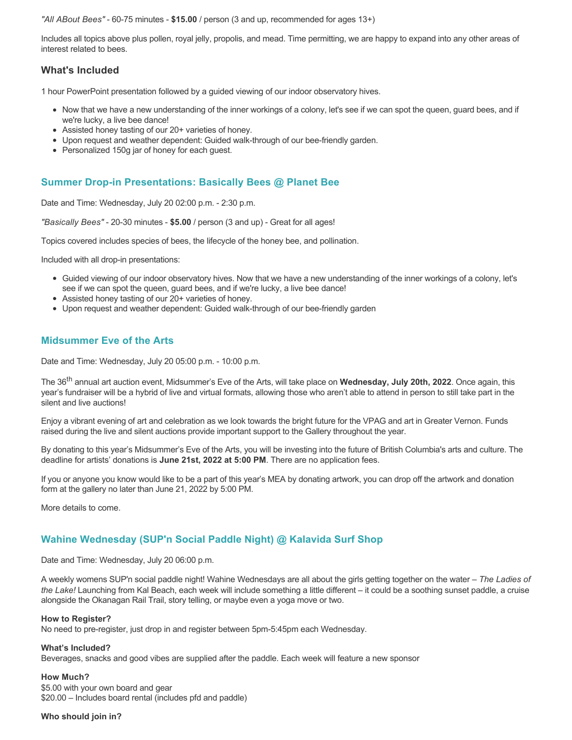*"All ABout Bees"* - 60-75 minutes - **\$15.00** / person (3 and up, recommended for ages 13+)

Includes all topics above plus pollen, royal jelly, propolis, and mead. Time permitting, we are happy to expand into any other areas of interest related to bees.

## **What's Included**

1 hour PowerPoint presentation followed by a guided viewing of our indoor observatory hives.

- Now that we have a new understanding of the inner workings of a colony, let's see if we can spot the queen, guard bees, and if we're lucky, a live bee dance!
- Assisted honey tasting of our 20+ varieties of honey.
- Upon request and weather dependent: Guided walk-through of our bee-friendly garden.
- Personalized 150g jar of honey for each guest.

## **Summer Drop-in Presentations: Basically Bees @ Planet Bee**

Date and Time: Wednesday, July 20 02:00 p.m. - 2:30 p.m.

*"Basically Bees"* - 20-30 minutes - **\$5.00** / person (3 and up) - Great for all ages!

Topics covered includes species of bees, the lifecycle of the honey bee, and pollination.

Included with all drop-in presentations:

- Guided viewing of our indoor observatory hives. Now that we have a new understanding of the inner workings of a colony, let's see if we can spot the queen, guard bees, and if we're lucky, a live bee dance!
- Assisted honey tasting of our 20+ varieties of honey.
- Upon request and weather dependent: Guided walk-through of our bee-friendly garden

### **Midsummer Eve of the Arts**

Date and Time: Wednesday, July 20 05:00 p.m. - 10:00 p.m.

The 36th annual art auction event, Midsummer's Eve of the Arts, will take place on **Wednesday, July 20th, 2022**. Once again, this year's fundraiser will be a hybrid of live and virtual formats, allowing those who aren't able to attend in person to still take part in the silent and live auctions!

Enjoy a vibrant evening of art and celebration as we look towards the bright future for the VPAG and art in Greater Vernon. Funds raised during the live and silent auctions provide important support to the Gallery throughout the year.

By donating to this year's Midsummer's Eve of the Arts, you will be investing into the future of British Columbia's arts and culture. The deadline for artists' donations is **June 21st, 2022 at 5:00 PM**. There are no application fees.

If you or anyone you know would like to be a part of this year's MEA by donating artwork, you can drop off the artwork and donation form at the gallery no later than June 21, 2022 by 5:00 PM.

More details to come.

## **Wahine Wednesday (SUP'n Social Paddle Night) @ Kalavida Surf Shop**

Date and Time: Wednesday, July 20 06:00 p.m.

A weekly womens SUP'n social paddle night! Wahine Wednesdays are all about the girls getting together on the water – *The Ladies of the Lake!* Launching from Kal Beach, each week will include something a little different – it could be a soothing sunset paddle, a cruise alongside the Okanagan Rail Trail, story telling, or maybe even a yoga move or two.

#### **How to Register?**

No need to pre-register, just drop in and register between 5pm-5:45pm each Wednesday.

#### **What's Included?**

Beverages, snacks and good vibes are supplied after the paddle. Each week will feature a new sponsor

#### **How Much?**

\$5.00 with your own board and gear \$20.00 – Includes board rental (includes pfd and paddle)

#### **Who should join in?**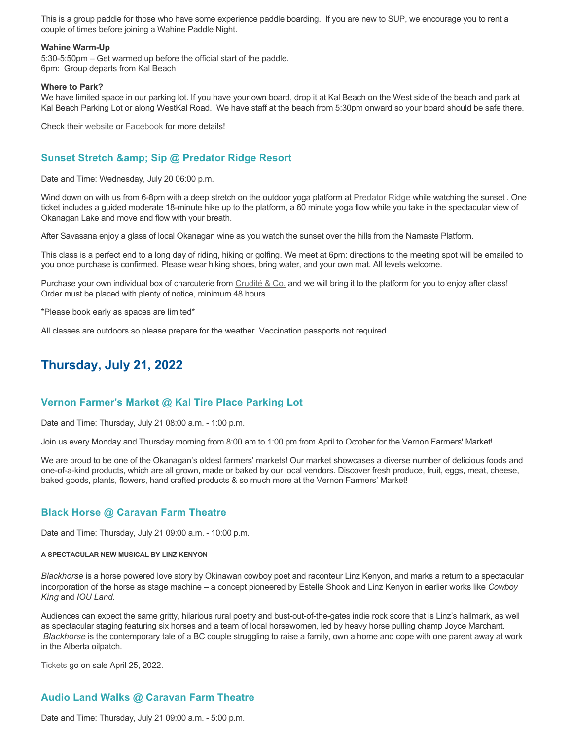This is a group paddle for those who have some experience paddle boarding. If you are new to SUP, we encourage you to rent a couple of times before joining a Wahine Paddle Night.

#### **Wahine Warm-Up**

5:30-5:50pm – Get warmed up before the official start of the paddle. 6pm: Group departs from Kal Beach

#### **Where to Park?**

We have limited space in our parking lot. If you have your own board, drop it at Kal Beach on the West side of the beach and park at Kal Beach Parking Lot or along WestKal Road. We have staff at the beach from 5:30pm onward so your board should be safe there.

Check their [website](https://kalavidasurfshop.com/wahine-wednesday-kalavida/) or [Facebook](https://www.facebook.com/kalavidasurfshop/) for more details!

## **Sunset Stretch & amp; Sip @ Predator Ridge Resort**

Date and Time: Wednesday, July 20 06:00 p.m.

Wind down on with us from 6-8pm with a deep stretch on the outdoor yoga platform at [Predator Ridge](https://www.predatorridge.com/events) while watching the sunset . One ticket includes a guided moderate 18-minute hike up to the platform, a 60 minute yoga flow while you take in the spectacular view of Okanagan Lake and move and flow with your breath.

After Savasana enjoy a glass of local Okanagan wine as you watch the sunset over the hills from the Namaste Platform.

This class is a perfect end to a long day of riding, hiking or golfing. We meet at 6pm: directions to the meeting spot will be emailed to you once purchase is confirmed. Please wear hiking shoes, bring water, and your own mat. All levels welcome.

Purchase your own individual box of charcuterie from [Crudité & Co.](https://cruditeandco.com/product/picnic-platter/) and we will bring it to the platform for you to enjoy after class! Order must be placed with plenty of notice, minimum 48 hours.

\*Please book early as spaces are limited\*

All classes are outdoors so please prepare for the weather. Vaccination passports not required.

# **Thursday, July 21, 2022**

#### **Vernon Farmer's Market @ Kal Tire Place Parking Lot**

Date and Time: Thursday, July 21 08:00 a.m. - 1:00 p.m.

Join us every Monday and Thursday morning from 8:00 am to 1:00 pm from April to October for the Vernon Farmers' Market!

We are proud to be one of the Okanagan's oldest farmers' markets! Our market showcases a diverse number of delicious foods and one-of-a-kind products, which are all grown, made or baked by our local vendors. Discover fresh produce, fruit, eggs, meat, cheese, baked goods, plants, flowers, hand crafted products & so much more at the Vernon Farmers' Market!

### **Black Horse @ Caravan Farm Theatre**

Date and Time: Thursday, July 21 09:00 a.m. - 10:00 p.m.

#### **A SPECTACULAR NEW MUSICAL BY LINZ KENYON**

*Blackhorse* is a horse powered love story by Okinawan cowboy poet and raconteur Linz Kenyon, and marks a return to a spectacular incorporation of the horse as stage machine – a concept pioneered by Estelle Shook and Linz Kenyon in earlier works like *Cowboy King* and *IOU Land*.

Audiences can expect the same gritty, hilarious rural poetry and bust-out-of-the-gates indie rock score that is Linz's hallmark, as well as spectacular staging featuring six horses and a team of local horsewomen, led by heavy horse pulling champ Joyce Marchant. *Blackhorse* is the contemporary tale of a BC couple struggling to raise a family, own a home and cope with one parent away at work in the Alberta oilpatch.

[Tickets](https://caravanfarmtheatre.com/show/blackhorse-2/?ct=t%28EMAIL_CAMPAIGN_4_19_2022_13_43SEASON+2022%29&mc_cid=c02afad356&mc_eid=4778eb8892) go on sale April 25, 2022.

# **Audio Land Walks @ Caravan Farm Theatre**

Date and Time: Thursday, July 21 09:00 a.m. - 5:00 p.m.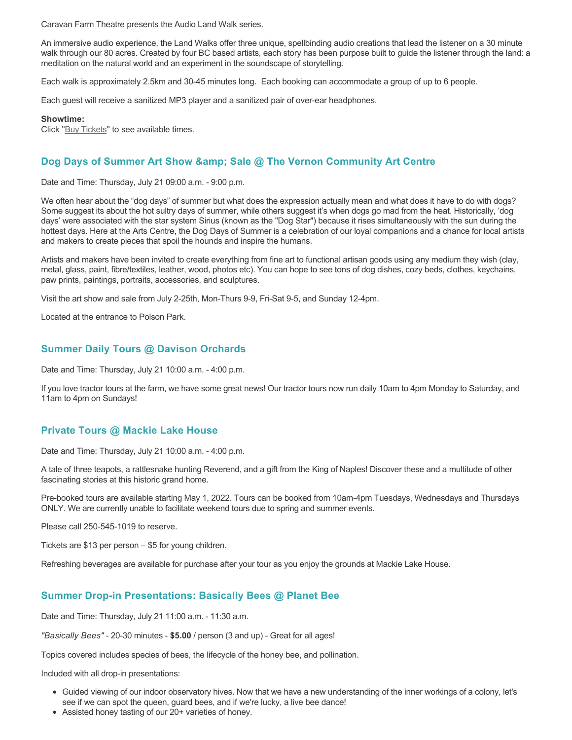Caravan Farm Theatre presents the Audio Land Walk series.

An immersive audio experience, the Land Walks offer three unique, spellbinding audio creations that lead the listener on a 30 minute walk through our 80 acres. Created by four BC based artists, each story has been purpose built to guide the listener through the land: a meditation on the natural world and an experiment in the soundscape of storytelling.

Each walk is approximately 2.5km and 30-45 minutes long. Each booking can accommodate a group of up to 6 people.

Each guest will receive a sanitized MP3 player and a sanitized pair of over-ear headphones.

#### **Showtime:**

Click "[Buy Tickets](https://caravanfarmtheatre.com/show/the-land-walks/?ct=t%28EMAIL_CAMPAIGN_4_19_2022_13_43SEASON+2022%29&mc_cid=c02afad356&mc_eid=4778eb8892)" to see available times.

### **Dog Days of Summer Art Show & amp: Sale @ The Vernon Community Art Centre**

Date and Time: Thursday, July 21 09:00 a.m. - 9:00 p.m.

We often hear about the "dog days" of summer but what does the expression actually mean and what does it have to do with dogs? Some suggest its about the hot sultry days of summer, while others suggest it's when dogs go mad from the heat. Historically, 'dog days' were associated with the star system Sirius (known as the "Dog Star") because it rises simultaneously with the sun during the hottest days. Here at the Arts Centre, the Dog Days of Summer is a celebration of our loyal companions and a chance for local artists and makers to create pieces that spoil the hounds and inspire the humans.

Artists and makers have been invited to create everything from fine art to functional artisan goods using any medium they wish (clay, metal, glass, paint, fibre/textiles, leather, wood, photos etc). You can hope to see tons of dog dishes, cozy beds, clothes, keychains, paw prints, paintings, portraits, accessories, and sculptures.

Visit the art show and sale from July 2-25th, Mon-Thurs 9-9, Fri-Sat 9-5, and Sunday 12-4pm.

Located at the entrance to Polson Park.

### **Summer Daily Tours @ Davison Orchards**

Date and Time: Thursday, July 21 10:00 a.m. - 4:00 p.m.

If you love tractor tours at the farm, we have some great news! Our tractor tours now run daily 10am to 4pm Monday to Saturday, and 11am to 4pm on Sundays!

#### **Private Tours @ Mackie Lake House**

Date and Time: Thursday, July 21 10:00 a.m. - 4:00 p.m.

A tale of three teapots, a rattlesnake hunting Reverend, and a gift from the King of Naples! Discover these and a multitude of other fascinating stories at this historic grand home.

Pre-booked tours are available starting May 1, 2022. Tours can be booked from 10am-4pm Tuesdays, Wednesdays and Thursdays ONLY. We are currently unable to facilitate weekend tours due to spring and summer events.

Please call 250-545-1019 to reserve.

Tickets are \$13 per person – \$5 for young children.

Refreshing beverages are available for purchase after your tour as you enjoy the grounds at Mackie Lake House.

#### **Summer Drop-in Presentations: Basically Bees @ Planet Bee**

Date and Time: Thursday, July 21 11:00 a.m. - 11:30 a.m.

*"Basically Bees"* - 20-30 minutes - **\$5.00** / person (3 and up) - Great for all ages!

Topics covered includes species of bees, the lifecycle of the honey bee, and pollination.

Included with all drop-in presentations:

- Guided viewing of our indoor observatory hives. Now that we have a new understanding of the inner workings of a colony, let's see if we can spot the queen, guard bees, and if we're lucky, a live bee dance!
- Assisted honey tasting of our 20+ varieties of honey.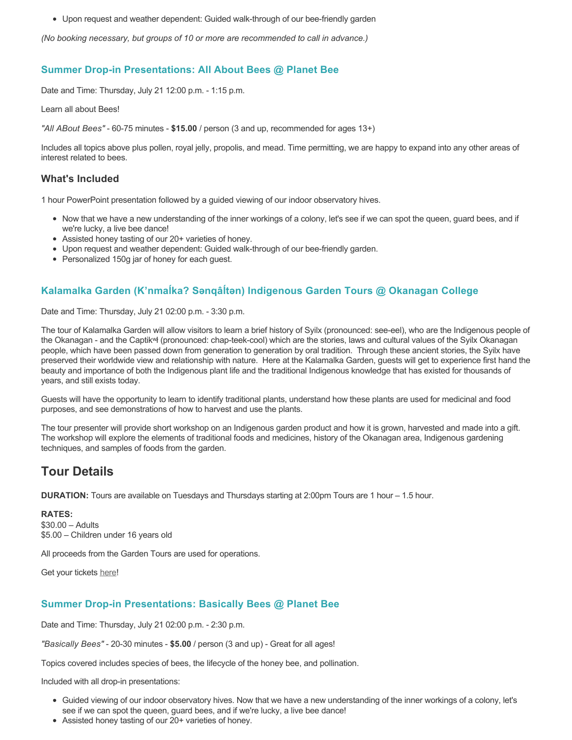Upon request and weather dependent: Guided walk-through of our bee-friendly garden

*(No booking necessary, but groups of 10 or more are recommended to call in advance.)*

## **Summer Drop-in Presentations: All About Bees @ Planet Bee**

Date and Time: Thursday, July 21 12:00 p.m. - 1:15 p.m.

Learn all about Bees!

*"All ABout Bees"* - 60-75 minutes - **\$15.00** / person (3 and up, recommended for ages 13+)

Includes all topics above plus pollen, royal jelly, propolis, and mead. Time permitting, we are happy to expand into any other areas of interest related to bees.

#### **What's Included**

1 hour PowerPoint presentation followed by a guided viewing of our indoor observatory hives.

- Now that we have a new understanding of the inner workings of a colony, let's see if we can spot the queen, guard bees, and if we're lucky, a live bee dance!
- Assisted honey tasting of our 20+ varieties of honey.
- Upon request and weather dependent: Guided walk-through of our bee-friendly garden.
- Personalized 150g jar of honey for each guest.

# **Kalamalka Garden (K'nmaĺka? Sәnqâĺtәn) Indigenous Garden Tours @ Okanagan College**

Date and Time: Thursday, July 21 02:00 p.m. - 3:30 p.m.

The tour of Kalamalka Garden will allow visitors to learn a brief history of Syilx (pronounced: see-eel), who are the Indigenous people of the Okanagan - and the Captikʷł (pronounced: chap-teek-cool) which are the stories, laws and cultural values of the Syilx Okanagan people, which have been passed down from generation to generation by oral tradition. Through these ancient stories, the Syilx have preserved their worldwide view and relationship with nature. Here at the Kalamalka Garden, guests will get to experience first hand the beauty and importance of both the Indigenous plant life and the traditional Indigenous knowledge that has existed for thousands of years, and still exists today.

Guests will have the opportunity to learn to identify traditional plants, understand how these plants are used for medicinal and food purposes, and see demonstrations of how to harvest and use the plants.

The tour presenter will provide short workshop on an Indigenous garden product and how it is grown, harvested and made into a gift. The workshop will explore the elements of traditional foods and medicines, history of the Okanagan area, Indigenous gardening techniques, and samples of foods from the garden.

# **Tour Details**

**DURATION:** Tours are available on Tuesdays and Thursdays starting at 2:00pm Tours are 1 hour – 1.5 hour.

#### **RATES:**

\$30.00 – Adults \$5.00 – Children under 16 years old

All proceeds from the Garden Tours are used for operations.

Get your tickets [here!](https://www.eventbrite.ca/e/kalamalka-garden-tour-tickets-158617843239)

# **Summer Drop-in Presentations: Basically Bees @ Planet Bee**

Date and Time: Thursday, July 21 02:00 p.m. - 2:30 p.m.

*"Basically Bees"* - 20-30 minutes - **\$5.00** / person (3 and up) - Great for all ages!

Topics covered includes species of bees, the lifecycle of the honey bee, and pollination.

Included with all drop-in presentations:

- Guided viewing of our indoor observatory hives. Now that we have a new understanding of the inner workings of a colony, let's see if we can spot the queen, guard bees, and if we're lucky, a live bee dance!
- Assisted honey tasting of our 20+ varieties of honey.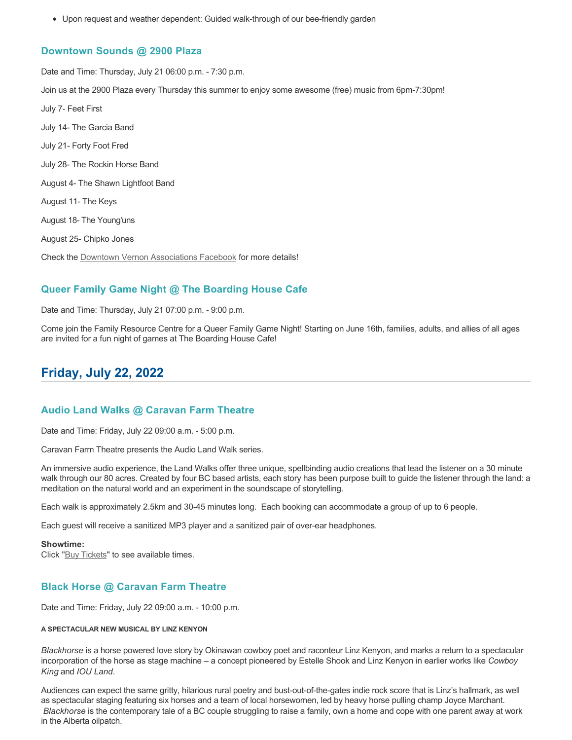Upon request and weather dependent: Guided walk-through of our bee-friendly garden

#### **Downtown Sounds @ 2900 Plaza**

Date and Time: Thursday, July 21 06:00 p.m. - 7:30 p.m. Join us at the 2900 Plaza every Thursday this summer to enjoy some awesome (free) music from 6pm-7:30pm! July 7- Feet First July 14- The Garcia Band July 21- Forty Foot Fred July 28- The Rockin Horse Band August 4- The Shawn Lightfoot Band August 11- The Keys August 18- The Young'uns August 25- Chipko Jones Check the [Downtown Vernon Associations Facebook](https://www.facebook.com/downtownvernon/) for more details!

### **Queer Family Game Night @ The Boarding House Cafe**

Date and Time: Thursday, July 21 07:00 p.m. - 9:00 p.m.

Come join the Family Resource Centre for a Queer Family Game Night! Starting on June 16th, families, adults, and allies of all ages are invited for a fun night of games at The Boarding House Cafe!

# **Friday, July 22, 2022**

### **Audio Land Walks @ Caravan Farm Theatre**

Date and Time: Friday, July 22 09:00 a.m. - 5:00 p.m.

Caravan Farm Theatre presents the Audio Land Walk series.

An immersive audio experience, the Land Walks offer three unique, spellbinding audio creations that lead the listener on a 30 minute walk through our 80 acres. Created by four BC based artists, each story has been purpose built to guide the listener through the land: a meditation on the natural world and an experiment in the soundscape of storytelling.

Each walk is approximately 2.5km and 30-45 minutes long. Each booking can accommodate a group of up to 6 people.

Each guest will receive a sanitized MP3 player and a sanitized pair of over-ear headphones.

#### **Showtime:**

Click "[Buy Tickets](https://caravanfarmtheatre.com/show/the-land-walks/?ct=t%28EMAIL_CAMPAIGN_4_19_2022_13_43SEASON+2022%29&mc_cid=c02afad356&mc_eid=4778eb8892)" to see available times.

### **Black Horse @ Caravan Farm Theatre**

Date and Time: Friday, July 22 09:00 a.m. - 10:00 p.m.

#### **A SPECTACULAR NEW MUSICAL BY LINZ KENYON**

*Blackhorse* is a horse powered love story by Okinawan cowboy poet and raconteur Linz Kenyon, and marks a return to a spectacular incorporation of the horse as stage machine – a concept pioneered by Estelle Shook and Linz Kenyon in earlier works like *Cowboy King* and *IOU Land*.

Audiences can expect the same gritty, hilarious rural poetry and bust-out-of-the-gates indie rock score that is Linz's hallmark, as well as spectacular staging featuring six horses and a team of local horsewomen, led by heavy horse pulling champ Joyce Marchant. *Blackhorse* is the contemporary tale of a BC couple struggling to raise a family, own a home and cope with one parent away at work in the Alberta oilpatch.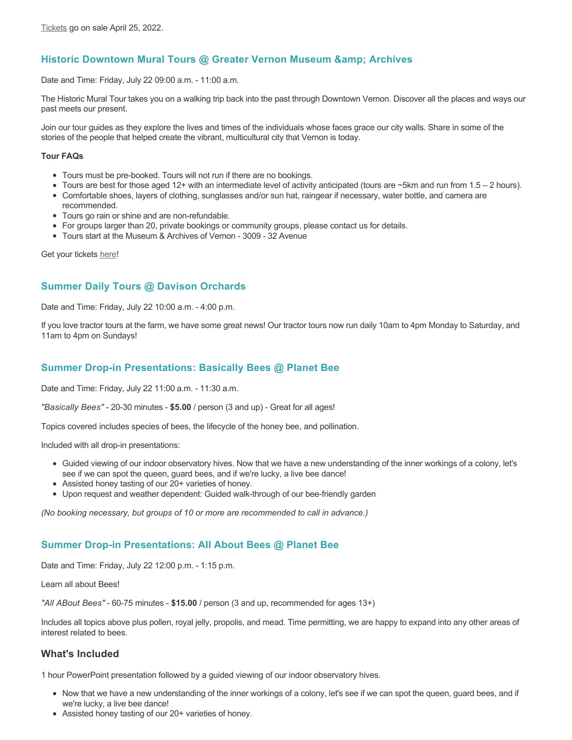# **Historic Downtown Mural Tours @ Greater Vernon Museum & Archives**

Date and Time: Friday, July 22 09:00 a.m. - 11:00 a.m.

The Historic Mural Tour takes you on a walking trip back into the past through Downtown Vernon. Discover all the places and ways our past meets our present.

Join our tour guides as they explore the lives and times of the individuals whose faces grace our city walls. Share in some of the stories of the people that helped create the vibrant, multicultural city that Vernon is today.

#### **Tour FAQs**

- Tours must be pre-booked. Tours will not run if there are no bookings.
- Tours are best for those aged 12+ with an intermediate level of activity anticipated (tours are ~5km and run from 1.5 2 hours).
- Comfortable shoes, layers of clothing, sunglasses and/or sun hat, raingear if necessary, water bottle, and camera are
- recommended. Tours go rain or shine and are non-refundable.
- For groups larger than 20, private bookings or community groups, please contact us for details.
- Tours start at the Museum & Archives of Vernon 3009 32 Avenue

Get your tickets [here!](https://www.eventbrite.com/e/historic-downtown-mural-tours-tickets-304983342387)

## **Summer Daily Tours @ Davison Orchards**

Date and Time: Friday, July 22 10:00 a.m. - 4:00 p.m.

If you love tractor tours at the farm, we have some great news! Our tractor tours now run daily 10am to 4pm Monday to Saturday, and 11am to 4pm on Sundays!

### **Summer Drop-in Presentations: Basically Bees @ Planet Bee**

Date and Time: Friday, July 22 11:00 a.m. - 11:30 a.m.

*"Basically Bees"* - 20-30 minutes - **\$5.00** / person (3 and up) - Great for all ages!

Topics covered includes species of bees, the lifecycle of the honey bee, and pollination.

Included with all drop-in presentations:

- Guided viewing of our indoor observatory hives. Now that we have a new understanding of the inner workings of a colony, let's see if we can spot the queen, guard bees, and if we're lucky, a live bee dance!
- Assisted honey tasting of our 20+ varieties of honey.
- Upon request and weather dependent: Guided walk-through of our bee-friendly garden

*(No booking necessary, but groups of 10 or more are recommended to call in advance.)*

### **Summer Drop-in Presentations: All About Bees @ Planet Bee**

Date and Time: Friday, July 22 12:00 p.m. - 1:15 p.m.

Learn all about Bees!

*"All ABout Bees"* - 60-75 minutes - **\$15.00** / person (3 and up, recommended for ages 13+)

Includes all topics above plus pollen, royal jelly, propolis, and mead. Time permitting, we are happy to expand into any other areas of interest related to bees.

### **What's Included**

1 hour PowerPoint presentation followed by a guided viewing of our indoor observatory hives.

- Now that we have a new understanding of the inner workings of a colony, let's see if we can spot the queen, guard bees, and if we're lucky, a live bee dance!
- Assisted honey tasting of our 20+ varieties of honey.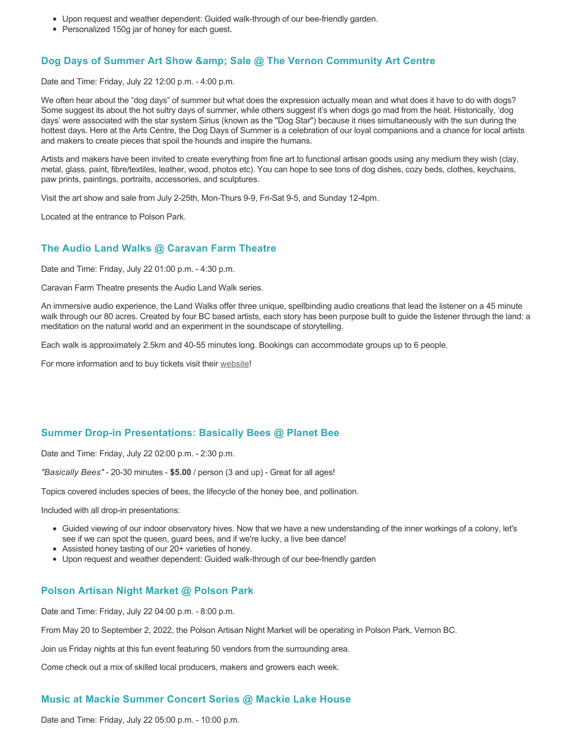- Upon request and weather dependent: Guided walk-through of our bee-friendly garden.
- Personalized 150g jar of honey for each guest.

### **Dog Days of Summer Art Show & amp; Sale @ The Vernon Community Art Centre**

Date and Time: Friday, July 22 12:00 p.m. - 4:00 p.m.

We often hear about the "dog days" of summer but what does the expression actually mean and what does it have to do with dogs? Some suggest its about the hot sultry days of summer, while others suggest it's when dogs go mad from the heat. Historically, 'dog days' were associated with the star system Sirius (known as the "Dog Star") because it rises simultaneously with the sun during the hottest days. Here at the Arts Centre, the Dog Days of Summer is a celebration of our loyal companions and a chance for local artists and makers to create pieces that spoil the hounds and inspire the humans.

Artists and makers have been invited to create everything from fine art to functional artisan goods using any medium they wish (clay, metal, glass, paint, fibre/textiles, leather, wood, photos etc). You can hope to see tons of dog dishes, cozy beds, clothes, keychains, paw prints, paintings, portraits, accessories, and sculptures.

Visit the art show and sale from July 2-25th, Mon-Thurs 9-9, Fri-Sat 9-5, and Sunday 12-4pm.

Located at the entrance to Polson Park.

### **The Audio Land Walks @ Caravan Farm Theatre**

Date and Time: Friday, July 22 01:00 p.m. - 4:30 p.m.

Caravan Farm Theatre presents the Audio Land Walk series.

An immersive audio experience, the Land Walks offer three unique, spellbinding audio creations that lead the listener on a 45 minute walk through our 80 acres. Created by four BC based artists, each story has been purpose built to guide the listener through the land: a meditation on the natural world and an experiment in the soundscape of storytelling.

Each walk is approximately 2.5km and 40-55 minutes long. Bookings can accommodate groups up to 6 people.

For more information and to buy tickets visit their [website!](https://caravanfarmtheatre.com/show/the-land-walks/)

#### **Summer Drop-in Presentations: Basically Bees @ Planet Bee**

Date and Time: Friday, July 22 02:00 p.m. - 2:30 p.m.

*"Basically Bees"* - 20-30 minutes - **\$5.00** / person (3 and up) - Great for all ages!

Topics covered includes species of bees, the lifecycle of the honey bee, and pollination.

Included with all drop-in presentations:

- Guided viewing of our indoor observatory hives. Now that we have a new understanding of the inner workings of a colony, let's see if we can spot the queen, guard bees, and if we're lucky, a live bee dance!
- Assisted honey tasting of our 20+ varieties of honey.
- Upon request and weather dependent: Guided walk-through of our bee-friendly garden

#### **Polson Artisan Night Market @ Polson Park**

Date and Time: Friday, July 22 04:00 p.m. - 8:00 p.m.

From May 20 to September 2, 2022, the Polson Artisan Night Market will be operating in Polson Park, Vernon BC.

Join us Friday nights at this fun event featuring 50 vendors from the surrounding area.

Come check out a mix of skilled local producers, makers and growers each week.

#### **Music at Mackie Summer Concert Series @ Mackie Lake House**

Date and Time: Friday, July 22 05:00 p.m. - 10:00 p.m.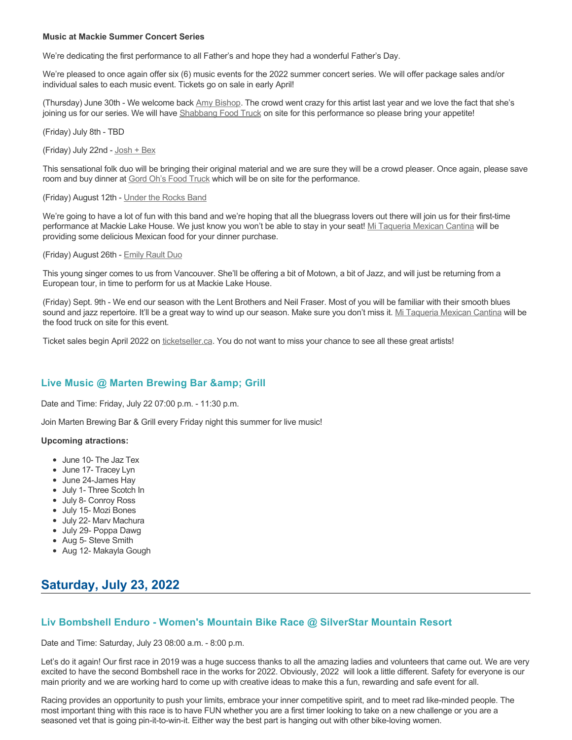#### **Music at Mackie Summer Concert Series**

We're dedicating the first performance to all Father's and hope they had a wonderful Father's Day.

We're pleased to once again offer six (6) music events for the 2022 summer concert series. We will offer package sales and/or individual sales to each music event. Tickets go on sale in early April!

(Thursday) June 30th - We welcome back [Amy Bishop.](https://protect-ca.mimecast.com/s/97KDCk8v46IYY8Pc4eTtT?domain=mackiehouse.us3.list-manage.com) The crowd went crazy for this artist last year and we love the fact that she's joining us for our series. We will have [Shabbang Food Truck](https://protect-ca.mimecast.com/s/hGWiClxw48FOO0jTKiFD6?domain=mackiehouse.us3.list-manage.com) on site for this performance so please bring your appetite!

(Friday) July 8th - TBD

(Friday) July 22nd - [Josh + Bex](https://protect-ca.mimecast.com/s/LfcBCmOx47s11B9u0QwFr?domain=mackiehouse.us3.list-manage.com)

This sensational folk duo will be bringing their original material and we are sure they will be a crowd pleaser. Once again, please save room and buy dinner at [Gord Oh's Food Truck](https://protect-ca.mimecast.com/s/oREECnxy4GFllAkujC-Hs?domain=mackiehouse.us3.list-manage.com) which will be on site for the performance.

(Friday) August 12th - [Under the Rocks Band](https://protect-ca.mimecast.com/s/wmzjCoVz4AhlljQujeM8P?domain=mackiehouse.us3.list-manage.com)

We're going to have a lot of fun with this band and we're hoping that all the bluegrass lovers out there will join us for their first-time performance at Mackie Lake House. We just know you won't be able to stay in your seat! [Mi Taqueria Mexican Cantina](https://protect-ca.mimecast.com/s/IidvCp8A59IQQ17s1mbiS?domain=mackiehouse.us3.list-manage.com) will be providing some delicious Mexican food for your dinner purchase.

#### (Friday) August 26th - [Emily Rault Duo](https://protect-ca.mimecast.com/s/1ZJZCq7B4AsLLKVczxAAc?domain=mackiehouse.us3.list-manage.com)

This young singer comes to us from Vancouver. She'll be offering a bit of Motown, a bit of Jazz, and will just be returning from a European tour, in time to perform for us at Mackie Lake House.

(Friday) Sept. 9th - We end our season with the Lent Brothers and Neil Fraser. Most of you will be familiar with their smooth blues sound and jazz repertoire. It'll be a great way to wind up our season. Make sure you don't miss it. [Mi Taqueria Mexican Cantina](https://protect-ca.mimecast.com/s/mUjmCr8D4gIwwPWTPinKw?domain=mackiehouse.us3.list-manage.com) will be the food truck on site for this event.

Ticket sales begin April 2022 on [ticketseller.ca.](https://ticketseller.ca/) You do not want to miss your chance to see all these great artists!

### Live Music @ Marten Brewing Bar & amp; Grill

Date and Time: Friday, July 22 07:00 p.m. - 11:30 p.m.

Join Marten Brewing Bar & Grill every Friday night this summer for live music!

#### **Upcoming atractions:**

- June 10- The Jaz Tex
- June 17- Tracey Lyn
- June 24-James Hay
- July 1- Three Scotch In
- July 8- Conroy Ross
- July 15- Mozi Bones
- July 22- Marv Machura
- July 29- Poppa Dawg
- Aug 5- Steve Smith
- Aug 12- Makayla Gough

# **Saturday, July 23, 2022**

#### **Liv Bombshell Enduro - Women's Mountain Bike Race @ SilverStar Mountain Resort**

Date and Time: Saturday, July 23 08:00 a.m. - 8:00 p.m.

Let's do it again! Our first race in 2019 was a huge success thanks to all the amazing ladies and volunteers that came out. We are very excited to have the second Bombshell race in the works for 2022. Obviously, 2022 will look a little different. Safety for everyone is our main priority and we are working hard to come up with creative ideas to make this a fun, rewarding and safe event for all.

Racing provides an opportunity to push your limits, embrace your inner competitive spirit, and to meet rad like-minded people. The most important thing with this race is to have FUN whether you are a first timer looking to take on a new challenge or you are a seasoned vet that is going pin-it-to-win-it. Either way the best part is hanging out with other bike-loving women.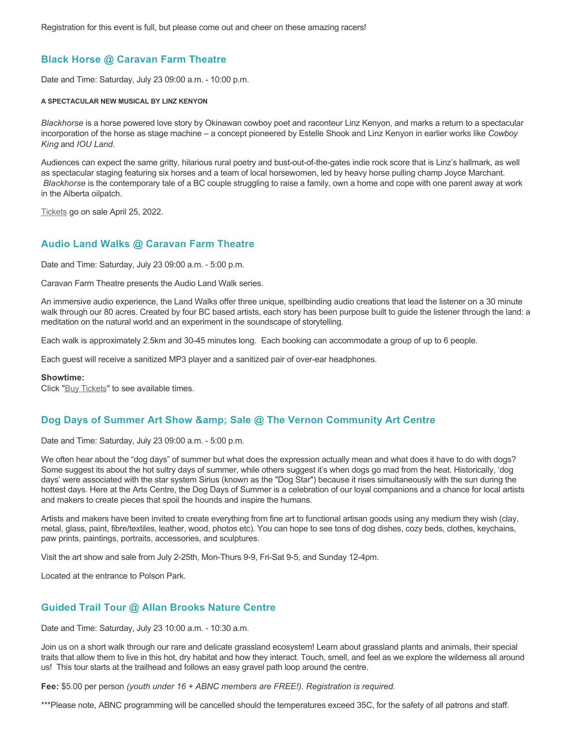Registration for this event is full, but please come out and cheer on these amazing racers!

# **Black Horse @ Caravan Farm Theatre**

Date and Time: Saturday, July 23 09:00 a.m. - 10:00 p.m.

#### **A SPECTACULAR NEW MUSICAL BY LINZ KENYON**

*Blackhorse* is a horse powered love story by Okinawan cowboy poet and raconteur Linz Kenyon, and marks a return to a spectacular incorporation of the horse as stage machine – a concept pioneered by Estelle Shook and Linz Kenyon in earlier works like *Cowboy King* and *IOU Land*.

Audiences can expect the same gritty, hilarious rural poetry and bust-out-of-the-gates indie rock score that is Linz's hallmark, as well as spectacular staging featuring six horses and a team of local horsewomen, led by heavy horse pulling champ Joyce Marchant. *Blackhorse* is the contemporary tale of a BC couple struggling to raise a family, own a home and cope with one parent away at work in the Alberta oilpatch.

[Tickets](https://caravanfarmtheatre.com/show/blackhorse-2/?ct=t%28EMAIL_CAMPAIGN_4_19_2022_13_43SEASON+2022%29&mc_cid=c02afad356&mc_eid=4778eb8892) go on sale April 25, 2022.

#### **Audio Land Walks @ Caravan Farm Theatre**

Date and Time: Saturday, July 23 09:00 a.m. - 5:00 p.m.

Caravan Farm Theatre presents the Audio Land Walk series.

An immersive audio experience, the Land Walks offer three unique, spellbinding audio creations that lead the listener on a 30 minute walk through our 80 acres. Created by four BC based artists, each story has been purpose built to guide the listener through the land: a meditation on the natural world and an experiment in the soundscape of storytelling.

Each walk is approximately 2.5km and 30-45 minutes long. Each booking can accommodate a group of up to 6 people.

Each guest will receive a sanitized MP3 player and a sanitized pair of over-ear headphones.

#### **Showtime:**

Click "[Buy Tickets](https://caravanfarmtheatre.com/show/the-land-walks/?ct=t%28EMAIL_CAMPAIGN_4_19_2022_13_43SEASON+2022%29&mc_cid=c02afad356&mc_eid=4778eb8892)" to see available times.

### **Dog Days of Summer Art Show & amp; Sale @ The Vernon Community Art Centre**

Date and Time: Saturday, July 23 09:00 a.m. - 5:00 p.m.

We often hear about the "dog days" of summer but what does the expression actually mean and what does it have to do with dogs? Some suggest its about the hot sultry days of summer, while others suggest it's when dogs go mad from the heat. Historically, 'dog days' were associated with the star system Sirius (known as the "Dog Star") because it rises simultaneously with the sun during the hottest days. Here at the Arts Centre, the Dog Days of Summer is a celebration of our loyal companions and a chance for local artists and makers to create pieces that spoil the hounds and inspire the humans.

Artists and makers have been invited to create everything from fine art to functional artisan goods using any medium they wish (clay, metal, glass, paint, fibre/textiles, leather, wood, photos etc). You can hope to see tons of dog dishes, cozy beds, clothes, keychains, paw prints, paintings, portraits, accessories, and sculptures.

Visit the art show and sale from July 2-25th, Mon-Thurs 9-9, Fri-Sat 9-5, and Sunday 12-4pm.

Located at the entrance to Polson Park.

### **Guided Trail Tour @ Allan Brooks Nature Centre**

Date and Time: Saturday, July 23 10:00 a.m. - 10:30 a.m.

Join us on a short walk through our rare and delicate grassland ecosystem! Learn about grassland plants and animals, their special traits that allow them to live in this hot, dry habitat and how they interact. Touch, smell, and feel as we explore the wilderness all around us! This tour starts at the trailhead and follows an easy gravel path loop around the centre.

**Fee:** \$5.00 per person *(youth under 16 + ABNC members are FREE!). Registration is required.* 

\*\*\*Please note, ABNC programming will be cancelled should the temperatures exceed 35C, for the safety of all patrons and staff.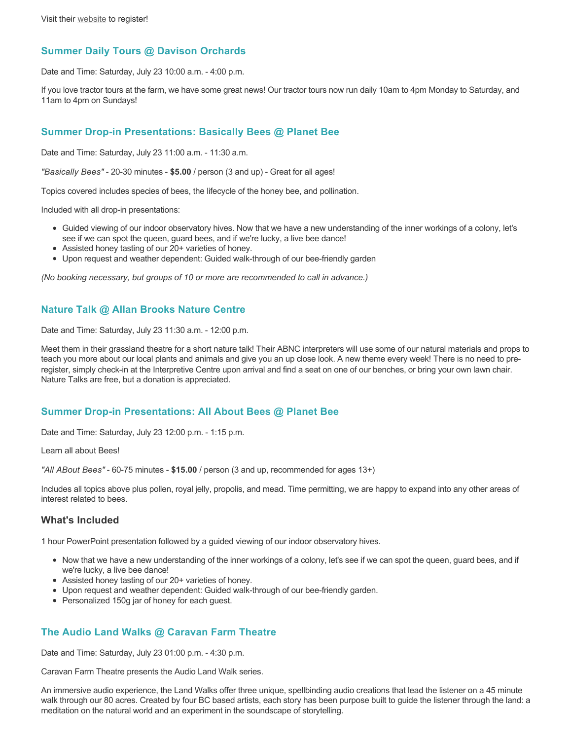## **Summer Daily Tours @ Davison Orchards**

Date and Time: Saturday, July 23 10:00 a.m. - 4:00 p.m.

If you love tractor tours at the farm, we have some great news! Our tractor tours now run daily 10am to 4pm Monday to Saturday, and 11am to 4pm on Sundays!

### **Summer Drop-in Presentations: Basically Bees @ Planet Bee**

Date and Time: Saturday, July 23 11:00 a.m. - 11:30 a.m.

*"Basically Bees"* - 20-30 minutes - **\$5.00** / person (3 and up) - Great for all ages!

Topics covered includes species of bees, the lifecycle of the honey bee, and pollination.

Included with all drop-in presentations:

- Guided viewing of our indoor observatory hives. Now that we have a new understanding of the inner workings of a colony, let's see if we can spot the queen, guard bees, and if we're lucky, a live bee dance!
- Assisted honey tasting of our 20+ varieties of honey.
- Upon request and weather dependent: Guided walk-through of our bee-friendly garden

*(No booking necessary, but groups of 10 or more are recommended to call in advance.)*

#### **Nature Talk @ Allan Brooks Nature Centre**

Date and Time: Saturday, July 23 11:30 a.m. - 12:00 p.m.

Meet them in their grassland theatre for a short nature talk! Their ABNC interpreters will use some of our natural materials and props to teach you more about our local plants and animals and give you an up close look. A new theme every week! There is no need to preregister, simply check-in at the Interpretive Centre upon arrival and find a seat on one of our benches, or bring your own lawn chair. Nature Talks are free, but a donation is appreciated.

### **Summer Drop-in Presentations: All About Bees @ Planet Bee**

Date and Time: Saturday, July 23 12:00 p.m. - 1:15 p.m.

Learn all about Bees!

*"All ABout Bees"* - 60-75 minutes - **\$15.00** / person (3 and up, recommended for ages 13+)

Includes all topics above plus pollen, royal jelly, propolis, and mead. Time permitting, we are happy to expand into any other areas of interest related to bees.

#### **What's Included**

1 hour PowerPoint presentation followed by a guided viewing of our indoor observatory hives.

- Now that we have a new understanding of the inner workings of a colony, let's see if we can spot the queen, guard bees, and if we're lucky, a live bee dance!
- Assisted honey tasting of our 20+ varieties of honey.
- Upon request and weather dependent: Guided walk-through of our bee-friendly garden.
- Personalized 150g jar of honey for each guest.

### **The Audio Land Walks @ Caravan Farm Theatre**

Date and Time: Saturday, July 23 01:00 p.m. - 4:30 p.m.

Caravan Farm Theatre presents the Audio Land Walk series.

An immersive audio experience, the Land Walks offer three unique, spellbinding audio creations that lead the listener on a 45 minute walk through our 80 acres. Created by four BC based artists, each story has been purpose built to guide the listener through the land: a meditation on the natural world and an experiment in the soundscape of storytelling.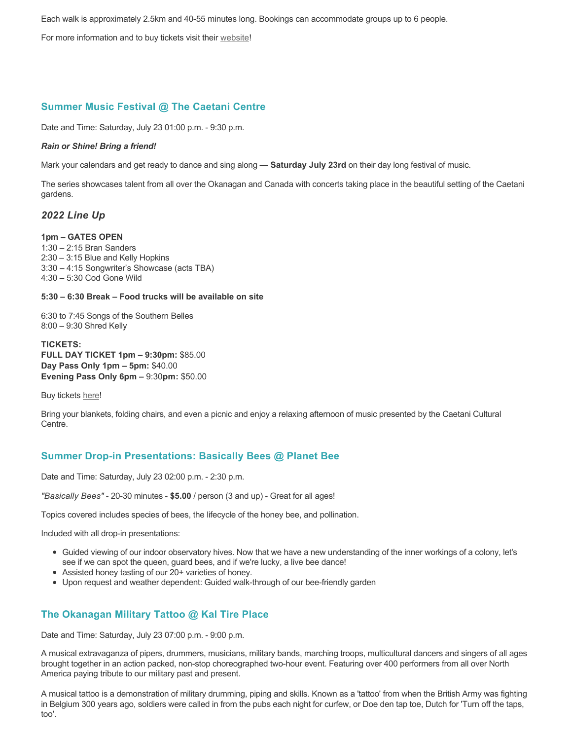Each walk is approximately 2.5km and 40-55 minutes long. Bookings can accommodate groups up to 6 people.

For more information and to buy tickets visit their [website!](https://caravanfarmtheatre.com/show/the-land-walks/)

# **Summer Music Festival @ The Caetani Centre**

Date and Time: Saturday, July 23 01:00 p.m. - 9:30 p.m.

#### *Rain or Shine! Bring a friend!*

Mark your calendars and get ready to dance and sing along — **Saturday July 23rd** on their day long festival of music.

The series showcases talent from all over the Okanagan and Canada with concerts taking place in the beautiful setting of the Caetani gardens.

#### *2022 Line Up*

#### **1pm – GATES OPEN**

1:30 – 2:15 Bran Sanders 2:30 – 3:15 Blue and Kelly Hopkins 3:30 – 4:15 Songwriter's Showcase (acts TBA) 4:30 – 5:30 Cod Gone Wild

#### **5:30 – 6:30 Break – Food trucks will be available on site**

6:30 to 7:45 Songs of the Southern Belles 8:00 – 9:30 Shred Kelly

**TICKETS: FULL DAY TICKET 1pm – 9:30pm:** \$85.00 **Day Pass Only 1pm – 5pm:** \$40.00 **Evening Pass Only 6pm –** 9:30**pm:** \$50.00

Buy tickets [here!](https://www.ticketseller.ca/tickets/event/caetani-summer-music-festival)

Bring your blankets, folding chairs, and even a picnic and enjoy a relaxing afternoon of music presented by the Caetani Cultural Centre.

# **Summer Drop-in Presentations: Basically Bees @ Planet Bee**

Date and Time: Saturday, July 23 02:00 p.m. - 2:30 p.m.

*"Basically Bees"* - 20-30 minutes - **\$5.00** / person (3 and up) - Great for all ages!

Topics covered includes species of bees, the lifecycle of the honey bee, and pollination.

Included with all drop-in presentations:

- Guided viewing of our indoor observatory hives. Now that we have a new understanding of the inner workings of a colony, let's see if we can spot the queen, guard bees, and if we're lucky, a live bee dance!
- Assisted honey tasting of our 20+ varieties of honey.
- Upon request and weather dependent: Guided walk-through of our bee-friendly garden

# **The Okanagan Military Tattoo @ Kal Tire Place**

Date and Time: Saturday, July 23 07:00 p.m. - 9:00 p.m.

A musical extravaganza of pipers, drummers, musicians, military bands, marching troops, multicultural dancers and singers of all ages brought together in an action packed, non-stop choreographed two-hour event. Featuring over 400 performers from all over North America paying tribute to our military past and present.

A musical tattoo is a demonstration of military drumming, piping and skills. Known as a 'tattoo' from when the British Army was fighting in Belgium 300 years ago, soldiers were called in from the pubs each night for curfew, or Doe den tap toe, Dutch for 'Turn off the taps, too'.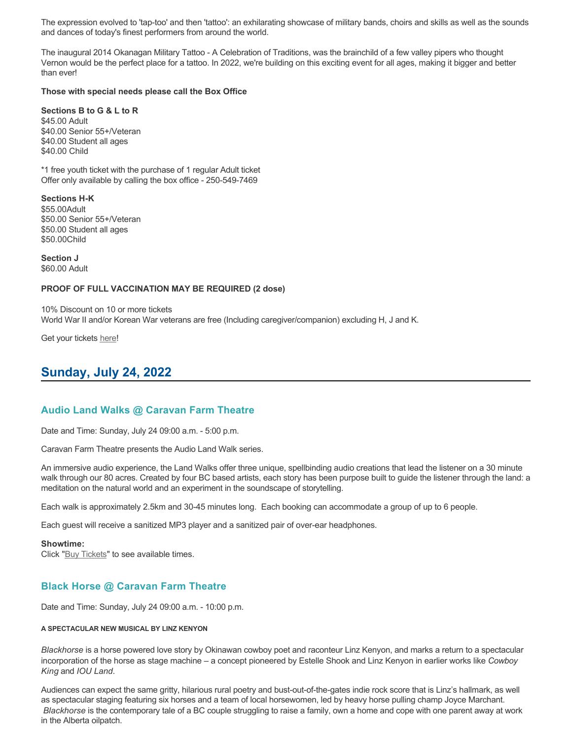The expression evolved to 'tap-too' and then 'tattoo': an exhilarating showcase of military bands, choirs and skills as well as the sounds and dances of today's finest performers from around the world.

The inaugural 2014 Okanagan Military Tattoo - A Celebration of Traditions, was the brainchild of a few valley pipers who thought Vernon would be the perfect place for a tattoo. In 2022, we're building on this exciting event for all ages, making it bigger and better than ever!

#### **Those with special needs please call the Box Office**

**Sections B to G & L to R** \$45.00 Adult \$40.00 Senior 55+/Veteran \$40.00 Student all ages \$40.00 Child

\*1 free youth ticket with the purchase of 1 regular Adult ticket Offer only available by calling the box office - 250-549-7469

**Sections H-K** \$55.00Adult \$50.00 Senior 55+/Veteran \$50.00 Student all ages \$50.00Child

**Section J** \$60.00 Adult

#### **PROOF OF FULL VACCINATION MAY BE REQUIRED (2 dose)**

10% Discount on 10 or more tickets World War II and/or Korean War veterans are free (Including caregiver/companion) excluding H, J and K.

Get your tickets [here!](https://tickets.ticketseller.ca/TheatreManager/1/login&event=3239)

# **Sunday, July 24, 2022**

#### **Audio Land Walks @ Caravan Farm Theatre**

Date and Time: Sunday, July 24 09:00 a.m. - 5:00 p.m.

Caravan Farm Theatre presents the Audio Land Walk series.

An immersive audio experience, the Land Walks offer three unique, spellbinding audio creations that lead the listener on a 30 minute walk through our 80 acres. Created by four BC based artists, each story has been purpose built to guide the listener through the land: a meditation on the natural world and an experiment in the soundscape of storytelling.

Each walk is approximately 2.5km and 30-45 minutes long. Each booking can accommodate a group of up to 6 people.

Each guest will receive a sanitized MP3 player and a sanitized pair of over-ear headphones.

#### **Showtime:**

Click "[Buy Tickets](https://caravanfarmtheatre.com/show/the-land-walks/?ct=t%28EMAIL_CAMPAIGN_4_19_2022_13_43SEASON+2022%29&mc_cid=c02afad356&mc_eid=4778eb8892)" to see available times.

# **Black Horse @ Caravan Farm Theatre**

Date and Time: Sunday, July 24 09:00 a.m. - 10:00 p.m.

#### **A SPECTACULAR NEW MUSICAL BY LINZ KENYON**

*Blackhorse* is a horse powered love story by Okinawan cowboy poet and raconteur Linz Kenyon, and marks a return to a spectacular incorporation of the horse as stage machine – a concept pioneered by Estelle Shook and Linz Kenyon in earlier works like *Cowboy King* and *IOU Land*.

Audiences can expect the same gritty, hilarious rural poetry and bust-out-of-the-gates indie rock score that is Linz's hallmark, as well as spectacular staging featuring six horses and a team of local horsewomen, led by heavy horse pulling champ Joyce Marchant. *Blackhorse* is the contemporary tale of a BC couple struggling to raise a family, own a home and cope with one parent away at work in the Alberta oilpatch.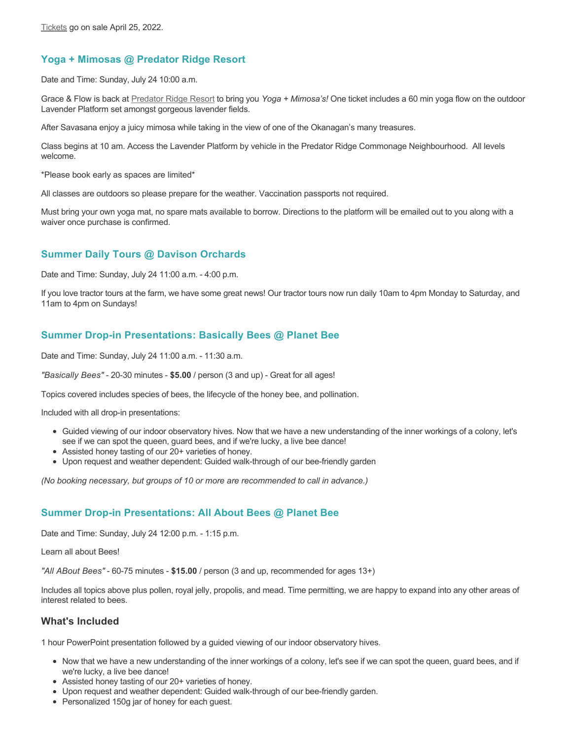# **Yoga + Mimosas @ Predator Ridge Resort**

Date and Time: Sunday, July 24 10:00 a.m.

Grace & Flow is back at [Predator Ridge Resort](https://www.predatorridge.com/events) to bring you *Yoga + Mimosa's!* One ticket includes a 60 min yoga flow on the outdoor Lavender Platform set amongst gorgeous lavender fields.

After Savasana enjoy a juicy mimosa while taking in the view of one of the Okanagan's many treasures.

Class begins at 10 am. Access the Lavender Platform by vehicle in the Predator Ridge Commonage Neighbourhood. All levels welcome.

\*Please book early as spaces are limited\*

All classes are outdoors so please prepare for the weather. Vaccination passports not required.

Must bring your own yoga mat, no spare mats available to borrow. Directions to the platform will be emailed out to you along with a waiver once purchase is confirmed.

# **Summer Daily Tours @ Davison Orchards**

Date and Time: Sunday, July 24 11:00 a.m. - 4:00 p.m.

If you love tractor tours at the farm, we have some great news! Our tractor tours now run daily 10am to 4pm Monday to Saturday, and 11am to 4pm on Sundays!

# **Summer Drop-in Presentations: Basically Bees @ Planet Bee**

Date and Time: Sunday, July 24 11:00 a.m. - 11:30 a.m.

*"Basically Bees"* - 20-30 minutes - **\$5.00** / person (3 and up) - Great for all ages!

Topics covered includes species of bees, the lifecycle of the honey bee, and pollination.

Included with all drop-in presentations:

- Guided viewing of our indoor observatory hives. Now that we have a new understanding of the inner workings of a colony, let's see if we can spot the queen, guard bees, and if we're lucky, a live bee dance!
- Assisted honey tasting of our 20+ varieties of honey.
- Upon request and weather dependent: Guided walk-through of our bee-friendly garden

*(No booking necessary, but groups of 10 or more are recommended to call in advance.)*

### **Summer Drop-in Presentations: All About Bees @ Planet Bee**

Date and Time: Sunday, July 24 12:00 p.m. - 1:15 p.m.

Learn all about Bees!

*"All ABout Bees"* - 60-75 minutes - **\$15.00** / person (3 and up, recommended for ages 13+)

Includes all topics above plus pollen, royal jelly, propolis, and mead. Time permitting, we are happy to expand into any other areas of interest related to bees.

### **What's Included**

1 hour PowerPoint presentation followed by a guided viewing of our indoor observatory hives.

- Now that we have a new understanding of the inner workings of a colony, let's see if we can spot the queen, guard bees, and if we're lucky, a live bee dance!
- Assisted honey tasting of our 20+ varieties of honey.
- Upon request and weather dependent: Guided walk-through of our bee-friendly garden.
- Personalized 150g jar of honey for each guest.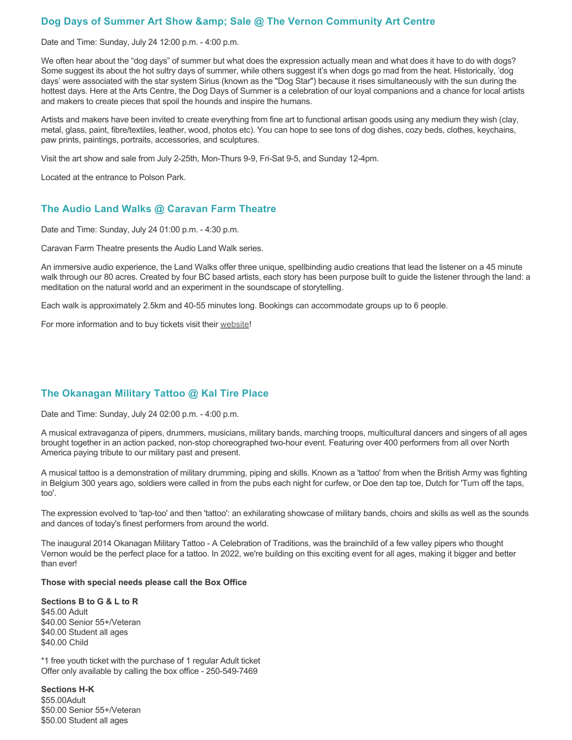## **Dog Days of Summer Art Show & amp: Sale @ The Vernon Community Art Centre**

Date and Time: Sunday, July 24 12:00 p.m. - 4:00 p.m.

We often hear about the "dog days" of summer but what does the expression actually mean and what does it have to do with dogs? Some suggest its about the hot sultry days of summer, while others suggest it's when dogs go mad from the heat. Historically, 'dog days' were associated with the star system Sirius (known as the "Dog Star") because it rises simultaneously with the sun during the hottest days. Here at the Arts Centre, the Dog Days of Summer is a celebration of our loyal companions and a chance for local artists and makers to create pieces that spoil the hounds and inspire the humans.

Artists and makers have been invited to create everything from fine art to functional artisan goods using any medium they wish (clay, metal, glass, paint, fibre/textiles, leather, wood, photos etc). You can hope to see tons of dog dishes, cozy beds, clothes, keychains, paw prints, paintings, portraits, accessories, and sculptures.

Visit the art show and sale from July 2-25th, Mon-Thurs 9-9, Fri-Sat 9-5, and Sunday 12-4pm.

Located at the entrance to Polson Park.

### **The Audio Land Walks @ Caravan Farm Theatre**

Date and Time: Sunday, July 24 01:00 p.m. - 4:30 p.m.

Caravan Farm Theatre presents the Audio Land Walk series.

An immersive audio experience, the Land Walks offer three unique, spellbinding audio creations that lead the listener on a 45 minute walk through our 80 acres. Created by four BC based artists, each story has been purpose built to guide the listener through the land: a meditation on the natural world and an experiment in the soundscape of storytelling.

Each walk is approximately 2.5km and 40-55 minutes long. Bookings can accommodate groups up to 6 people.

For more information and to buy tickets visit their [website!](https://caravanfarmtheatre.com/show/the-land-walks/)

### **The Okanagan Military Tattoo @ Kal Tire Place**

Date and Time: Sunday, July 24 02:00 p.m. - 4:00 p.m.

A musical extravaganza of pipers, drummers, musicians, military bands, marching troops, multicultural dancers and singers of all ages brought together in an action packed, non-stop choreographed two-hour event. Featuring over 400 performers from all over North America paying tribute to our military past and present.

A musical tattoo is a demonstration of military drumming, piping and skills. Known as a 'tattoo' from when the British Army was fighting in Belgium 300 years ago, soldiers were called in from the pubs each night for curfew, or Doe den tap toe, Dutch for 'Turn off the taps, too'.

The expression evolved to 'tap-too' and then 'tattoo': an exhilarating showcase of military bands, choirs and skills as well as the sounds and dances of today's finest performers from around the world.

The inaugural 2014 Okanagan Military Tattoo - A Celebration of Traditions, was the brainchild of a few valley pipers who thought Vernon would be the perfect place for a tattoo. In 2022, we're building on this exciting event for all ages, making it bigger and better than ever!

#### **Those with special needs please call the Box Office**

**Sections B to G & L to R** \$45.00 Adult \$40.00 Senior 55+/Veteran \$40.00 Student all ages \$40.00 Child

\*1 free youth ticket with the purchase of 1 regular Adult ticket Offer only available by calling the box office - 250-549-7469

**Sections H-K** \$55.00Adult \$50.00 Senior 55+/Veteran \$50.00 Student all ages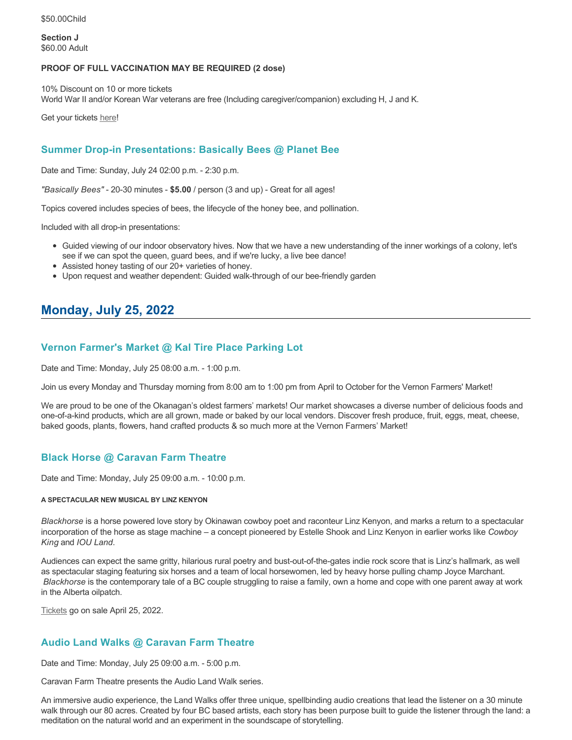\$50.00Child

**Section J** \$60.00 Adult

#### **PROOF OF FULL VACCINATION MAY BE REQUIRED (2 dose)**

10% Discount on 10 or more tickets World War II and/or Korean War veterans are free (Including caregiver/companion) excluding H, J and K.

Get your tickets [here!](https://tickets.ticketseller.ca/TheatreManager/1/login&event=3239)

## **Summer Drop-in Presentations: Basically Bees @ Planet Bee**

Date and Time: Sunday, July 24 02:00 p.m. - 2:30 p.m.

*"Basically Bees"* - 20-30 minutes - **\$5.00** / person (3 and up) - Great for all ages!

Topics covered includes species of bees, the lifecycle of the honey bee, and pollination.

Included with all drop-in presentations:

- Guided viewing of our indoor observatory hives. Now that we have a new understanding of the inner workings of a colony, let's see if we can spot the queen, guard bees, and if we're lucky, a live bee dance!
- Assisted honey tasting of our 20+ varieties of honey.
- Upon request and weather dependent: Guided walk-through of our bee-friendly garden

# **Monday, July 25, 2022**

### **Vernon Farmer's Market @ Kal Tire Place Parking Lot**

Date and Time: Monday, July 25 08:00 a.m. - 1:00 p.m.

Join us every Monday and Thursday morning from 8:00 am to 1:00 pm from April to October for the Vernon Farmers' Market!

We are proud to be one of the Okanagan's oldest farmers' markets! Our market showcases a diverse number of delicious foods and one-of-a-kind products, which are all grown, made or baked by our local vendors. Discover fresh produce, fruit, eggs, meat, cheese, baked goods, plants, flowers, hand crafted products & so much more at the Vernon Farmers' Market!

# **Black Horse @ Caravan Farm Theatre**

Date and Time: Monday, July 25 09:00 a.m. - 10:00 p.m.

#### **A SPECTACULAR NEW MUSICAL BY LINZ KENYON**

*Blackhorse* is a horse powered love story by Okinawan cowboy poet and raconteur Linz Kenyon, and marks a return to a spectacular incorporation of the horse as stage machine – a concept pioneered by Estelle Shook and Linz Kenyon in earlier works like *Cowboy King* and *IOU Land*.

Audiences can expect the same gritty, hilarious rural poetry and bust-out-of-the-gates indie rock score that is Linz's hallmark, as well as spectacular staging featuring six horses and a team of local horsewomen, led by heavy horse pulling champ Joyce Marchant. *Blackhorse* is the contemporary tale of a BC couple struggling to raise a family, own a home and cope with one parent away at work in the Alberta oilpatch.

[Tickets](https://caravanfarmtheatre.com/show/blackhorse-2/?ct=t%28EMAIL_CAMPAIGN_4_19_2022_13_43SEASON+2022%29&mc_cid=c02afad356&mc_eid=4778eb8892) go on sale April 25, 2022.

# **Audio Land Walks @ Caravan Farm Theatre**

Date and Time: Monday, July 25 09:00 a.m. - 5:00 p.m.

Caravan Farm Theatre presents the Audio Land Walk series.

An immersive audio experience, the Land Walks offer three unique, spellbinding audio creations that lead the listener on a 30 minute walk through our 80 acres. Created by four BC based artists, each story has been purpose built to guide the listener through the land: a meditation on the natural world and an experiment in the soundscape of storytelling.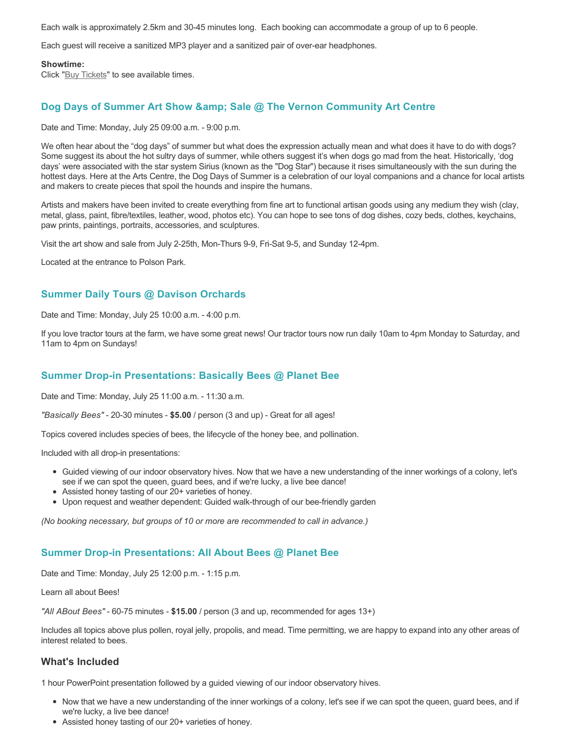Each walk is approximately 2.5km and 30-45 minutes long. Each booking can accommodate a group of up to 6 people.

Each guest will receive a sanitized MP3 player and a sanitized pair of over-ear headphones.

#### **Showtime:**

Click "[Buy Tickets](https://caravanfarmtheatre.com/show/the-land-walks/?ct=t%28EMAIL_CAMPAIGN_4_19_2022_13_43SEASON+2022%29&mc_cid=c02afad356&mc_eid=4778eb8892)" to see available times.

### **Dog Days of Summer Art Show & amp; Sale @ The Vernon Community Art Centre**

Date and Time: Monday, July 25 09:00 a.m. - 9:00 p.m.

We often hear about the "dog days" of summer but what does the expression actually mean and what does it have to do with dogs? Some suggest its about the hot sultry days of summer, while others suggest it's when dogs go mad from the heat. Historically, 'dog days' were associated with the star system Sirius (known as the "Dog Star") because it rises simultaneously with the sun during the hottest days. Here at the Arts Centre, the Dog Days of Summer is a celebration of our loyal companions and a chance for local artists and makers to create pieces that spoil the hounds and inspire the humans.

Artists and makers have been invited to create everything from fine art to functional artisan goods using any medium they wish (clay, metal, glass, paint, fibre/textiles, leather, wood, photos etc). You can hope to see tons of dog dishes, cozy beds, clothes, keychains, paw prints, paintings, portraits, accessories, and sculptures.

Visit the art show and sale from July 2-25th, Mon-Thurs 9-9, Fri-Sat 9-5, and Sunday 12-4pm.

Located at the entrance to Polson Park.

#### **Summer Daily Tours @ Davison Orchards**

Date and Time: Monday, July 25 10:00 a.m. - 4:00 p.m.

If you love tractor tours at the farm, we have some great news! Our tractor tours now run daily 10am to 4pm Monday to Saturday, and 11am to 4pm on Sundays!

#### **Summer Drop-in Presentations: Basically Bees @ Planet Bee**

Date and Time: Monday, July 25 11:00 a.m. - 11:30 a.m.

*"Basically Bees"* - 20-30 minutes - **\$5.00** / person (3 and up) - Great for all ages!

Topics covered includes species of bees, the lifecycle of the honey bee, and pollination.

Included with all drop-in presentations:

- Guided viewing of our indoor observatory hives. Now that we have a new understanding of the inner workings of a colony, let's see if we can spot the queen, guard bees, and if we're lucky, a live bee dance!
- Assisted honey tasting of our 20+ varieties of honey.
- Upon request and weather dependent: Guided walk-through of our bee-friendly garden

*(No booking necessary, but groups of 10 or more are recommended to call in advance.)*

#### **Summer Drop-in Presentations: All About Bees @ Planet Bee**

Date and Time: Monday, July 25 12:00 p.m. - 1:15 p.m.

Learn all about Bees!

*"All ABout Bees"* - 60-75 minutes - **\$15.00** / person (3 and up, recommended for ages 13+)

Includes all topics above plus pollen, royal jelly, propolis, and mead. Time permitting, we are happy to expand into any other areas of interest related to bees.

#### **What's Included**

1 hour PowerPoint presentation followed by a guided viewing of our indoor observatory hives.

- Now that we have a new understanding of the inner workings of a colony, let's see if we can spot the queen, guard bees, and if we're lucky, a live bee dance!
- Assisted honey tasting of our 20+ varieties of honey.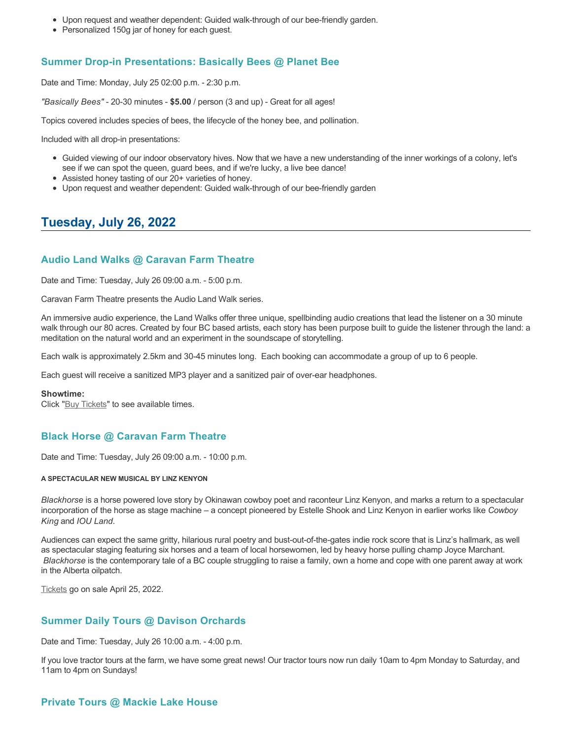- Upon request and weather dependent: Guided walk-through of our bee-friendly garden.
- Personalized 150g jar of honey for each guest.

# **Summer Drop-in Presentations: Basically Bees @ Planet Bee**

Date and Time: Monday, July 25 02:00 p.m. - 2:30 p.m.

*"Basically Bees"* - 20-30 minutes - **\$5.00** / person (3 and up) - Great for all ages!

Topics covered includes species of bees, the lifecycle of the honey bee, and pollination.

Included with all drop-in presentations:

- Guided viewing of our indoor observatory hives. Now that we have a new understanding of the inner workings of a colony, let's see if we can spot the queen, guard bees, and if we're lucky, a live bee dance!
- Assisted honey tasting of our 20+ varieties of honey.
- Upon request and weather dependent: Guided walk-through of our bee-friendly garden

# **Tuesday, July 26, 2022**

### **Audio Land Walks @ Caravan Farm Theatre**

Date and Time: Tuesday, July 26 09:00 a.m. - 5:00 p.m.

Caravan Farm Theatre presents the Audio Land Walk series.

An immersive audio experience, the Land Walks offer three unique, spellbinding audio creations that lead the listener on a 30 minute walk through our 80 acres. Created by four BC based artists, each story has been purpose built to guide the listener through the land: a meditation on the natural world and an experiment in the soundscape of storytelling.

Each walk is approximately 2.5km and 30-45 minutes long. Each booking can accommodate a group of up to 6 people.

Each guest will receive a sanitized MP3 player and a sanitized pair of over-ear headphones.

#### **Showtime:**

Click "[Buy Tickets](https://caravanfarmtheatre.com/show/the-land-walks/?ct=t%28EMAIL_CAMPAIGN_4_19_2022_13_43SEASON+2022%29&mc_cid=c02afad356&mc_eid=4778eb8892)" to see available times.

### **Black Horse @ Caravan Farm Theatre**

Date and Time: Tuesday, July 26 09:00 a.m. - 10:00 p.m.

#### **A SPECTACULAR NEW MUSICAL BY LINZ KENYON**

*Blackhorse* is a horse powered love story by Okinawan cowboy poet and raconteur Linz Kenyon, and marks a return to a spectacular incorporation of the horse as stage machine – a concept pioneered by Estelle Shook and Linz Kenyon in earlier works like *Cowboy King* and *IOU Land*.

Audiences can expect the same gritty, hilarious rural poetry and bust-out-of-the-gates indie rock score that is Linz's hallmark, as well as spectacular staging featuring six horses and a team of local horsewomen, led by heavy horse pulling champ Joyce Marchant. *Blackhorse* is the contemporary tale of a BC couple struggling to raise a family, own a home and cope with one parent away at work in the Alberta oilpatch.

[Tickets](https://caravanfarmtheatre.com/show/blackhorse-2/?ct=t%28EMAIL_CAMPAIGN_4_19_2022_13_43SEASON+2022%29&mc_cid=c02afad356&mc_eid=4778eb8892) go on sale April 25, 2022.

### **Summer Daily Tours @ Davison Orchards**

Date and Time: Tuesday, July 26 10:00 a.m. - 4:00 p.m.

If you love tractor tours at the farm, we have some great news! Our tractor tours now run daily 10am to 4pm Monday to Saturday, and 11am to 4pm on Sundays!

### **Private Tours @ Mackie Lake House**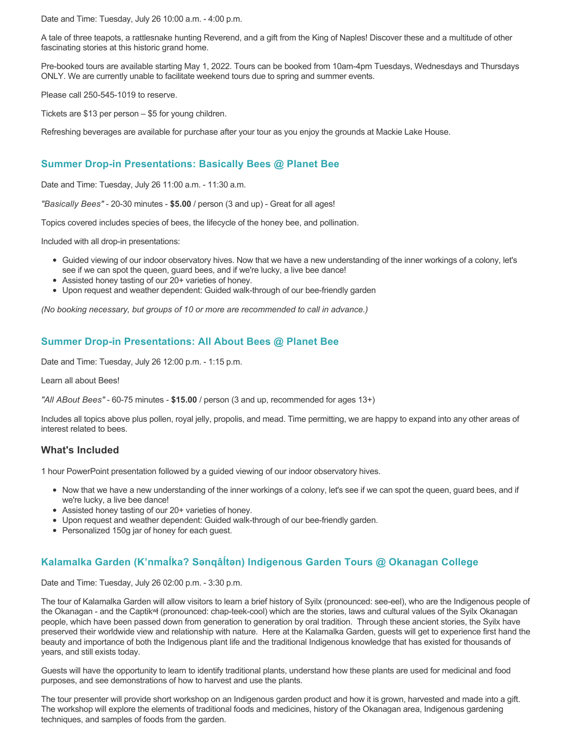Date and Time: Tuesday, July 26 10:00 a.m. - 4:00 p.m.

A tale of three teapots, a rattlesnake hunting Reverend, and a gift from the King of Naples! Discover these and a multitude of other fascinating stories at this historic grand home.

Pre-booked tours are available starting May 1, 2022. Tours can be booked from 10am-4pm Tuesdays, Wednesdays and Thursdays ONLY. We are currently unable to facilitate weekend tours due to spring and summer events.

Please call 250-545-1019 to reserve.

Tickets are \$13 per person – \$5 for young children.

Refreshing beverages are available for purchase after your tour as you enjoy the grounds at Mackie Lake House.

# **Summer Drop-in Presentations: Basically Bees @ Planet Bee**

Date and Time: Tuesday, July 26 11:00 a.m. - 11:30 a.m.

*"Basically Bees"* - 20-30 minutes - **\$5.00** / person (3 and up) - Great for all ages!

Topics covered includes species of bees, the lifecycle of the honey bee, and pollination.

Included with all drop-in presentations:

- Guided viewing of our indoor observatory hives. Now that we have a new understanding of the inner workings of a colony, let's see if we can spot the queen, guard bees, and if we're lucky, a live bee dance!
- Assisted honey tasting of our 20+ varieties of honey.
- Upon request and weather dependent: Guided walk-through of our bee-friendly garden

*(No booking necessary, but groups of 10 or more are recommended to call in advance.)*

## **Summer Drop-in Presentations: All About Bees @ Planet Bee**

Date and Time: Tuesday, July 26 12:00 p.m. - 1:15 p.m.

Learn all about Bees!

*"All ABout Bees"* - 60-75 minutes - **\$15.00** / person (3 and up, recommended for ages 13+)

Includes all topics above plus pollen, royal jelly, propolis, and mead. Time permitting, we are happy to expand into any other areas of interest related to bees.

### **What's Included**

1 hour PowerPoint presentation followed by a guided viewing of our indoor observatory hives.

- Now that we have a new understanding of the inner workings of a colony, let's see if we can spot the queen, guard bees, and if we're lucky, a live bee dance!
- Assisted honey tasting of our 20+ varieties of honey.
- Upon request and weather dependent: Guided walk-through of our bee-friendly garden.
- Personalized 150g jar of honey for each guest.

# **Kalamalka Garden (K'nmaĺka? Sәnqâĺtәn) Indigenous Garden Tours @ Okanagan College**

Date and Time: Tuesday, July 26 02:00 p.m. - 3:30 p.m.

The tour of Kalamalka Garden will allow visitors to learn a brief history of Syilx (pronounced: see-eel), who are the Indigenous people of the Okanagan - and the Captikʷł (pronounced: chap-teek-cool) which are the stories, laws and cultural values of the Syilx Okanagan people, which have been passed down from generation to generation by oral tradition. Through these ancient stories, the Syilx have preserved their worldwide view and relationship with nature. Here at the Kalamalka Garden, guests will get to experience first hand the beauty and importance of both the Indigenous plant life and the traditional Indigenous knowledge that has existed for thousands of years, and still exists today.

Guests will have the opportunity to learn to identify traditional plants, understand how these plants are used for medicinal and food purposes, and see demonstrations of how to harvest and use the plants.

The tour presenter will provide short workshop on an Indigenous garden product and how it is grown, harvested and made into a gift. The workshop will explore the elements of traditional foods and medicines, history of the Okanagan area, Indigenous gardening techniques, and samples of foods from the garden.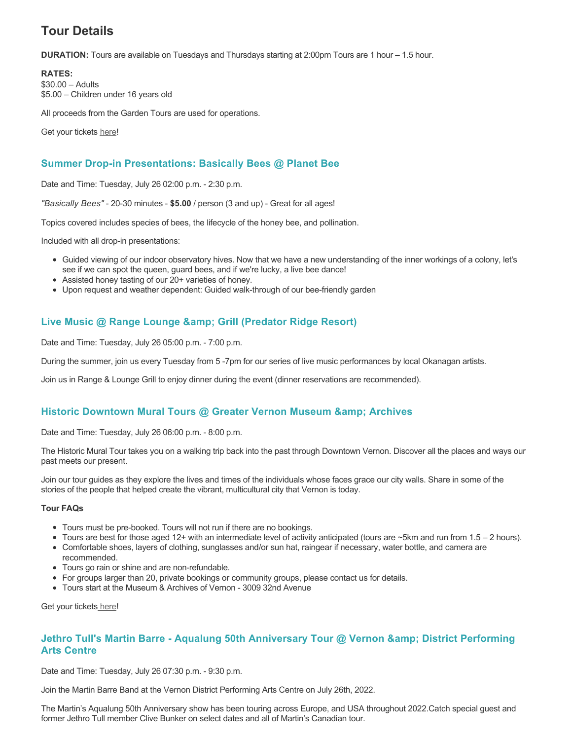# **Tour Details**

**DURATION:** Tours are available on Tuesdays and Thursdays starting at 2:00pm Tours are 1 hour – 1.5 hour.

**RATES:** \$30.00 – Adults \$5.00 – Children under 16 years old

All proceeds from the Garden Tours are used for operations.

Get your tickets [here!](https://www.eventbrite.ca/e/kalamalka-garden-tour-tickets-158617843239)

# **Summer Drop-in Presentations: Basically Bees @ Planet Bee**

Date and Time: Tuesday, July 26 02:00 p.m. - 2:30 p.m.

*"Basically Bees"* - 20-30 minutes - **\$5.00** / person (3 and up) - Great for all ages!

Topics covered includes species of bees, the lifecycle of the honey bee, and pollination.

Included with all drop-in presentations:

- Guided viewing of our indoor observatory hives. Now that we have a new understanding of the inner workings of a colony, let's see if we can spot the queen, guard bees, and if we're lucky, a live bee dance!
- Assisted honey tasting of our 20+ varieties of honey.
- Upon request and weather dependent: Guided walk-through of our bee-friendly garden

# **Live Music @ Range Lounge & Grill (Predator Ridge Resort)**

Date and Time: Tuesday, July 26 05:00 p.m. - 7:00 p.m.

During the summer, join us every Tuesday from 5 -7pm for our series of live music performances by local Okanagan artists.

Join us in Range & Lounge Grill to enjoy dinner during the event (dinner reservations are recommended).

# **Historic Downtown Mural Tours @ Greater Vernon Museum & Archives**

Date and Time: Tuesday, July 26 06:00 p.m. - 8:00 p.m.

The Historic Mural Tour takes you on a walking trip back into the past through Downtown Vernon. Discover all the places and ways our past meets our present.

Join our tour guides as they explore the lives and times of the individuals whose faces grace our city walls. Share in some of the stories of the people that helped create the vibrant, multicultural city that Vernon is today.

#### **Tour FAQs**

- Tours must be pre-booked. Tours will not run if there are no bookings.
- Tours are best for those aged 12+ with an intermediate level of activity anticipated (tours are ~5km and run from 1.5 2 hours).
- Comfortable shoes, layers of clothing, sunglasses and/or sun hat, raingear if necessary, water bottle, and camera are recommended.
- Tours go rain or shine and are non-refundable.
- For groups larger than 20, private bookings or community groups, please contact us for details.
- Tours start at the Museum & Archives of Vernon 3009 32nd Avenue

Get your tickets [here!](https://www.eventbrite.com/e/historic-downtown-mural-tours-tickets-304983342387)

# **Jethro Tull's Martin Barre - Aqualung 50th Anniversary Tour @ Vernon & amp; District Performing Arts Centre**

Date and Time: Tuesday, July 26 07:30 p.m. - 9:30 p.m.

Join the Martin Barre Band at the Vernon District Performing Arts Centre on July 26th, 2022.

The Martin's Aqualung 50th Anniversary show has been touring across Europe, and USA throughout 2022.Catch special guest and former Jethro Tull member Clive Bunker on select dates and all of Martin's Canadian tour.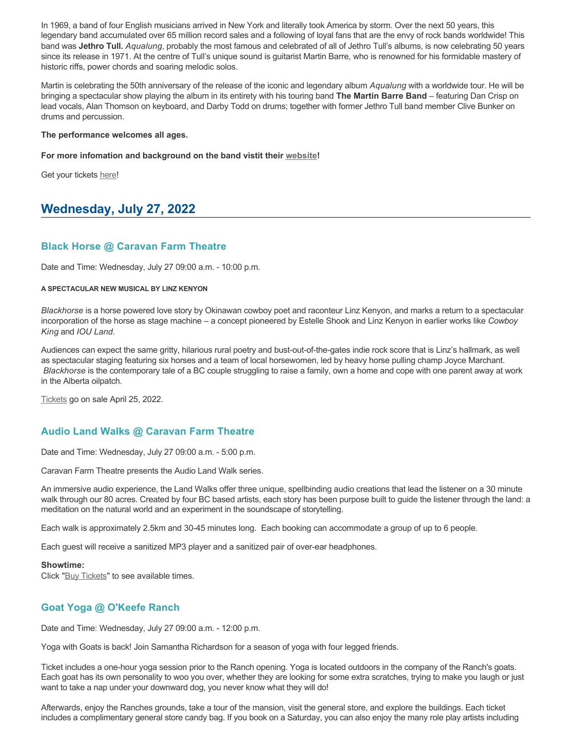In 1969, a band of four English musicians arrived in New York and literally took America by storm. Over the next 50 years, this legendary band accumulated over 65 million record sales and a following of loyal fans that are the envy of rock bands worldwide! This band was **Jethro Tull.** *Aqualung*, probably the most famous and celebrated of all of Jethro Tull's albums, is now celebrating 50 years since its release in 1971. At the centre of Tull's unique sound is guitarist Martin Barre, who is renowned for his formidable mastery of historic riffs, power chords and soaring melodic solos.

Martin is celebrating the 50th anniversary of the release of the iconic and legendary album *Aqualung* with a worldwide tour. He will be bringing a spectacular show playing the album in its entirety with his touring band **The Martin Barre Band** – featuring Dan Crisp on lead vocals, Alan Thomson on keyboard, and Darby Todd on drums; together with former Jethro Tull band member Clive Bunker on drums and percussion.

#### **The performance welcomes all ages.**

#### **For more infomation and background on the band vistit their [website!](https://martinbarre.com/martin-barre-tour/)**

Get your tickets [here!](https://tickets.ticketseller.ca/TheatreManager/1/login&event=2917)

# **Wednesday, July 27, 2022**

#### **Black Horse @ Caravan Farm Theatre**

Date and Time: Wednesday, July 27 09:00 a.m. - 10:00 p.m.

#### **A SPECTACULAR NEW MUSICAL BY LINZ KENYON**

*Blackhorse* is a horse powered love story by Okinawan cowboy poet and raconteur Linz Kenyon, and marks a return to a spectacular incorporation of the horse as stage machine – a concept pioneered by Estelle Shook and Linz Kenyon in earlier works like *Cowboy King* and *IOU Land*.

Audiences can expect the same gritty, hilarious rural poetry and bust-out-of-the-gates indie rock score that is Linz's hallmark, as well as spectacular staging featuring six horses and a team of local horsewomen, led by heavy horse pulling champ Joyce Marchant. *Blackhorse* is the contemporary tale of a BC couple struggling to raise a family, own a home and cope with one parent away at work in the Alberta oilpatch.

[Tickets](https://caravanfarmtheatre.com/show/blackhorse-2/?ct=t%28EMAIL_CAMPAIGN_4_19_2022_13_43SEASON+2022%29&mc_cid=c02afad356&mc_eid=4778eb8892) go on sale April 25, 2022.

### **Audio Land Walks @ Caravan Farm Theatre**

Date and Time: Wednesday, July 27 09:00 a.m. - 5:00 p.m.

Caravan Farm Theatre presents the Audio Land Walk series.

An immersive audio experience, the Land Walks offer three unique, spellbinding audio creations that lead the listener on a 30 minute walk through our 80 acres. Created by four BC based artists, each story has been purpose built to guide the listener through the land: a meditation on the natural world and an experiment in the soundscape of storytelling.

Each walk is approximately 2.5km and 30-45 minutes long. Each booking can accommodate a group of up to 6 people.

Each guest will receive a sanitized MP3 player and a sanitized pair of over-ear headphones.

#### **Showtime:**

Click "[Buy Tickets](https://caravanfarmtheatre.com/show/the-land-walks/?ct=t%28EMAIL_CAMPAIGN_4_19_2022_13_43SEASON+2022%29&mc_cid=c02afad356&mc_eid=4778eb8892)" to see available times.

### **Goat Yoga @ O'Keefe Ranch**

Date and Time: Wednesday, July 27 09:00 a.m. - 12:00 p.m.

Yoga with Goats is back! Join Samantha Richardson for a season of yoga with four legged friends.

Ticket includes a one-hour yoga session prior to the Ranch opening. Yoga is located outdoors in the company of the Ranch's goats. Each goat has its own personality to woo you over, whether they are looking for some extra scratches, trying to make you laugh or just want to take a nap under your downward dog, you never know what they will do!

Afterwards, enjoy the Ranches grounds, take a tour of the mansion, visit the general store, and explore the buildings. Each ticket includes a complimentary general store candy bag. If you book on a Saturday, you can also enjoy the many role play artists including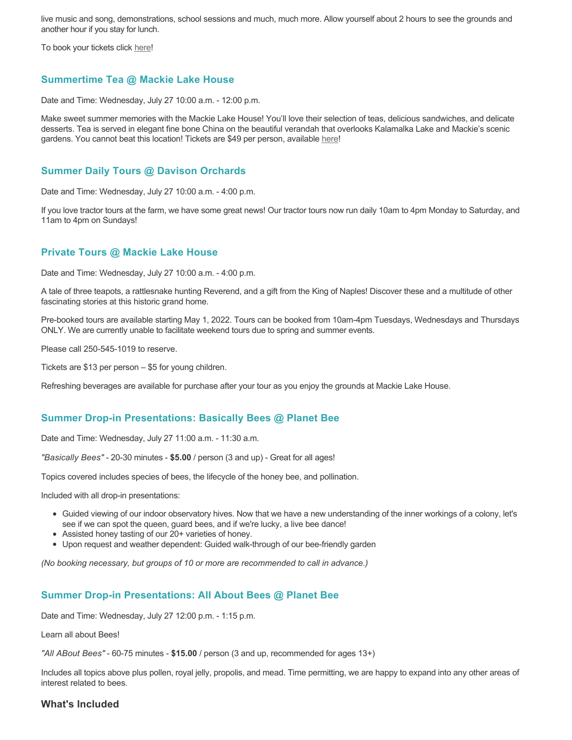live music and song, demonstrations, school sessions and much, much more. Allow yourself about 2 hours to see the grounds and another hour if you stay for lunch.

To book your tickets click [here!](https://tickets.ticketseller.ca/TheatreManager/1/login&event=3417)

# **Summertime Tea @ Mackie Lake House**

Date and Time: Wednesday, July 27 10:00 a.m. - 12:00 p.m.

Make sweet summer memories with the Mackie Lake House! You'll love their selection of teas, delicious sandwiches, and delicate desserts. Tea is served in elegant fine bone China on the beautiful verandah that overlooks Kalamalka Lake and Mackie's scenic gardens. You cannot beat this location! Tickets are \$49 per person, available [here](https://tickets.ticketseller.ca/TheatreManager/1/login&event=3455)!

#### **Summer Daily Tours @ Davison Orchards**

Date and Time: Wednesday, July 27 10:00 a.m. - 4:00 p.m.

If you love tractor tours at the farm, we have some great news! Our tractor tours now run daily 10am to 4pm Monday to Saturday, and 11am to 4pm on Sundays!

### **Private Tours @ Mackie Lake House**

Date and Time: Wednesday, July 27 10:00 a.m. - 4:00 p.m.

A tale of three teapots, a rattlesnake hunting Reverend, and a gift from the King of Naples! Discover these and a multitude of other fascinating stories at this historic grand home.

Pre-booked tours are available starting May 1, 2022. Tours can be booked from 10am-4pm Tuesdays, Wednesdays and Thursdays ONLY. We are currently unable to facilitate weekend tours due to spring and summer events.

Please call 250-545-1019 to reserve.

Tickets are \$13 per person – \$5 for young children.

Refreshing beverages are available for purchase after your tour as you enjoy the grounds at Mackie Lake House.

#### **Summer Drop-in Presentations: Basically Bees @ Planet Bee**

Date and Time: Wednesday, July 27 11:00 a.m. - 11:30 a.m.

*"Basically Bees"* - 20-30 minutes - **\$5.00** / person (3 and up) - Great for all ages!

Topics covered includes species of bees, the lifecycle of the honey bee, and pollination.

Included with all drop-in presentations:

- Guided viewing of our indoor observatory hives. Now that we have a new understanding of the inner workings of a colony, let's see if we can spot the queen, guard bees, and if we're lucky, a live bee dance!
- Assisted honey tasting of our 20+ varieties of honey.
- Upon request and weather dependent: Guided walk-through of our bee-friendly garden

*(No booking necessary, but groups of 10 or more are recommended to call in advance.)*

### **Summer Drop-in Presentations: All About Bees @ Planet Bee**

Date and Time: Wednesday, July 27 12:00 p.m. - 1:15 p.m.

Learn all about Bees!

*"All ABout Bees"* - 60-75 minutes - **\$15.00** / person (3 and up, recommended for ages 13+)

Includes all topics above plus pollen, royal jelly, propolis, and mead. Time permitting, we are happy to expand into any other areas of interest related to bees.

### **What's Included**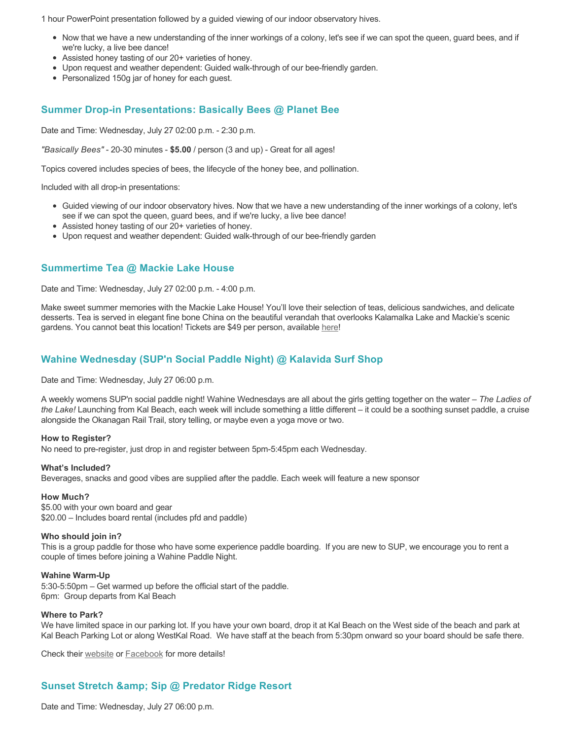1 hour PowerPoint presentation followed by a guided viewing of our indoor observatory hives.

- Now that we have a new understanding of the inner workings of a colony, let's see if we can spot the queen, guard bees, and if we're lucky, a live bee dance!
- Assisted honey tasting of our 20+ varieties of honey.
- Upon request and weather dependent: Guided walk-through of our bee-friendly garden.
- Personalized 150g jar of honey for each guest.

## **Summer Drop-in Presentations: Basically Bees @ Planet Bee**

Date and Time: Wednesday, July 27 02:00 p.m. - 2:30 p.m.

*"Basically Bees"* - 20-30 minutes - **\$5.00** / person (3 and up) - Great for all ages!

Topics covered includes species of bees, the lifecycle of the honey bee, and pollination.

Included with all drop-in presentations:

- Guided viewing of our indoor observatory hives. Now that we have a new understanding of the inner workings of a colony, let's see if we can spot the queen, guard bees, and if we're lucky, a live bee dance!
- Assisted honey tasting of our 20+ varieties of honey.
- Upon request and weather dependent: Guided walk-through of our bee-friendly garden

### **Summertime Tea @ Mackie Lake House**

Date and Time: Wednesday, July 27 02:00 p.m. - 4:00 p.m.

Make sweet summer memories with the Mackie Lake House! You'll love their selection of teas, delicious sandwiches, and delicate desserts. Tea is served in elegant fine bone China on the beautiful verandah that overlooks Kalamalka Lake and Mackie's scenic gardens. You cannot beat this location! Tickets are \$49 per person, available [here](https://tickets.ticketseller.ca/TheatreManager/1/login&event=3455)!

### **Wahine Wednesday (SUP'n Social Paddle Night) @ Kalavida Surf Shop**

Date and Time: Wednesday, July 27 06:00 p.m.

A weekly womens SUP'n social paddle night! Wahine Wednesdays are all about the girls getting together on the water – *The Ladies of the Lake!* Launching from Kal Beach, each week will include something a little different – it could be a soothing sunset paddle, a cruise alongside the Okanagan Rail Trail, story telling, or maybe even a yoga move or two.

#### **How to Register?**

No need to pre-register, just drop in and register between 5pm-5:45pm each Wednesday.

#### **What's Included?**

Beverages, snacks and good vibes are supplied after the paddle. Each week will feature a new sponsor

#### **How Much?**

\$5.00 with your own board and gear \$20.00 – Includes board rental (includes pfd and paddle)

#### **Who should join in?**

This is a group paddle for those who have some experience paddle boarding. If you are new to SUP, we encourage you to rent a couple of times before joining a Wahine Paddle Night.

#### **Wahine Warm-Up**

5:30-5:50pm – Get warmed up before the official start of the paddle. 6pm: Group departs from Kal Beach

#### **Where to Park?**

We have limited space in our parking lot. If you have your own board, drop it at Kal Beach on the West side of the beach and park at Kal Beach Parking Lot or along WestKal Road. We have staff at the beach from 5:30pm onward so your board should be safe there.

Check their [website](https://kalavidasurfshop.com/wahine-wednesday-kalavida/) or [Facebook](https://www.facebook.com/kalavidasurfshop/) for more details!

# **Sunset Stretch & amp; Sip @ Predator Ridge Resort**

Date and Time: Wednesday, July 27 06:00 p.m.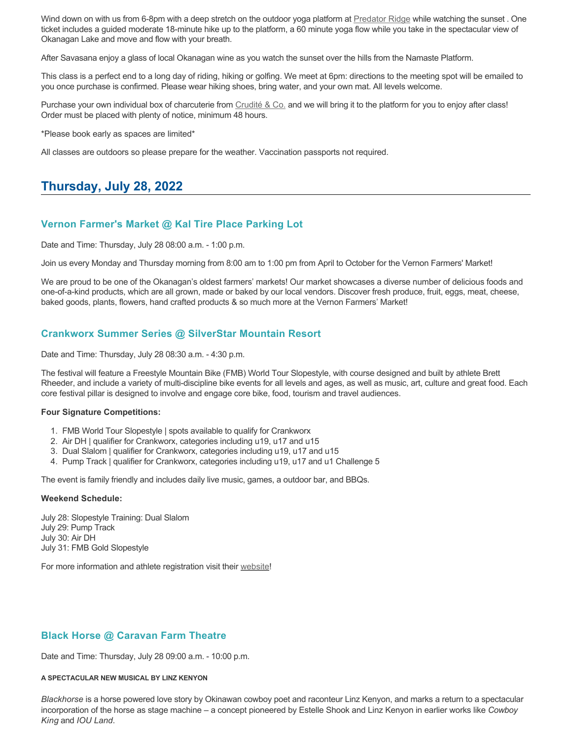Wind down on with us from 6-8pm with a deep stretch on the outdoor yoga platform at [Predator Ridge](https://www.predatorridge.com/events) while watching the sunset. One ticket includes a guided moderate 18-minute hike up to the platform, a 60 minute yoga flow while you take in the spectacular view of Okanagan Lake and move and flow with your breath.

After Savasana enjoy a glass of local Okanagan wine as you watch the sunset over the hills from the Namaste Platform.

This class is a perfect end to a long day of riding, hiking or golfing. We meet at 6pm: directions to the meeting spot will be emailed to you once purchase is confirmed. Please wear hiking shoes, bring water, and your own mat. All levels welcome.

Purchase your own individual box of charcuterie from [Crudité & Co.](https://cruditeandco.com/product/picnic-platter/) and we will bring it to the platform for you to enjoy after class! Order must be placed with plenty of notice, minimum 48 hours.

\*Please book early as spaces are limited\*

All classes are outdoors so please prepare for the weather. Vaccination passports not required.

# **Thursday, July 28, 2022**

#### **Vernon Farmer's Market @ Kal Tire Place Parking Lot**

Date and Time: Thursday, July 28 08:00 a.m. - 1:00 p.m.

Join us every Monday and Thursday morning from 8:00 am to 1:00 pm from April to October for the Vernon Farmers' Market!

We are proud to be one of the Okanagan's oldest farmers' markets! Our market showcases a diverse number of delicious foods and one-of-a-kind products, which are all grown, made or baked by our local vendors. Discover fresh produce, fruit, eggs, meat, cheese, baked goods, plants, flowers, hand crafted products & so much more at the Vernon Farmers' Market!

### **Crankworx Summer Series @ SilverStar Mountain Resort**

Date and Time: Thursday, July 28 08:30 a.m. - 4:30 p.m.

The festival will feature a Freestyle Mountain Bike (FMB) World Tour Slopestyle, with course designed and built by athlete Brett Rheeder, and include a variety of multi-discipline bike events for all levels and ages, as well as music, art, culture and great food. Each core festival pillar is designed to involve and engage core bike, food, tourism and travel audiences.

#### **Four Signature Competitions:**

- 1. FMB World Tour Slopestyle | spots available to qualify for Crankworx
- 2. Air DH | qualifier for Crankworx, categories including u19, u17 and u15
- 3. Dual Slalom | qualifier for Crankworx, categories including u19, u17 and u15
- 4. Pump Track | qualifier for Crankworx, categories including u19, u17 and u1 Challenge 5

The event is family friendly and includes daily live music, games, a outdoor bar, and BBQs.

#### **Weekend Schedule:**

July 28: Slopestyle Training: Dual Slalom July 29: Pump Track July 30: Air DH July 31: FMB Gold Slopestyle

For more information and athlete registration visit their [website](https://www.crankworx.com/crankworx-summer-series-canada/silverstar/)!

### **Black Horse @ Caravan Farm Theatre**

Date and Time: Thursday, July 28 09:00 a.m. - 10:00 p.m.

#### **A SPECTACULAR NEW MUSICAL BY LINZ KENYON**

*Blackhorse* is a horse powered love story by Okinawan cowboy poet and raconteur Linz Kenyon, and marks a return to a spectacular incorporation of the horse as stage machine – a concept pioneered by Estelle Shook and Linz Kenyon in earlier works like *Cowboy King* and *IOU Land*.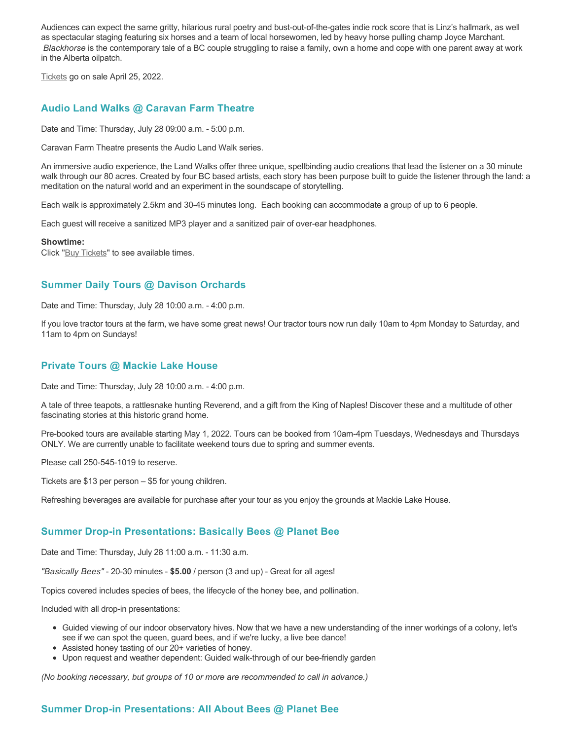Audiences can expect the same gritty, hilarious rural poetry and bust-out-of-the-gates indie rock score that is Linz's hallmark, as well as spectacular staging featuring six horses and a team of local horsewomen, led by heavy horse pulling champ Joyce Marchant. *Blackhorse* is the contemporary tale of a BC couple struggling to raise a family, own a home and cope with one parent away at work in the Alberta oilpatch.

[Tickets](https://caravanfarmtheatre.com/show/blackhorse-2/?ct=t%28EMAIL_CAMPAIGN_4_19_2022_13_43SEASON+2022%29&mc_cid=c02afad356&mc_eid=4778eb8892) go on sale April 25, 2022.

## **Audio Land Walks @ Caravan Farm Theatre**

Date and Time: Thursday, July 28 09:00 a.m. - 5:00 p.m.

Caravan Farm Theatre presents the Audio Land Walk series.

An immersive audio experience, the Land Walks offer three unique, spellbinding audio creations that lead the listener on a 30 minute walk through our 80 acres. Created by four BC based artists, each story has been purpose built to guide the listener through the land: a meditation on the natural world and an experiment in the soundscape of storytelling.

Each walk is approximately 2.5km and 30-45 minutes long. Each booking can accommodate a group of up to 6 people.

Each guest will receive a sanitized MP3 player and a sanitized pair of over-ear headphones.

#### **Showtime:**

Click "[Buy Tickets](https://caravanfarmtheatre.com/show/the-land-walks/?ct=t%28EMAIL_CAMPAIGN_4_19_2022_13_43SEASON+2022%29&mc_cid=c02afad356&mc_eid=4778eb8892)" to see available times.

# **Summer Daily Tours @ Davison Orchards**

Date and Time: Thursday, July 28 10:00 a.m. - 4:00 p.m.

If you love tractor tours at the farm, we have some great news! Our tractor tours now run daily 10am to 4pm Monday to Saturday, and 11am to 4pm on Sundays!

#### **Private Tours @ Mackie Lake House**

Date and Time: Thursday, July 28 10:00 a.m. - 4:00 p.m.

A tale of three teapots, a rattlesnake hunting Reverend, and a gift from the King of Naples! Discover these and a multitude of other fascinating stories at this historic grand home.

Pre-booked tours are available starting May 1, 2022. Tours can be booked from 10am-4pm Tuesdays, Wednesdays and Thursdays ONLY. We are currently unable to facilitate weekend tours due to spring and summer events.

Please call 250-545-1019 to reserve.

Tickets are \$13 per person – \$5 for young children.

Refreshing beverages are available for purchase after your tour as you enjoy the grounds at Mackie Lake House.

### **Summer Drop-in Presentations: Basically Bees @ Planet Bee**

Date and Time: Thursday, July 28 11:00 a.m. - 11:30 a.m.

*"Basically Bees"* - 20-30 minutes - **\$5.00** / person (3 and up) - Great for all ages!

Topics covered includes species of bees, the lifecycle of the honey bee, and pollination.

Included with all drop-in presentations:

- Guided viewing of our indoor observatory hives. Now that we have a new understanding of the inner workings of a colony, let's see if we can spot the queen, guard bees, and if we're lucky, a live bee dance!
- Assisted honey tasting of our 20+ varieties of honey.
- Upon request and weather dependent: Guided walk-through of our bee-friendly garden

*(No booking necessary, but groups of 10 or more are recommended to call in advance.)*

# **Summer Drop-in Presentations: All About Bees @ Planet Bee**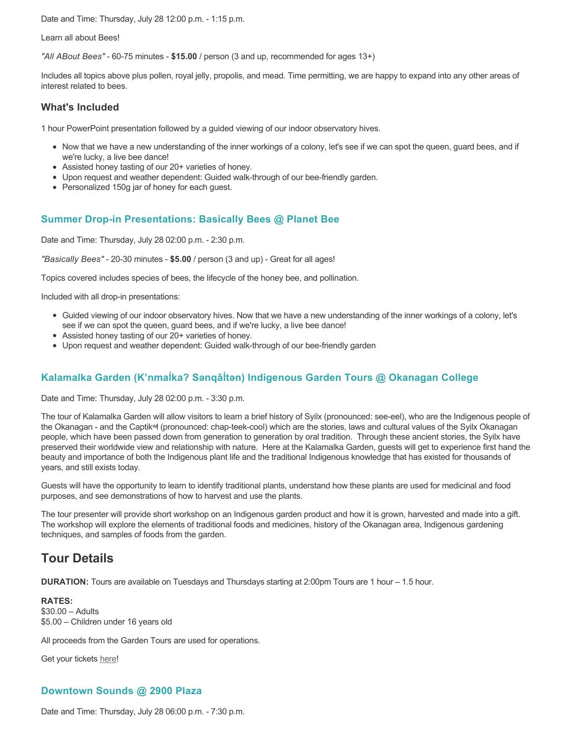Date and Time: Thursday, July 28 12:00 p.m. - 1:15 p.m.

Learn all about Bees!

*"All ABout Bees"* - 60-75 minutes - **\$15.00** / person (3 and up, recommended for ages 13+)

Includes all topics above plus pollen, royal jelly, propolis, and mead. Time permitting, we are happy to expand into any other areas of interest related to bees.

#### **What's Included**

1 hour PowerPoint presentation followed by a guided viewing of our indoor observatory hives.

- Now that we have a new understanding of the inner workings of a colony, let's see if we can spot the queen, guard bees, and if we're lucky, a live bee dance!
- Assisted honey tasting of our 20+ varieties of honey.
- Upon request and weather dependent: Guided walk-through of our bee-friendly garden.
- Personalized 150g jar of honey for each guest.

### **Summer Drop-in Presentations: Basically Bees @ Planet Bee**

Date and Time: Thursday, July 28 02:00 p.m. - 2:30 p.m.

*"Basically Bees"* - 20-30 minutes - **\$5.00** / person (3 and up) - Great for all ages!

Topics covered includes species of bees, the lifecycle of the honey bee, and pollination.

Included with all drop-in presentations:

- Guided viewing of our indoor observatory hives. Now that we have a new understanding of the inner workings of a colony, let's see if we can spot the queen, guard bees, and if we're lucky, a live bee dance!
- Assisted honey tasting of our 20+ varieties of honey.
- Upon request and weather dependent: Guided walk-through of our bee-friendly garden

# **Kalamalka Garden (K'nmaĺka? Sәnqâĺtәn) Indigenous Garden Tours @ Okanagan College**

Date and Time: Thursday, July 28 02:00 p.m. - 3:30 p.m.

The tour of Kalamalka Garden will allow visitors to learn a brief history of Syilx (pronounced: see-eel), who are the Indigenous people of the Okanagan - and the Captikʷł (pronounced: chap-teek-cool) which are the stories, laws and cultural values of the Syilx Okanagan people, which have been passed down from generation to generation by oral tradition. Through these ancient stories, the Syilx have preserved their worldwide view and relationship with nature. Here at the Kalamalka Garden, guests will get to experience first hand the beauty and importance of both the Indigenous plant life and the traditional Indigenous knowledge that has existed for thousands of years, and still exists today.

Guests will have the opportunity to learn to identify traditional plants, understand how these plants are used for medicinal and food purposes, and see demonstrations of how to harvest and use the plants.

The tour presenter will provide short workshop on an Indigenous garden product and how it is grown, harvested and made into a gift. The workshop will explore the elements of traditional foods and medicines, history of the Okanagan area, Indigenous gardening techniques, and samples of foods from the garden.

# **Tour Details**

**DURATION:** Tours are available on Tuesdays and Thursdays starting at 2:00pm Tours are 1 hour – 1.5 hour.

**RATES:** \$30.00 – Adults \$5.00 – Children under 16 years old

All proceeds from the Garden Tours are used for operations.

Get your tickets [here!](https://www.eventbrite.ca/e/kalamalka-garden-tour-tickets-158617843239)

### **Downtown Sounds @ 2900 Plaza**

Date and Time: Thursday, July 28 06:00 p.m. - 7:30 p.m.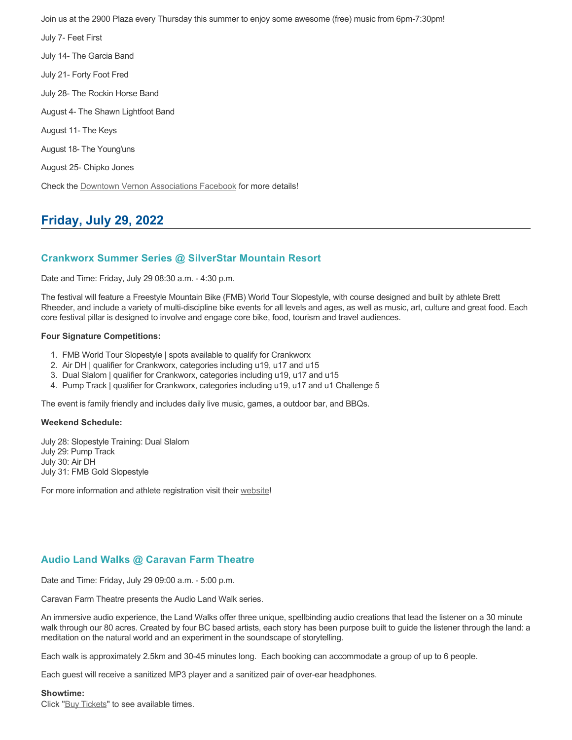Join us at the 2900 Plaza every Thursday this summer to enjoy some awesome (free) music from 6pm-7:30pm!

July 7- Feet First July 14- The Garcia Band July 21- Forty Foot Fred July 28- The Rockin Horse Band August 4- The Shawn Lightfoot Band August 11- The Keys August 18- The Young'uns August 25- Chipko Jones Check the [Downtown Vernon Associations Facebook](https://www.facebook.com/downtownvernon/) for more details!

# **Friday, July 29, 2022**

### **Crankworx Summer Series @ SilverStar Mountain Resort**

Date and Time: Friday, July 29 08:30 a.m. - 4:30 p.m.

The festival will feature a Freestyle Mountain Bike (FMB) World Tour Slopestyle, with course designed and built by athlete Brett Rheeder, and include a variety of multi-discipline bike events for all levels and ages, as well as music, art, culture and great food. Each core festival pillar is designed to involve and engage core bike, food, tourism and travel audiences.

#### **Four Signature Competitions:**

- 1. FMB World Tour Slopestyle | spots available to qualify for Crankworx
- 2. Air DH | qualifier for Crankworx, categories including u19, u17 and u15
- 3. Dual Slalom | qualifier for Crankworx, categories including u19, u17 and u15
- 4. Pump Track | qualifier for Crankworx, categories including u19, u17 and u1 Challenge 5

The event is family friendly and includes daily live music, games, a outdoor bar, and BBQs.

#### **Weekend Schedule:**

July 28: Slopestyle Training: Dual Slalom July 29: Pump Track July 30: Air DH July 31: FMB Gold Slopestyle

For more information and athlete registration visit their [website](https://www.crankworx.com/crankworx-summer-series-canada/silverstar/)!

# **Audio Land Walks @ Caravan Farm Theatre**

Date and Time: Friday, July 29 09:00 a.m. - 5:00 p.m.

Caravan Farm Theatre presents the Audio Land Walk series.

An immersive audio experience, the Land Walks offer three unique, spellbinding audio creations that lead the listener on a 30 minute walk through our 80 acres. Created by four BC based artists, each story has been purpose built to guide the listener through the land: a meditation on the natural world and an experiment in the soundscape of storytelling.

Each walk is approximately 2.5km and 30-45 minutes long. Each booking can accommodate a group of up to 6 people.

Each guest will receive a sanitized MP3 player and a sanitized pair of over-ear headphones.

#### **Showtime:**

Click "[Buy Tickets](https://caravanfarmtheatre.com/show/the-land-walks/?ct=t%28EMAIL_CAMPAIGN_4_19_2022_13_43SEASON+2022%29&mc_cid=c02afad356&mc_eid=4778eb8892)" to see available times.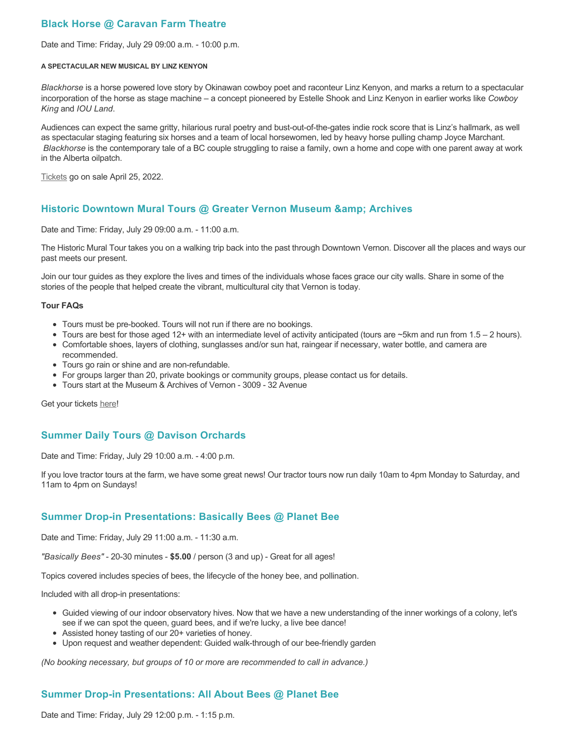# **Black Horse @ Caravan Farm Theatre**

Date and Time: Friday, July 29 09:00 a.m. - 10:00 p.m.

#### **A SPECTACULAR NEW MUSICAL BY LINZ KENYON**

*Blackhorse* is a horse powered love story by Okinawan cowboy poet and raconteur Linz Kenyon, and marks a return to a spectacular incorporation of the horse as stage machine – a concept pioneered by Estelle Shook and Linz Kenyon in earlier works like *Cowboy King* and *IOU Land*.

Audiences can expect the same gritty, hilarious rural poetry and bust-out-of-the-gates indie rock score that is Linz's hallmark, as well as spectacular staging featuring six horses and a team of local horsewomen, led by heavy horse pulling champ Joyce Marchant. *Blackhorse* is the contemporary tale of a BC couple struggling to raise a family, own a home and cope with one parent away at work in the Alberta oilpatch.

[Tickets](https://caravanfarmtheatre.com/show/blackhorse-2/?ct=t%28EMAIL_CAMPAIGN_4_19_2022_13_43SEASON+2022%29&mc_cid=c02afad356&mc_eid=4778eb8892) go on sale April 25, 2022.

## **Historic Downtown Mural Tours @ Greater Vernon Museum & Archives**

Date and Time: Friday, July 29 09:00 a.m. - 11:00 a.m.

The Historic Mural Tour takes you on a walking trip back into the past through Downtown Vernon. Discover all the places and ways our past meets our present.

Join our tour guides as they explore the lives and times of the individuals whose faces grace our city walls. Share in some of the stories of the people that helped create the vibrant, multicultural city that Vernon is today.

#### **Tour FAQs**

- Tours must be pre-booked. Tours will not run if there are no bookings.
- Tours are best for those aged 12+ with an intermediate level of activity anticipated (tours are ~5km and run from 1.5 2 hours).
- Comfortable shoes, layers of clothing, sunglasses and/or sun hat, raingear if necessary, water bottle, and camera are recommended.
- Tours go rain or shine and are non-refundable.
- For groups larger than 20, private bookings or community groups, please contact us for details.
- Tours start at the Museum & Archives of Vernon 3009 32 Avenue

Get your tickets [here!](https://www.eventbrite.com/e/historic-downtown-mural-tours-tickets-304983342387)

### **Summer Daily Tours @ Davison Orchards**

Date and Time: Friday, July 29 10:00 a.m. - 4:00 p.m.

If you love tractor tours at the farm, we have some great news! Our tractor tours now run daily 10am to 4pm Monday to Saturday, and 11am to 4pm on Sundays!

### **Summer Drop-in Presentations: Basically Bees @ Planet Bee**

Date and Time: Friday, July 29 11:00 a.m. - 11:30 a.m.

*"Basically Bees"* - 20-30 minutes - **\$5.00** / person (3 and up) - Great for all ages!

Topics covered includes species of bees, the lifecycle of the honey bee, and pollination.

Included with all drop-in presentations:

- Guided viewing of our indoor observatory hives. Now that we have a new understanding of the inner workings of a colony, let's see if we can spot the queen, guard bees, and if we're lucky, a live bee dance!
- Assisted honey tasting of our 20+ varieties of honey.
- Upon request and weather dependent: Guided walk-through of our bee-friendly garden

*(No booking necessary, but groups of 10 or more are recommended to call in advance.)*

### **Summer Drop-in Presentations: All About Bees @ Planet Bee**

Date and Time: Friday, July 29 12:00 p.m. - 1:15 p.m.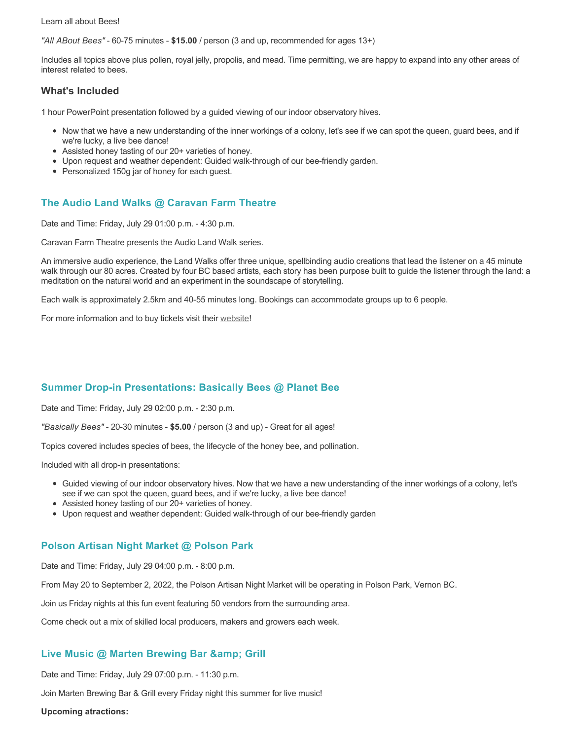Learn all about Bees!

*"All ABout Bees"* - 60-75 minutes - **\$15.00** / person (3 and up, recommended for ages 13+)

Includes all topics above plus pollen, royal jelly, propolis, and mead. Time permitting, we are happy to expand into any other areas of interest related to bees.

#### **What's Included**

1 hour PowerPoint presentation followed by a guided viewing of our indoor observatory hives.

- Now that we have a new understanding of the inner workings of a colony, let's see if we can spot the queen, guard bees, and if we're lucky, a live bee dance!
- Assisted honey tasting of our 20+ varieties of honey.
- Upon request and weather dependent: Guided walk-through of our bee-friendly garden.
- Personalized 150g jar of honey for each guest.

# **The Audio Land Walks @ Caravan Farm Theatre**

Date and Time: Friday, July 29 01:00 p.m. - 4:30 p.m.

Caravan Farm Theatre presents the Audio Land Walk series.

An immersive audio experience, the Land Walks offer three unique, spellbinding audio creations that lead the listener on a 45 minute walk through our 80 acres. Created by four BC based artists, each story has been purpose built to guide the listener through the land: a meditation on the natural world and an experiment in the soundscape of storytelling.

Each walk is approximately 2.5km and 40-55 minutes long. Bookings can accommodate groups up to 6 people.

For more information and to buy tickets visit their [website!](https://caravanfarmtheatre.com/show/the-land-walks/)

# **Summer Drop-in Presentations: Basically Bees @ Planet Bee**

Date and Time: Friday, July 29 02:00 p.m. - 2:30 p.m.

*"Basically Bees"* - 20-30 minutes - **\$5.00** / person (3 and up) - Great for all ages!

Topics covered includes species of bees, the lifecycle of the honey bee, and pollination.

Included with all drop-in presentations:

- Guided viewing of our indoor observatory hives. Now that we have a new understanding of the inner workings of a colony, let's see if we can spot the queen, guard bees, and if we're lucky, a live bee dance!
- Assisted honey tasting of our 20+ varieties of honey.
- Upon request and weather dependent: Guided walk-through of our bee-friendly garden

### **Polson Artisan Night Market @ Polson Park**

Date and Time: Friday, July 29 04:00 p.m. - 8:00 p.m.

From May 20 to September 2, 2022, the Polson Artisan Night Market will be operating in Polson Park, Vernon BC.

Join us Friday nights at this fun event featuring 50 vendors from the surrounding area.

Come check out a mix of skilled local producers, makers and growers each week.

### Live Music @ Marten Brewing Bar & amp; Grill

Date and Time: Friday, July 29 07:00 p.m. - 11:30 p.m.

Join Marten Brewing Bar & Grill every Friday night this summer for live music!

**Upcoming atractions:**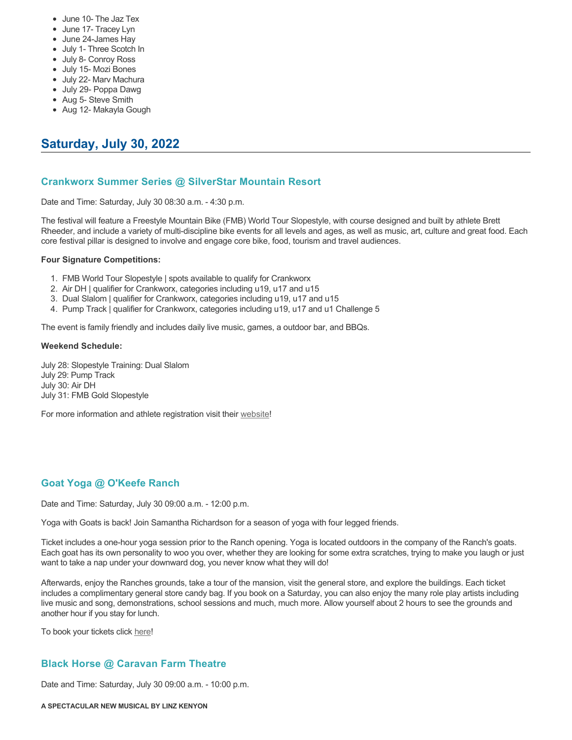- June 10- The Jaz Tex
- June 17- Tracey Lyn
- June 24-James Hay
- July 1- Three Scotch In
- July 8- Conroy Ross
- July 15- Mozi Bones
- July 22- Marv Machura
- July 29- Poppa Dawg
- Aug 5- Steve Smith
- Aug 12- Makayla Gough

# **Saturday, July 30, 2022**

## **Crankworx Summer Series @ SilverStar Mountain Resort**

Date and Time: Saturday, July 30 08:30 a.m. - 4:30 p.m.

The festival will feature a Freestyle Mountain Bike (FMB) World Tour Slopestyle, with course designed and built by athlete Brett Rheeder, and include a variety of multi-discipline bike events for all levels and ages, as well as music, art, culture and great food. Each core festival pillar is designed to involve and engage core bike, food, tourism and travel audiences.

#### **Four Signature Competitions:**

- 1. FMB World Tour Slopestyle | spots available to qualify for Crankworx
- 2. Air DH | qualifier for Crankworx, categories including u19, u17 and u15
- 3. Dual Slalom | qualifier for Crankworx, categories including u19, u17 and u15
- 4. Pump Track | qualifier for Crankworx, categories including u19, u17 and u1 Challenge 5

The event is family friendly and includes daily live music, games, a outdoor bar, and BBQs.

#### **Weekend Schedule:**

July 28: Slopestyle Training: Dual Slalom July 29: Pump Track July 30: Air DH July 31: FMB Gold Slopestyle

For more information and athlete registration visit their [website](https://www.crankworx.com/crankworx-summer-series-canada/silverstar/)!

# **Goat Yoga @ O'Keefe Ranch**

Date and Time: Saturday, July 30 09:00 a.m. - 12:00 p.m.

Yoga with Goats is back! Join Samantha Richardson for a season of yoga with four legged friends.

Ticket includes a one-hour yoga session prior to the Ranch opening. Yoga is located outdoors in the company of the Ranch's goats. Each goat has its own personality to woo you over, whether they are looking for some extra scratches, trying to make you laugh or just want to take a nap under your downward dog, you never know what they will do!

Afterwards, enjoy the Ranches grounds, take a tour of the mansion, visit the general store, and explore the buildings. Each ticket includes a complimentary general store candy bag. If you book on a Saturday, you can also enjoy the many role play artists including live music and song, demonstrations, school sessions and much, much more. Allow yourself about 2 hours to see the grounds and another hour if you stay for lunch.

To book your tickets click [here!](https://tickets.ticketseller.ca/TheatreManager/1/login&event=3417)

# **Black Horse @ Caravan Farm Theatre**

Date and Time: Saturday, July 30 09:00 a.m. - 10:00 p.m.

**A SPECTACULAR NEW MUSICAL BY LINZ KENYON**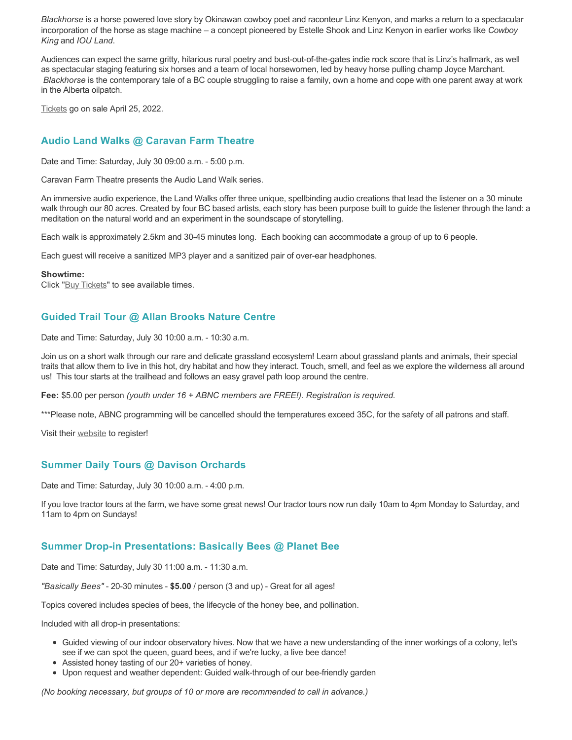*Blackhorse* is a horse powered love story by Okinawan cowboy poet and raconteur Linz Kenyon, and marks a return to a spectacular incorporation of the horse as stage machine – a concept pioneered by Estelle Shook and Linz Kenyon in earlier works like *Cowboy King* and *IOU Land*.

Audiences can expect the same gritty, hilarious rural poetry and bust-out-of-the-gates indie rock score that is Linz's hallmark, as well as spectacular staging featuring six horses and a team of local horsewomen, led by heavy horse pulling champ Joyce Marchant. *Blackhorse* is the contemporary tale of a BC couple struggling to raise a family, own a home and cope with one parent away at work in the Alberta oilpatch.

[Tickets](https://caravanfarmtheatre.com/show/blackhorse-2/?ct=t%28EMAIL_CAMPAIGN_4_19_2022_13_43SEASON+2022%29&mc_cid=c02afad356&mc_eid=4778eb8892) go on sale April 25, 2022.

# **Audio Land Walks @ Caravan Farm Theatre**

Date and Time: Saturday, July 30 09:00 a.m. - 5:00 p.m.

Caravan Farm Theatre presents the Audio Land Walk series.

An immersive audio experience, the Land Walks offer three unique, spellbinding audio creations that lead the listener on a 30 minute walk through our 80 acres. Created by four BC based artists, each story has been purpose built to guide the listener through the land: a meditation on the natural world and an experiment in the soundscape of storytelling.

Each walk is approximately 2.5km and 30-45 minutes long. Each booking can accommodate a group of up to 6 people.

Each guest will receive a sanitized MP3 player and a sanitized pair of over-ear headphones.

#### **Showtime:**

Click "[Buy Tickets](https://caravanfarmtheatre.com/show/the-land-walks/?ct=t%28EMAIL_CAMPAIGN_4_19_2022_13_43SEASON+2022%29&mc_cid=c02afad356&mc_eid=4778eb8892)" to see available times.

# **Guided Trail Tour @ Allan Brooks Nature Centre**

Date and Time: Saturday, July 30 10:00 a.m. - 10:30 a.m.

Join us on a short walk through our rare and delicate grassland ecosystem! Learn about grassland plants and animals, their special traits that allow them to live in this hot, dry habitat and how they interact. Touch, smell, and feel as we explore the wilderness all around us! This tour starts at the trailhead and follows an easy gravel path loop around the centre.

**Fee:** \$5.00 per person *(youth under 16 + ABNC members are FREE!). Registration is required.* 

\*\*\*Please note, ABNC programming will be cancelled should the temperatures exceed 35C, for the safety of all patrons and staff.

Visit their [website](https://abnc.ca/events/events-calendar/) to register!

### **Summer Daily Tours @ Davison Orchards**

Date and Time: Saturday, July 30 10:00 a.m. - 4:00 p.m.

If you love tractor tours at the farm, we have some great news! Our tractor tours now run daily 10am to 4pm Monday to Saturday, and 11am to 4pm on Sundays!

### **Summer Drop-in Presentations: Basically Bees @ Planet Bee**

Date and Time: Saturday, July 30 11:00 a.m. - 11:30 a.m.

*"Basically Bees"* - 20-30 minutes - **\$5.00** / person (3 and up) - Great for all ages!

Topics covered includes species of bees, the lifecycle of the honey bee, and pollination.

Included with all drop-in presentations:

- Guided viewing of our indoor observatory hives. Now that we have a new understanding of the inner workings of a colony, let's see if we can spot the queen, guard bees, and if we're lucky, a live bee dance!
- Assisted honey tasting of our 20+ varieties of honey.
- Upon request and weather dependent: Guided walk-through of our bee-friendly garden

*(No booking necessary, but groups of 10 or more are recommended to call in advance.)*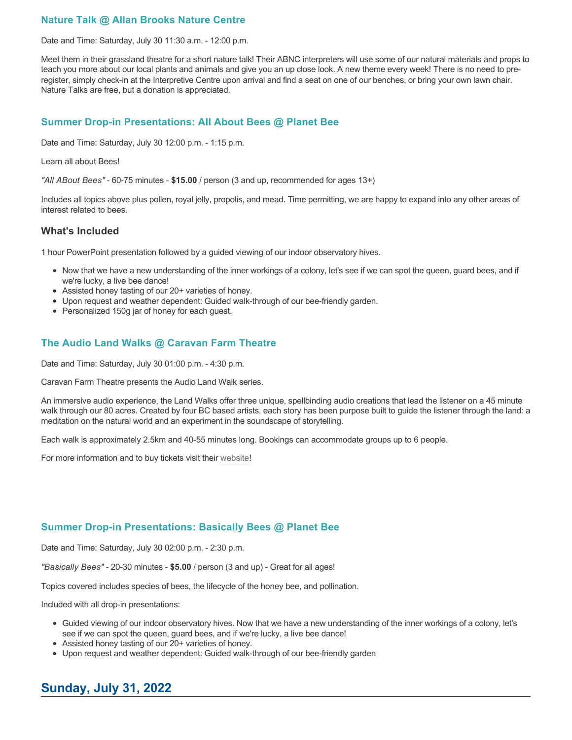# **Nature Talk @ Allan Brooks Nature Centre**

Date and Time: Saturday, July 30 11:30 a.m. - 12:00 p.m.

Meet them in their grassland theatre for a short nature talk! Their ABNC interpreters will use some of our natural materials and props to teach you more about our local plants and animals and give you an up close look. A new theme every week! There is no need to preregister, simply check-in at the Interpretive Centre upon arrival and find a seat on one of our benches, or bring your own lawn chair. Nature Talks are free, but a donation is appreciated.

# **Summer Drop-in Presentations: All About Bees @ Planet Bee**

Date and Time: Saturday, July 30 12:00 p.m. - 1:15 p.m.

#### Learn all about Bees!

*"All ABout Bees"* - 60-75 minutes - **\$15.00** / person (3 and up, recommended for ages 13+)

Includes all topics above plus pollen, royal jelly, propolis, and mead. Time permitting, we are happy to expand into any other areas of interest related to bees.

#### **What's Included**

1 hour PowerPoint presentation followed by a guided viewing of our indoor observatory hives.

- Now that we have a new understanding of the inner workings of a colony, let's see if we can spot the queen, guard bees, and if we're lucky, a live bee dance!
- Assisted honey tasting of our 20+ varieties of honey.
- Upon request and weather dependent: Guided walk-through of our bee-friendly garden.
- Personalized 150g jar of honey for each quest.

### **The Audio Land Walks @ Caravan Farm Theatre**

Date and Time: Saturday, July 30 01:00 p.m. - 4:30 p.m.

Caravan Farm Theatre presents the Audio Land Walk series.

An immersive audio experience, the Land Walks offer three unique, spellbinding audio creations that lead the listener on a 45 minute walk through our 80 acres. Created by four BC based artists, each story has been purpose built to guide the listener through the land: a meditation on the natural world and an experiment in the soundscape of storytelling.

Each walk is approximately 2.5km and 40-55 minutes long. Bookings can accommodate groups up to 6 people.

For more information and to buy tickets visit their [website!](https://caravanfarmtheatre.com/show/the-land-walks/)

### **Summer Drop-in Presentations: Basically Bees @ Planet Bee**

Date and Time: Saturday, July 30 02:00 p.m. - 2:30 p.m.

*"Basically Bees"* - 20-30 minutes - **\$5.00** / person (3 and up) - Great for all ages!

Topics covered includes species of bees, the lifecycle of the honey bee, and pollination.

Included with all drop-in presentations:

- Guided viewing of our indoor observatory hives. Now that we have a new understanding of the inner workings of a colony, let's see if we can spot the queen, guard bees, and if we're lucky, a live bee dance!
- Assisted honey tasting of our 20+ varieties of honey.
- Upon request and weather dependent: Guided walk-through of our bee-friendly garden

# **Sunday, July 31, 2022**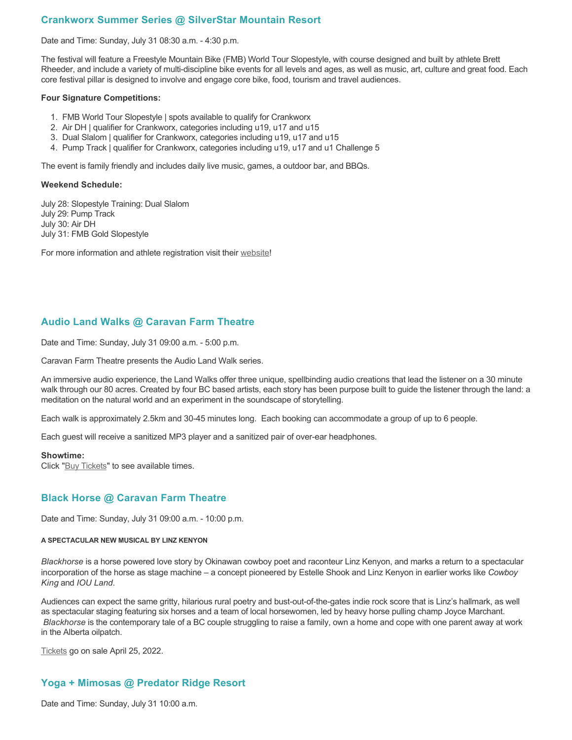## **Crankworx Summer Series @ SilverStar Mountain Resort**

Date and Time: Sunday, July 31 08:30 a.m. - 4:30 p.m.

The festival will feature a Freestyle Mountain Bike (FMB) World Tour Slopestyle, with course designed and built by athlete Brett Rheeder, and include a variety of multi-discipline bike events for all levels and ages, as well as music, art, culture and great food. Each core festival pillar is designed to involve and engage core bike, food, tourism and travel audiences.

#### **Four Signature Competitions:**

- 1. FMB World Tour Slopestyle | spots available to qualify for Crankworx
- 2. Air DH | qualifier for Crankworx, categories including u19, u17 and u15
- 3. Dual Slalom | qualifier for Crankworx, categories including u19, u17 and u15
- 4. Pump Track | qualifier for Crankworx, categories including u19, u17 and u1 Challenge 5

The event is family friendly and includes daily live music, games, a outdoor bar, and BBQs.

#### **Weekend Schedule:**

July 28: Slopestyle Training: Dual Slalom July 29: Pump Track July 30: Air DH July 31: FMB Gold Slopestyle

For more information and athlete registration visit their [website](https://www.crankworx.com/crankworx-summer-series-canada/silverstar/)!

## **Audio Land Walks @ Caravan Farm Theatre**

Date and Time: Sunday, July 31 09:00 a.m. - 5:00 p.m.

Caravan Farm Theatre presents the Audio Land Walk series.

An immersive audio experience, the Land Walks offer three unique, spellbinding audio creations that lead the listener on a 30 minute walk through our 80 acres. Created by four BC based artists, each story has been purpose built to guide the listener through the land: a meditation on the natural world and an experiment in the soundscape of storytelling.

Each walk is approximately 2.5km and 30-45 minutes long. Each booking can accommodate a group of up to 6 people.

Each guest will receive a sanitized MP3 player and a sanitized pair of over-ear headphones.

#### **Showtime:**

Click "[Buy Tickets](https://caravanfarmtheatre.com/show/the-land-walks/?ct=t%28EMAIL_CAMPAIGN_4_19_2022_13_43SEASON+2022%29&mc_cid=c02afad356&mc_eid=4778eb8892)" to see available times.

### **Black Horse @ Caravan Farm Theatre**

Date and Time: Sunday, July 31 09:00 a.m. - 10:00 p.m.

#### **A SPECTACULAR NEW MUSICAL BY LINZ KENYON**

*Blackhorse* is a horse powered love story by Okinawan cowboy poet and raconteur Linz Kenyon, and marks a return to a spectacular incorporation of the horse as stage machine – a concept pioneered by Estelle Shook and Linz Kenyon in earlier works like *Cowboy King* and *IOU Land*.

Audiences can expect the same gritty, hilarious rural poetry and bust-out-of-the-gates indie rock score that is Linz's hallmark, as well as spectacular staging featuring six horses and a team of local horsewomen, led by heavy horse pulling champ Joyce Marchant. *Blackhorse* is the contemporary tale of a BC couple struggling to raise a family, own a home and cope with one parent away at work in the Alberta oilpatch.

[Tickets](https://caravanfarmtheatre.com/show/blackhorse-2/?ct=t%28EMAIL_CAMPAIGN_4_19_2022_13_43SEASON+2022%29&mc_cid=c02afad356&mc_eid=4778eb8892) go on sale April 25, 2022.

# **Yoga + Mimosas @ Predator Ridge Resort**

Date and Time: Sunday, July 31 10:00 a.m.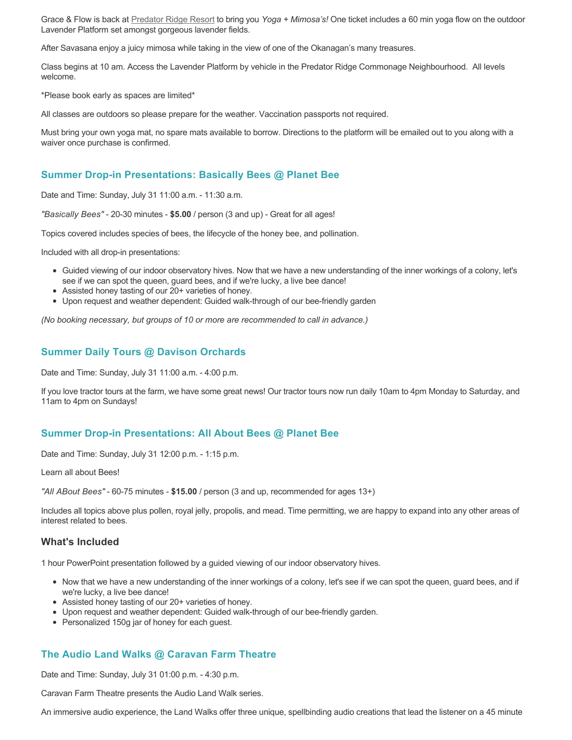Grace & Flow is back at [Predator Ridge Resort](https://www.predatorridge.com/events) to bring you *Yoga + Mimosa's!* One ticket includes a 60 min yoga flow on the outdoor Lavender Platform set amongst gorgeous lavender fields.

After Savasana enjoy a juicy mimosa while taking in the view of one of the Okanagan's many treasures.

Class begins at 10 am. Access the Lavender Platform by vehicle in the Predator Ridge Commonage Neighbourhood. All levels welcome.

\*Please book early as spaces are limited\*

All classes are outdoors so please prepare for the weather. Vaccination passports not required.

Must bring your own yoga mat, no spare mats available to borrow. Directions to the platform will be emailed out to you along with a waiver once purchase is confirmed.

#### **Summer Drop-in Presentations: Basically Bees @ Planet Bee**

Date and Time: Sunday, July 31 11:00 a.m. - 11:30 a.m.

*"Basically Bees"* - 20-30 minutes - **\$5.00** / person (3 and up) - Great for all ages!

Topics covered includes species of bees, the lifecycle of the honey bee, and pollination.

Included with all drop-in presentations:

- Guided viewing of our indoor observatory hives. Now that we have a new understanding of the inner workings of a colony, let's see if we can spot the queen, guard bees, and if we're lucky, a live bee dance!
- Assisted honey tasting of our 20+ varieties of honey.
- Upon request and weather dependent: Guided walk-through of our bee-friendly garden

*(No booking necessary, but groups of 10 or more are recommended to call in advance.)*

### **Summer Daily Tours @ Davison Orchards**

Date and Time: Sunday, July 31 11:00 a.m. - 4:00 p.m.

If you love tractor tours at the farm, we have some great news! Our tractor tours now run daily 10am to 4pm Monday to Saturday, and 11am to 4pm on Sundays!

### **Summer Drop-in Presentations: All About Bees @ Planet Bee**

Date and Time: Sunday, July 31 12:00 p.m. - 1:15 p.m.

Learn all about Bees!

*"All ABout Bees"* - 60-75 minutes - **\$15.00** / person (3 and up, recommended for ages 13+)

Includes all topics above plus pollen, royal jelly, propolis, and mead. Time permitting, we are happy to expand into any other areas of interest related to bees.

#### **What's Included**

1 hour PowerPoint presentation followed by a guided viewing of our indoor observatory hives.

- Now that we have a new understanding of the inner workings of a colony, let's see if we can spot the queen, guard bees, and if we're lucky, a live bee dance!
- Assisted honey tasting of our 20+ varieties of honey.
- Upon request and weather dependent: Guided walk-through of our bee-friendly garden.
- Personalized 150g jar of honey for each guest.

### **The Audio Land Walks @ Caravan Farm Theatre**

Date and Time: Sunday, July 31 01:00 p.m. - 4:30 p.m.

Caravan Farm Theatre presents the Audio Land Walk series.

An immersive audio experience, the Land Walks offer three unique, spellbinding audio creations that lead the listener on a 45 minute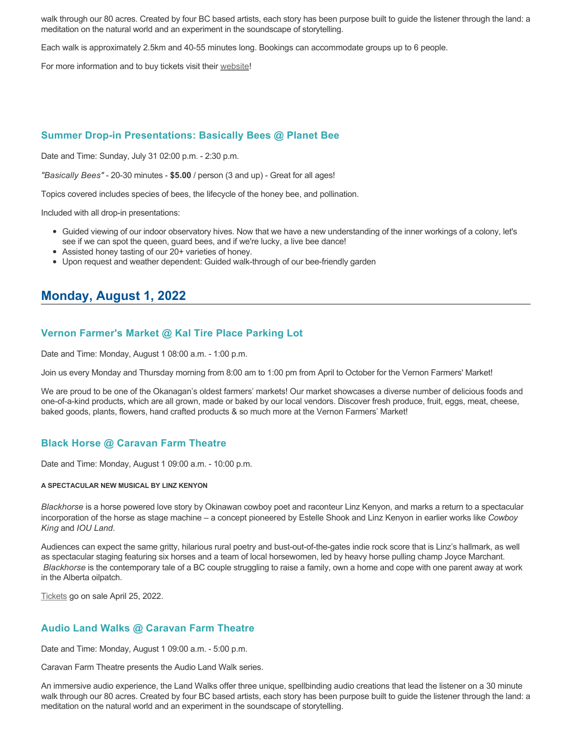walk through our 80 acres. Created by four BC based artists, each story has been purpose built to guide the listener through the land: a meditation on the natural world and an experiment in the soundscape of storytelling.

Each walk is approximately 2.5km and 40-55 minutes long. Bookings can accommodate groups up to 6 people.

For more information and to buy tickets visit their [website!](https://caravanfarmtheatre.com/show/the-land-walks/)

### **Summer Drop-in Presentations: Basically Bees @ Planet Bee**

Date and Time: Sunday, July 31 02:00 p.m. - 2:30 p.m.

*"Basically Bees"* - 20-30 minutes - **\$5.00** / person (3 and up) - Great for all ages!

Topics covered includes species of bees, the lifecycle of the honey bee, and pollination.

Included with all drop-in presentations:

- Guided viewing of our indoor observatory hives. Now that we have a new understanding of the inner workings of a colony, let's see if we can spot the queen, guard bees, and if we're lucky, a live bee dance!
- Assisted honey tasting of our 20+ varieties of honey.
- Upon request and weather dependent: Guided walk-through of our bee-friendly garden

# **Monday, August 1, 2022**

## **Vernon Farmer's Market @ Kal Tire Place Parking Lot**

Date and Time: Monday, August 1 08:00 a.m. - 1:00 p.m.

Join us every Monday and Thursday morning from 8:00 am to 1:00 pm from April to October for the Vernon Farmers' Market!

We are proud to be one of the Okanagan's oldest farmers' markets! Our market showcases a diverse number of delicious foods and one-of-a-kind products, which are all grown, made or baked by our local vendors. Discover fresh produce, fruit, eggs, meat, cheese, baked goods, plants, flowers, hand crafted products & so much more at the Vernon Farmers' Market!

### **Black Horse @ Caravan Farm Theatre**

Date and Time: Monday, August 1 09:00 a.m. - 10:00 p.m.

#### **A SPECTACULAR NEW MUSICAL BY LINZ KENYON**

*Blackhorse* is a horse powered love story by Okinawan cowboy poet and raconteur Linz Kenyon, and marks a return to a spectacular incorporation of the horse as stage machine – a concept pioneered by Estelle Shook and Linz Kenyon in earlier works like *Cowboy King* and *IOU Land*.

Audiences can expect the same gritty, hilarious rural poetry and bust-out-of-the-gates indie rock score that is Linz's hallmark, as well as spectacular staging featuring six horses and a team of local horsewomen, led by heavy horse pulling champ Joyce Marchant. *Blackhorse* is the contemporary tale of a BC couple struggling to raise a family, own a home and cope with one parent away at work in the Alberta oilpatch.

[Tickets](https://caravanfarmtheatre.com/show/blackhorse-2/?ct=t%28EMAIL_CAMPAIGN_4_19_2022_13_43SEASON+2022%29&mc_cid=c02afad356&mc_eid=4778eb8892) go on sale April 25, 2022.

### **Audio Land Walks @ Caravan Farm Theatre**

Date and Time: Monday, August 1 09:00 a.m. - 5:00 p.m.

Caravan Farm Theatre presents the Audio Land Walk series.

An immersive audio experience, the Land Walks offer three unique, spellbinding audio creations that lead the listener on a 30 minute walk through our 80 acres. Created by four BC based artists, each story has been purpose built to guide the listener through the land: a meditation on the natural world and an experiment in the soundscape of storytelling.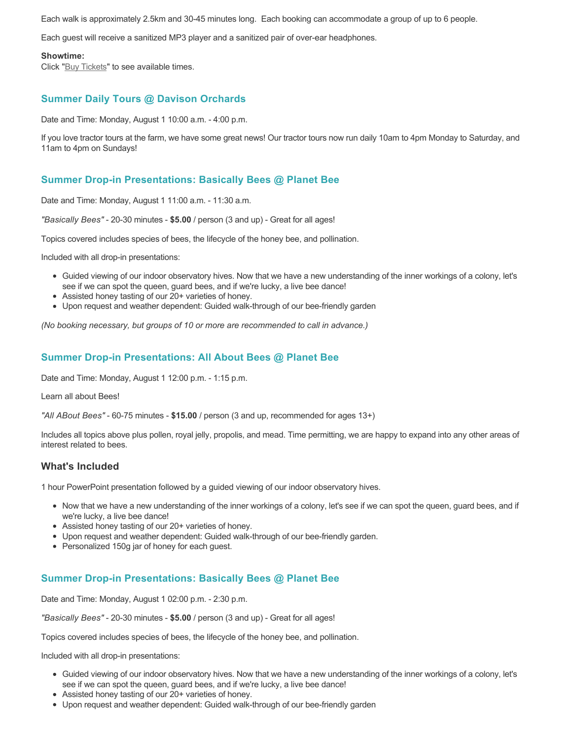Each walk is approximately 2.5km and 30-45 minutes long. Each booking can accommodate a group of up to 6 people.

Each guest will receive a sanitized MP3 player and a sanitized pair of over-ear headphones.

#### **Showtime:**

Click "[Buy Tickets](https://caravanfarmtheatre.com/show/the-land-walks/?ct=t%28EMAIL_CAMPAIGN_4_19_2022_13_43SEASON+2022%29&mc_cid=c02afad356&mc_eid=4778eb8892)" to see available times.

# **Summer Daily Tours @ Davison Orchards**

Date and Time: Monday, August 1 10:00 a.m. - 4:00 p.m.

If you love tractor tours at the farm, we have some great news! Our tractor tours now run daily 10am to 4pm Monday to Saturday, and 11am to 4pm on Sundays!

# **Summer Drop-in Presentations: Basically Bees @ Planet Bee**

Date and Time: Monday, August 1 11:00 a.m. - 11:30 a.m.

*"Basically Bees"* - 20-30 minutes - **\$5.00** / person (3 and up) - Great for all ages!

Topics covered includes species of bees, the lifecycle of the honey bee, and pollination.

Included with all drop-in presentations:

- Guided viewing of our indoor observatory hives. Now that we have a new understanding of the inner workings of a colony, let's see if we can spot the queen, guard bees, and if we're lucky, a live bee dance!
- Assisted honey tasting of our 20+ varieties of honey.
- Upon request and weather dependent: Guided walk-through of our bee-friendly garden

*(No booking necessary, but groups of 10 or more are recommended to call in advance.)*

## **Summer Drop-in Presentations: All About Bees @ Planet Bee**

Date and Time: Monday, August 1 12:00 p.m. - 1:15 p.m.

Learn all about Bees!

*"All ABout Bees"* - 60-75 minutes - **\$15.00** / person (3 and up, recommended for ages 13+)

Includes all topics above plus pollen, royal jelly, propolis, and mead. Time permitting, we are happy to expand into any other areas of interest related to bees.

#### **What's Included**

1 hour PowerPoint presentation followed by a guided viewing of our indoor observatory hives.

- Now that we have a new understanding of the inner workings of a colony, let's see if we can spot the queen, guard bees, and if we're lucky, a live bee dance!
- Assisted honey tasting of our 20+ varieties of honey.
- Upon request and weather dependent: Guided walk-through of our bee-friendly garden.
- Personalized 150g jar of honey for each guest.

### **Summer Drop-in Presentations: Basically Bees @ Planet Bee**

Date and Time: Monday, August 1 02:00 p.m. - 2:30 p.m.

*"Basically Bees"* - 20-30 minutes - **\$5.00** / person (3 and up) - Great for all ages!

Topics covered includes species of bees, the lifecycle of the honey bee, and pollination.

Included with all drop-in presentations:

- Guided viewing of our indoor observatory hives. Now that we have a new understanding of the inner workings of a colony, let's see if we can spot the queen, guard bees, and if we're lucky, a live bee dance!
- Assisted honey tasting of our 20+ varieties of honey.
- Upon request and weather dependent: Guided walk-through of our bee-friendly garden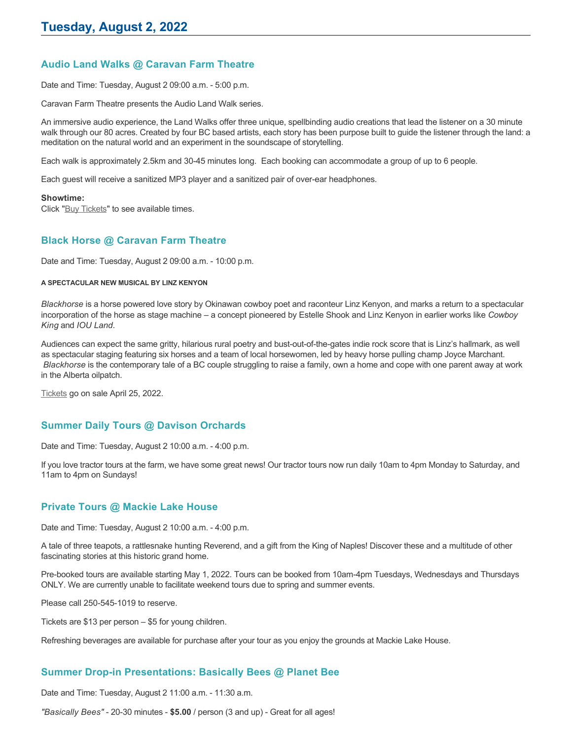# **Audio Land Walks @ Caravan Farm Theatre**

Date and Time: Tuesday, August 2 09:00 a.m. - 5:00 p.m.

Caravan Farm Theatre presents the Audio Land Walk series.

An immersive audio experience, the Land Walks offer three unique, spellbinding audio creations that lead the listener on a 30 minute walk through our 80 acres. Created by four BC based artists, each story has been purpose built to guide the listener through the land: a meditation on the natural world and an experiment in the soundscape of storytelling.

Each walk is approximately 2.5km and 30-45 minutes long. Each booking can accommodate a group of up to 6 people.

Each guest will receive a sanitized MP3 player and a sanitized pair of over-ear headphones.

#### **Showtime:**

Click "[Buy Tickets](https://caravanfarmtheatre.com/show/the-land-walks/?ct=t%28EMAIL_CAMPAIGN_4_19_2022_13_43SEASON+2022%29&mc_cid=c02afad356&mc_eid=4778eb8892)" to see available times.

#### **Black Horse @ Caravan Farm Theatre**

Date and Time: Tuesday, August 2 09:00 a.m. - 10:00 p.m.

#### **A SPECTACULAR NEW MUSICAL BY LINZ KENYON**

*Blackhorse* is a horse powered love story by Okinawan cowboy poet and raconteur Linz Kenyon, and marks a return to a spectacular incorporation of the horse as stage machine – a concept pioneered by Estelle Shook and Linz Kenyon in earlier works like *Cowboy King* and *IOU Land*.

Audiences can expect the same gritty, hilarious rural poetry and bust-out-of-the-gates indie rock score that is Linz's hallmark, as well as spectacular staging featuring six horses and a team of local horsewomen, led by heavy horse pulling champ Joyce Marchant. *Blackhorse* is the contemporary tale of a BC couple struggling to raise a family, own a home and cope with one parent away at work in the Alberta oilpatch.

[Tickets](https://caravanfarmtheatre.com/show/blackhorse-2/?ct=t%28EMAIL_CAMPAIGN_4_19_2022_13_43SEASON+2022%29&mc_cid=c02afad356&mc_eid=4778eb8892) go on sale April 25, 2022.

### **Summer Daily Tours @ Davison Orchards**

Date and Time: Tuesday, August 2 10:00 a.m. - 4:00 p.m.

If you love tractor tours at the farm, we have some great news! Our tractor tours now run daily 10am to 4pm Monday to Saturday, and 11am to 4pm on Sundays!

### **Private Tours @ Mackie Lake House**

Date and Time: Tuesday, August 2 10:00 a.m. - 4:00 p.m.

A tale of three teapots, a rattlesnake hunting Reverend, and a gift from the King of Naples! Discover these and a multitude of other fascinating stories at this historic grand home.

Pre-booked tours are available starting May 1, 2022. Tours can be booked from 10am-4pm Tuesdays, Wednesdays and Thursdays ONLY. We are currently unable to facilitate weekend tours due to spring and summer events.

Please call 250-545-1019 to reserve.

Tickets are \$13 per person – \$5 for young children.

Refreshing beverages are available for purchase after your tour as you enjoy the grounds at Mackie Lake House.

### **Summer Drop-in Presentations: Basically Bees @ Planet Bee**

Date and Time: Tuesday, August 2 11:00 a.m. - 11:30 a.m.

*"Basically Bees"* - 20-30 minutes - **\$5.00** / person (3 and up) - Great for all ages!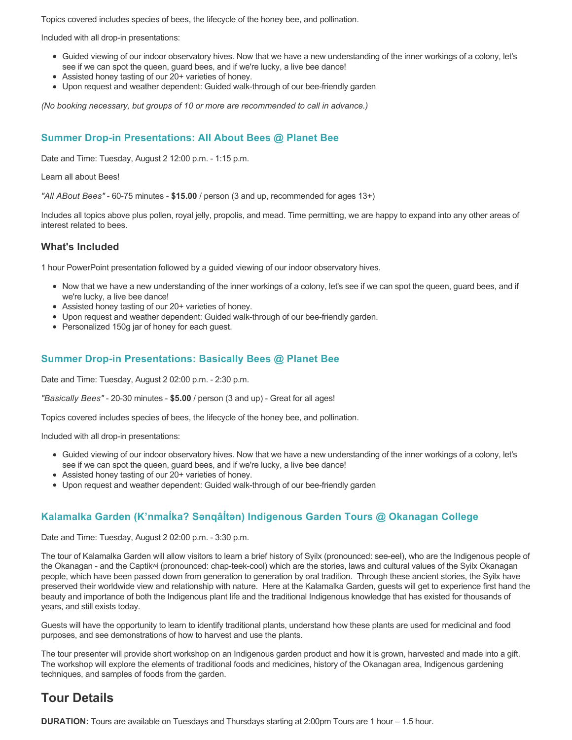Topics covered includes species of bees, the lifecycle of the honey bee, and pollination.

Included with all drop-in presentations:

- Guided viewing of our indoor observatory hives. Now that we have a new understanding of the inner workings of a colony, let's see if we can spot the queen, guard bees, and if we're lucky, a live bee dance!
- Assisted honey tasting of our 20+ varieties of honey.
- Upon request and weather dependent: Guided walk-through of our bee-friendly garden

*(No booking necessary, but groups of 10 or more are recommended to call in advance.)*

## **Summer Drop-in Presentations: All About Bees @ Planet Bee**

Date and Time: Tuesday, August 2 12:00 p.m. - 1:15 p.m.

Learn all about Bees!

*"All ABout Bees"* - 60-75 minutes - **\$15.00** / person (3 and up, recommended for ages 13+)

Includes all topics above plus pollen, royal jelly, propolis, and mead. Time permitting, we are happy to expand into any other areas of interest related to bees.

#### **What's Included**

1 hour PowerPoint presentation followed by a guided viewing of our indoor observatory hives.

- Now that we have a new understanding of the inner workings of a colony, let's see if we can spot the queen, guard bees, and if we're lucky, a live bee dance!
- Assisted honey tasting of our 20+ varieties of honey.
- Upon request and weather dependent: Guided walk-through of our bee-friendly garden.
- Personalized 150g jar of honey for each guest.

#### **Summer Drop-in Presentations: Basically Bees @ Planet Bee**

Date and Time: Tuesday, August 2 02:00 p.m. - 2:30 p.m.

*"Basically Bees"* - 20-30 minutes - **\$5.00** / person (3 and up) - Great for all ages!

Topics covered includes species of bees, the lifecycle of the honey bee, and pollination.

Included with all drop-in presentations:

- Guided viewing of our indoor observatory hives. Now that we have a new understanding of the inner workings of a colony, let's see if we can spot the queen, guard bees, and if we're lucky, a live bee dance!
- Assisted honey tasting of our 20+ varieties of honey.
- Upon request and weather dependent: Guided walk-through of our bee-friendly garden

### **Kalamalka Garden (K'nmaĺka? Sәnqâĺtәn) Indigenous Garden Tours @ Okanagan College**

Date and Time: Tuesday, August 2 02:00 p.m. - 3:30 p.m.

The tour of Kalamalka Garden will allow visitors to learn a brief history of Syilx (pronounced: see-eel), who are the Indigenous people of the Okanagan - and the Captikʷł (pronounced: chap-teek-cool) which are the stories, laws and cultural values of the Syilx Okanagan people, which have been passed down from generation to generation by oral tradition. Through these ancient stories, the Syilx have preserved their worldwide view and relationship with nature. Here at the Kalamalka Garden, guests will get to experience first hand the beauty and importance of both the Indigenous plant life and the traditional Indigenous knowledge that has existed for thousands of years, and still exists today.

Guests will have the opportunity to learn to identify traditional plants, understand how these plants are used for medicinal and food purposes, and see demonstrations of how to harvest and use the plants.

The tour presenter will provide short workshop on an Indigenous garden product and how it is grown, harvested and made into a gift. The workshop will explore the elements of traditional foods and medicines, history of the Okanagan area, Indigenous gardening techniques, and samples of foods from the garden.

# **Tour Details**

**DURATION:** Tours are available on Tuesdays and Thursdays starting at 2:00pm Tours are 1 hour – 1.5 hour.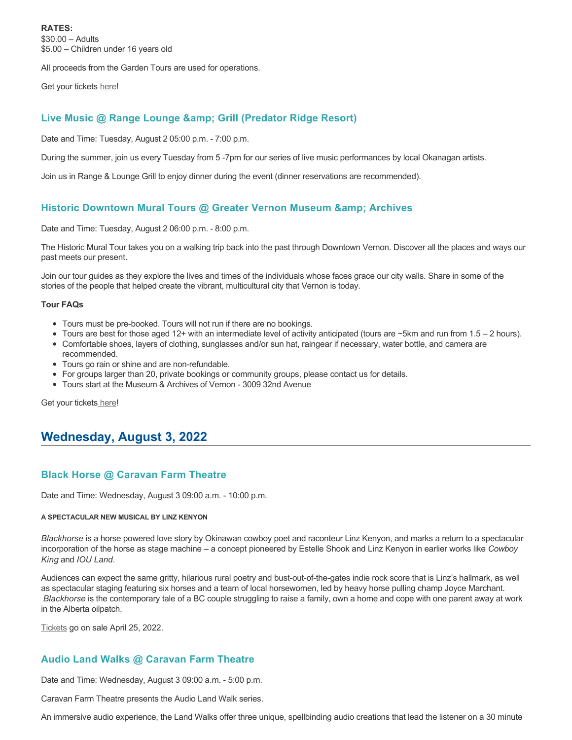**RATES:** \$30.00 – Adults \$5.00 – Children under 16 years old

All proceeds from the Garden Tours are used for operations.

Get your tickets [here!](https://www.eventbrite.ca/e/kalamalka-garden-tour-tickets-158617843239)

# **Live Music @ Range Lounge & Grill (Predator Ridge Resort)**

Date and Time: Tuesday, August 2 05:00 p.m. - 7:00 p.m.

During the summer, join us every Tuesday from 5 -7pm for our series of live music performances by local Okanagan artists.

Join us in Range & Lounge Grill to enjoy dinner during the event (dinner reservations are recommended).

## **Historic Downtown Mural Tours @ Greater Vernon Museum & Archives**

Date and Time: Tuesday, August 2 06:00 p.m. - 8:00 p.m.

The Historic Mural Tour takes you on a walking trip back into the past through Downtown Vernon. Discover all the places and ways our past meets our present.

Join our tour guides as they explore the lives and times of the individuals whose faces grace our city walls. Share in some of the stories of the people that helped create the vibrant, multicultural city that Vernon is today.

#### **Tour FAQs**

- Tours must be pre-booked. Tours will not run if there are no bookings.
- Tours are best for those aged 12+ with an intermediate level of activity anticipated (tours are ~5km and run from 1.5 2 hours).
- Comfortable shoes, layers of clothing, sunglasses and/or sun hat, raingear if necessary, water bottle, and camera are recommended.
- Tours go rain or shine and are non-refundable.
- For groups larger than 20, private bookings or community groups, please contact us for details.
- Tours start at the Museum & Archives of Vernon 3009 32nd Avenue

Get your tickets [here!](https://www.eventbrite.com/e/historic-downtown-mural-tours-tickets-304983342387)

# **Wednesday, August 3, 2022**

## **Black Horse @ Caravan Farm Theatre**

Date and Time: Wednesday, August 3 09:00 a.m. - 10:00 p.m.

#### **A SPECTACULAR NEW MUSICAL BY LINZ KENYON**

*Blackhorse* is a horse powered love story by Okinawan cowboy poet and raconteur Linz Kenyon, and marks a return to a spectacular incorporation of the horse as stage machine – a concept pioneered by Estelle Shook and Linz Kenyon in earlier works like *Cowboy King* and *IOU Land*.

Audiences can expect the same gritty, hilarious rural poetry and bust-out-of-the-gates indie rock score that is Linz's hallmark, as well as spectacular staging featuring six horses and a team of local horsewomen, led by heavy horse pulling champ Joyce Marchant. *Blackhorse* is the contemporary tale of a BC couple struggling to raise a family, own a home and cope with one parent away at work in the Alberta oilpatch.

[Tickets](https://caravanfarmtheatre.com/show/blackhorse-2/?ct=t%28EMAIL_CAMPAIGN_4_19_2022_13_43SEASON+2022%29&mc_cid=c02afad356&mc_eid=4778eb8892) go on sale April 25, 2022.

# **Audio Land Walks @ Caravan Farm Theatre**

Date and Time: Wednesday, August 3 09:00 a.m. - 5:00 p.m.

Caravan Farm Theatre presents the Audio Land Walk series.

An immersive audio experience, the Land Walks offer three unique, spellbinding audio creations that lead the listener on a 30 minute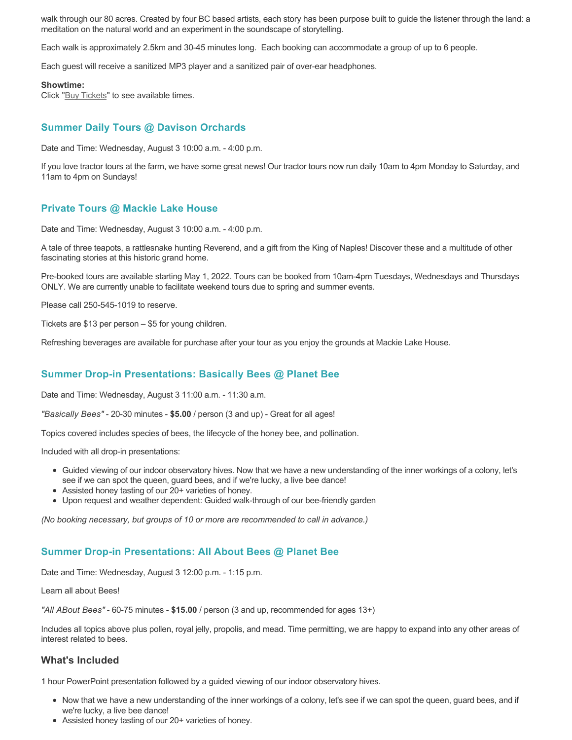walk through our 80 acres. Created by four BC based artists, each story has been purpose built to guide the listener through the land: a meditation on the natural world and an experiment in the soundscape of storytelling.

Each walk is approximately 2.5km and 30-45 minutes long. Each booking can accommodate a group of up to 6 people.

Each guest will receive a sanitized MP3 player and a sanitized pair of over-ear headphones.

#### **Showtime:**

Click "[Buy Tickets](https://caravanfarmtheatre.com/show/the-land-walks/?ct=t%28EMAIL_CAMPAIGN_4_19_2022_13_43SEASON+2022%29&mc_cid=c02afad356&mc_eid=4778eb8892)" to see available times.

## **Summer Daily Tours @ Davison Orchards**

Date and Time: Wednesday, August 3 10:00 a.m. - 4:00 p.m.

If you love tractor tours at the farm, we have some great news! Our tractor tours now run daily 10am to 4pm Monday to Saturday, and 11am to 4pm on Sundays!

#### **Private Tours @ Mackie Lake House**

Date and Time: Wednesday, August 3 10:00 a.m. - 4:00 p.m.

A tale of three teapots, a rattlesnake hunting Reverend, and a gift from the King of Naples! Discover these and a multitude of other fascinating stories at this historic grand home.

Pre-booked tours are available starting May 1, 2022. Tours can be booked from 10am-4pm Tuesdays, Wednesdays and Thursdays ONLY. We are currently unable to facilitate weekend tours due to spring and summer events.

Please call 250-545-1019 to reserve.

Tickets are \$13 per person – \$5 for young children.

Refreshing beverages are available for purchase after your tour as you enjoy the grounds at Mackie Lake House.

## **Summer Drop-in Presentations: Basically Bees @ Planet Bee**

Date and Time: Wednesday, August 3 11:00 a.m. - 11:30 a.m.

*"Basically Bees"* - 20-30 minutes - **\$5.00** / person (3 and up) - Great for all ages!

Topics covered includes species of bees, the lifecycle of the honey bee, and pollination.

Included with all drop-in presentations:

- Guided viewing of our indoor observatory hives. Now that we have a new understanding of the inner workings of a colony, let's see if we can spot the queen, guard bees, and if we're lucky, a live bee dance!
- Assisted honey tasting of our 20+ varieties of honey.
- Upon request and weather dependent: Guided walk-through of our bee-friendly garden

*(No booking necessary, but groups of 10 or more are recommended to call in advance.)*

#### **Summer Drop-in Presentations: All About Bees @ Planet Bee**

Date and Time: Wednesday, August 3 12:00 p.m. - 1:15 p.m.

Learn all about Bees!

*"All ABout Bees"* - 60-75 minutes - **\$15.00** / person (3 and up, recommended for ages 13+)

Includes all topics above plus pollen, royal jelly, propolis, and mead. Time permitting, we are happy to expand into any other areas of interest related to bees.

#### **What's Included**

1 hour PowerPoint presentation followed by a guided viewing of our indoor observatory hives.

- Now that we have a new understanding of the inner workings of a colony, let's see if we can spot the queen, guard bees, and if we're lucky, a live bee dance!
- Assisted honey tasting of our 20+ varieties of honey.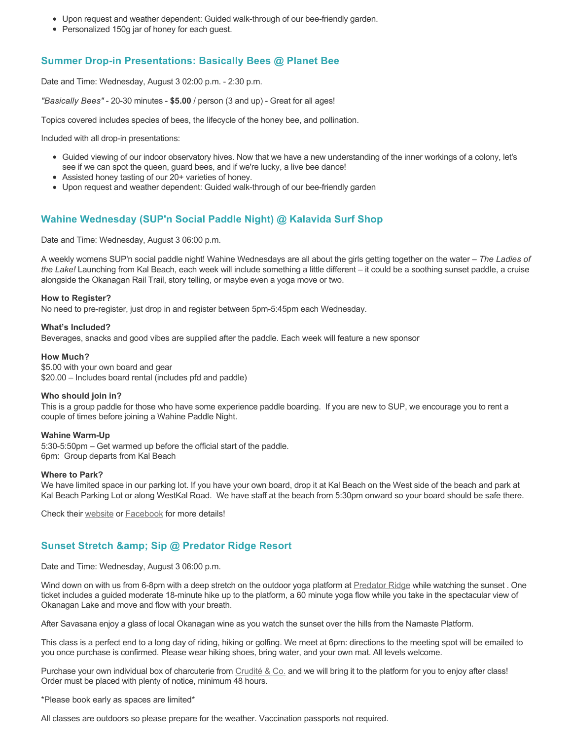- Upon request and weather dependent: Guided walk-through of our bee-friendly garden.
- Personalized 150g jar of honey for each guest.

# **Summer Drop-in Presentations: Basically Bees @ Planet Bee**

Date and Time: Wednesday, August 3 02:00 p.m. - 2:30 p.m.

*"Basically Bees"* - 20-30 minutes - **\$5.00** / person (3 and up) - Great for all ages!

Topics covered includes species of bees, the lifecycle of the honey bee, and pollination.

Included with all drop-in presentations:

- Guided viewing of our indoor observatory hives. Now that we have a new understanding of the inner workings of a colony, let's see if we can spot the queen, guard bees, and if we're lucky, a live bee dance!
- Assisted honey tasting of our 20+ varieties of honey.
- Upon request and weather dependent: Guided walk-through of our bee-friendly garden

## **Wahine Wednesday (SUP'n Social Paddle Night) @ Kalavida Surf Shop**

Date and Time: Wednesday, August 3 06:00 p.m.

A weekly womens SUP'n social paddle night! Wahine Wednesdays are all about the girls getting together on the water – *The Ladies of the Lake!* Launching from Kal Beach, each week will include something a little different – it could be a soothing sunset paddle, a cruise alongside the Okanagan Rail Trail, story telling, or maybe even a yoga move or two.

#### **How to Register?**

No need to pre-register, just drop in and register between 5pm-5:45pm each Wednesday.

#### **What's Included?**

Beverages, snacks and good vibes are supplied after the paddle. Each week will feature a new sponsor

#### **How Much?**

\$5.00 with your own board and gear \$20.00 – Includes board rental (includes pfd and paddle)

#### **Who should join in?**

This is a group paddle for those who have some experience paddle boarding. If you are new to SUP, we encourage you to rent a couple of times before joining a Wahine Paddle Night.

#### **Wahine Warm-Up**

5:30-5:50pm – Get warmed up before the official start of the paddle. 6pm: Group departs from Kal Beach

#### **Where to Park?**

We have limited space in our parking lot. If you have your own board, drop it at Kal Beach on the West side of the beach and park at Kal Beach Parking Lot or along WestKal Road. We have staff at the beach from 5:30pm onward so your board should be safe there.

Check their [website](https://kalavidasurfshop.com/wahine-wednesday-kalavida/) or [Facebook](https://www.facebook.com/kalavidasurfshop/) for more details!

## **Sunset Stretch & Sip @ Predator Ridge Resort**

Date and Time: Wednesday, August 3 06:00 p.m.

Wind down on with us from 6-8pm with a deep stretch on the outdoor yoga platform at [Predator Ridge](https://www.predatorridge.com/events) while watching the sunset. One ticket includes a guided moderate 18-minute hike up to the platform, a 60 minute yoga flow while you take in the spectacular view of Okanagan Lake and move and flow with your breath.

After Savasana enjoy a glass of local Okanagan wine as you watch the sunset over the hills from the Namaste Platform.

This class is a perfect end to a long day of riding, hiking or golfing. We meet at 6pm: directions to the meeting spot will be emailed to you once purchase is confirmed. Please wear hiking shoes, bring water, and your own mat. All levels welcome.

Purchase your own individual box of charcuterie from [Crudité & Co.](https://cruditeandco.com/product/picnic-platter/) and we will bring it to the platform for you to enjoy after class! Order must be placed with plenty of notice, minimum 48 hours.

\*Please book early as spaces are limited\*

All classes are outdoors so please prepare for the weather. Vaccination passports not required.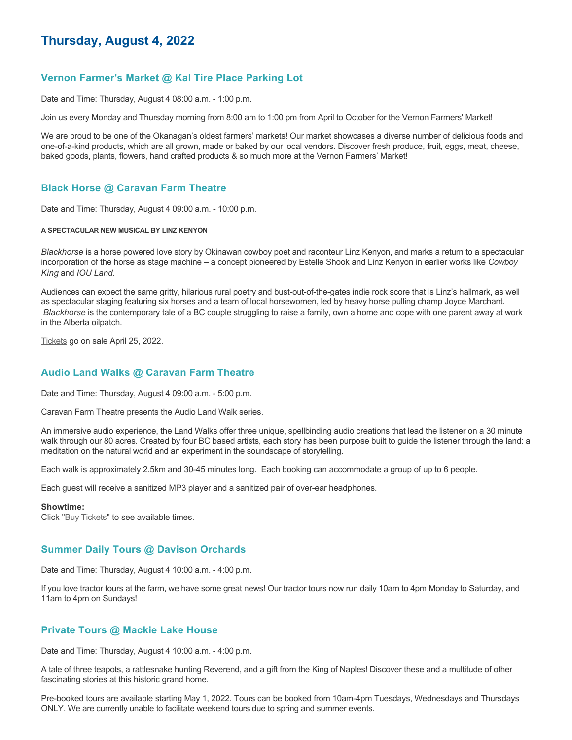# **Vernon Farmer's Market @ Kal Tire Place Parking Lot**

Date and Time: Thursday, August 4 08:00 a.m. - 1:00 p.m.

Join us every Monday and Thursday morning from 8:00 am to 1:00 pm from April to October for the Vernon Farmers' Market!

We are proud to be one of the Okanagan's oldest farmers' markets! Our market showcases a diverse number of delicious foods and one-of-a-kind products, which are all grown, made or baked by our local vendors. Discover fresh produce, fruit, eggs, meat, cheese, baked goods, plants, flowers, hand crafted products & so much more at the Vernon Farmers' Market!

# **Black Horse @ Caravan Farm Theatre**

Date and Time: Thursday, August 4 09:00 a.m. - 10:00 p.m.

#### **A SPECTACULAR NEW MUSICAL BY LINZ KENYON**

*Blackhorse* is a horse powered love story by Okinawan cowboy poet and raconteur Linz Kenyon, and marks a return to a spectacular incorporation of the horse as stage machine – a concept pioneered by Estelle Shook and Linz Kenyon in earlier works like *Cowboy King* and *IOU Land*.

Audiences can expect the same gritty, hilarious rural poetry and bust-out-of-the-gates indie rock score that is Linz's hallmark, as well as spectacular staging featuring six horses and a team of local horsewomen, led by heavy horse pulling champ Joyce Marchant. *Blackhorse* is the contemporary tale of a BC couple struggling to raise a family, own a home and cope with one parent away at work in the Alberta oilpatch.

[Tickets](https://caravanfarmtheatre.com/show/blackhorse-2/?ct=t%28EMAIL_CAMPAIGN_4_19_2022_13_43SEASON+2022%29&mc_cid=c02afad356&mc_eid=4778eb8892) go on sale April 25, 2022.

# **Audio Land Walks @ Caravan Farm Theatre**

Date and Time: Thursday, August 4 09:00 a.m. - 5:00 p.m.

Caravan Farm Theatre presents the Audio Land Walk series.

An immersive audio experience, the Land Walks offer three unique, spellbinding audio creations that lead the listener on a 30 minute walk through our 80 acres. Created by four BC based artists, each story has been purpose built to guide the listener through the land: a meditation on the natural world and an experiment in the soundscape of storytelling.

Each walk is approximately 2.5km and 30-45 minutes long. Each booking can accommodate a group of up to 6 people.

Each guest will receive a sanitized MP3 player and a sanitized pair of over-ear headphones.

#### **Showtime:**

Click "[Buy Tickets](https://caravanfarmtheatre.com/show/the-land-walks/?ct=t%28EMAIL_CAMPAIGN_4_19_2022_13_43SEASON+2022%29&mc_cid=c02afad356&mc_eid=4778eb8892)" to see available times.

# **Summer Daily Tours @ Davison Orchards**

Date and Time: Thursday, August 4 10:00 a.m. - 4:00 p.m.

If you love tractor tours at the farm, we have some great news! Our tractor tours now run daily 10am to 4pm Monday to Saturday, and 11am to 4pm on Sundays!

#### **Private Tours @ Mackie Lake House**

Date and Time: Thursday, August 4 10:00 a.m. - 4:00 p.m.

A tale of three teapots, a rattlesnake hunting Reverend, and a gift from the King of Naples! Discover these and a multitude of other fascinating stories at this historic grand home.

Pre-booked tours are available starting May 1, 2022. Tours can be booked from 10am-4pm Tuesdays, Wednesdays and Thursdays ONLY. We are currently unable to facilitate weekend tours due to spring and summer events.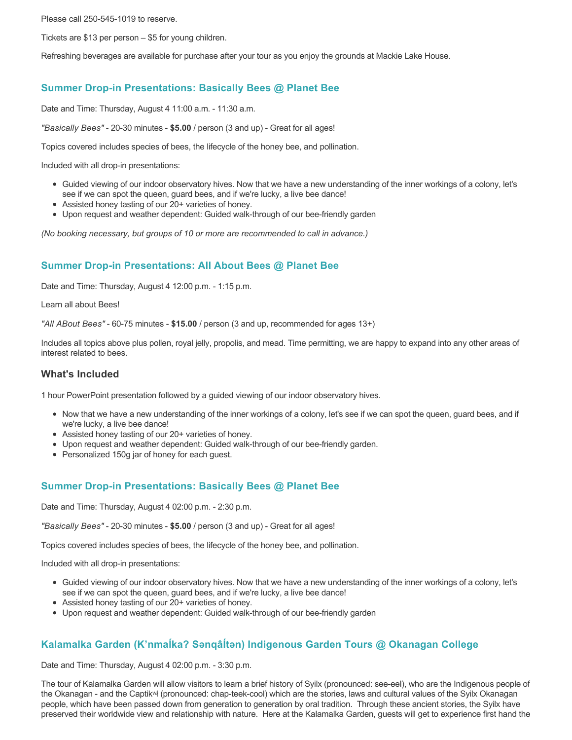Please call 250-545-1019 to reserve.

Tickets are \$13 per person – \$5 for young children.

Refreshing beverages are available for purchase after your tour as you enjoy the grounds at Mackie Lake House.

# **Summer Drop-in Presentations: Basically Bees @ Planet Bee**

Date and Time: Thursday, August 4 11:00 a.m. - 11:30 a.m.

*"Basically Bees"* - 20-30 minutes - **\$5.00** / person (3 and up) - Great for all ages!

Topics covered includes species of bees, the lifecycle of the honey bee, and pollination.

Included with all drop-in presentations:

- Guided viewing of our indoor observatory hives. Now that we have a new understanding of the inner workings of a colony, let's see if we can spot the queen, guard bees, and if we're lucky, a live bee dance!
- Assisted honey tasting of our 20+ varieties of honey.
- Upon request and weather dependent: Guided walk-through of our bee-friendly garden

*(No booking necessary, but groups of 10 or more are recommended to call in advance.)*

# **Summer Drop-in Presentations: All About Bees @ Planet Bee**

Date and Time: Thursday, August 4 12:00 p.m. - 1:15 p.m.

Learn all about Bees!

*"All ABout Bees"* - 60-75 minutes - **\$15.00** / person (3 and up, recommended for ages 13+)

Includes all topics above plus pollen, royal jelly, propolis, and mead. Time permitting, we are happy to expand into any other areas of interest related to bees.

#### **What's Included**

1 hour PowerPoint presentation followed by a guided viewing of our indoor observatory hives.

- Now that we have a new understanding of the inner workings of a colony, let's see if we can spot the queen, guard bees, and if we're lucky, a live bee dance!
- Assisted honey tasting of our 20+ varieties of honey.
- Upon request and weather dependent: Guided walk-through of our bee-friendly garden.
- Personalized 150g jar of honey for each guest.

## **Summer Drop-in Presentations: Basically Bees @ Planet Bee**

Date and Time: Thursday, August 4 02:00 p.m. - 2:30 p.m.

*"Basically Bees"* - 20-30 minutes - **\$5.00** / person (3 and up) - Great for all ages!

Topics covered includes species of bees, the lifecycle of the honey bee, and pollination.

Included with all drop-in presentations:

- Guided viewing of our indoor observatory hives. Now that we have a new understanding of the inner workings of a colony, let's see if we can spot the queen, guard bees, and if we're lucky, a live bee dance!
- Assisted honey tasting of our 20+ varieties of honey.
- Upon request and weather dependent: Guided walk-through of our bee-friendly garden

# **Kalamalka Garden (K'nmaĺka? Sәnqâĺtәn) Indigenous Garden Tours @ Okanagan College**

Date and Time: Thursday, August 4 02:00 p.m. - 3:30 p.m.

The tour of Kalamalka Garden will allow visitors to learn a brief history of Syilx (pronounced: see-eel), who are the Indigenous people of the Okanagan - and the Captikʷł (pronounced: chap-teek-cool) which are the stories, laws and cultural values of the Syilx Okanagan people, which have been passed down from generation to generation by oral tradition. Through these ancient stories, the Syilx have preserved their worldwide view and relationship with nature. Here at the Kalamalka Garden, guests will get to experience first hand the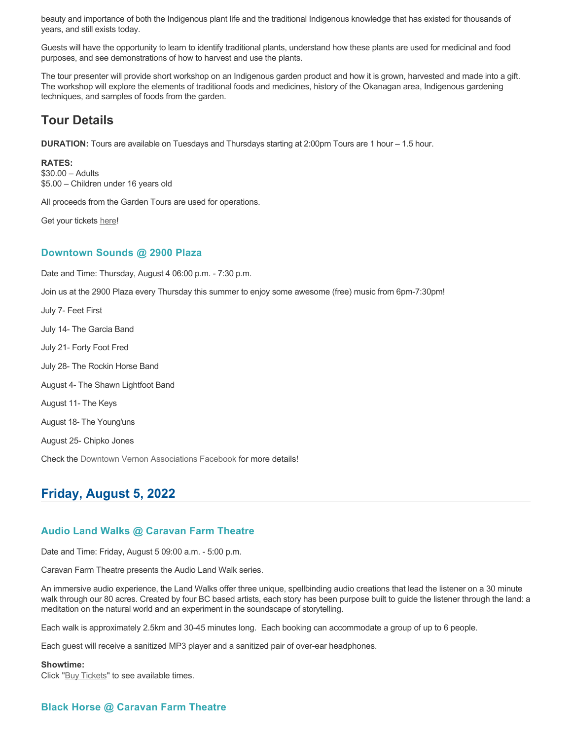beauty and importance of both the Indigenous plant life and the traditional Indigenous knowledge that has existed for thousands of years, and still exists today.

Guests will have the opportunity to learn to identify traditional plants, understand how these plants are used for medicinal and food purposes, and see demonstrations of how to harvest and use the plants.

The tour presenter will provide short workshop on an Indigenous garden product and how it is grown, harvested and made into a gift. The workshop will explore the elements of traditional foods and medicines, history of the Okanagan area, Indigenous gardening techniques, and samples of foods from the garden.

# **Tour Details**

**DURATION:** Tours are available on Tuesdays and Thursdays starting at 2:00pm Tours are 1 hour – 1.5 hour.

#### **RATES:**

\$30.00 – Adults \$5.00 – Children under 16 years old

All proceeds from the Garden Tours are used for operations.

Get your tickets [here!](https://www.eventbrite.ca/e/kalamalka-garden-tour-tickets-158617843239)

#### **Downtown Sounds @ 2900 Plaza**

Date and Time: Thursday, August 4 06:00 p.m. - 7:30 p.m.

Join us at the 2900 Plaza every Thursday this summer to enjoy some awesome (free) music from 6pm-7:30pm!

July 7- Feet First July 14- The Garcia Band July 21- Forty Foot Fred July 28- The Rockin Horse Band August 4- The Shawn Lightfoot Band August 11- The Keys August 18- The Young'uns August 25- Chipko Jones Check the [Downtown Vernon Associations Facebook](https://www.facebook.com/downtownvernon/) for more details!

# **Friday, August 5, 2022**

## **Audio Land Walks @ Caravan Farm Theatre**

Date and Time: Friday, August 5 09:00 a.m. - 5:00 p.m.

Caravan Farm Theatre presents the Audio Land Walk series.

An immersive audio experience, the Land Walks offer three unique, spellbinding audio creations that lead the listener on a 30 minute walk through our 80 acres. Created by four BC based artists, each story has been purpose built to guide the listener through the land: a meditation on the natural world and an experiment in the soundscape of storytelling.

Each walk is approximately 2.5km and 30-45 minutes long. Each booking can accommodate a group of up to 6 people.

Each guest will receive a sanitized MP3 player and a sanitized pair of over-ear headphones.

#### **Showtime:**

Click "[Buy Tickets](https://caravanfarmtheatre.com/show/the-land-walks/?ct=t%28EMAIL_CAMPAIGN_4_19_2022_13_43SEASON+2022%29&mc_cid=c02afad356&mc_eid=4778eb8892)" to see available times.

# **Black Horse @ Caravan Farm Theatre**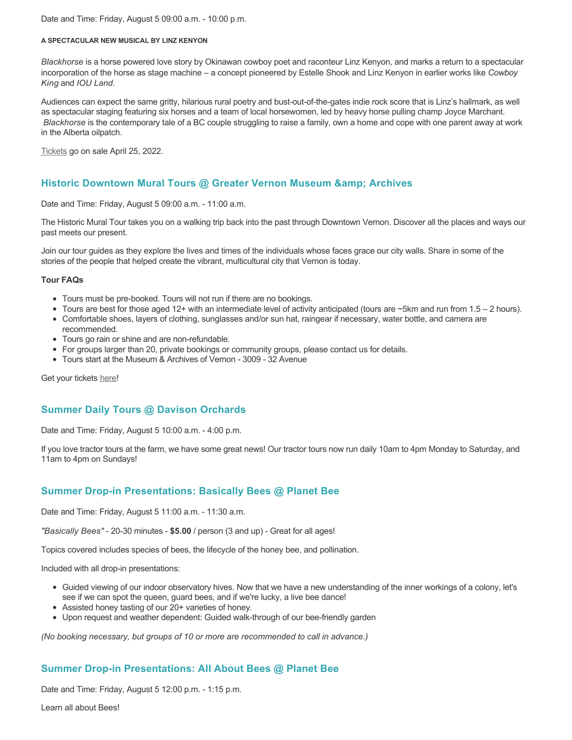Date and Time: Friday, August 5 09:00 a.m. - 10:00 p.m.

#### **A SPECTACULAR NEW MUSICAL BY LINZ KENYON**

*Blackhorse* is a horse powered love story by Okinawan cowboy poet and raconteur Linz Kenyon, and marks a return to a spectacular incorporation of the horse as stage machine – a concept pioneered by Estelle Shook and Linz Kenyon in earlier works like *Cowboy King* and *IOU Land*.

Audiences can expect the same gritty, hilarious rural poetry and bust-out-of-the-gates indie rock score that is Linz's hallmark, as well as spectacular staging featuring six horses and a team of local horsewomen, led by heavy horse pulling champ Joyce Marchant. *Blackhorse* is the contemporary tale of a BC couple struggling to raise a family, own a home and cope with one parent away at work in the Alberta oilpatch.

[Tickets](https://caravanfarmtheatre.com/show/blackhorse-2/?ct=t%28EMAIL_CAMPAIGN_4_19_2022_13_43SEASON+2022%29&mc_cid=c02afad356&mc_eid=4778eb8892) go on sale April 25, 2022.

## **Historic Downtown Mural Tours @ Greater Vernon Museum & Archives**

Date and Time: Friday, August 5 09:00 a.m. - 11:00 a.m.

The Historic Mural Tour takes you on a walking trip back into the past through Downtown Vernon. Discover all the places and ways our past meets our present.

Join our tour guides as they explore the lives and times of the individuals whose faces grace our city walls. Share in some of the stories of the people that helped create the vibrant, multicultural city that Vernon is today.

#### **Tour FAQs**

- Tours must be pre-booked. Tours will not run if there are no bookings.
- Tours are best for those aged 12+ with an intermediate level of activity anticipated (tours are ~5km and run from 1.5 2 hours).
- Comfortable shoes, layers of clothing, sunglasses and/or sun hat, raingear if necessary, water bottle, and camera are
- recommended. Tours go rain or shine and are non-refundable.
- For groups larger than 20, private bookings or community groups, please contact us for details.
- Tours start at the Museum & Archives of Vernon 3009 32 Avenue

Get your tickets [here!](https://www.eventbrite.com/e/historic-downtown-mural-tours-tickets-304983342387)

## **Summer Daily Tours @ Davison Orchards**

Date and Time: Friday, August 5 10:00 a.m. - 4:00 p.m.

If you love tractor tours at the farm, we have some great news! Our tractor tours now run daily 10am to 4pm Monday to Saturday, and 11am to 4pm on Sundays!

## **Summer Drop-in Presentations: Basically Bees @ Planet Bee**

Date and Time: Friday, August 5 11:00 a.m. - 11:30 a.m.

*"Basically Bees"* - 20-30 minutes - **\$5.00** / person (3 and up) - Great for all ages!

Topics covered includes species of bees, the lifecycle of the honey bee, and pollination.

Included with all drop-in presentations:

- Guided viewing of our indoor observatory hives. Now that we have a new understanding of the inner workings of a colony, let's see if we can spot the queen, guard bees, and if we're lucky, a live bee dance!
- Assisted honey tasting of our 20+ varieties of honey.
- Upon request and weather dependent: Guided walk-through of our bee-friendly garden

*(No booking necessary, but groups of 10 or more are recommended to call in advance.)*

## **Summer Drop-in Presentations: All About Bees @ Planet Bee**

Date and Time: Friday, August 5 12:00 p.m. - 1:15 p.m.

Learn all about Bees!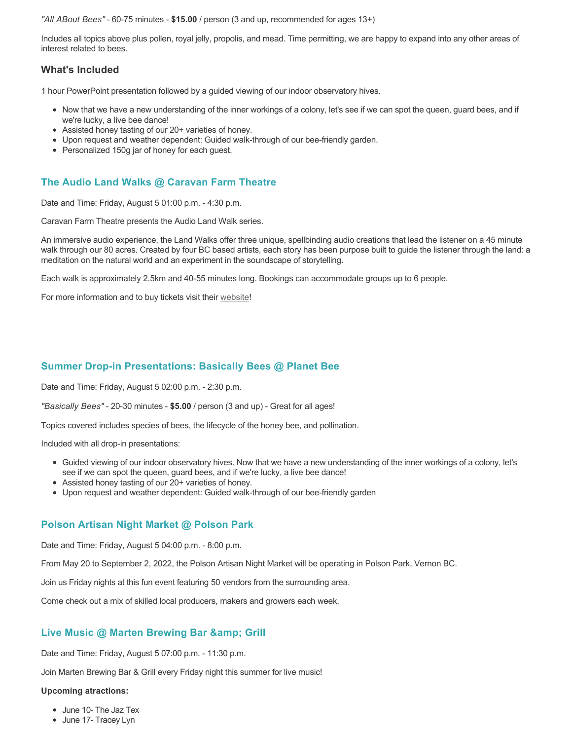*"All ABout Bees"* - 60-75 minutes - **\$15.00** / person (3 and up, recommended for ages 13+)

Includes all topics above plus pollen, royal jelly, propolis, and mead. Time permitting, we are happy to expand into any other areas of interest related to bees.

## **What's Included**

1 hour PowerPoint presentation followed by a guided viewing of our indoor observatory hives.

- Now that we have a new understanding of the inner workings of a colony, let's see if we can spot the queen, guard bees, and if we're lucky, a live bee dance!
- Assisted honey tasting of our 20+ varieties of honey.
- Upon request and weather dependent: Guided walk-through of our bee-friendly garden.
- Personalized 150g jar of honey for each guest.

# **The Audio Land Walks @ Caravan Farm Theatre**

Date and Time: Friday, August 5 01:00 p.m. - 4:30 p.m.

Caravan Farm Theatre presents the Audio Land Walk series.

An immersive audio experience, the Land Walks offer three unique, spellbinding audio creations that lead the listener on a 45 minute walk through our 80 acres. Created by four BC based artists, each story has been purpose built to guide the listener through the land: a meditation on the natural world and an experiment in the soundscape of storytelling.

Each walk is approximately 2.5km and 40-55 minutes long. Bookings can accommodate groups up to 6 people.

For more information and to buy tickets visit their [website!](https://caravanfarmtheatre.com/show/the-land-walks/)

## **Summer Drop-in Presentations: Basically Bees @ Planet Bee**

Date and Time: Friday, August 5 02:00 p.m. - 2:30 p.m.

*"Basically Bees"* - 20-30 minutes - **\$5.00** / person (3 and up) - Great for all ages!

Topics covered includes species of bees, the lifecycle of the honey bee, and pollination.

Included with all drop-in presentations:

- Guided viewing of our indoor observatory hives. Now that we have a new understanding of the inner workings of a colony, let's see if we can spot the queen, guard bees, and if we're lucky, a live bee dance!
- Assisted honey tasting of our 20+ varieties of honey.
- Upon request and weather dependent: Guided walk-through of our bee-friendly garden

## **Polson Artisan Night Market @ Polson Park**

Date and Time: Friday, August 5 04:00 p.m. - 8:00 p.m.

From May 20 to September 2, 2022, the Polson Artisan Night Market will be operating in Polson Park, Vernon BC.

Join us Friday nights at this fun event featuring 50 vendors from the surrounding area.

Come check out a mix of skilled local producers, makers and growers each week.

## Live Music @ Marten Brewing Bar & amp; Grill

Date and Time: Friday, August 5 07:00 p.m. - 11:30 p.m.

Join Marten Brewing Bar & Grill every Friday night this summer for live music!

#### **Upcoming atractions:**

- June 10- The Jaz Tex
- June 17- Tracey Lyn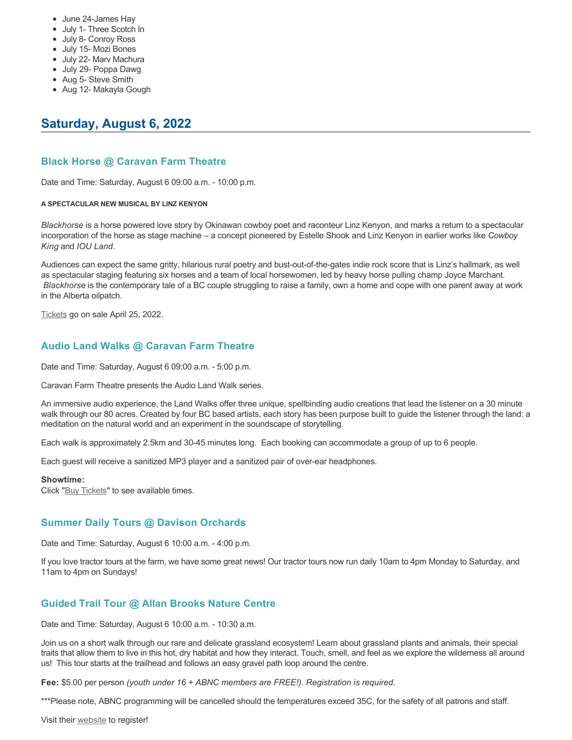- June 24-James Hay
- July 1- Three Scotch In
- July 8- Conroy Ross
- July 15- Mozi Bones
- July 22- Marv Machura
- July 29- Poppa Dawg
- Aug 5- Steve Smith
- Aug 12- Makayla Gough

# **Saturday, August 6, 2022**

## **Black Horse @ Caravan Farm Theatre**

Date and Time: Saturday, August 6 09:00 a.m. - 10:00 p.m.

#### **A SPECTACULAR NEW MUSICAL BY LINZ KENYON**

*Blackhorse* is a horse powered love story by Okinawan cowboy poet and raconteur Linz Kenyon, and marks a return to a spectacular incorporation of the horse as stage machine – a concept pioneered by Estelle Shook and Linz Kenyon in earlier works like *Cowboy King* and *IOU Land*.

Audiences can expect the same gritty, hilarious rural poetry and bust-out-of-the-gates indie rock score that is Linz's hallmark, as well as spectacular staging featuring six horses and a team of local horsewomen, led by heavy horse pulling champ Joyce Marchant. *Blackhorse* is the contemporary tale of a BC couple struggling to raise a family, own a home and cope with one parent away at work in the Alberta oilpatch.

[Tickets](https://caravanfarmtheatre.com/show/blackhorse-2/?ct=t%28EMAIL_CAMPAIGN_4_19_2022_13_43SEASON+2022%29&mc_cid=c02afad356&mc_eid=4778eb8892) go on sale April 25, 2022.

## **Audio Land Walks @ Caravan Farm Theatre**

Date and Time: Saturday, August 6 09:00 a.m. - 5:00 p.m.

Caravan Farm Theatre presents the Audio Land Walk series.

An immersive audio experience, the Land Walks offer three unique, spellbinding audio creations that lead the listener on a 30 minute walk through our 80 acres. Created by four BC based artists, each story has been purpose built to guide the listener through the land: a meditation on the natural world and an experiment in the soundscape of storytelling.

Each walk is approximately 2.5km and 30-45 minutes long. Each booking can accommodate a group of up to 6 people.

Each guest will receive a sanitized MP3 player and a sanitized pair of over-ear headphones.

#### **Showtime:**

Click "[Buy Tickets](https://caravanfarmtheatre.com/show/the-land-walks/?ct=t%28EMAIL_CAMPAIGN_4_19_2022_13_43SEASON+2022%29&mc_cid=c02afad356&mc_eid=4778eb8892)" to see available times.

## **Summer Daily Tours @ Davison Orchards**

Date and Time: Saturday, August 6 10:00 a.m. - 4:00 p.m.

If you love tractor tours at the farm, we have some great news! Our tractor tours now run daily 10am to 4pm Monday to Saturday, and 11am to 4pm on Sundays!

## **Guided Trail Tour @ Allan Brooks Nature Centre**

Date and Time: Saturday, August 6 10:00 a.m. - 10:30 a.m.

Join us on a short walk through our rare and delicate grassland ecosystem! Learn about grassland plants and animals, their special traits that allow them to live in this hot, dry habitat and how they interact. Touch, smell, and feel as we explore the wilderness all around us! This tour starts at the trailhead and follows an easy gravel path loop around the centre.

**Fee:** \$5.00 per person *(youth under 16 + ABNC members are FREE!). Registration is required.* 

\*\*\*Please note, ABNC programming will be cancelled should the temperatures exceed 35C, for the safety of all patrons and staff.

Visit their [website](https://abnc.ca/events/events-calendar/) to register!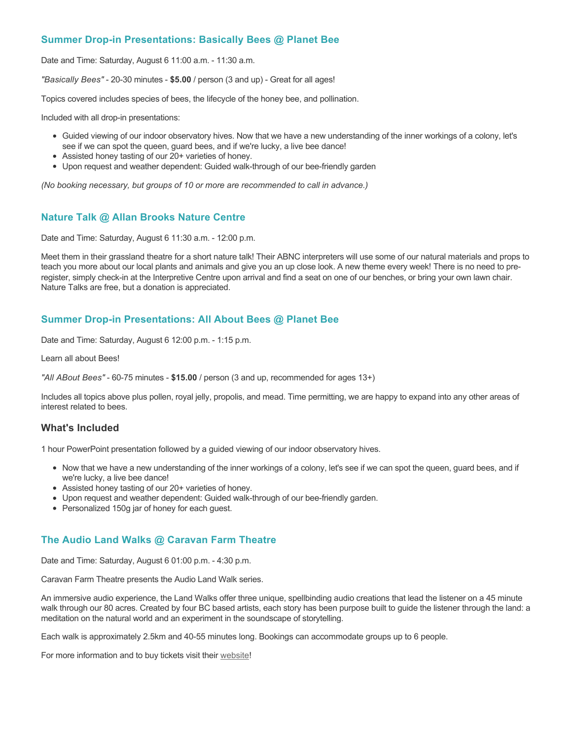# **Summer Drop-in Presentations: Basically Bees @ Planet Bee**

Date and Time: Saturday, August 6 11:00 a.m. - 11:30 a.m.

*"Basically Bees"* - 20-30 minutes - **\$5.00** / person (3 and up) - Great for all ages!

Topics covered includes species of bees, the lifecycle of the honey bee, and pollination.

Included with all drop-in presentations:

- Guided viewing of our indoor observatory hives. Now that we have a new understanding of the inner workings of a colony, let's see if we can spot the queen, guard bees, and if we're lucky, a live bee dance!
- Assisted honey tasting of our 20+ varieties of honey.
- Upon request and weather dependent: Guided walk-through of our bee-friendly garden

*(No booking necessary, but groups of 10 or more are recommended to call in advance.)*

#### **Nature Talk @ Allan Brooks Nature Centre**

Date and Time: Saturday, August 6 11:30 a.m. - 12:00 p.m.

Meet them in their grassland theatre for a short nature talk! Their ABNC interpreters will use some of our natural materials and props to teach you more about our local plants and animals and give you an up close look. A new theme every week! There is no need to preregister, simply check-in at the Interpretive Centre upon arrival and find a seat on one of our benches, or bring your own lawn chair. Nature Talks are free, but a donation is appreciated.

## **Summer Drop-in Presentations: All About Bees @ Planet Bee**

Date and Time: Saturday, August 6 12:00 p.m. - 1:15 p.m.

Learn all about Bees!

*"All ABout Bees"* - 60-75 minutes - **\$15.00** / person (3 and up, recommended for ages 13+)

Includes all topics above plus pollen, royal jelly, propolis, and mead. Time permitting, we are happy to expand into any other areas of interest related to bees.

#### **What's Included**

1 hour PowerPoint presentation followed by a guided viewing of our indoor observatory hives.

- Now that we have a new understanding of the inner workings of a colony, let's see if we can spot the queen, guard bees, and if we're lucky, a live bee dance!
- Assisted honey tasting of our 20+ varieties of honey.
- Upon request and weather dependent: Guided walk-through of our bee-friendly garden.
- Personalized 150g jar of honey for each guest.

## **The Audio Land Walks @ Caravan Farm Theatre**

Date and Time: Saturday, August 6 01:00 p.m. - 4:30 p.m.

Caravan Farm Theatre presents the Audio Land Walk series.

An immersive audio experience, the Land Walks offer three unique, spellbinding audio creations that lead the listener on a 45 minute walk through our 80 acres. Created by four BC based artists, each story has been purpose built to guide the listener through the land: a meditation on the natural world and an experiment in the soundscape of storytelling.

Each walk is approximately 2.5km and 40-55 minutes long. Bookings can accommodate groups up to 6 people.

For more information and to buy tickets visit their [website!](https://caravanfarmtheatre.com/show/the-land-walks/)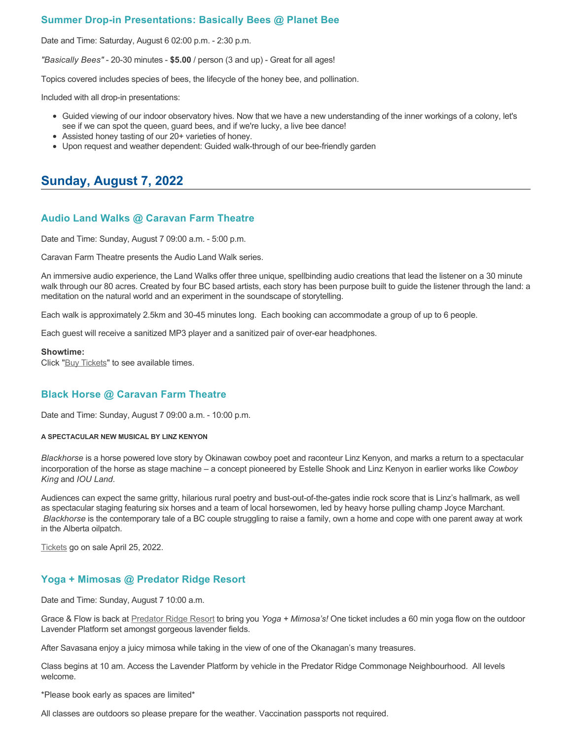## **Summer Drop-in Presentations: Basically Bees @ Planet Bee**

Date and Time: Saturday, August 6 02:00 p.m. - 2:30 p.m.

*"Basically Bees"* - 20-30 minutes - **\$5.00** / person (3 and up) - Great for all ages!

Topics covered includes species of bees, the lifecycle of the honey bee, and pollination.

Included with all drop-in presentations:

- Guided viewing of our indoor observatory hives. Now that we have a new understanding of the inner workings of a colony, let's see if we can spot the queen, guard bees, and if we're lucky, a live bee dance!
- Assisted honey tasting of our 20+ varieties of honey.
- Upon request and weather dependent: Guided walk-through of our bee-friendly garden

# **Sunday, August 7, 2022**

## **Audio Land Walks @ Caravan Farm Theatre**

Date and Time: Sunday, August 7 09:00 a.m. - 5:00 p.m.

Caravan Farm Theatre presents the Audio Land Walk series.

An immersive audio experience, the Land Walks offer three unique, spellbinding audio creations that lead the listener on a 30 minute walk through our 80 acres. Created by four BC based artists, each story has been purpose built to guide the listener through the land: a meditation on the natural world and an experiment in the soundscape of storytelling.

Each walk is approximately 2.5km and 30-45 minutes long. Each booking can accommodate a group of up to 6 people.

Each guest will receive a sanitized MP3 player and a sanitized pair of over-ear headphones.

#### **Showtime:**

Click "[Buy Tickets](https://caravanfarmtheatre.com/show/the-land-walks/?ct=t%28EMAIL_CAMPAIGN_4_19_2022_13_43SEASON+2022%29&mc_cid=c02afad356&mc_eid=4778eb8892)" to see available times.

## **Black Horse @ Caravan Farm Theatre**

Date and Time: Sunday, August 7 09:00 a.m. - 10:00 p.m.

**A SPECTACULAR NEW MUSICAL BY LINZ KENYON**

*Blackhorse* is a horse powered love story by Okinawan cowboy poet and raconteur Linz Kenyon, and marks a return to a spectacular incorporation of the horse as stage machine – a concept pioneered by Estelle Shook and Linz Kenyon in earlier works like *Cowboy King* and *IOU Land*.

Audiences can expect the same gritty, hilarious rural poetry and bust-out-of-the-gates indie rock score that is Linz's hallmark, as well as spectacular staging featuring six horses and a team of local horsewomen, led by heavy horse pulling champ Joyce Marchant. *Blackhorse* is the contemporary tale of a BC couple struggling to raise a family, own a home and cope with one parent away at work in the Alberta oilpatch.

[Tickets](https://caravanfarmtheatre.com/show/blackhorse-2/?ct=t%28EMAIL_CAMPAIGN_4_19_2022_13_43SEASON+2022%29&mc_cid=c02afad356&mc_eid=4778eb8892) go on sale April 25, 2022.

#### **Yoga + Mimosas @ Predator Ridge Resort**

Date and Time: Sunday, August 7 10:00 a.m.

Grace & Flow is back at [Predator Ridge Resort](https://www.predatorridge.com/events) to bring you *Yoga + Mimosa's!* One ticket includes a 60 min yoga flow on the outdoor Lavender Platform set amongst gorgeous lavender fields.

After Savasana enjoy a juicy mimosa while taking in the view of one of the Okanagan's many treasures.

Class begins at 10 am. Access the Lavender Platform by vehicle in the Predator Ridge Commonage Neighbourhood. All levels welcome.

\*Please book early as spaces are limited\*

All classes are outdoors so please prepare for the weather. Vaccination passports not required.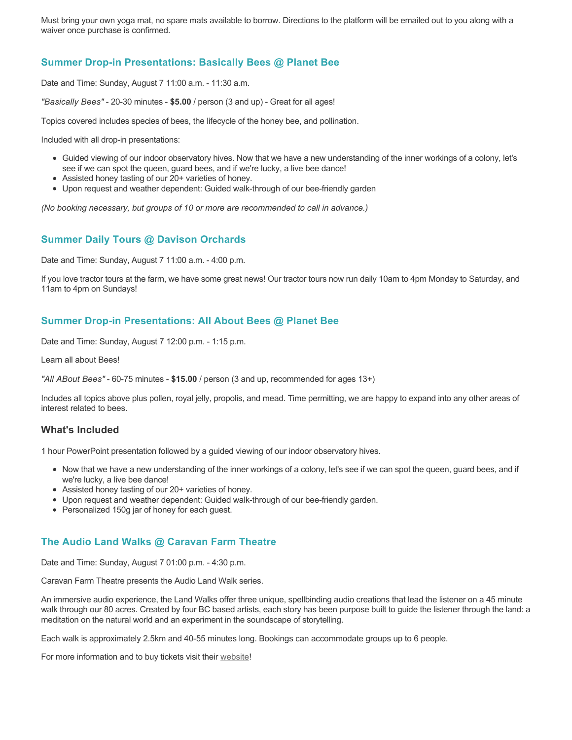Must bring your own yoga mat, no spare mats available to borrow. Directions to the platform will be emailed out to you along with a waiver once purchase is confirmed.

# **Summer Drop-in Presentations: Basically Bees @ Planet Bee**

Date and Time: Sunday, August 7 11:00 a.m. - 11:30 a.m.

*"Basically Bees"* - 20-30 minutes - **\$5.00** / person (3 and up) - Great for all ages!

Topics covered includes species of bees, the lifecycle of the honey bee, and pollination.

Included with all drop-in presentations:

- Guided viewing of our indoor observatory hives. Now that we have a new understanding of the inner workings of a colony, let's see if we can spot the queen, guard bees, and if we're lucky, a live bee dance!
- Assisted honey tasting of our 20+ varieties of honey.
- Upon request and weather dependent: Guided walk-through of our bee-friendly garden

*(No booking necessary, but groups of 10 or more are recommended to call in advance.)*

## **Summer Daily Tours @ Davison Orchards**

Date and Time: Sunday, August 7 11:00 a.m. - 4:00 p.m.

If you love tractor tours at the farm, we have some great news! Our tractor tours now run daily 10am to 4pm Monday to Saturday, and 11am to 4pm on Sundays!

## **Summer Drop-in Presentations: All About Bees @ Planet Bee**

Date and Time: Sunday, August 7 12:00 p.m. - 1:15 p.m.

Learn all about Bees!

*"All ABout Bees"* - 60-75 minutes - **\$15.00** / person (3 and up, recommended for ages 13+)

Includes all topics above plus pollen, royal jelly, propolis, and mead. Time permitting, we are happy to expand into any other areas of interest related to bees.

## **What's Included**

1 hour PowerPoint presentation followed by a guided viewing of our indoor observatory hives.

- Now that we have a new understanding of the inner workings of a colony, let's see if we can spot the queen, guard bees, and if we're lucky, a live bee dance!
- Assisted honey tasting of our 20+ varieties of honey.
- Upon request and weather dependent: Guided walk-through of our bee-friendly garden.
- Personalized 150g jar of honey for each guest.

## **The Audio Land Walks @ Caravan Farm Theatre**

Date and Time: Sunday, August 7 01:00 p.m. - 4:30 p.m.

Caravan Farm Theatre presents the Audio Land Walk series.

An immersive audio experience, the Land Walks offer three unique, spellbinding audio creations that lead the listener on a 45 minute walk through our 80 acres. Created by four BC based artists, each story has been purpose built to guide the listener through the land: a meditation on the natural world and an experiment in the soundscape of storytelling.

Each walk is approximately 2.5km and 40-55 minutes long. Bookings can accommodate groups up to 6 people.

For more information and to buy tickets visit their [website!](https://caravanfarmtheatre.com/show/the-land-walks/)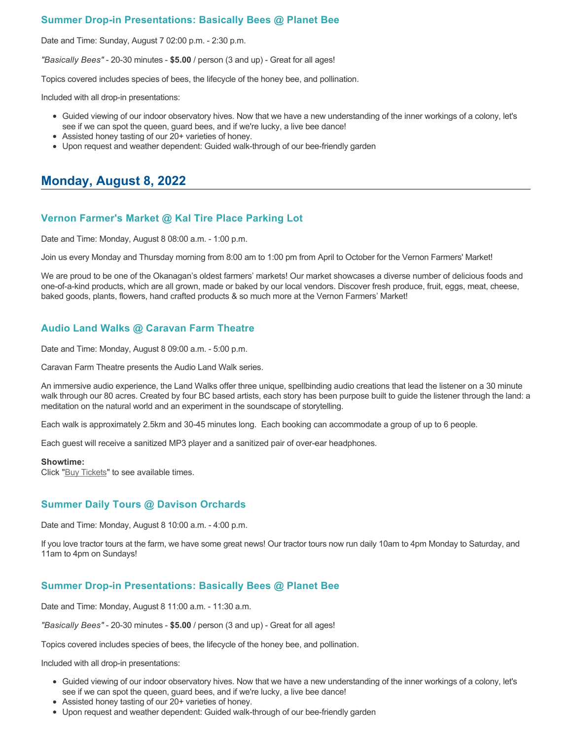# **Summer Drop-in Presentations: Basically Bees @ Planet Bee**

Date and Time: Sunday, August 7 02:00 p.m. - 2:30 p.m.

*"Basically Bees"* - 20-30 minutes - **\$5.00** / person (3 and up) - Great for all ages!

Topics covered includes species of bees, the lifecycle of the honey bee, and pollination.

Included with all drop-in presentations:

- Guided viewing of our indoor observatory hives. Now that we have a new understanding of the inner workings of a colony, let's see if we can spot the queen, guard bees, and if we're lucky, a live bee dance!
- Assisted honey tasting of our 20+ varieties of honey.
- Upon request and weather dependent: Guided walk-through of our bee-friendly garden

# **Monday, August 8, 2022**

## **Vernon Farmer's Market @ Kal Tire Place Parking Lot**

Date and Time: Monday, August 8 08:00 a.m. - 1:00 p.m.

Join us every Monday and Thursday morning from 8:00 am to 1:00 pm from April to October for the Vernon Farmers' Market!

We are proud to be one of the Okanagan's oldest farmers' markets! Our market showcases a diverse number of delicious foods and one-of-a-kind products, which are all grown, made or baked by our local vendors. Discover fresh produce, fruit, eggs, meat, cheese, baked goods, plants, flowers, hand crafted products & so much more at the Vernon Farmers' Market!

## **Audio Land Walks @ Caravan Farm Theatre**

Date and Time: Monday, August 8 09:00 a.m. - 5:00 p.m.

Caravan Farm Theatre presents the Audio Land Walk series.

An immersive audio experience, the Land Walks offer three unique, spellbinding audio creations that lead the listener on a 30 minute walk through our 80 acres. Created by four BC based artists, each story has been purpose built to guide the listener through the land: a meditation on the natural world and an experiment in the soundscape of storytelling.

Each walk is approximately 2.5km and 30-45 minutes long. Each booking can accommodate a group of up to 6 people.

Each guest will receive a sanitized MP3 player and a sanitized pair of over-ear headphones.

#### **Showtime:**

Click "[Buy Tickets](https://caravanfarmtheatre.com/show/the-land-walks/?ct=t%28EMAIL_CAMPAIGN_4_19_2022_13_43SEASON+2022%29&mc_cid=c02afad356&mc_eid=4778eb8892)" to see available times.

## **Summer Daily Tours @ Davison Orchards**

Date and Time: Monday, August 8 10:00 a.m. - 4:00 p.m.

If you love tractor tours at the farm, we have some great news! Our tractor tours now run daily 10am to 4pm Monday to Saturday, and 11am to 4pm on Sundays!

## **Summer Drop-in Presentations: Basically Bees @ Planet Bee**

Date and Time: Monday, August 8 11:00 a.m. - 11:30 a.m.

*"Basically Bees"* - 20-30 minutes - **\$5.00** / person (3 and up) - Great for all ages!

Topics covered includes species of bees, the lifecycle of the honey bee, and pollination.

Included with all drop-in presentations:

- Guided viewing of our indoor observatory hives. Now that we have a new understanding of the inner workings of a colony, let's see if we can spot the queen, guard bees, and if we're lucky, a live bee dance!
- Assisted honey tasting of our 20+ varieties of honey.
- Upon request and weather dependent: Guided walk-through of our bee-friendly garden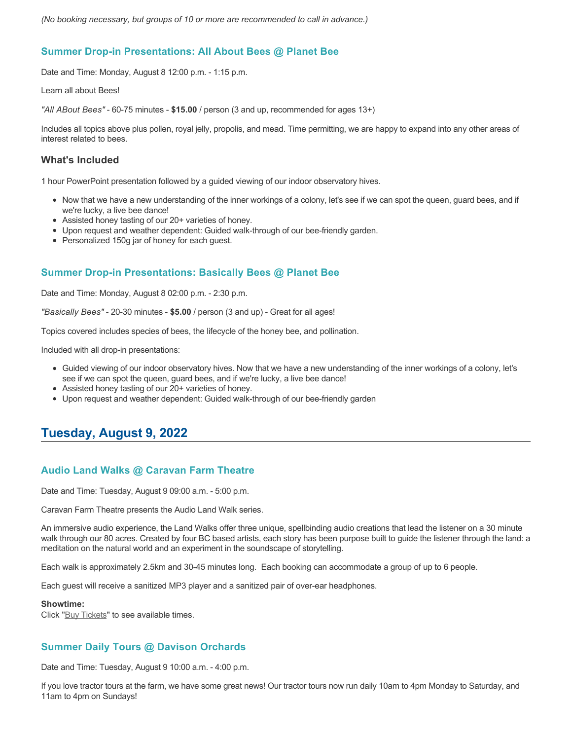# **Summer Drop-in Presentations: All About Bees @ Planet Bee**

Date and Time: Monday, August 8 12:00 p.m. - 1:15 p.m.

Learn all about Bees!

*"All ABout Bees"* - 60-75 minutes - **\$15.00** / person (3 and up, recommended for ages 13+)

Includes all topics above plus pollen, royal jelly, propolis, and mead. Time permitting, we are happy to expand into any other areas of interest related to bees.

## **What's Included**

1 hour PowerPoint presentation followed by a guided viewing of our indoor observatory hives.

- Now that we have a new understanding of the inner workings of a colony, let's see if we can spot the queen, guard bees, and if we're lucky, a live bee dance!
- Assisted honey tasting of our 20+ varieties of honey.
- Upon request and weather dependent: Guided walk-through of our bee-friendly garden.
- Personalized 150g jar of honey for each guest.

# **Summer Drop-in Presentations: Basically Bees @ Planet Bee**

Date and Time: Monday, August 8 02:00 p.m. - 2:30 p.m.

*"Basically Bees"* - 20-30 minutes - **\$5.00** / person (3 and up) - Great for all ages!

Topics covered includes species of bees, the lifecycle of the honey bee, and pollination.

Included with all drop-in presentations:

- Guided viewing of our indoor observatory hives. Now that we have a new understanding of the inner workings of a colony, let's see if we can spot the queen, guard bees, and if we're lucky, a live bee dance!
- Assisted honey tasting of our 20+ varieties of honey.
- Upon request and weather dependent: Guided walk-through of our bee-friendly garden

# **Tuesday, August 9, 2022**

## **Audio Land Walks @ Caravan Farm Theatre**

Date and Time: Tuesday, August 9 09:00 a.m. - 5:00 p.m.

Caravan Farm Theatre presents the Audio Land Walk series.

An immersive audio experience, the Land Walks offer three unique, spellbinding audio creations that lead the listener on a 30 minute walk through our 80 acres. Created by four BC based artists, each story has been purpose built to guide the listener through the land: a meditation on the natural world and an experiment in the soundscape of storytelling.

Each walk is approximately 2.5km and 30-45 minutes long. Each booking can accommodate a group of up to 6 people.

Each guest will receive a sanitized MP3 player and a sanitized pair of over-ear headphones.

#### **Showtime:**

Click "[Buy Tickets](https://caravanfarmtheatre.com/show/the-land-walks/?ct=t%28EMAIL_CAMPAIGN_4_19_2022_13_43SEASON+2022%29&mc_cid=c02afad356&mc_eid=4778eb8892)" to see available times.

## **Summer Daily Tours @ Davison Orchards**

Date and Time: Tuesday, August 9 10:00 a.m. - 4:00 p.m.

If you love tractor tours at the farm, we have some great news! Our tractor tours now run daily 10am to 4pm Monday to Saturday, and 11am to 4pm on Sundays!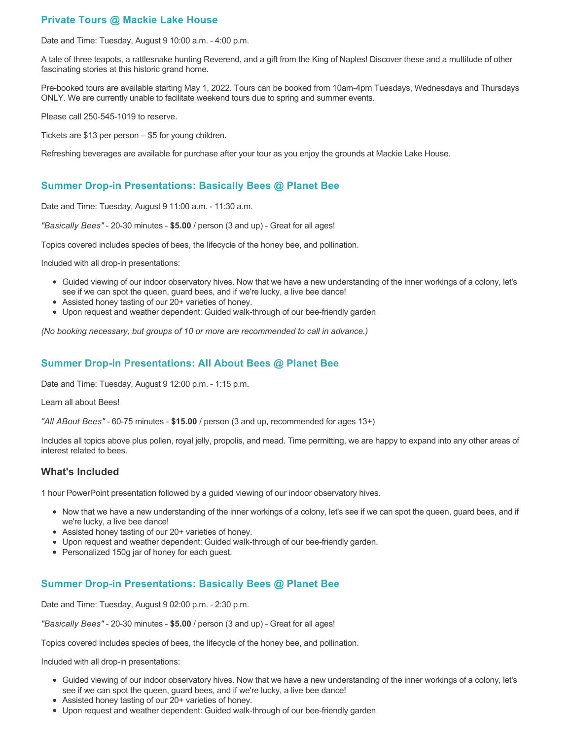# **Private Tours @ Mackie Lake House**

Date and Time: Tuesday, August 9 10:00 a.m. - 4:00 p.m.

A tale of three teapots, a rattlesnake hunting Reverend, and a gift from the King of Naples! Discover these and a multitude of other fascinating stories at this historic grand home.

Pre-booked tours are available starting May 1, 2022. Tours can be booked from 10am-4pm Tuesdays, Wednesdays and Thursdays ONLY. We are currently unable to facilitate weekend tours due to spring and summer events.

Please call 250-545-1019 to reserve.

Tickets are \$13 per person – \$5 for young children.

Refreshing beverages are available for purchase after your tour as you enjoy the grounds at Mackie Lake House.

## **Summer Drop-in Presentations: Basically Bees @ Planet Bee**

Date and Time: Tuesday, August 9 11:00 a.m. - 11:30 a.m.

*"Basically Bees"* - 20-30 minutes - **\$5.00** / person (3 and up) - Great for all ages!

Topics covered includes species of bees, the lifecycle of the honey bee, and pollination.

Included with all drop-in presentations:

- Guided viewing of our indoor observatory hives. Now that we have a new understanding of the inner workings of a colony, let's see if we can spot the queen, guard bees, and if we're lucky, a live bee dance!
- Assisted honey tasting of our 20+ varieties of honey.
- Upon request and weather dependent: Guided walk-through of our bee-friendly garden

*(No booking necessary, but groups of 10 or more are recommended to call in advance.)*

## **Summer Drop-in Presentations: All About Bees @ Planet Bee**

Date and Time: Tuesday, August 9 12:00 p.m. - 1:15 p.m.

Learn all about Bees!

*"All ABout Bees"* - 60-75 minutes - **\$15.00** / person (3 and up, recommended for ages 13+)

Includes all topics above plus pollen, royal jelly, propolis, and mead. Time permitting, we are happy to expand into any other areas of interest related to bees.

## **What's Included**

1 hour PowerPoint presentation followed by a guided viewing of our indoor observatory hives.

- Now that we have a new understanding of the inner workings of a colony, let's see if we can spot the queen, guard bees, and if we're lucky, a live bee dance!
- Assisted honey tasting of our 20+ varieties of honey.
- Upon request and weather dependent: Guided walk-through of our bee-friendly garden.
- Personalized 150g jar of honey for each guest.

## **Summer Drop-in Presentations: Basically Bees @ Planet Bee**

Date and Time: Tuesday, August 9 02:00 p.m. - 2:30 p.m.

*"Basically Bees"* - 20-30 minutes - **\$5.00** / person (3 and up) - Great for all ages!

Topics covered includes species of bees, the lifecycle of the honey bee, and pollination.

Included with all drop-in presentations:

- Guided viewing of our indoor observatory hives. Now that we have a new understanding of the inner workings of a colony, let's see if we can spot the queen, guard bees, and if we're lucky, a live bee dance!
- Assisted honey tasting of our 20+ varieties of honey.
- Upon request and weather dependent: Guided walk-through of our bee-friendly garden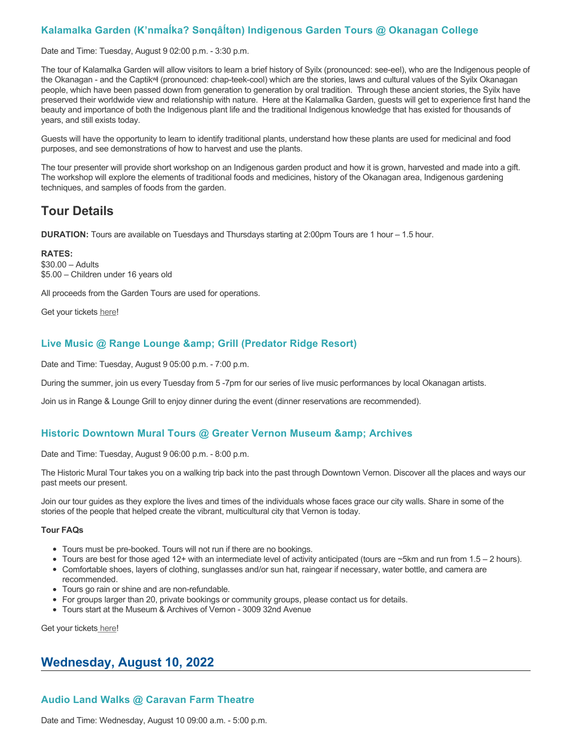# **Kalamalka Garden (K'nmaĺka? Sәnqâĺtәn) Indigenous Garden Tours @ Okanagan College**

Date and Time: Tuesday, August 9 02:00 p.m. - 3:30 p.m.

The tour of Kalamalka Garden will allow visitors to learn a brief history of Syilx (pronounced: see-eel), who are the Indigenous people of the Okanagan - and the Captikʷł (pronounced: chap-teek-cool) which are the stories, laws and cultural values of the Syilx Okanagan people, which have been passed down from generation to generation by oral tradition. Through these ancient stories, the Syilx have preserved their worldwide view and relationship with nature. Here at the Kalamalka Garden, guests will get to experience first hand the beauty and importance of both the Indigenous plant life and the traditional Indigenous knowledge that has existed for thousands of years, and still exists today.

Guests will have the opportunity to learn to identify traditional plants, understand how these plants are used for medicinal and food purposes, and see demonstrations of how to harvest and use the plants.

The tour presenter will provide short workshop on an Indigenous garden product and how it is grown, harvested and made into a gift. The workshop will explore the elements of traditional foods and medicines, history of the Okanagan area, Indigenous gardening techniques, and samples of foods from the garden.

# **Tour Details**

**DURATION:** Tours are available on Tuesdays and Thursdays starting at 2:00pm Tours are 1 hour – 1.5 hour.

**RATES:** \$30.00 – Adults \$5.00 – Children under 16 years old

All proceeds from the Garden Tours are used for operations.

Get your tickets [here!](https://www.eventbrite.ca/e/kalamalka-garden-tour-tickets-158617843239)

## **Live Music @ Range Lounge & Grill (Predator Ridge Resort)**

Date and Time: Tuesday, August 9 05:00 p.m. - 7:00 p.m.

During the summer, join us every Tuesday from 5 -7pm for our series of live music performances by local Okanagan artists.

Join us in Range & Lounge Grill to enjoy dinner during the event (dinner reservations are recommended).

## **Historic Downtown Mural Tours @ Greater Vernon Museum & Archives**

Date and Time: Tuesday, August 9 06:00 p.m. - 8:00 p.m.

The Historic Mural Tour takes you on a walking trip back into the past through Downtown Vernon. Discover all the places and ways our past meets our present.

Join our tour guides as they explore the lives and times of the individuals whose faces grace our city walls. Share in some of the stories of the people that helped create the vibrant, multicultural city that Vernon is today.

#### **Tour FAQs**

- Tours must be pre-booked. Tours will not run if there are no bookings.
- Tours are best for those aged 12+ with an intermediate level of activity anticipated (tours are ~5km and run from 1.5 2 hours).
- Comfortable shoes, layers of clothing, sunglasses and/or sun hat, raingear if necessary, water bottle, and camera are recommended.
- Tours go rain or shine and are non-refundable.
- For groups larger than 20, private bookings or community groups, please contact us for details.
- Tours start at the Museum & Archives of Vernon 3009 32nd Avenue

Get your tickets [here!](https://www.eventbrite.com/e/historic-downtown-mural-tours-tickets-304983342387)

# **Wednesday, August 10, 2022**

# **Audio Land Walks @ Caravan Farm Theatre**

Date and Time: Wednesday, August 10 09:00 a.m. - 5:00 p.m.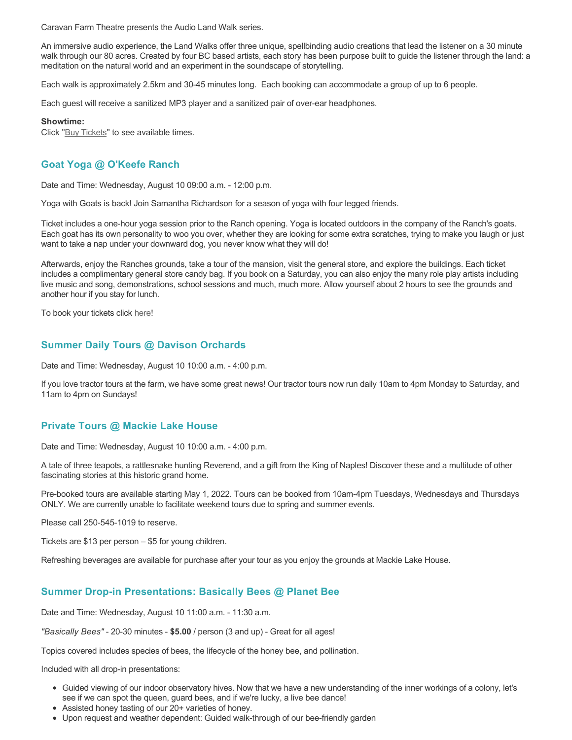Caravan Farm Theatre presents the Audio Land Walk series.

An immersive audio experience, the Land Walks offer three unique, spellbinding audio creations that lead the listener on a 30 minute walk through our 80 acres. Created by four BC based artists, each story has been purpose built to guide the listener through the land: a meditation on the natural world and an experiment in the soundscape of storytelling.

Each walk is approximately 2.5km and 30-45 minutes long. Each booking can accommodate a group of up to 6 people.

Each guest will receive a sanitized MP3 player and a sanitized pair of over-ear headphones.

**Showtime:**

Click "[Buy Tickets](https://caravanfarmtheatre.com/show/the-land-walks/?ct=t%28EMAIL_CAMPAIGN_4_19_2022_13_43SEASON+2022%29&mc_cid=c02afad356&mc_eid=4778eb8892)" to see available times.

# **Goat Yoga @ O'Keefe Ranch**

Date and Time: Wednesday, August 10 09:00 a.m. - 12:00 p.m.

Yoga with Goats is back! Join Samantha Richardson for a season of yoga with four legged friends.

Ticket includes a one-hour yoga session prior to the Ranch opening. Yoga is located outdoors in the company of the Ranch's goats. Each goat has its own personality to woo you over, whether they are looking for some extra scratches, trying to make you laugh or just want to take a nap under your downward dog, you never know what they will do!

Afterwards, enjoy the Ranches grounds, take a tour of the mansion, visit the general store, and explore the buildings. Each ticket includes a complimentary general store candy bag. If you book on a Saturday, you can also enjoy the many role play artists including live music and song, demonstrations, school sessions and much, much more. Allow yourself about 2 hours to see the grounds and another hour if you stay for lunch.

To book your tickets click [here!](https://tickets.ticketseller.ca/TheatreManager/1/login&event=3417)

## **Summer Daily Tours @ Davison Orchards**

Date and Time: Wednesday, August 10 10:00 a.m. - 4:00 p.m.

If you love tractor tours at the farm, we have some great news! Our tractor tours now run daily 10am to 4pm Monday to Saturday, and 11am to 4pm on Sundays!

## **Private Tours @ Mackie Lake House**

Date and Time: Wednesday, August 10 10:00 a.m. - 4:00 p.m.

A tale of three teapots, a rattlesnake hunting Reverend, and a gift from the King of Naples! Discover these and a multitude of other fascinating stories at this historic grand home.

Pre-booked tours are available starting May 1, 2022. Tours can be booked from 10am-4pm Tuesdays, Wednesdays and Thursdays ONLY. We are currently unable to facilitate weekend tours due to spring and summer events.

Please call 250-545-1019 to reserve.

Tickets are \$13 per person – \$5 for young children.

Refreshing beverages are available for purchase after your tour as you enjoy the grounds at Mackie Lake House.

## **Summer Drop-in Presentations: Basically Bees @ Planet Bee**

Date and Time: Wednesday, August 10 11:00 a.m. - 11:30 a.m.

*"Basically Bees"* - 20-30 minutes - **\$5.00** / person (3 and up) - Great for all ages!

Topics covered includes species of bees, the lifecycle of the honey bee, and pollination.

Included with all drop-in presentations:

- Guided viewing of our indoor observatory hives. Now that we have a new understanding of the inner workings of a colony, let's see if we can spot the queen, guard bees, and if we're lucky, a live bee dance!
- Assisted honey tasting of our 20+ varieties of honey.
- Upon request and weather dependent: Guided walk-through of our bee-friendly garden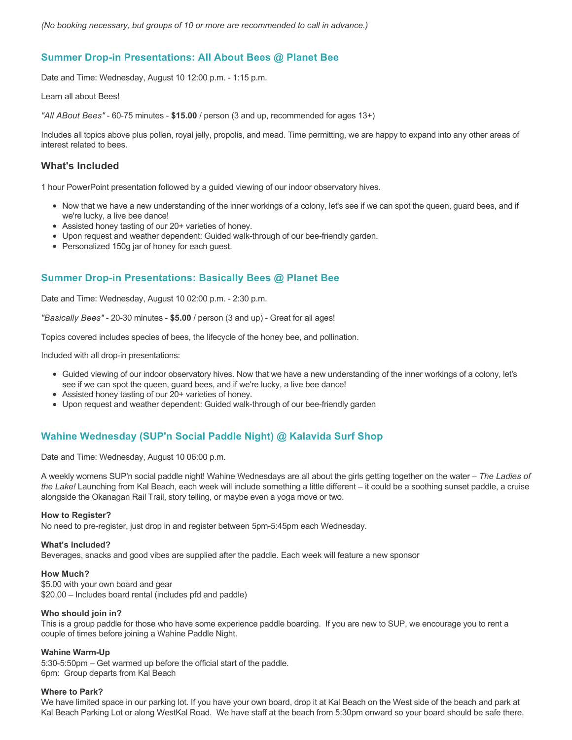## **Summer Drop-in Presentations: All About Bees @ Planet Bee**

Date and Time: Wednesday, August 10 12:00 p.m. - 1:15 p.m.

Learn all about Bees!

*"All ABout Bees"* - 60-75 minutes - **\$15.00** / person (3 and up, recommended for ages 13+)

Includes all topics above plus pollen, royal jelly, propolis, and mead. Time permitting, we are happy to expand into any other areas of interest related to bees.

#### **What's Included**

1 hour PowerPoint presentation followed by a guided viewing of our indoor observatory hives.

- Now that we have a new understanding of the inner workings of a colony, let's see if we can spot the queen, guard bees, and if we're lucky, a live bee dance!
- Assisted honey tasting of our 20+ varieties of honey.
- Upon request and weather dependent: Guided walk-through of our bee-friendly garden.
- Personalized 150g jar of honey for each guest.

## **Summer Drop-in Presentations: Basically Bees @ Planet Bee**

Date and Time: Wednesday, August 10 02:00 p.m. - 2:30 p.m.

*"Basically Bees"* - 20-30 minutes - **\$5.00** / person (3 and up) - Great for all ages!

Topics covered includes species of bees, the lifecycle of the honey bee, and pollination.

Included with all drop-in presentations:

- Guided viewing of our indoor observatory hives. Now that we have a new understanding of the inner workings of a colony, let's see if we can spot the queen, guard bees, and if we're lucky, a live bee dance!
- Assisted honey tasting of our 20+ varieties of honey.
- Upon request and weather dependent: Guided walk-through of our bee-friendly garden

## **Wahine Wednesday (SUP'n Social Paddle Night) @ Kalavida Surf Shop**

Date and Time: Wednesday, August 10 06:00 p.m.

A weekly womens SUP'n social paddle night! Wahine Wednesdays are all about the girls getting together on the water – *The Ladies of the Lake!* Launching from Kal Beach, each week will include something a little different – it could be a soothing sunset paddle, a cruise alongside the Okanagan Rail Trail, story telling, or maybe even a yoga move or two.

#### **How to Register?**

No need to pre-register, just drop in and register between 5pm-5:45pm each Wednesday.

#### **What's Included?**

Beverages, snacks and good vibes are supplied after the paddle. Each week will feature a new sponsor

#### **How Much?**

\$5.00 with your own board and gear \$20.00 – Includes board rental (includes pfd and paddle)

#### **Who should join in?**

This is a group paddle for those who have some experience paddle boarding. If you are new to SUP, we encourage you to rent a couple of times before joining a Wahine Paddle Night.

#### **Wahine Warm-Up**

5:30-5:50pm – Get warmed up before the official start of the paddle. 6pm: Group departs from Kal Beach

#### **Where to Park?**

We have limited space in our parking lot. If you have your own board, drop it at Kal Beach on the West side of the beach and park at Kal Beach Parking Lot or along WestKal Road. We have staff at the beach from 5:30pm onward so your board should be safe there.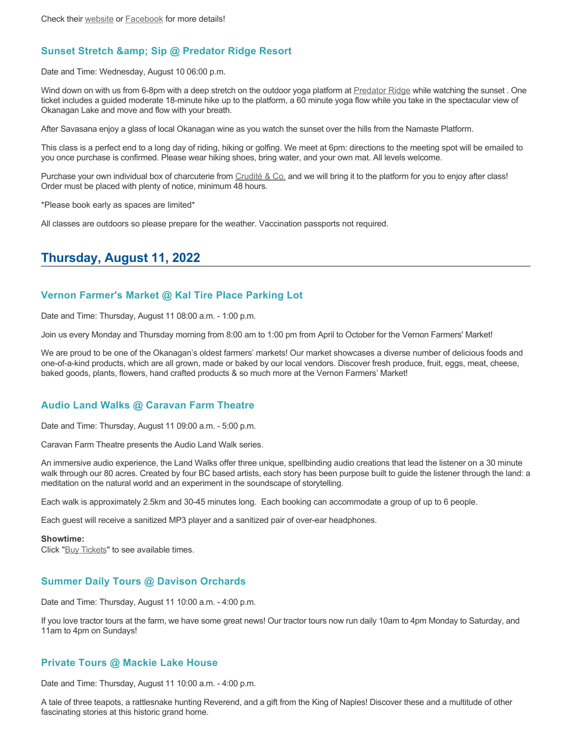# **Sunset Stretch & amp; Sip @ Predator Ridge Resort**

Date and Time: Wednesday, August 10 06:00 p.m.

Wind down on with us from 6-8pm with a deep stretch on the outdoor yoga platform at [Predator Ridge](https://www.predatorridge.com/events) while watching the sunset . One ticket includes a guided moderate 18-minute hike up to the platform, a 60 minute yoga flow while you take in the spectacular view of Okanagan Lake and move and flow with your breath.

After Savasana enjoy a glass of local Okanagan wine as you watch the sunset over the hills from the Namaste Platform.

This class is a perfect end to a long day of riding, hiking or golfing. We meet at 6pm: directions to the meeting spot will be emailed to you once purchase is confirmed. Please wear hiking shoes, bring water, and your own mat. All levels welcome.

Purchase your own individual box of charcuterie from [Crudité & Co.](https://cruditeandco.com/product/picnic-platter/) and we will bring it to the platform for you to enjoy after class! Order must be placed with plenty of notice, minimum 48 hours.

\*Please book early as spaces are limited\*

All classes are outdoors so please prepare for the weather. Vaccination passports not required.

# **Thursday, August 11, 2022**

# **Vernon Farmer's Market @ Kal Tire Place Parking Lot**

Date and Time: Thursday, August 11 08:00 a.m. - 1:00 p.m.

Join us every Monday and Thursday morning from 8:00 am to 1:00 pm from April to October for the Vernon Farmers' Market!

We are proud to be one of the Okanagan's oldest farmers' markets! Our market showcases a diverse number of delicious foods and one-of-a-kind products, which are all grown, made or baked by our local vendors. Discover fresh produce, fruit, eggs, meat, cheese, baked goods, plants, flowers, hand crafted products & so much more at the Vernon Farmers' Market!

## **Audio Land Walks @ Caravan Farm Theatre**

Date and Time: Thursday, August 11 09:00 a.m. - 5:00 p.m.

Caravan Farm Theatre presents the Audio Land Walk series.

An immersive audio experience, the Land Walks offer three unique, spellbinding audio creations that lead the listener on a 30 minute walk through our 80 acres. Created by four BC based artists, each story has been purpose built to guide the listener through the land: a meditation on the natural world and an experiment in the soundscape of storytelling.

Each walk is approximately 2.5km and 30-45 minutes long. Each booking can accommodate a group of up to 6 people.

Each guest will receive a sanitized MP3 player and a sanitized pair of over-ear headphones.

#### **Showtime:**

Click "[Buy Tickets](https://caravanfarmtheatre.com/show/the-land-walks/?ct=t%28EMAIL_CAMPAIGN_4_19_2022_13_43SEASON+2022%29&mc_cid=c02afad356&mc_eid=4778eb8892)" to see available times.

## **Summer Daily Tours @ Davison Orchards**

Date and Time: Thursday, August 11 10:00 a.m. - 4:00 p.m.

If you love tractor tours at the farm, we have some great news! Our tractor tours now run daily 10am to 4pm Monday to Saturday, and 11am to 4pm on Sundays!

## **Private Tours @ Mackie Lake House**

Date and Time: Thursday, August 11 10:00 a.m. - 4:00 p.m.

A tale of three teapots, a rattlesnake hunting Reverend, and a gift from the King of Naples! Discover these and a multitude of other fascinating stories at this historic grand home.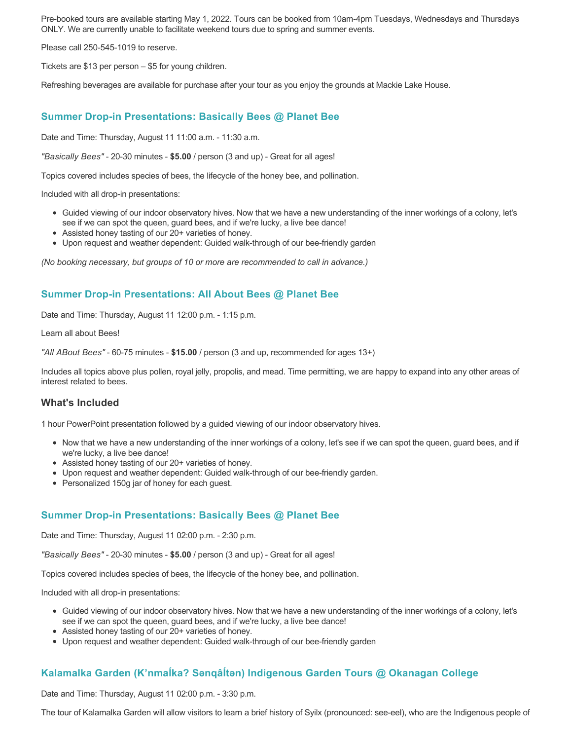Pre-booked tours are available starting May 1, 2022. Tours can be booked from 10am-4pm Tuesdays, Wednesdays and Thursdays ONLY. We are currently unable to facilitate weekend tours due to spring and summer events.

Please call 250-545-1019 to reserve.

Tickets are \$13 per person – \$5 for young children.

Refreshing beverages are available for purchase after your tour as you enjoy the grounds at Mackie Lake House.

#### **Summer Drop-in Presentations: Basically Bees @ Planet Bee**

Date and Time: Thursday, August 11 11:00 a.m. - 11:30 a.m.

*"Basically Bees"* - 20-30 minutes - **\$5.00** / person (3 and up) - Great for all ages!

Topics covered includes species of bees, the lifecycle of the honey bee, and pollination.

Included with all drop-in presentations:

- Guided viewing of our indoor observatory hives. Now that we have a new understanding of the inner workings of a colony, let's see if we can spot the queen, guard bees, and if we're lucky, a live bee dance!
- Assisted honey tasting of our 20+ varieties of honey.
- Upon request and weather dependent: Guided walk-through of our bee-friendly garden

*(No booking necessary, but groups of 10 or more are recommended to call in advance.)*

#### **Summer Drop-in Presentations: All About Bees @ Planet Bee**

Date and Time: Thursday, August 11 12:00 p.m. - 1:15 p.m.

Learn all about Bees!

*"All ABout Bees"* - 60-75 minutes - **\$15.00** / person (3 and up, recommended for ages 13+)

Includes all topics above plus pollen, royal jelly, propolis, and mead. Time permitting, we are happy to expand into any other areas of interest related to bees.

## **What's Included**

1 hour PowerPoint presentation followed by a guided viewing of our indoor observatory hives.

- Now that we have a new understanding of the inner workings of a colony, let's see if we can spot the queen, guard bees, and if we're lucky, a live bee dance!
- Assisted honey tasting of our 20+ varieties of honey.
- Upon request and weather dependent: Guided walk-through of our bee-friendly garden.
- Personalized 150g jar of honey for each guest.

## **Summer Drop-in Presentations: Basically Bees @ Planet Bee**

Date and Time: Thursday, August 11 02:00 p.m. - 2:30 p.m.

*"Basically Bees"* - 20-30 minutes - **\$5.00** / person (3 and up) - Great for all ages!

Topics covered includes species of bees, the lifecycle of the honey bee, and pollination.

Included with all drop-in presentations:

- Guided viewing of our indoor observatory hives. Now that we have a new understanding of the inner workings of a colony, let's see if we can spot the queen, guard bees, and if we're lucky, a live bee dance!
- Assisted honey tasting of our 20+ varieties of honey.
- Upon request and weather dependent: Guided walk-through of our bee-friendly garden

# **Kalamalka Garden (K'nmaĺka? Sәnqâĺtәn) Indigenous Garden Tours @ Okanagan College**

Date and Time: Thursday, August 11 02:00 p.m. - 3:30 p.m.

The tour of Kalamalka Garden will allow visitors to learn a brief history of Syilx (pronounced: see-eel), who are the Indigenous people of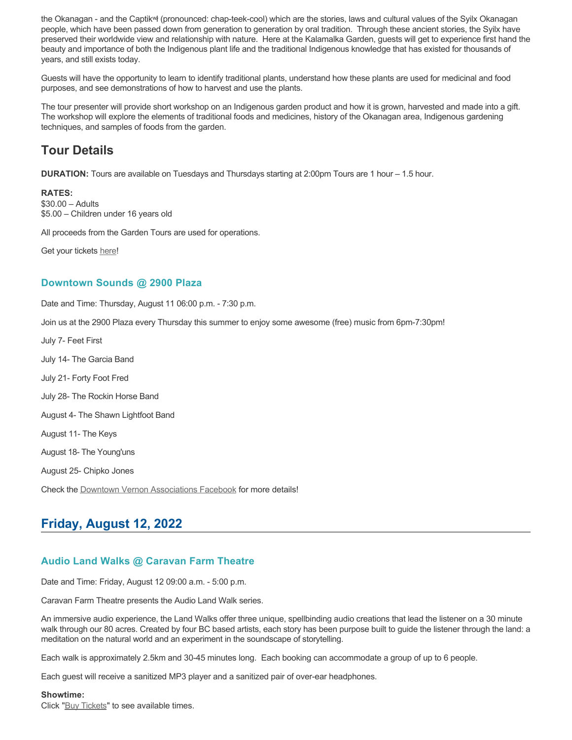the Okanagan - and the Captikʷł (pronounced: chap-teek-cool) which are the stories, laws and cultural values of the Syilx Okanagan people, which have been passed down from generation to generation by oral tradition. Through these ancient stories, the Syilx have preserved their worldwide view and relationship with nature. Here at the Kalamalka Garden, guests will get to experience first hand the beauty and importance of both the Indigenous plant life and the traditional Indigenous knowledge that has existed for thousands of years, and still exists today.

Guests will have the opportunity to learn to identify traditional plants, understand how these plants are used for medicinal and food purposes, and see demonstrations of how to harvest and use the plants.

The tour presenter will provide short workshop on an Indigenous garden product and how it is grown, harvested and made into a gift. The workshop will explore the elements of traditional foods and medicines, history of the Okanagan area, Indigenous gardening techniques, and samples of foods from the garden.

# **Tour Details**

**DURATION:** Tours are available on Tuesdays and Thursdays starting at 2:00pm Tours are 1 hour – 1.5 hour.

#### **RATES:**

\$30.00 – Adults \$5.00 – Children under 16 years old

All proceeds from the Garden Tours are used for operations.

Get your tickets [here!](https://www.eventbrite.ca/e/kalamalka-garden-tour-tickets-158617843239)

# **Downtown Sounds @ 2900 Plaza**

Date and Time: Thursday, August 11 06:00 p.m. - 7:30 p.m.

Join us at the 2900 Plaza every Thursday this summer to enjoy some awesome (free) music from 6pm-7:30pm!

July 7- Feet First July 14- The Garcia Band July 21- Forty Foot Fred July 28- The Rockin Horse Band August 4- The Shawn Lightfoot Band August 11- The Keys August 18- The Young'uns August 25- Chipko Jones Check the [Downtown Vernon Associations Facebook](https://www.facebook.com/downtownvernon/) for more details!

# **Friday, August 12, 2022**

# **Audio Land Walks @ Caravan Farm Theatre**

Date and Time: Friday, August 12 09:00 a.m. - 5:00 p.m.

Caravan Farm Theatre presents the Audio Land Walk series.

An immersive audio experience, the Land Walks offer three unique, spellbinding audio creations that lead the listener on a 30 minute walk through our 80 acres. Created by four BC based artists, each story has been purpose built to guide the listener through the land: a meditation on the natural world and an experiment in the soundscape of storytelling.

Each walk is approximately 2.5km and 30-45 minutes long. Each booking can accommodate a group of up to 6 people.

Each guest will receive a sanitized MP3 player and a sanitized pair of over-ear headphones.

#### **Showtime:**

Click "[Buy Tickets](https://caravanfarmtheatre.com/show/the-land-walks/?ct=t%28EMAIL_CAMPAIGN_4_19_2022_13_43SEASON+2022%29&mc_cid=c02afad356&mc_eid=4778eb8892)" to see available times.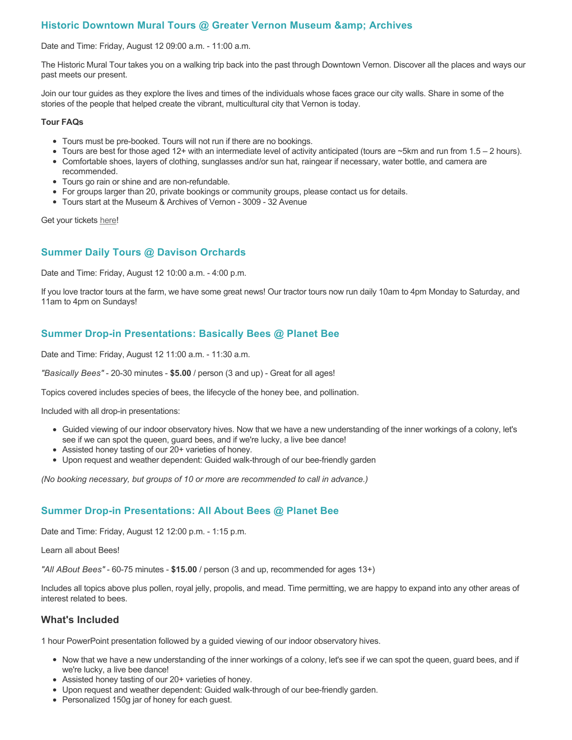# **Historic Downtown Mural Tours @ Greater Vernon Museum & Archives**

Date and Time: Friday, August 12 09:00 a.m. - 11:00 a.m.

The Historic Mural Tour takes you on a walking trip back into the past through Downtown Vernon. Discover all the places and ways our past meets our present.

Join our tour guides as they explore the lives and times of the individuals whose faces grace our city walls. Share in some of the stories of the people that helped create the vibrant, multicultural city that Vernon is today.

#### **Tour FAQs**

- Tours must be pre-booked. Tours will not run if there are no bookings.
- Tours are best for those aged 12+ with an intermediate level of activity anticipated (tours are  $\sim$ 5km and run from 1.5 2 hours).
- Comfortable shoes, layers of clothing, sunglasses and/or sun hat, raingear if necessary, water bottle, and camera are recommended.
- Tours go rain or shine and are non-refundable.
- For groups larger than 20, private bookings or community groups, please contact us for details.
- Tours start at the Museum & Archives of Vernon 3009 32 Avenue

Get your tickets [here!](https://www.eventbrite.com/e/historic-downtown-mural-tours-tickets-304983342387)

# **Summer Daily Tours @ Davison Orchards**

Date and Time: Friday, August 12 10:00 a.m. - 4:00 p.m.

If you love tractor tours at the farm, we have some great news! Our tractor tours now run daily 10am to 4pm Monday to Saturday, and 11am to 4pm on Sundays!

# **Summer Drop-in Presentations: Basically Bees @ Planet Bee**

Date and Time: Friday, August 12 11:00 a.m. - 11:30 a.m.

*"Basically Bees"* - 20-30 minutes - **\$5.00** / person (3 and up) - Great for all ages!

Topics covered includes species of bees, the lifecycle of the honey bee, and pollination.

Included with all drop-in presentations:

- Guided viewing of our indoor observatory hives. Now that we have a new understanding of the inner workings of a colony, let's see if we can spot the queen, guard bees, and if we're lucky, a live bee dance!
- Assisted honey tasting of our 20+ varieties of honey.
- Upon request and weather dependent: Guided walk-through of our bee-friendly garden

*(No booking necessary, but groups of 10 or more are recommended to call in advance.)*

# **Summer Drop-in Presentations: All About Bees @ Planet Bee**

Date and Time: Friday, August 12 12:00 p.m. - 1:15 p.m.

Learn all about Bees!

*"All ABout Bees"* - 60-75 minutes - **\$15.00** / person (3 and up, recommended for ages 13+)

Includes all topics above plus pollen, royal jelly, propolis, and mead. Time permitting, we are happy to expand into any other areas of interest related to bees.

## **What's Included**

1 hour PowerPoint presentation followed by a guided viewing of our indoor observatory hives.

- Now that we have a new understanding of the inner workings of a colony, let's see if we can spot the queen, guard bees, and if we're lucky, a live bee dance!
- Assisted honey tasting of our 20+ varieties of honey.
- Upon request and weather dependent: Guided walk-through of our bee-friendly garden.
- Personalized 150g jar of honey for each guest.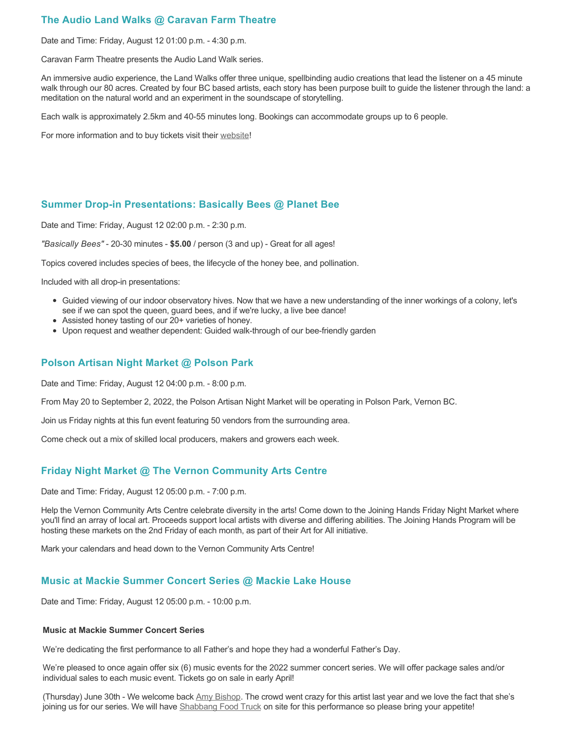# **The Audio Land Walks @ Caravan Farm Theatre**

Date and Time: Friday, August 12 01:00 p.m. - 4:30 p.m.

Caravan Farm Theatre presents the Audio Land Walk series.

An immersive audio experience, the Land Walks offer three unique, spellbinding audio creations that lead the listener on a 45 minute walk through our 80 acres. Created by four BC based artists, each story has been purpose built to guide the listener through the land: a meditation on the natural world and an experiment in the soundscape of storytelling.

Each walk is approximately 2.5km and 40-55 minutes long. Bookings can accommodate groups up to 6 people.

For more information and to buy tickets visit their [website!](https://caravanfarmtheatre.com/show/the-land-walks/)

## **Summer Drop-in Presentations: Basically Bees @ Planet Bee**

Date and Time: Friday, August 12 02:00 p.m. - 2:30 p.m.

*"Basically Bees"* - 20-30 minutes - **\$5.00** / person (3 and up) - Great for all ages!

Topics covered includes species of bees, the lifecycle of the honey bee, and pollination.

Included with all drop-in presentations:

- Guided viewing of our indoor observatory hives. Now that we have a new understanding of the inner workings of a colony, let's see if we can spot the queen, guard bees, and if we're lucky, a live bee dance!
- Assisted honey tasting of our 20+ varieties of honey.
- Upon request and weather dependent: Guided walk-through of our bee-friendly garden

## **Polson Artisan Night Market @ Polson Park**

Date and Time: Friday, August 12 04:00 p.m. - 8:00 p.m.

From May 20 to September 2, 2022, the Polson Artisan Night Market will be operating in Polson Park, Vernon BC.

Join us Friday nights at this fun event featuring 50 vendors from the surrounding area.

Come check out a mix of skilled local producers, makers and growers each week.

# **Friday Night Market @ The Vernon Community Arts Centre**

Date and Time: Friday, August 12 05:00 p.m. - 7:00 p.m.

Help the Vernon Community Arts Centre celebrate diversity in the arts! Come down to the Joining Hands Friday Night Market where you'll find an array of local art. Proceeds support local artists with diverse and differing abilities. The Joining Hands Program will be hosting these markets on the 2nd Friday of each month, as part of their Art for All initiative.

Mark your calendars and head down to the Vernon Community Arts Centre!

## **Music at Mackie Summer Concert Series @ Mackie Lake House**

Date and Time: Friday, August 12 05:00 p.m. - 10:00 p.m.

#### **Music at Mackie Summer Concert Series**

We're dedicating the first performance to all Father's and hope they had a wonderful Father's Day.

We're pleased to once again offer six (6) music events for the 2022 summer concert series. We will offer package sales and/or individual sales to each music event. Tickets go on sale in early April!

(Thursday) June 30th - We welcome back [Amy Bishop.](https://protect-ca.mimecast.com/s/97KDCk8v46IYY8Pc4eTtT?domain=mackiehouse.us3.list-manage.com) The crowd went crazy for this artist last year and we love the fact that she's joining us for our series. We will have [Shabbang Food Truck](https://protect-ca.mimecast.com/s/hGWiClxw48FOO0jTKiFD6?domain=mackiehouse.us3.list-manage.com) on site for this performance so please bring your appetite!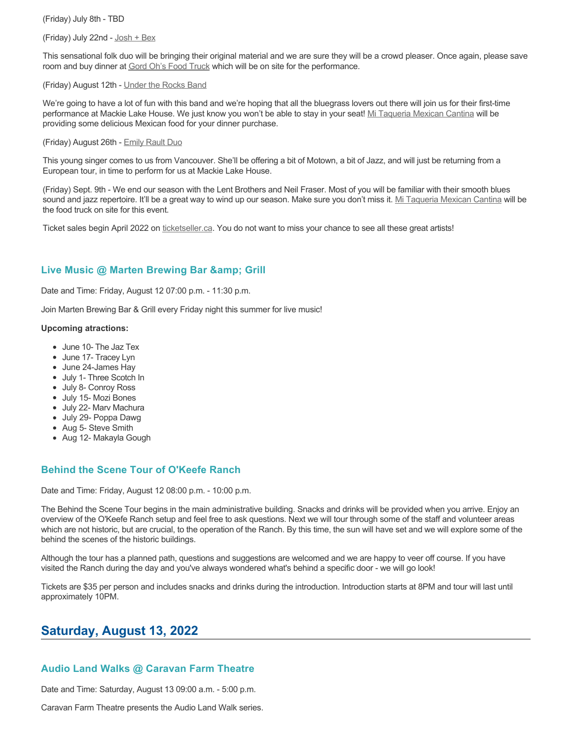(Friday) July 8th - TBD

(Friday) July 22nd - [Josh + Bex](https://protect-ca.mimecast.com/s/LfcBCmOx47s11B9u0QwFr?domain=mackiehouse.us3.list-manage.com)

This sensational folk duo will be bringing their original material and we are sure they will be a crowd pleaser. Once again, please save room and buy dinner at [Gord Oh's Food Truck](https://protect-ca.mimecast.com/s/oREECnxy4GFllAkujC-Hs?domain=mackiehouse.us3.list-manage.com) which will be on site for the performance.

#### (Friday) August 12th - [Under the Rocks Band](https://protect-ca.mimecast.com/s/wmzjCoVz4AhlljQujeM8P?domain=mackiehouse.us3.list-manage.com)

We're going to have a lot of fun with this band and we're hoping that all the bluegrass lovers out there will join us for their first-time performance at Mackie Lake House. We just know you won't be able to stay in your seat! [Mi Taqueria Mexican Cantina](https://protect-ca.mimecast.com/s/IidvCp8A59IQQ17s1mbiS?domain=mackiehouse.us3.list-manage.com) will be providing some delicious Mexican food for your dinner purchase.

#### (Friday) August 26th - [Emily Rault Duo](https://protect-ca.mimecast.com/s/1ZJZCq7B4AsLLKVczxAAc?domain=mackiehouse.us3.list-manage.com)

This young singer comes to us from Vancouver. She'll be offering a bit of Motown, a bit of Jazz, and will just be returning from a European tour, in time to perform for us at Mackie Lake House.

(Friday) Sept. 9th - We end our season with the Lent Brothers and Neil Fraser. Most of you will be familiar with their smooth blues sound and jazz repertoire. It'll be a great way to wind up our season. Make sure you don't miss it. [Mi Taqueria Mexican Cantina](https://protect-ca.mimecast.com/s/mUjmCr8D4gIwwPWTPinKw?domain=mackiehouse.us3.list-manage.com) will be the food truck on site for this event.

Ticket sales begin April 2022 on [ticketseller.ca.](https://ticketseller.ca/) You do not want to miss your chance to see all these great artists!

## Live Music @ Marten Brewing Bar & Grill

Date and Time: Friday, August 12 07:00 p.m. - 11:30 p.m.

Join Marten Brewing Bar & Grill every Friday night this summer for live music!

#### **Upcoming atractions:**

- June 10- The Jaz Tex
- June 17- Tracey Lyn
- June 24-James Hay
- July 1- Three Scotch In
- July 8- Conroy Ross
- July 15- Mozi Bones
- July 22- Marv Machura
- July 29- Poppa Dawg
- Aug 5- Steve Smith
- Aug 12- Makayla Gough

# **Behind the Scene Tour of O'Keefe Ranch**

Date and Time: Friday, August 12 08:00 p.m. - 10:00 p.m.

The Behind the Scene Tour begins in the main administrative building. Snacks and drinks will be provided when you arrive. Enjoy an overview of the O'Keefe Ranch setup and feel free to ask questions. Next we will tour through some of the staff and volunteer areas which are not historic, but are crucial, to the operation of the Ranch. By this time, the sun will have set and we will explore some of the behind the scenes of the historic buildings.

Although the tour has a planned path, questions and suggestions are welcomed and we are happy to veer off course. If you have visited the Ranch during the day and you've always wondered what's behind a specific door - we will go look!

Tickets are \$35 per person and includes snacks and drinks during the introduction. Introduction starts at 8PM and tour will last until approximately 10PM.

# **Saturday, August 13, 2022**

## **Audio Land Walks @ Caravan Farm Theatre**

Date and Time: Saturday, August 13 09:00 a.m. - 5:00 p.m.

Caravan Farm Theatre presents the Audio Land Walk series.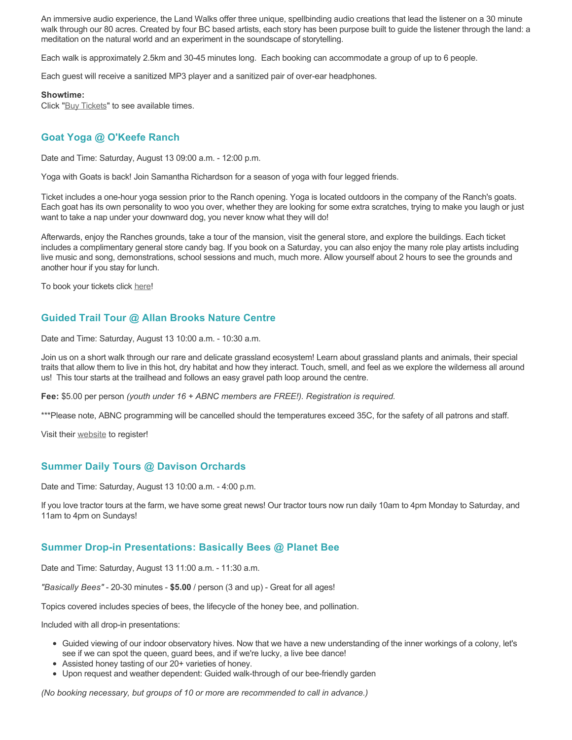An immersive audio experience, the Land Walks offer three unique, spellbinding audio creations that lead the listener on a 30 minute walk through our 80 acres. Created by four BC based artists, each story has been purpose built to guide the listener through the land: a meditation on the natural world and an experiment in the soundscape of storytelling.

Each walk is approximately 2.5km and 30-45 minutes long. Each booking can accommodate a group of up to 6 people.

Each guest will receive a sanitized MP3 player and a sanitized pair of over-ear headphones.

#### **Showtime:**

Click "[Buy Tickets](https://caravanfarmtheatre.com/show/the-land-walks/?ct=t%28EMAIL_CAMPAIGN_4_19_2022_13_43SEASON+2022%29&mc_cid=c02afad356&mc_eid=4778eb8892)" to see available times.

## **Goat Yoga @ O'Keefe Ranch**

Date and Time: Saturday, August 13 09:00 a.m. - 12:00 p.m.

Yoga with Goats is back! Join Samantha Richardson for a season of yoga with four legged friends.

Ticket includes a one-hour yoga session prior to the Ranch opening. Yoga is located outdoors in the company of the Ranch's goats. Each goat has its own personality to woo you over, whether they are looking for some extra scratches, trying to make you laugh or just want to take a nap under your downward dog, you never know what they will do!

Afterwards, enjoy the Ranches grounds, take a tour of the mansion, visit the general store, and explore the buildings. Each ticket includes a complimentary general store candy bag. If you book on a Saturday, you can also enjoy the many role play artists including live music and song, demonstrations, school sessions and much, much more. Allow yourself about 2 hours to see the grounds and another hour if you stay for lunch.

To book your tickets click [here!](https://tickets.ticketseller.ca/TheatreManager/1/login&event=3417)

## **Guided Trail Tour @ Allan Brooks Nature Centre**

Date and Time: Saturday, August 13 10:00 a.m. - 10:30 a.m.

Join us on a short walk through our rare and delicate grassland ecosystem! Learn about grassland plants and animals, their special traits that allow them to live in this hot, dry habitat and how they interact. Touch, smell, and feel as we explore the wilderness all around us! This tour starts at the trailhead and follows an easy gravel path loop around the centre.

**Fee:** \$5.00 per person *(youth under 16 + ABNC members are FREE!). Registration is required.* 

\*\*\*Please note, ABNC programming will be cancelled should the temperatures exceed 35C, for the safety of all patrons and staff.

Visit their [website](https://abnc.ca/events/events-calendar/) to register!

## **Summer Daily Tours @ Davison Orchards**

Date and Time: Saturday, August 13 10:00 a.m. - 4:00 p.m.

If you love tractor tours at the farm, we have some great news! Our tractor tours now run daily 10am to 4pm Monday to Saturday, and 11am to 4pm on Sundays!

## **Summer Drop-in Presentations: Basically Bees @ Planet Bee**

Date and Time: Saturday, August 13 11:00 a.m. - 11:30 a.m.

*"Basically Bees"* - 20-30 minutes - **\$5.00** / person (3 and up) - Great for all ages!

Topics covered includes species of bees, the lifecycle of the honey bee, and pollination.

Included with all drop-in presentations:

- Guided viewing of our indoor observatory hives. Now that we have a new understanding of the inner workings of a colony, let's see if we can spot the queen, guard bees, and if we're lucky, a live bee dance!
- Assisted honey tasting of our 20+ varieties of honey.
- Upon request and weather dependent: Guided walk-through of our bee-friendly garden

*(No booking necessary, but groups of 10 or more are recommended to call in advance.)*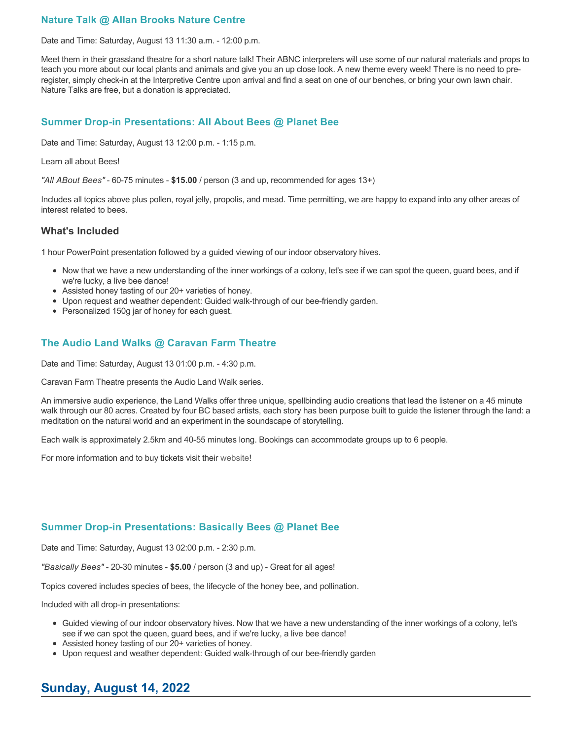# **Nature Talk @ Allan Brooks Nature Centre**

Date and Time: Saturday, August 13 11:30 a.m. - 12:00 p.m.

Meet them in their grassland theatre for a short nature talk! Their ABNC interpreters will use some of our natural materials and props to teach you more about our local plants and animals and give you an up close look. A new theme every week! There is no need to preregister, simply check-in at the Interpretive Centre upon arrival and find a seat on one of our benches, or bring your own lawn chair. Nature Talks are free, but a donation is appreciated.

#### **Summer Drop-in Presentations: All About Bees @ Planet Bee**

Date and Time: Saturday, August 13 12:00 p.m. - 1:15 p.m.

#### Learn all about Bees!

*"All ABout Bees"* - 60-75 minutes - **\$15.00** / person (3 and up, recommended for ages 13+)

Includes all topics above plus pollen, royal jelly, propolis, and mead. Time permitting, we are happy to expand into any other areas of interest related to bees.

#### **What's Included**

1 hour PowerPoint presentation followed by a guided viewing of our indoor observatory hives.

- Now that we have a new understanding of the inner workings of a colony, let's see if we can spot the queen, guard bees, and if we're lucky, a live bee dance!
- Assisted honey tasting of our 20+ varieties of honey.
- Upon request and weather dependent: Guided walk-through of our bee-friendly garden.
- Personalized 150g jar of honey for each guest.

## **The Audio Land Walks @ Caravan Farm Theatre**

Date and Time: Saturday, August 13 01:00 p.m. - 4:30 p.m.

Caravan Farm Theatre presents the Audio Land Walk series.

An immersive audio experience, the Land Walks offer three unique, spellbinding audio creations that lead the listener on a 45 minute walk through our 80 acres. Created by four BC based artists, each story has been purpose built to guide the listener through the land: a meditation on the natural world and an experiment in the soundscape of storytelling.

Each walk is approximately 2.5km and 40-55 minutes long. Bookings can accommodate groups up to 6 people.

For more information and to buy tickets visit their [website!](https://caravanfarmtheatre.com/show/the-land-walks/)

## **Summer Drop-in Presentations: Basically Bees @ Planet Bee**

Date and Time: Saturday, August 13 02:00 p.m. - 2:30 p.m.

*"Basically Bees"* - 20-30 minutes - **\$5.00** / person (3 and up) - Great for all ages!

Topics covered includes species of bees, the lifecycle of the honey bee, and pollination.

Included with all drop-in presentations:

- Guided viewing of our indoor observatory hives. Now that we have a new understanding of the inner workings of a colony, let's see if we can spot the queen, guard bees, and if we're lucky, a live bee dance!
- Assisted honey tasting of our 20+ varieties of honey.
- Upon request and weather dependent: Guided walk-through of our bee-friendly garden

# **Sunday, August 14, 2022**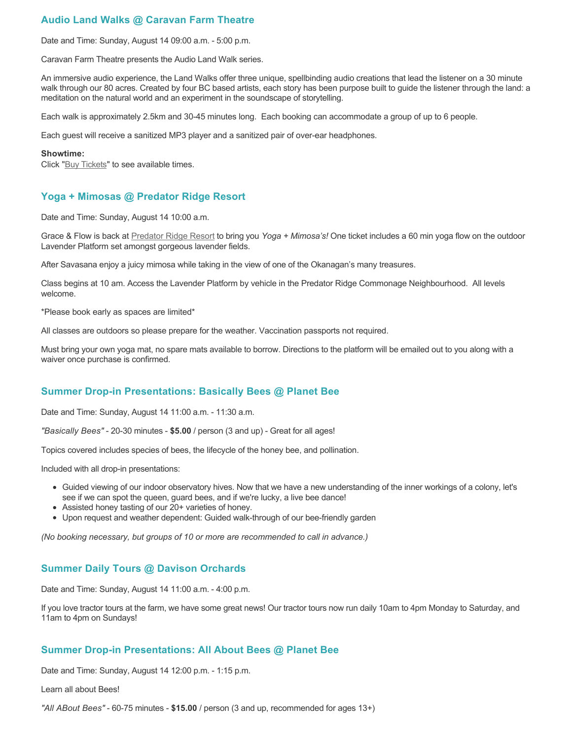# **Audio Land Walks @ Caravan Farm Theatre**

Date and Time: Sunday, August 14 09:00 a.m. - 5:00 p.m.

Caravan Farm Theatre presents the Audio Land Walk series.

An immersive audio experience, the Land Walks offer three unique, spellbinding audio creations that lead the listener on a 30 minute walk through our 80 acres. Created by four BC based artists, each story has been purpose built to guide the listener through the land: a meditation on the natural world and an experiment in the soundscape of storytelling.

Each walk is approximately 2.5km and 30-45 minutes long. Each booking can accommodate a group of up to 6 people.

Each guest will receive a sanitized MP3 player and a sanitized pair of over-ear headphones.

#### **Showtime:**

Click "[Buy Tickets](https://caravanfarmtheatre.com/show/the-land-walks/?ct=t%28EMAIL_CAMPAIGN_4_19_2022_13_43SEASON+2022%29&mc_cid=c02afad356&mc_eid=4778eb8892)" to see available times.

## **Yoga + Mimosas @ Predator Ridge Resort**

Date and Time: Sunday, August 14 10:00 a.m.

Grace & Flow is back at [Predator Ridge Resort](https://www.predatorridge.com/events) to bring you *Yoga + Mimosa's!* One ticket includes a 60 min yoga flow on the outdoor Lavender Platform set amongst gorgeous lavender fields.

After Savasana enjoy a juicy mimosa while taking in the view of one of the Okanagan's many treasures.

Class begins at 10 am. Access the Lavender Platform by vehicle in the Predator Ridge Commonage Neighbourhood. All levels welcome.

\*Please book early as spaces are limited\*

All classes are outdoors so please prepare for the weather. Vaccination passports not required.

Must bring your own yoga mat, no spare mats available to borrow. Directions to the platform will be emailed out to you along with a waiver once purchase is confirmed.

## **Summer Drop-in Presentations: Basically Bees @ Planet Bee**

Date and Time: Sunday, August 14 11:00 a.m. - 11:30 a.m.

*"Basically Bees"* - 20-30 minutes - **\$5.00** / person (3 and up) - Great for all ages!

Topics covered includes species of bees, the lifecycle of the honey bee, and pollination.

Included with all drop-in presentations:

- Guided viewing of our indoor observatory hives. Now that we have a new understanding of the inner workings of a colony, let's see if we can spot the queen, guard bees, and if we're lucky, a live bee dance!
- Assisted honey tasting of our 20+ varieties of honey.
- Upon request and weather dependent: Guided walk-through of our bee-friendly garden

*(No booking necessary, but groups of 10 or more are recommended to call in advance.)*

# **Summer Daily Tours @ Davison Orchards**

Date and Time: Sunday, August 14 11:00 a.m. - 4:00 p.m.

If you love tractor tours at the farm, we have some great news! Our tractor tours now run daily 10am to 4pm Monday to Saturday, and 11am to 4pm on Sundays!

## **Summer Drop-in Presentations: All About Bees @ Planet Bee**

Date and Time: Sunday, August 14 12:00 p.m. - 1:15 p.m.

Learn all about Bees!

*"All ABout Bees"* - 60-75 minutes - **\$15.00** / person (3 and up, recommended for ages 13+)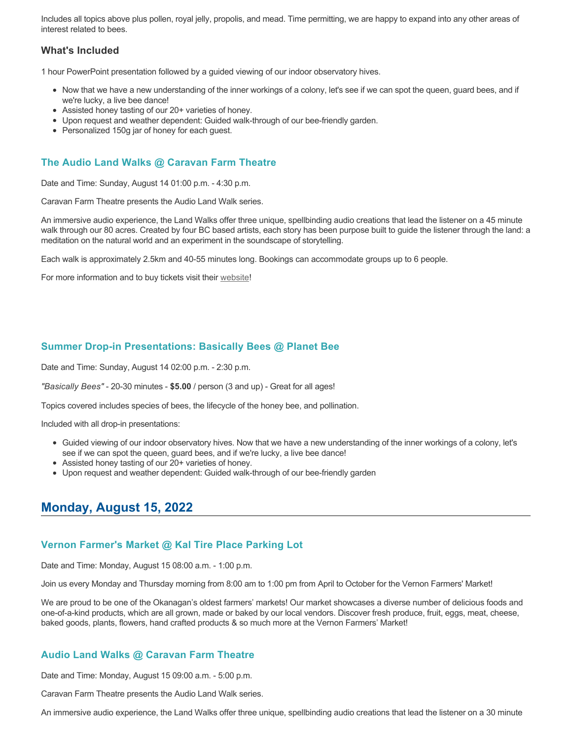Includes all topics above plus pollen, royal jelly, propolis, and mead. Time permitting, we are happy to expand into any other areas of interest related to bees.

## **What's Included**

1 hour PowerPoint presentation followed by a guided viewing of our indoor observatory hives.

- Now that we have a new understanding of the inner workings of a colony, let's see if we can spot the queen, guard bees, and if we're lucky, a live bee dance!
- Assisted honey tasting of our 20+ varieties of honey.
- Upon request and weather dependent: Guided walk-through of our bee-friendly garden.
- Personalized 150g jar of honey for each guest.

# **The Audio Land Walks @ Caravan Farm Theatre**

Date and Time: Sunday, August 14 01:00 p.m. - 4:30 p.m.

Caravan Farm Theatre presents the Audio Land Walk series.

An immersive audio experience, the Land Walks offer three unique, spellbinding audio creations that lead the listener on a 45 minute walk through our 80 acres. Created by four BC based artists, each story has been purpose built to guide the listener through the land: a meditation on the natural world and an experiment in the soundscape of storytelling.

Each walk is approximately 2.5km and 40-55 minutes long. Bookings can accommodate groups up to 6 people.

For more information and to buy tickets visit their [website!](https://caravanfarmtheatre.com/show/the-land-walks/)

## **Summer Drop-in Presentations: Basically Bees @ Planet Bee**

Date and Time: Sunday, August 14 02:00 p.m. - 2:30 p.m.

*"Basically Bees"* - 20-30 minutes - **\$5.00** / person (3 and up) - Great for all ages!

Topics covered includes species of bees, the lifecycle of the honey bee, and pollination.

Included with all drop-in presentations:

- Guided viewing of our indoor observatory hives. Now that we have a new understanding of the inner workings of a colony, let's see if we can spot the queen, guard bees, and if we're lucky, a live bee dance!
- Assisted honey tasting of our 20+ varieties of honey.
- Upon request and weather dependent: Guided walk-through of our bee-friendly garden

# **Monday, August 15, 2022**

#### **Vernon Farmer's Market @ Kal Tire Place Parking Lot**

Date and Time: Monday, August 15 08:00 a.m. - 1:00 p.m.

Join us every Monday and Thursday morning from 8:00 am to 1:00 pm from April to October for the Vernon Farmers' Market!

We are proud to be one of the Okanagan's oldest farmers' markets! Our market showcases a diverse number of delicious foods and one-of-a-kind products, which are all grown, made or baked by our local vendors. Discover fresh produce, fruit, eggs, meat, cheese, baked goods, plants, flowers, hand crafted products & so much more at the Vernon Farmers' Market!

## **Audio Land Walks @ Caravan Farm Theatre**

Date and Time: Monday, August 15 09:00 a.m. - 5:00 p.m.

Caravan Farm Theatre presents the Audio Land Walk series.

An immersive audio experience, the Land Walks offer three unique, spellbinding audio creations that lead the listener on a 30 minute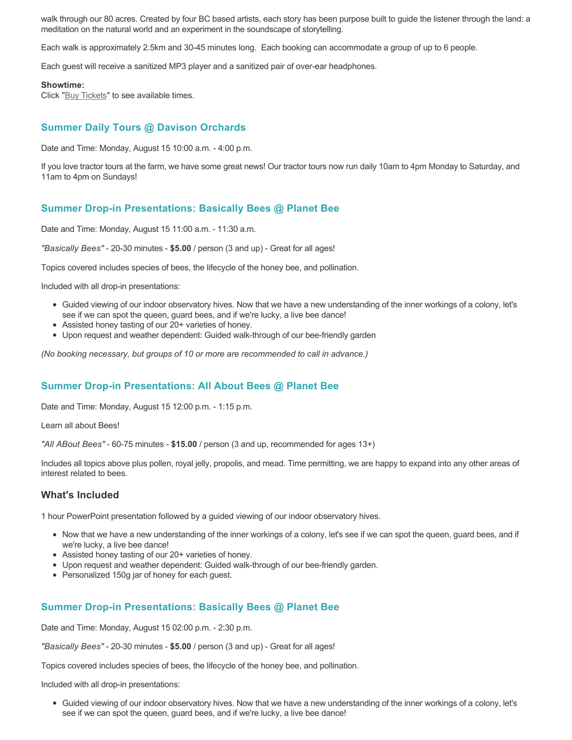walk through our 80 acres. Created by four BC based artists, each story has been purpose built to guide the listener through the land: a meditation on the natural world and an experiment in the soundscape of storytelling.

Each walk is approximately 2.5km and 30-45 minutes long. Each booking can accommodate a group of up to 6 people.

Each guest will receive a sanitized MP3 player and a sanitized pair of over-ear headphones.

#### **Showtime:**

Click "[Buy Tickets](https://caravanfarmtheatre.com/show/the-land-walks/?ct=t%28EMAIL_CAMPAIGN_4_19_2022_13_43SEASON+2022%29&mc_cid=c02afad356&mc_eid=4778eb8892)" to see available times.

# **Summer Daily Tours @ Davison Orchards**

Date and Time: Monday, August 15 10:00 a.m. - 4:00 p.m.

If you love tractor tours at the farm, we have some great news! Our tractor tours now run daily 10am to 4pm Monday to Saturday, and 11am to 4pm on Sundays!

## **Summer Drop-in Presentations: Basically Bees @ Planet Bee**

Date and Time: Monday, August 15 11:00 a.m. - 11:30 a.m.

*"Basically Bees"* - 20-30 minutes - **\$5.00** / person (3 and up) - Great for all ages!

Topics covered includes species of bees, the lifecycle of the honey bee, and pollination.

Included with all drop-in presentations:

- Guided viewing of our indoor observatory hives. Now that we have a new understanding of the inner workings of a colony, let's see if we can spot the queen, guard bees, and if we're lucky, a live bee dance!
- Assisted honey tasting of our 20+ varieties of honey.
- Upon request and weather dependent: Guided walk-through of our bee-friendly garden

*(No booking necessary, but groups of 10 or more are recommended to call in advance.)*

## **Summer Drop-in Presentations: All About Bees @ Planet Bee**

Date and Time: Monday, August 15 12:00 p.m. - 1:15 p.m.

Learn all about Bees!

*"All ABout Bees"* - 60-75 minutes - **\$15.00** / person (3 and up, recommended for ages 13+)

Includes all topics above plus pollen, royal jelly, propolis, and mead. Time permitting, we are happy to expand into any other areas of interest related to bees.

#### **What's Included**

1 hour PowerPoint presentation followed by a guided viewing of our indoor observatory hives.

- Now that we have a new understanding of the inner workings of a colony, let's see if we can spot the queen, guard bees, and if we're lucky, a live bee dance!
- Assisted honey tasting of our 20+ varieties of honey.
- Upon request and weather dependent: Guided walk-through of our bee-friendly garden.
- Personalized 150g jar of honey for each guest.

# **Summer Drop-in Presentations: Basically Bees @ Planet Bee**

Date and Time: Monday, August 15 02:00 p.m. - 2:30 p.m.

*"Basically Bees"* - 20-30 minutes - **\$5.00** / person (3 and up) - Great for all ages!

Topics covered includes species of bees, the lifecycle of the honey bee, and pollination.

Included with all drop-in presentations:

Guided viewing of our indoor observatory hives. Now that we have a new understanding of the inner workings of a colony, let's see if we can spot the queen, guard bees, and if we're lucky, a live bee dance!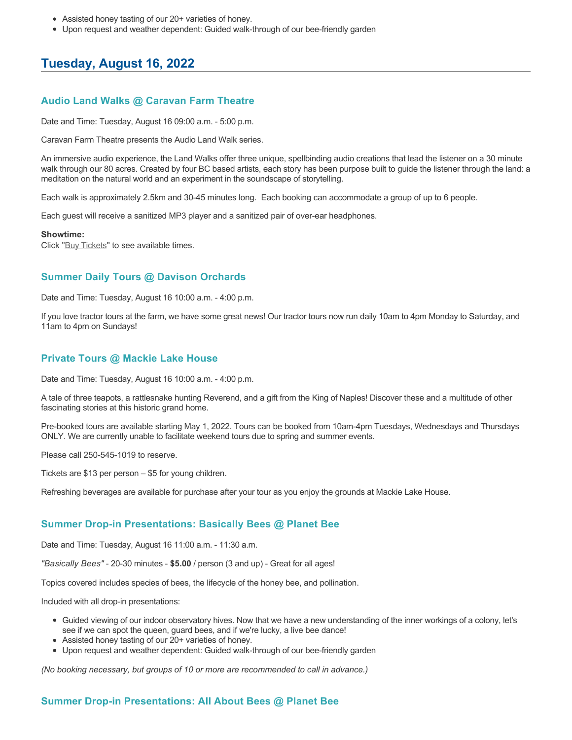- Assisted honey tasting of our 20+ varieties of honey.
- Upon request and weather dependent: Guided walk-through of our bee-friendly garden

# **Tuesday, August 16, 2022**

# **Audio Land Walks @ Caravan Farm Theatre**

Date and Time: Tuesday, August 16 09:00 a.m. - 5:00 p.m.

Caravan Farm Theatre presents the Audio Land Walk series.

An immersive audio experience, the Land Walks offer three unique, spellbinding audio creations that lead the listener on a 30 minute walk through our 80 acres. Created by four BC based artists, each story has been purpose built to guide the listener through the land: a meditation on the natural world and an experiment in the soundscape of storytelling.

Each walk is approximately 2.5km and 30-45 minutes long. Each booking can accommodate a group of up to 6 people.

Each guest will receive a sanitized MP3 player and a sanitized pair of over-ear headphones.

#### **Showtime:**

Click "[Buy Tickets](https://caravanfarmtheatre.com/show/the-land-walks/?ct=t%28EMAIL_CAMPAIGN_4_19_2022_13_43SEASON+2022%29&mc_cid=c02afad356&mc_eid=4778eb8892)" to see available times.

## **Summer Daily Tours @ Davison Orchards**

Date and Time: Tuesday, August 16 10:00 a.m. - 4:00 p.m.

If you love tractor tours at the farm, we have some great news! Our tractor tours now run daily 10am to 4pm Monday to Saturday, and 11am to 4pm on Sundays!

## **Private Tours @ Mackie Lake House**

Date and Time: Tuesday, August 16 10:00 a.m. - 4:00 p.m.

A tale of three teapots, a rattlesnake hunting Reverend, and a gift from the King of Naples! Discover these and a multitude of other fascinating stories at this historic grand home.

Pre-booked tours are available starting May 1, 2022. Tours can be booked from 10am-4pm Tuesdays, Wednesdays and Thursdays ONLY. We are currently unable to facilitate weekend tours due to spring and summer events.

Please call 250-545-1019 to reserve.

Tickets are \$13 per person – \$5 for young children.

Refreshing beverages are available for purchase after your tour as you enjoy the grounds at Mackie Lake House.

## **Summer Drop-in Presentations: Basically Bees @ Planet Bee**

Date and Time: Tuesday, August 16 11:00 a.m. - 11:30 a.m.

*"Basically Bees"* - 20-30 minutes - **\$5.00** / person (3 and up) - Great for all ages!

Topics covered includes species of bees, the lifecycle of the honey bee, and pollination.

Included with all drop-in presentations:

- Guided viewing of our indoor observatory hives. Now that we have a new understanding of the inner workings of a colony, let's see if we can spot the queen, guard bees, and if we're lucky, a live bee dance!
- Assisted honey tasting of our 20+ varieties of honey.
- Upon request and weather dependent: Guided walk-through of our bee-friendly garden

*(No booking necessary, but groups of 10 or more are recommended to call in advance.)*

## **Summer Drop-in Presentations: All About Bees @ Planet Bee**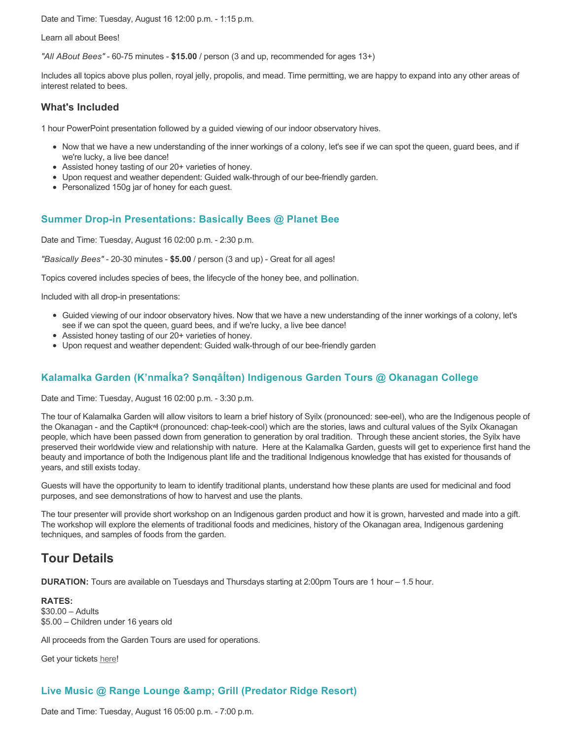Date and Time: Tuesday, August 16 12:00 p.m. - 1:15 p.m.

Learn all about Bees!

*"All ABout Bees"* - 60-75 minutes - **\$15.00** / person (3 and up, recommended for ages 13+)

Includes all topics above plus pollen, royal jelly, propolis, and mead. Time permitting, we are happy to expand into any other areas of interest related to bees.

#### **What's Included**

1 hour PowerPoint presentation followed by a guided viewing of our indoor observatory hives.

- Now that we have a new understanding of the inner workings of a colony, let's see if we can spot the queen, guard bees, and if we're lucky, a live bee dance!
- Assisted honey tasting of our 20+ varieties of honey.
- Upon request and weather dependent: Guided walk-through of our bee-friendly garden.
- Personalized 150g jar of honey for each guest.

## **Summer Drop-in Presentations: Basically Bees @ Planet Bee**

Date and Time: Tuesday, August 16 02:00 p.m. - 2:30 p.m.

*"Basically Bees"* - 20-30 minutes - **\$5.00** / person (3 and up) - Great for all ages!

Topics covered includes species of bees, the lifecycle of the honey bee, and pollination.

Included with all drop-in presentations:

- Guided viewing of our indoor observatory hives. Now that we have a new understanding of the inner workings of a colony, let's see if we can spot the queen, guard bees, and if we're lucky, a live bee dance!
- Assisted honey tasting of our 20+ varieties of honey.
- Upon request and weather dependent: Guided walk-through of our bee-friendly garden

# **Kalamalka Garden (K'nmaĺka? Sәnqâĺtәn) Indigenous Garden Tours @ Okanagan College**

Date and Time: Tuesday, August 16 02:00 p.m. - 3:30 p.m.

The tour of Kalamalka Garden will allow visitors to learn a brief history of Syilx (pronounced: see-eel), who are the Indigenous people of the Okanagan - and the Captikʷł (pronounced: chap-teek-cool) which are the stories, laws and cultural values of the Syilx Okanagan people, which have been passed down from generation to generation by oral tradition. Through these ancient stories, the Syilx have preserved their worldwide view and relationship with nature. Here at the Kalamalka Garden, guests will get to experience first hand the beauty and importance of both the Indigenous plant life and the traditional Indigenous knowledge that has existed for thousands of years, and still exists today.

Guests will have the opportunity to learn to identify traditional plants, understand how these plants are used for medicinal and food purposes, and see demonstrations of how to harvest and use the plants.

The tour presenter will provide short workshop on an Indigenous garden product and how it is grown, harvested and made into a gift. The workshop will explore the elements of traditional foods and medicines, history of the Okanagan area, Indigenous gardening techniques, and samples of foods from the garden.

# **Tour Details**

**DURATION:** Tours are available on Tuesdays and Thursdays starting at 2:00pm Tours are 1 hour – 1.5 hour.

**RATES:** \$30.00 – Adults \$5.00 – Children under 16 years old

All proceeds from the Garden Tours are used for operations.

Get your tickets [here!](https://www.eventbrite.ca/e/kalamalka-garden-tour-tickets-158617843239)

# **Live Music @ Range Lounge & Grill (Predator Ridge Resort)**

Date and Time: Tuesday, August 16 05:00 p.m. - 7:00 p.m.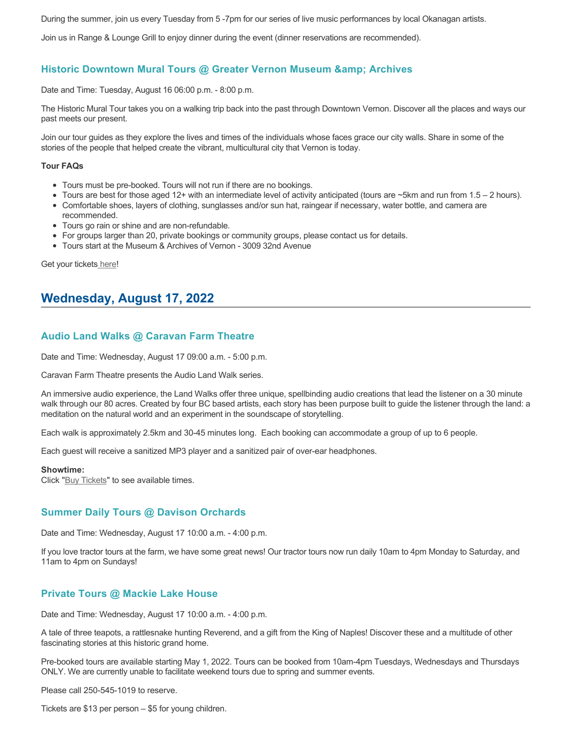During the summer, join us every Tuesday from 5 -7pm for our series of live music performances by local Okanagan artists.

Join us in Range & Lounge Grill to enjoy dinner during the event (dinner reservations are recommended).

# **Historic Downtown Mural Tours @ Greater Vernon Museum & Archives**

Date and Time: Tuesday, August 16 06:00 p.m. - 8:00 p.m.

The Historic Mural Tour takes you on a walking trip back into the past through Downtown Vernon. Discover all the places and ways our past meets our present.

Join our tour guides as they explore the lives and times of the individuals whose faces grace our city walls. Share in some of the stories of the people that helped create the vibrant, multicultural city that Vernon is today.

#### **Tour FAQs**

- Tours must be pre-booked. Tours will not run if there are no bookings.
- Tours are best for those aged 12+ with an intermediate level of activity anticipated (tours are ~5km and run from 1.5 2 hours).
- Comfortable shoes, layers of clothing, sunglasses and/or sun hat, raingear if necessary, water bottle, and camera are recommended.
- Tours go rain or shine and are non-refundable.
- For groups larger than 20, private bookings or community groups, please contact us for details.
- Tours start at the Museum & Archives of Vernon 3009 32nd Avenue

Get your tickets [here!](https://www.eventbrite.com/e/historic-downtown-mural-tours-tickets-304983342387)

# **Wednesday, August 17, 2022**

## **Audio Land Walks @ Caravan Farm Theatre**

Date and Time: Wednesday, August 17 09:00 a.m. - 5:00 p.m.

Caravan Farm Theatre presents the Audio Land Walk series.

An immersive audio experience, the Land Walks offer three unique, spellbinding audio creations that lead the listener on a 30 minute walk through our 80 acres. Created by four BC based artists, each story has been purpose built to guide the listener through the land: a meditation on the natural world and an experiment in the soundscape of storytelling.

Each walk is approximately 2.5km and 30-45 minutes long. Each booking can accommodate a group of up to 6 people.

Each guest will receive a sanitized MP3 player and a sanitized pair of over-ear headphones.

#### **Showtime:**

Click "[Buy Tickets](https://caravanfarmtheatre.com/show/the-land-walks/?ct=t%28EMAIL_CAMPAIGN_4_19_2022_13_43SEASON+2022%29&mc_cid=c02afad356&mc_eid=4778eb8892)" to see available times.

## **Summer Daily Tours @ Davison Orchards**

Date and Time: Wednesday, August 17 10:00 a.m. - 4:00 p.m.

If you love tractor tours at the farm, we have some great news! Our tractor tours now run daily 10am to 4pm Monday to Saturday, and 11am to 4pm on Sundays!

#### **Private Tours @ Mackie Lake House**

Date and Time: Wednesday, August 17 10:00 a.m. - 4:00 p.m.

A tale of three teapots, a rattlesnake hunting Reverend, and a gift from the King of Naples! Discover these and a multitude of other fascinating stories at this historic grand home.

Pre-booked tours are available starting May 1, 2022. Tours can be booked from 10am-4pm Tuesdays, Wednesdays and Thursdays ONLY. We are currently unable to facilitate weekend tours due to spring and summer events.

Please call 250-545-1019 to reserve.

Tickets are \$13 per person – \$5 for young children.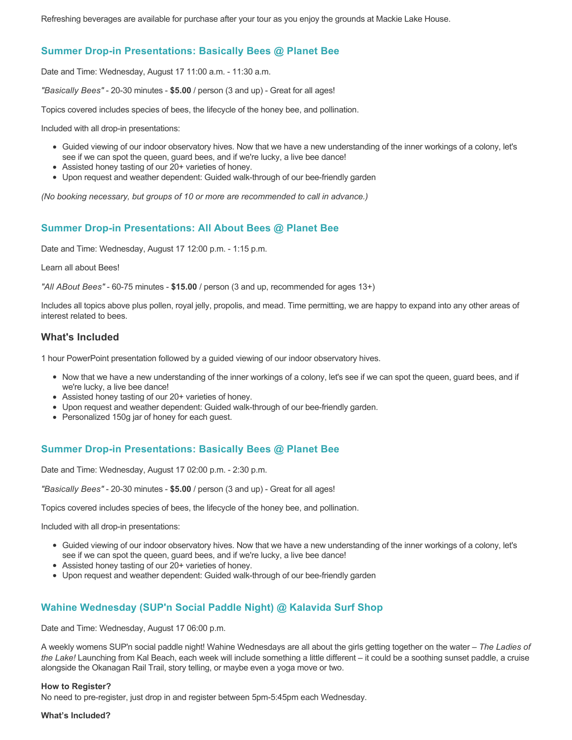Refreshing beverages are available for purchase after your tour as you enjoy the grounds at Mackie Lake House.

## **Summer Drop-in Presentations: Basically Bees @ Planet Bee**

Date and Time: Wednesday, August 17 11:00 a.m. - 11:30 a.m.

*"Basically Bees"* - 20-30 minutes - **\$5.00** / person (3 and up) - Great for all ages!

Topics covered includes species of bees, the lifecycle of the honey bee, and pollination.

Included with all drop-in presentations:

- Guided viewing of our indoor observatory hives. Now that we have a new understanding of the inner workings of a colony, let's see if we can spot the queen, guard bees, and if we're lucky, a live bee dance!
- Assisted honey tasting of our 20+ varieties of honey.
- Upon request and weather dependent: Guided walk-through of our bee-friendly garden

*(No booking necessary, but groups of 10 or more are recommended to call in advance.)*

## **Summer Drop-in Presentations: All About Bees @ Planet Bee**

Date and Time: Wednesday, August 17 12:00 p.m. - 1:15 p.m.

Learn all about Bees!

*"All ABout Bees"* - 60-75 minutes - **\$15.00** / person (3 and up, recommended for ages 13+)

Includes all topics above plus pollen, royal jelly, propolis, and mead. Time permitting, we are happy to expand into any other areas of interest related to bees.

## **What's Included**

1 hour PowerPoint presentation followed by a guided viewing of our indoor observatory hives.

- Now that we have a new understanding of the inner workings of a colony, let's see if we can spot the queen, guard bees, and if we're lucky, a live bee dance!
- Assisted honey tasting of our 20+ varieties of honey.
- Upon request and weather dependent: Guided walk-through of our bee-friendly garden.
- Personalized 150g jar of honey for each guest.

## **Summer Drop-in Presentations: Basically Bees @ Planet Bee**

Date and Time: Wednesday, August 17 02:00 p.m. - 2:30 p.m.

*"Basically Bees"* - 20-30 minutes - **\$5.00** / person (3 and up) - Great for all ages!

Topics covered includes species of bees, the lifecycle of the honey bee, and pollination.

Included with all drop-in presentations:

- Guided viewing of our indoor observatory hives. Now that we have a new understanding of the inner workings of a colony, let's see if we can spot the queen, guard bees, and if we're lucky, a live bee dance!
- Assisted honey tasting of our 20+ varieties of honey.
- Upon request and weather dependent: Guided walk-through of our bee-friendly garden

# **Wahine Wednesday (SUP'n Social Paddle Night) @ Kalavida Surf Shop**

Date and Time: Wednesday, August 17 06:00 p.m.

A weekly womens SUP'n social paddle night! Wahine Wednesdays are all about the girls getting together on the water – *The Ladies of the Lake!* Launching from Kal Beach, each week will include something a little different – it could be a soothing sunset paddle, a cruise alongside the Okanagan Rail Trail, story telling, or maybe even a yoga move or two.

#### **How to Register?**

No need to pre-register, just drop in and register between 5pm-5:45pm each Wednesday.

#### **What's Included?**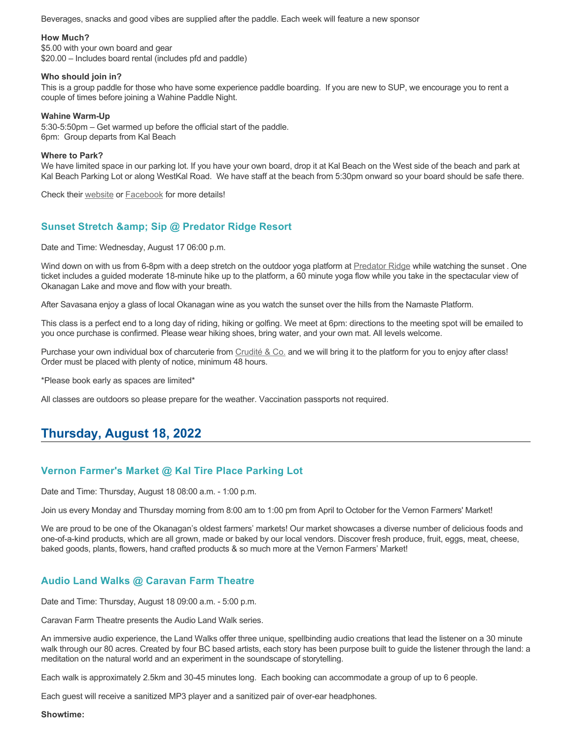Beverages, snacks and good vibes are supplied after the paddle. Each week will feature a new sponsor

#### **How Much?**

\$5.00 with your own board and gear \$20.00 – Includes board rental (includes pfd and paddle)

#### **Who should join in?**

This is a group paddle for those who have some experience paddle boarding. If you are new to SUP, we encourage you to rent a couple of times before joining a Wahine Paddle Night.

#### **Wahine Warm-Up**

5:30-5:50pm – Get warmed up before the official start of the paddle. 6pm: Group departs from Kal Beach

#### **Where to Park?**

We have limited space in our parking lot. If you have your own board, drop it at Kal Beach on the West side of the beach and park at Kal Beach Parking Lot or along WestKal Road. We have staff at the beach from 5:30pm onward so your board should be safe there.

Check their [website](https://kalavidasurfshop.com/wahine-wednesday-kalavida/) or [Facebook](https://www.facebook.com/kalavidasurfshop/) for more details!

# **Sunset Stretch & Sip @ Predator Ridge Resort**

Date and Time: Wednesday, August 17 06:00 p.m.

Wind down on with us from 6-8pm with a deep stretch on the outdoor yoga platform at [Predator Ridge](https://www.predatorridge.com/events) while watching the sunset. One ticket includes a guided moderate 18-minute hike up to the platform, a 60 minute yoga flow while you take in the spectacular view of Okanagan Lake and move and flow with your breath.

After Savasana enjoy a glass of local Okanagan wine as you watch the sunset over the hills from the Namaste Platform.

This class is a perfect end to a long day of riding, hiking or golfing. We meet at 6pm: directions to the meeting spot will be emailed to you once purchase is confirmed. Please wear hiking shoes, bring water, and your own mat. All levels welcome.

Purchase your own individual box of charcuterie from [Crudité & Co.](https://cruditeandco.com/product/picnic-platter/) and we will bring it to the platform for you to enjoy after class! Order must be placed with plenty of notice, minimum 48 hours.

\*Please book early as spaces are limited\*

All classes are outdoors so please prepare for the weather. Vaccination passports not required.

# **Thursday, August 18, 2022**

# **Vernon Farmer's Market @ Kal Tire Place Parking Lot**

Date and Time: Thursday, August 18 08:00 a.m. - 1:00 p.m.

Join us every Monday and Thursday morning from 8:00 am to 1:00 pm from April to October for the Vernon Farmers' Market!

We are proud to be one of the Okanagan's oldest farmers' markets! Our market showcases a diverse number of delicious foods and one-of-a-kind products, which are all grown, made or baked by our local vendors. Discover fresh produce, fruit, eggs, meat, cheese, baked goods, plants, flowers, hand crafted products & so much more at the Vernon Farmers' Market!

# **Audio Land Walks @ Caravan Farm Theatre**

Date and Time: Thursday, August 18 09:00 a.m. - 5:00 p.m.

Caravan Farm Theatre presents the Audio Land Walk series.

An immersive audio experience, the Land Walks offer three unique, spellbinding audio creations that lead the listener on a 30 minute walk through our 80 acres. Created by four BC based artists, each story has been purpose built to guide the listener through the land: a meditation on the natural world and an experiment in the soundscape of storytelling.

Each walk is approximately 2.5km and 30-45 minutes long. Each booking can accommodate a group of up to 6 people.

Each guest will receive a sanitized MP3 player and a sanitized pair of over-ear headphones.

**Showtime:**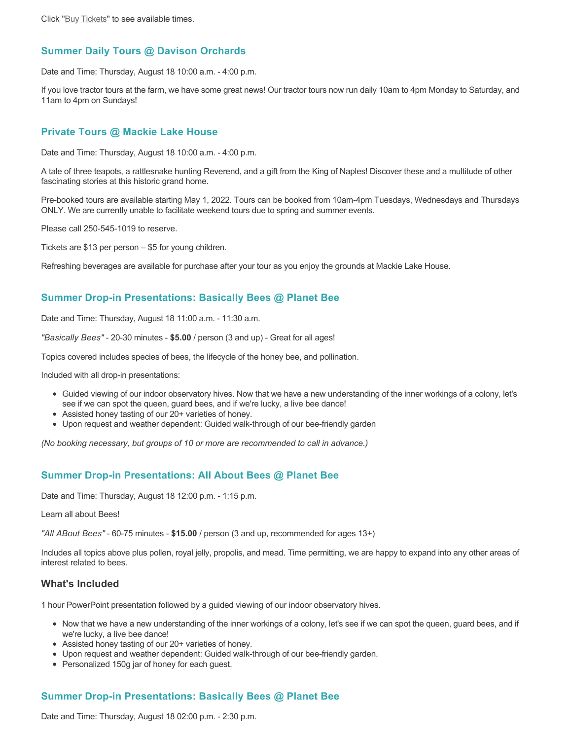## **Summer Daily Tours @ Davison Orchards**

Date and Time: Thursday, August 18 10:00 a.m. - 4:00 p.m.

If you love tractor tours at the farm, we have some great news! Our tractor tours now run daily 10am to 4pm Monday to Saturday, and 11am to 4pm on Sundays!

#### **Private Tours @ Mackie Lake House**

Date and Time: Thursday, August 18 10:00 a.m. - 4:00 p.m.

A tale of three teapots, a rattlesnake hunting Reverend, and a gift from the King of Naples! Discover these and a multitude of other fascinating stories at this historic grand home.

Pre-booked tours are available starting May 1, 2022. Tours can be booked from 10am-4pm Tuesdays, Wednesdays and Thursdays ONLY. We are currently unable to facilitate weekend tours due to spring and summer events.

Please call 250-545-1019 to reserve.

Tickets are \$13 per person – \$5 for young children.

Refreshing beverages are available for purchase after your tour as you enjoy the grounds at Mackie Lake House.

#### **Summer Drop-in Presentations: Basically Bees @ Planet Bee**

Date and Time: Thursday, August 18 11:00 a.m. - 11:30 a.m.

*"Basically Bees"* - 20-30 minutes - **\$5.00** / person (3 and up) - Great for all ages!

Topics covered includes species of bees, the lifecycle of the honey bee, and pollination.

Included with all drop-in presentations:

- Guided viewing of our indoor observatory hives. Now that we have a new understanding of the inner workings of a colony, let's see if we can spot the queen, guard bees, and if we're lucky, a live bee dance!
- Assisted honey tasting of our 20+ varieties of honey.
- Upon request and weather dependent: Guided walk-through of our bee-friendly garden

*(No booking necessary, but groups of 10 or more are recommended to call in advance.)*

## **Summer Drop-in Presentations: All About Bees @ Planet Bee**

Date and Time: Thursday, August 18 12:00 p.m. - 1:15 p.m.

Learn all about Bees!

*"All ABout Bees"* - 60-75 minutes - **\$15.00** / person (3 and up, recommended for ages 13+)

Includes all topics above plus pollen, royal jelly, propolis, and mead. Time permitting, we are happy to expand into any other areas of interest related to bees.

#### **What's Included**

1 hour PowerPoint presentation followed by a guided viewing of our indoor observatory hives.

- Now that we have a new understanding of the inner workings of a colony, let's see if we can spot the queen, guard bees, and if we're lucky, a live bee dance!
- Assisted honey tasting of our 20+ varieties of honey.
- Upon request and weather dependent: Guided walk-through of our bee-friendly garden.
- Personalized 150g jar of honey for each guest.

## **Summer Drop-in Presentations: Basically Bees @ Planet Bee**

Date and Time: Thursday, August 18 02:00 p.m. - 2:30 p.m.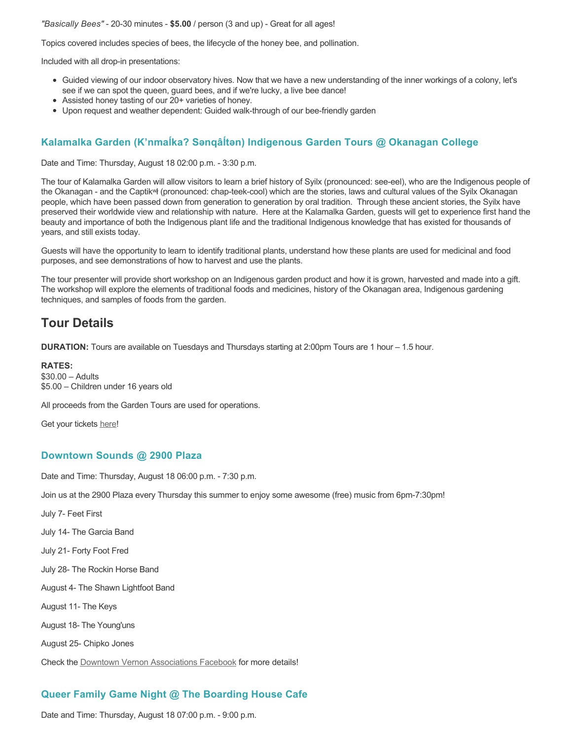#### *"Basically Bees"* - 20-30 minutes - **\$5.00** / person (3 and up) - Great for all ages!

Topics covered includes species of bees, the lifecycle of the honey bee, and pollination.

Included with all drop-in presentations:

- Guided viewing of our indoor observatory hives. Now that we have a new understanding of the inner workings of a colony, let's see if we can spot the queen, guard bees, and if we're lucky, a live bee dance!
- Assisted honey tasting of our 20+ varieties of honey.
- Upon request and weather dependent: Guided walk-through of our bee-friendly garden

# **Kalamalka Garden (K'nmaĺka? Sәnqâĺtәn) Indigenous Garden Tours @ Okanagan College**

Date and Time: Thursday, August 18 02:00 p.m. - 3:30 p.m.

The tour of Kalamalka Garden will allow visitors to learn a brief history of Syilx (pronounced: see-eel), who are the Indigenous people of the Okanagan - and the Captikʷł (pronounced: chap-teek-cool) which are the stories, laws and cultural values of the Syilx Okanagan people, which have been passed down from generation to generation by oral tradition. Through these ancient stories, the Syilx have preserved their worldwide view and relationship with nature. Here at the Kalamalka Garden, guests will get to experience first hand the beauty and importance of both the Indigenous plant life and the traditional Indigenous knowledge that has existed for thousands of years, and still exists today.

Guests will have the opportunity to learn to identify traditional plants, understand how these plants are used for medicinal and food purposes, and see demonstrations of how to harvest and use the plants.

The tour presenter will provide short workshop on an Indigenous garden product and how it is grown, harvested and made into a gift. The workshop will explore the elements of traditional foods and medicines, history of the Okanagan area, Indigenous gardening techniques, and samples of foods from the garden.

# **Tour Details**

**DURATION:** Tours are available on Tuesdays and Thursdays starting at 2:00pm Tours are 1 hour – 1.5 hour.

**RATES:** \$30.00 – Adults \$5.00 – Children under 16 years old

All proceeds from the Garden Tours are used for operations.

Get your tickets [here!](https://www.eventbrite.ca/e/kalamalka-garden-tour-tickets-158617843239)

#### **Downtown Sounds @ 2900 Plaza**

Date and Time: Thursday, August 18 06:00 p.m. - 7:30 p.m.

Join us at the 2900 Plaza every Thursday this summer to enjoy some awesome (free) music from 6pm-7:30pm!

July 7- Feet First

July 14- The Garcia Band

July 21- Forty Foot Fred

July 28- The Rockin Horse Band

August 4- The Shawn Lightfoot Band

August 11- The Keys

August 18- The Young'uns

August 25- Chipko Jones

Check the [Downtown Vernon Associations Facebook](https://www.facebook.com/downtownvernon/) for more details!

## **Queer Family Game Night @ The Boarding House Cafe**

Date and Time: Thursday, August 18 07:00 p.m. - 9:00 p.m.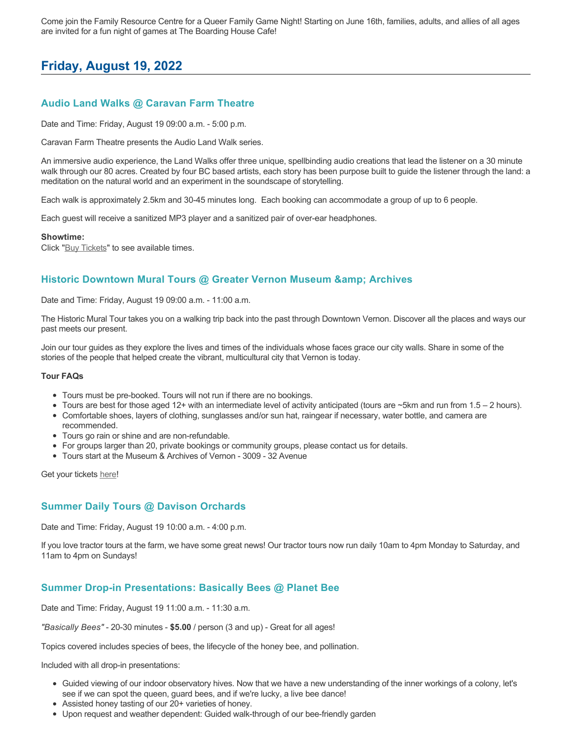Come join the Family Resource Centre for a Queer Family Game Night! Starting on June 16th, families, adults, and allies of all ages are invited for a fun night of games at The Boarding House Cafe!

# **Friday, August 19, 2022**

# **Audio Land Walks @ Caravan Farm Theatre**

Date and Time: Friday, August 19 09:00 a.m. - 5:00 p.m.

Caravan Farm Theatre presents the Audio Land Walk series.

An immersive audio experience, the Land Walks offer three unique, spellbinding audio creations that lead the listener on a 30 minute walk through our 80 acres. Created by four BC based artists, each story has been purpose built to guide the listener through the land: a meditation on the natural world and an experiment in the soundscape of storytelling.

Each walk is approximately 2.5km and 30-45 minutes long. Each booking can accommodate a group of up to 6 people.

Each guest will receive a sanitized MP3 player and a sanitized pair of over-ear headphones.

#### **Showtime:**

Click "[Buy Tickets](https://caravanfarmtheatre.com/show/the-land-walks/?ct=t%28EMAIL_CAMPAIGN_4_19_2022_13_43SEASON+2022%29&mc_cid=c02afad356&mc_eid=4778eb8892)" to see available times.

### **Historic Downtown Mural Tours @ Greater Vernon Museum & Archives**

Date and Time: Friday, August 19 09:00 a.m. - 11:00 a.m.

The Historic Mural Tour takes you on a walking trip back into the past through Downtown Vernon. Discover all the places and ways our past meets our present.

Join our tour guides as they explore the lives and times of the individuals whose faces grace our city walls. Share in some of the stories of the people that helped create the vibrant, multicultural city that Vernon is today.

#### **Tour FAQs**

- Tours must be pre-booked. Tours will not run if there are no bookings.
- Tours are best for those aged 12+ with an intermediate level of activity anticipated (tours are ~5km and run from 1.5 2 hours).
- Comfortable shoes, layers of clothing, sunglasses and/or sun hat, raingear if necessary, water bottle, and camera are recommended.
- Tours go rain or shine and are non-refundable.
- For groups larger than 20, private bookings or community groups, please contact us for details.
- Tours start at the Museum & Archives of Vernon 3009 32 Avenue

Get your tickets [here!](https://www.eventbrite.com/e/historic-downtown-mural-tours-tickets-304983342387)

### **Summer Daily Tours @ Davison Orchards**

Date and Time: Friday, August 19 10:00 a.m. - 4:00 p.m.

If you love tractor tours at the farm, we have some great news! Our tractor tours now run daily 10am to 4pm Monday to Saturday, and 11am to 4pm on Sundays!

#### **Summer Drop-in Presentations: Basically Bees @ Planet Bee**

Date and Time: Friday, August 19 11:00 a.m. - 11:30 a.m.

*"Basically Bees"* - 20-30 minutes - **\$5.00** / person (3 and up) - Great for all ages!

Topics covered includes species of bees, the lifecycle of the honey bee, and pollination.

Included with all drop-in presentations:

- Guided viewing of our indoor observatory hives. Now that we have a new understanding of the inner workings of a colony, let's see if we can spot the queen, guard bees, and if we're lucky, a live bee dance!
- Assisted honey tasting of our 20+ varieties of honey.
- Upon request and weather dependent: Guided walk-through of our bee-friendly garden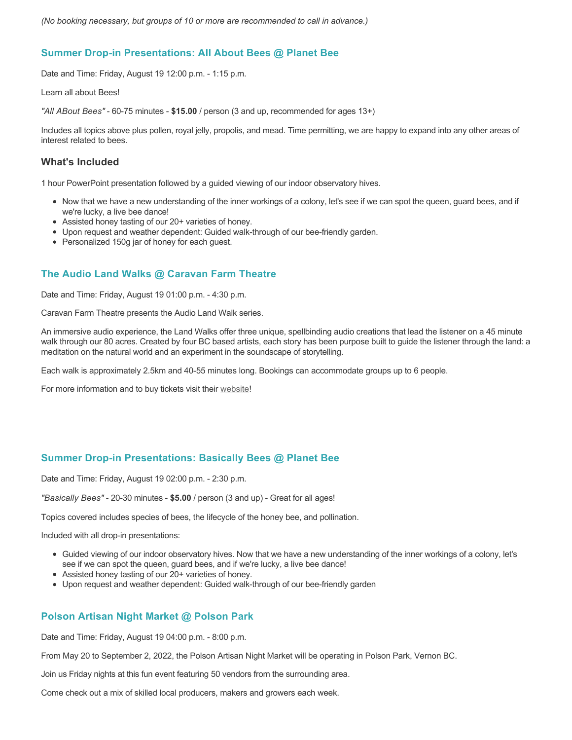### **Summer Drop-in Presentations: All About Bees @ Planet Bee**

Date and Time: Friday, August 19 12:00 p.m. - 1:15 p.m.

Learn all about Bees!

*"All ABout Bees"* - 60-75 minutes - **\$15.00** / person (3 and up, recommended for ages 13+)

Includes all topics above plus pollen, royal jelly, propolis, and mead. Time permitting, we are happy to expand into any other areas of interest related to bees.

### **What's Included**

1 hour PowerPoint presentation followed by a guided viewing of our indoor observatory hives.

- Now that we have a new understanding of the inner workings of a colony, let's see if we can spot the queen, guard bees, and if we're lucky, a live bee dance!
- Assisted honey tasting of our 20+ varieties of honey.
- Upon request and weather dependent: Guided walk-through of our bee-friendly garden.
- Personalized 150g jar of honey for each guest.

# **The Audio Land Walks @ Caravan Farm Theatre**

Date and Time: Friday, August 19 01:00 p.m. - 4:30 p.m.

Caravan Farm Theatre presents the Audio Land Walk series.

An immersive audio experience, the Land Walks offer three unique, spellbinding audio creations that lead the listener on a 45 minute walk through our 80 acres. Created by four BC based artists, each story has been purpose built to guide the listener through the land: a meditation on the natural world and an experiment in the soundscape of storytelling.

Each walk is approximately 2.5km and 40-55 minutes long. Bookings can accommodate groups up to 6 people.

For more information and to buy tickets visit their [website!](https://caravanfarmtheatre.com/show/the-land-walks/)

# **Summer Drop-in Presentations: Basically Bees @ Planet Bee**

Date and Time: Friday, August 19 02:00 p.m. - 2:30 p.m.

*"Basically Bees"* - 20-30 minutes - **\$5.00** / person (3 and up) - Great for all ages!

Topics covered includes species of bees, the lifecycle of the honey bee, and pollination.

Included with all drop-in presentations:

- Guided viewing of our indoor observatory hives. Now that we have a new understanding of the inner workings of a colony, let's see if we can spot the queen, guard bees, and if we're lucky, a live bee dance!
- Assisted honey tasting of our 20+ varieties of honey.
- Upon request and weather dependent: Guided walk-through of our bee-friendly garden

# **Polson Artisan Night Market @ Polson Park**

Date and Time: Friday, August 19 04:00 p.m. - 8:00 p.m.

From May 20 to September 2, 2022, the Polson Artisan Night Market will be operating in Polson Park, Vernon BC.

Join us Friday nights at this fun event featuring 50 vendors from the surrounding area.

Come check out a mix of skilled local producers, makers and growers each week.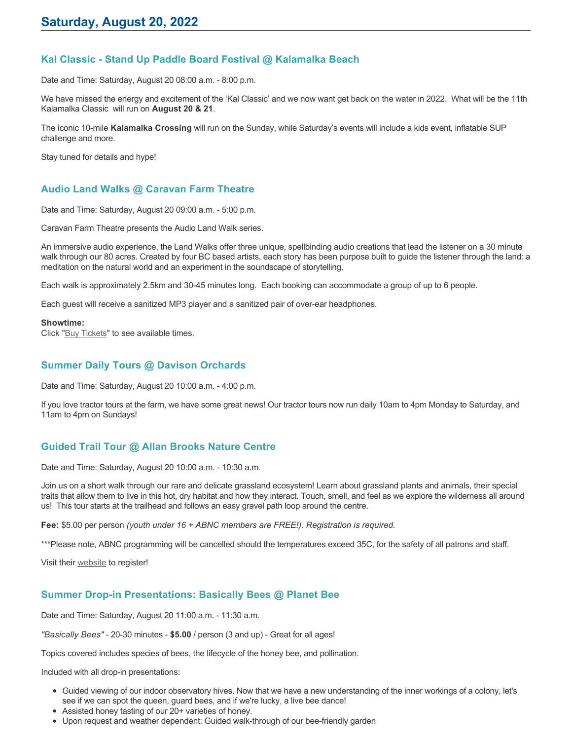# **Kal Classic - Stand Up Paddle Board Festival @ Kalamalka Beach**

Date and Time: Saturday, August 20 08:00 a.m. - 8:00 p.m.

We have missed the energy and excitement of the 'Kal Classic' and we now want get back on the water in 2022. What will be the 11th Kalamalka Classic will run on **August 20 & 21**.

The iconic 10-mile **Kalamalka Crossing** will run on the Sunday, while Saturday's events will include a kids event, inflatable SUP challenge and more.

Stay tuned for details and hype!

# **Audio Land Walks @ Caravan Farm Theatre**

Date and Time: Saturday, August 20 09:00 a.m. - 5:00 p.m.

Caravan Farm Theatre presents the Audio Land Walk series.

An immersive audio experience, the Land Walks offer three unique, spellbinding audio creations that lead the listener on a 30 minute walk through our 80 acres. Created by four BC based artists, each story has been purpose built to guide the listener through the land: a meditation on the natural world and an experiment in the soundscape of storytelling.

Each walk is approximately 2.5km and 30-45 minutes long. Each booking can accommodate a group of up to 6 people.

Each guest will receive a sanitized MP3 player and a sanitized pair of over-ear headphones.

#### **Showtime:**

Click "[Buy Tickets](https://caravanfarmtheatre.com/show/the-land-walks/?ct=t%28EMAIL_CAMPAIGN_4_19_2022_13_43SEASON+2022%29&mc_cid=c02afad356&mc_eid=4778eb8892)" to see available times.

## **Summer Daily Tours @ Davison Orchards**

Date and Time: Saturday, August 20 10:00 a.m. - 4:00 p.m.

If you love tractor tours at the farm, we have some great news! Our tractor tours now run daily 10am to 4pm Monday to Saturday, and 11am to 4pm on Sundays!

# **Guided Trail Tour @ Allan Brooks Nature Centre**

Date and Time: Saturday, August 20 10:00 a.m. - 10:30 a.m.

Join us on a short walk through our rare and delicate grassland ecosystem! Learn about grassland plants and animals, their special traits that allow them to live in this hot, dry habitat and how they interact. Touch, smell, and feel as we explore the wilderness all around us! This tour starts at the trailhead and follows an easy gravel path loop around the centre.

**Fee:** \$5.00 per person *(youth under 16 + ABNC members are FREE!). Registration is required.* 

\*\*\*Please note, ABNC programming will be cancelled should the temperatures exceed 35C, for the safety of all patrons and staff.

Visit their [website](https://abnc.ca/events/events-calendar/) to register!

### **Summer Drop-in Presentations: Basically Bees @ Planet Bee**

Date and Time: Saturday, August 20 11:00 a.m. - 11:30 a.m.

*"Basically Bees"* - 20-30 minutes - **\$5.00** / person (3 and up) - Great for all ages!

Topics covered includes species of bees, the lifecycle of the honey bee, and pollination.

Included with all drop-in presentations:

- Guided viewing of our indoor observatory hives. Now that we have a new understanding of the inner workings of a colony, let's see if we can spot the queen, guard bees, and if we're lucky, a live bee dance!
- Assisted honey tasting of our 20+ varieties of honey.
- Upon request and weather dependent: Guided walk-through of our bee-friendly garden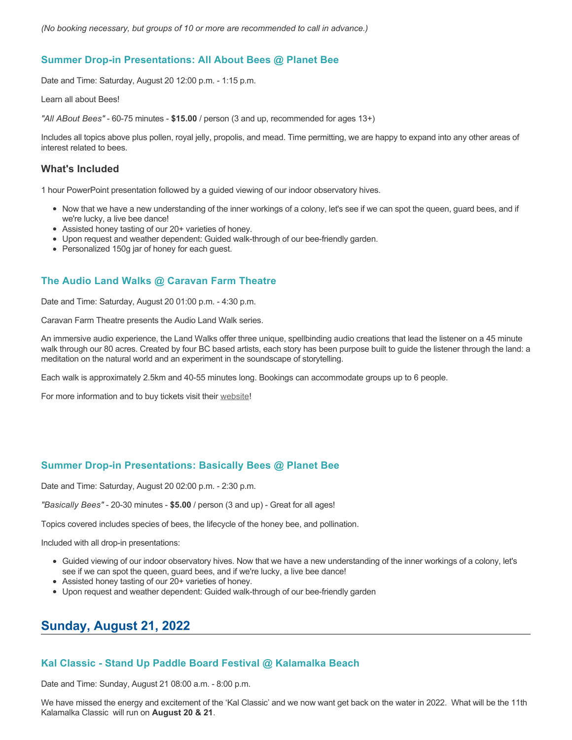### **Summer Drop-in Presentations: All About Bees @ Planet Bee**

Date and Time: Saturday, August 20 12:00 p.m. - 1:15 p.m.

Learn all about Bees!

*"All ABout Bees"* - 60-75 minutes - **\$15.00** / person (3 and up, recommended for ages 13+)

Includes all topics above plus pollen, royal jelly, propolis, and mead. Time permitting, we are happy to expand into any other areas of interest related to bees.

#### **What's Included**

1 hour PowerPoint presentation followed by a guided viewing of our indoor observatory hives.

- Now that we have a new understanding of the inner workings of a colony, let's see if we can spot the queen, guard bees, and if we're lucky, a live bee dance!
- Assisted honey tasting of our 20+ varieties of honey.
- Upon request and weather dependent: Guided walk-through of our bee-friendly garden.
- Personalized 150g jar of honey for each guest.

## **The Audio Land Walks @ Caravan Farm Theatre**

Date and Time: Saturday, August 20 01:00 p.m. - 4:30 p.m.

Caravan Farm Theatre presents the Audio Land Walk series.

An immersive audio experience, the Land Walks offer three unique, spellbinding audio creations that lead the listener on a 45 minute walk through our 80 acres. Created by four BC based artists, each story has been purpose built to guide the listener through the land: a meditation on the natural world and an experiment in the soundscape of storytelling.

Each walk is approximately 2.5km and 40-55 minutes long. Bookings can accommodate groups up to 6 people.

For more information and to buy tickets visit their [website!](https://caravanfarmtheatre.com/show/the-land-walks/)

### **Summer Drop-in Presentations: Basically Bees @ Planet Bee**

Date and Time: Saturday, August 20 02:00 p.m. - 2:30 p.m.

*"Basically Bees"* - 20-30 minutes - **\$5.00** / person (3 and up) - Great for all ages!

Topics covered includes species of bees, the lifecycle of the honey bee, and pollination.

Included with all drop-in presentations:

- Guided viewing of our indoor observatory hives. Now that we have a new understanding of the inner workings of a colony, let's see if we can spot the queen, guard bees, and if we're lucky, a live bee dance!
- Assisted honey tasting of our 20+ varieties of honey.
- Upon request and weather dependent: Guided walk-through of our bee-friendly garden

# **Sunday, August 21, 2022**

### **Kal Classic - Stand Up Paddle Board Festival @ Kalamalka Beach**

Date and Time: Sunday, August 21 08:00 a.m. - 8:00 p.m.

We have missed the energy and excitement of the 'Kal Classic' and we now want get back on the water in 2022. What will be the 11th Kalamalka Classic will run on **August 20 & 21**.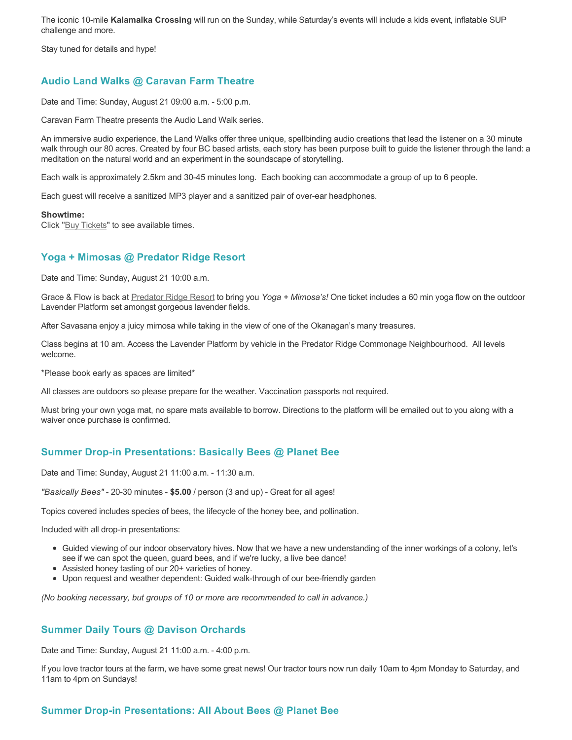The iconic 10-mile **Kalamalka Crossing** will run on the Sunday, while Saturday's events will include a kids event, inflatable SUP challenge and more.

Stay tuned for details and hype!

# **Audio Land Walks @ Caravan Farm Theatre**

Date and Time: Sunday, August 21 09:00 a.m. - 5:00 p.m.

Caravan Farm Theatre presents the Audio Land Walk series.

An immersive audio experience, the Land Walks offer three unique, spellbinding audio creations that lead the listener on a 30 minute walk through our 80 acres. Created by four BC based artists, each story has been purpose built to guide the listener through the land: a meditation on the natural world and an experiment in the soundscape of storytelling.

Each walk is approximately 2.5km and 30-45 minutes long. Each booking can accommodate a group of up to 6 people.

Each guest will receive a sanitized MP3 player and a sanitized pair of over-ear headphones.

#### **Showtime:**

Click "[Buy Tickets](https://caravanfarmtheatre.com/show/the-land-walks/?ct=t%28EMAIL_CAMPAIGN_4_19_2022_13_43SEASON+2022%29&mc_cid=c02afad356&mc_eid=4778eb8892)" to see available times.

# **Yoga + Mimosas @ Predator Ridge Resort**

Date and Time: Sunday, August 21 10:00 a.m.

Grace & Flow is back at [Predator Ridge Resort](https://www.predatorridge.com/events) to bring you *Yoga + Mimosa's!* One ticket includes a 60 min yoga flow on the outdoor Lavender Platform set amongst gorgeous lavender fields.

After Savasana enjoy a juicy mimosa while taking in the view of one of the Okanagan's many treasures.

Class begins at 10 am. Access the Lavender Platform by vehicle in the Predator Ridge Commonage Neighbourhood. All levels welcome.

\*Please book early as spaces are limited\*

All classes are outdoors so please prepare for the weather. Vaccination passports not required.

Must bring your own yoga mat, no spare mats available to borrow. Directions to the platform will be emailed out to you along with a waiver once purchase is confirmed.

### **Summer Drop-in Presentations: Basically Bees @ Planet Bee**

Date and Time: Sunday, August 21 11:00 a.m. - 11:30 a.m.

*"Basically Bees"* - 20-30 minutes - **\$5.00** / person (3 and up) - Great for all ages!

Topics covered includes species of bees, the lifecycle of the honey bee, and pollination.

Included with all drop-in presentations:

- Guided viewing of our indoor observatory hives. Now that we have a new understanding of the inner workings of a colony, let's see if we can spot the queen, guard bees, and if we're lucky, a live bee dance!
- Assisted honey tasting of our 20+ varieties of honey.
- Upon request and weather dependent: Guided walk-through of our bee-friendly garden

*(No booking necessary, but groups of 10 or more are recommended to call in advance.)*

### **Summer Daily Tours @ Davison Orchards**

Date and Time: Sunday, August 21 11:00 a.m. - 4:00 p.m.

If you love tractor tours at the farm, we have some great news! Our tractor tours now run daily 10am to 4pm Monday to Saturday, and 11am to 4pm on Sundays!

### **Summer Drop-in Presentations: All About Bees @ Planet Bee**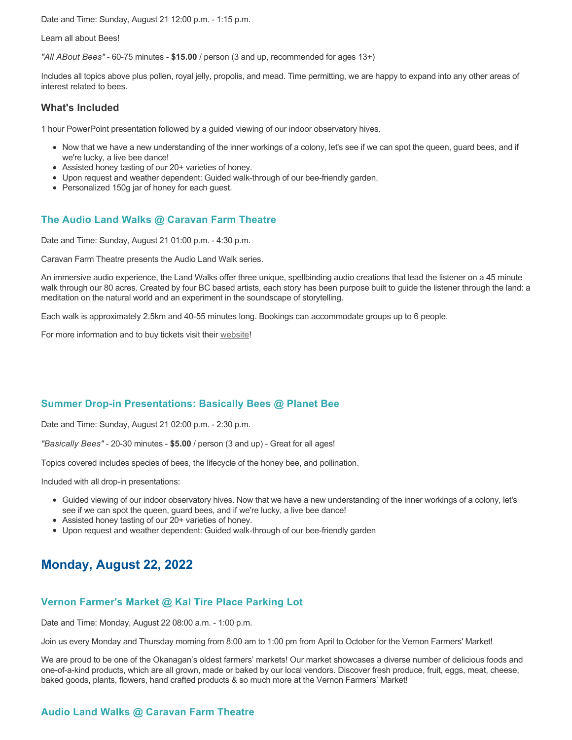Date and Time: Sunday, August 21 12:00 p.m. - 1:15 p.m.

#### Learn all about Bees!

*"All ABout Bees"* - 60-75 minutes - **\$15.00** / person (3 and up, recommended for ages 13+)

Includes all topics above plus pollen, royal jelly, propolis, and mead. Time permitting, we are happy to expand into any other areas of interest related to bees.

#### **What's Included**

1 hour PowerPoint presentation followed by a guided viewing of our indoor observatory hives.

- Now that we have a new understanding of the inner workings of a colony, let's see if we can spot the queen, guard bees, and if we're lucky, a live bee dance!
- Assisted honey tasting of our 20+ varieties of honey.
- Upon request and weather dependent: Guided walk-through of our bee-friendly garden.
- Personalized 150g jar of honey for each quest.

### **The Audio Land Walks @ Caravan Farm Theatre**

Date and Time: Sunday, August 21 01:00 p.m. - 4:30 p.m.

Caravan Farm Theatre presents the Audio Land Walk series.

An immersive audio experience, the Land Walks offer three unique, spellbinding audio creations that lead the listener on a 45 minute walk through our 80 acres. Created by four BC based artists, each story has been purpose built to guide the listener through the land: a meditation on the natural world and an experiment in the soundscape of storytelling.

Each walk is approximately 2.5km and 40-55 minutes long. Bookings can accommodate groups up to 6 people.

For more information and to buy tickets visit their [website!](https://caravanfarmtheatre.com/show/the-land-walks/)

### **Summer Drop-in Presentations: Basically Bees @ Planet Bee**

Date and Time: Sunday, August 21 02:00 p.m. - 2:30 p.m.

*"Basically Bees"* - 20-30 minutes - **\$5.00** / person (3 and up) - Great for all ages!

Topics covered includes species of bees, the lifecycle of the honey bee, and pollination.

Included with all drop-in presentations:

- Guided viewing of our indoor observatory hives. Now that we have a new understanding of the inner workings of a colony, let's see if we can spot the queen, guard bees, and if we're lucky, a live bee dance!
- Assisted honey tasting of our 20+ varieties of honey.
- Upon request and weather dependent: Guided walk-through of our bee-friendly garden

# **Monday, August 22, 2022**

### **Vernon Farmer's Market @ Kal Tire Place Parking Lot**

Date and Time: Monday, August 22 08:00 a.m. - 1:00 p.m.

Join us every Monday and Thursday morning from 8:00 am to 1:00 pm from April to October for the Vernon Farmers' Market!

We are proud to be one of the Okanagan's oldest farmers' markets! Our market showcases a diverse number of delicious foods and one-of-a-kind products, which are all grown, made or baked by our local vendors. Discover fresh produce, fruit, eggs, meat, cheese, baked goods, plants, flowers, hand crafted products & so much more at the Vernon Farmers' Market!

# **Audio Land Walks @ Caravan Farm Theatre**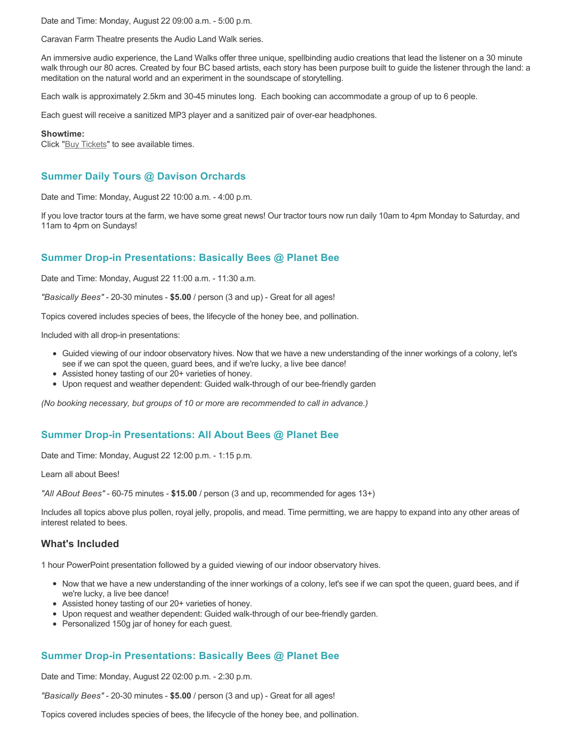Date and Time: Monday, August 22 09:00 a.m. - 5:00 p.m.

Caravan Farm Theatre presents the Audio Land Walk series.

An immersive audio experience, the Land Walks offer three unique, spellbinding audio creations that lead the listener on a 30 minute walk through our 80 acres. Created by four BC based artists, each story has been purpose built to guide the listener through the land: a meditation on the natural world and an experiment in the soundscape of storytelling.

Each walk is approximately 2.5km and 30-45 minutes long. Each booking can accommodate a group of up to 6 people.

Each guest will receive a sanitized MP3 player and a sanitized pair of over-ear headphones.

#### **Showtime:**

Click "[Buy Tickets](https://caravanfarmtheatre.com/show/the-land-walks/?ct=t%28EMAIL_CAMPAIGN_4_19_2022_13_43SEASON+2022%29&mc_cid=c02afad356&mc_eid=4778eb8892)" to see available times.

### **Summer Daily Tours @ Davison Orchards**

Date and Time: Monday, August 22 10:00 a.m. - 4:00 p.m.

If you love tractor tours at the farm, we have some great news! Our tractor tours now run daily 10am to 4pm Monday to Saturday, and 11am to 4pm on Sundays!

## **Summer Drop-in Presentations: Basically Bees @ Planet Bee**

Date and Time: Monday, August 22 11:00 a.m. - 11:30 a.m.

*"Basically Bees"* - 20-30 minutes - **\$5.00** / person (3 and up) - Great for all ages!

Topics covered includes species of bees, the lifecycle of the honey bee, and pollination.

Included with all drop-in presentations:

- Guided viewing of our indoor observatory hives. Now that we have a new understanding of the inner workings of a colony, let's see if we can spot the queen, guard bees, and if we're lucky, a live bee dance!
- Assisted honey tasting of our 20+ varieties of honey.
- Upon request and weather dependent: Guided walk-through of our bee-friendly garden

*(No booking necessary, but groups of 10 or more are recommended to call in advance.)*

### **Summer Drop-in Presentations: All About Bees @ Planet Bee**

Date and Time: Monday, August 22 12:00 p.m. - 1:15 p.m.

Learn all about Bees!

*"All ABout Bees"* - 60-75 minutes - **\$15.00** / person (3 and up, recommended for ages 13+)

Includes all topics above plus pollen, royal jelly, propolis, and mead. Time permitting, we are happy to expand into any other areas of interest related to bees.

#### **What's Included**

1 hour PowerPoint presentation followed by a guided viewing of our indoor observatory hives.

- Now that we have a new understanding of the inner workings of a colony, let's see if we can spot the queen, guard bees, and if we're lucky, a live bee dance!
- Assisted honey tasting of our 20+ varieties of honey.
- Upon request and weather dependent: Guided walk-through of our bee-friendly garden.
- Personalized 150g jar of honey for each guest.

### **Summer Drop-in Presentations: Basically Bees @ Planet Bee**

Date and Time: Monday, August 22 02:00 p.m. - 2:30 p.m.

*"Basically Bees"* - 20-30 minutes - **\$5.00** / person (3 and up) - Great for all ages!

Topics covered includes species of bees, the lifecycle of the honey bee, and pollination.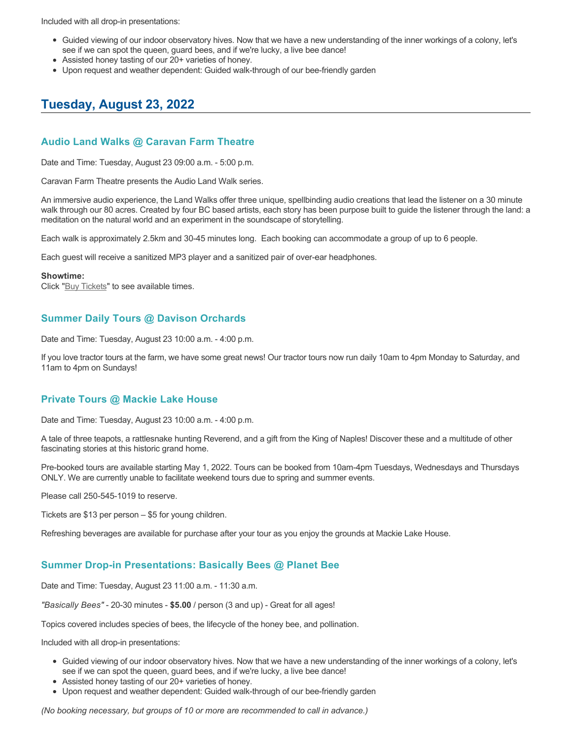Included with all drop-in presentations:

- Guided viewing of our indoor observatory hives. Now that we have a new understanding of the inner workings of a colony, let's see if we can spot the queen, guard bees, and if we're lucky, a live bee dance!
- Assisted honey tasting of our 20+ varieties of honey.
- Upon request and weather dependent: Guided walk-through of our bee-friendly garden

# **Tuesday, August 23, 2022**

#### **Audio Land Walks @ Caravan Farm Theatre**

Date and Time: Tuesday, August 23 09:00 a.m. - 5:00 p.m.

Caravan Farm Theatre presents the Audio Land Walk series.

An immersive audio experience, the Land Walks offer three unique, spellbinding audio creations that lead the listener on a 30 minute walk through our 80 acres. Created by four BC based artists, each story has been purpose built to guide the listener through the land: a meditation on the natural world and an experiment in the soundscape of storytelling.

Each walk is approximately 2.5km and 30-45 minutes long. Each booking can accommodate a group of up to 6 people.

Each guest will receive a sanitized MP3 player and a sanitized pair of over-ear headphones.

#### **Showtime:**

Click "[Buy Tickets](https://caravanfarmtheatre.com/show/the-land-walks/?ct=t%28EMAIL_CAMPAIGN_4_19_2022_13_43SEASON+2022%29&mc_cid=c02afad356&mc_eid=4778eb8892)" to see available times.

## **Summer Daily Tours @ Davison Orchards**

Date and Time: Tuesday, August 23 10:00 a.m. - 4:00 p.m.

If you love tractor tours at the farm, we have some great news! Our tractor tours now run daily 10am to 4pm Monday to Saturday, and 11am to 4pm on Sundays!

#### **Private Tours @ Mackie Lake House**

Date and Time: Tuesday, August 23 10:00 a.m. - 4:00 p.m.

A tale of three teapots, a rattlesnake hunting Reverend, and a gift from the King of Naples! Discover these and a multitude of other fascinating stories at this historic grand home.

Pre-booked tours are available starting May 1, 2022. Tours can be booked from 10am-4pm Tuesdays, Wednesdays and Thursdays ONLY. We are currently unable to facilitate weekend tours due to spring and summer events.

Please call 250-545-1019 to reserve.

Tickets are \$13 per person – \$5 for young children.

Refreshing beverages are available for purchase after your tour as you enjoy the grounds at Mackie Lake House.

### **Summer Drop-in Presentations: Basically Bees @ Planet Bee**

Date and Time: Tuesday, August 23 11:00 a.m. - 11:30 a.m.

*"Basically Bees"* - 20-30 minutes - **\$5.00** / person (3 and up) - Great for all ages!

Topics covered includes species of bees, the lifecycle of the honey bee, and pollination.

Included with all drop-in presentations:

- Guided viewing of our indoor observatory hives. Now that we have a new understanding of the inner workings of a colony, let's see if we can spot the queen, guard bees, and if we're lucky, a live bee dance!
- Assisted honey tasting of our 20+ varieties of honey.
- Upon request and weather dependent: Guided walk-through of our bee-friendly garden

*(No booking necessary, but groups of 10 or more are recommended to call in advance.)*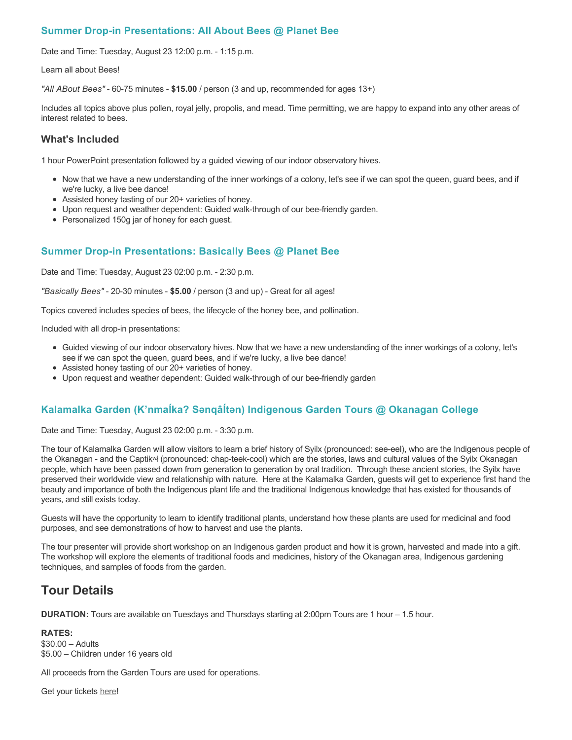# **Summer Drop-in Presentations: All About Bees @ Planet Bee**

Date and Time: Tuesday, August 23 12:00 p.m. - 1:15 p.m.

Learn all about Bees!

*"All ABout Bees"* - 60-75 minutes - **\$15.00** / person (3 and up, recommended for ages 13+)

Includes all topics above plus pollen, royal jelly, propolis, and mead. Time permitting, we are happy to expand into any other areas of interest related to bees.

## **What's Included**

1 hour PowerPoint presentation followed by a guided viewing of our indoor observatory hives.

- Now that we have a new understanding of the inner workings of a colony, let's see if we can spot the queen, guard bees, and if we're lucky, a live bee dance!
- Assisted honey tasting of our 20+ varieties of honey.
- Upon request and weather dependent: Guided walk-through of our bee-friendly garden.
- Personalized 150g jar of honey for each guest.

# **Summer Drop-in Presentations: Basically Bees @ Planet Bee**

Date and Time: Tuesday, August 23 02:00 p.m. - 2:30 p.m.

*"Basically Bees"* - 20-30 minutes - **\$5.00** / person (3 and up) - Great for all ages!

Topics covered includes species of bees, the lifecycle of the honey bee, and pollination.

Included with all drop-in presentations:

- Guided viewing of our indoor observatory hives. Now that we have a new understanding of the inner workings of a colony, let's see if we can spot the queen, guard bees, and if we're lucky, a live bee dance!
- Assisted honey tasting of our 20+ varieties of honey.
- Upon request and weather dependent: Guided walk-through of our bee-friendly garden

# **Kalamalka Garden (K'nmaĺka? Sәnqâĺtәn) Indigenous Garden Tours @ Okanagan College**

Date and Time: Tuesday, August 23 02:00 p.m. - 3:30 p.m.

The tour of Kalamalka Garden will allow visitors to learn a brief history of Syilx (pronounced: see-eel), who are the Indigenous people of the Okanagan - and the Captikʷł (pronounced: chap-teek-cool) which are the stories, laws and cultural values of the Syilx Okanagan people, which have been passed down from generation to generation by oral tradition. Through these ancient stories, the Syilx have preserved their worldwide view and relationship with nature. Here at the Kalamalka Garden, guests will get to experience first hand the beauty and importance of both the Indigenous plant life and the traditional Indigenous knowledge that has existed for thousands of years, and still exists today.

Guests will have the opportunity to learn to identify traditional plants, understand how these plants are used for medicinal and food purposes, and see demonstrations of how to harvest and use the plants.

The tour presenter will provide short workshop on an Indigenous garden product and how it is grown, harvested and made into a gift. The workshop will explore the elements of traditional foods and medicines, history of the Okanagan area, Indigenous gardening techniques, and samples of foods from the garden.

# **Tour Details**

**DURATION:** Tours are available on Tuesdays and Thursdays starting at 2:00pm Tours are 1 hour – 1.5 hour.

**RATES:** \$30.00 – Adults \$5.00 – Children under 16 years old

All proceeds from the Garden Tours are used for operations.

Get your tickets [here!](https://www.eventbrite.ca/e/kalamalka-garden-tour-tickets-158617843239)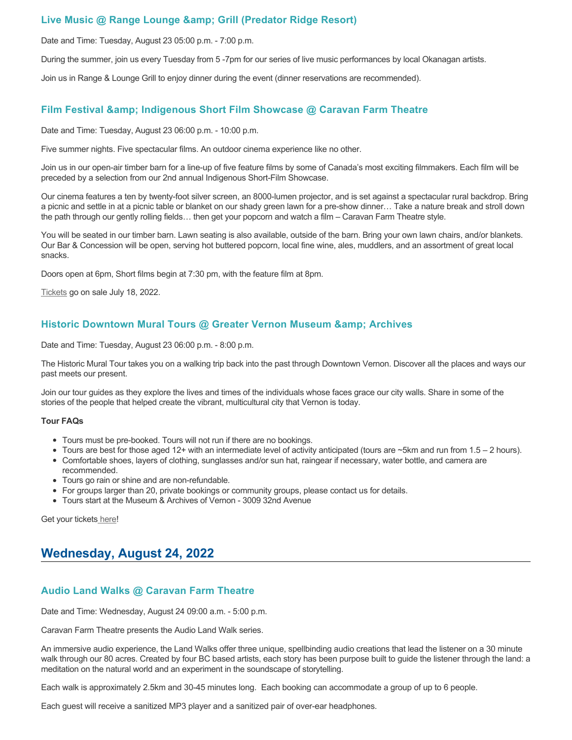## **Live Music @ Range Lounge & Grill (Predator Ridge Resort)**

Date and Time: Tuesday, August 23 05:00 p.m. - 7:00 p.m.

During the summer, join us every Tuesday from 5 -7pm for our series of live music performances by local Okanagan artists.

Join us in Range & Lounge Grill to enjoy dinner during the event (dinner reservations are recommended).

### **Film Festival & Indigenous Short Film Showcase @ Caravan Farm Theatre**

Date and Time: Tuesday, August 23 06:00 p.m. - 10:00 p.m.

Five summer nights. Five spectacular films. An outdoor cinema experience like no other.

Join us in our open-air timber barn for a line-up of five feature films by some of Canada's most exciting filmmakers. Each film will be preceded by a selection from our 2nd annual Indigenous Short-Film Showcase.

Our cinema features a ten by twenty-foot silver screen, an 8000-lumen projector, and is set against a spectacular rural backdrop. Bring a picnic and settle in at a picnic table or blanket on our shady green lawn for a pre-show dinner… Take a nature break and stroll down the path through our gently rolling fields… then get your popcorn and watch a film – Caravan Farm Theatre style.

You will be seated in our timber barn. Lawn seating is also available, outside of the barn. Bring your own lawn chairs, and/or blankets. Our Bar & Concession will be open, serving hot buttered popcorn, local fine wine, ales, muddlers, and an assortment of great local snacks.

Doors open at 6pm, Short films begin at 7:30 pm, with the feature film at 8pm.

[Tickets](https://caravanfarmtheatre.com/show/film-festival/?ct=t%28EMAIL_CAMPAIGN_4_19_2022_13_43SEASON+2022%29&mc_cid=c02afad356&mc_eid=4778eb8892) go on sale July 18, 2022.

## **Historic Downtown Mural Tours @ Greater Vernon Museum & Archives**

Date and Time: Tuesday, August 23 06:00 p.m. - 8:00 p.m.

The Historic Mural Tour takes you on a walking trip back into the past through Downtown Vernon. Discover all the places and ways our past meets our present.

Join our tour guides as they explore the lives and times of the individuals whose faces grace our city walls. Share in some of the stories of the people that helped create the vibrant, multicultural city that Vernon is today.

#### **Tour FAQs**

- Tours must be pre-booked. Tours will not run if there are no bookings.
- Tours are best for those aged 12+ with an intermediate level of activity anticipated (tours are  $\sim$ 5km and run from 1.5 2 hours).
- Comfortable shoes, layers of clothing, sunglasses and/or sun hat, raingear if necessary, water bottle, and camera are recommended.
- Tours go rain or shine and are non-refundable.
- For groups larger than 20, private bookings or community groups, please contact us for details.
- Tours start at the Museum & Archives of Vernon 3009 32nd Avenue

Get your tickets [here!](https://www.eventbrite.com/e/historic-downtown-mural-tours-tickets-304983342387)

# **Wednesday, August 24, 2022**

### **Audio Land Walks @ Caravan Farm Theatre**

Date and Time: Wednesday, August 24 09:00 a.m. - 5:00 p.m.

Caravan Farm Theatre presents the Audio Land Walk series.

An immersive audio experience, the Land Walks offer three unique, spellbinding audio creations that lead the listener on a 30 minute walk through our 80 acres. Created by four BC based artists, each story has been purpose built to guide the listener through the land: a meditation on the natural world and an experiment in the soundscape of storytelling.

Each walk is approximately 2.5km and 30-45 minutes long. Each booking can accommodate a group of up to 6 people.

Each guest will receive a sanitized MP3 player and a sanitized pair of over-ear headphones.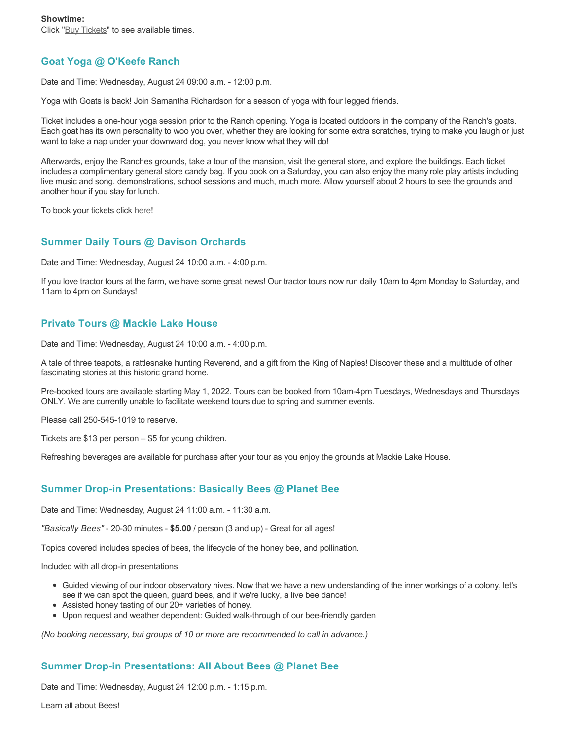Click "[Buy Tickets](https://caravanfarmtheatre.com/show/the-land-walks/?ct=t%28EMAIL_CAMPAIGN_4_19_2022_13_43SEASON+2022%29&mc_cid=c02afad356&mc_eid=4778eb8892)" to see available times.

# **Goat Yoga @ O'Keefe Ranch**

Date and Time: Wednesday, August 24 09:00 a.m. - 12:00 p.m.

Yoga with Goats is back! Join Samantha Richardson for a season of yoga with four legged friends.

Ticket includes a one-hour yoga session prior to the Ranch opening. Yoga is located outdoors in the company of the Ranch's goats. Each goat has its own personality to woo you over, whether they are looking for some extra scratches, trying to make you laugh or just want to take a nap under your downward dog, you never know what they will do!

Afterwards, enjoy the Ranches grounds, take a tour of the mansion, visit the general store, and explore the buildings. Each ticket includes a complimentary general store candy bag. If you book on a Saturday, you can also enjoy the many role play artists including live music and song, demonstrations, school sessions and much, much more. Allow yourself about 2 hours to see the grounds and another hour if you stay for lunch.

To book your tickets click [here!](https://tickets.ticketseller.ca/TheatreManager/1/login&event=3417)

## **Summer Daily Tours @ Davison Orchards**

Date and Time: Wednesday, August 24 10:00 a.m. - 4:00 p.m.

If you love tractor tours at the farm, we have some great news! Our tractor tours now run daily 10am to 4pm Monday to Saturday, and 11am to 4pm on Sundays!

## **Private Tours @ Mackie Lake House**

Date and Time: Wednesday, August 24 10:00 a.m. - 4:00 p.m.

A tale of three teapots, a rattlesnake hunting Reverend, and a gift from the King of Naples! Discover these and a multitude of other fascinating stories at this historic grand home.

Pre-booked tours are available starting May 1, 2022. Tours can be booked from 10am-4pm Tuesdays, Wednesdays and Thursdays ONLY. We are currently unable to facilitate weekend tours due to spring and summer events.

Please call 250-545-1019 to reserve.

Tickets are \$13 per person – \$5 for young children.

Refreshing beverages are available for purchase after your tour as you enjoy the grounds at Mackie Lake House.

### **Summer Drop-in Presentations: Basically Bees @ Planet Bee**

Date and Time: Wednesday, August 24 11:00 a.m. - 11:30 a.m.

*"Basically Bees"* - 20-30 minutes - **\$5.00** / person (3 and up) - Great for all ages!

Topics covered includes species of bees, the lifecycle of the honey bee, and pollination.

Included with all drop-in presentations:

- Guided viewing of our indoor observatory hives. Now that we have a new understanding of the inner workings of a colony, let's see if we can spot the queen, guard bees, and if we're lucky, a live bee dance!
- Assisted honey tasting of our 20+ varieties of honey.
- Upon request and weather dependent: Guided walk-through of our bee-friendly garden

*(No booking necessary, but groups of 10 or more are recommended to call in advance.)*

### **Summer Drop-in Presentations: All About Bees @ Planet Bee**

Date and Time: Wednesday, August 24 12:00 p.m. - 1:15 p.m.

Learn all about Bees!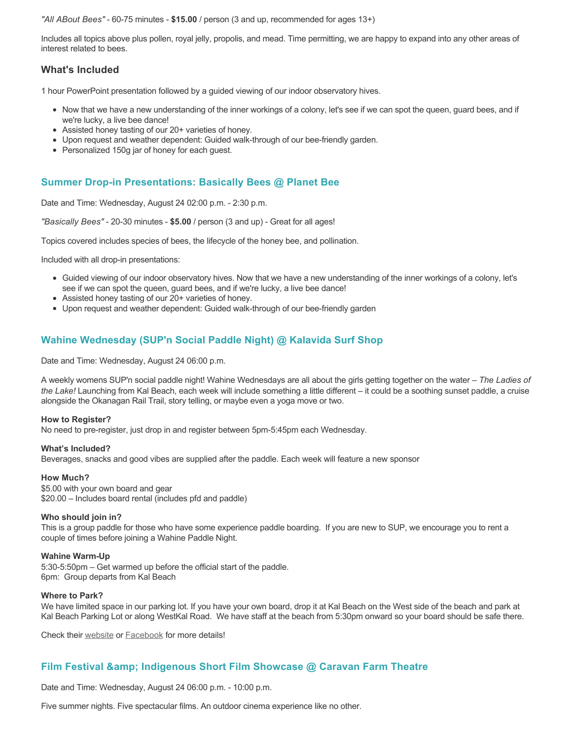*"All ABout Bees"* - 60-75 minutes - **\$15.00** / person (3 and up, recommended for ages 13+)

Includes all topics above plus pollen, royal jelly, propolis, and mead. Time permitting, we are happy to expand into any other areas of interest related to bees.

## **What's Included**

1 hour PowerPoint presentation followed by a guided viewing of our indoor observatory hives.

- Now that we have a new understanding of the inner workings of a colony, let's see if we can spot the queen, guard bees, and if we're lucky, a live bee dance!
- Assisted honey tasting of our 20+ varieties of honey.
- Upon request and weather dependent: Guided walk-through of our bee-friendly garden.
- Personalized 150g jar of honey for each guest.

### **Summer Drop-in Presentations: Basically Bees @ Planet Bee**

Date and Time: Wednesday, August 24 02:00 p.m. - 2:30 p.m.

*"Basically Bees"* - 20-30 minutes - **\$5.00** / person (3 and up) - Great for all ages!

Topics covered includes species of bees, the lifecycle of the honey bee, and pollination.

Included with all drop-in presentations:

- Guided viewing of our indoor observatory hives. Now that we have a new understanding of the inner workings of a colony, let's see if we can spot the queen, guard bees, and if we're lucky, a live bee dance!
- Assisted honey tasting of our 20+ varieties of honey.
- Upon request and weather dependent: Guided walk-through of our bee-friendly garden

### **Wahine Wednesday (SUP'n Social Paddle Night) @ Kalavida Surf Shop**

Date and Time: Wednesday, August 24 06:00 p.m.

A weekly womens SUP'n social paddle night! Wahine Wednesdays are all about the girls getting together on the water – *The Ladies of the Lake!* Launching from Kal Beach, each week will include something a little different – it could be a soothing sunset paddle, a cruise alongside the Okanagan Rail Trail, story telling, or maybe even a yoga move or two.

#### **How to Register?**

No need to pre-register, just drop in and register between 5pm-5:45pm each Wednesday.

#### **What's Included?**

Beverages, snacks and good vibes are supplied after the paddle. Each week will feature a new sponsor

#### **How Much?**

\$5.00 with your own board and gear \$20.00 – Includes board rental (includes pfd and paddle)

#### **Who should join in?**

This is a group paddle for those who have some experience paddle boarding. If you are new to SUP, we encourage you to rent a couple of times before joining a Wahine Paddle Night.

#### **Wahine Warm-Up**

5:30-5:50pm – Get warmed up before the official start of the paddle. 6pm: Group departs from Kal Beach

#### **Where to Park?**

We have limited space in our parking lot. If you have your own board, drop it at Kal Beach on the West side of the beach and park at Kal Beach Parking Lot or along WestKal Road. We have staff at the beach from 5:30pm onward so your board should be safe there.

Check their [website](https://kalavidasurfshop.com/wahine-wednesday-kalavida/) or [Facebook](https://www.facebook.com/kalavidasurfshop/) for more details!

### **Film Festival & Indigenous Short Film Showcase @ Caravan Farm Theatre**

Date and Time: Wednesday, August 24 06:00 p.m. - 10:00 p.m.

Five summer nights. Five spectacular films. An outdoor cinema experience like no other.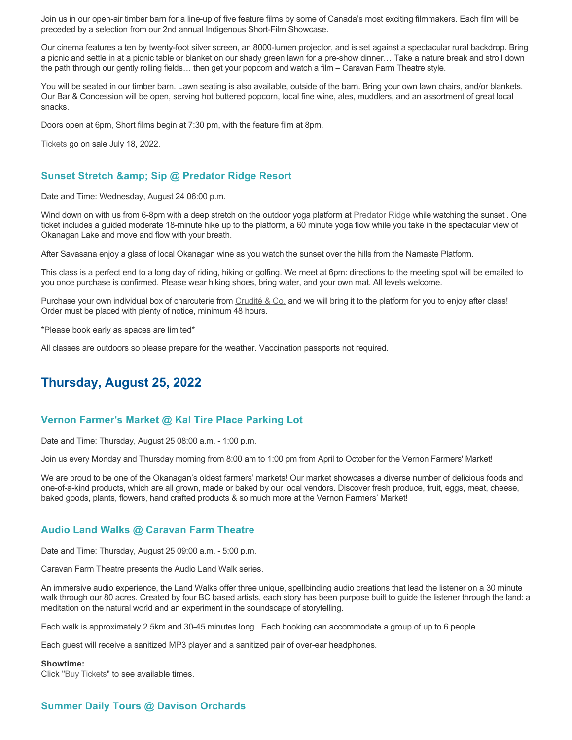Join us in our open-air timber barn for a line-up of five feature films by some of Canada's most exciting filmmakers. Each film will be preceded by a selection from our 2nd annual Indigenous Short-Film Showcase.

Our cinema features a ten by twenty-foot silver screen, an 8000-lumen projector, and is set against a spectacular rural backdrop. Bring a picnic and settle in at a picnic table or blanket on our shady green lawn for a pre-show dinner… Take a nature break and stroll down the path through our gently rolling fields… then get your popcorn and watch a film – Caravan Farm Theatre style.

You will be seated in our timber barn. Lawn seating is also available, outside of the barn. Bring your own lawn chairs, and/or blankets. Our Bar & Concession will be open, serving hot buttered popcorn, local fine wine, ales, muddlers, and an assortment of great local snacks.

Doors open at 6pm, Short films begin at 7:30 pm, with the feature film at 8pm.

[Tickets](https://caravanfarmtheatre.com/show/film-festival/?ct=t%28EMAIL_CAMPAIGN_4_19_2022_13_43SEASON+2022%29&mc_cid=c02afad356&mc_eid=4778eb8892) go on sale July 18, 2022.

#### **Sunset Stretch & Sip @ Predator Ridge Resort**

Date and Time: Wednesday, August 24 06:00 p.m.

Wind down on with us from 6-8pm with a deep stretch on the outdoor yoga platform at [Predator Ridge](https://www.predatorridge.com/events) while watching the sunset. One ticket includes a guided moderate 18-minute hike up to the platform, a 60 minute yoga flow while you take in the spectacular view of Okanagan Lake and move and flow with your breath.

After Savasana enjoy a glass of local Okanagan wine as you watch the sunset over the hills from the Namaste Platform.

This class is a perfect end to a long day of riding, hiking or golfing. We meet at 6pm: directions to the meeting spot will be emailed to you once purchase is confirmed. Please wear hiking shoes, bring water, and your own mat. All levels welcome.

Purchase your own individual box of charcuterie from [Crudité & Co.](https://cruditeandco.com/product/picnic-platter/) and we will bring it to the platform for you to enjoy after class! Order must be placed with plenty of notice, minimum 48 hours.

\*Please book early as spaces are limited\*

All classes are outdoors so please prepare for the weather. Vaccination passports not required.

# **Thursday, August 25, 2022**

#### **Vernon Farmer's Market @ Kal Tire Place Parking Lot**

Date and Time: Thursday, August 25 08:00 a.m. - 1:00 p.m.

Join us every Monday and Thursday morning from 8:00 am to 1:00 pm from April to October for the Vernon Farmers' Market!

We are proud to be one of the Okanagan's oldest farmers' markets! Our market showcases a diverse number of delicious foods and one-of-a-kind products, which are all grown, made or baked by our local vendors. Discover fresh produce, fruit, eggs, meat, cheese, baked goods, plants, flowers, hand crafted products & so much more at the Vernon Farmers' Market!

#### **Audio Land Walks @ Caravan Farm Theatre**

Date and Time: Thursday, August 25 09:00 a.m. - 5:00 p.m.

Caravan Farm Theatre presents the Audio Land Walk series.

An immersive audio experience, the Land Walks offer three unique, spellbinding audio creations that lead the listener on a 30 minute walk through our 80 acres. Created by four BC based artists, each story has been purpose built to guide the listener through the land: a meditation on the natural world and an experiment in the soundscape of storytelling.

Each walk is approximately 2.5km and 30-45 minutes long. Each booking can accommodate a group of up to 6 people.

Each guest will receive a sanitized MP3 player and a sanitized pair of over-ear headphones.

#### **Showtime:**

Click "[Buy Tickets](https://caravanfarmtheatre.com/show/the-land-walks/?ct=t%28EMAIL_CAMPAIGN_4_19_2022_13_43SEASON+2022%29&mc_cid=c02afad356&mc_eid=4778eb8892)" to see available times.

# **Summer Daily Tours @ Davison Orchards**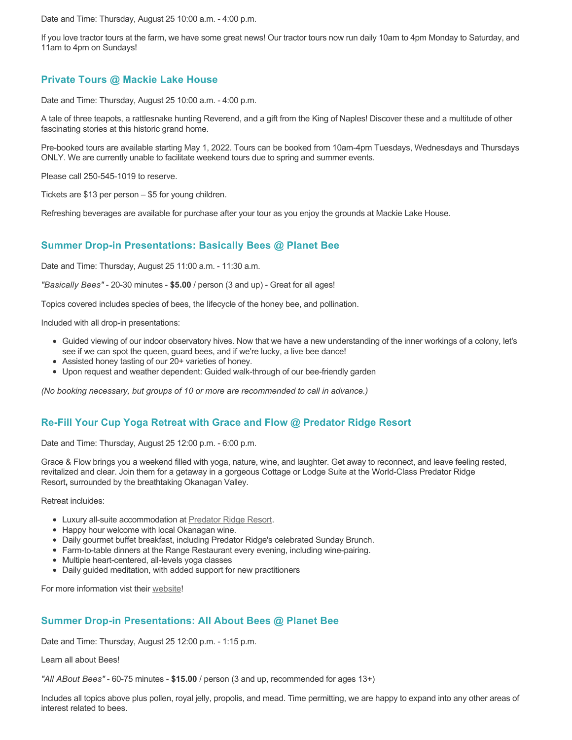Date and Time: Thursday, August 25 10:00 a.m. - 4:00 p.m.

If you love tractor tours at the farm, we have some great news! Our tractor tours now run daily 10am to 4pm Monday to Saturday, and 11am to 4pm on Sundays!

# **Private Tours @ Mackie Lake House**

Date and Time: Thursday, August 25 10:00 a.m. - 4:00 p.m.

A tale of three teapots, a rattlesnake hunting Reverend, and a gift from the King of Naples! Discover these and a multitude of other fascinating stories at this historic grand home.

Pre-booked tours are available starting May 1, 2022. Tours can be booked from 10am-4pm Tuesdays, Wednesdays and Thursdays ONLY. We are currently unable to facilitate weekend tours due to spring and summer events.

Please call 250-545-1019 to reserve.

Tickets are \$13 per person – \$5 for young children.

Refreshing beverages are available for purchase after your tour as you enjoy the grounds at Mackie Lake House.

### **Summer Drop-in Presentations: Basically Bees @ Planet Bee**

Date and Time: Thursday, August 25 11:00 a.m. - 11:30 a.m.

*"Basically Bees"* - 20-30 minutes - **\$5.00** / person (3 and up) - Great for all ages!

Topics covered includes species of bees, the lifecycle of the honey bee, and pollination.

Included with all drop-in presentations:

- Guided viewing of our indoor observatory hives. Now that we have a new understanding of the inner workings of a colony, let's see if we can spot the queen, guard bees, and if we're lucky, a live bee dance!
- Assisted honey tasting of our 20+ varieties of honey.
- Upon request and weather dependent: Guided walk-through of our bee-friendly garden

*(No booking necessary, but groups of 10 or more are recommended to call in advance.)*

### **Re-Fill Your Cup Yoga Retreat with Grace and Flow @ Predator Ridge Resort**

Date and Time: Thursday, August 25 12:00 p.m. - 6:00 p.m.

Grace & Flow brings you a weekend filled with yoga, nature, wine, and laughter. Get away to reconnect, and leave feeling rested, revitalized and clear. Join them for a getaway in a gorgeous Cottage or Lodge Suite at the World-Class Predator Ridge Resort**,** surrounded by the breathtaking Okanagan Valley.

Retreat incluides:

- Luxury all-suite accommodation at [Predator Ridge Resort](https://www.predatorridge.com/).
- Happy hour welcome with local Okanagan wine.
- Daily gourmet buffet breakfast, including Predator Ridge's celebrated Sunday Brunch.
- Farm-to-table dinners at the Range Restaurant every evening, including wine-pairing.
- Multiple heart-centered, all-levels yoga classes
- Daily guided meditation, with added support for new practitioners

For more information vist their [website](https://graceandflow.ca/products/re-fill-your-cup-yoga-retreat-august-25-28-2022)!

### **Summer Drop-in Presentations: All About Bees @ Planet Bee**

Date and Time: Thursday, August 25 12:00 p.m. - 1:15 p.m.

Learn all about Bees!

*"All ABout Bees"* - 60-75 minutes - **\$15.00** / person (3 and up, recommended for ages 13+)

Includes all topics above plus pollen, royal jelly, propolis, and mead. Time permitting, we are happy to expand into any other areas of interest related to bees.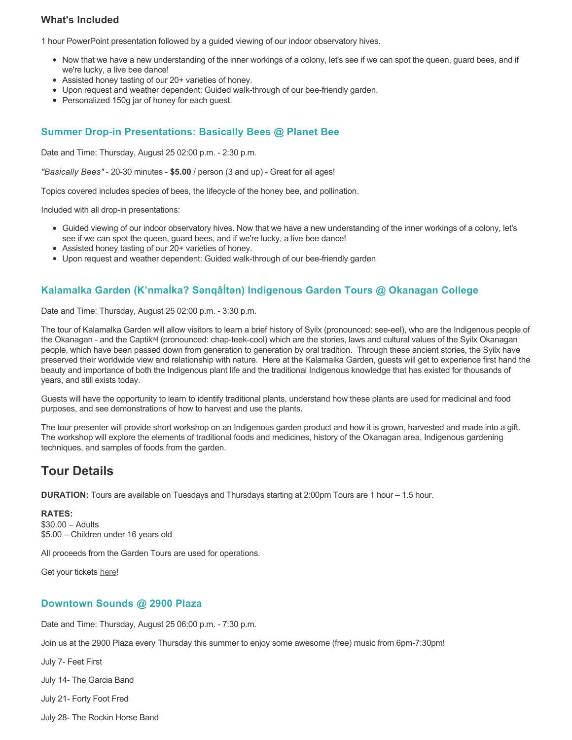## **What's Included**

1 hour PowerPoint presentation followed by a guided viewing of our indoor observatory hives.

- Now that we have a new understanding of the inner workings of a colony, let's see if we can spot the queen, guard bees, and if we're lucky, a live bee dance!
- Assisted honey tasting of our 20+ varieties of honey.
- Upon request and weather dependent: Guided walk-through of our bee-friendly garden.
- Personalized 150g jar of honey for each quest.

### **Summer Drop-in Presentations: Basically Bees @ Planet Bee**

Date and Time: Thursday, August 25 02:00 p.m. - 2:30 p.m.

*"Basically Bees"* - 20-30 minutes - **\$5.00** / person (3 and up) - Great for all ages!

Topics covered includes species of bees, the lifecycle of the honey bee, and pollination.

Included with all drop-in presentations:

- Guided viewing of our indoor observatory hives. Now that we have a new understanding of the inner workings of a colony, let's see if we can spot the queen, guard bees, and if we're lucky, a live bee dance!
- Assisted honey tasting of our 20+ varieties of honey.
- Upon request and weather dependent: Guided walk-through of our bee-friendly garden

## **Kalamalka Garden (K'nmaĺka? Sәnqâĺtәn) Indigenous Garden Tours @ Okanagan College**

Date and Time: Thursday, August 25 02:00 p.m. - 3:30 p.m.

The tour of Kalamalka Garden will allow visitors to learn a brief history of Syilx (pronounced: see-eel), who are the Indigenous people of the Okanagan - and the Captikʷł (pronounced: chap-teek-cool) which are the stories, laws and cultural values of the Syilx Okanagan people, which have been passed down from generation to generation by oral tradition. Through these ancient stories, the Syilx have preserved their worldwide view and relationship with nature. Here at the Kalamalka Garden, guests will get to experience first hand the beauty and importance of both the Indigenous plant life and the traditional Indigenous knowledge that has existed for thousands of years, and still exists today.

Guests will have the opportunity to learn to identify traditional plants, understand how these plants are used for medicinal and food purposes, and see demonstrations of how to harvest and use the plants.

The tour presenter will provide short workshop on an Indigenous garden product and how it is grown, harvested and made into a gift. The workshop will explore the elements of traditional foods and medicines, history of the Okanagan area, Indigenous gardening techniques, and samples of foods from the garden.

# **Tour Details**

**DURATION:** Tours are available on Tuesdays and Thursdays starting at 2:00pm Tours are 1 hour – 1.5 hour.

#### **RATES:**

\$30.00 – Adults \$5.00 – Children under 16 years old

All proceeds from the Garden Tours are used for operations.

Get your tickets [here!](https://www.eventbrite.ca/e/kalamalka-garden-tour-tickets-158617843239)

#### **Downtown Sounds @ 2900 Plaza**

Date and Time: Thursday, August 25 06:00 p.m. - 7:30 p.m.

Join us at the 2900 Plaza every Thursday this summer to enjoy some awesome (free) music from 6pm-7:30pm!

July 7- Feet First

July 14- The Garcia Band

July 21- Forty Foot Fred

July 28- The Rockin Horse Band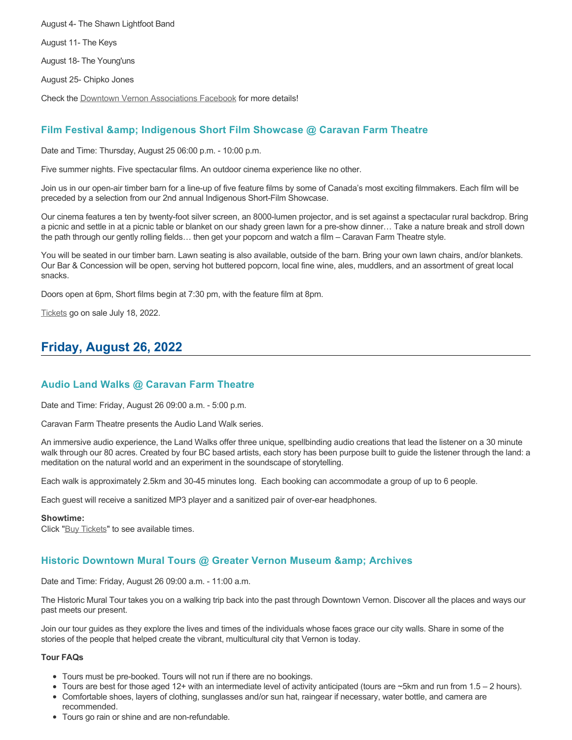August 4- The Shawn Lightfoot Band August 11- The Keys August 18- The Young'uns August 25- Chipko Jones

Check the [Downtown Vernon Associations Facebook](https://www.facebook.com/downtownvernon/) for more details!

## **Film Festival & Indigenous Short Film Showcase @ Caravan Farm Theatre**

Date and Time: Thursday, August 25 06:00 p.m. - 10:00 p.m.

Five summer nights. Five spectacular films. An outdoor cinema experience like no other.

Join us in our open-air timber barn for a line-up of five feature films by some of Canada's most exciting filmmakers. Each film will be preceded by a selection from our 2nd annual Indigenous Short-Film Showcase.

Our cinema features a ten by twenty-foot silver screen, an 8000-lumen projector, and is set against a spectacular rural backdrop. Bring a picnic and settle in at a picnic table or blanket on our shady green lawn for a pre-show dinner… Take a nature break and stroll down the path through our gently rolling fields… then get your popcorn and watch a film – Caravan Farm Theatre style.

You will be seated in our timber barn. Lawn seating is also available, outside of the barn. Bring your own lawn chairs, and/or blankets. Our Bar & Concession will be open, serving hot buttered popcorn, local fine wine, ales, muddlers, and an assortment of great local snacks.

Doors open at 6pm, Short films begin at 7:30 pm, with the feature film at 8pm.

[Tickets](https://caravanfarmtheatre.com/show/film-festival/?ct=t%28EMAIL_CAMPAIGN_4_19_2022_13_43SEASON+2022%29&mc_cid=c02afad356&mc_eid=4778eb8892) go on sale July 18, 2022.

# **Friday, August 26, 2022**

### **Audio Land Walks @ Caravan Farm Theatre**

Date and Time: Friday, August 26 09:00 a.m. - 5:00 p.m.

Caravan Farm Theatre presents the Audio Land Walk series.

An immersive audio experience, the Land Walks offer three unique, spellbinding audio creations that lead the listener on a 30 minute walk through our 80 acres. Created by four BC based artists, each story has been purpose built to guide the listener through the land: a meditation on the natural world and an experiment in the soundscape of storytelling.

Each walk is approximately 2.5km and 30-45 minutes long. Each booking can accommodate a group of up to 6 people.

Each guest will receive a sanitized MP3 player and a sanitized pair of over-ear headphones.

#### **Showtime:**

Click "[Buy Tickets](https://caravanfarmtheatre.com/show/the-land-walks/?ct=t%28EMAIL_CAMPAIGN_4_19_2022_13_43SEASON+2022%29&mc_cid=c02afad356&mc_eid=4778eb8892)" to see available times.

### **Historic Downtown Mural Tours @ Greater Vernon Museum & Archives**

Date and Time: Friday, August 26 09:00 a.m. - 11:00 a.m.

The Historic Mural Tour takes you on a walking trip back into the past through Downtown Vernon. Discover all the places and ways our past meets our present.

Join our tour guides as they explore the lives and times of the individuals whose faces grace our city walls. Share in some of the stories of the people that helped create the vibrant, multicultural city that Vernon is today.

#### **Tour FAQs**

- Tours must be pre-booked. Tours will not run if there are no bookings.
- Tours are best for those aged 12+ with an intermediate level of activity anticipated (tours are ~5km and run from 1.5 2 hours).
- Comfortable shoes, layers of clothing, sunglasses and/or sun hat, raingear if necessary, water bottle, and camera are recommended.
- Tours go rain or shine and are non-refundable.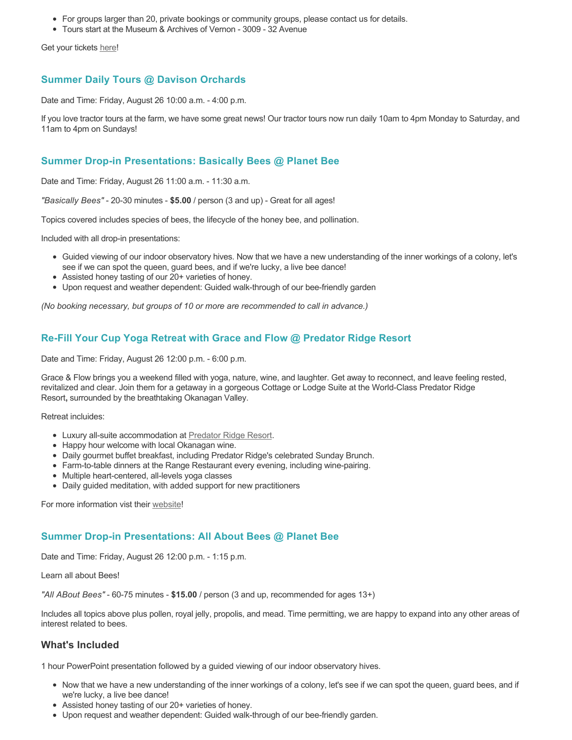- For groups larger than 20, private bookings or community groups, please contact us for details.
- Tours start at the Museum & Archives of Vernon 3009 32 Avenue

Get your tickets [here!](https://www.eventbrite.com/e/historic-downtown-mural-tours-tickets-304983342387)

# **Summer Daily Tours @ Davison Orchards**

Date and Time: Friday, August 26 10:00 a.m. - 4:00 p.m.

If you love tractor tours at the farm, we have some great news! Our tractor tours now run daily 10am to 4pm Monday to Saturday, and 11am to 4pm on Sundays!

### **Summer Drop-in Presentations: Basically Bees @ Planet Bee**

Date and Time: Friday, August 26 11:00 a.m. - 11:30 a.m.

*"Basically Bees"* - 20-30 minutes - **\$5.00** / person (3 and up) - Great for all ages!

Topics covered includes species of bees, the lifecycle of the honey bee, and pollination.

Included with all drop-in presentations:

- Guided viewing of our indoor observatory hives. Now that we have a new understanding of the inner workings of a colony, let's see if we can spot the queen, guard bees, and if we're lucky, a live bee dance!
- Assisted honey tasting of our 20+ varieties of honey.
- Upon request and weather dependent: Guided walk-through of our bee-friendly garden

*(No booking necessary, but groups of 10 or more are recommended to call in advance.)*

## **Re-Fill Your Cup Yoga Retreat with Grace and Flow @ Predator Ridge Resort**

Date and Time: Friday, August 26 12:00 p.m. - 6:00 p.m.

Grace & Flow brings you a weekend filled with yoga, nature, wine, and laughter. Get away to reconnect, and leave feeling rested, revitalized and clear. Join them for a getaway in a gorgeous Cottage or Lodge Suite at the World-Class Predator Ridge Resort**,** surrounded by the breathtaking Okanagan Valley.

Retreat incluides:

- Luxury all-suite accommodation at [Predator Ridge Resort](https://www.predatorridge.com/).
- Happy hour welcome with local Okanagan wine.
- Daily gourmet buffet breakfast, including Predator Ridge's celebrated Sunday Brunch.
- Farm-to-table dinners at the Range Restaurant every evening, including wine-pairing.
- Multiple heart-centered, all-levels yoga classes
- Daily guided meditation, with added support for new practitioners

For more information vist their [website](https://graceandflow.ca/products/re-fill-your-cup-yoga-retreat-august-25-28-2022)!

### **Summer Drop-in Presentations: All About Bees @ Planet Bee**

Date and Time: Friday, August 26 12:00 p.m. - 1:15 p.m.

Learn all about Bees!

*"All ABout Bees"* - 60-75 minutes - **\$15.00** / person (3 and up, recommended for ages 13+)

Includes all topics above plus pollen, royal jelly, propolis, and mead. Time permitting, we are happy to expand into any other areas of interest related to bees.

### **What's Included**

1 hour PowerPoint presentation followed by a guided viewing of our indoor observatory hives.

- Now that we have a new understanding of the inner workings of a colony, let's see if we can spot the queen, guard bees, and if we're lucky, a live bee dance!
- Assisted honey tasting of our 20+ varieties of honey.
- Upon request and weather dependent: Guided walk-through of our bee-friendly garden.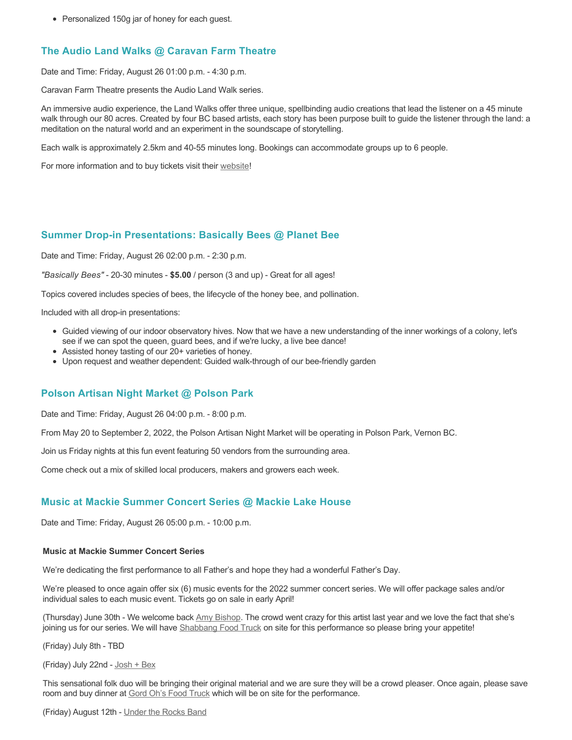• Personalized 150g jar of honey for each guest.

# **The Audio Land Walks @ Caravan Farm Theatre**

Date and Time: Friday, August 26 01:00 p.m. - 4:30 p.m.

Caravan Farm Theatre presents the Audio Land Walk series.

An immersive audio experience, the Land Walks offer three unique, spellbinding audio creations that lead the listener on a 45 minute walk through our 80 acres. Created by four BC based artists, each story has been purpose built to guide the listener through the land: a meditation on the natural world and an experiment in the soundscape of storytelling.

Each walk is approximately 2.5km and 40-55 minutes long. Bookings can accommodate groups up to 6 people.

For more information and to buy tickets visit their [website!](https://caravanfarmtheatre.com/show/the-land-walks/)

### **Summer Drop-in Presentations: Basically Bees @ Planet Bee**

Date and Time: Friday, August 26 02:00 p.m. - 2:30 p.m.

*"Basically Bees"* - 20-30 minutes - **\$5.00** / person (3 and up) - Great for all ages!

Topics covered includes species of bees, the lifecycle of the honey bee, and pollination.

Included with all drop-in presentations:

- Guided viewing of our indoor observatory hives. Now that we have a new understanding of the inner workings of a colony, let's see if we can spot the queen, guard bees, and if we're lucky, a live bee dance!
- Assisted honey tasting of our 20+ varieties of honey.
- Upon request and weather dependent: Guided walk-through of our bee-friendly garden

### **Polson Artisan Night Market @ Polson Park**

Date and Time: Friday, August 26 04:00 p.m. - 8:00 p.m.

From May 20 to September 2, 2022, the Polson Artisan Night Market will be operating in Polson Park, Vernon BC.

Join us Friday nights at this fun event featuring 50 vendors from the surrounding area.

Come check out a mix of skilled local producers, makers and growers each week.

### **Music at Mackie Summer Concert Series @ Mackie Lake House**

Date and Time: Friday, August 26 05:00 p.m. - 10:00 p.m.

#### **Music at Mackie Summer Concert Series**

We're dedicating the first performance to all Father's and hope they had a wonderful Father's Day.

We're pleased to once again offer six (6) music events for the 2022 summer concert series. We will offer package sales and/or individual sales to each music event. Tickets go on sale in early April!

(Thursday) June 30th - We welcome back [Amy Bishop.](https://protect-ca.mimecast.com/s/97KDCk8v46IYY8Pc4eTtT?domain=mackiehouse.us3.list-manage.com) The crowd went crazy for this artist last year and we love the fact that she's joining us for our series. We will have [Shabbang Food Truck](https://protect-ca.mimecast.com/s/hGWiClxw48FOO0jTKiFD6?domain=mackiehouse.us3.list-manage.com) on site for this performance so please bring your appetite!

(Friday) July 8th - TBD

(Friday) July 22nd - [Josh + Bex](https://protect-ca.mimecast.com/s/LfcBCmOx47s11B9u0QwFr?domain=mackiehouse.us3.list-manage.com)

This sensational folk duo will be bringing their original material and we are sure they will be a crowd pleaser. Once again, please save room and buy dinner at [Gord Oh's Food Truck](https://protect-ca.mimecast.com/s/oREECnxy4GFllAkujC-Hs?domain=mackiehouse.us3.list-manage.com) which will be on site for the performance.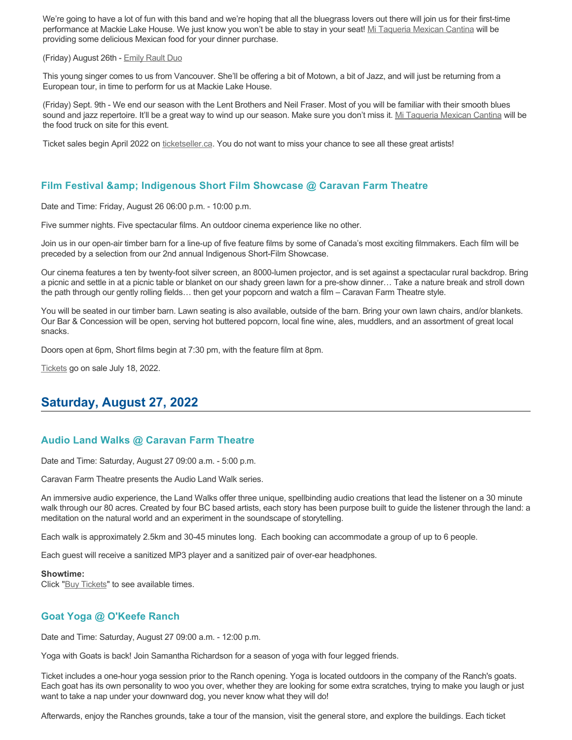We're going to have a lot of fun with this band and we're hoping that all the bluegrass lovers out there will join us for their first-time performance at Mackie Lake House. We just know you won't be able to stay in your seat! [Mi Taqueria Mexican Cantina](https://protect-ca.mimecast.com/s/IidvCp8A59IQQ17s1mbiS?domain=mackiehouse.us3.list-manage.com) will be providing some delicious Mexican food for your dinner purchase.

#### (Friday) August 26th - [Emily Rault Duo](https://protect-ca.mimecast.com/s/1ZJZCq7B4AsLLKVczxAAc?domain=mackiehouse.us3.list-manage.com)

This young singer comes to us from Vancouver. She'll be offering a bit of Motown, a bit of Jazz, and will just be returning from a European tour, in time to perform for us at Mackie Lake House.

(Friday) Sept. 9th - We end our season with the Lent Brothers and Neil Fraser. Most of you will be familiar with their smooth blues sound and jazz repertoire. It'll be a great way to wind up our season. Make sure you don't miss it. [Mi Taqueria Mexican Cantina](https://protect-ca.mimecast.com/s/mUjmCr8D4gIwwPWTPinKw?domain=mackiehouse.us3.list-manage.com) will be the food truck on site for this event.

Ticket sales begin April 2022 on [ticketseller.ca.](https://ticketseller.ca/) You do not want to miss your chance to see all these great artists!

## **Film Festival & Indigenous Short Film Showcase @ Caravan Farm Theatre**

Date and Time: Friday, August 26 06:00 p.m. - 10:00 p.m.

Five summer nights. Five spectacular films. An outdoor cinema experience like no other.

Join us in our open-air timber barn for a line-up of five feature films by some of Canada's most exciting filmmakers. Each film will be preceded by a selection from our 2nd annual Indigenous Short-Film Showcase.

Our cinema features a ten by twenty-foot silver screen, an 8000-lumen projector, and is set against a spectacular rural backdrop. Bring a picnic and settle in at a picnic table or blanket on our shady green lawn for a pre-show dinner… Take a nature break and stroll down the path through our gently rolling fields… then get your popcorn and watch a film – Caravan Farm Theatre style.

You will be seated in our timber barn. Lawn seating is also available, outside of the barn. Bring your own lawn chairs, and/or blankets. Our Bar & Concession will be open, serving hot buttered popcorn, local fine wine, ales, muddlers, and an assortment of great local snacks.

Doors open at 6pm, Short films begin at 7:30 pm, with the feature film at 8pm.

[Tickets](https://caravanfarmtheatre.com/show/film-festival/?ct=t%28EMAIL_CAMPAIGN_4_19_2022_13_43SEASON+2022%29&mc_cid=c02afad356&mc_eid=4778eb8892) go on sale July 18, 2022.

# **Saturday, August 27, 2022**

# **Audio Land Walks @ Caravan Farm Theatre**

Date and Time: Saturday, August 27 09:00 a.m. - 5:00 p.m.

Caravan Farm Theatre presents the Audio Land Walk series.

An immersive audio experience, the Land Walks offer three unique, spellbinding audio creations that lead the listener on a 30 minute walk through our 80 acres. Created by four BC based artists, each story has been purpose built to guide the listener through the land: a meditation on the natural world and an experiment in the soundscape of storytelling.

Each walk is approximately 2.5km and 30-45 minutes long. Each booking can accommodate a group of up to 6 people.

Each guest will receive a sanitized MP3 player and a sanitized pair of over-ear headphones.

#### **Showtime:**

Click "[Buy Tickets](https://caravanfarmtheatre.com/show/the-land-walks/?ct=t%28EMAIL_CAMPAIGN_4_19_2022_13_43SEASON+2022%29&mc_cid=c02afad356&mc_eid=4778eb8892)" to see available times.

# **Goat Yoga @ O'Keefe Ranch**

Date and Time: Saturday, August 27 09:00 a.m. - 12:00 p.m.

Yoga with Goats is back! Join Samantha Richardson for a season of yoga with four legged friends.

Ticket includes a one-hour yoga session prior to the Ranch opening. Yoga is located outdoors in the company of the Ranch's goats. Each goat has its own personality to woo you over, whether they are looking for some extra scratches, trying to make you laugh or just want to take a nap under your downward dog, you never know what they will do!

Afterwards, enjoy the Ranches grounds, take a tour of the mansion, visit the general store, and explore the buildings. Each ticket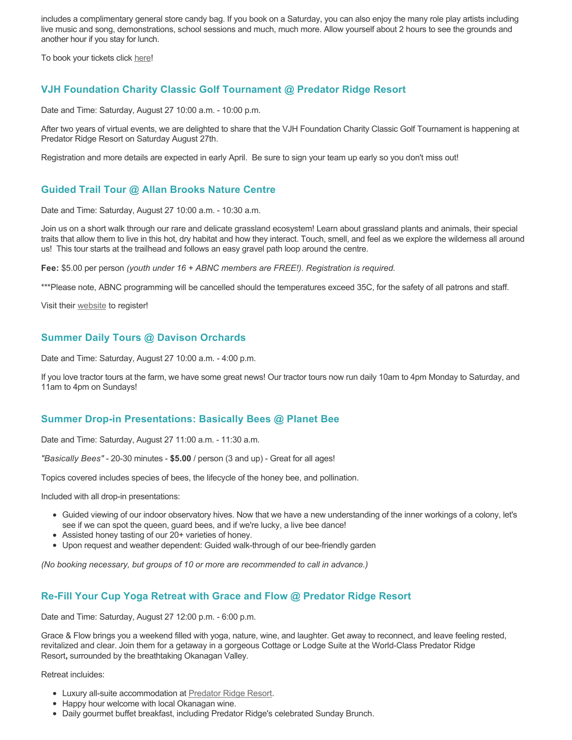includes a complimentary general store candy bag. If you book on a Saturday, you can also enjoy the many role play artists including live music and song, demonstrations, school sessions and much, much more. Allow yourself about 2 hours to see the grounds and another hour if you stay for lunch.

To book your tickets click [here!](https://tickets.ticketseller.ca/TheatreManager/1/login&event=3417)

### **VJH Foundation Charity Classic Golf Tournament @ Predator Ridge Resort**

Date and Time: Saturday, August 27 10:00 a.m. - 10:00 p.m.

After two years of virtual events, we are delighted to share that the VJH Foundation Charity Classic Golf Tournament is happening at Predator Ridge Resort on Saturday August 27th.

Registration and more details are expected in early April. Be sure to sign your team up early so you don't miss out!

### **Guided Trail Tour @ Allan Brooks Nature Centre**

Date and Time: Saturday, August 27 10:00 a.m. - 10:30 a.m.

Join us on a short walk through our rare and delicate grassland ecosystem! Learn about grassland plants and animals, their special traits that allow them to live in this hot, dry habitat and how they interact. Touch, smell, and feel as we explore the wilderness all around us! This tour starts at the trailhead and follows an easy gravel path loop around the centre.

**Fee:** \$5.00 per person *(youth under 16 + ABNC members are FREE!). Registration is required.* 

\*\*\*Please note, ABNC programming will be cancelled should the temperatures exceed 35C, for the safety of all patrons and staff.

Visit their [website](https://abnc.ca/events/events-calendar/) to register!

### **Summer Daily Tours @ Davison Orchards**

Date and Time: Saturday, August 27 10:00 a.m. - 4:00 p.m.

If you love tractor tours at the farm, we have some great news! Our tractor tours now run daily 10am to 4pm Monday to Saturday, and 11am to 4pm on Sundays!

### **Summer Drop-in Presentations: Basically Bees @ Planet Bee**

Date and Time: Saturday, August 27 11:00 a.m. - 11:30 a.m.

*"Basically Bees"* - 20-30 minutes - **\$5.00** / person (3 and up) - Great for all ages!

Topics covered includes species of bees, the lifecycle of the honey bee, and pollination.

Included with all drop-in presentations:

- Guided viewing of our indoor observatory hives. Now that we have a new understanding of the inner workings of a colony, let's see if we can spot the queen, guard bees, and if we're lucky, a live bee dance!
- Assisted honey tasting of our 20+ varieties of honey.
- Upon request and weather dependent: Guided walk-through of our bee-friendly garden

*(No booking necessary, but groups of 10 or more are recommended to call in advance.)*

# **Re-Fill Your Cup Yoga Retreat with Grace and Flow @ Predator Ridge Resort**

Date and Time: Saturday, August 27 12:00 p.m. - 6:00 p.m.

Grace & Flow brings you a weekend filled with yoga, nature, wine, and laughter. Get away to reconnect, and leave feeling rested, revitalized and clear. Join them for a getaway in a gorgeous Cottage or Lodge Suite at the World-Class Predator Ridge Resort**,** surrounded by the breathtaking Okanagan Valley.

Retreat incluides:

- Luxury all-suite accommodation at [Predator Ridge Resort](https://www.predatorridge.com/).
- Happy hour welcome with local Okanagan wine.
- Daily gourmet buffet breakfast, including Predator Ridge's celebrated Sunday Brunch.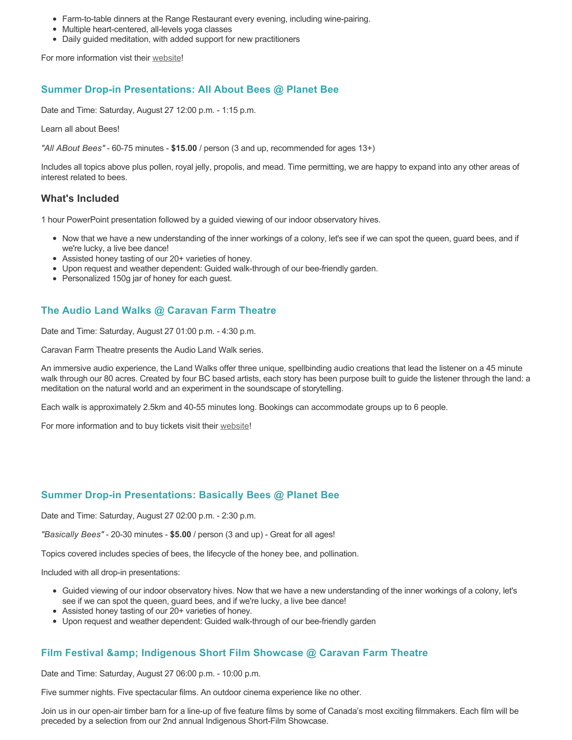- Farm-to-table dinners at the Range Restaurant every evening, including wine-pairing.
- Multiple heart-centered, all-levels yoga classes
- Daily guided meditation, with added support for new practitioners

For more information vist their [website](https://graceandflow.ca/products/re-fill-your-cup-yoga-retreat-august-25-28-2022)!

#### **Summer Drop-in Presentations: All About Bees @ Planet Bee**

Date and Time: Saturday, August 27 12:00 p.m. - 1:15 p.m.

Learn all about Bees!

*"All ABout Bees"* - 60-75 minutes - **\$15.00** / person (3 and up, recommended for ages 13+)

Includes all topics above plus pollen, royal jelly, propolis, and mead. Time permitting, we are happy to expand into any other areas of interest related to bees.

#### **What's Included**

1 hour PowerPoint presentation followed by a guided viewing of our indoor observatory hives.

- Now that we have a new understanding of the inner workings of a colony, let's see if we can spot the queen, guard bees, and if we're lucky, a live bee dance!
- Assisted honey tasting of our 20+ varieties of honey.
- Upon request and weather dependent: Guided walk-through of our bee-friendly garden.
- Personalized 150g jar of honey for each guest.

## **The Audio Land Walks @ Caravan Farm Theatre**

Date and Time: Saturday, August 27 01:00 p.m. - 4:30 p.m.

Caravan Farm Theatre presents the Audio Land Walk series.

An immersive audio experience, the Land Walks offer three unique, spellbinding audio creations that lead the listener on a 45 minute walk through our 80 acres. Created by four BC based artists, each story has been purpose built to guide the listener through the land: a meditation on the natural world and an experiment in the soundscape of storytelling.

Each walk is approximately 2.5km and 40-55 minutes long. Bookings can accommodate groups up to 6 people.

For more information and to buy tickets visit their [website!](https://caravanfarmtheatre.com/show/the-land-walks/)

#### **Summer Drop-in Presentations: Basically Bees @ Planet Bee**

Date and Time: Saturday, August 27 02:00 p.m. - 2:30 p.m.

*"Basically Bees"* - 20-30 minutes - **\$5.00** / person (3 and up) - Great for all ages!

Topics covered includes species of bees, the lifecycle of the honey bee, and pollination.

Included with all drop-in presentations:

- Guided viewing of our indoor observatory hives. Now that we have a new understanding of the inner workings of a colony, let's see if we can spot the queen, guard bees, and if we're lucky, a live bee dance!
- Assisted honey tasting of our 20+ varieties of honey.
- Upon request and weather dependent: Guided walk-through of our bee-friendly garden

### **Film Festival & Indigenous Short Film Showcase @ Caravan Farm Theatre**

Date and Time: Saturday, August 27 06:00 p.m. - 10:00 p.m.

Five summer nights. Five spectacular films. An outdoor cinema experience like no other.

Join us in our open-air timber barn for a line-up of five feature films by some of Canada's most exciting filmmakers. Each film will be preceded by a selection from our 2nd annual Indigenous Short-Film Showcase.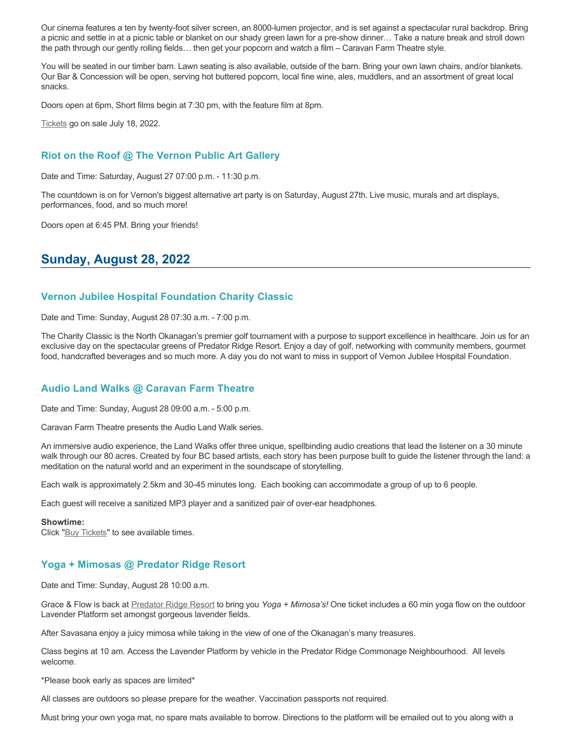Our cinema features a ten by twenty-foot silver screen, an 8000-lumen projector, and is set against a spectacular rural backdrop. Bring a picnic and settle in at a picnic table or blanket on our shady green lawn for a pre-show dinner… Take a nature break and stroll down the path through our gently rolling fields… then get your popcorn and watch a film – Caravan Farm Theatre style.

You will be seated in our timber barn. Lawn seating is also available, outside of the barn. Bring your own lawn chairs, and/or blankets. Our Bar & Concession will be open, serving hot buttered popcorn, local fine wine, ales, muddlers, and an assortment of great local snacks.

Doors open at 6pm, Short films begin at 7:30 pm, with the feature film at 8pm.

[Tickets](https://caravanfarmtheatre.com/show/film-festival/?ct=t%28EMAIL_CAMPAIGN_4_19_2022_13_43SEASON+2022%29&mc_cid=c02afad356&mc_eid=4778eb8892) go on sale July 18, 2022.

#### **Riot on the Roof @ The Vernon Public Art Gallery**

Date and Time: Saturday, August 27 07:00 p.m. - 11:30 p.m.

The countdown is on for Vernon's biggest alternative art party is on Saturday, August 27th. Live music, murals and art displays, performances, food, and so much more!

Doors open at 6:45 PM. Bring your friends!

# **Sunday, August 28, 2022**

#### **Vernon Jubilee Hospital Foundation Charity Classic**

Date and Time: Sunday, August 28 07:30 a.m. - 7:00 p.m.

The Charity Classic is the North Okanagan's premier golf tournament with a purpose to support excellence in healthcare. Join us for an exclusive day on the spectacular greens of Predator Ridge Resort. Enjoy a day of golf, networking with community members, gourmet food, handcrafted beverages and so much more. A day you do not want to miss in support of Vernon Jubilee Hospital Foundation.

### **Audio Land Walks @ Caravan Farm Theatre**

Date and Time: Sunday, August 28 09:00 a.m. - 5:00 p.m.

Caravan Farm Theatre presents the Audio Land Walk series.

An immersive audio experience, the Land Walks offer three unique, spellbinding audio creations that lead the listener on a 30 minute walk through our 80 acres. Created by four BC based artists, each story has been purpose built to guide the listener through the land: a meditation on the natural world and an experiment in the soundscape of storytelling.

Each walk is approximately 2.5km and 30-45 minutes long. Each booking can accommodate a group of up to 6 people.

Each guest will receive a sanitized MP3 player and a sanitized pair of over-ear headphones.

#### **Showtime:**

Click "[Buy Tickets](https://caravanfarmtheatre.com/show/the-land-walks/?ct=t%28EMAIL_CAMPAIGN_4_19_2022_13_43SEASON+2022%29&mc_cid=c02afad356&mc_eid=4778eb8892)" to see available times.

### **Yoga + Mimosas @ Predator Ridge Resort**

Date and Time: Sunday, August 28 10:00 a.m.

Grace & Flow is back at [Predator Ridge Resort](https://www.predatorridge.com/events) to bring you *Yoga + Mimosa's!* One ticket includes a 60 min yoga flow on the outdoor Lavender Platform set amongst gorgeous lavender fields.

After Savasana enjoy a juicy mimosa while taking in the view of one of the Okanagan's many treasures.

Class begins at 10 am. Access the Lavender Platform by vehicle in the Predator Ridge Commonage Neighbourhood. All levels welcome.

\*Please book early as spaces are limited\*

All classes are outdoors so please prepare for the weather. Vaccination passports not required.

Must bring your own yoga mat, no spare mats available to borrow. Directions to the platform will be emailed out to you along with a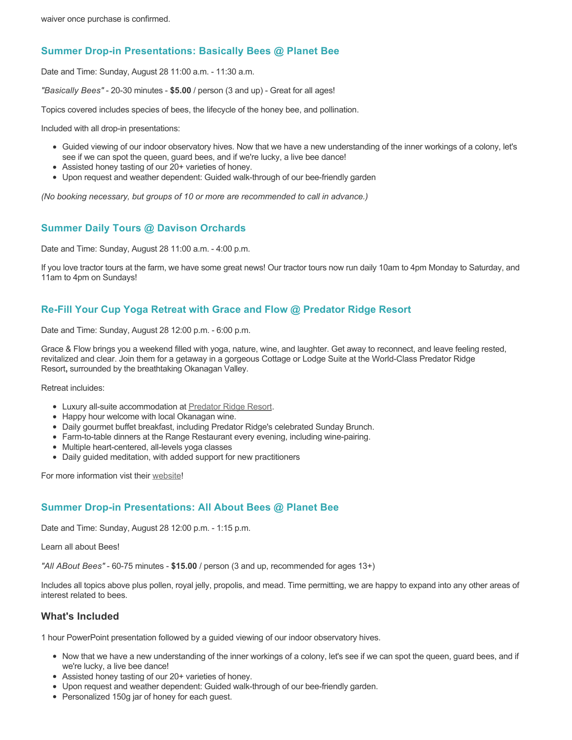## **Summer Drop-in Presentations: Basically Bees @ Planet Bee**

Date and Time: Sunday, August 28 11:00 a.m. - 11:30 a.m.

*"Basically Bees"* - 20-30 minutes - **\$5.00** / person (3 and up) - Great for all ages!

Topics covered includes species of bees, the lifecycle of the honey bee, and pollination.

Included with all drop-in presentations:

- Guided viewing of our indoor observatory hives. Now that we have a new understanding of the inner workings of a colony, let's see if we can spot the queen, guard bees, and if we're lucky, a live bee dance!
- Assisted honey tasting of our 20+ varieties of honey.
- Upon request and weather dependent: Guided walk-through of our bee-friendly garden

*(No booking necessary, but groups of 10 or more are recommended to call in advance.)*

## **Summer Daily Tours @ Davison Orchards**

Date and Time: Sunday, August 28 11:00 a.m. - 4:00 p.m.

If you love tractor tours at the farm, we have some great news! Our tractor tours now run daily 10am to 4pm Monday to Saturday, and 11am to 4pm on Sundays!

## **Re-Fill Your Cup Yoga Retreat with Grace and Flow @ Predator Ridge Resort**

Date and Time: Sunday, August 28 12:00 p.m. - 6:00 p.m.

Grace & Flow brings you a weekend filled with yoga, nature, wine, and laughter. Get away to reconnect, and leave feeling rested, revitalized and clear. Join them for a getaway in a gorgeous Cottage or Lodge Suite at the World-Class Predator Ridge Resort**,** surrounded by the breathtaking Okanagan Valley.

Retreat incluides:

- Luxury all-suite accommodation at [Predator Ridge Resort](https://www.predatorridge.com/).
- Happy hour welcome with local Okanagan wine.
- Daily gourmet buffet breakfast, including Predator Ridge's celebrated Sunday Brunch.
- Farm-to-table dinners at the Range Restaurant every evening, including wine-pairing.
- Multiple heart-centered, all-levels yoga classes
- Daily guided meditation, with added support for new practitioners

For more information vist their [website](https://graceandflow.ca/products/re-fill-your-cup-yoga-retreat-august-25-28-2022)!

### **Summer Drop-in Presentations: All About Bees @ Planet Bee**

Date and Time: Sunday, August 28 12:00 p.m. - 1:15 p.m.

Learn all about Bees!

*"All ABout Bees"* - 60-75 minutes - **\$15.00** / person (3 and up, recommended for ages 13+)

Includes all topics above plus pollen, royal jelly, propolis, and mead. Time permitting, we are happy to expand into any other areas of interest related to bees.

#### **What's Included**

1 hour PowerPoint presentation followed by a guided viewing of our indoor observatory hives.

- Now that we have a new understanding of the inner workings of a colony, let's see if we can spot the queen, guard bees, and if we're lucky, a live bee dance!
- Assisted honey tasting of our 20+ varieties of honey.
- Upon request and weather dependent: Guided walk-through of our bee-friendly garden.
- Personalized 150g jar of honey for each quest.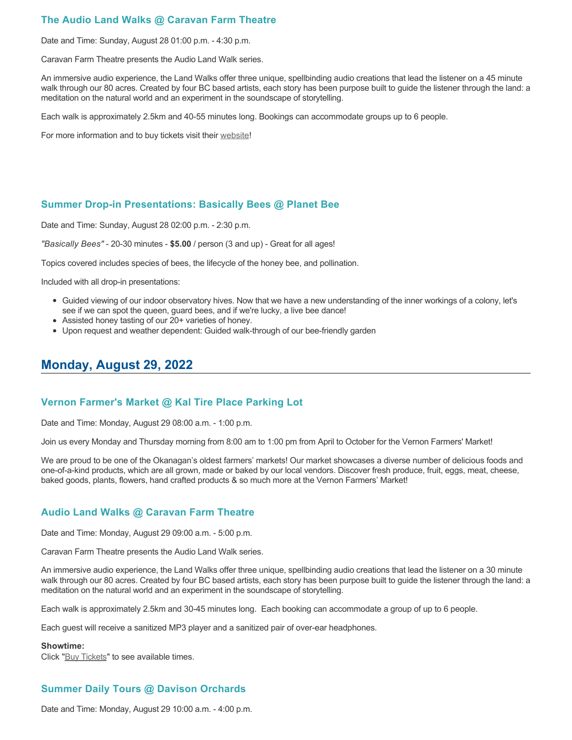# **The Audio Land Walks @ Caravan Farm Theatre**

Date and Time: Sunday, August 28 01:00 p.m. - 4:30 p.m.

Caravan Farm Theatre presents the Audio Land Walk series.

An immersive audio experience, the Land Walks offer three unique, spellbinding audio creations that lead the listener on a 45 minute walk through our 80 acres. Created by four BC based artists, each story has been purpose built to guide the listener through the land: a meditation on the natural world and an experiment in the soundscape of storytelling.

Each walk is approximately 2.5km and 40-55 minutes long. Bookings can accommodate groups up to 6 people.

For more information and to buy tickets visit their [website!](https://caravanfarmtheatre.com/show/the-land-walks/)

### **Summer Drop-in Presentations: Basically Bees @ Planet Bee**

Date and Time: Sunday, August 28 02:00 p.m. - 2:30 p.m.

*"Basically Bees"* - 20-30 minutes - **\$5.00** / person (3 and up) - Great for all ages!

Topics covered includes species of bees, the lifecycle of the honey bee, and pollination.

Included with all drop-in presentations:

- Guided viewing of our indoor observatory hives. Now that we have a new understanding of the inner workings of a colony, let's see if we can spot the queen, guard bees, and if we're lucky, a live bee dance!
- Assisted honey tasting of our 20+ varieties of honey.
- Upon request and weather dependent: Guided walk-through of our bee-friendly garden

# **Monday, August 29, 2022**

#### **Vernon Farmer's Market @ Kal Tire Place Parking Lot**

Date and Time: Monday, August 29 08:00 a.m. - 1:00 p.m.

Join us every Monday and Thursday morning from 8:00 am to 1:00 pm from April to October for the Vernon Farmers' Market!

We are proud to be one of the Okanagan's oldest farmers' markets! Our market showcases a diverse number of delicious foods and one-of-a-kind products, which are all grown, made or baked by our local vendors. Discover fresh produce, fruit, eggs, meat, cheese, baked goods, plants, flowers, hand crafted products & so much more at the Vernon Farmers' Market!

### **Audio Land Walks @ Caravan Farm Theatre**

Date and Time: Monday, August 29 09:00 a.m. - 5:00 p.m.

Caravan Farm Theatre presents the Audio Land Walk series.

An immersive audio experience, the Land Walks offer three unique, spellbinding audio creations that lead the listener on a 30 minute walk through our 80 acres. Created by four BC based artists, each story has been purpose built to guide the listener through the land: a meditation on the natural world and an experiment in the soundscape of storytelling.

Each walk is approximately 2.5km and 30-45 minutes long. Each booking can accommodate a group of up to 6 people.

Each guest will receive a sanitized MP3 player and a sanitized pair of over-ear headphones.

#### **Showtime:**

Click "[Buy Tickets](https://caravanfarmtheatre.com/show/the-land-walks/?ct=t%28EMAIL_CAMPAIGN_4_19_2022_13_43SEASON+2022%29&mc_cid=c02afad356&mc_eid=4778eb8892)" to see available times.

# **Summer Daily Tours @ Davison Orchards**

Date and Time: Monday, August 29 10:00 a.m. - 4:00 p.m.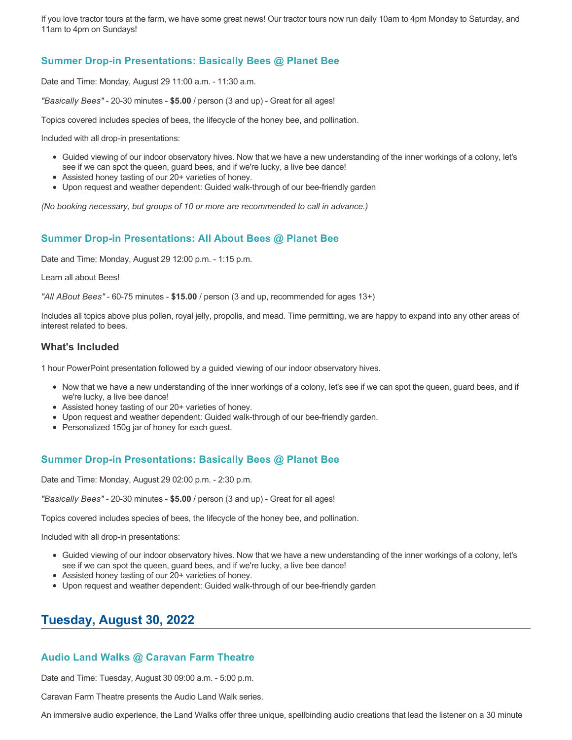If you love tractor tours at the farm, we have some great news! Our tractor tours now run daily 10am to 4pm Monday to Saturday, and 11am to 4pm on Sundays!

# **Summer Drop-in Presentations: Basically Bees @ Planet Bee**

Date and Time: Monday, August 29 11:00 a.m. - 11:30 a.m.

*"Basically Bees"* - 20-30 minutes - **\$5.00** / person (3 and up) - Great for all ages!

Topics covered includes species of bees, the lifecycle of the honey bee, and pollination.

Included with all drop-in presentations:

- Guided viewing of our indoor observatory hives. Now that we have a new understanding of the inner workings of a colony, let's see if we can spot the queen, guard bees, and if we're lucky, a live bee dance!
- Assisted honey tasting of our 20+ varieties of honey.
- Upon request and weather dependent: Guided walk-through of our bee-friendly garden

*(No booking necessary, but groups of 10 or more are recommended to call in advance.)*

### **Summer Drop-in Presentations: All About Bees @ Planet Bee**

Date and Time: Monday, August 29 12:00 p.m. - 1:15 p.m.

Learn all about Bees!

*"All ABout Bees"* - 60-75 minutes - **\$15.00** / person (3 and up, recommended for ages 13+)

Includes all topics above plus pollen, royal jelly, propolis, and mead. Time permitting, we are happy to expand into any other areas of interest related to bees.

#### **What's Included**

1 hour PowerPoint presentation followed by a guided viewing of our indoor observatory hives.

- Now that we have a new understanding of the inner workings of a colony, let's see if we can spot the queen, guard bees, and if we're lucky, a live bee dance!
- Assisted honey tasting of our 20+ varieties of honey.
- Upon request and weather dependent: Guided walk-through of our bee-friendly garden.
- Personalized 150g jar of honey for each guest.

#### **Summer Drop-in Presentations: Basically Bees @ Planet Bee**

Date and Time: Monday, August 29 02:00 p.m. - 2:30 p.m.

*"Basically Bees"* - 20-30 minutes - **\$5.00** / person (3 and up) - Great for all ages!

Topics covered includes species of bees, the lifecycle of the honey bee, and pollination.

Included with all drop-in presentations:

- Guided viewing of our indoor observatory hives. Now that we have a new understanding of the inner workings of a colony, let's see if we can spot the queen, guard bees, and if we're lucky, a live bee dance!
- Assisted honey tasting of our 20+ varieties of honey.
- Upon request and weather dependent: Guided walk-through of our bee-friendly garden

# **Tuesday, August 30, 2022**

### **Audio Land Walks @ Caravan Farm Theatre**

Date and Time: Tuesday, August 30 09:00 a.m. - 5:00 p.m.

Caravan Farm Theatre presents the Audio Land Walk series.

An immersive audio experience, the Land Walks offer three unique, spellbinding audio creations that lead the listener on a 30 minute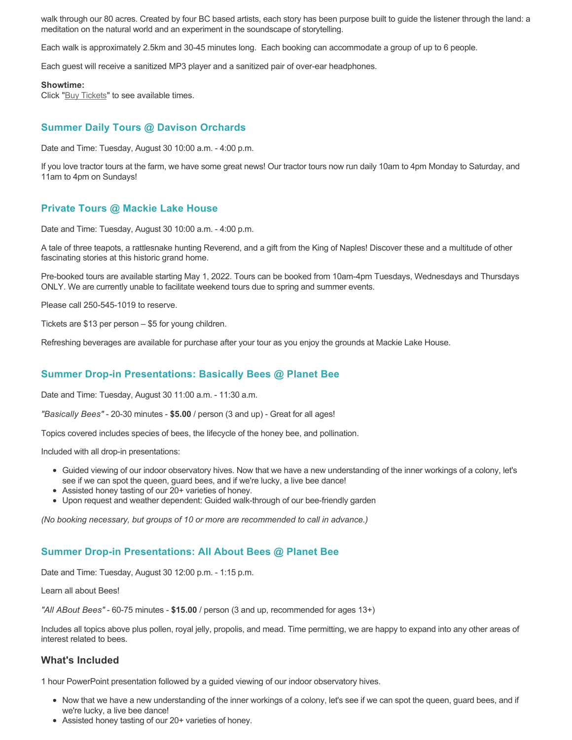walk through our 80 acres. Created by four BC based artists, each story has been purpose built to guide the listener through the land: a meditation on the natural world and an experiment in the soundscape of storytelling.

Each walk is approximately 2.5km and 30-45 minutes long. Each booking can accommodate a group of up to 6 people.

Each guest will receive a sanitized MP3 player and a sanitized pair of over-ear headphones.

#### **Showtime:**

Click "**[Buy Tickets](https://caravanfarmtheatre.com/show/the-land-walks/?ct=t%28EMAIL_CAMPAIGN_4_19_2022_13_43SEASON+2022%29&mc_cid=c02afad356&mc_eid=4778eb8892)**" to see available times.

## **Summer Daily Tours @ Davison Orchards**

Date and Time: Tuesday, August 30 10:00 a.m. - 4:00 p.m.

If you love tractor tours at the farm, we have some great news! Our tractor tours now run daily 10am to 4pm Monday to Saturday, and 11am to 4pm on Sundays!

#### **Private Tours @ Mackie Lake House**

Date and Time: Tuesday, August 30 10:00 a.m. - 4:00 p.m.

A tale of three teapots, a rattlesnake hunting Reverend, and a gift from the King of Naples! Discover these and a multitude of other fascinating stories at this historic grand home.

Pre-booked tours are available starting May 1, 2022. Tours can be booked from 10am-4pm Tuesdays, Wednesdays and Thursdays ONLY. We are currently unable to facilitate weekend tours due to spring and summer events.

Please call 250-545-1019 to reserve.

Tickets are \$13 per person – \$5 for young children.

Refreshing beverages are available for purchase after your tour as you enjoy the grounds at Mackie Lake House.

### **Summer Drop-in Presentations: Basically Bees @ Planet Bee**

Date and Time: Tuesday, August 30 11:00 a.m. - 11:30 a.m.

*"Basically Bees"* - 20-30 minutes - **\$5.00** / person (3 and up) - Great for all ages!

Topics covered includes species of bees, the lifecycle of the honey bee, and pollination.

Included with all drop-in presentations:

- Guided viewing of our indoor observatory hives. Now that we have a new understanding of the inner workings of a colony, let's see if we can spot the queen, guard bees, and if we're lucky, a live bee dance!
- Assisted honey tasting of our 20+ varieties of honey.
- Upon request and weather dependent: Guided walk-through of our bee-friendly garden

*(No booking necessary, but groups of 10 or more are recommended to call in advance.)*

#### **Summer Drop-in Presentations: All About Bees @ Planet Bee**

Date and Time: Tuesday, August 30 12:00 p.m. - 1:15 p.m.

Learn all about Bees!

*"All ABout Bees"* - 60-75 minutes - **\$15.00** / person (3 and up, recommended for ages 13+)

Includes all topics above plus pollen, royal jelly, propolis, and mead. Time permitting, we are happy to expand into any other areas of interest related to bees.

#### **What's Included**

1 hour PowerPoint presentation followed by a guided viewing of our indoor observatory hives.

- Now that we have a new understanding of the inner workings of a colony, let's see if we can spot the queen, guard bees, and if we're lucky, a live bee dance!
- Assisted honey tasting of our 20+ varieties of honey.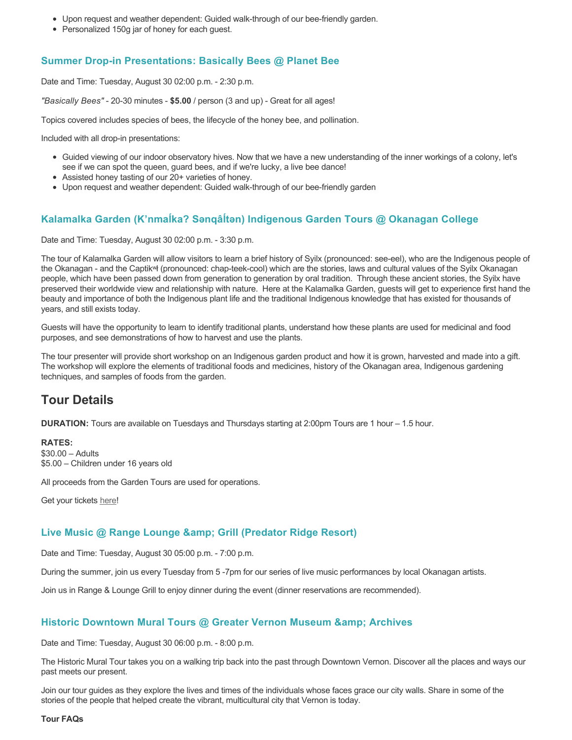- Upon request and weather dependent: Guided walk-through of our bee-friendly garden.
- Personalized 150g jar of honey for each guest.

# **Summer Drop-in Presentations: Basically Bees @ Planet Bee**

Date and Time: Tuesday, August 30 02:00 p.m. - 2:30 p.m.

*"Basically Bees"* - 20-30 minutes - **\$5.00** / person (3 and up) - Great for all ages!

Topics covered includes species of bees, the lifecycle of the honey bee, and pollination.

Included with all drop-in presentations:

- Guided viewing of our indoor observatory hives. Now that we have a new understanding of the inner workings of a colony, let's see if we can spot the queen, guard bees, and if we're lucky, a live bee dance!
- Assisted honey tasting of our 20+ varieties of honey.
- Upon request and weather dependent: Guided walk-through of our bee-friendly garden

## **Kalamalka Garden (K'nmaĺka? Sәnqâĺtәn) Indigenous Garden Tours @ Okanagan College**

Date and Time: Tuesday, August 30 02:00 p.m. - 3:30 p.m.

The tour of Kalamalka Garden will allow visitors to learn a brief history of Syilx (pronounced: see-eel), who are the Indigenous people of the Okanagan - and the Captikʷł (pronounced: chap-teek-cool) which are the stories, laws and cultural values of the Syilx Okanagan people, which have been passed down from generation to generation by oral tradition. Through these ancient stories, the Syilx have preserved their worldwide view and relationship with nature. Here at the Kalamalka Garden, guests will get to experience first hand the beauty and importance of both the Indigenous plant life and the traditional Indigenous knowledge that has existed for thousands of years, and still exists today.

Guests will have the opportunity to learn to identify traditional plants, understand how these plants are used for medicinal and food purposes, and see demonstrations of how to harvest and use the plants.

The tour presenter will provide short workshop on an Indigenous garden product and how it is grown, harvested and made into a gift. The workshop will explore the elements of traditional foods and medicines, history of the Okanagan area, Indigenous gardening techniques, and samples of foods from the garden.

# **Tour Details**

**DURATION:** Tours are available on Tuesdays and Thursdays starting at 2:00pm Tours are 1 hour – 1.5 hour.

#### **RATES:**

\$30.00 – Adults \$5.00 – Children under 16 years old

All proceeds from the Garden Tours are used for operations.

Get your tickets [here!](https://www.eventbrite.ca/e/kalamalka-garden-tour-tickets-158617843239)

### **Live Music @ Range Lounge & Grill (Predator Ridge Resort)**

Date and Time: Tuesday, August 30 05:00 p.m. - 7:00 p.m.

During the summer, join us every Tuesday from 5 -7pm for our series of live music performances by local Okanagan artists.

Join us in Range & Lounge Grill to enjoy dinner during the event (dinner reservations are recommended).

### **Historic Downtown Mural Tours @ Greater Vernon Museum & Archives**

Date and Time: Tuesday, August 30 06:00 p.m. - 8:00 p.m.

The Historic Mural Tour takes you on a walking trip back into the past through Downtown Vernon. Discover all the places and ways our past meets our present.

Join our tour guides as they explore the lives and times of the individuals whose faces grace our city walls. Share in some of the stories of the people that helped create the vibrant, multicultural city that Vernon is today.

**Tour FAQs**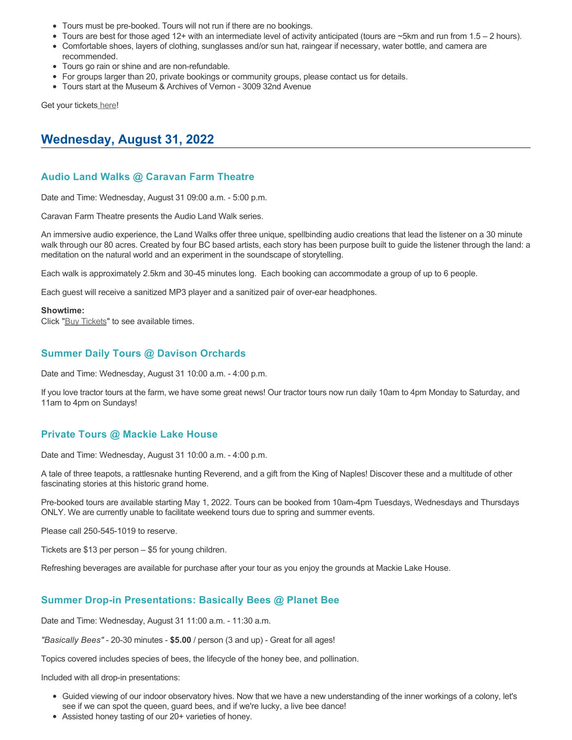- Tours must be pre-booked. Tours will not run if there are no bookings.
- Tours are best for those aged 12+ with an intermediate level of activity anticipated (tours are ~5km and run from 1.5 2 hours).
- Comfortable shoes, layers of clothing, sunglasses and/or sun hat, raingear if necessary, water bottle, and camera are recommended.
- Tours go rain or shine and are non-refundable.
- For groups larger than 20, private bookings or community groups, please contact us for details.
- Tours start at the Museum & Archives of Vernon 3009 32nd Avenue

Get your tickets [here!](https://www.eventbrite.com/e/historic-downtown-mural-tours-tickets-304983342387)

# **Wednesday, August 31, 2022**

## **Audio Land Walks @ Caravan Farm Theatre**

Date and Time: Wednesday, August 31 09:00 a.m. - 5:00 p.m.

Caravan Farm Theatre presents the Audio Land Walk series.

An immersive audio experience, the Land Walks offer three unique, spellbinding audio creations that lead the listener on a 30 minute walk through our 80 acres. Created by four BC based artists, each story has been purpose built to guide the listener through the land: a meditation on the natural world and an experiment in the soundscape of storytelling.

Each walk is approximately 2.5km and 30-45 minutes long. Each booking can accommodate a group of up to 6 people.

Each guest will receive a sanitized MP3 player and a sanitized pair of over-ear headphones.

#### **Showtime:**

Click "[Buy Tickets](https://caravanfarmtheatre.com/show/the-land-walks/?ct=t%28EMAIL_CAMPAIGN_4_19_2022_13_43SEASON+2022%29&mc_cid=c02afad356&mc_eid=4778eb8892)" to see available times.

## **Summer Daily Tours @ Davison Orchards**

Date and Time: Wednesday, August 31 10:00 a.m. - 4:00 p.m.

If you love tractor tours at the farm, we have some great news! Our tractor tours now run daily 10am to 4pm Monday to Saturday, and 11am to 4pm on Sundays!

# **Private Tours @ Mackie Lake House**

Date and Time: Wednesday, August 31 10:00 a.m. - 4:00 p.m.

A tale of three teapots, a rattlesnake hunting Reverend, and a gift from the King of Naples! Discover these and a multitude of other fascinating stories at this historic grand home.

Pre-booked tours are available starting May 1, 2022. Tours can be booked from 10am-4pm Tuesdays, Wednesdays and Thursdays ONLY. We are currently unable to facilitate weekend tours due to spring and summer events.

Please call 250-545-1019 to reserve.

Tickets are \$13 per person – \$5 for young children.

Refreshing beverages are available for purchase after your tour as you enjoy the grounds at Mackie Lake House.

### **Summer Drop-in Presentations: Basically Bees @ Planet Bee**

Date and Time: Wednesday, August 31 11:00 a.m. - 11:30 a.m.

*"Basically Bees"* - 20-30 minutes - **\$5.00** / person (3 and up) - Great for all ages!

Topics covered includes species of bees, the lifecycle of the honey bee, and pollination.

Included with all drop-in presentations:

- Guided viewing of our indoor observatory hives. Now that we have a new understanding of the inner workings of a colony, let's see if we can spot the queen, guard bees, and if we're lucky, a live bee dance!
- Assisted honey tasting of our 20+ varieties of honey.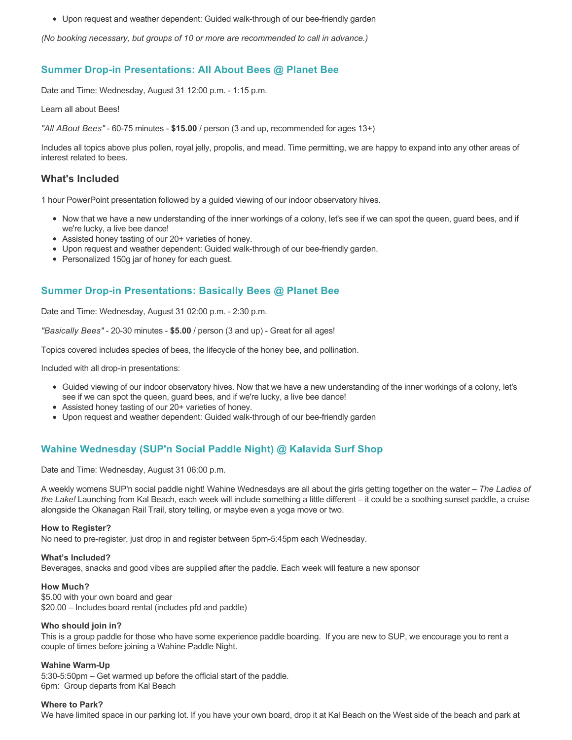Upon request and weather dependent: Guided walk-through of our bee-friendly garden

*(No booking necessary, but groups of 10 or more are recommended to call in advance.)*

### **Summer Drop-in Presentations: All About Bees @ Planet Bee**

Date and Time: Wednesday, August 31 12:00 p.m. - 1:15 p.m.

Learn all about Bees!

*"All ABout Bees"* - 60-75 minutes - **\$15.00** / person (3 and up, recommended for ages 13+)

Includes all topics above plus pollen, royal jelly, propolis, and mead. Time permitting, we are happy to expand into any other areas of interest related to bees.

#### **What's Included**

1 hour PowerPoint presentation followed by a guided viewing of our indoor observatory hives.

- Now that we have a new understanding of the inner workings of a colony, let's see if we can spot the queen, guard bees, and if we're lucky, a live bee dance!
- Assisted honey tasting of our 20+ varieties of honey.
- Upon request and weather dependent: Guided walk-through of our bee-friendly garden.
- Personalized 150g jar of honey for each guest.

### **Summer Drop-in Presentations: Basically Bees @ Planet Bee**

Date and Time: Wednesday, August 31 02:00 p.m. - 2:30 p.m.

*"Basically Bees"* - 20-30 minutes - **\$5.00** / person (3 and up) - Great for all ages!

Topics covered includes species of bees, the lifecycle of the honey bee, and pollination.

Included with all drop-in presentations:

- Guided viewing of our indoor observatory hives. Now that we have a new understanding of the inner workings of a colony, let's see if we can spot the queen, guard bees, and if we're lucky, a live bee dance!
- Assisted honey tasting of our 20+ varieties of honey.
- Upon request and weather dependent: Guided walk-through of our bee-friendly garden

# **Wahine Wednesday (SUP'n Social Paddle Night) @ Kalavida Surf Shop**

Date and Time: Wednesday, August 31 06:00 p.m.

A weekly womens SUP'n social paddle night! Wahine Wednesdays are all about the girls getting together on the water – *The Ladies of the Lake!* Launching from Kal Beach, each week will include something a little different – it could be a soothing sunset paddle, a cruise alongside the Okanagan Rail Trail, story telling, or maybe even a yoga move or two.

#### **How to Register?**

No need to pre-register, just drop in and register between 5pm-5:45pm each Wednesday.

#### **What's Included?**

Beverages, snacks and good vibes are supplied after the paddle. Each week will feature a new sponsor

#### **How Much?**

\$5.00 with your own board and gear \$20.00 – Includes board rental (includes pfd and paddle)

#### **Who should join in?**

This is a group paddle for those who have some experience paddle boarding. If you are new to SUP, we encourage you to rent a couple of times before joining a Wahine Paddle Night.

#### **Wahine Warm-Up**

5:30-5:50pm – Get warmed up before the official start of the paddle. 6pm: Group departs from Kal Beach

#### **Where to Park?**

We have limited space in our parking lot. If you have your own board, drop it at Kal Beach on the West side of the beach and park at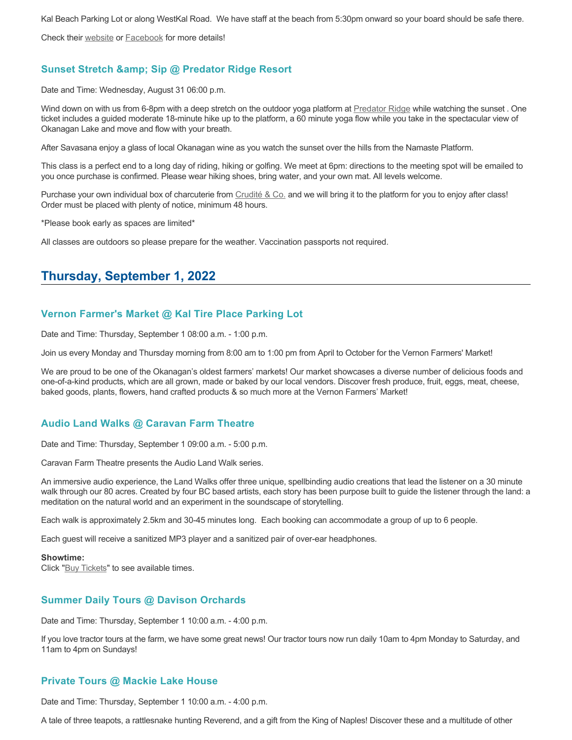Kal Beach Parking Lot or along WestKal Road. We have staff at the beach from 5:30pm onward so your board should be safe there.

Check their [website](https://kalavidasurfshop.com/wahine-wednesday-kalavida/) or [Facebook](https://www.facebook.com/kalavidasurfshop/) for more details!

## **Sunset Stretch & amp; Sip @ Predator Ridge Resort**

Date and Time: Wednesday, August 31 06:00 p.m.

Wind down on with us from 6-8pm with a deep stretch on the outdoor yoga platform at [Predator Ridge](https://www.predatorridge.com/events) while watching the sunset. One ticket includes a guided moderate 18-minute hike up to the platform, a 60 minute yoga flow while you take in the spectacular view of Okanagan Lake and move and flow with your breath.

After Savasana enjoy a glass of local Okanagan wine as you watch the sunset over the hills from the Namaste Platform.

This class is a perfect end to a long day of riding, hiking or golfing. We meet at 6pm: directions to the meeting spot will be emailed to you once purchase is confirmed. Please wear hiking shoes, bring water, and your own mat. All levels welcome.

Purchase your own individual box of charcuterie from [Crudité & Co.](https://cruditeandco.com/product/picnic-platter/) and we will bring it to the platform for you to enjoy after class! Order must be placed with plenty of notice, minimum 48 hours.

\*Please book early as spaces are limited\*

All classes are outdoors so please prepare for the weather. Vaccination passports not required.

# **Thursday, September 1, 2022**

#### **Vernon Farmer's Market @ Kal Tire Place Parking Lot**

Date and Time: Thursday, September 1 08:00 a.m. - 1:00 p.m.

Join us every Monday and Thursday morning from 8:00 am to 1:00 pm from April to October for the Vernon Farmers' Market!

We are proud to be one of the Okanagan's oldest farmers' markets! Our market showcases a diverse number of delicious foods and one-of-a-kind products, which are all grown, made or baked by our local vendors. Discover fresh produce, fruit, eggs, meat, cheese, baked goods, plants, flowers, hand crafted products & so much more at the Vernon Farmers' Market!

#### **Audio Land Walks @ Caravan Farm Theatre**

Date and Time: Thursday, September 1 09:00 a.m. - 5:00 p.m.

Caravan Farm Theatre presents the Audio Land Walk series.

An immersive audio experience, the Land Walks offer three unique, spellbinding audio creations that lead the listener on a 30 minute walk through our 80 acres. Created by four BC based artists, each story has been purpose built to guide the listener through the land: a meditation on the natural world and an experiment in the soundscape of storytelling.

Each walk is approximately 2.5km and 30-45 minutes long. Each booking can accommodate a group of up to 6 people.

Each guest will receive a sanitized MP3 player and a sanitized pair of over-ear headphones.

#### **Showtime:**

Click "[Buy Tickets](https://caravanfarmtheatre.com/show/the-land-walks/?ct=t%28EMAIL_CAMPAIGN_4_19_2022_13_43SEASON+2022%29&mc_cid=c02afad356&mc_eid=4778eb8892)" to see available times.

### **Summer Daily Tours @ Davison Orchards**

Date and Time: Thursday, September 1 10:00 a.m. - 4:00 p.m.

If you love tractor tours at the farm, we have some great news! Our tractor tours now run daily 10am to 4pm Monday to Saturday, and 11am to 4pm on Sundays!

### **Private Tours @ Mackie Lake House**

Date and Time: Thursday, September 1 10:00 a.m. - 4:00 p.m.

A tale of three teapots, a rattlesnake hunting Reverend, and a gift from the King of Naples! Discover these and a multitude of other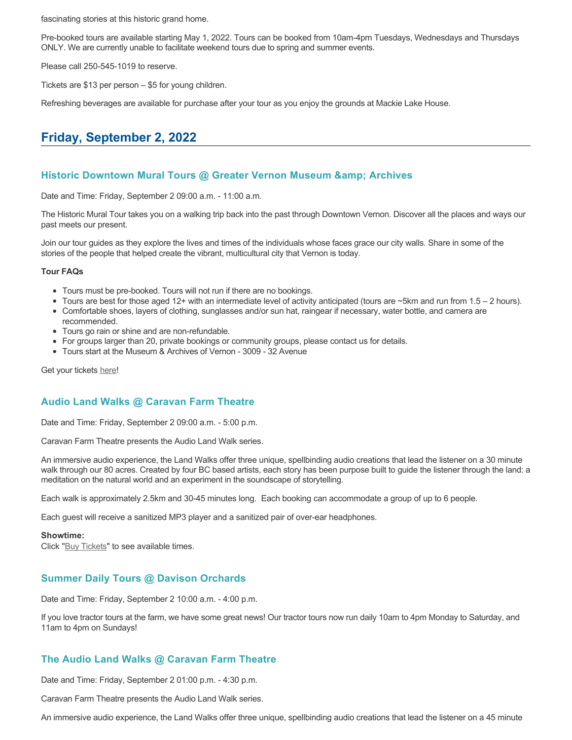fascinating stories at this historic grand home.

Pre-booked tours are available starting May 1, 2022. Tours can be booked from 10am-4pm Tuesdays, Wednesdays and Thursdays ONLY. We are currently unable to facilitate weekend tours due to spring and summer events.

Please call 250-545-1019 to reserve.

Tickets are \$13 per person – \$5 for young children.

Refreshing beverages are available for purchase after your tour as you enjoy the grounds at Mackie Lake House.

# **Friday, September 2, 2022**

#### **Historic Downtown Mural Tours @ Greater Vernon Museum & Archives**

Date and Time: Friday, September 2 09:00 a.m. - 11:00 a.m.

The Historic Mural Tour takes you on a walking trip back into the past through Downtown Vernon. Discover all the places and ways our past meets our present.

Join our tour guides as they explore the lives and times of the individuals whose faces grace our city walls. Share in some of the stories of the people that helped create the vibrant, multicultural city that Vernon is today.

#### **Tour FAQs**

- Tours must be pre-booked. Tours will not run if there are no bookings.
- Tours are best for those aged 12+ with an intermediate level of activity anticipated (tours are  $\sim$ 5km and run from 1.5 2 hours).
- Comfortable shoes, layers of clothing, sunglasses and/or sun hat, raingear if necessary, water bottle, and camera are recommended.
- Tours go rain or shine and are non-refundable.
- For groups larger than 20, private bookings or community groups, please contact us for details.
- Tours start at the Museum & Archives of Vernon 3009 32 Avenue

Get your tickets [here!](https://www.eventbrite.com/e/historic-downtown-mural-tours-tickets-304983342387)

#### **Audio Land Walks @ Caravan Farm Theatre**

Date and Time: Friday, September 2 09:00 a.m. - 5:00 p.m.

Caravan Farm Theatre presents the Audio Land Walk series.

An immersive audio experience, the Land Walks offer three unique, spellbinding audio creations that lead the listener on a 30 minute walk through our 80 acres. Created by four BC based artists, each story has been purpose built to guide the listener through the land: a meditation on the natural world and an experiment in the soundscape of storytelling.

Each walk is approximately 2.5km and 30-45 minutes long. Each booking can accommodate a group of up to 6 people.

Each guest will receive a sanitized MP3 player and a sanitized pair of over-ear headphones.

#### **Showtime:**

Click "[Buy Tickets](https://caravanfarmtheatre.com/show/the-land-walks/?ct=t%28EMAIL_CAMPAIGN_4_19_2022_13_43SEASON+2022%29&mc_cid=c02afad356&mc_eid=4778eb8892)" to see available times.

### **Summer Daily Tours @ Davison Orchards**

Date and Time: Friday, September 2 10:00 a.m. - 4:00 p.m.

If you love tractor tours at the farm, we have some great news! Our tractor tours now run daily 10am to 4pm Monday to Saturday, and 11am to 4pm on Sundays!

### **The Audio Land Walks @ Caravan Farm Theatre**

Date and Time: Friday, September 2 01:00 p.m. - 4:30 p.m.

Caravan Farm Theatre presents the Audio Land Walk series.

An immersive audio experience, the Land Walks offer three unique, spellbinding audio creations that lead the listener on a 45 minute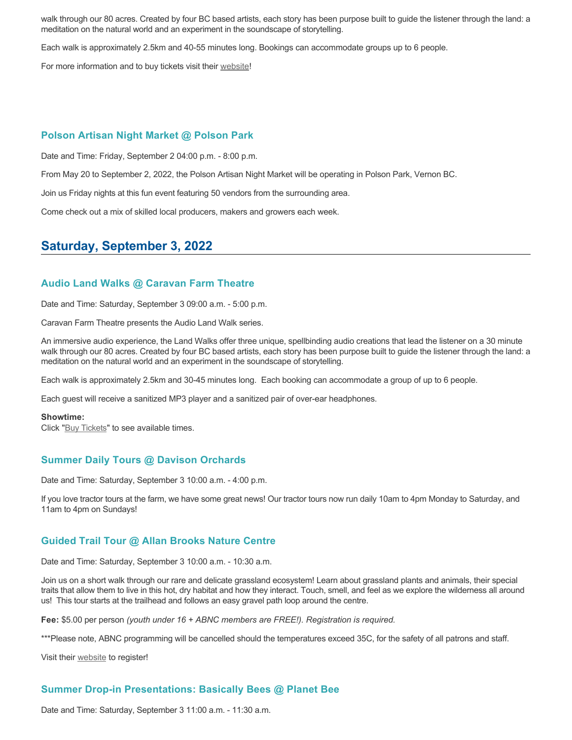walk through our 80 acres. Created by four BC based artists, each story has been purpose built to guide the listener through the land: a meditation on the natural world and an experiment in the soundscape of storytelling.

Each walk is approximately 2.5km and 40-55 minutes long. Bookings can accommodate groups up to 6 people.

For more information and to buy tickets visit their [website!](https://caravanfarmtheatre.com/show/the-land-walks/)

#### **Polson Artisan Night Market @ Polson Park**

Date and Time: Friday, September 2 04:00 p.m. - 8:00 p.m.

From May 20 to September 2, 2022, the Polson Artisan Night Market will be operating in Polson Park, Vernon BC.

Join us Friday nights at this fun event featuring 50 vendors from the surrounding area.

Come check out a mix of skilled local producers, makers and growers each week.

# **Saturday, September 3, 2022**

#### **Audio Land Walks @ Caravan Farm Theatre**

Date and Time: Saturday, September 3 09:00 a.m. - 5:00 p.m.

Caravan Farm Theatre presents the Audio Land Walk series.

An immersive audio experience, the Land Walks offer three unique, spellbinding audio creations that lead the listener on a 30 minute walk through our 80 acres. Created by four BC based artists, each story has been purpose built to guide the listener through the land: a meditation on the natural world and an experiment in the soundscape of storytelling.

Each walk is approximately 2.5km and 30-45 minutes long. Each booking can accommodate a group of up to 6 people.

Each guest will receive a sanitized MP3 player and a sanitized pair of over-ear headphones.

#### **Showtime:**

Click "[Buy Tickets](https://caravanfarmtheatre.com/show/the-land-walks/?ct=t%28EMAIL_CAMPAIGN_4_19_2022_13_43SEASON+2022%29&mc_cid=c02afad356&mc_eid=4778eb8892)" to see available times.

#### **Summer Daily Tours @ Davison Orchards**

Date and Time: Saturday, September 3 10:00 a.m. - 4:00 p.m.

If you love tractor tours at the farm, we have some great news! Our tractor tours now run daily 10am to 4pm Monday to Saturday, and 11am to 4pm on Sundays!

#### **Guided Trail Tour @ Allan Brooks Nature Centre**

Date and Time: Saturday, September 3 10:00 a.m. - 10:30 a.m.

Join us on a short walk through our rare and delicate grassland ecosystem! Learn about grassland plants and animals, their special traits that allow them to live in this hot, dry habitat and how they interact. Touch, smell, and feel as we explore the wilderness all around us! This tour starts at the trailhead and follows an easy gravel path loop around the centre.

**Fee:** \$5.00 per person *(youth under 16 + ABNC members are FREE!). Registration is required.* 

\*\*\*Please note, ABNC programming will be cancelled should the temperatures exceed 35C, for the safety of all patrons and staff.

Visit their [website](https://abnc.ca/events/events-calendar/) to register!

### **Summer Drop-in Presentations: Basically Bees @ Planet Bee**

Date and Time: Saturday, September 3 11:00 a.m. - 11:30 a.m.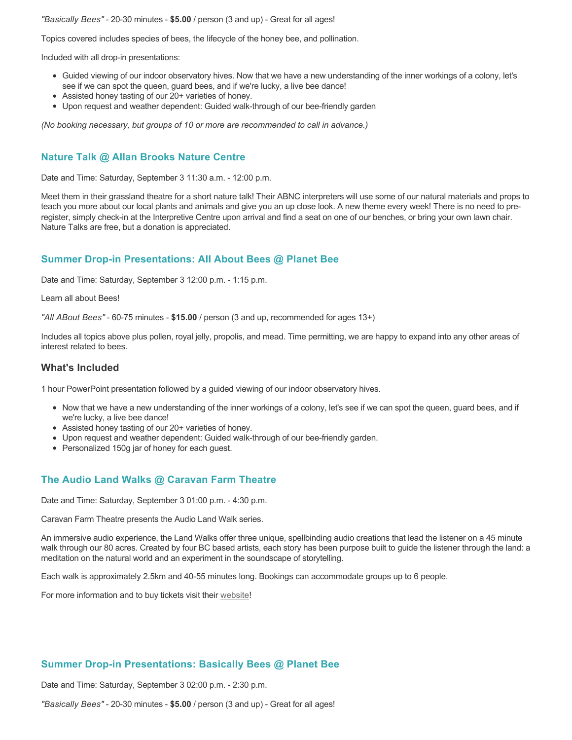*"Basically Bees"* - 20-30 minutes - **\$5.00** / person (3 and up) - Great for all ages!

Topics covered includes species of bees, the lifecycle of the honey bee, and pollination.

Included with all drop-in presentations:

- Guided viewing of our indoor observatory hives. Now that we have a new understanding of the inner workings of a colony, let's see if we can spot the queen, guard bees, and if we're lucky, a live bee dance!
- Assisted honey tasting of our 20+ varieties of honey.
- Upon request and weather dependent: Guided walk-through of our bee-friendly garden

*(No booking necessary, but groups of 10 or more are recommended to call in advance.)*

### **Nature Talk @ Allan Brooks Nature Centre**

Date and Time: Saturday, September 3 11:30 a.m. - 12:00 p.m.

Meet them in their grassland theatre for a short nature talk! Their ABNC interpreters will use some of our natural materials and props to teach you more about our local plants and animals and give you an up close look. A new theme every week! There is no need to preregister, simply check-in at the Interpretive Centre upon arrival and find a seat on one of our benches, or bring your own lawn chair. Nature Talks are free, but a donation is appreciated.

### **Summer Drop-in Presentations: All About Bees @ Planet Bee**

Date and Time: Saturday, September 3 12:00 p.m. - 1:15 p.m.

Learn all about Bees!

*"All ABout Bees"* - 60-75 minutes - **\$15.00** / person (3 and up, recommended for ages 13+)

Includes all topics above plus pollen, royal jelly, propolis, and mead. Time permitting, we are happy to expand into any other areas of interest related to bees.

#### **What's Included**

1 hour PowerPoint presentation followed by a guided viewing of our indoor observatory hives.

- Now that we have a new understanding of the inner workings of a colony, let's see if we can spot the queen, guard bees, and if we're lucky, a live bee dance!
- Assisted honey tasting of our 20+ varieties of honey.
- Upon request and weather dependent: Guided walk-through of our bee-friendly garden.
- Personalized 150g jar of honey for each guest.

### **The Audio Land Walks @ Caravan Farm Theatre**

Date and Time: Saturday, September 3 01:00 p.m. - 4:30 p.m.

Caravan Farm Theatre presents the Audio Land Walk series.

An immersive audio experience, the Land Walks offer three unique, spellbinding audio creations that lead the listener on a 45 minute walk through our 80 acres. Created by four BC based artists, each story has been purpose built to guide the listener through the land: a meditation on the natural world and an experiment in the soundscape of storytelling.

Each walk is approximately 2.5km and 40-55 minutes long. Bookings can accommodate groups up to 6 people.

For more information and to buy tickets visit their [website!](https://caravanfarmtheatre.com/show/the-land-walks/)

#### **Summer Drop-in Presentations: Basically Bees @ Planet Bee**

Date and Time: Saturday, September 3 02:00 p.m. - 2:30 p.m.

*"Basically Bees"* - 20-30 minutes - **\$5.00** / person (3 and up) - Great for all ages!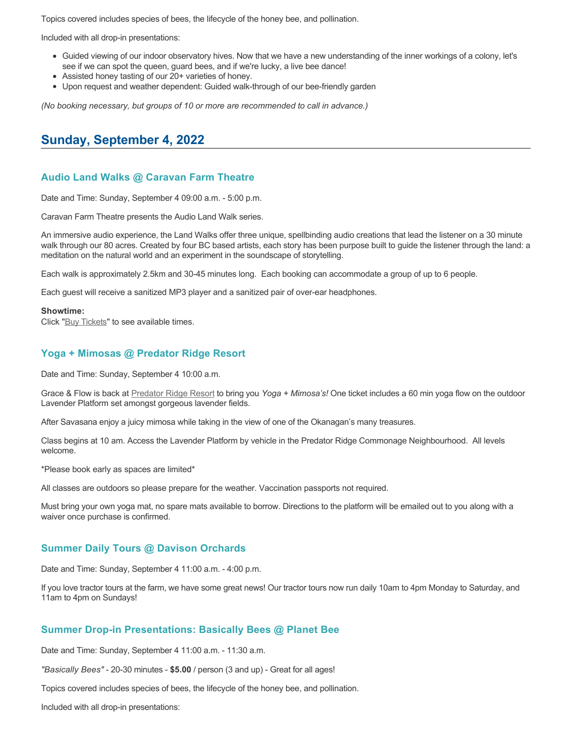Topics covered includes species of bees, the lifecycle of the honey bee, and pollination.

Included with all drop-in presentations:

- Guided viewing of our indoor observatory hives. Now that we have a new understanding of the inner workings of a colony, let's see if we can spot the queen, guard bees, and if we're lucky, a live bee dance!
- Assisted honey tasting of our 20+ varieties of honey.
- Upon request and weather dependent: Guided walk-through of our bee-friendly garden

*(No booking necessary, but groups of 10 or more are recommended to call in advance.)*

# **Sunday, September 4, 2022**

#### **Audio Land Walks @ Caravan Farm Theatre**

Date and Time: Sunday, September 4 09:00 a.m. - 5:00 p.m.

Caravan Farm Theatre presents the Audio Land Walk series.

An immersive audio experience, the Land Walks offer three unique, spellbinding audio creations that lead the listener on a 30 minute walk through our 80 acres. Created by four BC based artists, each story has been purpose built to guide the listener through the land: a meditation on the natural world and an experiment in the soundscape of storytelling.

Each walk is approximately 2.5km and 30-45 minutes long. Each booking can accommodate a group of up to 6 people.

Each guest will receive a sanitized MP3 player and a sanitized pair of over-ear headphones.

#### **Showtime:**

Click "[Buy Tickets](https://caravanfarmtheatre.com/show/the-land-walks/?ct=t%28EMAIL_CAMPAIGN_4_19_2022_13_43SEASON+2022%29&mc_cid=c02afad356&mc_eid=4778eb8892)" to see available times.

#### **Yoga + Mimosas @ Predator Ridge Resort**

Date and Time: Sunday, September 4 10:00 a.m.

Grace & Flow is back at [Predator Ridge Resort](https://www.predatorridge.com/events) to bring you *Yoga + Mimosa's!* One ticket includes a 60 min yoga flow on the outdoor Lavender Platform set amongst gorgeous lavender fields.

After Savasana enjoy a juicy mimosa while taking in the view of one of the Okanagan's many treasures.

Class begins at 10 am. Access the Lavender Platform by vehicle in the Predator Ridge Commonage Neighbourhood. All levels welcome.

\*Please book early as spaces are limited\*

All classes are outdoors so please prepare for the weather. Vaccination passports not required.

Must bring your own yoga mat, no spare mats available to borrow. Directions to the platform will be emailed out to you along with a waiver once purchase is confirmed.

#### **Summer Daily Tours @ Davison Orchards**

Date and Time: Sunday, September 4 11:00 a.m. - 4:00 p.m.

If you love tractor tours at the farm, we have some great news! Our tractor tours now run daily 10am to 4pm Monday to Saturday, and 11am to 4pm on Sundays!

#### **Summer Drop-in Presentations: Basically Bees @ Planet Bee**

Date and Time: Sunday, September 4 11:00 a.m. - 11:30 a.m.

*"Basically Bees"* - 20-30 minutes - **\$5.00** / person (3 and up) - Great for all ages!

Topics covered includes species of bees, the lifecycle of the honey bee, and pollination.

Included with all drop-in presentations: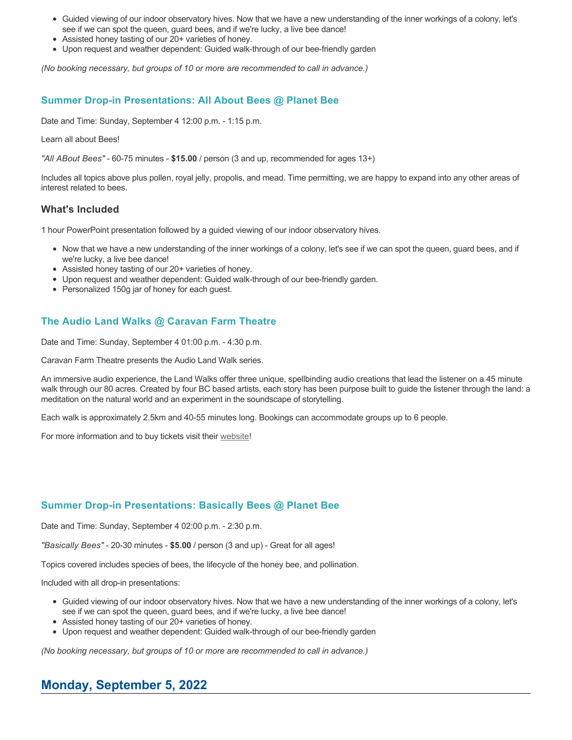- Guided viewing of our indoor observatory hives. Now that we have a new understanding of the inner workings of a colony, let's see if we can spot the queen, guard bees, and if we're lucky, a live bee dance!
- Assisted honey tasting of our 20+ varieties of honey.
- Upon request and weather dependent: Guided walk-through of our bee-friendly garden

*(No booking necessary, but groups of 10 or more are recommended to call in advance.)*

## **Summer Drop-in Presentations: All About Bees @ Planet Bee**

Date and Time: Sunday, September 4 12:00 p.m. - 1:15 p.m.

Learn all about Bees!

*"All ABout Bees"* - 60-75 minutes - **\$15.00** / person (3 and up, recommended for ages 13+)

Includes all topics above plus pollen, royal jelly, propolis, and mead. Time permitting, we are happy to expand into any other areas of interest related to bees.

### **What's Included**

1 hour PowerPoint presentation followed by a guided viewing of our indoor observatory hives.

- Now that we have a new understanding of the inner workings of a colony, let's see if we can spot the queen, guard bees, and if we're lucky, a live bee dance!
- Assisted honey tasting of our 20+ varieties of honey.
- Upon request and weather dependent: Guided walk-through of our bee-friendly garden.
- Personalized 150g jar of honey for each guest.

# **The Audio Land Walks @ Caravan Farm Theatre**

Date and Time: Sunday, September 4 01:00 p.m. - 4:30 p.m.

Caravan Farm Theatre presents the Audio Land Walk series.

An immersive audio experience, the Land Walks offer three unique, spellbinding audio creations that lead the listener on a 45 minute walk through our 80 acres. Created by four BC based artists, each story has been purpose built to guide the listener through the land: a meditation on the natural world and an experiment in the soundscape of storytelling.

Each walk is approximately 2.5km and 40-55 minutes long. Bookings can accommodate groups up to 6 people.

For more information and to buy tickets visit their [website!](https://caravanfarmtheatre.com/show/the-land-walks/)

### **Summer Drop-in Presentations: Basically Bees @ Planet Bee**

Date and Time: Sunday, September 4 02:00 p.m. - 2:30 p.m.

*"Basically Bees"* - 20-30 minutes - **\$5.00** / person (3 and up) - Great for all ages!

Topics covered includes species of bees, the lifecycle of the honey bee, and pollination.

Included with all drop-in presentations:

- Guided viewing of our indoor observatory hives. Now that we have a new understanding of the inner workings of a colony, let's see if we can spot the queen, guard bees, and if we're lucky, a live bee dance!
- Assisted honey tasting of our 20+ varieties of honey.
- Upon request and weather dependent: Guided walk-through of our bee-friendly garden

*(No booking necessary, but groups of 10 or more are recommended to call in advance.)*

# **Monday, September 5, 2022**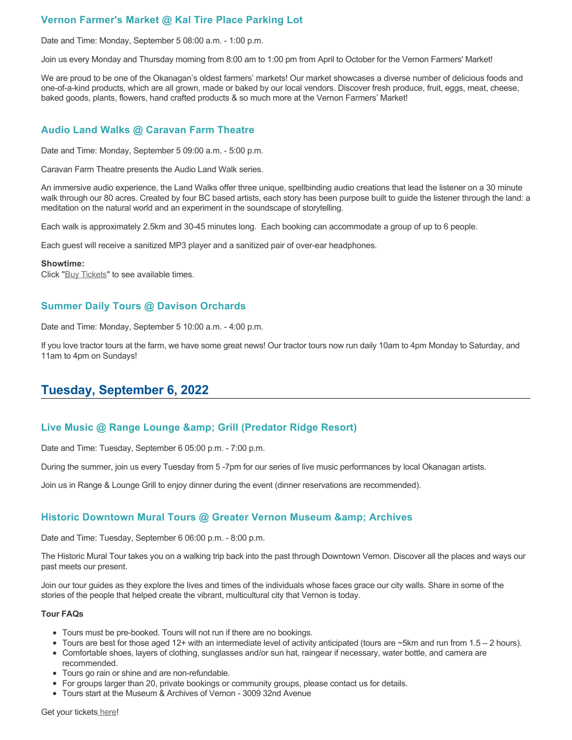# **Vernon Farmer's Market @ Kal Tire Place Parking Lot**

Date and Time: Monday, September 5 08:00 a.m. - 1:00 p.m.

Join us every Monday and Thursday morning from 8:00 am to 1:00 pm from April to October for the Vernon Farmers' Market!

We are proud to be one of the Okanagan's oldest farmers' markets! Our market showcases a diverse number of delicious foods and one-of-a-kind products, which are all grown, made or baked by our local vendors. Discover fresh produce, fruit, eggs, meat, cheese, baked goods, plants, flowers, hand crafted products & so much more at the Vernon Farmers' Market!

#### **Audio Land Walks @ Caravan Farm Theatre**

Date and Time: Monday, September 5 09:00 a.m. - 5:00 p.m.

Caravan Farm Theatre presents the Audio Land Walk series.

An immersive audio experience, the Land Walks offer three unique, spellbinding audio creations that lead the listener on a 30 minute walk through our 80 acres. Created by four BC based artists, each story has been purpose built to guide the listener through the land: a meditation on the natural world and an experiment in the soundscape of storytelling.

Each walk is approximately 2.5km and 30-45 minutes long. Each booking can accommodate a group of up to 6 people.

Each guest will receive a sanitized MP3 player and a sanitized pair of over-ear headphones.

#### **Showtime:**

Click "[Buy Tickets](https://caravanfarmtheatre.com/show/the-land-walks/?ct=t%28EMAIL_CAMPAIGN_4_19_2022_13_43SEASON+2022%29&mc_cid=c02afad356&mc_eid=4778eb8892)" to see available times.

#### **Summer Daily Tours @ Davison Orchards**

Date and Time: Monday, September 5 10:00 a.m. - 4:00 p.m.

If you love tractor tours at the farm, we have some great news! Our tractor tours now run daily 10am to 4pm Monday to Saturday, and 11am to 4pm on Sundays!

# **Tuesday, September 6, 2022**

#### **Live Music @ Range Lounge & Grill (Predator Ridge Resort)**

Date and Time: Tuesday, September 6 05:00 p.m. - 7:00 p.m.

During the summer, join us every Tuesday from 5 -7pm for our series of live music performances by local Okanagan artists.

Join us in Range & Lounge Grill to enjoy dinner during the event (dinner reservations are recommended).

### **Historic Downtown Mural Tours @ Greater Vernon Museum & Archives**

Date and Time: Tuesday, September 6 06:00 p.m. - 8:00 p.m.

The Historic Mural Tour takes you on a walking trip back into the past through Downtown Vernon. Discover all the places and ways our past meets our present.

Join our tour guides as they explore the lives and times of the individuals whose faces grace our city walls. Share in some of the stories of the people that helped create the vibrant, multicultural city that Vernon is today.

#### **Tour FAQs**

- Tours must be pre-booked. Tours will not run if there are no bookings.
- Tours are best for those aged 12+ with an intermediate level of activity anticipated (tours are  $\sim$ 5km and run from 1.5 2 hours).
- Comfortable shoes, layers of clothing, sunglasses and/or sun hat, raingear if necessary, water bottle, and camera are recommended.
- Tours go rain or shine and are non-refundable.
- For groups larger than 20, private bookings or community groups, please contact us for details.
- Tours start at the Museum & Archives of Vernon 3009 32nd Avenue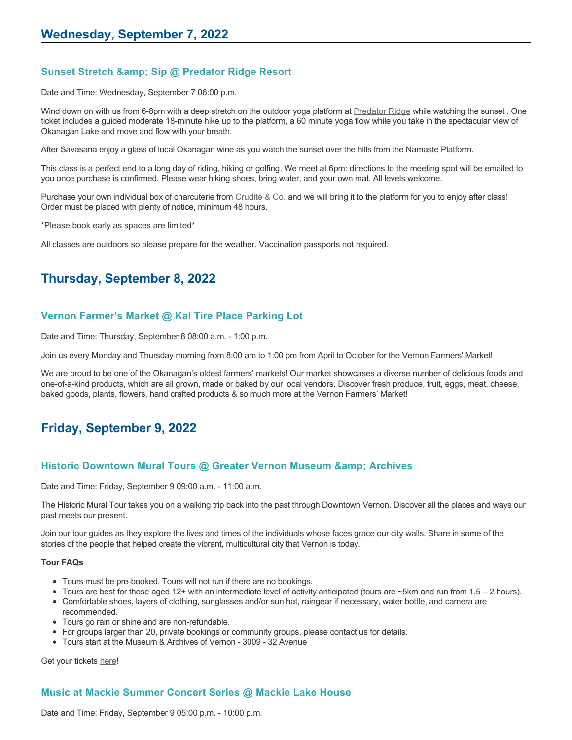## **Sunset Stretch & Sip @ Predator Ridge Resort**

Date and Time: Wednesday, September 7 06:00 p.m.

Wind down on with us from 6-8pm with a deep stretch on the outdoor yoga platform at [Predator Ridge](https://www.predatorridge.com/events) while watching the sunset. One ticket includes a guided moderate 18-minute hike up to the platform, a 60 minute yoga flow while you take in the spectacular view of Okanagan Lake and move and flow with your breath.

After Savasana enjoy a glass of local Okanagan wine as you watch the sunset over the hills from the Namaste Platform.

This class is a perfect end to a long day of riding, hiking or golfing. We meet at 6pm: directions to the meeting spot will be emailed to you once purchase is confirmed. Please wear hiking shoes, bring water, and your own mat. All levels welcome.

Purchase your own individual box of charcuterie from [Crudité & Co.](https://cruditeandco.com/product/picnic-platter/) and we will bring it to the platform for you to enjoy after class! Order must be placed with plenty of notice, minimum 48 hours.

\*Please book early as spaces are limited\*

All classes are outdoors so please prepare for the weather. Vaccination passports not required.

# **Thursday, September 8, 2022**

#### **Vernon Farmer's Market @ Kal Tire Place Parking Lot**

Date and Time: Thursday, September 8 08:00 a.m. - 1:00 p.m.

Join us every Monday and Thursday morning from 8:00 am to 1:00 pm from April to October for the Vernon Farmers' Market!

We are proud to be one of the Okanagan's oldest farmers' markets! Our market showcases a diverse number of delicious foods and one-of-a-kind products, which are all grown, made or baked by our local vendors. Discover fresh produce, fruit, eggs, meat, cheese, baked goods, plants, flowers, hand crafted products & so much more at the Vernon Farmers' Market!

## **Friday, September 9, 2022**

#### **Historic Downtown Mural Tours @ Greater Vernon Museum & Archives**

Date and Time: Friday, September 9 09:00 a.m. - 11:00 a.m.

The Historic Mural Tour takes you on a walking trip back into the past through Downtown Vernon. Discover all the places and ways our past meets our present.

Join our tour guides as they explore the lives and times of the individuals whose faces grace our city walls. Share in some of the stories of the people that helped create the vibrant, multicultural city that Vernon is today.

#### **Tour FAQs**

- Tours must be pre-booked. Tours will not run if there are no bookings.
- Tours are best for those aged 12+ with an intermediate level of activity anticipated (tours are  $\sim$ 5km and run from 1.5 2 hours).
- Comfortable shoes, layers of clothing, sunglasses and/or sun hat, raingear if necessary, water bottle, and camera are recommended.
- Tours go rain or shine and are non-refundable.
- For groups larger than 20, private bookings or community groups, please contact us for details.
- Tours start at the Museum & Archives of Vernon 3009 32 Avenue

Get your tickets [here!](https://www.eventbrite.com/e/historic-downtown-mural-tours-tickets-304983342387)

#### **Music at Mackie Summer Concert Series @ Mackie Lake House**

Date and Time: Friday, September 9 05:00 p.m. - 10:00 p.m.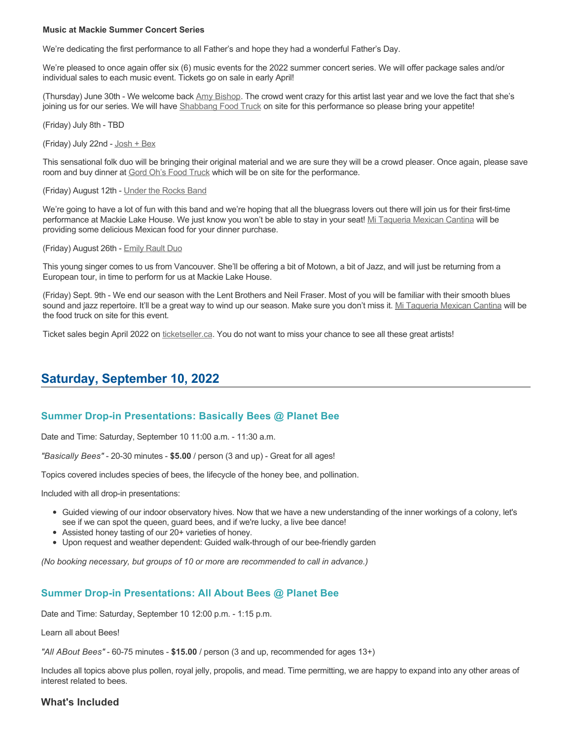#### **Music at Mackie Summer Concert Series**

We're dedicating the first performance to all Father's and hope they had a wonderful Father's Day.

We're pleased to once again offer six (6) music events for the 2022 summer concert series. We will offer package sales and/or individual sales to each music event. Tickets go on sale in early April!

(Thursday) June 30th - We welcome back [Amy Bishop.](https://protect-ca.mimecast.com/s/97KDCk8v46IYY8Pc4eTtT?domain=mackiehouse.us3.list-manage.com) The crowd went crazy for this artist last year and we love the fact that she's joining us for our series. We will have [Shabbang Food Truck](https://protect-ca.mimecast.com/s/hGWiClxw48FOO0jTKiFD6?domain=mackiehouse.us3.list-manage.com) on site for this performance so please bring your appetite!

(Friday) July 8th - TBD

(Friday) July 22nd - [Josh + Bex](https://protect-ca.mimecast.com/s/LfcBCmOx47s11B9u0QwFr?domain=mackiehouse.us3.list-manage.com)

This sensational folk duo will be bringing their original material and we are sure they will be a crowd pleaser. Once again, please save room and buy dinner at [Gord Oh's Food Truck](https://protect-ca.mimecast.com/s/oREECnxy4GFllAkujC-Hs?domain=mackiehouse.us3.list-manage.com) which will be on site for the performance.

(Friday) August 12th - [Under the Rocks Band](https://protect-ca.mimecast.com/s/wmzjCoVz4AhlljQujeM8P?domain=mackiehouse.us3.list-manage.com)

We're going to have a lot of fun with this band and we're hoping that all the bluegrass lovers out there will join us for their first-time performance at Mackie Lake House. We just know you won't be able to stay in your seat! [Mi Taqueria Mexican Cantina](https://protect-ca.mimecast.com/s/IidvCp8A59IQQ17s1mbiS?domain=mackiehouse.us3.list-manage.com) will be providing some delicious Mexican food for your dinner purchase.

(Friday) August 26th - [Emily Rault Duo](https://protect-ca.mimecast.com/s/1ZJZCq7B4AsLLKVczxAAc?domain=mackiehouse.us3.list-manage.com)

This young singer comes to us from Vancouver. She'll be offering a bit of Motown, a bit of Jazz, and will just be returning from a European tour, in time to perform for us at Mackie Lake House.

(Friday) Sept. 9th - We end our season with the Lent Brothers and Neil Fraser. Most of you will be familiar with their smooth blues sound and jazz repertoire. It'll be a great way to wind up our season. Make sure you don't miss it. [Mi Taqueria Mexican Cantina](https://protect-ca.mimecast.com/s/mUjmCr8D4gIwwPWTPinKw?domain=mackiehouse.us3.list-manage.com) will be the food truck on site for this event.

Ticket sales begin April 2022 on [ticketseller.ca.](https://ticketseller.ca/) You do not want to miss your chance to see all these great artists!

## **Saturday, September 10, 2022**

#### **Summer Drop-in Presentations: Basically Bees @ Planet Bee**

Date and Time: Saturday, September 10 11:00 a.m. - 11:30 a.m.

*"Basically Bees"* - 20-30 minutes - **\$5.00** / person (3 and up) - Great for all ages!

Topics covered includes species of bees, the lifecycle of the honey bee, and pollination.

Included with all drop-in presentations:

- Guided viewing of our indoor observatory hives. Now that we have a new understanding of the inner workings of a colony, let's see if we can spot the queen, guard bees, and if we're lucky, a live bee dance!
- Assisted honey tasting of our 20+ varieties of honey.
- Upon request and weather dependent: Guided walk-through of our bee-friendly garden

*(No booking necessary, but groups of 10 or more are recommended to call in advance.)*

#### **Summer Drop-in Presentations: All About Bees @ Planet Bee**

Date and Time: Saturday, September 10 12:00 p.m. - 1:15 p.m.

Learn all about Bees!

*"All ABout Bees"* - 60-75 minutes - **\$15.00** / person (3 and up, recommended for ages 13+)

Includes all topics above plus pollen, royal jelly, propolis, and mead. Time permitting, we are happy to expand into any other areas of interest related to bees.

#### **What's Included**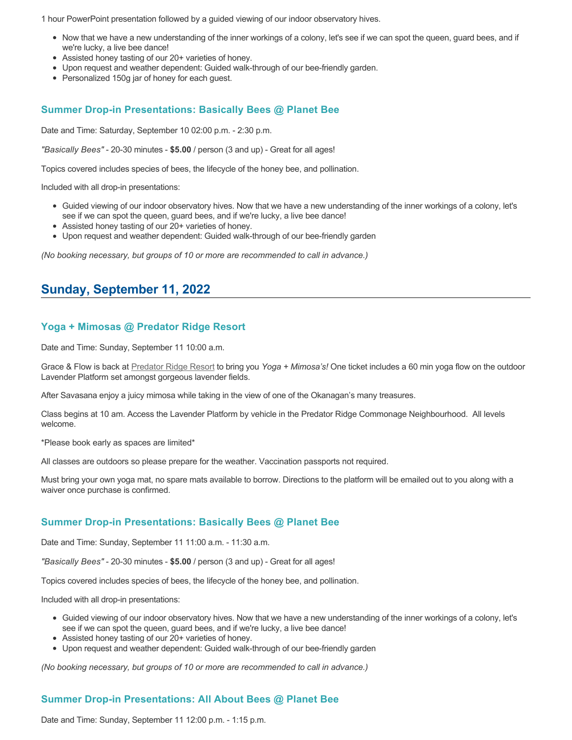1 hour PowerPoint presentation followed by a guided viewing of our indoor observatory hives.

- Now that we have a new understanding of the inner workings of a colony, let's see if we can spot the queen, guard bees, and if we're lucky, a live bee dance!
- Assisted honey tasting of our 20+ varieties of honey.
- Upon request and weather dependent: Guided walk-through of our bee-friendly garden.
- Personalized 150g jar of honey for each guest.

### **Summer Drop-in Presentations: Basically Bees @ Planet Bee**

Date and Time: Saturday, September 10 02:00 p.m. - 2:30 p.m.

*"Basically Bees"* - 20-30 minutes - **\$5.00** / person (3 and up) - Great for all ages!

Topics covered includes species of bees, the lifecycle of the honey bee, and pollination.

Included with all drop-in presentations:

- Guided viewing of our indoor observatory hives. Now that we have a new understanding of the inner workings of a colony, let's see if we can spot the queen, guard bees, and if we're lucky, a live bee dance!
- Assisted honey tasting of our 20+ varieties of honey.
- Upon request and weather dependent: Guided walk-through of our bee-friendly garden

*(No booking necessary, but groups of 10 or more are recommended to call in advance.)*

# **Sunday, September 11, 2022**

### **Yoga + Mimosas @ Predator Ridge Resort**

Date and Time: Sunday, September 11 10:00 a.m.

Grace & Flow is back at [Predator Ridge Resort](https://www.predatorridge.com/events) to bring you *Yoga + Mimosa's!* One ticket includes a 60 min yoga flow on the outdoor Lavender Platform set amongst gorgeous lavender fields.

After Savasana enjoy a juicy mimosa while taking in the view of one of the Okanagan's many treasures.

Class begins at 10 am. Access the Lavender Platform by vehicle in the Predator Ridge Commonage Neighbourhood. All levels welcome.

\*Please book early as spaces are limited\*

All classes are outdoors so please prepare for the weather. Vaccination passports not required.

Must bring your own yoga mat, no spare mats available to borrow. Directions to the platform will be emailed out to you along with a waiver once purchase is confirmed.

#### **Summer Drop-in Presentations: Basically Bees @ Planet Bee**

Date and Time: Sunday, September 11 11:00 a.m. - 11:30 a.m.

*"Basically Bees"* - 20-30 minutes - **\$5.00** / person (3 and up) - Great for all ages!

Topics covered includes species of bees, the lifecycle of the honey bee, and pollination.

Included with all drop-in presentations:

- Guided viewing of our indoor observatory hives. Now that we have a new understanding of the inner workings of a colony, let's see if we can spot the queen, guard bees, and if we're lucky, a live bee dance!
- Assisted honey tasting of our 20+ varieties of honey.
- Upon request and weather dependent: Guided walk-through of our bee-friendly garden

*(No booking necessary, but groups of 10 or more are recommended to call in advance.)*

## **Summer Drop-in Presentations: All About Bees @ Planet Bee**

Date and Time: Sunday, September 11 12:00 p.m. - 1:15 p.m.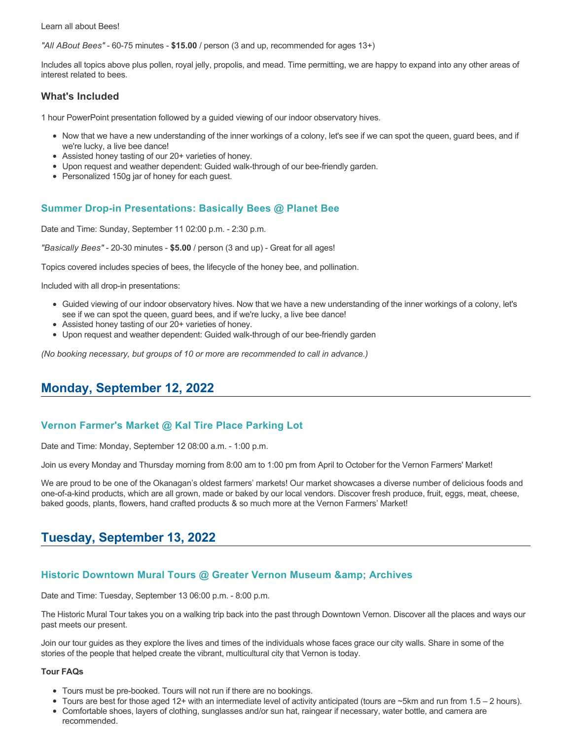Learn all about Bees!

*"All ABout Bees"* - 60-75 minutes - **\$15.00** / person (3 and up, recommended for ages 13+)

Includes all topics above plus pollen, royal jelly, propolis, and mead. Time permitting, we are happy to expand into any other areas of interest related to bees.

#### **What's Included**

1 hour PowerPoint presentation followed by a guided viewing of our indoor observatory hives.

- Now that we have a new understanding of the inner workings of a colony, let's see if we can spot the queen, guard bees, and if we're lucky, a live bee dance!
- Assisted honey tasting of our 20+ varieties of honey.
- Upon request and weather dependent: Guided walk-through of our bee-friendly garden.
- Personalized 150g jar of honey for each guest.

### **Summer Drop-in Presentations: Basically Bees @ Planet Bee**

Date and Time: Sunday, September 11 02:00 p.m. - 2:30 p.m.

*"Basically Bees"* - 20-30 minutes - **\$5.00** / person (3 and up) - Great for all ages!

Topics covered includes species of bees, the lifecycle of the honey bee, and pollination.

Included with all drop-in presentations:

- Guided viewing of our indoor observatory hives. Now that we have a new understanding of the inner workings of a colony, let's see if we can spot the queen, guard bees, and if we're lucky, a live bee dance!
- Assisted honey tasting of our 20+ varieties of honey.
- Upon request and weather dependent: Guided walk-through of our bee-friendly garden

*(No booking necessary, but groups of 10 or more are recommended to call in advance.)*

## **Monday, September 12, 2022**

#### **Vernon Farmer's Market @ Kal Tire Place Parking Lot**

Date and Time: Monday, September 12 08:00 a.m. - 1:00 p.m.

Join us every Monday and Thursday morning from 8:00 am to 1:00 pm from April to October for the Vernon Farmers' Market!

We are proud to be one of the Okanagan's oldest farmers' markets! Our market showcases a diverse number of delicious foods and one-of-a-kind products, which are all grown, made or baked by our local vendors. Discover fresh produce, fruit, eggs, meat, cheese, baked goods, plants, flowers, hand crafted products & so much more at the Vernon Farmers' Market!

## **Tuesday, September 13, 2022**

### **Historic Downtown Mural Tours @ Greater Vernon Museum & Archives**

Date and Time: Tuesday, September 13 06:00 p.m. - 8:00 p.m.

The Historic Mural Tour takes you on a walking trip back into the past through Downtown Vernon. Discover all the places and ways our past meets our present.

Join our tour guides as they explore the lives and times of the individuals whose faces grace our city walls. Share in some of the stories of the people that helped create the vibrant, multicultural city that Vernon is today.

#### **Tour FAQs**

- Tours must be pre-booked. Tours will not run if there are no bookings.
- Tours are best for those aged 12+ with an intermediate level of activity anticipated (tours are ~5km and run from 1.5 2 hours).
- Comfortable shoes, layers of clothing, sunglasses and/or sun hat, raingear if necessary, water bottle, and camera are recommended.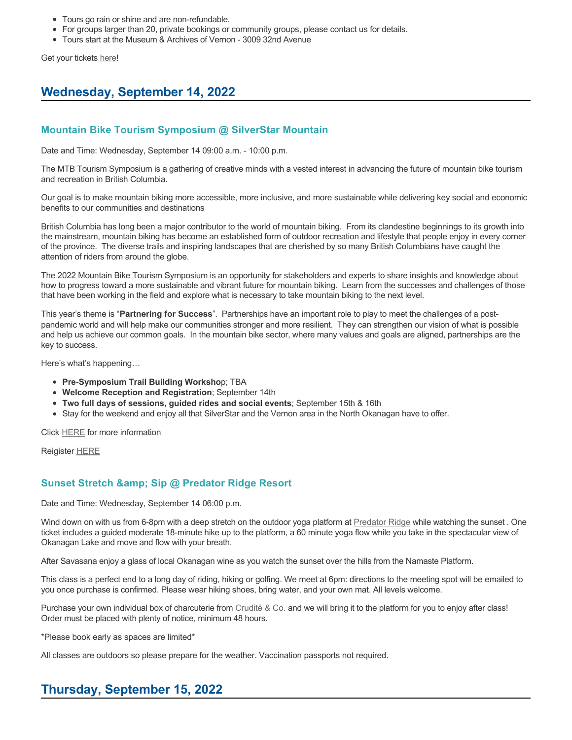- Tours go rain or shine and are non-refundable.
- For groups larger than 20, private bookings or community groups, please contact us for details.
- Tours start at the Museum & Archives of Vernon 3009 32nd Avenue

Get your tickets [here!](https://www.eventbrite.com/e/historic-downtown-mural-tours-tickets-304983342387)

# **Wednesday, September 14, 2022**

### **Mountain Bike Tourism Symposium @ SilverStar Mountain**

Date and Time: Wednesday, September 14 09:00 a.m. - 10:00 p.m.

The MTB Tourism Symposium is a gathering of creative minds with a vested interest in advancing the future of mountain bike tourism and recreation in British Columbia.

Our goal is to make mountain biking more accessible, more inclusive, and more sustainable while delivering key social and economic benefits to our communities and destinations

British Columbia has long been a major contributor to the world of mountain biking. From its clandestine beginnings to its growth into the mainstream, mountain biking has become an established form of outdoor recreation and lifestyle that people enjoy in every corner of the province. The diverse trails and inspiring landscapes that are cherished by so many British Columbians have caught the attention of riders from around the globe.

The 2022 Mountain Bike Tourism Symposium is an opportunity for stakeholders and experts to share insights and knowledge about how to progress toward a more sustainable and vibrant future for mountain biking. Learn from the successes and challenges of those that have been working in the field and explore what is necessary to take mountain biking to the next level.

This year's theme is "**Partnering for Success**". Partnerships have an important role to play to meet the challenges of a postpandemic world and will help make our communities stronger and more resilient. They can strengthen our vision of what is possible and help us achieve our common goals. In the mountain bike sector, where many values and goals are aligned, partnerships are the key to success.

Here's what's happening…

- **Pre-Symposium Trail Building Worksho**p; TBA
- **Welcome Reception and Registration**; September 14th
- **Two full days of sessions, guided rides and social events**; September 15th & 16th
- Stay for the weekend and enjoy all that SilverStar and the Vernon area in the North Okanagan have to offer.

Click [HERE](http://mtbtourismsymposium.ca/) for more information

Reigister [HERE](https://ccnbikes.com/#!/events/mountain-bike-tourism-symposium-2022)

#### **Sunset Stretch & amp; Sip @ Predator Ridge Resort**

Date and Time: Wednesday, September 14 06:00 p.m.

Wind down on with us from 6-8pm with a deep stretch on the outdoor yoga platform at [Predator Ridge](https://www.predatorridge.com/events) while watching the sunset . One ticket includes a guided moderate 18-minute hike up to the platform, a 60 minute yoga flow while you take in the spectacular view of Okanagan Lake and move and flow with your breath.

After Savasana enjoy a glass of local Okanagan wine as you watch the sunset over the hills from the Namaste Platform.

This class is a perfect end to a long day of riding, hiking or golfing. We meet at 6pm: directions to the meeting spot will be emailed to you once purchase is confirmed. Please wear hiking shoes, bring water, and your own mat. All levels welcome.

Purchase your own individual box of charcuterie from [Crudité & Co.](https://cruditeandco.com/product/picnic-platter/) and we will bring it to the platform for you to enjoy after class! Order must be placed with plenty of notice, minimum 48 hours.

\*Please book early as spaces are limited\*

All classes are outdoors so please prepare for the weather. Vaccination passports not required.

# **Thursday, September 15, 2022**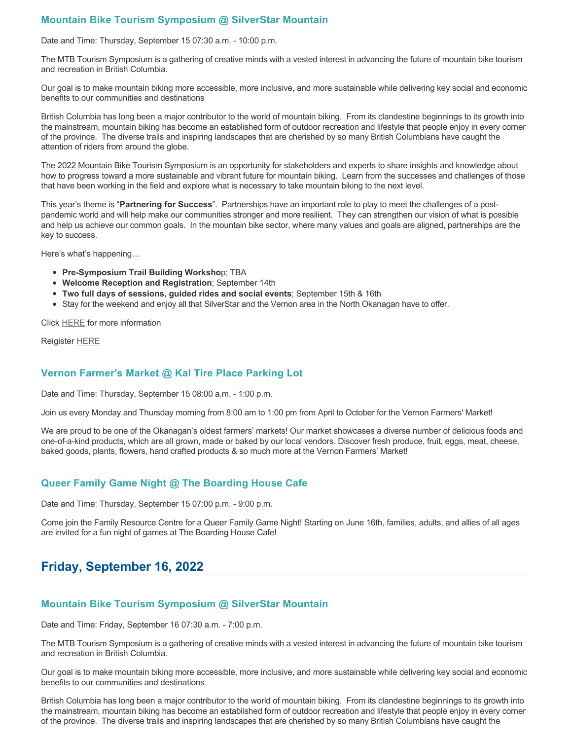## **Mountain Bike Tourism Symposium @ SilverStar Mountain**

Date and Time: Thursday, September 15 07:30 a.m. - 10:00 p.m.

The MTB Tourism Symposium is a gathering of creative minds with a vested interest in advancing the future of mountain bike tourism and recreation in British Columbia.

Our goal is to make mountain biking more accessible, more inclusive, and more sustainable while delivering key social and economic benefits to our communities and destinations

British Columbia has long been a major contributor to the world of mountain biking. From its clandestine beginnings to its growth into the mainstream, mountain biking has become an established form of outdoor recreation and lifestyle that people enjoy in every corner of the province. The diverse trails and inspiring landscapes that are cherished by so many British Columbians have caught the attention of riders from around the globe.

The 2022 Mountain Bike Tourism Symposium is an opportunity for stakeholders and experts to share insights and knowledge about how to progress toward a more sustainable and vibrant future for mountain biking. Learn from the successes and challenges of those that have been working in the field and explore what is necessary to take mountain biking to the next level.

This year's theme is "**Partnering for Success**". Partnerships have an important role to play to meet the challenges of a postpandemic world and will help make our communities stronger and more resilient. They can strengthen our vision of what is possible and help us achieve our common goals. In the mountain bike sector, where many values and goals are aligned, partnerships are the key to success.

Here's what's happening…

- **Pre-Symposium Trail Building Worksho**p; TBA
- **Welcome Reception and Registration**; September 14th
- **Two full days of sessions, guided rides and social events**; September 15th & 16th
- Stay for the weekend and enjoy all that SilverStar and the Vernon area in the North Okanagan have to offer.

Click [HERE](http://mtbtourismsymposium.ca/) for more information

Reigister [HERE](https://ccnbikes.com/#!/events/mountain-bike-tourism-symposium-2022)

#### **Vernon Farmer's Market @ Kal Tire Place Parking Lot**

Date and Time: Thursday, September 15 08:00 a.m. - 1:00 p.m.

Join us every Monday and Thursday morning from 8:00 am to 1:00 pm from April to October for the Vernon Farmers' Market!

We are proud to be one of the Okanagan's oldest farmers' markets! Our market showcases a diverse number of delicious foods and one-of-a-kind products, which are all grown, made or baked by our local vendors. Discover fresh produce, fruit, eggs, meat, cheese, baked goods, plants, flowers, hand crafted products & so much more at the Vernon Farmers' Market!

#### **Queer Family Game Night @ The Boarding House Cafe**

Date and Time: Thursday, September 15 07:00 p.m. - 9:00 p.m.

Come join the Family Resource Centre for a Queer Family Game Night! Starting on June 16th, families, adults, and allies of all ages are invited for a fun night of games at The Boarding House Cafe!

## **Friday, September 16, 2022**

#### **Mountain Bike Tourism Symposium @ SilverStar Mountain**

Date and Time: Friday, September 16 07:30 a.m. - 7:00 p.m.

The MTB Tourism Symposium is a gathering of creative minds with a vested interest in advancing the future of mountain bike tourism and recreation in British Columbia.

Our goal is to make mountain biking more accessible, more inclusive, and more sustainable while delivering key social and economic benefits to our communities and destinations

British Columbia has long been a major contributor to the world of mountain biking. From its clandestine beginnings to its growth into the mainstream, mountain biking has become an established form of outdoor recreation and lifestyle that people enjoy in every corner of the province. The diverse trails and inspiring landscapes that are cherished by so many British Columbians have caught the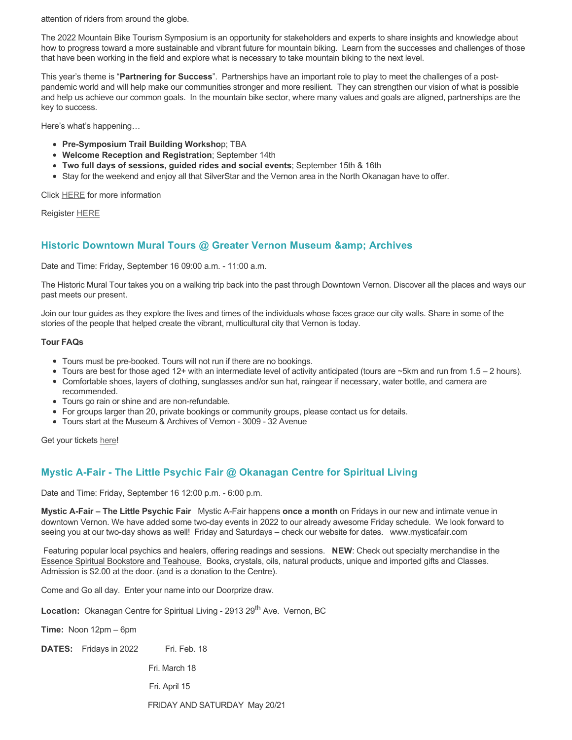attention of riders from around the globe.

The 2022 Mountain Bike Tourism Symposium is an opportunity for stakeholders and experts to share insights and knowledge about how to progress toward a more sustainable and vibrant future for mountain biking. Learn from the successes and challenges of those that have been working in the field and explore what is necessary to take mountain biking to the next level.

This year's theme is "**Partnering for Success**". Partnerships have an important role to play to meet the challenges of a postpandemic world and will help make our communities stronger and more resilient. They can strengthen our vision of what is possible and help us achieve our common goals. In the mountain bike sector, where many values and goals are aligned, partnerships are the key to success.

Here's what's happening…

- **Pre-Symposium Trail Building Worksho**p; TBA
- **Welcome Reception and Registration**; September 14th
- **Two full days of sessions, guided rides and social events**; September 15th & 16th
- Stay for the weekend and enjoy all that SilverStar and the Vernon area in the North Okanagan have to offer.

Click [HERE](http://mtbtourismsymposium.ca/) for more information

Reigister [HERE](https://ccnbikes.com/#!/events/mountain-bike-tourism-symposium-2022)

#### **Historic Downtown Mural Tours @ Greater Vernon Museum & Archives**

Date and Time: Friday, September 16 09:00 a.m. - 11:00 a.m.

The Historic Mural Tour takes you on a walking trip back into the past through Downtown Vernon. Discover all the places and ways our past meets our present.

Join our tour guides as they explore the lives and times of the individuals whose faces grace our city walls. Share in some of the stories of the people that helped create the vibrant, multicultural city that Vernon is today.

#### **Tour FAQs**

- Tours must be pre-booked. Tours will not run if there are no bookings.
- Tours are best for those aged 12+ with an intermediate level of activity anticipated (tours are  $\sim$ 5km and run from 1.5 2 hours).
- Comfortable shoes, layers of clothing, sunglasses and/or sun hat, raingear if necessary, water bottle, and camera are recommended.
- Tours go rain or shine and are non-refundable.
- For groups larger than 20, private bookings or community groups, please contact us for details.
- Tours start at the Museum & Archives of Vernon 3009 32 Avenue

Get your tickets [here!](https://www.eventbrite.com/e/historic-downtown-mural-tours-tickets-304983342387)

## **Mystic A-Fair - The Little Psychic Fair @ Okanagan Centre for Spiritual Living**

Date and Time: Friday, September 16 12:00 p.m. - 6:00 p.m.

**Mystic A-Fair – The Little Psychic Fair** Mystic A-Fair happens **once a month** on Fridays in our new and intimate venue in downtown Vernon. We have added some two-day events in 2022 to our already awesome Friday schedule. We look forward to seeing you at our two-day shows as well! Friday and Saturdays – check our website for dates. www.mysticafair.com

 Featuring popular local psychics and healers, offering readings and sessions. **NEW**: Check out specialty merchandise in the Essence Spiritual Bookstore and Teahouse. Books, crystals, oils, natural products, unique and imported gifts and Classes. Admission is \$2.00 at the door. (and is a donation to the Centre).

Come and Go all day. Enter your name into our Doorprize draw.

Location: Okanagan Centre for Spiritual Living - 2913 29<sup>th</sup> Ave. Vernon, BC

**Time:** Noon 12pm – 6pm

**DATES:** Fridays in 2022 Fri. Feb. 18

Fri. March 18

Fri. April 15

FRIDAY AND SATURDAY May 20/21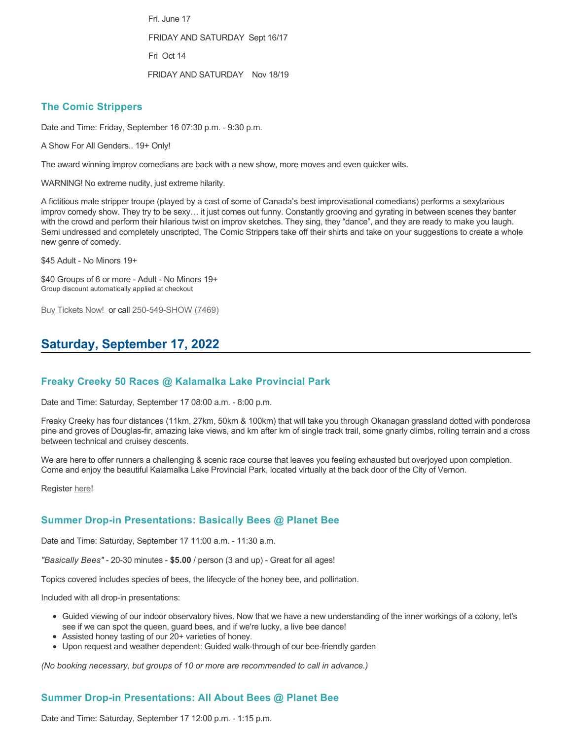Fri. June 17 FRIDAY AND SATURDAY Sept 16/17 Fri Oct 14 FRIDAY AND SATURDAY Nov 18/19

#### **The Comic Strippers**

Date and Time: Friday, September 16 07:30 p.m. - 9:30 p.m.

A Show For All Genders.. 19+ Only!

The award winning improv comedians are back with a new show, more moves and even quicker wits.

WARNING! No extreme nudity, just extreme hilarity.

A fictitious male stripper troupe (played by a cast of some of Canada's best improvisational comedians) performs a sexylarious improv comedy show. They try to be sexy… it just comes out funny. Constantly grooving and gyrating in between scenes they banter with the crowd and perform their hilarious twist on improv sketches. They sing, they "dance", and they are ready to make you laugh. Semi undressed and completely unscripted, The Comic Strippers take off their shirts and take on your suggestions to create a whole new genre of comedy.

\$45 Adult - No Minors 19+

\$40 Groups of 6 or more - Adult - No Minors 19+ Group discount automatically applied at checkout

[Buy Tickets Now!](https://tickets.ticketseller.ca/TheatreManager/1/login&event=3433) or call 250-549-SHOW (7469)

# **Saturday, September 17, 2022**

#### **Freaky Creeky 50 Races @ Kalamalka Lake Provincial Park**

Date and Time: Saturday, September 17 08:00 a.m. - 8:00 p.m.

Freaky Creeky has four distances (11km, 27km, 50km & 100km) that will take you through Okanagan grassland dotted with ponderosa pine and groves of Douglas-fir, amazing lake views, and km after km of single track trail, some gnarly climbs, rolling terrain and a cross between technical and cruisey descents.

We are here to offer runners a challenging & scenic race course that leaves you feeling exhausted but overjoyed upon completion. Come and enjoy the beautiful Kalamalka Lake Provincial Park, located virtually at the back door of the City of Vernon.

Register [here](https://ultrasignup.com/register.aspx?did=88702)!

#### **Summer Drop-in Presentations: Basically Bees @ Planet Bee**

Date and Time: Saturday, September 17 11:00 a.m. - 11:30 a.m.

*"Basically Bees"* - 20-30 minutes - **\$5.00** / person (3 and up) - Great for all ages!

Topics covered includes species of bees, the lifecycle of the honey bee, and pollination.

Included with all drop-in presentations:

- Guided viewing of our indoor observatory hives. Now that we have a new understanding of the inner workings of a colony, let's see if we can spot the queen, guard bees, and if we're lucky, a live bee dance!
- Assisted honey tasting of our 20+ varieties of honey.
- Upon request and weather dependent: Guided walk-through of our bee-friendly garden

*(No booking necessary, but groups of 10 or more are recommended to call in advance.)*

## **Summer Drop-in Presentations: All About Bees @ Planet Bee**

Date and Time: Saturday, September 17 12:00 p.m. - 1:15 p.m.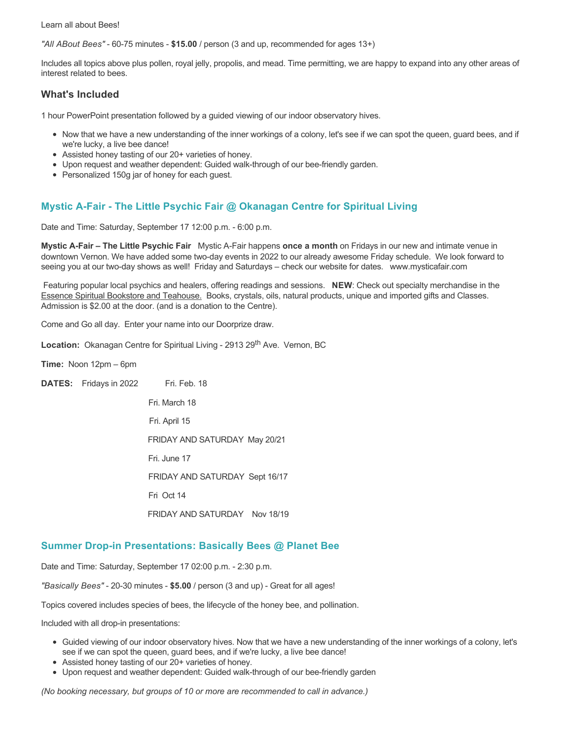Learn all about Bees!

*"All ABout Bees"* - 60-75 minutes - **\$15.00** / person (3 and up, recommended for ages 13+)

Includes all topics above plus pollen, royal jelly, propolis, and mead. Time permitting, we are happy to expand into any other areas of interest related to bees.

### **What's Included**

1 hour PowerPoint presentation followed by a guided viewing of our indoor observatory hives.

- Now that we have a new understanding of the inner workings of a colony, let's see if we can spot the queen, guard bees, and if we're lucky, a live bee dance!
- Assisted honey tasting of our 20+ varieties of honey.
- Upon request and weather dependent: Guided walk-through of our bee-friendly garden.
- Personalized 150g jar of honey for each guest.

### **Mystic A-Fair - The Little Psychic Fair @ Okanagan Centre for Spiritual Living**

Date and Time: Saturday, September 17 12:00 p.m. - 6:00 p.m.

**Mystic A-Fair – The Little Psychic Fair** Mystic A-Fair happens **once a month** on Fridays in our new and intimate venue in downtown Vernon. We have added some two-day events in 2022 to our already awesome Friday schedule. We look forward to seeing you at our two-day shows as well! Friday and Saturdays – check our website for dates. www.mysticafair.com

 Featuring popular local psychics and healers, offering readings and sessions. **NEW**: Check out specialty merchandise in the Essence Spiritual Bookstore and Teahouse. Books, crystals, oils, natural products, unique and imported gifts and Classes. Admission is \$2.00 at the door. (and is a donation to the Centre).

Come and Go all day. Enter your name into our Doorprize draw.

Location: Okanagan Centre for Spiritual Living - 2913 29<sup>th</sup> Ave. Vernon, BC

**Time:** Noon 12pm – 6pm

**DATES:** Fridays in 2022 Fri. Feb. 18

 Fri. March 18 Fri. April 15 FRIDAY AND SATURDAY May 20/21 Fri. June 17 FRIDAY AND SATURDAY Sept 16/17 Fri Oct 14 FRIDAY AND SATURDAY Nov 18/19

#### **Summer Drop-in Presentations: Basically Bees @ Planet Bee**

Date and Time: Saturday, September 17 02:00 p.m. - 2:30 p.m.

*"Basically Bees"* - 20-30 minutes - **\$5.00** / person (3 and up) - Great for all ages!

Topics covered includes species of bees, the lifecycle of the honey bee, and pollination.

Included with all drop-in presentations:

- Guided viewing of our indoor observatory hives. Now that we have a new understanding of the inner workings of a colony, let's see if we can spot the queen, guard bees, and if we're lucky, a live bee dance!
- Assisted honey tasting of our 20+ varieties of honey.
- Upon request and weather dependent: Guided walk-through of our bee-friendly garden

*(No booking necessary, but groups of 10 or more are recommended to call in advance.)*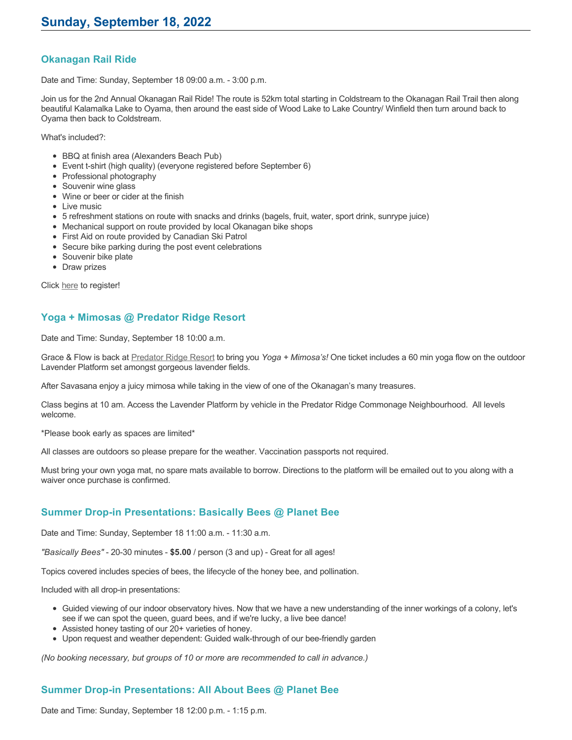### **Okanagan Rail Ride**

Date and Time: Sunday, September 18 09:00 a.m. - 3:00 p.m.

Join us for the 2nd Annual Okanagan Rail Ride! The route is 52km total starting in Coldstream to the Okanagan Rail Trail then along beautiful Kalamalka Lake to Oyama, then around the east side of Wood Lake to Lake Country/ Winfield then turn around back to Oyama then back to Coldstream.

What's included?:

- BBQ at finish area (Alexanders Beach Pub)
- Event t-shirt (high quality) (everyone registered before September 6)
- Professional photography
- Souvenir wine glass
- Wine or beer or cider at the finish
- Live music
- 5 refreshment stations on route with snacks and drinks (bagels, fruit, water, sport drink, sunrype juice)
- Mechanical support on route provided by local Okanagan bike shops
- First Aid on route provided by Canadian Ski Patrol
- Secure bike parking during the post event celebrations
- Souvenir bike plate
- Draw prizes

Click [here](https://zone4.ca/register.asp?id=22184&lan=1&cartlevel=1) to register!

### **Yoga + Mimosas @ Predator Ridge Resort**

Date and Time: Sunday, September 18 10:00 a.m.

Grace & Flow is back at [Predator Ridge Resort](https://www.predatorridge.com/events) to bring you *Yoga + Mimosa's!* One ticket includes a 60 min yoga flow on the outdoor Lavender Platform set amongst gorgeous lavender fields.

After Savasana enjoy a juicy mimosa while taking in the view of one of the Okanagan's many treasures.

Class begins at 10 am. Access the Lavender Platform by vehicle in the Predator Ridge Commonage Neighbourhood. All levels welcome.

\*Please book early as spaces are limited\*

All classes are outdoors so please prepare for the weather. Vaccination passports not required.

Must bring your own yoga mat, no spare mats available to borrow. Directions to the platform will be emailed out to you along with a waiver once purchase is confirmed.

## **Summer Drop-in Presentations: Basically Bees @ Planet Bee**

Date and Time: Sunday, September 18 11:00 a.m. - 11:30 a.m.

*"Basically Bees"* - 20-30 minutes - **\$5.00** / person (3 and up) - Great for all ages!

Topics covered includes species of bees, the lifecycle of the honey bee, and pollination.

Included with all drop-in presentations:

- Guided viewing of our indoor observatory hives. Now that we have a new understanding of the inner workings of a colony, let's see if we can spot the queen, guard bees, and if we're lucky, a live bee dance!
- Assisted honey tasting of our 20+ varieties of honey.
- Upon request and weather dependent: Guided walk-through of our bee-friendly garden

*(No booking necessary, but groups of 10 or more are recommended to call in advance.)*

## **Summer Drop-in Presentations: All About Bees @ Planet Bee**

Date and Time: Sunday, September 18 12:00 p.m. - 1:15 p.m.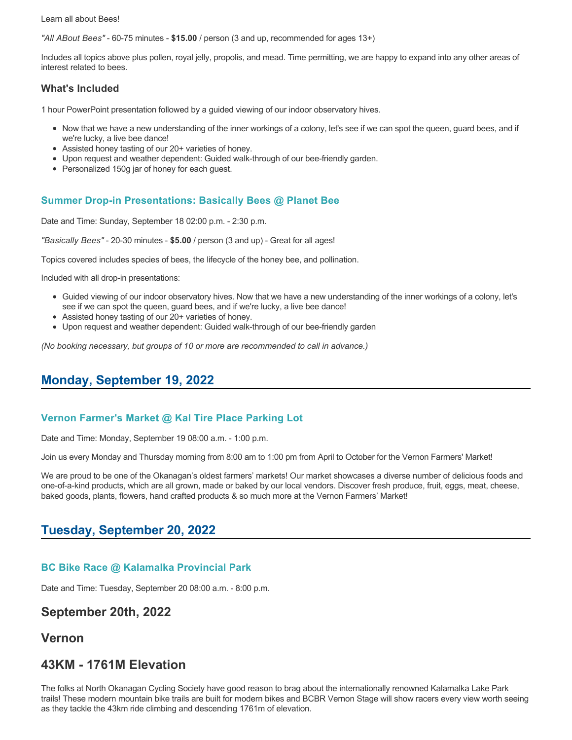Learn all about Bees!

*"All ABout Bees"* - 60-75 minutes - **\$15.00** / person (3 and up, recommended for ages 13+)

Includes all topics above plus pollen, royal jelly, propolis, and mead. Time permitting, we are happy to expand into any other areas of interest related to bees.

#### **What's Included**

1 hour PowerPoint presentation followed by a guided viewing of our indoor observatory hives.

- Now that we have a new understanding of the inner workings of a colony, let's see if we can spot the queen, guard bees, and if we're lucky, a live bee dance!
- Assisted honey tasting of our 20+ varieties of honey.
- Upon request and weather dependent: Guided walk-through of our bee-friendly garden.
- Personalized 150g jar of honey for each guest.

#### **Summer Drop-in Presentations: Basically Bees @ Planet Bee**

Date and Time: Sunday, September 18 02:00 p.m. - 2:30 p.m.

*"Basically Bees"* - 20-30 minutes - **\$5.00** / person (3 and up) - Great for all ages!

Topics covered includes species of bees, the lifecycle of the honey bee, and pollination.

Included with all drop-in presentations:

- Guided viewing of our indoor observatory hives. Now that we have a new understanding of the inner workings of a colony, let's see if we can spot the queen, guard bees, and if we're lucky, a live bee dance!
- Assisted honey tasting of our 20+ varieties of honey.
- Upon request and weather dependent: Guided walk-through of our bee-friendly garden

*(No booking necessary, but groups of 10 or more are recommended to call in advance.)*

## **Monday, September 19, 2022**

#### **Vernon Farmer's Market @ Kal Tire Place Parking Lot**

Date and Time: Monday, September 19 08:00 a.m. - 1:00 p.m.

Join us every Monday and Thursday morning from 8:00 am to 1:00 pm from April to October for the Vernon Farmers' Market!

We are proud to be one of the Okanagan's oldest farmers' markets! Our market showcases a diverse number of delicious foods and one-of-a-kind products, which are all grown, made or baked by our local vendors. Discover fresh produce, fruit, eggs, meat, cheese, baked goods, plants, flowers, hand crafted products & so much more at the Vernon Farmers' Market!

## **Tuesday, September 20, 2022**

#### **BC Bike Race @ Kalamalka Provincial Park**

Date and Time: Tuesday, September 20 08:00 a.m. - 8:00 p.m.

## **September 20th, 2022**

## **Vernon**

## **43KM - 1761M Elevation**

The folks at North Okanagan Cycling Society have good reason to brag about the internationally renowned Kalamalka Lake Park trails! These modern mountain bike trails are built for modern bikes and BCBR Vernon Stage will show racers every view worth seeing as they tackle the 43km ride climbing and descending 1761m of elevation.